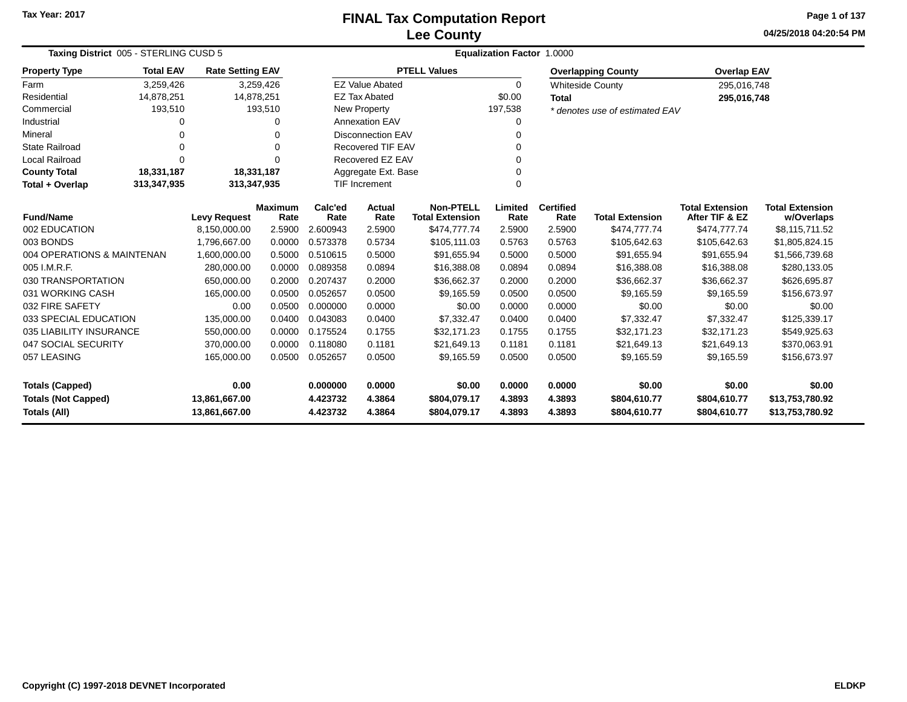# **Lee CountyFINAL Tax Computation Report**

**04/25/2018 04:20:54 PM Page 1 of 137**

| Taxing District 005 - STERLING CUSD 5 | <b>Equalization Factor 1.0000</b>                       |                         |                        |                 |                                 |                                            |                 |                          |                                |                                          |                                      |
|---------------------------------------|---------------------------------------------------------|-------------------------|------------------------|-----------------|---------------------------------|--------------------------------------------|-----------------|--------------------------|--------------------------------|------------------------------------------|--------------------------------------|
| <b>Property Type</b>                  | <b>Total EAV</b>                                        | <b>Rate Setting EAV</b> |                        |                 |                                 | <b>PTELL Values</b>                        |                 |                          | <b>Overlapping County</b>      | <b>Overlap EAV</b>                       |                                      |
| Farm                                  | 3,259,426                                               |                         | 3,259,426              |                 | <b>EZ Value Abated</b>          |                                            | $\mathbf 0$     |                          | <b>Whiteside County</b>        | 295,016,748                              |                                      |
| Residential                           | 14,878,251                                              | 14,878,251              |                        |                 | <b>EZ Tax Abated</b>            |                                            | \$0.00          | <b>Total</b>             |                                | 295,016,748                              |                                      |
| Commercial                            | 193,510                                                 |                         | 193,510                |                 | New Property                    |                                            | 197,538         |                          | * denotes use of estimated EAV |                                          |                                      |
| Industrial                            | ი                                                       |                         | O                      |                 | <b>Annexation EAV</b>           |                                            | $\Omega$        |                          |                                |                                          |                                      |
| Mineral                               | $\Omega$                                                |                         | 0                      |                 | <b>Disconnection EAV</b>        |                                            | $\Omega$        |                          |                                |                                          |                                      |
| <b>State Railroad</b>                 |                                                         |                         | $\Omega$               |                 | <b>Recovered TIF EAV</b>        |                                            | 0               |                          |                                |                                          |                                      |
| <b>Local Railroad</b>                 | $\Omega$                                                |                         | ∩                      |                 | Recovered EZ EAV                |                                            | $\Omega$        |                          |                                |                                          |                                      |
| <b>County Total</b>                   | 18,331,187                                              | 18,331,187              |                        |                 | Aggregate Ext. Base<br>$\Omega$ |                                            |                 |                          |                                |                                          |                                      |
| Total + Overlap                       | 313,347,935<br>313,347,935<br><b>TIF Increment</b><br>0 |                         |                        |                 |                                 |                                            |                 |                          |                                |                                          |                                      |
| <b>Fund/Name</b>                      |                                                         | <b>Levy Request</b>     | <b>Maximum</b><br>Rate | Calc'ed<br>Rate | Actual<br>Rate                  | <b>Non-PTELL</b><br><b>Total Extension</b> | Limited<br>Rate | <b>Certified</b><br>Rate | <b>Total Extension</b>         | <b>Total Extension</b><br>After TIF & EZ | <b>Total Extension</b><br>w/Overlaps |
| 002 EDUCATION                         |                                                         | 8,150,000.00            | 2.5900                 | 2.600943        | 2.5900                          | \$474,777.74                               | 2.5900          | 2.5900                   | \$474,777.74                   | \$474,777.74                             | \$8,115,711.52                       |
| 003 BONDS                             |                                                         | 1,796,667.00            | 0.0000                 | 0.573378        | 0.5734                          | \$105,111.03                               | 0.5763          | 0.5763                   | \$105,642.63                   | \$105,642.63                             | \$1,805,824.15                       |
| 004 OPERATIONS & MAINTENAN            |                                                         | 1,600,000.00            | 0.5000                 | 0.510615        | 0.5000                          | \$91,655.94                                | 0.5000          | 0.5000                   | \$91,655.94                    | \$91,655.94                              | \$1,566,739.68                       |
| 005 I.M.R.F.                          |                                                         | 280,000.00              | 0.0000                 | 0.089358        | 0.0894                          | \$16,388.08                                | 0.0894          | 0.0894                   | \$16,388.08                    | \$16,388.08                              | \$280,133.05                         |
| 030 TRANSPORTATION                    |                                                         | 650,000.00              | 0.2000                 | 0.207437        | 0.2000                          | \$36,662.37                                | 0.2000          | 0.2000                   | \$36,662.37                    | \$36,662.37                              | \$626,695.87                         |
| 031 WORKING CASH                      |                                                         | 165,000.00              | 0.0500                 | 0.052657        | 0.0500                          | \$9,165.59                                 | 0.0500          | 0.0500                   | \$9,165.59                     | \$9,165.59                               | \$156,673.97                         |
| 032 FIRE SAFETY                       |                                                         | 0.00                    | 0.0500                 | 0.000000        | 0.0000                          | \$0.00                                     | 0.0000          | 0.0000                   | \$0.00                         | \$0.00                                   | \$0.00                               |
| 033 SPECIAL EDUCATION                 |                                                         | 135,000.00              | 0.0400                 | 0.043083        | 0.0400                          | \$7,332.47                                 | 0.0400          | 0.0400                   | \$7.332.47                     | \$7.332.47                               | \$125,339.17                         |
| 035 LIABILITY INSURANCE               |                                                         | 550,000.00              | 0.0000                 | 0.175524        | 0.1755                          | \$32,171.23                                | 0.1755          | 0.1755                   | \$32,171.23                    | \$32,171.23                              | \$549,925.63                         |
| 047 SOCIAL SECURITY                   |                                                         | 370,000.00              | 0.0000                 | 0.118080        | 0.1181                          | \$21,649.13                                | 0.1181          | 0.1181                   | \$21,649.13                    | \$21,649.13                              | \$370,063.91                         |
| 057 LEASING                           |                                                         | 165,000.00              | 0.0500                 | 0.052657        | 0.0500                          | \$9,165.59                                 | 0.0500          | 0.0500                   | \$9,165.59                     | \$9,165.59                               | \$156,673.97                         |
| <b>Totals (Capped)</b>                |                                                         | 0.00                    |                        | 0.000000        | 0.0000                          | \$0.00                                     | 0.0000          | 0.0000                   | \$0.00                         | \$0.00                                   | \$0.00                               |
| <b>Totals (Not Capped)</b>            |                                                         | 13,861,667.00           |                        | 4.423732        | 4.3864                          | \$804,079.17                               | 4.3893          | 4.3893                   | \$804,610.77                   | \$804,610.77                             | \$13,753,780.92                      |
| <b>Totals (All)</b>                   |                                                         | 13,861,667.00           |                        | 4.423732        | 4.3864                          | \$804,079.17                               | 4.3893          | 4.3893                   | \$804,610.77                   | \$804,610.77                             | \$13,753,780.92                      |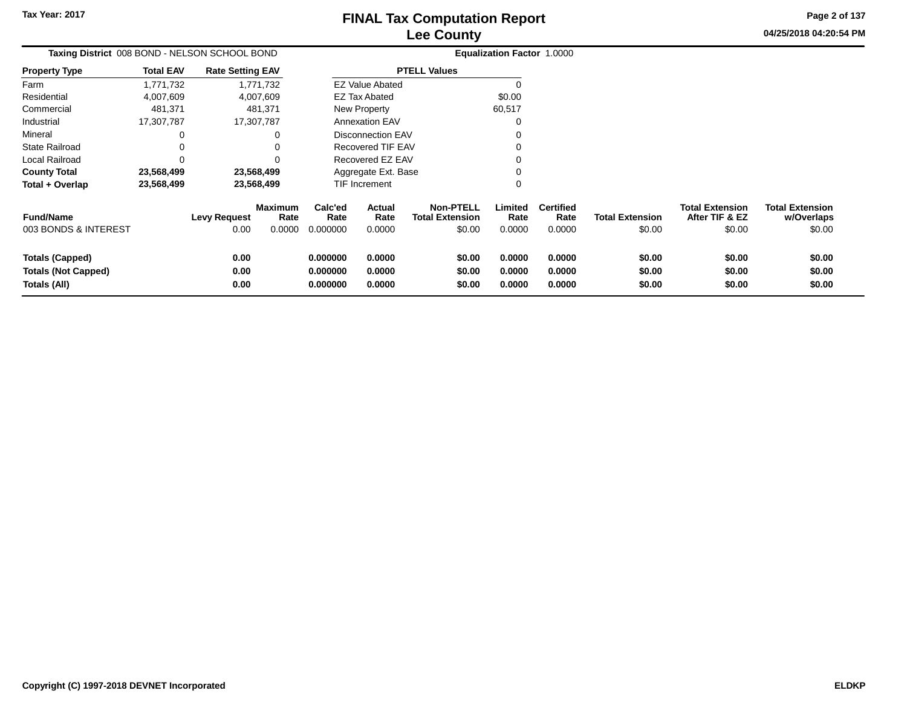**04/25/2018 04:20:54 PMPage 2 of 137**

 $$0.00$ 

| Taxing District 008 BOND - NELSON SCHOOL BOND                        |                  |                             |                                  |                                  |                            |                                                      | <b>Equalization Factor 1.0000</b> |                                    |                                  |                                                    |                                                |
|----------------------------------------------------------------------|------------------|-----------------------------|----------------------------------|----------------------------------|----------------------------|------------------------------------------------------|-----------------------------------|------------------------------------|----------------------------------|----------------------------------------------------|------------------------------------------------|
| <b>Property Type</b>                                                 | <b>Total EAV</b> | <b>Rate Setting EAV</b>     |                                  |                                  |                            | <b>PTELL Values</b>                                  |                                   |                                    |                                  |                                                    |                                                |
| Farm                                                                 | 1,771,732        |                             | 1,771,732                        |                                  | <b>EZ Value Abated</b>     |                                                      |                                   |                                    |                                  |                                                    |                                                |
| Residential                                                          | 4,007,609        |                             | 4,007,609                        |                                  | <b>EZ Tax Abated</b>       |                                                      | \$0.00                            |                                    |                                  |                                                    |                                                |
| Commercial                                                           | 481,371          |                             | 481,371                          |                                  | New Property               |                                                      | 60,517                            |                                    |                                  |                                                    |                                                |
| Industrial                                                           | 17,307,787       |                             | 17,307,787                       |                                  | <b>Annexation EAV</b>      |                                                      | 0                                 |                                    |                                  |                                                    |                                                |
| Mineral                                                              |                  |                             | 0                                |                                  | <b>Disconnection EAV</b>   |                                                      |                                   |                                    |                                  |                                                    |                                                |
| <b>State Railroad</b>                                                |                  |                             | 0                                |                                  | Recovered TIF EAV          |                                                      | 0                                 |                                    |                                  |                                                    |                                                |
| Local Railroad                                                       | 0                |                             | 0                                |                                  | Recovered EZ EAV           |                                                      | 0                                 |                                    |                                  |                                                    |                                                |
| <b>County Total</b>                                                  | 23,568,499       |                             | 23,568,499                       |                                  | Aggregate Ext. Base        |                                                      | 0                                 |                                    |                                  |                                                    |                                                |
| Total + Overlap                                                      | 23,568,499       |                             | 23,568,499                       |                                  | TIF Increment              |                                                      | 0                                 |                                    |                                  |                                                    |                                                |
| <b>Fund/Name</b><br>003 BONDS & INTEREST                             |                  | <b>Levy Request</b><br>0.00 | <b>Maximum</b><br>Rate<br>0.0000 | Calc'ed<br>Rate<br>0.000000      | Actual<br>Rate<br>0.0000   | <b>Non-PTELL</b><br><b>Total Extension</b><br>\$0.00 | Limited<br>Rate<br>0.0000         | <b>Certified</b><br>Rate<br>0.0000 | <b>Total Extension</b><br>\$0.00 | <b>Total Extension</b><br>After TIF & EZ<br>\$0.00 | <b>Total Extension</b><br>w/Overlaps<br>\$0.00 |
| <b>Totals (Capped)</b><br><b>Totals (Not Capped)</b><br>Totals (All) |                  | 0.00<br>0.00<br>0.00        |                                  | 0.000000<br>0.000000<br>0.000000 | 0.0000<br>0.0000<br>0.0000 | \$0.00<br>\$0.00<br>\$0.00                           | 0.0000<br>0.0000<br>0.0000        | 0.0000<br>0.0000<br>0.0000         | \$0.00<br>\$0.00<br>\$0.00       | \$0.00<br>\$0.00<br>\$0.00                         | \$0.00<br>\$0.00<br>\$0.00                     |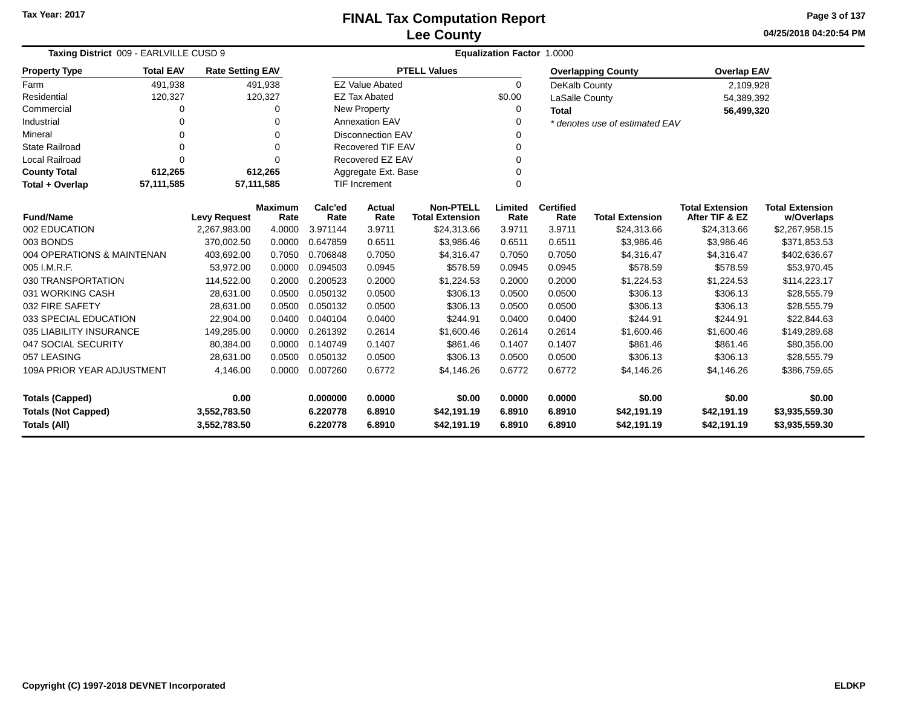**04/25/2018 04:20:54 PM Page 3 of 137**

| Taxing District 009 - EARLVILLE CUSD 9                              |                                                                              |                     |                        | Equalization Factor 1.0000 |                          |                                            |                 |                          |                                |                                          |                                      |  |
|---------------------------------------------------------------------|------------------------------------------------------------------------------|---------------------|------------------------|----------------------------|--------------------------|--------------------------------------------|-----------------|--------------------------|--------------------------------|------------------------------------------|--------------------------------------|--|
| <b>Property Type</b>                                                | <b>Total EAV</b><br><b>Rate Setting EAV</b><br>491,938<br>491,938<br>120,327 |                     |                        |                            |                          | <b>PTELL Values</b>                        |                 |                          | <b>Overlapping County</b>      | <b>Overlap EAV</b>                       |                                      |  |
| Farm                                                                |                                                                              |                     |                        |                            | <b>EZ Value Abated</b>   |                                            | $\Omega$        | DeKalb County            |                                | 2,109,928                                |                                      |  |
| Residential                                                         | 120,327                                                                      |                     |                        |                            | <b>EZ Tax Abated</b>     |                                            | \$0.00          | LaSalle County           |                                | 54,389,392                               |                                      |  |
| Commercial                                                          | 0                                                                            |                     | 0                      |                            | New Property             |                                            | 0               | <b>Total</b>             |                                | 56,499,320                               |                                      |  |
| Industrial                                                          | 0                                                                            |                     | 0                      |                            | <b>Annexation EAV</b>    |                                            | 0               |                          | * denotes use of estimated EAV |                                          |                                      |  |
| Mineral                                                             | 0                                                                            |                     | 0                      |                            | <b>Disconnection EAV</b> |                                            | 0               |                          |                                |                                          |                                      |  |
| <b>State Railroad</b>                                               | 0                                                                            |                     | 0                      |                            | <b>Recovered TIF EAV</b> |                                            | 0               |                          |                                |                                          |                                      |  |
| <b>Local Railroad</b>                                               | 0                                                                            |                     | $\Omega$               |                            | Recovered EZ EAV         |                                            | 0               |                          |                                |                                          |                                      |  |
| <b>County Total</b>                                                 | 612,265                                                                      |                     | 612,265                |                            | Aggregate Ext. Base      |                                            | 0               |                          |                                |                                          |                                      |  |
| <b>TIF Increment</b><br>57,111,585<br>57,111,585<br>Total + Overlap |                                                                              |                     |                        |                            |                          |                                            | 0               |                          |                                |                                          |                                      |  |
| <b>Fund/Name</b>                                                    |                                                                              | <b>Levy Request</b> | <b>Maximum</b><br>Rate | Calc'ed<br>Rate            | Actual<br>Rate           | <b>Non-PTELL</b><br><b>Total Extension</b> | Limited<br>Rate | <b>Certified</b><br>Rate | <b>Total Extension</b>         | <b>Total Extension</b><br>After TIF & EZ | <b>Total Extension</b><br>w/Overlaps |  |
| 002 EDUCATION                                                       |                                                                              | 2,267,983.00        | 4.0000                 | 3.971144                   | 3.9711                   | \$24,313.66                                | 3.9711          | 3.9711                   | \$24,313.66                    | \$24,313.66                              | \$2,267,958.15                       |  |
| 003 BONDS                                                           |                                                                              | 370.002.50          | 0.0000                 | 0.647859                   | 0.6511                   | \$3,986.46                                 | 0.6511          | 0.6511                   | \$3,986.46                     | \$3,986.46                               | \$371,853.53                         |  |
| 004 OPERATIONS & MAINTENAN                                          |                                                                              | 403,692.00          | 0.7050                 | 0.706848                   | 0.7050                   | \$4,316.47                                 | 0.7050          | 0.7050                   | \$4,316.47                     | \$4,316.47                               | \$402,636.67                         |  |
| 005 I.M.R.F.                                                        |                                                                              | 53,972.00           | 0.0000                 | 0.094503                   | 0.0945                   | \$578.59                                   | 0.0945          | 0.0945                   | \$578.59                       | \$578.59                                 | \$53,970.45                          |  |
| 030 TRANSPORTATION                                                  |                                                                              | 114,522.00          | 0.2000                 | 0.200523                   | 0.2000                   | \$1,224.53                                 | 0.2000          | 0.2000                   | \$1,224.53                     | \$1,224.53                               | \$114,223.17                         |  |
| 031 WORKING CASH                                                    |                                                                              | 28,631.00           | 0.0500                 | 0.050132                   | 0.0500                   | \$306.13                                   | 0.0500          | 0.0500                   | \$306.13                       | \$306.13                                 | \$28,555.79                          |  |
| 032 FIRE SAFETY                                                     |                                                                              | 28,631.00           | 0.0500                 | 0.050132                   | 0.0500                   | \$306.13                                   | 0.0500          | 0.0500                   | \$306.13                       | \$306.13                                 | \$28,555.79                          |  |
| 033 SPECIAL EDUCATION                                               |                                                                              | 22,904.00           | 0.0400                 | 0.040104                   | 0.0400                   | \$244.91                                   | 0.0400          | 0.0400                   | \$244.91                       | \$244.91                                 | \$22,844.63                          |  |
| 035 LIABILITY INSURANCE                                             |                                                                              | 149,285.00          | 0.0000                 | 0.261392                   | 0.2614                   | \$1,600.46                                 | 0.2614          | 0.2614                   | \$1,600.46                     | \$1,600.46                               | \$149,289.68                         |  |
| 047 SOCIAL SECURITY                                                 |                                                                              | 80,384.00           | 0.0000                 | 0.140749                   | 0.1407                   | \$861.46                                   | 0.1407          | 0.1407                   | \$861.46                       | \$861.46                                 | \$80,356.00                          |  |
| 057 LEASING                                                         |                                                                              | 28.631.00           | 0.0500                 | 0.050132                   | 0.0500                   | \$306.13                                   | 0.0500          | 0.0500                   | \$306.13                       | \$306.13                                 | \$28,555.79                          |  |
| 109A PRIOR YEAR ADJUSTMENT                                          |                                                                              | 4,146.00            | 0.0000                 | 0.007260                   | 0.6772                   | \$4,146.26                                 | 0.6772          | 0.6772                   | \$4,146.26                     | \$4,146.26                               | \$386,759.65                         |  |
| 0.00<br><b>Totals (Capped)</b>                                      |                                                                              |                     | 0.000000               | 0.0000                     | \$0.00                   | 0.0000                                     | 0.0000          | \$0.00                   | \$0.00                         | \$0.00                                   |                                      |  |
| <b>Totals (Not Capped)</b>                                          |                                                                              | 3,552,783.50        |                        | 6.220778                   | 6.8910                   | \$42,191.19                                | 6.8910          | 6.8910                   | \$42,191.19                    | \$42,191.19                              | \$3,935,559.30                       |  |
| Totals (All)                                                        |                                                                              | 3,552,783.50        |                        | 6.220778                   | 6.8910                   | \$42,191.19                                | 6.8910          | 6.8910                   | \$42,191.19                    | \$42,191.19                              | \$3,935,559.30                       |  |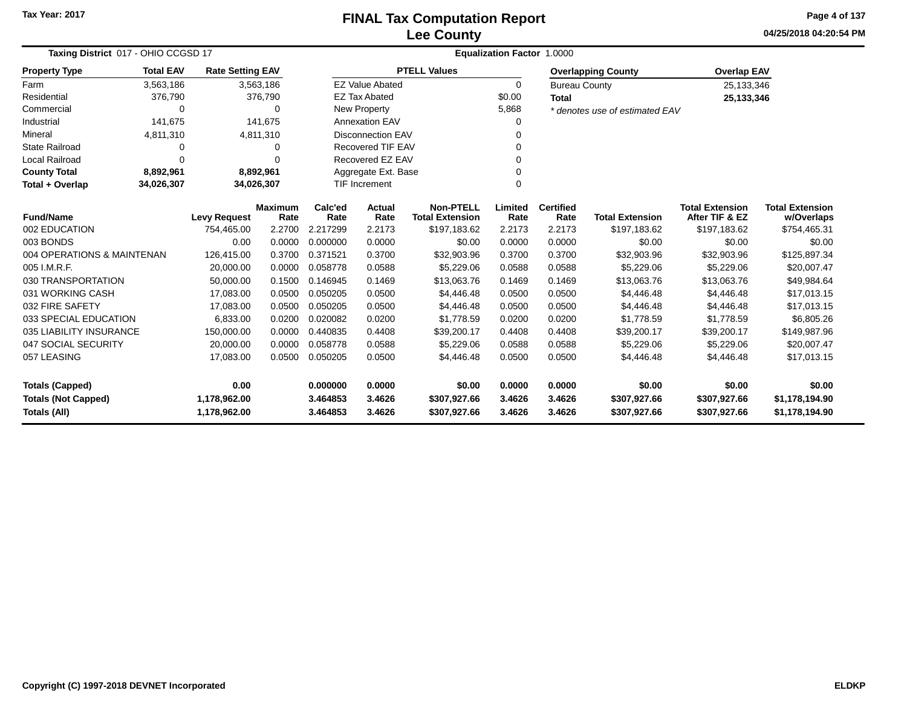**04/25/2018 04:20:54 PM Page 4 of 137**

| Taxing District 017 - OHIO CCGSD 17        |                  |                         |                        |                 |                           | <b>Equalization Factor</b>                 | 1.0000          |                          |                                |                                          |                                      |
|--------------------------------------------|------------------|-------------------------|------------------------|-----------------|---------------------------|--------------------------------------------|-----------------|--------------------------|--------------------------------|------------------------------------------|--------------------------------------|
| <b>Property Type</b>                       | <b>Total EAV</b> | <b>Rate Setting EAV</b> |                        |                 |                           | <b>PTELL Values</b>                        |                 |                          | <b>Overlapping County</b>      | <b>Overlap EAV</b>                       |                                      |
| Farm                                       | 3,563,186        | 3,563,186               |                        |                 | <b>EZ Value Abated</b>    |                                            | 0               | <b>Bureau County</b>     |                                | 25,133,346                               |                                      |
| Residential                                | 376,790          |                         | 376,790                |                 | <b>EZ Tax Abated</b>      |                                            | \$0.00          | <b>Total</b>             |                                | 25,133,346                               |                                      |
| Commercial                                 | $\Omega$         |                         | $\Omega$               |                 | New Property              |                                            | 5,868           |                          | * denotes use of estimated EAV |                                          |                                      |
| Industrial                                 | 141,675          |                         | 141.675                |                 | <b>Annexation EAV</b>     |                                            | 0               |                          |                                |                                          |                                      |
| Mineral                                    | 4,811,310        | 4,811,310               |                        |                 | <b>Disconnection EAV</b>  |                                            | 0               |                          |                                |                                          |                                      |
| <b>State Railroad</b>                      | $\Omega$         |                         | 0                      |                 | <b>Recovered TIF EAV</b>  |                                            | 0               |                          |                                |                                          |                                      |
| Local Railroad                             | $\Omega$         |                         | $\Omega$               |                 | Recovered EZ EAV          |                                            | 0               |                          |                                |                                          |                                      |
| <b>County Total</b>                        | 8,892,961        | 8,892,961               |                        |                 | Aggregate Ext. Base       |                                            | 0               |                          |                                |                                          |                                      |
| Total + Overlap                            | 34,026,307       | 34,026,307              |                        |                 | 0<br><b>TIF Increment</b> |                                            |                 |                          |                                |                                          |                                      |
| <b>Fund/Name</b>                           |                  | <b>Levy Request</b>     | <b>Maximum</b><br>Rate | Calc'ed<br>Rate | <b>Actual</b><br>Rate     | <b>Non-PTELL</b><br><b>Total Extension</b> | Limited<br>Rate | <b>Certified</b><br>Rate | <b>Total Extension</b>         | <b>Total Extension</b><br>After TIF & EZ | <b>Total Extension</b><br>w/Overlaps |
| 002 EDUCATION                              |                  | 754,465.00              | 2.2700                 | 2.217299        | 2.2173                    | \$197,183.62                               | 2.2173          | 2.2173                   | \$197,183.62                   | \$197,183.62                             | \$754,465.31                         |
| 003 BONDS                                  |                  | 0.00                    | 0.0000                 | 0.000000        | 0.0000                    | \$0.00                                     | 0.0000          | 0.0000                   | \$0.00                         | \$0.00                                   | \$0.00                               |
| 004 OPERATIONS & MAINTENAN                 |                  | 126,415.00              | 0.3700                 | 0.371521        | 0.3700                    | \$32,903.96                                | 0.3700          | 0.3700                   | \$32,903.96                    | \$32,903.96                              | \$125,897.34                         |
| 005 I.M.R.F.                               |                  | 20,000.00               | 0.0000                 | 0.058778        | 0.0588                    | \$5,229.06                                 | 0.0588          | 0.0588                   | \$5,229.06                     | \$5,229.06                               | \$20,007.47                          |
| 030 TRANSPORTATION                         |                  | 50,000.00               | 0.1500                 | 0.146945        | 0.1469                    | \$13,063.76                                | 0.1469          | 0.1469                   | \$13,063.76                    | \$13,063.76                              | \$49,984.64                          |
| 031 WORKING CASH                           |                  | 17,083.00               | 0.0500                 | 0.050205        | 0.0500                    | \$4,446.48                                 | 0.0500          | 0.0500                   | \$4,446.48                     | \$4,446.48                               | \$17,013.15                          |
| 032 FIRE SAFETY                            |                  | 17,083.00               | 0.0500                 | 0.050205        | 0.0500                    | \$4,446.48                                 | 0.0500          | 0.0500                   | \$4,446.48                     | \$4,446.48                               | \$17,013.15                          |
| 033 SPECIAL EDUCATION                      |                  | 6,833.00                | 0.0200                 | 0.020082        | 0.0200                    | \$1,778.59                                 | 0.0200          | 0.0200                   | \$1,778.59                     | \$1,778.59                               | \$6,805.26                           |
| 035 LIABILITY INSURANCE                    |                  | 150,000.00              | 0.0000                 | 0.440835        | 0.4408                    | \$39,200.17                                | 0.4408          | 0.4408                   | \$39,200.17                    | \$39,200.17                              | \$149,987.96                         |
| 047 SOCIAL SECURITY                        |                  | 20,000.00               | 0.0000                 | 0.058778        | 0.0588                    | \$5,229.06                                 | 0.0588          | 0.0588                   | \$5,229.06                     | \$5,229.06                               | \$20,007.47                          |
| 057 LEASING                                |                  | 17,083.00               | 0.0500                 | 0.050205        | 0.0500                    | \$4,446.48                                 | 0.0500          | 0.0500                   | \$4,446.48                     | \$4,446.48                               | \$17,013.15                          |
| 0.00                                       |                  |                         |                        | 0.000000        | 0.0000                    | \$0.00                                     | 0.0000          | 0.0000                   | \$0.00                         | \$0.00                                   | \$0.00                               |
| <b>Totals (Not Capped)</b><br>1,178,962.00 |                  |                         | 3.464853               | 3.4626          | \$307,927.66              | 3.4626                                     | 3.4626          | \$307,927.66             | \$307,927.66                   | \$1,178,194.90                           |                                      |
| <b>Totals (Capped)</b><br>Totals (All)     |                  | 1,178,962.00            |                        | 3.464853        | 3.4626                    | \$307,927.66                               | 3.4626          | 3.4626                   | \$307,927.66                   | \$307,927.66                             | \$1,178,194.90                       |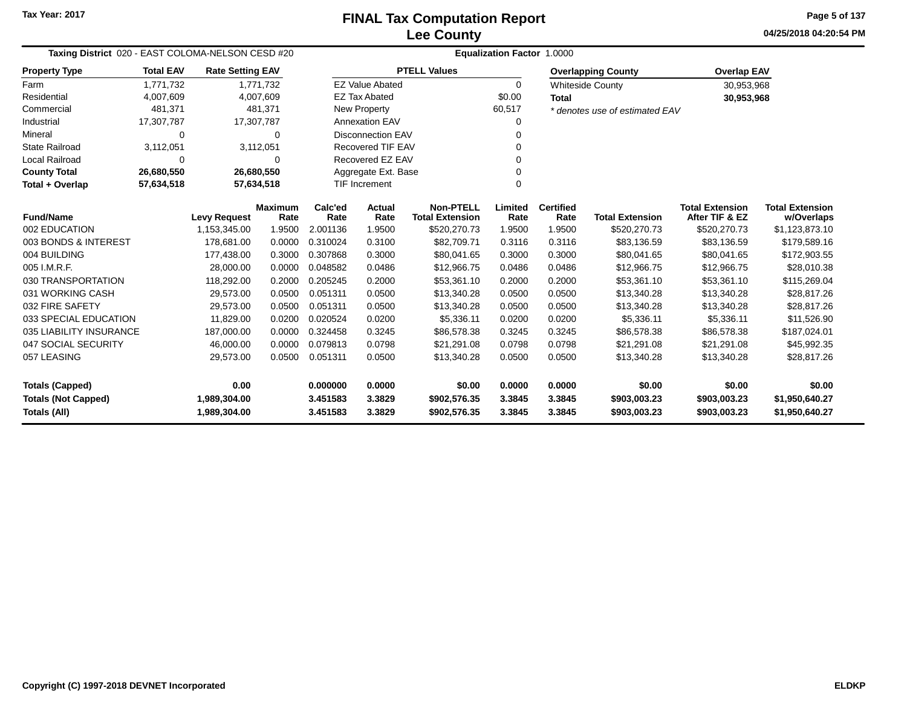**04/25/2018 04:20:54 PMPage 5 of 137**

| Taxing District 020 - EAST COLOMA-NELSON CESD #20<br><b>Rate Setting EAV</b> |                                            |                              |                        | <b>Equalization Factor 1.0000</b> |                          |                                            |                  |                          |                                |                                          |                                      |  |  |
|------------------------------------------------------------------------------|--------------------------------------------|------------------------------|------------------------|-----------------------------------|--------------------------|--------------------------------------------|------------------|--------------------------|--------------------------------|------------------------------------------|--------------------------------------|--|--|
| <b>Property Type</b>                                                         | <b>Total EAV</b><br>1.771.732<br>4,007,609 |                              |                        |                                   |                          | <b>PTELL Values</b>                        |                  |                          | <b>Overlapping County</b>      | <b>Overlap EAV</b>                       |                                      |  |  |
| Farm                                                                         |                                            |                              | 1,771,732              |                                   | <b>EZ Value Abated</b>   |                                            | $\Omega$         |                          | <b>Whiteside County</b>        | 30,953,968                               |                                      |  |  |
| Residential                                                                  |                                            |                              | 4,007,609              |                                   | <b>EZ Tax Abated</b>     |                                            | \$0.00           | <b>Total</b>             |                                | 30,953,968                               |                                      |  |  |
| Commercial                                                                   | 481,371                                    |                              | 481,371                |                                   | New Property             |                                            | 60,517           |                          | * denotes use of estimated EAV |                                          |                                      |  |  |
| Industrial                                                                   | 17,307,787                                 | 17,307,787                   |                        |                                   | <b>Annexation EAV</b>    |                                            |                  |                          |                                |                                          |                                      |  |  |
| Mineral                                                                      | <b>Disconnection EAV</b><br>0<br>$\Omega$  |                              |                        |                                   |                          |                                            |                  |                          |                                |                                          |                                      |  |  |
| <b>State Railroad</b>                                                        | 3,112,051                                  |                              | 3,112,051              |                                   | <b>Recovered TIF EAV</b> |                                            |                  |                          |                                |                                          |                                      |  |  |
| Local Railroad                                                               | 0                                          |                              | $\Omega$               |                                   | Recovered EZ EAV         |                                            |                  |                          |                                |                                          |                                      |  |  |
| <b>County Total</b>                                                          | 26,680,550                                 |                              | 26,680,550             |                                   | Aggregate Ext. Base      |                                            |                  |                          |                                |                                          |                                      |  |  |
| Total + Overlap                                                              | 57,634,518                                 |                              | 57,634,518             |                                   | <b>TIF Increment</b>     |                                            |                  |                          |                                |                                          |                                      |  |  |
| <b>Fund/Name</b>                                                             |                                            | <b>Levy Request</b>          | <b>Maximum</b><br>Rate | Calc'ed<br>Rate                   | <b>Actual</b><br>Rate    | <b>Non-PTELL</b><br><b>Total Extension</b> | Limited<br>Rate  | <b>Certified</b><br>Rate | <b>Total Extension</b>         | <b>Total Extension</b><br>After TIF & EZ | <b>Total Extension</b><br>w/Overlaps |  |  |
| 002 EDUCATION                                                                |                                            | 1,153,345.00                 | 1.9500                 | 2.001136                          | 1.9500                   | \$520,270.73                               | 1.9500           | 1.9500                   | \$520,270.73                   | \$520,270.73                             | \$1,123,873.10                       |  |  |
| 003 BONDS & INTEREST                                                         |                                            | 178.681.00                   | 0.0000                 | 0.310024                          | 0.3100                   | \$82,709.71                                | 0.3116           | 0.3116                   | \$83,136.59                    | \$83,136.59                              | \$179,589.16                         |  |  |
| 004 BUILDING                                                                 |                                            | 177,438.00                   | 0.3000                 | 0.307868                          | 0.3000                   | \$80,041.65                                | 0.3000           | 0.3000                   | \$80,041.65                    | \$80,041.65                              | \$172,903.55                         |  |  |
| 005 I.M.R.F.                                                                 |                                            | 28,000.00                    | 0.0000                 | 0.048582                          | 0.0486                   | \$12,966.75                                | 0.0486           | 0.0486                   | \$12,966.75                    | \$12,966.75                              | \$28,010.38                          |  |  |
| 030 TRANSPORTATION                                                           |                                            | 118,292.00                   | 0.2000                 | 0.205245                          | 0.2000                   | \$53,361.10                                | 0.2000           | 0.2000                   | \$53,361.10                    | \$53,361.10                              | \$115,269.04                         |  |  |
| 031 WORKING CASH                                                             |                                            | 29,573.00                    | 0.0500                 | 0.051311                          | 0.0500                   | \$13,340.28                                | 0.0500           | 0.0500                   | \$13,340.28                    | \$13,340.28                              | \$28,817.26                          |  |  |
| 032 FIRE SAFETY                                                              |                                            | 29,573.00                    | 0.0500                 | 0.051311                          | 0.0500                   | \$13,340.28                                | 0.0500           | 0.0500                   | \$13,340.28                    | \$13,340.28                              | \$28,817.26                          |  |  |
| 033 SPECIAL EDUCATION                                                        |                                            | 11,829.00                    | 0.0200                 | 0.020524                          | 0.0200                   | \$5,336.11                                 | 0.0200           | 0.0200                   | \$5,336.11                     | \$5,336.11                               | \$11,526.90                          |  |  |
| 035 LIABILITY INSURANCE                                                      |                                            | 187,000.00                   | 0.0000                 | 0.324458                          | 0.3245                   | \$86,578.38                                | 0.3245           | 0.3245                   | \$86,578.38                    | \$86,578.38                              | \$187,024.01                         |  |  |
| 047 SOCIAL SECURITY                                                          |                                            | 46,000.00                    | 0.0000                 | 0.079813                          | 0.0798                   | \$21,291.08                                | 0.0798           | 0.0798                   | \$21,291.08                    | \$21,291.08                              | \$45,992.35                          |  |  |
| 057 LEASING                                                                  |                                            | 29,573.00                    | 0.0500                 | 0.051311                          | 0.0500                   | \$13,340.28                                | 0.0500           | 0.0500                   | \$13,340.28                    | \$13,340.28                              | \$28,817.26                          |  |  |
| <b>Totals (Capped)</b>                                                       |                                            | 0.00                         |                        | 0.000000                          | 0.0000                   | \$0.00                                     | 0.0000           | 0.0000                   | \$0.00                         | \$0.00                                   | \$0.00                               |  |  |
| <b>Totals (Not Capped)</b><br>Totals (All)                                   |                                            | 1,989,304.00<br>1,989,304.00 |                        | 3.451583<br>3.451583              | 3.3829<br>3.3829         | \$902,576.35<br>\$902,576.35               | 3.3845<br>3.3845 | 3.3845<br>3.3845         | \$903,003.23<br>\$903,003.23   | \$903,003.23<br>\$903,003.23             | \$1,950,640.27<br>\$1,950,640.27     |  |  |

-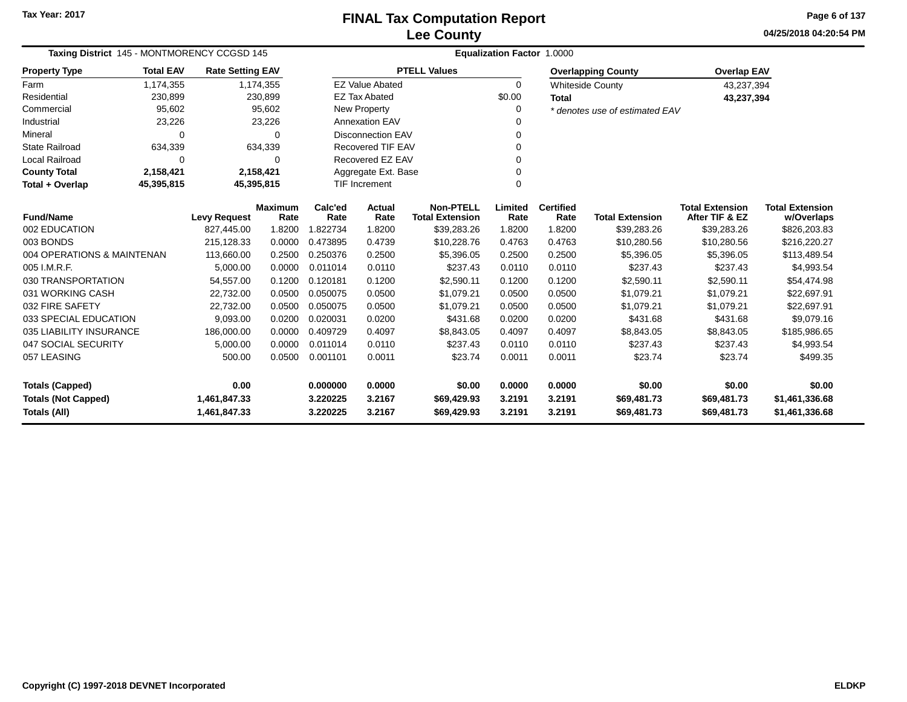**04/25/2018 04:20:54 PM Page 6 of 137**

| Taxing District 145 - MONTMORENCY CCGSD 145 |                          |                         |                        |                 | <b>Equalization Factor 1.0000</b> |                                            |                 |                          |                                |                                          |                                      |  |  |  |
|---------------------------------------------|--------------------------|-------------------------|------------------------|-----------------|-----------------------------------|--------------------------------------------|-----------------|--------------------------|--------------------------------|------------------------------------------|--------------------------------------|--|--|--|
| <b>Property Type</b>                        | <b>Total EAV</b>         | <b>Rate Setting EAV</b> |                        |                 |                                   | <b>PTELL Values</b>                        |                 |                          | <b>Overlapping County</b>      | <b>Overlap EAV</b>                       |                                      |  |  |  |
| Farm                                        | 1,174,355                |                         | 1,174,355              |                 | <b>EZ Value Abated</b>            |                                            | $\Omega$        |                          | <b>Whiteside County</b>        | 43,237,394                               |                                      |  |  |  |
| Residential                                 | 230,899                  |                         | 230,899                |                 | <b>EZ Tax Abated</b>              |                                            | \$0.00          | <b>Total</b>             |                                | 43,237,394                               |                                      |  |  |  |
| Commercial                                  | 95,602                   |                         | 95,602                 |                 | New Property                      |                                            | 0               |                          | * denotes use of estimated EAV |                                          |                                      |  |  |  |
| Industrial                                  | 23,226                   |                         | 23,226                 |                 | <b>Annexation EAV</b>             |                                            | $\Omega$        |                          |                                |                                          |                                      |  |  |  |
| Mineral                                     | 0                        |                         | $\Omega$               |                 | <b>Disconnection EAV</b>          |                                            | 0               |                          |                                |                                          |                                      |  |  |  |
| <b>State Railroad</b>                       | 634,339                  |                         | 634,339                |                 | <b>Recovered TIF EAV</b>          |                                            | 0               |                          |                                |                                          |                                      |  |  |  |
| Local Railroad                              | 0                        |                         | 0                      |                 | Recovered EZ EAV                  |                                            | 0               |                          |                                |                                          |                                      |  |  |  |
| <b>County Total</b>                         | 2,158,421                |                         | 2,158,421              |                 | Aggregate Ext. Base               |                                            | $\mathbf 0$     |                          |                                |                                          |                                      |  |  |  |
| Total + Overlap                             | 45,395,815<br>45,395,815 |                         |                        |                 |                                   |                                            | $\Omega$        |                          |                                |                                          |                                      |  |  |  |
| <b>Fund/Name</b>                            |                          | <b>Levy Request</b>     | <b>Maximum</b><br>Rate | Calc'ed<br>Rate | Actual<br>Rate                    | <b>Non-PTELL</b><br><b>Total Extension</b> | Limited<br>Rate | <b>Certified</b><br>Rate | <b>Total Extension</b>         | <b>Total Extension</b><br>After TIF & EZ | <b>Total Extension</b><br>w/Overlaps |  |  |  |
| 002 EDUCATION                               |                          | 827,445.00              | 1.8200                 | 1.822734        | 1.8200                            | \$39,283.26                                | 1.8200          | 1.8200                   | \$39,283.26                    | \$39,283.26                              | \$826,203.83                         |  |  |  |
| 003 BONDS                                   |                          | 215,128.33              | 0.0000                 | 0.473895        | 0.4739                            | \$10,228.76                                | 0.4763          | 0.4763                   | \$10,280.56                    | \$10,280.56                              | \$216,220.27                         |  |  |  |
| 004 OPERATIONS & MAINTENAN                  |                          | 113,660.00              | 0.2500                 | 0.250376        | 0.2500                            | \$5,396.05                                 | 0.2500          | 0.2500                   | \$5,396.05                     | \$5,396.05                               | \$113,489.54                         |  |  |  |
| 005 I.M.R.F.                                |                          | 5,000.00                | 0.0000                 | 0.011014        | 0.0110                            | \$237.43                                   | 0.0110          | 0.0110                   | \$237.43                       | \$237.43                                 | \$4,993.54                           |  |  |  |
| 030 TRANSPORTATION                          |                          | 54,557.00               | 0.1200                 | 0.120181        | 0.1200                            | \$2,590.11                                 | 0.1200          | 0.1200                   | \$2,590.11                     | \$2,590.11                               | \$54,474.98                          |  |  |  |
| 031 WORKING CASH                            |                          | 22,732.00               | 0.0500                 | 0.050075        | 0.0500                            | \$1,079.21                                 | 0.0500          | 0.0500                   | \$1,079.21                     | \$1,079.21                               | \$22,697.91                          |  |  |  |
| 032 FIRE SAFETY                             |                          | 22,732.00               | 0.0500                 | 0.050075        | 0.0500                            | \$1,079.21                                 | 0.0500          | 0.0500                   | \$1,079.21                     | \$1,079.21                               | \$22,697.91                          |  |  |  |
| 033 SPECIAL EDUCATION                       |                          | 9,093.00                | 0.0200                 | 0.020031        | 0.0200                            | \$431.68                                   | 0.0200          | 0.0200                   | \$431.68                       | \$431.68                                 | \$9,079.16                           |  |  |  |
| 035 LIABILITY INSURANCE                     |                          | 186,000.00              | 0.0000                 | 0.409729        | 0.4097                            | \$8,843.05                                 | 0.4097          | 0.4097                   | \$8,843.05                     | \$8,843.05                               | \$185,986.65                         |  |  |  |
| 047 SOCIAL SECURITY                         |                          | 5,000.00                | 0.0000                 | 0.011014        | 0.0110                            | \$237.43                                   | 0.0110          | 0.0110                   | \$237.43                       | \$237.43                                 | \$4,993.54                           |  |  |  |
| 057 LEASING                                 |                          | 500.00                  | 0.0500                 | 0.001101        | 0.0011                            | \$23.74                                    | 0.0011          | 0.0011                   | \$23.74                        | \$23.74                                  | \$499.35                             |  |  |  |
| <b>Totals (Capped)</b>                      |                          | 0.00                    |                        | 0.000000        | 0.0000                            | \$0.00                                     | 0.0000          | 0.0000                   | \$0.00                         | \$0.00                                   | \$0.00                               |  |  |  |
| <b>Totals (Not Capped)</b>                  |                          | 1,461,847.33            |                        | 3.220225        | 3.2167                            | \$69,429.93                                | 3.2191          | 3.2191                   | \$69,481.73                    | \$69,481.73                              | \$1,461,336.68                       |  |  |  |
| Totals (All)                                |                          | 1,461,847.33            |                        | 3.220225        | 3.2167                            | \$69,429.93                                | 3.2191          | 3.2191                   | \$69,481.73                    | \$69,481.73                              | \$1,461,336.68                       |  |  |  |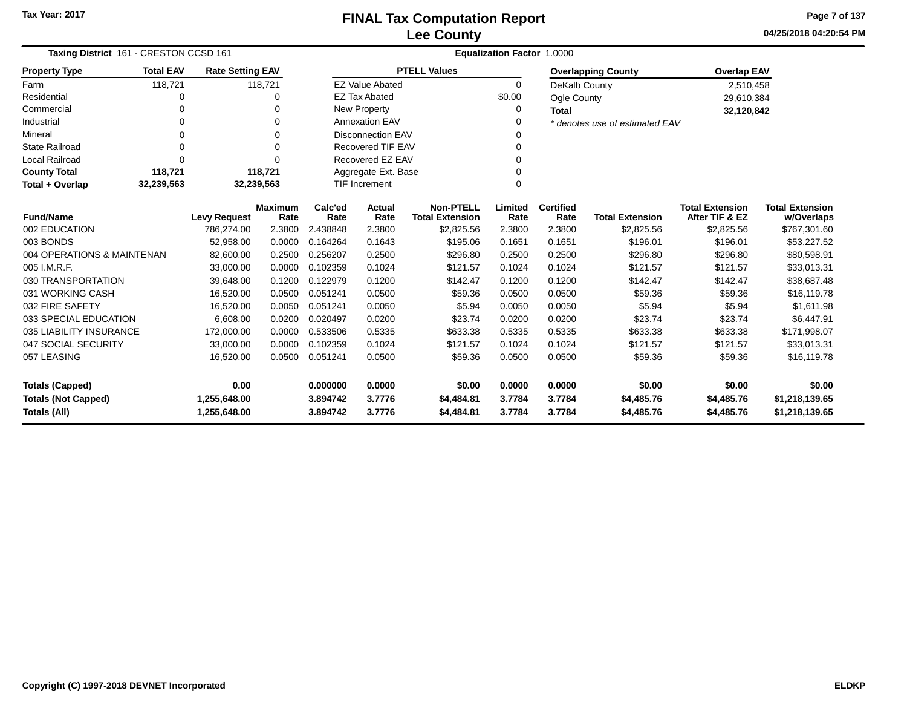**04/25/2018 04:20:54 PMPage 7 of 137**

|                                                                                                                                           | Taxing District 161 - CRESTON CCSD 161 |                         |                        |                 | <b>Equalization Factor 1.0000</b> |                                            |                 |                          |                                |                                          |                                      |  |  |
|-------------------------------------------------------------------------------------------------------------------------------------------|----------------------------------------|-------------------------|------------------------|-----------------|-----------------------------------|--------------------------------------------|-----------------|--------------------------|--------------------------------|------------------------------------------|--------------------------------------|--|--|
| <b>Property Type</b>                                                                                                                      | <b>Total EAV</b>                       | <b>Rate Setting EAV</b> |                        |                 |                                   | <b>PTELL Values</b>                        |                 |                          | <b>Overlapping County</b>      | <b>Overlap EAV</b>                       |                                      |  |  |
| Farm                                                                                                                                      | 118,721                                |                         | 118,721                |                 | <b>EZ Value Abated</b>            |                                            | $\Omega$        | DeKalb County            |                                | 2,510,458                                |                                      |  |  |
| Residential                                                                                                                               | 0                                      |                         | 0                      |                 | <b>EZ Tax Abated</b>              |                                            | \$0.00          | Ogle County              |                                | 29,610,384                               |                                      |  |  |
| Commercial                                                                                                                                | 0                                      |                         | $\Omega$               |                 | New Property                      |                                            | 0               | <b>Total</b>             |                                | 32,120,842                               |                                      |  |  |
| Industrial                                                                                                                                | $\Omega$                               |                         | $\Omega$               |                 | <b>Annexation EAV</b>             |                                            | $\Omega$        |                          | * denotes use of estimated EAV |                                          |                                      |  |  |
| Mineral                                                                                                                                   | 0                                      |                         | $\Omega$               |                 | <b>Disconnection EAV</b>          |                                            | 0               |                          |                                |                                          |                                      |  |  |
| <b>State Railroad</b>                                                                                                                     | $\Omega$                               |                         | $\Omega$               |                 | <b>Recovered TIF EAV</b>          |                                            | $\Omega$        |                          |                                |                                          |                                      |  |  |
| <b>Local Railroad</b>                                                                                                                     | 0                                      |                         | $\Omega$               |                 | Recovered EZ EAV                  |                                            | $\Omega$        |                          |                                |                                          |                                      |  |  |
| <b>County Total</b>                                                                                                                       | 118,721                                |                         | 118,721                |                 | Aggregate Ext. Base               |                                            | $\Omega$        |                          |                                |                                          |                                      |  |  |
| Total + Overlap                                                                                                                           | 32,239,563                             | 32,239,563              |                        |                 | <b>TIF Increment</b><br>0         |                                            |                 |                          |                                |                                          |                                      |  |  |
| <b>Fund/Name</b>                                                                                                                          |                                        | <b>Levy Request</b>     | <b>Maximum</b><br>Rate | Calc'ed<br>Rate | <b>Actual</b><br>Rate             | <b>Non-PTELL</b><br><b>Total Extension</b> | Limited<br>Rate | <b>Certified</b><br>Rate | <b>Total Extension</b>         | <b>Total Extension</b><br>After TIF & EZ | <b>Total Extension</b><br>w/Overlaps |  |  |
| 002 EDUCATION                                                                                                                             |                                        | 786,274.00              | 2.3800                 | 2.438848        | 2.3800                            | \$2,825.56                                 | 2.3800          | 2.3800                   | \$2,825.56                     | \$2,825.56                               | \$767,301.60                         |  |  |
| 003 BONDS                                                                                                                                 |                                        | 52,958.00               | 0.0000                 | 0.164264        | 0.1643                            | \$195.06                                   | 0.1651          | 0.1651                   | \$196.01                       | \$196.01                                 | \$53,227.52                          |  |  |
| 004 OPERATIONS & MAINTENAN                                                                                                                |                                        | 82,600.00               | 0.2500                 | 0.256207        | 0.2500                            | \$296.80                                   | 0.2500          | 0.2500                   | \$296.80                       | \$296.80                                 | \$80,598.91                          |  |  |
| 005 I.M.R.F.                                                                                                                              |                                        | 33,000.00               | 0.0000                 | 0.102359        | 0.1024                            | \$121.57                                   | 0.1024          | 0.1024                   | \$121.57                       | \$121.57                                 | \$33,013.31                          |  |  |
| 030 TRANSPORTATION                                                                                                                        |                                        | 39,648.00               | 0.1200                 | 0.122979        | 0.1200                            | \$142.47                                   | 0.1200          | 0.1200                   | \$142.47                       | \$142.47                                 | \$38,687.48                          |  |  |
| 031 WORKING CASH                                                                                                                          |                                        | 16,520.00               | 0.0500                 | 0.051241        | 0.0500                            | \$59.36                                    | 0.0500          | 0.0500                   | \$59.36                        | \$59.36                                  | \$16,119.78                          |  |  |
| 032 FIRE SAFETY                                                                                                                           |                                        | 16,520.00               | 0.0050                 | 0.051241        | 0.0050                            | \$5.94                                     | 0.0050          | 0.0050                   | \$5.94                         | \$5.94                                   | \$1,611.98                           |  |  |
| 033 SPECIAL EDUCATION                                                                                                                     |                                        | 6,608.00                | 0.0200                 | 0.020497        | 0.0200                            | \$23.74                                    | 0.0200          | 0.0200                   | \$23.74                        | \$23.74                                  | \$6,447.91                           |  |  |
| 035 LIABILITY INSURANCE                                                                                                                   |                                        | 172,000.00              | 0.0000                 | 0.533506        | 0.5335                            | \$633.38                                   | 0.5335          | 0.5335                   | \$633.38                       | \$633.38                                 | \$171,998.07                         |  |  |
| 047 SOCIAL SECURITY                                                                                                                       |                                        | 33,000.00               | 0.0000                 | 0.102359        | 0.1024                            | \$121.57                                   | 0.1024          | 0.1024                   | \$121.57                       | \$121.57                                 | \$33,013.31                          |  |  |
| 057 LEASING<br>16,520.00                                                                                                                  |                                        | 0.0500                  | 0.051241               | 0.0500          | \$59.36                           | 0.0500                                     | 0.0500          | \$59.36                  | \$59.36                        | \$16,119.78                              |                                      |  |  |
| 0.00<br><b>Totals (Capped)</b>                                                                                                            |                                        |                         |                        | 0.000000        | 0.0000                            | \$0.00                                     | 0.0000          | 0.0000                   | \$0.00                         | \$0.00                                   | \$0.00                               |  |  |
|                                                                                                                                           |                                        |                         |                        | 3.894742        | 3.7776                            | \$4,484.81                                 | 3.7784          | 3.7784                   | \$4,485.76                     | \$4,485.76                               | \$1,218,139.65                       |  |  |
| <b>Totals (Not Capped)</b><br>1,255,648.00<br><b>Totals (All)</b><br>3.894742<br>3.7776<br>\$4,484.81<br>3.7784<br>3.7784<br>1,255,648.00 |                                        |                         |                        |                 |                                   | \$4,485.76                                 | \$4,485.76      | \$1,218,139.65           |                                |                                          |                                      |  |  |

—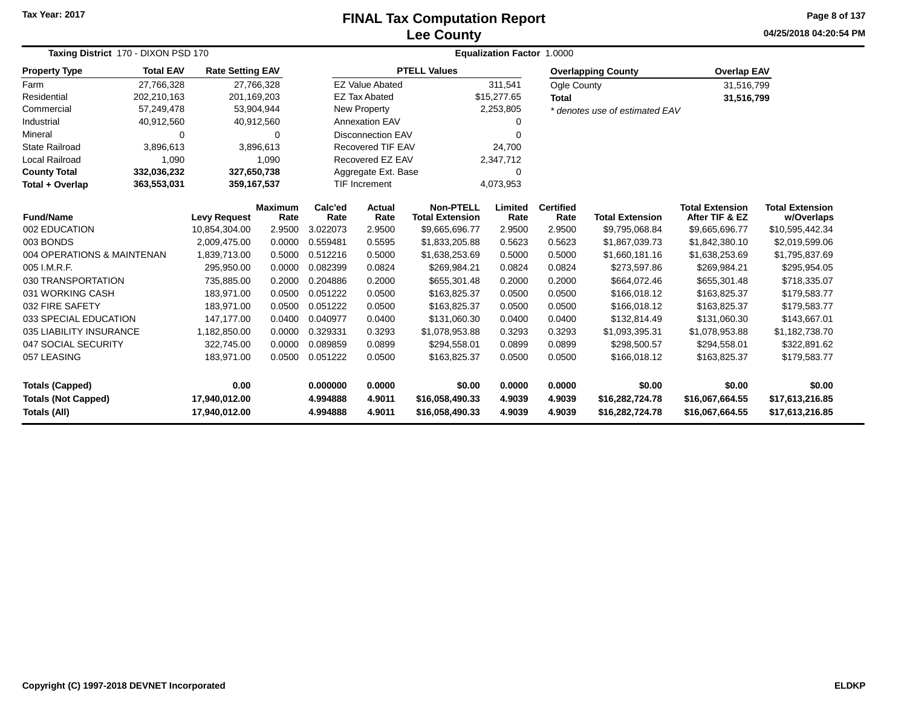#### **Lee CountyFINAL Tax Computation Report**

**04/25/2018 04:20:54 PM Page 8 of 137**

|                            | Taxing District 170 - DIXON PSD 170 |                         |                |          |                          | Equalization Factor 1.0000 |             |                  |                                |                        |                        |  |  |  |
|----------------------------|-------------------------------------|-------------------------|----------------|----------|--------------------------|----------------------------|-------------|------------------|--------------------------------|------------------------|------------------------|--|--|--|
| <b>Property Type</b>       | <b>Total EAV</b>                    | <b>Rate Setting EAV</b> |                |          |                          | <b>PTELL Values</b>        |             |                  | <b>Overlapping County</b>      | <b>Overlap EAV</b>     |                        |  |  |  |
| Farm                       | 27,766,328                          | 27,766,328              |                |          | <b>EZ Value Abated</b>   |                            | 311,541     | Ogle County      |                                | 31,516,799             |                        |  |  |  |
| Residential                | 202,210,163                         | 201,169,203             |                |          | <b>EZ Tax Abated</b>     |                            | \$15,277.65 | <b>Total</b>     |                                | 31,516,799             |                        |  |  |  |
| Commercial                 | 57,249,478                          | 53,904,944              |                |          | New Property             |                            | 2,253,805   |                  | * denotes use of estimated EAV |                        |                        |  |  |  |
| Industrial                 | 40,912,560                          | 40,912,560              |                |          | <b>Annexation EAV</b>    |                            | O           |                  |                                |                        |                        |  |  |  |
| Mineral                    | $\Omega$                            |                         | $\Omega$       |          | <b>Disconnection EAV</b> |                            | O           |                  |                                |                        |                        |  |  |  |
| State Railroad             | 3,896,613                           |                         | 3,896,613      |          | Recovered TIF EAV        |                            | 24,700      |                  |                                |                        |                        |  |  |  |
| <b>Local Railroad</b>      | 1,090                               |                         | 1,090          |          | Recovered EZ EAV         |                            | 2,347,712   |                  |                                |                        |                        |  |  |  |
| <b>County Total</b>        | 332,036,232                         | 327,650,738             |                |          | Aggregate Ext. Base      |                            | $\mathbf 0$ |                  |                                |                        |                        |  |  |  |
| Total + Overlap            | 363,553,031                         | 359,167,537             |                |          | <b>TIF Increment</b>     |                            | 4,073,953   |                  |                                |                        |                        |  |  |  |
|                            |                                     |                         | <b>Maximum</b> | Calc'ed  | Actual                   | <b>Non-PTELL</b>           | Limited     | <b>Certified</b> |                                | <b>Total Extension</b> | <b>Total Extension</b> |  |  |  |
| <b>Fund/Name</b>           |                                     | <b>Levy Request</b>     | Rate           | Rate     | Rate                     | <b>Total Extension</b>     | Rate        | Rate             | <b>Total Extension</b>         | After TIF & EZ         | w/Overlaps             |  |  |  |
| 002 EDUCATION              |                                     | 10,854,304.00           | 2.9500         | 3.022073 | 2.9500                   | \$9,665,696.77             | 2.9500      | 2.9500           | \$9,795,068.84                 | \$9,665,696.77         | \$10,595,442.34        |  |  |  |
| 003 BONDS                  |                                     | 2,009,475.00            | 0.0000         | 0.559481 | 0.5595                   | \$1,833,205.88             | 0.5623      | 0.5623           | \$1,867,039.73                 | \$1,842,380.10         | \$2,019,599.06         |  |  |  |
| 004 OPERATIONS & MAINTENAN |                                     | 1,839,713.00            | 0.5000         | 0.512216 | 0.5000                   | \$1,638,253.69             | 0.5000      | 0.5000           | \$1,660,181.16                 | \$1,638,253.69         | \$1,795,837.69         |  |  |  |
| 005 I.M.R.F.               |                                     | 295,950.00              | 0.0000         | 0.082399 | 0.0824                   | \$269,984.21               | 0.0824      | 0.0824           | \$273,597.86                   | \$269,984.21           | \$295,954.05           |  |  |  |
| 030 TRANSPORTATION         |                                     | 735,885.00              | 0.2000         | 0.204886 | 0.2000                   | \$655,301.48               | 0.2000      | 0.2000           | \$664,072.46                   | \$655,301.48           | \$718,335.07           |  |  |  |
| 031 WORKING CASH           |                                     | 183,971.00              | 0.0500         | 0.051222 | 0.0500                   | \$163,825.37               | 0.0500      | 0.0500           | \$166,018.12                   | \$163,825.37           | \$179,583.77           |  |  |  |
| 032 FIRE SAFETY            |                                     | 183,971.00              | 0.0500         | 0.051222 | 0.0500                   | \$163,825.37               | 0.0500      | 0.0500           | \$166,018.12                   | \$163,825.37           | \$179,583.77           |  |  |  |
| 033 SPECIAL EDUCATION      |                                     | 147.177.00              | 0.0400         | 0.040977 | 0.0400                   | \$131,060.30               | 0.0400      | 0.0400           | \$132,814.49                   | \$131,060.30           | \$143,667.01           |  |  |  |
| 035 LIABILITY INSURANCE    |                                     | 1,182,850.00            | 0.0000         | 0.329331 | 0.3293                   | \$1,078,953.88             | 0.3293      | 0.3293           | \$1,093,395.31                 | \$1,078,953.88         | \$1,182,738.70         |  |  |  |
| 047 SOCIAL SECURITY        |                                     | 322,745.00              | 0.0000         | 0.089859 | 0.0899                   | \$294,558.01               | 0.0899      | 0.0899           | \$298,500.57                   | \$294,558.01           | \$322,891.62           |  |  |  |
| 057 LEASING                |                                     | 183,971.00              | 0.0500         | 0.051222 | 0.0500                   | \$163,825.37               | 0.0500      | 0.0500           | \$166,018.12                   | \$163,825.37           | \$179,583.77           |  |  |  |
| <b>Totals (Capped)</b>     |                                     | 0.00                    |                | 0.000000 | 0.0000                   | \$0.00                     | 0.0000      | 0.0000           | \$0.00                         | \$0.00                 | \$0.00                 |  |  |  |
| <b>Totals (Not Capped)</b> |                                     | 17,940,012.00           |                | 4.994888 | 4.9011                   | \$16,058,490.33            | 4.9039      | 4.9039           | \$16,282,724.78                | \$16,067,664.55        | \$17,613,216.85        |  |  |  |
| Totals (All)               |                                     | 17,940,012.00           |                | 4.994888 | 4.9011                   | \$16,058,490.33            | 4.9039      | 4.9039           | \$16,282,724.78                | \$16,067,664.55        | \$17,613,216.85        |  |  |  |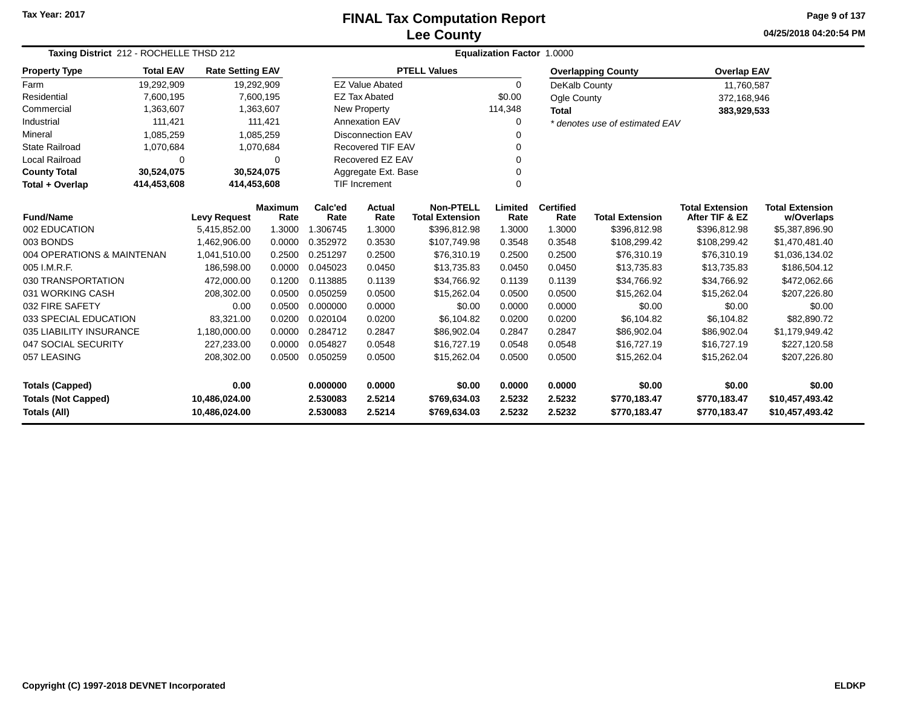# **Lee CountyFINAL Tax Computation Report**

**04/25/2018 04:20:54 PM Page 9 of 137**

and the

| Taxing District 212 - ROCHELLE THSD 212     |                  |                         |                        |                 |                          |                                            | Equalization Factor 1.0000 |                          |                                |                                          |                                      |
|---------------------------------------------|------------------|-------------------------|------------------------|-----------------|--------------------------|--------------------------------------------|----------------------------|--------------------------|--------------------------------|------------------------------------------|--------------------------------------|
| <b>Property Type</b>                        | <b>Total EAV</b> | <b>Rate Setting EAV</b> |                        |                 |                          | <b>PTELL Values</b>                        |                            |                          | <b>Overlapping County</b>      | <b>Overlap EAV</b>                       |                                      |
| Farm                                        | 19,292,909       | 19,292,909              |                        |                 | <b>EZ Value Abated</b>   |                                            | $\Omega$                   | DeKalb County            |                                | 11,760,587                               |                                      |
| Residential                                 | 7,600,195        | 7,600,195               |                        |                 | <b>EZ Tax Abated</b>     |                                            | \$0.00                     | Ogle County              |                                | 372,168,946                              |                                      |
| Commercial                                  | 1,363,607        | 1,363,607               |                        |                 | <b>New Property</b>      |                                            | 114,348                    | <b>Total</b>             |                                | 383,929,533                              |                                      |
| Industrial                                  | 111,421          |                         | 111,421                |                 | Annexation EAV           |                                            | 0                          |                          | * denotes use of estimated EAV |                                          |                                      |
| Mineral                                     | 1,085,259        | 1,085,259               |                        |                 | <b>Disconnection EAV</b> |                                            | 0                          |                          |                                |                                          |                                      |
| <b>State Railroad</b>                       | 1,070,684        | 1,070,684               |                        |                 | <b>Recovered TIF EAV</b> |                                            | 0                          |                          |                                |                                          |                                      |
| Local Railroad                              | 0                |                         | $\Omega$               |                 | Recovered EZ EAV         |                                            | 0                          |                          |                                |                                          |                                      |
| <b>County Total</b>                         | 30,524,075       | 30,524,075              |                        |                 | Aggregate Ext. Base      |                                            | 0                          |                          |                                |                                          |                                      |
| Total + Overlap                             | 414,453,608      | 414,453,608             |                        |                 | <b>TIF Increment</b>     |                                            | $\Omega$                   |                          |                                |                                          |                                      |
| <b>Fund/Name</b>                            |                  | <b>Levy Request</b>     | <b>Maximum</b><br>Rate | Calc'ed<br>Rate | Actual<br>Rate           | <b>Non-PTELL</b><br><b>Total Extension</b> | Limited<br>Rate            | <b>Certified</b><br>Rate | <b>Total Extension</b>         | <b>Total Extension</b><br>After TIF & EZ | <b>Total Extension</b><br>w/Overlaps |
| 002 EDUCATION                               |                  | 5,415,852.00            | 1.3000                 | 1.306745        | 1.3000                   | \$396,812.98                               | 1.3000                     | 1.3000                   | \$396,812.98                   | \$396,812.98                             | \$5,387,896.90                       |
| 003 BONDS                                   |                  | 1,462,906.00            | 0.0000                 | 0.352972        | 0.3530                   | \$107.749.98                               | 0.3548                     | 0.3548                   | \$108,299.42                   | \$108,299.42                             | \$1,470,481.40                       |
| 004 OPERATIONS & MAINTENAN                  |                  | 1,041,510.00            | 0.2500                 | 0.251297        | 0.2500                   | \$76,310.19                                | 0.2500                     | 0.2500                   | \$76,310.19                    | \$76,310.19                              | \$1,036,134.02                       |
| 005 I.M.R.F.                                |                  | 186,598.00              | 0.0000                 | 0.045023        | 0.0450                   | \$13,735.83                                | 0.0450                     | 0.0450                   | \$13,735.83                    | \$13,735.83                              | \$186,504.12                         |
| 030 TRANSPORTATION                          |                  | 472,000.00              | 0.1200                 | 0.113885        | 0.1139                   | \$34,766.92                                | 0.1139                     | 0.1139                   | \$34,766.92                    | \$34,766.92                              | \$472,062.66                         |
| 031 WORKING CASH                            |                  | 208,302.00              | 0.0500                 | 0.050259        | 0.0500                   | \$15,262.04                                | 0.0500                     | 0.0500                   | \$15,262.04                    | \$15,262.04                              | \$207,226.80                         |
| 032 FIRE SAFETY                             |                  | 0.00                    | 0.0500                 | 0.000000        | 0.0000                   | \$0.00                                     | 0.0000                     | 0.0000                   | \$0.00                         | \$0.00                                   | \$0.00                               |
| 033 SPECIAL EDUCATION                       |                  | 83,321.00               | 0.0200                 | 0.020104        | 0.0200                   | \$6,104.82                                 | 0.0200                     | 0.0200                   | \$6,104.82                     | \$6,104.82                               | \$82,890.72                          |
| 035 LIABILITY INSURANCE                     |                  | 1,180,000.00            | 0.0000                 | 0.284712        | 0.2847                   | \$86,902.04                                | 0.2847                     | 0.2847                   | \$86,902.04                    | \$86,902.04                              | \$1,179,949.42                       |
| 047 SOCIAL SECURITY                         |                  | 227,233.00              | 0.0000                 | 0.054827        | 0.0548                   | \$16,727.19                                | 0.0548                     | 0.0548                   | \$16,727.19                    | \$16,727.19                              | \$227,120.58                         |
| 057 LEASING                                 |                  | 208,302.00              | 0.0500                 | 0.050259        | 0.0500                   | \$15,262.04                                | 0.0500                     | 0.0500                   | \$15,262.04                    | \$15,262.04                              | \$207,226.80                         |
| <b>Totals (Capped)</b><br>0.00              |                  |                         | 0.000000               | 0.0000          | \$0.00                   | 0.0000                                     | 0.0000                     | \$0.00                   | \$0.00                         | \$0.00                                   |                                      |
| <b>Totals (Not Capped)</b><br>10,486,024.00 |                  |                         | 2.530083               | 2.5214          | \$769,634.03             | 2.5232                                     | 2.5232                     | \$770,183.47             | \$770,183.47                   | \$10,457,493.42                          |                                      |
| Totals (All)<br>10,486,024.00               |                  |                         |                        | 2.530083        | 2.5214                   | \$769,634.03                               | 2.5232                     | 2.5232                   | \$770,183.47                   | \$770,183.47                             | \$10,457,493.42                      |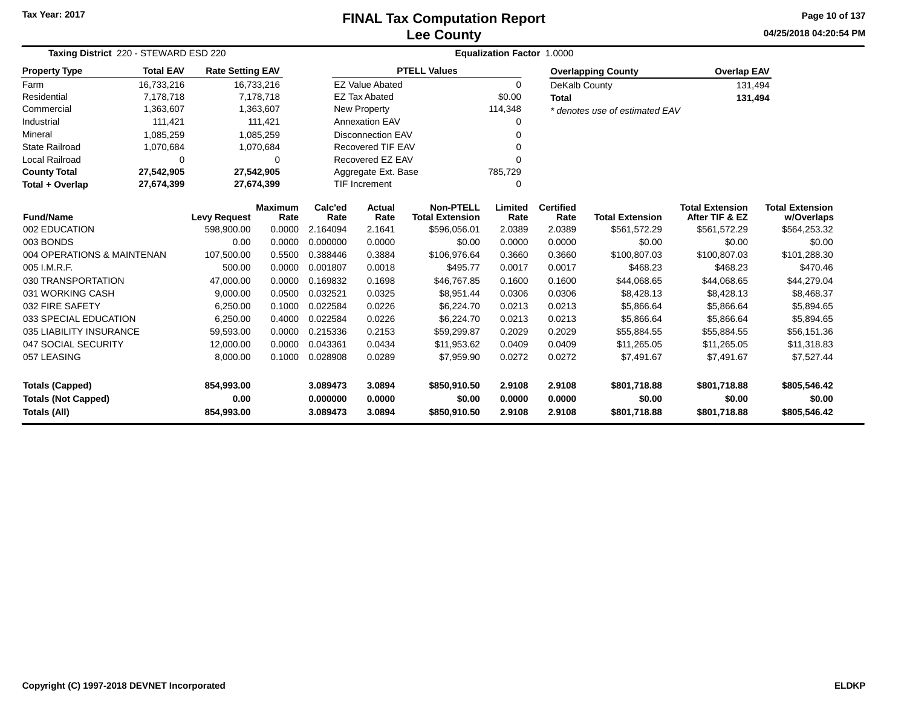# **Lee CountyFINAL Tax Computation Report**

**04/25/2018 04:20:54 PM Page 10 of 137**

| Taxing District 220 - STEWARD ESD 220 |                  |                                              |                        |                 |                          |                                            | Equalization Factor 1.0000 |                          |                                |                                          |                                      |
|---------------------------------------|------------------|----------------------------------------------|------------------------|-----------------|--------------------------|--------------------------------------------|----------------------------|--------------------------|--------------------------------|------------------------------------------|--------------------------------------|
| <b>Property Type</b>                  | <b>Total EAV</b> | <b>Rate Setting EAV</b>                      |                        |                 |                          | <b>PTELL Values</b>                        |                            |                          | <b>Overlapping County</b>      | <b>Overlap EAV</b>                       |                                      |
| Farm                                  | 16,733,216       |                                              | 16,733,216             |                 | <b>EZ Value Abated</b>   |                                            | $\Omega$                   | DeKalb County            |                                | 131,494                                  |                                      |
| Residential                           | 7,178,718        |                                              | 7,178,718              |                 | <b>EZ Tax Abated</b>     |                                            | \$0.00                     | <b>Total</b>             |                                | 131,494                                  |                                      |
| Commercial                            | 1,363,607        |                                              | 1,363,607              |                 | <b>New Property</b>      |                                            | 114,348                    |                          | * denotes use of estimated EAV |                                          |                                      |
| Industrial                            | 111,421          |                                              | 111,421                |                 | <b>Annexation EAV</b>    |                                            | 0                          |                          |                                |                                          |                                      |
| Mineral                               | 1,085,259        |                                              | 1,085,259              |                 | <b>Disconnection EAV</b> |                                            | $\Omega$                   |                          |                                |                                          |                                      |
| <b>State Railroad</b>                 | 1,070,684        |                                              | 1,070,684              |                 | <b>Recovered TIF EAV</b> |                                            | $\Omega$                   |                          |                                |                                          |                                      |
| <b>Local Railroad</b>                 | 0                |                                              | $\Omega$               |                 | Recovered EZ EAV         |                                            | $\Omega$                   |                          |                                |                                          |                                      |
| <b>County Total</b>                   | 27,542,905       | 27,542,905<br>Aggregate Ext. Base<br>785,729 |                        |                 |                          |                                            |                            |                          |                                |                                          |                                      |
| Total + Overlap                       | 27,674,399       | 27,674,399                                   |                        |                 | <b>TIF Increment</b>     |                                            | 0                          |                          |                                |                                          |                                      |
| <b>Fund/Name</b>                      |                  | <b>Levy Request</b>                          | <b>Maximum</b><br>Rate | Calc'ed<br>Rate | <b>Actual</b><br>Rate    | <b>Non-PTELL</b><br><b>Total Extension</b> | Limited<br>Rate            | <b>Certified</b><br>Rate | <b>Total Extension</b>         | <b>Total Extension</b><br>After TIF & EZ | <b>Total Extension</b><br>w/Overlaps |
| 002 EDUCATION                         |                  | 598,900.00                                   | 0.0000                 | 2.164094        | 2.1641                   | \$596,056.01                               | 2.0389                     | 2.0389                   | \$561,572.29                   | \$561,572.29                             | \$564,253.32                         |
| 003 BONDS                             |                  | 0.00                                         | 0.0000                 | 0.000000        | 0.0000                   | \$0.00                                     | 0.0000                     | 0.0000                   | \$0.00                         | \$0.00                                   | \$0.00                               |
| 004 OPERATIONS & MAINTENAN            |                  | 107,500.00                                   | 0.5500                 | 0.388446        | 0.3884                   | \$106,976.64                               | 0.3660                     | 0.3660                   | \$100,807.03                   | \$100,807.03                             | \$101,288.30                         |
| 005 I.M.R.F.                          |                  | 500.00                                       | 0.0000                 | 0.001807        | 0.0018                   | \$495.77                                   | 0.0017                     | 0.0017                   | \$468.23                       | \$468.23                                 | \$470.46                             |
| 030 TRANSPORTATION                    |                  | 47,000.00                                    | 0.0000                 | 0.169832        | 0.1698                   | \$46,767.85                                | 0.1600                     | 0.1600                   | \$44,068.65                    | \$44,068.65                              | \$44,279.04                          |
| 031 WORKING CASH                      |                  | 9,000.00                                     | 0.0500                 | 0.032521        | 0.0325                   | \$8,951.44                                 | 0.0306                     | 0.0306                   | \$8,428.13                     | \$8,428.13                               | \$8,468.37                           |
| 032 FIRE SAFETY                       |                  | 6,250.00                                     | 0.1000                 | 0.022584        | 0.0226                   | \$6,224.70                                 | 0.0213                     | 0.0213                   | \$5,866.64                     | \$5,866.64                               | \$5,894.65                           |
| 033 SPECIAL EDUCATION                 |                  | 6,250.00                                     | 0.4000                 | 0.022584        | 0.0226                   | \$6,224.70                                 | 0.0213                     | 0.0213                   | \$5,866.64                     | \$5,866.64                               | \$5,894.65                           |
| 035 LIABILITY INSURANCE               |                  | 59,593.00                                    | 0.0000                 | 0.215336        | 0.2153                   | \$59,299.87                                | 0.2029                     | 0.2029                   | \$55,884.55                    | \$55,884.55                              | \$56,151.36                          |
| 047 SOCIAL SECURITY                   |                  | 12,000.00                                    | 0.0000                 | 0.043361        | 0.0434                   | \$11,953.62                                | 0.0409                     | 0.0409                   | \$11,265.05                    | \$11,265.05                              | \$11,318.83                          |
| 057 LEASING                           |                  | 8,000.00                                     | 0.1000                 | 0.028908        | 0.0289                   | \$7,959.90                                 | 0.0272                     | 0.0272                   | \$7,491.67                     | \$7,491.67                               | \$7,527.44                           |
| <b>Totals (Capped)</b>                |                  | 854,993.00                                   |                        | 3.089473        | 3.0894                   | \$850,910.50                               | 2.9108                     | 2.9108                   | \$801,718.88                   | \$801,718.88                             | \$805,546.42                         |
| <b>Totals (Not Capped)</b>            |                  | 0.00                                         |                        | 0.000000        | 0.0000                   | \$0.00                                     | 0.0000                     | 0.0000                   | \$0.00                         | \$0.00                                   | \$0.00                               |
| Totals (All)                          |                  | 854,993.00                                   |                        | 3.089473        | 3.0894                   | \$850,910.50                               | 2.9108                     | 2.9108                   | \$801,718.88                   | \$801,718.88                             | \$805,546.42                         |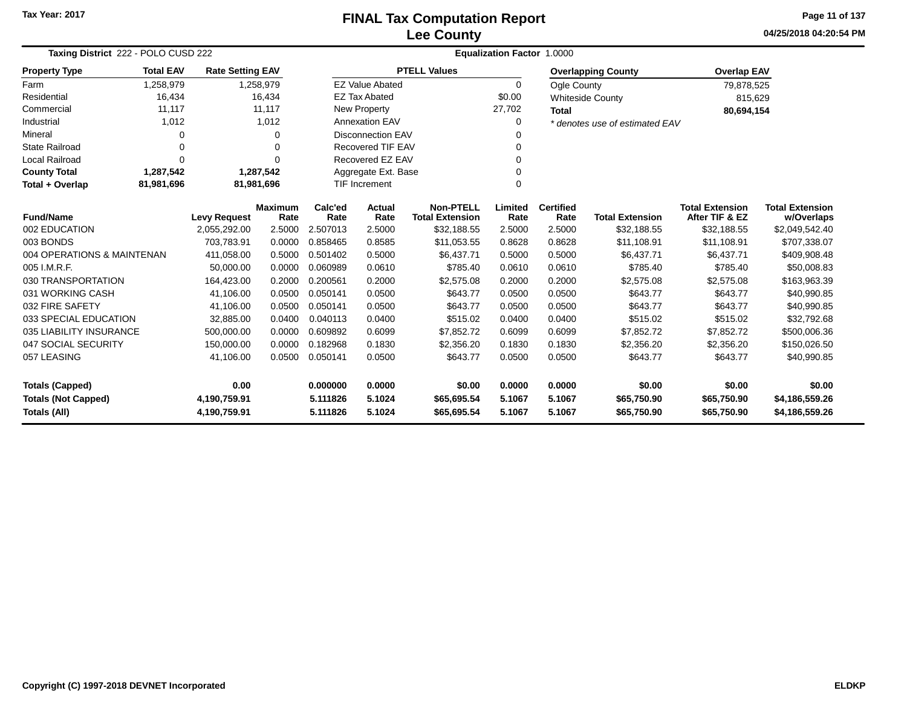### **Lee CountyFINAL Tax Computation Report**

**04/25/2018 04:20:54 PMPage 11 of 137**

| Taxing District 222 - POLO CUSD 222                                             |                                         |                         |                        | <b>Equalization Factor 1.0000</b> |                        |                                            |                 |                          |                                |                                          |                                      |
|---------------------------------------------------------------------------------|-----------------------------------------|-------------------------|------------------------|-----------------------------------|------------------------|--------------------------------------------|-----------------|--------------------------|--------------------------------|------------------------------------------|--------------------------------------|
| <b>Property Type</b>                                                            | <b>Total EAV</b>                        | <b>Rate Setting EAV</b> |                        |                                   |                        | <b>PTELL Values</b>                        |                 |                          | <b>Overlapping County</b>      | <b>Overlap EAV</b>                       |                                      |
| Farm                                                                            | 1,258,979                               |                         | 1,258,979              |                                   | <b>EZ Value Abated</b> |                                            | $\Omega$        | Ogle County              |                                | 79,878,525                               |                                      |
| Residential                                                                     | 16,434                                  |                         | 16,434                 |                                   | <b>EZ Tax Abated</b>   |                                            | \$0.00          |                          | <b>Whiteside County</b>        | 815,629                                  |                                      |
| Commercial                                                                      | 11,117                                  |                         | 11,117                 |                                   | <b>New Property</b>    |                                            | 27,702          | <b>Total</b>             |                                | 80,694,154                               |                                      |
| Industrial                                                                      | 1,012                                   |                         | 1,012                  |                                   | <b>Annexation EAV</b>  |                                            | 0               |                          | * denotes use of estimated EAV |                                          |                                      |
| Mineral                                                                         | <b>Disconnection EAV</b><br>0<br>0<br>0 |                         |                        |                                   |                        |                                            |                 |                          |                                |                                          |                                      |
| <b>State Railroad</b>                                                           | $\Omega$                                |                         | 0                      |                                   | Recovered TIF EAV      |                                            |                 |                          |                                |                                          |                                      |
| <b>Local Railroad</b>                                                           | $\Omega$                                |                         | O                      |                                   | Recovered EZ EAV       |                                            | 0               |                          |                                |                                          |                                      |
| <b>County Total</b>                                                             | 1,287,542                               |                         | 1,287,542              |                                   | Aggregate Ext. Base    |                                            |                 |                          |                                |                                          |                                      |
| Total + Overlap<br>81,981,696<br>81,981,696<br><b>TIF Increment</b><br>$\Omega$ |                                         |                         |                        |                                   |                        |                                            |                 |                          |                                |                                          |                                      |
| <b>Fund/Name</b>                                                                |                                         | <b>Levy Request</b>     | <b>Maximum</b><br>Rate | Calc'ed<br>Rate                   | Actual<br>Rate         | <b>Non-PTELL</b><br><b>Total Extension</b> | Limited<br>Rate | <b>Certified</b><br>Rate | <b>Total Extension</b>         | <b>Total Extension</b><br>After TIF & EZ | <b>Total Extension</b><br>w/Overlaps |
| 002 EDUCATION                                                                   |                                         | 2,055,292.00            | 2.5000                 | 2.507013                          | 2.5000                 | \$32,188.55                                | 2.5000          | 2.5000                   | \$32,188.55                    | \$32,188.55                              | \$2,049,542.40                       |
| 003 BONDS                                                                       |                                         | 703,783.91              | 0.0000                 | 0.858465                          | 0.8585                 | \$11,053.55                                | 0.8628          | 0.8628                   | \$11,108.91                    | \$11,108.91                              | \$707,338.07                         |
| 004 OPERATIONS & MAINTENAN                                                      |                                         | 411,058.00              | 0.5000                 | 0.501402                          | 0.5000                 | \$6,437.71                                 | 0.5000          | 0.5000                   | \$6,437.71                     | \$6,437.71                               | \$409,908.48                         |
| 005 I.M.R.F.                                                                    |                                         | 50.000.00               | 0.0000                 | 0.060989                          | 0.0610                 | \$785.40                                   | 0.0610          | 0.0610                   | \$785.40                       | \$785.40                                 | \$50,008.83                          |
| 030 TRANSPORTATION                                                              |                                         | 164,423.00              | 0.2000                 | 0.200561                          | 0.2000                 | \$2,575.08                                 | 0.2000          | 0.2000                   | \$2,575.08                     | \$2,575.08                               | \$163,963.39                         |
| 031 WORKING CASH                                                                |                                         | 41,106.00               | 0.0500                 | 0.050141                          | 0.0500                 | \$643.77                                   | 0.0500          | 0.0500                   | \$643.77                       | \$643.77                                 | \$40,990.85                          |
| 032 FIRE SAFETY                                                                 |                                         | 41,106.00               | 0.0500                 | 0.050141                          | 0.0500                 | \$643.77                                   | 0.0500          | 0.0500                   | \$643.77                       | \$643.77                                 | \$40,990.85                          |
| 033 SPECIAL EDUCATION                                                           |                                         | 32,885.00               | 0.0400                 | 0.040113                          | 0.0400                 | \$515.02                                   | 0.0400          | 0.0400                   | \$515.02                       | \$515.02                                 | \$32,792.68                          |
| 035 LIABILITY INSURANCE                                                         |                                         | 500,000.00              | 0.0000                 | 0.609892                          | 0.6099                 | \$7,852.72                                 | 0.6099          | 0.6099                   | \$7,852.72                     | \$7,852.72                               | \$500,006.36                         |
| 047 SOCIAL SECURITY                                                             |                                         | 150,000.00              | 0.0000                 | 0.182968                          | 0.1830                 | \$2,356.20                                 | 0.1830          | 0.1830                   | \$2,356.20                     | \$2,356.20                               | \$150,026.50                         |
| 057 LEASING                                                                     |                                         | 41,106.00               | 0.0500                 | 0.050141                          | 0.0500                 | \$643.77                                   | 0.0500          | 0.0500                   | \$643.77                       | \$643.77                                 | \$40,990.85                          |
| 0.00<br><b>Totals (Capped)</b>                                                  |                                         |                         |                        | 0.000000                          | 0.0000                 | \$0.00                                     | 0.0000          | 0.0000                   | \$0.00                         | \$0.00                                   | \$0.00                               |
| 4,190,759.91                                                                    |                                         |                         |                        | 5.111826                          | 5.1024                 | \$65,695.54                                | 5.1067          | 5.1067                   | \$65,750.90                    | \$65,750.90                              | \$4,186,559.26                       |
| <b>Totals (Not Capped)</b><br><b>Totals (All)</b><br>4,190,759.91               |                                         |                         |                        | 5.111826                          | 5.1024                 | \$65,695.54                                | 5.1067          | 5.1067                   | \$65,750.90                    | \$65,750.90                              | \$4,186,559.26                       |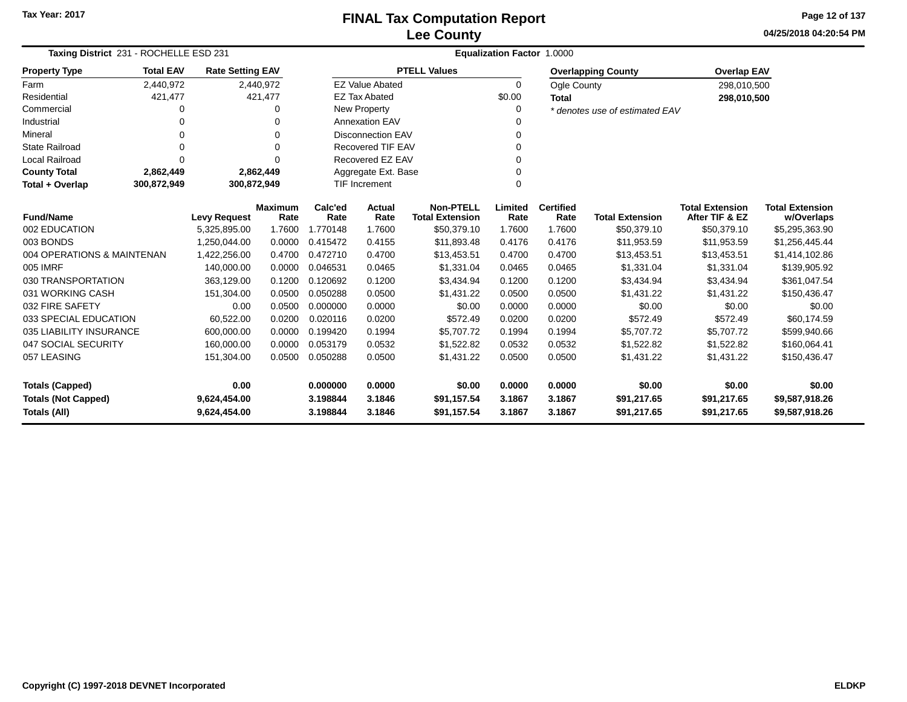**04/25/2018 04:20:54 PM Page 12 of 137**

| Taxing District 231 - ROCHELLE ESD 231 |                  |                         |                        | Equalization Factor 1.0000 |                          |                                            |                 |                          |                                |                                          |                                      |  |
|----------------------------------------|------------------|-------------------------|------------------------|----------------------------|--------------------------|--------------------------------------------|-----------------|--------------------------|--------------------------------|------------------------------------------|--------------------------------------|--|
| <b>Property Type</b>                   | <b>Total EAV</b> | <b>Rate Setting EAV</b> |                        |                            |                          | <b>PTELL Values</b>                        |                 |                          | <b>Overlapping County</b>      | <b>Overlap EAV</b>                       |                                      |  |
| Farm                                   | 2,440,972        |                         | 2,440,972              |                            | <b>EZ Value Abated</b>   |                                            | $\Omega$        | <b>Ogle County</b>       |                                | 298,010,500                              |                                      |  |
| Residential                            | 421,477          |                         | 421,477                |                            | <b>EZ Tax Abated</b>     |                                            | \$0.00          | <b>Total</b>             |                                | 298,010,500                              |                                      |  |
| Commercial                             | 0                |                         | O                      |                            | New Property             |                                            | 0               |                          | * denotes use of estimated EAV |                                          |                                      |  |
| Industrial                             | ი                |                         | ∩                      |                            | Annexation EAV           |                                            |                 |                          |                                |                                          |                                      |  |
| Mineral                                | ი                |                         | 0                      |                            | <b>Disconnection EAV</b> |                                            | 0               |                          |                                |                                          |                                      |  |
| <b>State Railroad</b>                  | $\Omega$         |                         | ∩                      |                            | <b>Recovered TIF EAV</b> |                                            |                 |                          |                                |                                          |                                      |  |
| Local Railroad                         | $\Omega$         |                         | 0                      |                            | Recovered EZ EAV         |                                            |                 |                          |                                |                                          |                                      |  |
| <b>County Total</b>                    | 2,862,449        |                         | 2,862,449              |                            | Aggregate Ext. Base      |                                            |                 |                          |                                |                                          |                                      |  |
| Total + Overlap                        | 300,872,949      | 300,872,949             |                        |                            | <b>TIF Increment</b>     |                                            | $\Omega$        |                          |                                |                                          |                                      |  |
| <b>Fund/Name</b>                       |                  | <b>Levy Request</b>     | <b>Maximum</b><br>Rate | Calc'ed<br>Rate            | <b>Actual</b><br>Rate    | <b>Non-PTELL</b><br><b>Total Extension</b> | Limited<br>Rate | <b>Certified</b><br>Rate | <b>Total Extension</b>         | <b>Total Extension</b><br>After TIF & EZ | <b>Total Extension</b><br>w/Overlaps |  |
| 002 EDUCATION                          |                  | 5,325,895.00            | 1.7600                 | 1.770148                   | 1.7600                   | \$50,379.10                                | 1.7600          | 1.7600                   | \$50,379.10                    | \$50,379.10                              | \$5,295,363.90                       |  |
| 003 BONDS                              |                  | 1,250,044.00            | 0.0000                 | 0.415472                   | 0.4155                   | \$11,893.48                                | 0.4176          | 0.4176                   | \$11,953.59                    | \$11,953.59                              | \$1,256,445.44                       |  |
| 004 OPERATIONS & MAINTENAN             |                  | 1,422,256.00            | 0.4700                 | 0.472710                   | 0.4700                   | \$13,453.51                                | 0.4700          | 0.4700                   | \$13,453.51                    | \$13,453.51                              | \$1,414,102.86                       |  |
| 005 IMRF                               |                  | 140,000.00              | 0.0000                 | 0.046531                   | 0.0465                   | \$1,331.04                                 | 0.0465          | 0.0465                   | \$1,331.04                     | \$1,331.04                               | \$139,905.92                         |  |
| 030 TRANSPORTATION                     |                  | 363,129.00              | 0.1200                 | 0.120692                   | 0.1200                   | \$3,434.94                                 | 0.1200          | 0.1200                   | \$3,434.94                     | \$3,434.94                               | \$361,047.54                         |  |
| 031 WORKING CASH                       |                  | 151,304.00              | 0.0500                 | 0.050288                   | 0.0500                   | \$1,431.22                                 | 0.0500          | 0.0500                   | \$1,431.22                     | \$1,431.22                               | \$150,436.47                         |  |
| 032 FIRE SAFETY                        |                  | 0.00                    | 0.0500                 | 0.000000                   | 0.0000                   | \$0.00                                     | 0.0000          | 0.0000                   | \$0.00                         | \$0.00                                   | \$0.00                               |  |
| 033 SPECIAL EDUCATION                  |                  | 60,522.00               | 0.0200                 | 0.020116                   | 0.0200                   | \$572.49                                   | 0.0200          | 0.0200                   | \$572.49                       | \$572.49                                 | \$60,174.59                          |  |
| 035 LIABILITY INSURANCE                |                  | 600,000.00              | 0.0000                 | 0.199420                   | 0.1994                   | \$5,707.72                                 | 0.1994          | 0.1994                   | \$5,707.72                     | \$5,707.72                               | \$599,940.66                         |  |
| 047 SOCIAL SECURITY                    |                  | 160.000.00              | 0.0000                 | 0.053179                   | 0.0532                   | \$1,522.82                                 | 0.0532          | 0.0532                   | \$1,522.82                     | \$1,522.82                               | \$160,064.41                         |  |
| 057 LEASING                            |                  | 151,304.00              | 0.0500                 | 0.050288                   | 0.0500                   | \$1,431.22                                 | 0.0500          | 0.0500                   | \$1,431.22                     | \$1,431.22                               | \$150,436.47                         |  |
| <b>Totals (Capped)</b>                 |                  | 0.00                    |                        | 0.000000                   | 0.0000                   | \$0.00                                     | 0.0000          | 0.0000                   | \$0.00                         | \$0.00                                   | \$0.00                               |  |
| <b>Totals (Not Capped)</b>             |                  | 9,624,454.00            |                        | 3.198844                   | 3.1846                   | \$91,157.54                                | 3.1867          | 3.1867                   | \$91,217.65                    | \$91,217.65                              | \$9,587,918.26                       |  |
| Totals (All)                           |                  | 9,624,454.00            |                        | 3.198844                   | 3.1846                   | \$91,157.54                                | 3.1867          | 3.1867                   | \$91,217.65                    | \$91,217.65                              | \$9,587,918.26                       |  |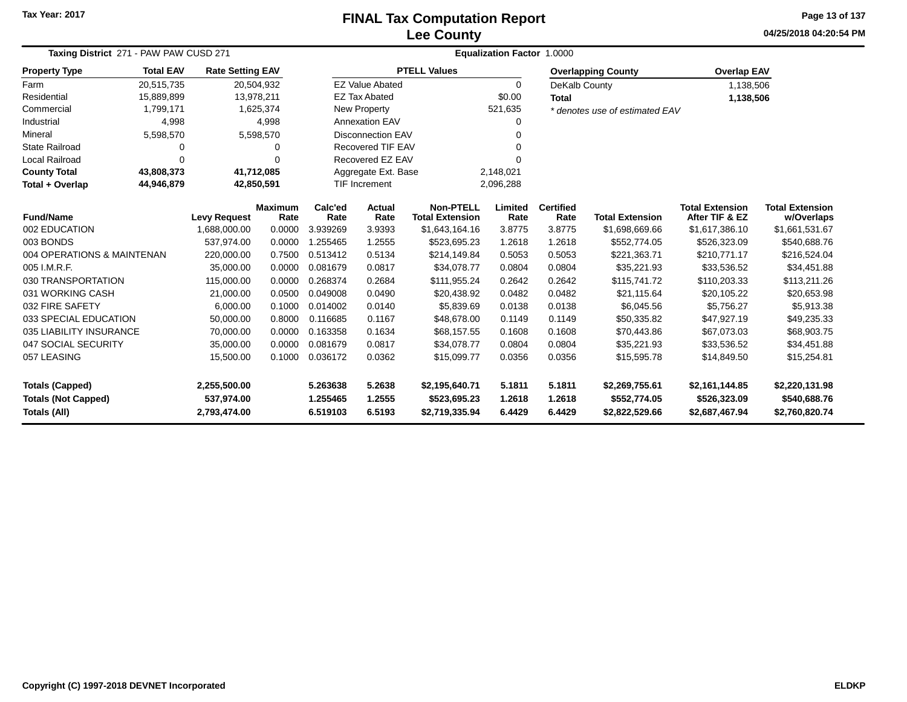### **Lee CountyFINAL Tax Computation Report**

**04/25/2018 04:20:54 PMPage 13 of 137**

|                                                                          | Taxing District 271 - PAW PAW CUSD 271 |                                     |                        |                  |                                |                                            |                  | Equalization Factor 1.0000     |                                |                                          |                                      |
|--------------------------------------------------------------------------|----------------------------------------|-------------------------------------|------------------------|------------------|--------------------------------|--------------------------------------------|------------------|--------------------------------|--------------------------------|------------------------------------------|--------------------------------------|
| <b>Property Type</b>                                                     | <b>Total EAV</b>                       | <b>Rate Setting EAV</b>             |                        |                  |                                | <b>PTELL Values</b>                        |                  |                                | <b>Overlapping County</b>      | <b>Overlap EAV</b>                       |                                      |
| Farm                                                                     | 20,515,735                             | 20,504,932                          |                        |                  | <b>EZ Value Abated</b>         |                                            | $\Omega$         | DeKalb County                  |                                | 1,138,506                                |                                      |
| Residential                                                              | 15,889,899                             | 13,978,211                          |                        |                  | <b>EZ Tax Abated</b>           |                                            | \$0.00           | <b>Total</b>                   |                                | 1,138,506                                |                                      |
| Commercial                                                               | 1,799,171                              |                                     | 1,625,374              |                  | New Property                   |                                            | 521,635          |                                | * denotes use of estimated EAV |                                          |                                      |
| Industrial                                                               | 4,998                                  |                                     | 4,998                  |                  | <b>Annexation EAV</b>          |                                            | 0                |                                |                                |                                          |                                      |
| Mineral                                                                  | 5,598,570                              |                                     | 5,598,570              |                  | Disconnection EAV              | 0                                          |                  |                                |                                |                                          |                                      |
| <b>State Railroad</b>                                                    | 0                                      |                                     | 0                      |                  | Recovered TIF EAV              |                                            | 0                |                                |                                |                                          |                                      |
| <b>Local Railroad</b>                                                    | $\Omega$                               |                                     | $\Omega$               |                  | Recovered EZ EAV               |                                            | O                |                                |                                |                                          |                                      |
| <b>County Total</b>                                                      | 43,808,373                             | 41,712,085                          |                        |                  | Aggregate Ext. Base            | 2,148,021                                  |                  |                                |                                |                                          |                                      |
| Total + Overlap                                                          | 44,946,879<br>42,850,591               |                                     |                        |                  |                                |                                            | 2,096,288        |                                |                                |                                          |                                      |
|                                                                          | <b>Fund/Name</b>                       |                                     | <b>Maximum</b><br>Rate | Calc'ed<br>Rate  | Actual<br>Rate                 | <b>Non-PTELL</b><br><b>Total Extension</b> | Limited<br>Rate  | <b>Certified</b><br>Rate       | <b>Total Extension</b>         | <b>Total Extension</b><br>After TIF & EZ | <b>Total Extension</b><br>w/Overlaps |
| 002 EDUCATION                                                            |                                        | <b>Levy Request</b><br>1.688.000.00 | 0.0000                 | 3.939269         | 3.9393                         | \$1,643,164.16                             | 3.8775           | 3.8775                         | \$1,698,669.66                 | \$1,617,386.10                           | \$1,661,531.67                       |
| 003 BONDS                                                                |                                        | 537,974.00                          | 0.0000                 | 1.255465         | 1.2555                         | \$523,695.23                               | 1.2618           | 1.2618                         | \$552,774.05                   | \$526,323.09                             | \$540,688.76                         |
| 004 OPERATIONS & MAINTENAN                                               |                                        | 220,000.00                          | 0.7500                 | 0.513412         | 0.5134                         | \$214,149.84                               | 0.5053           | 0.5053                         | \$221,363.71                   | \$210,771.17                             | \$216,524.04                         |
| 005 I.M.R.F.                                                             |                                        | 35,000.00                           | 0.0000                 | 0.081679         | 0.0817                         | \$34,078.77                                | 0.0804           | 0.0804                         | \$35,221.93                    | \$33,536.52                              | \$34,451.88                          |
| 030 TRANSPORTATION                                                       |                                        | 115,000.00                          | 0.0000                 | 0.268374         | 0.2684                         | \$111,955.24                               | 0.2642           | 0.2642                         | \$115,741.72                   | \$110,203.33                             | \$113,211.26                         |
| 031 WORKING CASH                                                         |                                        | 21,000.00                           | 0.0500                 | 0.049008         | 0.0490                         | \$20,438.92                                | 0.0482           | 0.0482                         | \$21,115.64                    | \$20,105.22                              | \$20,653.98                          |
| 032 FIRE SAFETY                                                          |                                        | 6,000.00                            | 0.1000                 | 0.014002         | 0.0140                         | \$5,839.69                                 | 0.0138           | 0.0138                         | \$6,045.56                     | \$5,756.27                               | \$5,913.38                           |
| 033 SPECIAL EDUCATION                                                    |                                        | 50,000.00                           | 0.8000                 | 0.116685         | 0.1167                         | \$48,678.00                                | 0.1149           | 0.1149                         | \$50,335.82                    | \$47,927.19                              | \$49,235.33                          |
| 035 LIABILITY INSURANCE                                                  |                                        | 70,000.00                           | 0.0000                 | 0.163358         | 0.1634                         | \$68,157.55                                | 0.1608           | 0.1608                         | \$70,443.86                    | \$67,073.03                              | \$68,903.75                          |
| 047 SOCIAL SECURITY                                                      |                                        | 35,000.00                           | 0.0000                 | 0.081679         | 0.0817                         | \$34,078.77                                | 0.0804           | 0.0804                         | \$35,221.93                    | \$33,536.52                              | \$34,451.88                          |
| 057 LEASING                                                              |                                        | 15,500.00                           | 0.1000                 | 0.036172         | 0.0362                         | \$15,099.77                                | 0.0356           | 0.0356                         | \$15,595.78                    | \$14,849.50                              | \$15,254.81                          |
| <b>Totals (Capped)</b><br>2,255,500.00                                   |                                        |                                     | 5.263638               | 5.2638           | \$2,195,640.71                 | 5.1811                                     | 5.1811           | \$2,269,755.61                 | \$2,161,144.85                 | \$2,220,131.98                           |                                      |
| <b>Totals (Not Capped)</b><br>537,974.00<br>Totals (All)<br>2,793,474.00 |                                        |                                     | 1.255465<br>6.519103   | 1.2555<br>6.5193 | \$523,695.23<br>\$2,719,335.94 | 1.2618<br>6.4429                           | 1.2618<br>6.4429 | \$552,774.05<br>\$2,822,529.66 | \$526,323.09<br>\$2,687,467.94 | \$540,688.76<br>\$2,760,820.74           |                                      |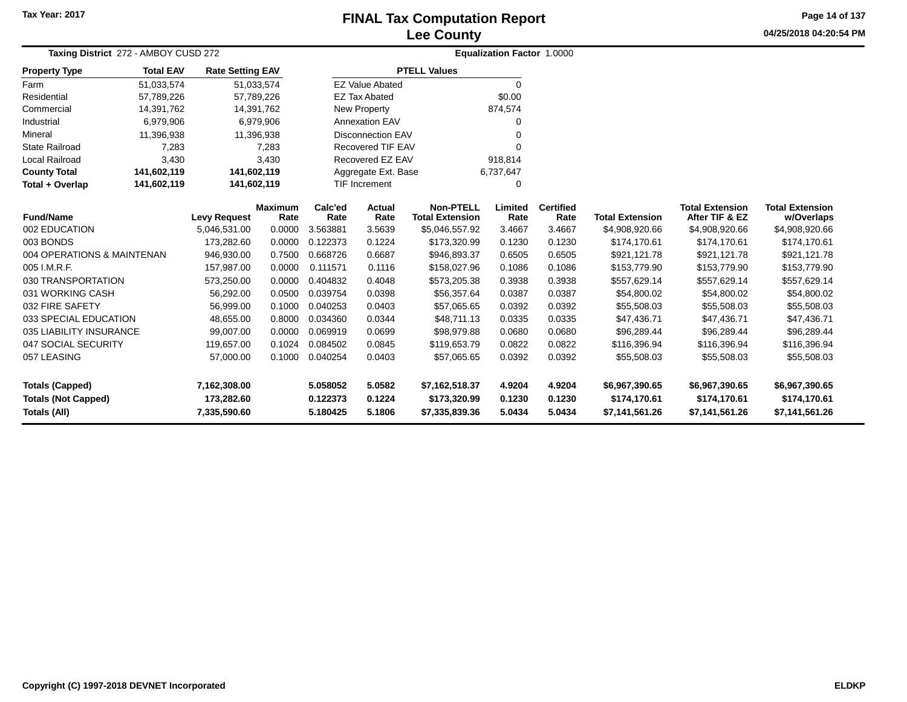# **Lee CountyFINAL Tax Computation Report**

**04/25/2018 04:20:54 PM Page 14 of 137**

| Taxing District 272 - AMBOY CUSD 272 |                  |                         |                 | <b>Equalization Factor 1.0000</b> |                          |                                            |                 |                          |                        |                                          |                                      |
|--------------------------------------|------------------|-------------------------|-----------------|-----------------------------------|--------------------------|--------------------------------------------|-----------------|--------------------------|------------------------|------------------------------------------|--------------------------------------|
| <b>Property Type</b>                 | <b>Total EAV</b> | <b>Rate Setting EAV</b> |                 |                                   |                          | <b>PTELL Values</b>                        |                 |                          |                        |                                          |                                      |
| Farm                                 | 51,033,574       | 51,033,574              |                 |                                   | <b>EZ Value Abated</b>   |                                            | 0               |                          |                        |                                          |                                      |
| Residential                          | 57,789,226       | 57,789,226              |                 |                                   | <b>EZ Tax Abated</b>     |                                            | \$0.00          |                          |                        |                                          |                                      |
| Commercial                           | 14,391,762       | 14,391,762              |                 |                                   | New Property             |                                            | 874,574         |                          |                        |                                          |                                      |
| Industrial                           | 6,979,906        | 6,979,906               |                 |                                   | <b>Annexation EAV</b>    |                                            | 0               |                          |                        |                                          |                                      |
| Mineral                              | 11,396,938       | 11,396,938              |                 |                                   | <b>Disconnection EAV</b> |                                            | 0               |                          |                        |                                          |                                      |
| <b>State Railroad</b>                | 7,283            |                         | 7,283           |                                   | <b>Recovered TIF EAV</b> |                                            | 0               |                          |                        |                                          |                                      |
| Local Railroad                       | 3,430            |                         | 3,430           |                                   | Recovered EZ EAV         |                                            | 918,814         |                          |                        |                                          |                                      |
| <b>County Total</b>                  | 141,602,119      | 141,602,119             |                 |                                   | Aggregate Ext. Base      |                                            | 6,737,647       |                          |                        |                                          |                                      |
| Total + Overlap                      | 141,602,119      | 141,602,119             |                 |                                   | <b>TIF Increment</b>     |                                            | 0               |                          |                        |                                          |                                      |
| <b>Fund/Name</b>                     |                  | <b>Levy Request</b>     | Maximum<br>Rate | Calc'ed<br>Rate                   | Actual<br>Rate           | <b>Non-PTELL</b><br><b>Total Extension</b> | Limited<br>Rate | <b>Certified</b><br>Rate | <b>Total Extension</b> | <b>Total Extension</b><br>After TIF & EZ | <b>Total Extension</b><br>w/Overlaps |
| 002 EDUCATION                        |                  | 5,046,531.00            | 0.0000          | 3.563881                          | 3.5639                   | \$5,046,557.92                             | 3.4667          | 3.4667                   | \$4,908,920.66         | \$4,908,920.66                           | \$4,908,920.66                       |
| 003 BONDS                            |                  | 173,282.60              | 0.0000          | 0.122373                          | 0.1224                   | \$173,320.99                               | 0.1230          | 0.1230                   | \$174,170.61           | \$174,170.61                             | \$174,170.61                         |
| 004 OPERATIONS & MAINTENAN           |                  | 946,930.00              | 0.7500          | 0.668726                          | 0.6687                   | \$946,893.37                               | 0.6505          | 0.6505                   | \$921,121.78           | \$921,121.78                             | \$921,121.78                         |
| 005 I.M.R.F.                         |                  | 157,987.00              | 0.0000          | 0.111571                          | 0.1116                   | \$158,027.96                               | 0.1086          | 0.1086                   | \$153,779.90           | \$153.779.90                             | \$153,779.90                         |
| 030 TRANSPORTATION                   |                  | 573,250.00              | 0.0000          | 0.404832                          | 0.4048                   | \$573,205.38                               | 0.3938          | 0.3938                   | \$557,629.14           | \$557,629.14                             | \$557,629.14                         |
| 031 WORKING CASH                     |                  | 56,292.00               | 0.0500          | 0.039754                          | 0.0398                   | \$56,357.64                                | 0.0387          | 0.0387                   | \$54,800.02            | \$54,800.02                              | \$54,800.02                          |
| 032 FIRE SAFETY                      |                  | 56,999.00               | 0.1000          | 0.040253                          | 0.0403                   | \$57,065.65                                | 0.0392          | 0.0392                   | \$55,508.03            | \$55,508.03                              | \$55,508.03                          |
| 033 SPECIAL EDUCATION                |                  | 48,655.00               | 0.8000          | 0.034360                          | 0.0344                   | \$48,711.13                                | 0.0335          | 0.0335                   | \$47,436.71            | \$47,436.71                              | \$47,436.71                          |
| 035 LIABILITY INSURANCE              |                  | 99,007.00               | 0.0000          | 0.069919                          | 0.0699                   | \$98,979.88                                | 0.0680          | 0.0680                   | \$96,289.44            | \$96,289.44                              | \$96,289.44                          |
| 047 SOCIAL SECURITY                  |                  | 119,657.00              | 0.1024          | 0.084502                          | 0.0845                   | \$119,653.79                               | 0.0822          | 0.0822                   | \$116,396.94           | \$116,396.94                             | \$116,396.94                         |
| 057 LEASING                          |                  | 57,000.00               | 0.1000          | 0.040254                          | 0.0403                   | \$57,065.65                                | 0.0392          | 0.0392                   | \$55,508.03            | \$55,508.03                              | \$55,508.03                          |
| <b>Totals (Capped)</b>               |                  | 7,162,308.00            |                 | 5.058052                          | 5.0582                   | \$7,162,518.37                             | 4.9204          | 4.9204                   | \$6,967,390.65         | \$6,967,390.65                           | \$6,967,390.65                       |
| <b>Totals (Not Capped)</b>           |                  | 173,282.60              |                 | 0.122373                          | 0.1224                   | \$173,320.99                               | 0.1230          | 0.1230                   | \$174,170.61           | \$174,170.61                             | \$174,170.61                         |
| Totals (All)                         |                  | 7,335,590.60            |                 | 5.180425                          | 5.1806                   | \$7,335,839.36                             | 5.0434          | 5.0434                   | \$7,141,561.26         | \$7,141,561.26                           | \$7,141,561.26                       |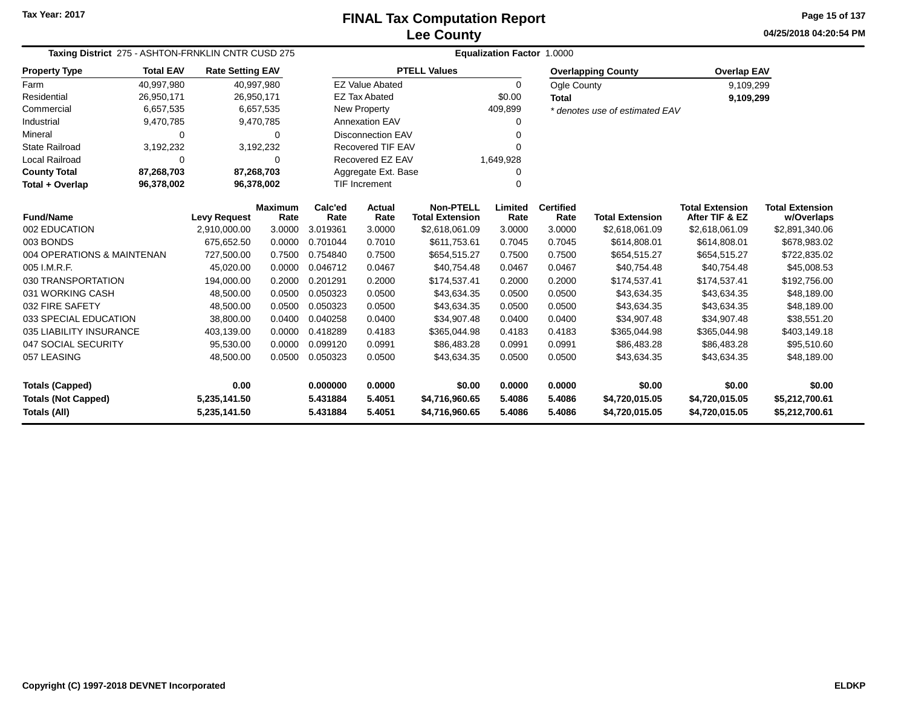**04/25/2018 04:20:54 PM Page 15 of 137**

| Taxing District 275 - ASHTON-FRNKLIN CNTR CUSD 275 |                                                       |                         |                        | <b>Equalization Factor 1.0000</b> |                               |                                            |                 |                          |                                |                                          |                                      |  |  |
|----------------------------------------------------|-------------------------------------------------------|-------------------------|------------------------|-----------------------------------|-------------------------------|--------------------------------------------|-----------------|--------------------------|--------------------------------|------------------------------------------|--------------------------------------|--|--|
| <b>Property Type</b>                               | <b>Total EAV</b>                                      | <b>Rate Setting EAV</b> |                        |                                   |                               | <b>PTELL Values</b>                        |                 |                          | <b>Overlapping County</b>      | <b>Overlap EAV</b>                       |                                      |  |  |
| Farm                                               | 40,997,980                                            |                         | 40,997,980             |                                   | <b>EZ Value Abated</b>        |                                            | 0               | Ogle County              |                                | 9,109,299                                |                                      |  |  |
| Residential                                        | 26,950,171                                            |                         | 26,950,171             |                                   | <b>EZ Tax Abated</b>          |                                            | \$0.00          | <b>Total</b>             |                                | 9,109,299                                |                                      |  |  |
| Commercial                                         | 6,657,535                                             |                         | 6,657,535              |                                   | New Property                  |                                            | 409,899         |                          | * denotes use of estimated EAV |                                          |                                      |  |  |
| Industrial                                         | 9,470,785                                             |                         | 9,470,785              |                                   | <b>Annexation EAV</b>         |                                            |                 |                          |                                |                                          |                                      |  |  |
| Mineral                                            | $\mathbf 0$                                           |                         | $\Omega$               |                                   | <b>Disconnection EAV</b>      |                                            |                 |                          |                                |                                          |                                      |  |  |
| <b>State Railroad</b>                              | 3,192,232                                             |                         | 3,192,232              |                                   | <b>Recovered TIF EAV</b>      |                                            |                 |                          |                                |                                          |                                      |  |  |
| Local Railroad                                     | 0                                                     |                         | $\Omega$               |                                   | Recovered EZ EAV<br>1,649,928 |                                            |                 |                          |                                |                                          |                                      |  |  |
| <b>County Total</b>                                | 87,268,703                                            |                         | 87,268,703             |                                   | Aggregate Ext. Base           |                                            |                 |                          |                                |                                          |                                      |  |  |
| Total + Overlap                                    | <b>TIF Increment</b><br>96,378,002<br>96,378,002<br>ი |                         |                        |                                   |                               |                                            |                 |                          |                                |                                          |                                      |  |  |
| <b>Fund/Name</b>                                   |                                                       | <b>Levy Request</b>     | <b>Maximum</b><br>Rate | Calc'ed<br>Rate                   | <b>Actual</b><br>Rate         | <b>Non-PTELL</b><br><b>Total Extension</b> | Limited<br>Rate | <b>Certified</b><br>Rate | <b>Total Extension</b>         | <b>Total Extension</b><br>After TIF & EZ | <b>Total Extension</b><br>w/Overlaps |  |  |
| 002 EDUCATION                                      |                                                       | 2,910,000.00            | 3.0000                 | 3.019361                          | 3.0000                        | \$2,618,061.09                             | 3.0000          | 3.0000                   | \$2,618,061.09                 | \$2,618,061.09                           | \$2,891,340.06                       |  |  |
| 003 BONDS                                          |                                                       | 675,652.50              | 0.0000                 | 0.701044                          | 0.7010                        | \$611,753.61                               | 0.7045          | 0.7045                   | \$614,808.01                   | \$614,808.01                             | \$678,983.02                         |  |  |
| 004 OPERATIONS & MAINTENAN                         |                                                       | 727,500.00              | 0.7500                 | 0.754840                          | 0.7500                        | \$654,515.27                               | 0.7500          | 0.7500                   | \$654,515.27                   | \$654,515.27                             | \$722,835.02                         |  |  |
| 005 I.M.R.F.                                       |                                                       | 45,020.00               | 0.0000                 | 0.046712                          | 0.0467                        | \$40,754.48                                | 0.0467          | 0.0467                   | \$40,754.48                    | \$40,754.48                              | \$45,008.53                          |  |  |
| 030 TRANSPORTATION                                 |                                                       | 194,000.00              | 0.2000                 | 0.201291                          | 0.2000                        | \$174,537.41                               | 0.2000          | 0.2000                   | \$174,537.41                   | \$174,537.41                             | \$192,756.00                         |  |  |
| 031 WORKING CASH                                   |                                                       | 48,500.00               | 0.0500                 | 0.050323                          | 0.0500                        | \$43,634.35                                | 0.0500          | 0.0500                   | \$43,634.35                    | \$43,634.35                              | \$48,189.00                          |  |  |
| 032 FIRE SAFETY                                    |                                                       | 48,500.00               | 0.0500                 | 0.050323                          | 0.0500                        | \$43,634.35                                | 0.0500          | 0.0500                   | \$43,634.35                    | \$43,634.35                              | \$48,189.00                          |  |  |
| 033 SPECIAL EDUCATION                              |                                                       | 38,800.00               | 0.0400                 | 0.040258                          | 0.0400                        | \$34,907.48                                | 0.0400          | 0.0400                   | \$34,907.48                    | \$34,907.48                              | \$38,551.20                          |  |  |
| 035 LIABILITY INSURANCE                            |                                                       | 403,139.00              | 0.0000                 | 0.418289                          | 0.4183                        | \$365,044.98                               | 0.4183          | 0.4183                   | \$365,044.98                   | \$365,044.98                             | \$403,149.18                         |  |  |
| 047 SOCIAL SECURITY                                |                                                       | 95,530.00               | 0.0000                 | 0.099120                          | 0.0991                        | \$86,483.28                                | 0.0991          | 0.0991                   | \$86,483.28                    | \$86,483.28                              | \$95,510.60                          |  |  |
| 057 LEASING                                        |                                                       | 48,500.00               | 0.0500                 | 0.050323                          | 0.0500                        | \$43,634.35                                | 0.0500          | 0.0500                   | \$43,634.35                    | \$43,634.35                              | \$48,189.00                          |  |  |
| <b>Totals (Capped)</b>                             |                                                       | 0.00                    |                        | 0.000000                          | 0.0000                        | \$0.00                                     | 0.0000          | 0.0000                   | \$0.00                         | \$0.00                                   | \$0.00                               |  |  |
| <b>Totals (Not Capped)</b>                         |                                                       | 5,235,141.50            |                        | 5.431884                          | 5.4051                        | \$4,716,960.65                             | 5.4086          | 5.4086                   | \$4,720,015.05                 | \$4,720,015.05                           | \$5,212,700.61                       |  |  |
| Totals (All)                                       |                                                       | 5,235,141.50            |                        | 5.431884                          | 5.4051                        | \$4,716,960.65                             | 5.4086          | 5.4086                   | \$4,720,015.05                 | \$4,720,015.05                           | \$5,212,700.61                       |  |  |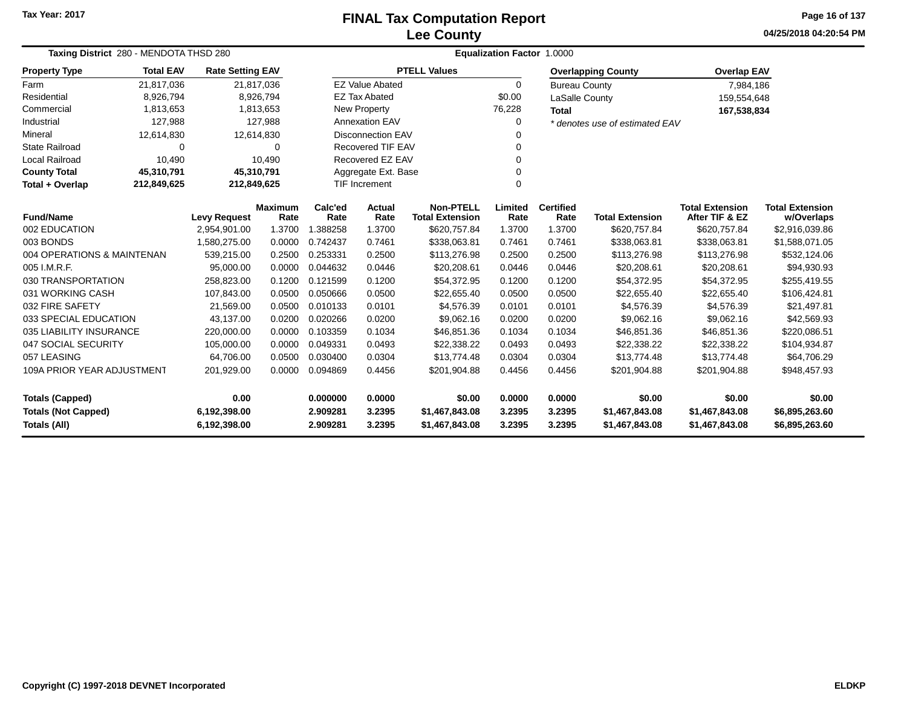### **Lee CountyFINAL Tax Computation Report**

**04/25/2018 04:20:54 PMPage 16 of 137**

| Taxing District 280 - MENDOTA THSD 280                                     |                     |                         |                        | <b>Equalization Factor 1.0000</b> |                          |                                            |                  |                          |                                  |                                          |                                      |  |  |
|----------------------------------------------------------------------------|---------------------|-------------------------|------------------------|-----------------------------------|--------------------------|--------------------------------------------|------------------|--------------------------|----------------------------------|------------------------------------------|--------------------------------------|--|--|
| <b>Property Type</b>                                                       | <b>Total EAV</b>    | <b>Rate Setting EAV</b> |                        |                                   |                          | <b>PTELL Values</b>                        |                  |                          | <b>Overlapping County</b>        | <b>Overlap EAV</b>                       |                                      |  |  |
| Farm                                                                       | 21,817,036          |                         | 21,817,036             |                                   | <b>EZ Value Abated</b>   |                                            | $\Omega$         | <b>Bureau County</b>     |                                  | 7,984,186                                |                                      |  |  |
| Residential                                                                | 8,926,794           |                         | 8,926,794              |                                   | <b>EZ Tax Abated</b>     |                                            | \$0.00           | LaSalle County           |                                  | 159,554,648                              |                                      |  |  |
| Commercial                                                                 | 1,813,653           |                         | 1,813,653              |                                   | New Property             |                                            | 76,228           | <b>Total</b>             |                                  | 167,538,834                              |                                      |  |  |
| Industrial                                                                 | 127,988             |                         | 127,988                |                                   | <b>Annexation EAV</b>    |                                            | 0                |                          | * denotes use of estimated EAV   |                                          |                                      |  |  |
| Mineral                                                                    | 12,614,830          |                         | 12,614,830             |                                   | <b>Disconnection EAV</b> |                                            |                  |                          |                                  |                                          |                                      |  |  |
| <b>State Railroad</b>                                                      | $\Omega$            |                         | 0                      |                                   | <b>Recovered TIF EAV</b> |                                            | 0                |                          |                                  |                                          |                                      |  |  |
| Local Railroad                                                             | 10,490              |                         | 10,490                 |                                   | Recovered EZ EAV         |                                            |                  |                          |                                  |                                          |                                      |  |  |
| <b>County Total</b>                                                        | 45,310,791          | 45,310,791              |                        |                                   | Aggregate Ext. Base      |                                            |                  |                          |                                  |                                          |                                      |  |  |
| Total + Overlap                                                            | 212,849,625         | 212,849,625             |                        |                                   | <b>TIF Increment</b>     |                                            | $\Omega$         |                          |                                  |                                          |                                      |  |  |
| <b>Fund/Name</b>                                                           | <b>Levy Request</b> |                         | <b>Maximum</b><br>Rate | Calc'ed<br>Rate                   | Actual<br>Rate           | <b>Non-PTELL</b><br><b>Total Extension</b> | Limited<br>Rate  | <b>Certified</b><br>Rate | <b>Total Extension</b>           | <b>Total Extension</b><br>After TIF & EZ | <b>Total Extension</b><br>w/Overlaps |  |  |
| 002 EDUCATION                                                              |                     | 2,954,901.00            | 1.3700                 | 1.388258                          | 1.3700                   | \$620,757.84                               | 1.3700           | 1.3700                   | \$620,757.84                     | \$620,757.84                             | \$2,916,039.86                       |  |  |
| 003 BONDS                                                                  |                     | 1,580,275.00            | 0.0000                 | 0.742437                          | 0.7461                   | \$338,063.81                               | 0.7461           | 0.7461                   | \$338,063.81                     | \$338,063.81                             | \$1,588,071.05                       |  |  |
| 004 OPERATIONS & MAINTENAN                                                 |                     | 539,215.00              | 0.2500                 | 0.253331                          | 0.2500                   | \$113,276.98                               | 0.2500           | 0.2500                   | \$113,276.98                     | \$113,276.98                             | \$532,124.06                         |  |  |
| 005 I.M.R.F.                                                               |                     | 95,000.00               | 0.0000                 | 0.044632                          | 0.0446                   | \$20,208.61                                | 0.0446           | 0.0446                   | \$20,208.61                      | \$20,208.61                              | \$94,930.93                          |  |  |
| 030 TRANSPORTATION                                                         |                     | 258,823.00              | 0.1200                 | 0.121599                          | 0.1200                   | \$54,372.95                                | 0.1200           | 0.1200                   | \$54,372.95                      | \$54,372.95                              | \$255,419.55                         |  |  |
| 031 WORKING CASH                                                           |                     | 107,843.00              | 0.0500                 | 0.050666                          | 0.0500                   | \$22,655.40                                | 0.0500           | 0.0500                   | \$22,655.40                      | \$22,655.40                              | \$106,424.81                         |  |  |
| 032 FIRE SAFETY                                                            |                     | 21,569.00               | 0.0500                 | 0.010133                          | 0.0101                   | \$4,576.39                                 | 0.0101           | 0.0101                   | \$4,576.39                       | \$4,576.39                               | \$21,497.81                          |  |  |
| 033 SPECIAL EDUCATION                                                      |                     | 43,137.00               | 0.0200                 | 0.020266                          | 0.0200                   | \$9,062.16                                 | 0.0200           | 0.0200                   | \$9,062.16                       | \$9,062.16                               | \$42,569.93                          |  |  |
| 035 LIABILITY INSURANCE                                                    |                     | 220,000.00              | 0.0000                 | 0.103359                          | 0.1034                   | \$46,851.36                                | 0.1034           | 0.1034                   | \$46,851.36                      | \$46,851.36                              | \$220,086.51                         |  |  |
| 047 SOCIAL SECURITY                                                        |                     | 105,000.00              | 0.0000                 | 0.049331                          | 0.0493                   | \$22,338.22                                | 0.0493           | 0.0493                   | \$22,338.22                      | \$22,338.22                              | \$104,934.87                         |  |  |
| 057 LEASING                                                                |                     | 64,706.00               | 0.0500                 | 0.030400                          | 0.0304                   | \$13,774.48                                | 0.0304           | 0.0304                   | \$13,774.48                      | \$13,774.48                              | \$64,706.29                          |  |  |
| 109A PRIOR YEAR ADJUSTMENT<br>201,929.00                                   |                     |                         | 0.0000                 | 0.094869                          | 0.4456                   | \$201,904.88                               | 0.4456           | 0.4456                   | \$201,904.88                     | \$201,904.88                             | \$948,457.93                         |  |  |
| 0.00<br><b>Totals (Capped)</b>                                             |                     |                         |                        | 0.000000                          | 0.0000                   | \$0.00                                     | 0.0000           | 0.0000                   | \$0.00                           | \$0.00                                   | \$0.00                               |  |  |
| <b>Totals (Not Capped)</b><br>6,192,398.00<br>Totals (All)<br>6,192,398.00 |                     |                         |                        | 2.909281<br>2.909281              | 3.2395<br>3.2395         | \$1,467,843.08<br>\$1,467,843.08           | 3.2395<br>3.2395 | 3.2395<br>3.2395         | \$1,467,843.08<br>\$1,467,843.08 | \$1,467,843.08<br>\$1,467,843.08         | \$6,895,263.60<br>\$6,895,263.60     |  |  |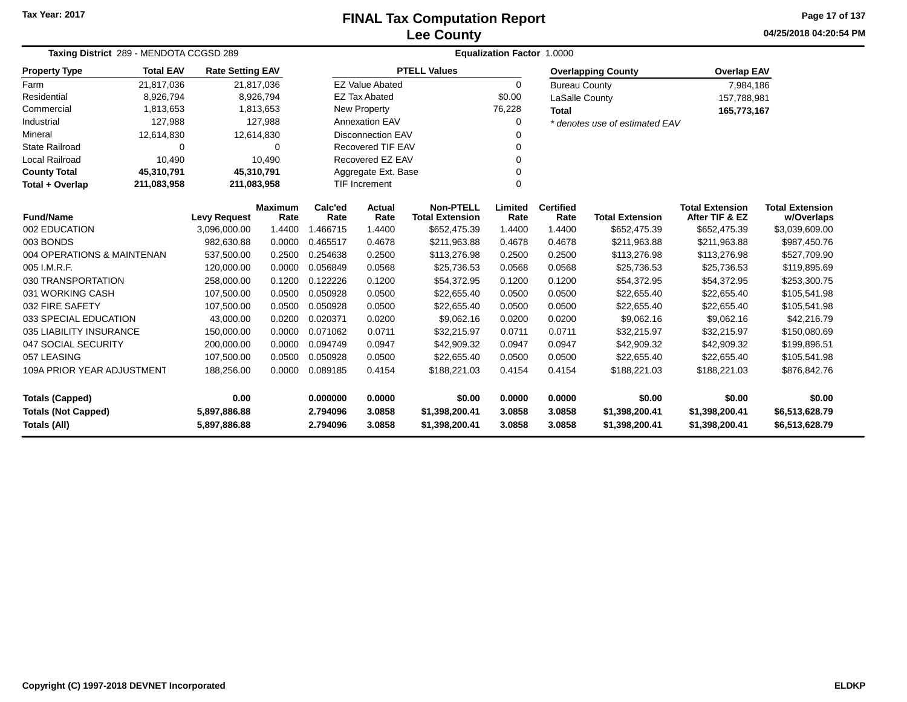### **Lee CountyFINAL Tax Computation Report**

**04/25/2018 04:20:54 PMPage 17 of 137**

| Taxing District 289 - MENDOTA CCGSD 289                                           | Equalization Factor 1.0000 |                         |                        |                      |                          |                                            |                  |                          |                                  |                                          |                                      |
|-----------------------------------------------------------------------------------|----------------------------|-------------------------|------------------------|----------------------|--------------------------|--------------------------------------------|------------------|--------------------------|----------------------------------|------------------------------------------|--------------------------------------|
| <b>Property Type</b>                                                              | <b>Total EAV</b>           | <b>Rate Setting EAV</b> |                        |                      |                          | <b>PTELL Values</b>                        |                  |                          | <b>Overlapping County</b>        | <b>Overlap EAV</b>                       |                                      |
| Farm                                                                              | 21,817,036                 |                         | 21,817,036             |                      | <b>EZ Value Abated</b>   |                                            | $\Omega$         | <b>Bureau County</b>     |                                  | 7,984,186                                |                                      |
| Residential                                                                       | 8,926,794                  |                         | 8,926,794              |                      | <b>EZ Tax Abated</b>     |                                            | \$0.00           | LaSalle County           |                                  | 157,788,981                              |                                      |
| Commercial                                                                        | 1,813,653                  |                         | 1,813,653              |                      | New Property             |                                            | 76,228           | <b>Total</b>             |                                  | 165,773,167                              |                                      |
| Industrial                                                                        | 127,988                    |                         | 127,988                |                      | <b>Annexation EAV</b>    |                                            | 0                |                          | * denotes use of estimated EAV   |                                          |                                      |
| Mineral                                                                           | 12,614,830                 |                         | 12,614,830             |                      | <b>Disconnection EAV</b> |                                            |                  |                          |                                  |                                          |                                      |
| <b>State Railroad</b>                                                             | $\Omega$                   |                         | $\Omega$               |                      | Recovered TIF EAV        |                                            | 0                |                          |                                  |                                          |                                      |
| <b>Local Railroad</b>                                                             | 10,490                     |                         | 10,490                 |                      | Recovered EZ EAV         |                                            | 0                |                          |                                  |                                          |                                      |
| <b>County Total</b>                                                               | 45,310,791                 | 45,310,791              |                        |                      | Aggregate Ext. Base      |                                            | 0                |                          |                                  |                                          |                                      |
| Total + Overlap                                                                   | 211,083,958                | 211,083,958             |                        |                      | <b>TIF Increment</b>     |                                            | $\Omega$         |                          |                                  |                                          |                                      |
| <b>Fund/Name</b>                                                                  |                            | <b>Levy Request</b>     | <b>Maximum</b><br>Rate | Calc'ed<br>Rate      | Actual<br>Rate           | <b>Non-PTELL</b><br><b>Total Extension</b> | Limited<br>Rate  | <b>Certified</b><br>Rate | <b>Total Extension</b>           | <b>Total Extension</b><br>After TIF & EZ | <b>Total Extension</b><br>w/Overlaps |
| 002 EDUCATION                                                                     |                            | 3,096,000.00            | 1.4400                 | 1.466715             | 1.4400                   | \$652,475.39                               | 1.4400           | 1.4400                   | \$652,475.39                     | \$652,475.39                             | \$3,039,609.00                       |
| 003 BONDS                                                                         |                            | 982,630.88              | 0.0000                 | 0.465517             | 0.4678                   | \$211,963.88                               | 0.4678           | 0.4678                   | \$211,963.88                     | \$211,963.88                             | \$987,450.76                         |
| 004 OPERATIONS & MAINTENAN                                                        |                            | 537,500.00              | 0.2500                 | 0.254638             | 0.2500                   | \$113,276.98                               | 0.2500           | 0.2500                   | \$113,276.98                     | \$113,276.98                             | \$527,709.90                         |
| 005 I.M.R.F.                                                                      |                            | 120,000.00              | 0.0000                 | 0.056849             | 0.0568                   | \$25,736.53                                | 0.0568           | 0.0568                   | \$25,736.53                      | \$25,736.53                              | \$119,895.69                         |
| 030 TRANSPORTATION                                                                |                            | 258,000.00              | 0.1200                 | 0.122226             | 0.1200                   | \$54,372.95                                | 0.1200           | 0.1200                   | \$54,372.95                      | \$54,372.95                              | \$253,300.75                         |
| 031 WORKING CASH                                                                  |                            | 107,500.00              | 0.0500                 | 0.050928             | 0.0500                   | \$22,655.40                                | 0.0500           | 0.0500                   | \$22,655.40                      | \$22,655.40                              | \$105,541.98                         |
| 032 FIRE SAFETY                                                                   |                            | 107.500.00              | 0.0500                 | 0.050928             | 0.0500                   | \$22,655.40                                | 0.0500           | 0.0500                   | \$22,655.40                      | \$22,655.40                              | \$105,541.98                         |
| 033 SPECIAL EDUCATION                                                             |                            | 43,000.00               | 0.0200                 | 0.020371             | 0.0200                   | \$9,062.16                                 | 0.0200           | 0.0200                   | \$9,062.16                       | \$9,062.16                               | \$42,216.79                          |
| 035 LIABILITY INSURANCE                                                           |                            | 150,000.00              | 0.0000                 | 0.071062             | 0.0711                   | \$32,215.97                                | 0.0711           | 0.0711                   | \$32,215.97                      | \$32,215.97                              | \$150,080.69                         |
| 047 SOCIAL SECURITY                                                               |                            | 200,000.00              | 0.0000                 | 0.094749             | 0.0947                   | \$42,909.32                                | 0.0947           | 0.0947                   | \$42,909.32                      | \$42,909.32                              | \$199,896.51                         |
| 057 LEASING                                                                       |                            | 107,500.00              | 0.0500                 | 0.050928             | 0.0500                   | \$22,655.40                                | 0.0500           | 0.0500                   | \$22,655.40                      | \$22,655.40                              | \$105,541.98                         |
| 109A PRIOR YEAR ADJUSTMENT<br>188,256.00                                          |                            |                         | 0.0000                 | 0.089185             | 0.4154                   | \$188,221.03                               | 0.4154           | 0.4154                   | \$188,221.03                     | \$188,221.03                             | \$876,842.76                         |
| 0.00<br><b>Totals (Capped)</b>                                                    |                            |                         |                        | 0.000000             | 0.0000                   | \$0.00                                     | 0.0000           | 0.0000                   | \$0.00                           | \$0.00                                   | \$0.00                               |
| <b>Totals (Not Capped)</b><br>5,897,886.88<br><b>Totals (All)</b><br>5,897,886.88 |                            |                         |                        | 2.794096<br>2.794096 | 3.0858<br>3.0858         | \$1,398,200.41<br>\$1,398,200.41           | 3.0858<br>3.0858 | 3.0858<br>3.0858         | \$1,398,200.41<br>\$1,398,200.41 | \$1,398,200.41<br>\$1,398,200.41         | \$6,513,628.79<br>\$6,513,628.79     |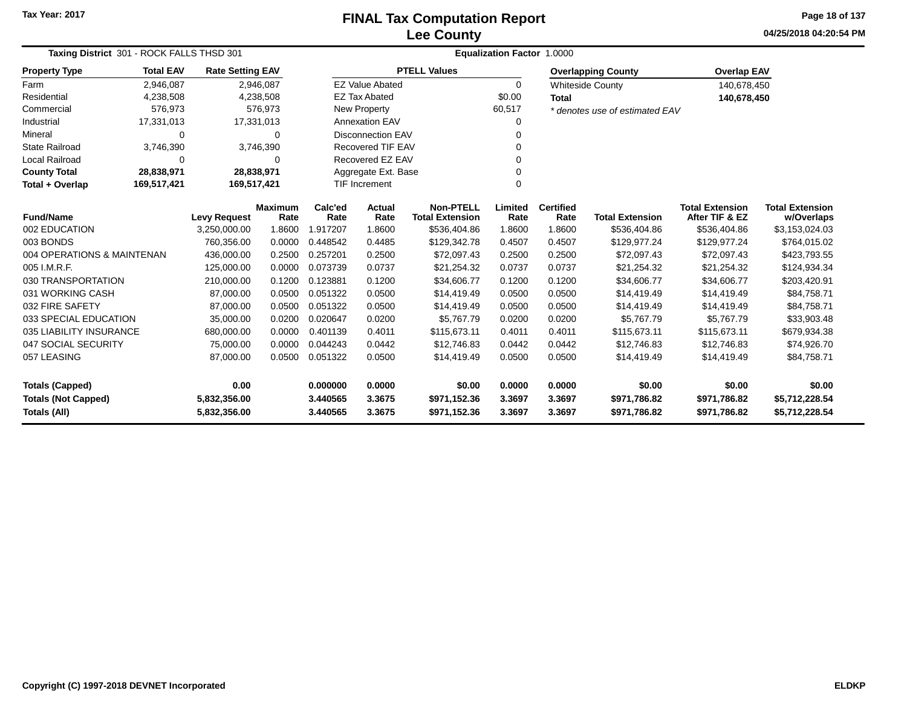### **Lee CountyFINAL Tax Computation Report**

**04/25/2018 04:20:54 PMPage 18 of 137**

| Taxing District 301 - ROCK FALLS THSD 301 |                                                           |                         |           | Equalization Factor 1.0000 |                                  |                        |          |                  |                                |                        |                        |  |  |  |
|-------------------------------------------|-----------------------------------------------------------|-------------------------|-----------|----------------------------|----------------------------------|------------------------|----------|------------------|--------------------------------|------------------------|------------------------|--|--|--|
| <b>Property Type</b>                      | <b>Total EAV</b>                                          | <b>Rate Setting EAV</b> |           |                            |                                  | <b>PTELL Values</b>    |          |                  | <b>Overlapping County</b>      | <b>Overlap EAV</b>     |                        |  |  |  |
| Farm                                      | 2,946,087                                                 |                         | 2,946,087 |                            | <b>EZ Value Abated</b>           |                        | $\Omega$ |                  | <b>Whiteside County</b>        | 140,678,450            |                        |  |  |  |
| Residential                               | 4,238,508                                                 |                         | 4,238,508 |                            | <b>EZ Tax Abated</b>             |                        | \$0.00   | <b>Total</b>     |                                | 140,678,450            |                        |  |  |  |
| Commercial                                | 576,973                                                   |                         | 576,973   |                            | <b>New Property</b>              |                        | 60,517   |                  | * denotes use of estimated EAV |                        |                        |  |  |  |
| Industrial                                | 17,331,013                                                | 17,331,013              |           |                            | Annexation EAV                   |                        | 0        |                  |                                |                        |                        |  |  |  |
| Mineral                                   | 0<br>$\Omega$                                             |                         |           |                            | <b>Disconnection EAV</b>         |                        | 0        |                  |                                |                        |                        |  |  |  |
| <b>State Railroad</b>                     | 3,746,390                                                 |                         | 3,746,390 |                            | <b>Recovered TIF EAV</b>         |                        |          |                  |                                |                        |                        |  |  |  |
| <b>Local Railroad</b>                     | 0                                                         |                         | $\Omega$  |                            | Recovered EZ EAV<br>0            |                        |          |                  |                                |                        |                        |  |  |  |
| <b>County Total</b>                       | 28,838,971                                                | 28,838,971              |           |                            | Aggregate Ext. Base              |                        |          |                  |                                |                        |                        |  |  |  |
| Total + Overlap                           | 169,517,421                                               | 169,517,421             |           |                            | <b>TIF Increment</b><br>$\Omega$ |                        |          |                  |                                |                        |                        |  |  |  |
|                                           | <b>Maximum</b><br><b>Fund/Name</b><br><b>Levy Request</b> |                         |           |                            | Actual                           | <b>Non-PTELL</b>       | Limited  | <b>Certified</b> |                                | <b>Total Extension</b> | <b>Total Extension</b> |  |  |  |
|                                           |                                                           |                         | Rate      | Rate                       | Rate                             | <b>Total Extension</b> | Rate     | Rate             | <b>Total Extension</b>         | After TIF & EZ         | w/Overlaps             |  |  |  |
| 002 EDUCATION                             |                                                           | 3,250,000.00            | 1.8600    | 1.917207                   | 1.8600                           | \$536,404.86           | 1.8600   | 1.8600           | \$536,404.86                   | \$536,404.86           | \$3,153,024.03         |  |  |  |
| 003 BONDS                                 |                                                           | 760.356.00              | 0.0000    | 0.448542                   | 0.4485                           | \$129,342.78           | 0.4507   | 0.4507           | \$129,977.24                   | \$129,977.24           | \$764,015.02           |  |  |  |
| 004 OPERATIONS & MAINTENAN                |                                                           | 436.000.00              | 0.2500    | 0.257201                   | 0.2500                           | \$72,097.43            | 0.2500   | 0.2500           | \$72,097.43                    | \$72,097.43            | \$423,793.55           |  |  |  |
| 005 I.M.R.F.                              |                                                           | 125,000.00              | 0.0000    | 0.073739                   | 0.0737                           | \$21,254.32            | 0.0737   | 0.0737           | \$21,254.32                    | \$21,254.32            | \$124,934.34           |  |  |  |
| 030 TRANSPORTATION                        |                                                           | 210,000.00              | 0.1200    | 0.123881                   | 0.1200                           | \$34,606.77            | 0.1200   | 0.1200           | \$34,606.77                    | \$34,606.77            | \$203,420.91           |  |  |  |
| 031 WORKING CASH                          |                                                           | 87,000.00               | 0.0500    | 0.051322                   | 0.0500                           | \$14,419.49            | 0.0500   | 0.0500           | \$14,419.49                    | \$14,419.49            | \$84,758.71            |  |  |  |
| 032 FIRE SAFETY                           |                                                           | 87,000.00               | 0.0500    | 0.051322                   | 0.0500                           | \$14,419.49            | 0.0500   | 0.0500           | \$14,419.49                    | \$14,419.49            | \$84,758.71            |  |  |  |
| 033 SPECIAL EDUCATION                     |                                                           | 35,000.00               | 0.0200    | 0.020647                   | 0.0200                           | \$5,767.79             | 0.0200   | 0.0200           | \$5,767.79                     | \$5,767.79             | \$33,903.48            |  |  |  |
| 035 LIABILITY INSURANCE                   |                                                           | 680,000.00              | 0.0000    | 0.401139                   | 0.4011                           | \$115,673.11           | 0.4011   | 0.4011           | \$115,673.11                   | \$115,673.11           | \$679,934.38           |  |  |  |
| 047 SOCIAL SECURITY                       |                                                           | 75,000.00               | 0.0000    | 0.044243                   | 0.0442                           | \$12,746.83            | 0.0442   | 0.0442           | \$12,746.83                    | \$12,746.83            | \$74,926.70            |  |  |  |
| 057 LEASING                               |                                                           | 87,000.00               | 0.0500    | 0.051322                   | 0.0500                           | \$14,419.49            | 0.0500   | 0.0500           | \$14,419.49                    | \$14,419.49            | \$84,758.71            |  |  |  |
| <b>Totals (Capped)</b>                    |                                                           | 0.00                    |           | 0.000000                   | 0.0000                           | \$0.00                 | 0.0000   | 0.0000           | \$0.00                         | \$0.00                 | \$0.00                 |  |  |  |
| <b>Totals (Not Capped)</b>                |                                                           | 5,832,356.00            |           | 3.440565                   | 3.3675                           | \$971,152.36           | 3.3697   | 3.3697           | \$971,786.82                   | \$971,786.82           | \$5,712,228.54         |  |  |  |
| Totals (All)                              |                                                           | 5,832,356.00            |           | 3.440565                   | 3.3675                           | \$971,152.36           | 3.3697   | 3.3697           | \$971,786.82                   | \$971,786.82           | \$5,712,228.54         |  |  |  |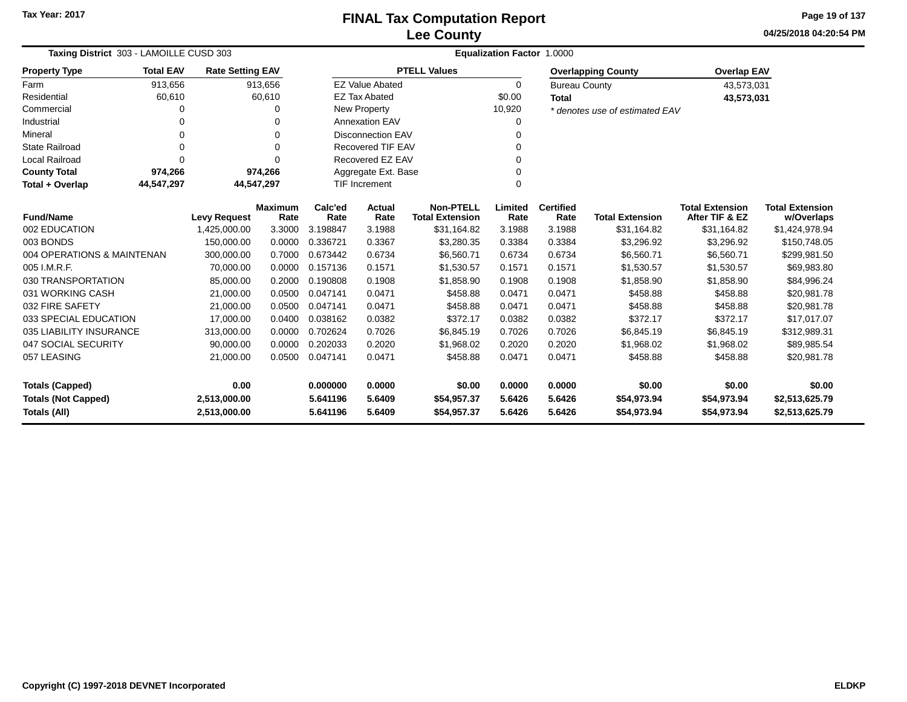**04/25/2018 04:20:54 PMPage 19 of 137**

| Taxing District 303 - LAMOILLE CUSD 303 |                  |                         |                        |                 | <b>Equalization Factor 1.0000</b> |                                            |                 |                          |                                |                                          |                                      |  |
|-----------------------------------------|------------------|-------------------------|------------------------|-----------------|-----------------------------------|--------------------------------------------|-----------------|--------------------------|--------------------------------|------------------------------------------|--------------------------------------|--|
| <b>Property Type</b>                    | <b>Total EAV</b> | <b>Rate Setting EAV</b> |                        |                 |                                   | <b>PTELL Values</b>                        |                 |                          | <b>Overlapping County</b>      | <b>Overlap EAV</b>                       |                                      |  |
| Farm                                    | 913,656          |                         | 913,656                |                 | <b>EZ Value Abated</b>            |                                            | 0               | <b>Bureau County</b>     |                                | 43,573,031                               |                                      |  |
| Residential                             | 60,610           |                         | 60,610                 |                 | <b>EZ Tax Abated</b>              |                                            | \$0.00          | <b>Total</b>             |                                | 43,573,031                               |                                      |  |
| Commercial                              | 0                |                         | O                      |                 | <b>New Property</b>               |                                            | 10,920          |                          | * denotes use of estimated EAV |                                          |                                      |  |
| Industrial                              | 0                |                         |                        |                 | <b>Annexation EAV</b>             |                                            | 0               |                          |                                |                                          |                                      |  |
| Mineral                                 | $\Omega$         |                         | $\Omega$               |                 | <b>Disconnection EAV</b>          |                                            | 0               |                          |                                |                                          |                                      |  |
| <b>State Railroad</b>                   | 0                |                         | 0                      |                 | <b>Recovered TIF EAV</b>          |                                            | $\mathbf 0$     |                          |                                |                                          |                                      |  |
| <b>Local Railroad</b>                   | $\Omega$         |                         | $\Omega$               |                 | Recovered EZ EAV                  |                                            | 0               |                          |                                |                                          |                                      |  |
| <b>County Total</b>                     | 974,266          |                         | 974,266                |                 | Aggregate Ext. Base               |                                            | 0               |                          |                                |                                          |                                      |  |
| Total + Overlap                         | 44,547,297       | 44,547,297              |                        |                 | 0<br><b>TIF Increment</b>         |                                            |                 |                          |                                |                                          |                                      |  |
| <b>Fund/Name</b>                        |                  | <b>Levy Request</b>     | <b>Maximum</b><br>Rate | Calc'ed<br>Rate | Actual<br>Rate                    | <b>Non-PTELL</b><br><b>Total Extension</b> | Limited<br>Rate | <b>Certified</b><br>Rate | <b>Total Extension</b>         | <b>Total Extension</b><br>After TIF & EZ | <b>Total Extension</b><br>w/Overlaps |  |
| 002 EDUCATION                           |                  | 1,425,000.00            | 3.3000                 | 3.198847        | 3.1988                            | \$31,164.82                                | 3.1988          | 3.1988                   | \$31,164.82                    | \$31,164.82                              | \$1,424,978.94                       |  |
| 003 BONDS                               |                  | 150,000.00              | 0.0000                 | 0.336721        | 0.3367                            | \$3,280.35                                 | 0.3384          | 0.3384                   | \$3,296.92                     | \$3,296.92                               | \$150,748.05                         |  |
| 004 OPERATIONS & MAINTENAN              |                  | 300,000.00              | 0.7000                 | 0.673442        | 0.6734                            | \$6,560.71                                 | 0.6734          | 0.6734                   | \$6,560.71                     | \$6,560.71                               | \$299,981.50                         |  |
| 005 I.M.R.F.                            |                  | 70,000.00               | 0.0000                 | 0.157136        | 0.1571                            | \$1,530.57                                 | 0.1571          | 0.1571                   | \$1,530.57                     | \$1,530.57                               | \$69,983.80                          |  |
| 030 TRANSPORTATION                      |                  | 85,000.00               | 0.2000                 | 0.190808        | 0.1908                            | \$1,858.90                                 | 0.1908          | 0.1908                   | \$1,858.90                     | \$1,858.90                               | \$84,996.24                          |  |
| 031 WORKING CASH                        |                  | 21,000.00               | 0.0500                 | 0.047141        | 0.0471                            | \$458.88                                   | 0.0471          | 0.0471                   | \$458.88                       | \$458.88                                 | \$20,981.78                          |  |
| 032 FIRE SAFETY                         |                  | 21,000.00               | 0.0500                 | 0.047141        | 0.0471                            | \$458.88                                   | 0.0471          | 0.0471                   | \$458.88                       | \$458.88                                 | \$20,981.78                          |  |
| 033 SPECIAL EDUCATION                   |                  | 17,000.00               | 0.0400                 | 0.038162        | 0.0382                            | \$372.17                                   | 0.0382          | 0.0382                   | \$372.17                       | \$372.17                                 | \$17.017.07                          |  |
| 035 LIABILITY INSURANCE                 |                  | 313,000.00              | 0.0000                 | 0.702624        | 0.7026                            | \$6,845.19                                 | 0.7026          | 0.7026                   | \$6,845.19                     | \$6,845.19                               | \$312,989.31                         |  |
| 047 SOCIAL SECURITY                     |                  | 90,000.00               | 0.0000                 | 0.202033        | 0.2020                            | \$1,968.02                                 | 0.2020          | 0.2020                   | \$1,968.02                     | \$1,968.02                               | \$89,985.54                          |  |
| 057 LEASING                             |                  | 21,000.00               | 0.0500                 | 0.047141        | 0.0471                            | \$458.88                                   | 0.0471          | 0.0471                   | \$458.88                       | \$458.88                                 | \$20,981.78                          |  |
| 0.00<br><b>Totals (Capped)</b>          |                  |                         |                        | 0.000000        | 0.0000                            | \$0.00                                     | 0.0000          | 0.0000                   | \$0.00                         | \$0.00                                   | \$0.00                               |  |
| <b>Totals (Not Capped)</b>              |                  | 2,513,000.00            |                        | 5.641196        | 5.6409                            | \$54,957.37                                | 5.6426          | 5.6426                   | \$54,973.94                    | \$54,973.94                              | \$2,513,625.79                       |  |
| Totals (All)                            | 2,513,000.00     |                         | 5.641196               | 5.6409          | \$54,957.37                       | 5.6426                                     | 5.6426          | \$54,973.94              | \$54,973.94                    | \$2,513,625.79                           |                                      |  |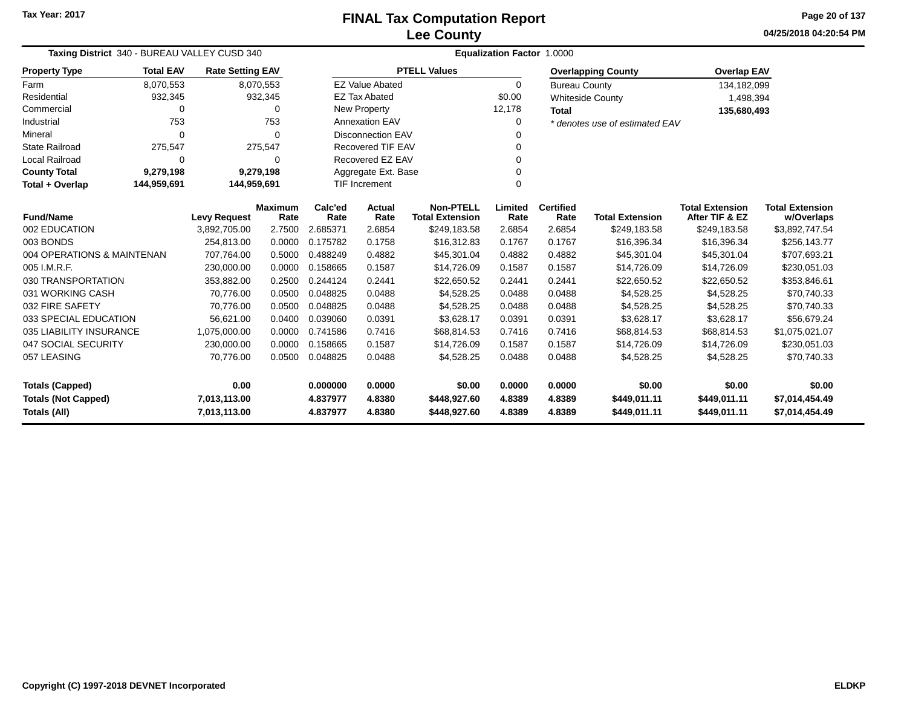**04/25/2018 04:20:54 PMPage 20 of 137**

| Taxing District 340 - BUREAU VALLEY CUSD 340 |                            |                            |                | Equalization Factor 1.0000 |                          |                        |                  |                      |                                |                        |                        |  |
|----------------------------------------------|----------------------------|----------------------------|----------------|----------------------------|--------------------------|------------------------|------------------|----------------------|--------------------------------|------------------------|------------------------|--|
| <b>Property Type</b>                         | <b>Total EAV</b>           | <b>Rate Setting EAV</b>    |                |                            |                          | <b>PTELL Values</b>    |                  |                      | <b>Overlapping County</b>      | <b>Overlap EAV</b>     |                        |  |
| Farm                                         | 8,070,553                  |                            | 8,070,553      |                            | <b>EZ Value Abated</b>   |                        | $\Omega$         | <b>Bureau County</b> |                                | 134,182,099            |                        |  |
| Residential                                  | 932,345                    |                            | 932,345        |                            | <b>EZ Tax Abated</b>     |                        | \$0.00           |                      | <b>Whiteside County</b>        | 1,498,394              |                        |  |
| Commercial                                   | 0                          |                            | 0              |                            | New Property             |                        | 12,178           | <b>Total</b>         |                                | 135,680,493            |                        |  |
| Industrial                                   | 753                        |                            | 753            |                            | <b>Annexation EAV</b>    |                        |                  |                      | * denotes use of estimated EAV |                        |                        |  |
| Mineral                                      | $\Omega$                   |                            | $\Omega$       |                            | <b>Disconnection EAV</b> |                        |                  |                      |                                |                        |                        |  |
| <b>State Railroad</b>                        | 275,547                    |                            | 275,547        |                            | <b>Recovered TIF EAV</b> |                        |                  |                      |                                |                        |                        |  |
| <b>Local Railroad</b>                        | $\Omega$                   |                            | 0              |                            | Recovered EZ EAV         |                        |                  |                      |                                |                        |                        |  |
| <b>County Total</b>                          | 9,279,198                  |                            | 9,279,198      |                            | Aggregate Ext. Base      |                        |                  |                      |                                |                        |                        |  |
| Total + Overlap                              | 144,959,691<br>144,959,691 |                            |                |                            | <b>TIF Increment</b>     |                        | $\Omega$         |                      |                                |                        |                        |  |
|                                              |                            |                            | <b>Maximum</b> | Calc'ed                    | <b>Actual</b>            | <b>Non-PTELL</b>       | Limited          | <b>Certified</b>     |                                | <b>Total Extension</b> | <b>Total Extension</b> |  |
| <b>Fund/Name</b><br>002 EDUCATION            |                            | <b>Levy Request</b>        | Rate<br>2.7500 | Rate                       | Rate                     | <b>Total Extension</b> | Rate             | Rate                 | <b>Total Extension</b>         | After TIF & EZ         | w/Overlaps             |  |
| 003 BONDS                                    |                            | 3,892,705.00<br>254.813.00 | 0.0000         | 2.685371<br>0.175782       | 2.6854<br>0.1758         | \$249,183.58           | 2.6854<br>0.1767 | 2.6854<br>0.1767     | \$249,183.58                   | \$249,183.58           | \$3,892,747.54         |  |
|                                              |                            |                            |                |                            |                          | \$16,312.83            |                  |                      | \$16,396.34                    | \$16,396.34            | \$256,143.77           |  |
| 004 OPERATIONS & MAINTENAN                   |                            | 707.764.00                 | 0.5000         | 0.488249                   | 0.4882                   | \$45,301.04            | 0.4882           | 0.4882               | \$45,301.04                    | \$45,301.04            | \$707,693.21           |  |
| 005 I.M.R.F.                                 |                            | 230,000.00                 | 0.0000         | 0.158665                   | 0.1587                   | \$14,726.09            | 0.1587           | 0.1587               | \$14,726.09                    | \$14,726.09            | \$230,051.03           |  |
| 030 TRANSPORTATION                           |                            | 353,882.00                 | 0.2500         | 0.244124                   | 0.2441                   | \$22,650.52            | 0.2441           | 0.2441               | \$22,650.52                    | \$22,650.52            | \$353,846.61           |  |
| 031 WORKING CASH                             |                            | 70,776.00                  | 0.0500         | 0.048825                   | 0.0488                   | \$4,528.25             | 0.0488           | 0.0488               | \$4,528.25                     | \$4,528.25             | \$70,740.33            |  |
| 032 FIRE SAFETY                              |                            | 70,776.00                  | 0.0500         | 0.048825                   | 0.0488                   | \$4,528.25             | 0.0488           | 0.0488               | \$4,528.25                     | \$4,528.25             | \$70,740.33            |  |
| 033 SPECIAL EDUCATION                        |                            | 56,621.00                  | 0.0400         | 0.039060                   | 0.0391                   | \$3,628.17             | 0.0391           | 0.0391               | \$3,628.17                     | \$3,628.17             | \$56,679.24            |  |
| 035 LIABILITY INSURANCE                      |                            | 1,075,000.00               | 0.0000         | 0.741586                   | 0.7416                   | \$68,814.53            | 0.7416           | 0.7416               | \$68,814.53                    | \$68,814.53            | \$1,075,021.07         |  |
| 047 SOCIAL SECURITY                          |                            | 230,000.00                 | 0.0000         | 0.158665                   | 0.1587                   | \$14,726.09            | 0.1587           | 0.1587               | \$14,726.09                    | \$14,726.09            | \$230,051.03           |  |
| 057 LEASING                                  |                            | 70,776.00                  | 0.0500         | 0.048825                   | 0.0488                   | \$4,528.25             | 0.0488           | 0.0488               | \$4,528.25                     | \$4,528.25             | \$70,740.33            |  |
| 0.00<br><b>Totals (Capped)</b>               |                            |                            | 0.000000       | 0.0000                     | \$0.00                   | 0.0000                 | 0.0000           | \$0.00               | \$0.00                         | \$0.00                 |                        |  |
| <b>Totals (Not Capped)</b><br>7,013,113.00   |                            |                            |                | 4.837977                   | 4.8380                   | \$448,927.60           | 4.8389           | 4.8389               | \$449,011.11                   | \$449,011.11           | \$7,014,454.49         |  |
| <b>Totals (All)</b>                          |                            | 7,013,113.00               |                | 4.837977                   | 4.8380                   | \$448,927.60           | 4.8389           | 4.8389               | \$449,011.11                   | \$449,011.11           | \$7,014,454.49         |  |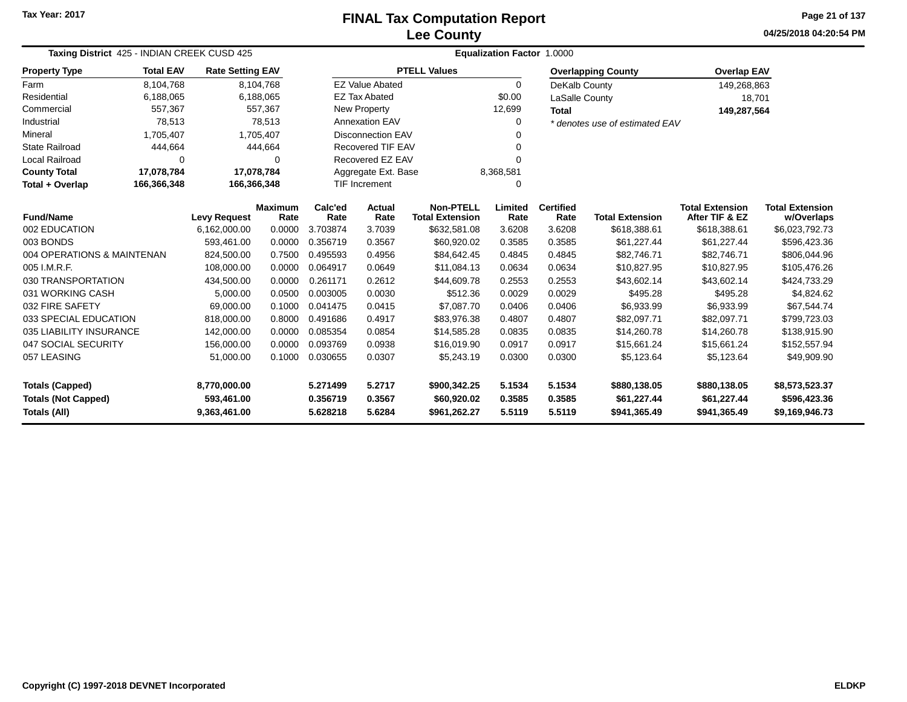### **Lee CountyFINAL Tax Computation Report**

**04/25/2018 04:20:54 PMPage 21 of 137**

| Taxing District 425 - INDIAN CREEK CUSD 425 |                  |                         |                        | Equalization Factor 1.0000 |                          |                                            |                 |                          |                                |                                          |                                      |  |  |
|---------------------------------------------|------------------|-------------------------|------------------------|----------------------------|--------------------------|--------------------------------------------|-----------------|--------------------------|--------------------------------|------------------------------------------|--------------------------------------|--|--|
| <b>Property Type</b>                        | <b>Total EAV</b> | <b>Rate Setting EAV</b> |                        |                            |                          | <b>PTELL Values</b>                        |                 |                          | <b>Overlapping County</b>      | <b>Overlap EAV</b>                       |                                      |  |  |
| Farm                                        | 8,104,768        |                         | 8,104,768              |                            | <b>EZ Value Abated</b>   |                                            | $\Omega$        | DeKalb County            |                                | 149,268,863                              |                                      |  |  |
| Residential                                 | 6,188,065        |                         | 6,188,065              |                            | <b>EZ Tax Abated</b>     |                                            | \$0.00          | LaSalle County           |                                | 18,701                                   |                                      |  |  |
| Commercial                                  | 557,367          |                         | 557,367                |                            | New Property             |                                            | 12,699          | <b>Total</b>             |                                | 149,287,564                              |                                      |  |  |
| Industrial                                  | 78,513           |                         | 78,513                 |                            | <b>Annexation EAV</b>    |                                            | 0               |                          | * denotes use of estimated EAV |                                          |                                      |  |  |
| Mineral                                     | 1,705,407        |                         | 1,705,407              |                            | <b>Disconnection EAV</b> |                                            | O               |                          |                                |                                          |                                      |  |  |
| <b>State Railroad</b>                       | 444,664          |                         | 444,664                |                            | <b>Recovered TIF EAV</b> |                                            |                 |                          |                                |                                          |                                      |  |  |
| Local Railroad                              | 0                |                         | $\Omega$               |                            | Recovered EZ EAV         |                                            | O               |                          |                                |                                          |                                      |  |  |
| <b>County Total</b>                         | 17,078,784       | 17,078,784              |                        |                            | Aggregate Ext. Base      |                                            | 8,368,581       |                          |                                |                                          |                                      |  |  |
| Total + Overlap                             | 166,366,348      | 166,366,348             |                        |                            | <b>TIF Increment</b>     |                                            | 0               |                          |                                |                                          |                                      |  |  |
| <b>Fund/Name</b>                            |                  | <b>Levy Request</b>     | <b>Maximum</b><br>Rate | Calc'ed<br>Rate            | Actual<br>Rate           | <b>Non-PTELL</b><br><b>Total Extension</b> | Limited<br>Rate | <b>Certified</b><br>Rate | <b>Total Extension</b>         | <b>Total Extension</b><br>After TIF & EZ | <b>Total Extension</b><br>w/Overlaps |  |  |
| 002 EDUCATION                               |                  | 6,162,000.00            | 0.0000                 | 3.703874                   | 3.7039                   | \$632,581.08                               | 3.6208          | 3.6208                   | \$618,388.61                   | \$618,388.61                             | \$6,023,792.73                       |  |  |
| 003 BONDS                                   |                  | 593,461.00              | 0.0000                 | 0.356719                   | 0.3567                   | \$60,920.02                                | 0.3585          | 0.3585                   | \$61,227.44                    | \$61,227.44                              | \$596,423.36                         |  |  |
| 004 OPERATIONS & MAINTENAN                  |                  | 824,500.00              | 0.7500                 | 0.495593                   | 0.4956                   | \$84,642.45                                | 0.4845          | 0.4845                   | \$82,746.71                    | \$82,746.71                              | \$806,044.96                         |  |  |
| 005 I.M.R.F.                                |                  | 108.000.00              | 0.0000                 | 0.064917                   | 0.0649                   | \$11,084.13                                | 0.0634          | 0.0634                   | \$10,827.95                    | \$10,827.95                              | \$105,476.26                         |  |  |
| 030 TRANSPORTATION                          |                  | 434,500.00              | 0.0000                 | 0.261171                   | 0.2612                   | \$44,609.78                                | 0.2553          | 0.2553                   | \$43,602.14                    | \$43,602.14                              | \$424,733.29                         |  |  |
| 031 WORKING CASH                            |                  | 5,000.00                | 0.0500                 | 0.003005                   | 0.0030                   | \$512.36                                   | 0.0029          | 0.0029                   | \$495.28                       | \$495.28                                 | \$4,824.62                           |  |  |
| 032 FIRE SAFETY                             |                  | 69,000.00               | 0.1000                 | 0.041475                   | 0.0415                   | \$7,087.70                                 | 0.0406          | 0.0406                   | \$6,933.99                     | \$6,933.99                               | \$67,544.74                          |  |  |
| 033 SPECIAL EDUCATION                       |                  | 818,000.00              | 0.8000                 | 0.491686                   | 0.4917                   | \$83,976.38                                | 0.4807          | 0.4807                   | \$82,097.71                    | \$82,097.71                              | \$799,723.03                         |  |  |
| 035 LIABILITY INSURANCE                     |                  | 142,000.00              | 0.0000                 | 0.085354                   | 0.0854                   | \$14,585.28                                | 0.0835          | 0.0835                   | \$14,260.78                    | \$14,260.78                              | \$138,915.90                         |  |  |
| 047 SOCIAL SECURITY                         |                  | 156,000.00              | 0.0000                 | 0.093769                   | 0.0938                   | \$16,019.90                                | 0.0917          | 0.0917                   | \$15,661.24                    | \$15,661.24                              | \$152,557.94                         |  |  |
| 057 LEASING                                 |                  | 51,000.00               | 0.1000                 | 0.030655                   | 0.0307                   | \$5,243.19                                 | 0.0300          | 0.0300                   | \$5,123.64                     | \$5,123.64                               | \$49,909.90                          |  |  |
| <b>Totals (Capped)</b><br>8,770,000.00      |                  |                         | 5.271499               | 5.2717                     | \$900,342.25             | 5.1534                                     | 5.1534          | \$880,138.05             | \$880,138.05                   | \$8,573,523.37                           |                                      |  |  |
| <b>Totals (Not Capped)</b>                  |                  | 593,461.00              |                        | 0.356719                   | 0.3567                   | \$60,920.02                                | 0.3585          | 0.3585                   | \$61,227.44                    | \$61,227.44                              | \$596,423.36                         |  |  |
| Totals (All)                                |                  | 9,363,461.00            |                        | 5.628218                   | 5.6284                   | \$961,262.27                               | 5.5119          | 5.5119                   | \$941,365.49                   | \$941,365.49                             | \$9,169,946.73                       |  |  |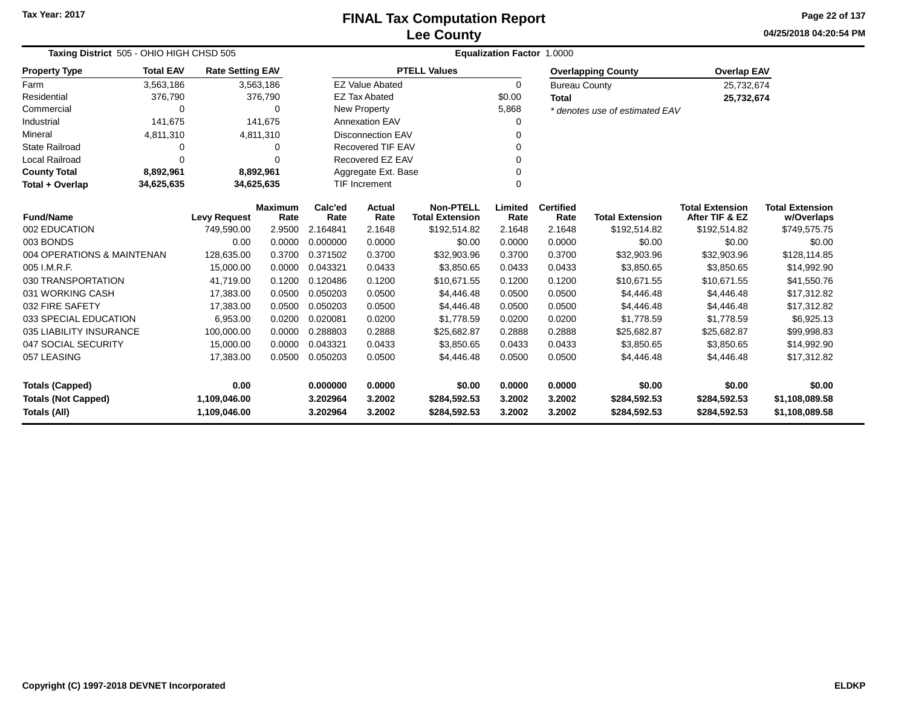**04/25/2018 04:20:54 PMPage 22 of 137**

| Taxing District 505 - OHIO HIGH CHSD 505 |                                         |                         |                        | <b>Equalization Factor 1.0000</b> |                          |                                            |                 |                          |                                |                                          |                                      |  |  |
|------------------------------------------|-----------------------------------------|-------------------------|------------------------|-----------------------------------|--------------------------|--------------------------------------------|-----------------|--------------------------|--------------------------------|------------------------------------------|--------------------------------------|--|--|
| <b>Property Type</b>                     | <b>Total EAV</b>                        | <b>Rate Setting EAV</b> |                        |                                   |                          | <b>PTELL Values</b>                        |                 |                          | <b>Overlapping County</b>      | <b>Overlap EAV</b>                       |                                      |  |  |
| Farm                                     | 3,563,186                               |                         | 3,563,186              |                                   | <b>EZ Value Abated</b>   |                                            | 0               | <b>Bureau County</b>     |                                | 25,732,674                               |                                      |  |  |
| Residential                              | 376,790                                 |                         | 376,790                |                                   | <b>EZ Tax Abated</b>     |                                            | \$0.00          | <b>Total</b>             |                                | 25,732,674                               |                                      |  |  |
| Commercial                               | $\Omega$                                |                         | 0                      |                                   | New Property             |                                            | 5,868           |                          | * denotes use of estimated EAV |                                          |                                      |  |  |
| Industrial                               | 141,675                                 |                         | 141,675                |                                   | <b>Annexation EAV</b>    |                                            | 0               |                          |                                |                                          |                                      |  |  |
| Mineral                                  | 4,811,310                               |                         | 4,811,310              |                                   | <b>Disconnection EAV</b> |                                            | $\Omega$        |                          |                                |                                          |                                      |  |  |
| <b>State Railroad</b>                    | 0                                       |                         | 0                      |                                   | <b>Recovered TIF EAV</b> |                                            | $\Omega$        |                          |                                |                                          |                                      |  |  |
| <b>Local Railroad</b>                    | $\Omega$                                |                         | 0                      |                                   | Recovered EZ EAV         |                                            | $\Omega$        |                          |                                |                                          |                                      |  |  |
| <b>County Total</b>                      | 8,892,961                               |                         | 8,892,961              |                                   | Aggregate Ext. Base      |                                            | $\Omega$        |                          |                                |                                          |                                      |  |  |
| Total + Overlap                          | 34,625,635<br>34,625,635                |                         |                        |                                   | <b>TIF Increment</b>     |                                            | $\Omega$        |                          |                                |                                          |                                      |  |  |
|                                          | <b>Fund/Name</b><br><b>Levy Request</b> |                         | <b>Maximum</b><br>Rate | Calc'ed<br>Rate                   | Actual<br>Rate           | <b>Non-PTELL</b><br><b>Total Extension</b> | Limited<br>Rate | <b>Certified</b><br>Rate | <b>Total Extension</b>         | <b>Total Extension</b><br>After TIF & EZ | <b>Total Extension</b><br>w/Overlaps |  |  |
| 002 EDUCATION                            |                                         | 749,590.00              | 2.9500                 | 2.164841                          | 2.1648                   | \$192,514.82                               | 2.1648          | 2.1648                   | \$192,514.82                   | \$192,514.82                             | \$749,575.75                         |  |  |
| 003 BONDS                                |                                         | 0.00                    | 0.0000                 | 0.000000                          | 0.0000                   | \$0.00                                     | 0.0000          | 0.0000                   | \$0.00                         | \$0.00                                   | \$0.00                               |  |  |
| 004 OPERATIONS & MAINTENAN               |                                         | 128,635.00              | 0.3700                 | 0.371502                          | 0.3700                   | \$32,903.96                                | 0.3700          | 0.3700                   | \$32,903.96                    | \$32,903.96                              | \$128,114.85                         |  |  |
| 005 I.M.R.F.                             |                                         | 15,000.00               | 0.0000                 | 0.043321                          | 0.0433                   | \$3,850.65                                 | 0.0433          | 0.0433                   | \$3,850.65                     | \$3,850.65                               | \$14,992.90                          |  |  |
| 030 TRANSPORTATION                       |                                         | 41,719.00               | 0.1200                 | 0.120486                          | 0.1200                   | \$10,671.55                                | 0.1200          | 0.1200                   | \$10,671.55                    | \$10,671.55                              | \$41,550.76                          |  |  |
| 031 WORKING CASH                         |                                         | 17,383.00               | 0.0500                 | 0.050203                          | 0.0500                   | \$4,446.48                                 | 0.0500          | 0.0500                   | \$4,446.48                     | \$4,446.48                               | \$17,312.82                          |  |  |
| 032 FIRE SAFETY                          |                                         | 17,383.00               | 0.0500                 | 0.050203                          | 0.0500                   | \$4,446.48                                 | 0.0500          | 0.0500                   | \$4,446.48                     | \$4,446.48                               | \$17,312.82                          |  |  |
| 033 SPECIAL EDUCATION                    |                                         | 6,953.00                | 0.0200                 | 0.020081                          | 0.0200                   | \$1,778.59                                 | 0.0200          | 0.0200                   | \$1,778.59                     | \$1,778.59                               | \$6,925.13                           |  |  |
| 035 LIABILITY INSURANCE                  |                                         | 100,000.00              | 0.0000                 | 0.288803                          | 0.2888                   | \$25,682.87                                | 0.2888          | 0.2888                   | \$25,682.87                    | \$25,682.87                              | \$99,998.83                          |  |  |
| 047 SOCIAL SECURITY                      |                                         | 15,000.00               | 0.0000                 | 0.043321                          | 0.0433                   | \$3,850.65                                 | 0.0433          | 0.0433                   | \$3,850.65                     | \$3,850.65                               | \$14,992.90                          |  |  |
| 057 LEASING                              |                                         | 17,383.00               | 0.0500                 | 0.050203                          | 0.0500                   | \$4,446.48                                 | 0.0500          | 0.0500                   | \$4,446.48                     | \$4,446.48                               | \$17,312.82                          |  |  |
| <b>Totals (Capped)</b>                   |                                         | 0.00                    |                        | 0.000000                          | 0.0000                   | \$0.00                                     | 0.0000          | 0.0000                   | \$0.00                         | \$0.00                                   | \$0.00                               |  |  |
| <b>Totals (Not Capped)</b>               |                                         | 1,109,046.00            |                        | 3.202964                          | 3.2002                   | \$284,592.53                               | 3.2002          | 3.2002                   | \$284,592.53                   | \$284,592.53                             | \$1,108,089.58                       |  |  |
| <b>Totals (All)</b>                      |                                         | 1,109,046.00            |                        | 3.202964                          | 3.2002                   | \$284,592.53                               | 3.2002          | 3.2002                   | \$284,592.53                   | \$284,592.53                             | \$1,108,089.58                       |  |  |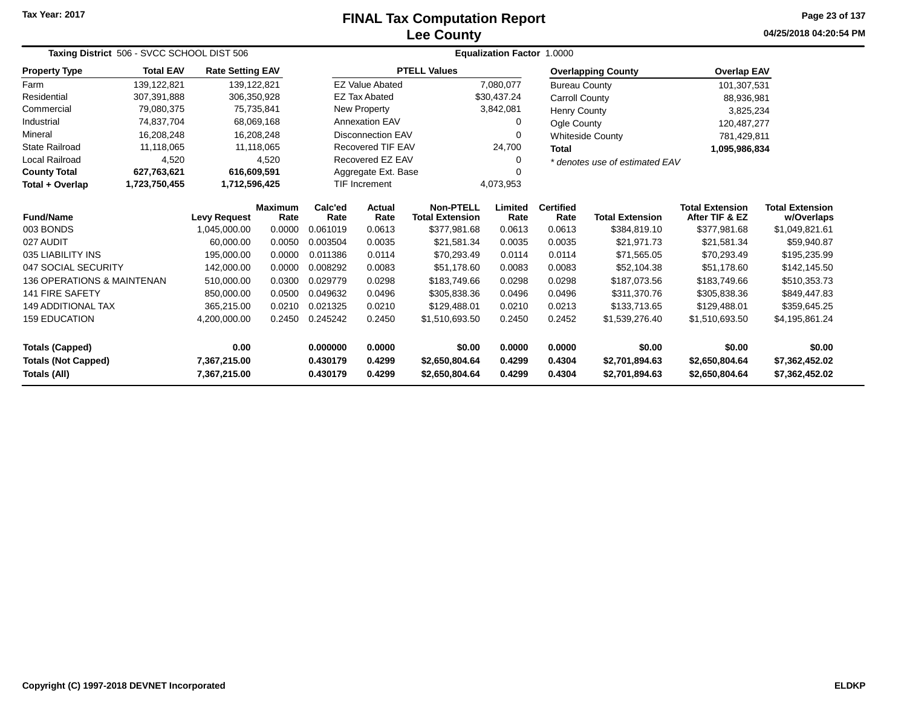# **Lee CountyFINAL Tax Computation Report**

**04/25/2018 04:20:54 PM Page 23 of 137**

| Taxing District 506 - SVCC SCHOOL DIST 506                                 |                                              |                         |                        |                      | <b>Equalization Factor 1.0000</b>  |                                            |                  |                          |                                  |                                          |                                      |  |
|----------------------------------------------------------------------------|----------------------------------------------|-------------------------|------------------------|----------------------|------------------------------------|--------------------------------------------|------------------|--------------------------|----------------------------------|------------------------------------------|--------------------------------------|--|
| <b>Property Type</b>                                                       | <b>Total EAV</b>                             | <b>Rate Setting EAV</b> |                        |                      |                                    | <b>PTELL Values</b>                        |                  |                          | <b>Overlapping County</b>        | <b>Overlap EAV</b>                       |                                      |  |
| Farm                                                                       | 139,122,821                                  | 139, 122, 821           |                        |                      | <b>EZ Value Abated</b>             |                                            | 7,080,077        | <b>Bureau County</b>     |                                  | 101,307,531                              |                                      |  |
| Residential                                                                | 307,391,888                                  |                         | 306,350,928            |                      | <b>EZ Tax Abated</b>               |                                            | \$30,437.24      | Carroll County           |                                  | 88,936,981                               |                                      |  |
| Commercial                                                                 | 79,080,375                                   |                         | 75,735,841             |                      | New Property                       |                                            | 3,842,081        | <b>Henry County</b>      |                                  | 3,825,234                                |                                      |  |
| Industrial                                                                 | 74,837,704                                   |                         | 68,069,168             |                      | <b>Annexation EAV</b>              |                                            | 0                | Ogle County              |                                  | 120,487,277                              |                                      |  |
| Mineral                                                                    | 16,208,248                                   |                         | 16,208,248             |                      | <b>Disconnection EAV</b>           |                                            | 0                |                          | <b>Whiteside County</b>          | 781,429,811                              |                                      |  |
| <b>State Railroad</b>                                                      | 11,118,065                                   |                         | 11,118,065             |                      | <b>Recovered TIF EAV</b><br>24,700 |                                            |                  | <b>Total</b>             |                                  | 1,095,986,834                            |                                      |  |
| Local Railroad                                                             | 4,520                                        |                         | 4,520                  |                      | Recovered EZ EAV                   |                                            |                  |                          | * denotes use of estimated EAV   |                                          |                                      |  |
| <b>County Total</b>                                                        | 627,763,621                                  | 616,609,591             |                        |                      | Aggregate Ext. Base                |                                            |                  |                          |                                  |                                          |                                      |  |
| Total + Overlap                                                            | 1,723,750,455                                | 1,712,596,425           |                        |                      | <b>TIF Increment</b>               | 4,073,953                                  |                  |                          |                                  |                                          |                                      |  |
| <b>Fund/Name</b>                                                           | <b>Levy Request</b>                          |                         | <b>Maximum</b><br>Rate | Calc'ed<br>Rate      | <b>Actual</b><br>Rate              | <b>Non-PTELL</b><br><b>Total Extension</b> | Limited<br>Rate  | <b>Certified</b><br>Rate | <b>Total Extension</b>           | <b>Total Extension</b><br>After TIF & EZ | <b>Total Extension</b><br>w/Overlaps |  |
| 003 BONDS                                                                  |                                              | 1,045,000.00            | 0.0000                 | 0.061019             | 0.0613                             | \$377,981.68                               | 0.0613           | 0.0613                   | \$384,819.10                     | \$377,981.68                             | \$1,049,821.61                       |  |
| 027 AUDIT                                                                  |                                              | 60,000.00               | 0.0050                 | 0.003504             | 0.0035                             | \$21,581.34                                | 0.0035           | 0.0035                   | \$21,971.73                      | \$21,581.34                              | \$59,940.87                          |  |
| 035 LIABILITY INS                                                          |                                              | 195,000.00              | 0.0000                 | 0.011386             | 0.0114                             | \$70,293.49                                | 0.0114           | 0.0114                   | \$71,565.05                      | \$70,293.49                              | \$195,235.99                         |  |
| 047 SOCIAL SECURITY                                                        |                                              | 142,000.00              | 0.0000                 | 0.008292             | 0.0083                             | \$51,178.60                                | 0.0083           | 0.0083                   | \$52,104.38                      | \$51,178.60                              | \$142,145.50                         |  |
| <b>136 OPERATIONS &amp; MAINTENAN</b>                                      |                                              | 510,000.00              | 0.0300                 | 0.029779             | 0.0298                             | \$183,749.66                               | 0.0298           | 0.0298                   | \$187,073.56                     | \$183,749.66                             | \$510,353.73                         |  |
| <b>141 FIRE SAFETY</b>                                                     |                                              | 850,000.00              | 0.0500                 | 0.049632             | 0.0496                             | \$305,838.36                               | 0.0496           | 0.0496                   | \$311,370.76                     | \$305,838.36                             | \$849,447.83                         |  |
| <b>149 ADDITIONAL TAX</b>                                                  |                                              | 365,215.00              | 0.0210                 | 0.021325             | 0.0210                             | \$129,488.01                               | 0.0210           | 0.0213                   | \$133,713.65                     | \$129,488.01                             | \$359,645.25                         |  |
| <b>159 EDUCATION</b>                                                       | 0.2450<br>0.245242<br>0.2450<br>4,200,000.00 |                         |                        |                      | \$1,510,693.50                     | 0.2450                                     | 0.2452           | \$1,539,276.40           | \$1,510,693.50                   | \$4,195,861.24                           |                                      |  |
| 0.00<br><b>Totals (Capped)</b>                                             |                                              |                         |                        | 0.000000             | 0.0000                             | \$0.00                                     | 0.0000           | 0.0000                   | \$0.00                           | \$0.00                                   | \$0.00                               |  |
| <b>Totals (Not Capped)</b><br>7,367,215.00<br>Totals (All)<br>7,367,215.00 |                                              |                         |                        | 0.430179<br>0.430179 | 0.4299<br>0.4299                   | \$2,650,804.64<br>\$2,650,804.64           | 0.4299<br>0.4299 | 0.4304<br>0.4304         | \$2,701,894.63<br>\$2,701,894.63 | \$2,650,804.64<br>\$2,650,804.64         | \$7,362,452.02<br>\$7,362,452.02     |  |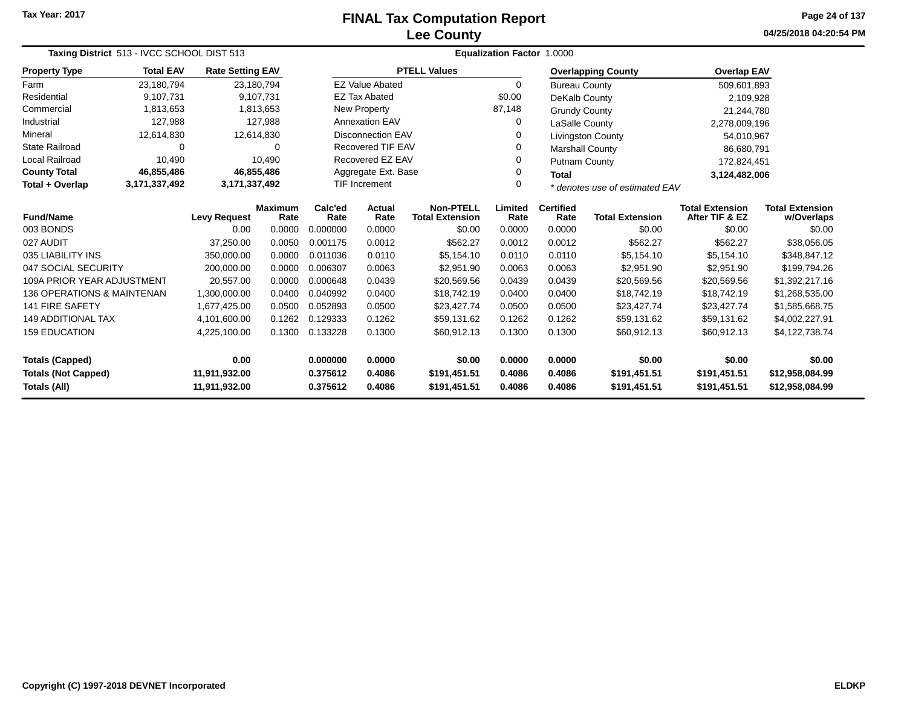# **Lee CountyFINAL Tax Computation Report**

**04/25/2018 04:20:54 PM Page 24 of 137**

| Taxing District 513 - IVCC SCHOOL DIST 513  |                                               |                         |                 | <b>Equalization Factor 1.0000</b>                           |                                            |                     |                          |                        |                                          |                                      |                 |
|---------------------------------------------|-----------------------------------------------|-------------------------|-----------------|-------------------------------------------------------------|--------------------------------------------|---------------------|--------------------------|------------------------|------------------------------------------|--------------------------------------|-----------------|
| <b>Property Type</b>                        | <b>Total EAV</b>                              | <b>Rate Setting EAV</b> |                 |                                                             |                                            | <b>PTELL Values</b> |                          |                        | <b>Overlapping County</b>                | <b>Overlap EAV</b>                   |                 |
| Farm                                        | 23,180,794                                    | 23,180,794              |                 |                                                             | <b>EZ Value Abated</b>                     |                     | 0                        | <b>Bureau County</b>   |                                          | 509,601,893                          |                 |
| Residential                                 | 9,107,731                                     |                         | 9,107,731       |                                                             | <b>EZ Tax Abated</b>                       |                     | \$0.00                   | DeKalb County          |                                          | 2,109,928                            |                 |
| Commercial                                  | 1,813,653                                     |                         | 1,813,653       |                                                             | New Property                               |                     | 87,148                   | <b>Grundy County</b>   |                                          | 21,244,780                           |                 |
| Industrial                                  | 127,988                                       |                         | 127,988         |                                                             | <b>Annexation EAV</b>                      |                     | 0                        | LaSalle County         |                                          | 2,278,009,196                        |                 |
| Mineral                                     | 12,614,830                                    | 12,614,830              |                 |                                                             | <b>Disconnection EAV</b>                   |                     |                          |                        | <b>Livingston County</b>                 | 54,010,967                           |                 |
| <b>State Railroad</b>                       | $\Omega$                                      |                         | $\Omega$        | <b>Recovered TIF EAV</b>                                    |                                            |                     | 0                        | <b>Marshall County</b> |                                          | 86,680,791                           |                 |
| Local Railroad                              | 10,490                                        |                         | 10,490          |                                                             | Recovered EZ EAV                           |                     |                          | <b>Putnam County</b>   |                                          | 172,824,451                          |                 |
| <b>County Total</b>                         | 46,855,486                                    | 46,855,486              |                 | Aggregate Ext. Base<br><b>Total</b>                         |                                            |                     |                          |                        | 3,124,482,006                            |                                      |                 |
| Total + Overlap                             | 3,171,337,492                                 | 3,171,337,492           |                 | <b>TIF Increment</b><br>0<br>* denotes use of estimated EAV |                                            |                     |                          |                        |                                          |                                      |                 |
| <b>Fund/Name</b>                            | <b>Maximum</b><br><b>Levy Request</b><br>Rate |                         | Calc'ed<br>Rate | <b>Actual</b><br>Rate                                       | <b>Non-PTELL</b><br><b>Total Extension</b> | Limited<br>Rate     | <b>Certified</b><br>Rate | <b>Total Extension</b> | <b>Total Extension</b><br>After TIF & EZ | <b>Total Extension</b><br>w/Overlaps |                 |
| 003 BONDS                                   |                                               | 0.00                    | 0.0000          | 0.000000                                                    | 0.0000                                     | \$0.00              | 0.0000                   | 0.0000                 | \$0.00                                   | \$0.00                               | \$0.00          |
| 027 AUDIT                                   |                                               | 37,250.00               | 0.0050          | 0.001175                                                    | 0.0012                                     | \$562.27            | 0.0012                   | 0.0012                 | \$562.27                                 | \$562.27                             | \$38,056.05     |
| 035 LIABILITY INS                           |                                               | 350,000.00              | 0.0000          | 0.011036                                                    | 0.0110                                     | \$5,154.10          | 0.0110                   | 0.0110                 | \$5,154.10                               | \$5,154.10                           | \$348,847.12    |
| 047 SOCIAL SECURITY                         |                                               | 200,000.00              | 0.0000          | 0.006307                                                    | 0.0063                                     | \$2,951.90          | 0.0063                   | 0.0063                 | \$2,951.90                               | \$2,951.90                           | \$199,794.26    |
| 109A PRIOR YEAR ADJUSTMENT                  |                                               | 20,557.00               | 0.0000          | 0.000648                                                    | 0.0439                                     | \$20,569.56         | 0.0439                   | 0.0439                 | \$20,569.56                              | \$20,569.56                          | \$1,392,217.16  |
| 136 OPERATIONS & MAINTENAN                  |                                               | 1,300,000.00            | 0.0400          | 0.040992                                                    | 0.0400                                     | \$18,742.19         | 0.0400                   | 0.0400                 | \$18,742.19                              | \$18,742.19                          | \$1,268,535.00  |
| <b>141 FIRE SAFETY</b>                      |                                               | 1,677,425.00            | 0.0500          | 0.052893                                                    | 0.0500                                     | \$23,427.74         | 0.0500                   | 0.0500                 | \$23,427.74                              | \$23,427.74                          | \$1,585,668.75  |
| <b>149 ADDITIONAL TAX</b>                   |                                               | 4,101,600.00            | 0.1262          | 0.129333                                                    | 0.1262                                     | \$59,131.62         | 0.1262                   | 0.1262                 | \$59,131.62                              | \$59,131.62                          | \$4,002,227.91  |
| <b>159 EDUCATION</b>                        |                                               | 4,225,100.00            | 0.1300          | 0.133228                                                    | 0.1300                                     | \$60,912.13         | 0.1300                   | 0.1300                 | \$60,912.13                              | \$60,912.13                          | \$4,122,738.74  |
| 0.00<br><b>Totals (Capped)</b>              |                                               |                         |                 | 0.000000                                                    | 0.0000                                     | \$0.00              | 0.0000                   | 0.0000                 | \$0.00                                   | \$0.00                               | \$0.00          |
| <b>Totals (Not Capped)</b><br>11,911,932.00 |                                               |                         | 0.375612        | 0.4086                                                      | \$191,451.51                               | 0.4086              | 0.4086                   | \$191,451.51           | \$191,451.51                             | \$12,958,084.99                      |                 |
| Totals (All)<br>11,911,932.00               |                                               |                         |                 | 0.375612                                                    | 0.4086                                     | \$191,451.51        | 0.4086                   | 0.4086                 | \$191,451.51                             | \$191,451.51                         | \$12,958,084.99 |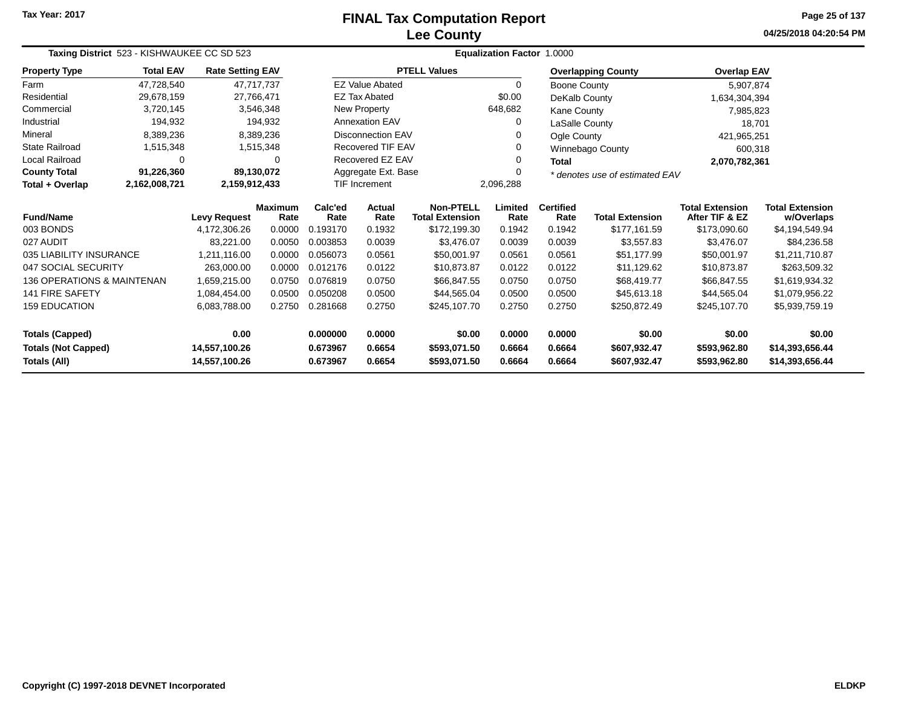# **Lee CountyFINAL Tax Computation Report**

**04/25/2018 04:20:54 PM Page 25 of 137**

|                            | Taxing District 523 - KISHWAUKEE CC SD 523 |                         |                        |                 |                          |                                            | Equalization Factor 1.0000 |                          |                                |                                          |                                      |
|----------------------------|--------------------------------------------|-------------------------|------------------------|-----------------|--------------------------|--------------------------------------------|----------------------------|--------------------------|--------------------------------|------------------------------------------|--------------------------------------|
| <b>Property Type</b>       | <b>Total EAV</b>                           | <b>Rate Setting EAV</b> |                        |                 |                          | <b>PTELL Values</b>                        |                            |                          | <b>Overlapping County</b>      | <b>Overlap EAV</b>                       |                                      |
| Farm                       | 47,728,540                                 | 47.717.737              |                        |                 | <b>EZ Value Abated</b>   |                                            | 0                          | Boone County             |                                | 5,907,874                                |                                      |
| Residential                | 29,678,159                                 | 27,766,471              |                        |                 | <b>EZ Tax Abated</b>     |                                            | \$0.00                     | DeKalb County            |                                | 1,634,304,394                            |                                      |
| Commercial                 | 3,720,145                                  |                         | 3,546,348              |                 | New Property             |                                            | 648,682                    | Kane County              |                                | 7,985,823                                |                                      |
| Industrial                 | 194,932                                    |                         | 194,932                |                 | <b>Annexation EAV</b>    |                                            | 0                          | LaSalle County           |                                | 18,701                                   |                                      |
| Mineral                    | 8,389,236                                  |                         | 8,389,236              |                 | <b>Disconnection EAV</b> |                                            | 0                          | Ogle County              |                                | 421,965,251                              |                                      |
| <b>State Railroad</b>      | 1,515,348                                  |                         | 1,515,348              |                 | <b>Recovered TIF EAV</b> |                                            | 0                          |                          | <b>Winnebago County</b>        | 600,318                                  |                                      |
| Local Railroad             | 0                                          |                         | 0                      |                 | Recovered EZ EAV         |                                            | 0                          | Total                    |                                | 2,070,782,361                            |                                      |
| <b>County Total</b>        | 91,226,360                                 | 89,130,072              |                        |                 | Aggregate Ext. Base      |                                            | 0                          |                          | * denotes use of estimated EAV |                                          |                                      |
| Total + Overlap            | 2,162,008,721                              | 2,159,912,433           |                        |                 | <b>TIF Increment</b>     |                                            | 2,096,288                  |                          |                                |                                          |                                      |
| <b>Fund/Name</b>           |                                            | <b>Levy Request</b>     | <b>Maximum</b><br>Rate | Calc'ed<br>Rate | <b>Actual</b><br>Rate    | <b>Non-PTELL</b><br><b>Total Extension</b> | Limited<br>Rate            | <b>Certified</b><br>Rate | <b>Total Extension</b>         | <b>Total Extension</b><br>After TIF & EZ | <b>Total Extension</b><br>w/Overlaps |
| 003 BONDS                  |                                            | 4,172,306.26            | 0.0000                 | 0.193170        | 0.1932                   | \$172,199.30                               | 0.1942                     | 0.1942                   | \$177,161.59                   | \$173,090.60                             | \$4,194,549.94                       |
| 027 AUDIT                  |                                            | 83,221.00               | 0.0050                 | 0.003853        | 0.0039                   | \$3,476.07                                 | 0.0039                     | 0.0039                   | \$3,557.83                     | \$3,476.07                               | \$84,236.58                          |
| 035 LIABILITY INSURANCE    |                                            | 1,211,116.00            | 0.0000                 | 0.056073        | 0.0561                   | \$50,001.97                                | 0.0561                     | 0.0561                   | \$51,177.99                    | \$50,001.97                              | \$1,211,710.87                       |
| 047 SOCIAL SECURITY        |                                            | 263,000.00              | 0.0000                 | 0.012176        | 0.0122                   | \$10,873.87                                | 0.0122                     | 0.0122                   | \$11,129.62                    | \$10,873.87                              | \$263,509.32                         |
| 136 OPERATIONS & MAINTENAN |                                            | 1,659,215.00            | 0.0750                 | 0.076819        | 0.0750                   | \$66,847.55                                | 0.0750                     | 0.0750                   | \$68,419.77                    | \$66,847.55                              | \$1,619,934.32                       |
| <b>141 FIRE SAFETY</b>     |                                            | 1,084,454.00            | 0.0500                 | 0.050208        | 0.0500                   | \$44,565.04                                | 0.0500                     | 0.0500                   | \$45,613.18                    | \$44,565.04                              | \$1,079,956.22                       |
| <b>159 EDUCATION</b>       |                                            | 6,083,788.00            | 0.2750                 | 0.281668        | 0.2750                   | \$245,107.70                               | 0.2750                     | 0.2750                   | \$250,872.49                   | \$245,107.70                             | \$5,939,759.19                       |
| <b>Totals (Capped)</b>     |                                            | 0.00                    |                        | 0.000000        | 0.0000                   | \$0.00                                     | 0.0000                     | 0.0000                   | \$0.00                         | \$0.00                                   | \$0.00                               |
| <b>Totals (Not Capped)</b> |                                            | 14,557,100.26           |                        | 0.673967        | 0.6654                   | \$593,071.50                               | 0.6664                     | 0.6664                   | \$607,932.47                   | \$593,962.80                             | \$14,393,656.44                      |
| Totals (All)               |                                            | 14,557,100.26           |                        | 0.673967        | 0.6654                   | \$593,071.50                               | 0.6664                     | 0.6664                   | \$607,932.47                   | \$593,962.80                             | \$14,393,656.44                      |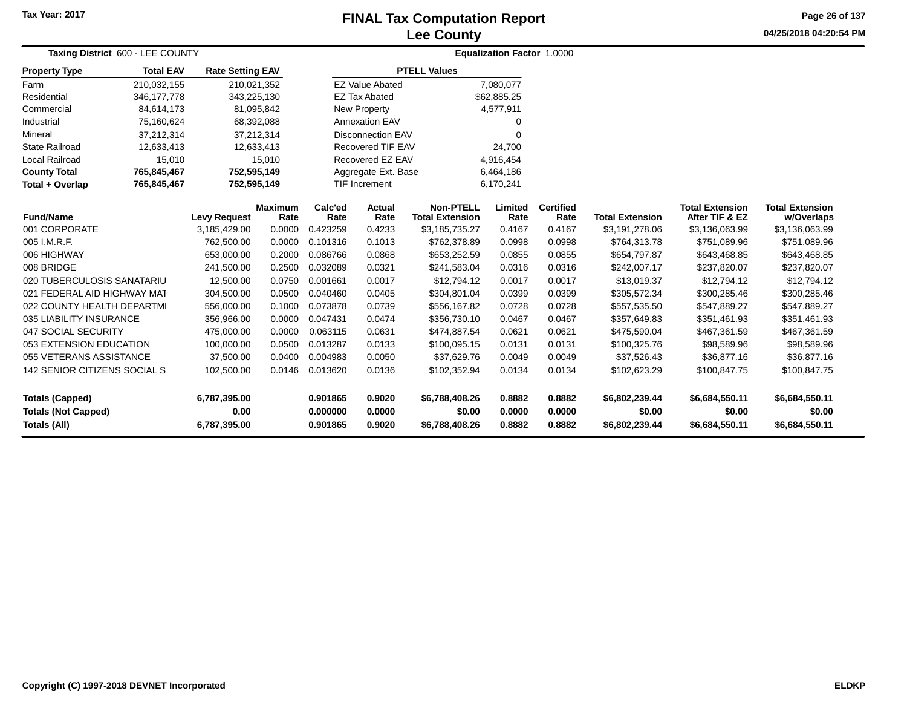### **Lee CountyFINAL Tax Computation Report**

**04/25/2018 04:20:54 PMPage 26 of 137**

| Taxing District 600 - LEE COUNTY                  |                  |                         |                        |                      |                          | <b>Equalization Factor 1.0000</b>          |                  |                          |                          |                                          |                                      |  |
|---------------------------------------------------|------------------|-------------------------|------------------------|----------------------|--------------------------|--------------------------------------------|------------------|--------------------------|--------------------------|------------------------------------------|--------------------------------------|--|
| <b>Property Type</b>                              | <b>Total EAV</b> | <b>Rate Setting EAV</b> |                        |                      |                          | <b>PTELL Values</b>                        |                  |                          |                          |                                          |                                      |  |
| Farm                                              | 210,032,155      | 210,021,352             |                        |                      | <b>EZ Value Abated</b>   |                                            | 7,080,077        |                          |                          |                                          |                                      |  |
| Residential                                       | 346, 177, 778    | 343,225,130             |                        |                      | <b>EZ Tax Abated</b>     |                                            | \$62,885.25      |                          |                          |                                          |                                      |  |
| Commercial                                        | 84,614,173       |                         | 81,095,842             |                      | <b>New Property</b>      |                                            | 4,577,911        |                          |                          |                                          |                                      |  |
| Industrial                                        | 75,160,624       |                         | 68,392,088             |                      | <b>Annexation EAV</b>    |                                            | 0                |                          |                          |                                          |                                      |  |
| Mineral                                           | 37,212,314       |                         | 37,212,314             |                      | <b>Disconnection EAV</b> |                                            | 0                |                          |                          |                                          |                                      |  |
| <b>State Railroad</b>                             | 12,633,413       |                         | 12,633,413             |                      | <b>Recovered TIF EAV</b> |                                            | 24,700           |                          |                          |                                          |                                      |  |
| Local Railroad                                    | 15,010           |                         | 15,010                 |                      | Recovered EZ EAV         |                                            | 4,916,454        |                          |                          |                                          |                                      |  |
| <b>County Total</b>                               | 765,845,467      | 752,595,149             |                        |                      | Aggregate Ext. Base      |                                            | 6,464,186        |                          |                          |                                          |                                      |  |
| Total + Overlap                                   | 765,845,467      | 752,595,149             |                        |                      | <b>TIF Increment</b>     |                                            | 6,170,241        |                          |                          |                                          |                                      |  |
| <b>Fund/Name</b>                                  |                  | <b>Levy Request</b>     | <b>Maximum</b><br>Rate | Calc'ed<br>Rate      | <b>Actual</b><br>Rate    | <b>Non-PTELL</b><br><b>Total Extension</b> | Limited<br>Rate  | <b>Certified</b><br>Rate | <b>Total Extension</b>   | <b>Total Extension</b><br>After TIF & EZ | <b>Total Extension</b><br>w/Overlaps |  |
| 001 CORPORATE                                     |                  | 3,185,429.00            | 0.0000                 | 0.423259             | 0.4233                   | \$3,185,735.27                             | 0.4167           | 0.4167                   | \$3,191,278.06           | \$3,136,063.99                           | \$3,136,063.99                       |  |
| 005 I.M.R.F.                                      |                  | 762,500.00              | 0.0000                 | 0.101316             | 0.1013                   | \$762,378.89                               | 0.0998           | 0.0998                   | \$764,313.78             | \$751,089.96                             | \$751,089.96                         |  |
| 006 HIGHWAY                                       |                  | 653,000.00              | 0.2000                 | 0.086766             | 0.0868                   | \$653,252.59                               | 0.0855           | 0.0855                   | \$654,797.87             | \$643,468.85                             | \$643,468.85                         |  |
| 008 BRIDGE                                        |                  | 241,500.00              | 0.2500                 | 0.032089             | 0.0321                   | \$241,583.04                               | 0.0316           | 0.0316                   | \$242,007.17             | \$237,820.07                             | \$237,820.07                         |  |
| 020 TUBERCULOSIS SANATARIU                        |                  | 12,500.00               | 0.0750                 | 0.001661             | 0.0017                   | \$12,794.12                                | 0.0017           | 0.0017                   | \$13,019.37              | \$12,794.12                              | \$12,794.12                          |  |
| 021 FEDERAL AID HIGHWAY MAT                       |                  | 304,500.00              | 0.0500                 | 0.040460             | 0.0405                   | \$304,801.04                               | 0.0399           | 0.0399                   | \$305,572.34             | \$300,285.46                             | \$300,285.46                         |  |
| 022 COUNTY HEALTH DEPARTMI                        |                  | 556,000.00              | 0.1000                 | 0.073878             | 0.0739                   | \$556,167.82                               | 0.0728           | 0.0728                   | \$557,535.50             | \$547,889.27                             | \$547,889.27                         |  |
| 035 LIABILITY INSURANCE                           |                  | 356,966.00              | 0.0000                 | 0.047431             | 0.0474                   | \$356,730.10                               | 0.0467           | 0.0467                   | \$357,649.83             | \$351,461.93                             | \$351,461.93                         |  |
| 047 SOCIAL SECURITY                               |                  | 475,000.00              | 0.0000                 | 0.063115             | 0.0631                   | \$474,887.54                               | 0.0621           | 0.0621                   | \$475,590.04             | \$467,361.59                             | \$467,361.59                         |  |
| 053 EXTENSION EDUCATION                           |                  | 100,000.00              | 0.0500                 | 0.013287             | 0.0133                   | \$100,095.15                               | 0.0131           | 0.0131                   | \$100,325.76             | \$98,589.96                              | \$98,589.96                          |  |
| 055 VETERANS ASSISTANCE                           |                  | 37.500.00               | 0.0400                 | 0.004983             | 0.0050                   | \$37,629.76                                | 0.0049           | 0.0049                   | \$37,526.43              | \$36,877.16                              | \$36,877.16                          |  |
| 142 SENIOR CITIZENS SOCIAL S                      |                  | 102,500.00              | 0.0146                 | 0.013620             | 0.0136                   | \$102,352.94                               | 0.0134           | 0.0134                   | \$102,623.29             | \$100,847.75                             | \$100,847.75                         |  |
| <b>Totals (Capped)</b>                            |                  | 6,787,395.00            |                        | 0.901865             | 0.9020                   | \$6,788,408.26                             | 0.8882           | 0.8882                   | \$6,802,239.44           | \$6,684,550.11                           | \$6,684,550.11                       |  |
| <b>Totals (Not Capped)</b><br><b>Totals (All)</b> |                  | 0.00<br>6,787,395.00    |                        | 0.000000<br>0.901865 | 0.0000<br>0.9020         | \$0.00<br>\$6,788,408.26                   | 0.0000<br>0.8882 | 0.0000<br>0.8882         | \$0.00<br>\$6,802,239.44 | \$0.00<br>\$6,684,550.11                 | \$0.00<br>\$6,684,550.11             |  |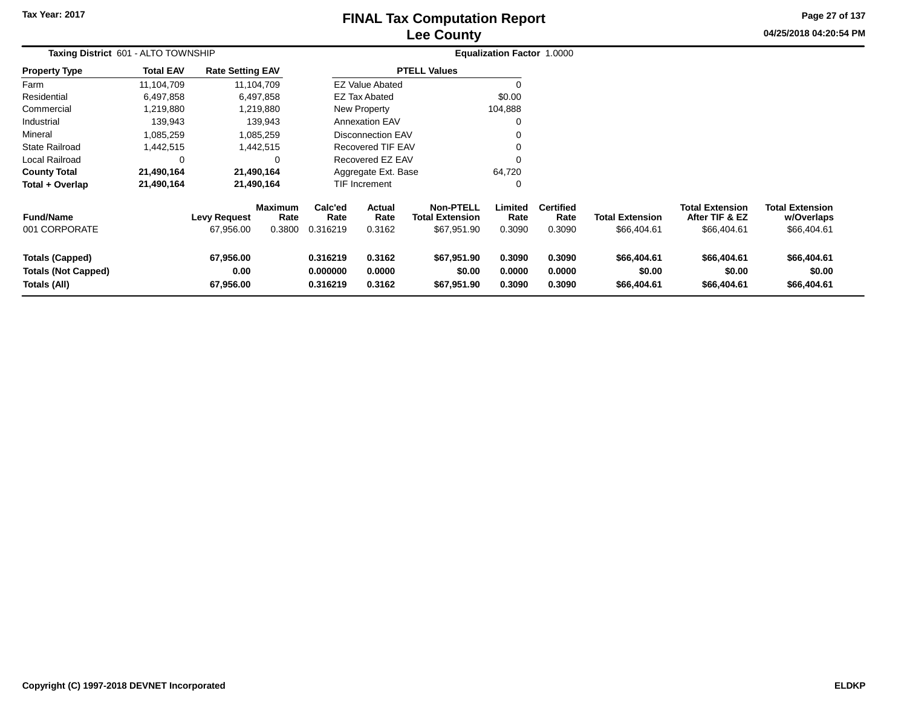## **Lee CountyFINAL Tax Computation Report**

**04/25/2018 04:20:54 PM Page 27 of 137**

| Taxing District 601 - ALTO TOWNSHIP                                  |                  |                                  |                                  |                                  |                            |                                                           | Equalization Factor 1.0000 |                                    |                                       |                                                         |                                                     |
|----------------------------------------------------------------------|------------------|----------------------------------|----------------------------------|----------------------------------|----------------------------|-----------------------------------------------------------|----------------------------|------------------------------------|---------------------------------------|---------------------------------------------------------|-----------------------------------------------------|
| <b>Property Type</b>                                                 | <b>Total EAV</b> | <b>Rate Setting EAV</b>          |                                  |                                  |                            | <b>PTELL Values</b>                                       |                            |                                    |                                       |                                                         |                                                     |
| Farm                                                                 | 11,104,709       |                                  | 11,104,709                       |                                  | <b>EZ Value Abated</b>     |                                                           | $\Omega$                   |                                    |                                       |                                                         |                                                     |
| Residential                                                          | 6,497,858        |                                  | 6,497,858                        |                                  | <b>EZ Tax Abated</b>       |                                                           | \$0.00                     |                                    |                                       |                                                         |                                                     |
| Commercial                                                           | 1,219,880        |                                  | 1,219,880                        |                                  | New Property               |                                                           | 104,888                    |                                    |                                       |                                                         |                                                     |
| Industrial                                                           | 139,943          |                                  | 139,943                          |                                  | <b>Annexation EAV</b>      |                                                           | $\Omega$                   |                                    |                                       |                                                         |                                                     |
| Mineral                                                              | 1,085,259        |                                  | 1,085,259                        |                                  | <b>Disconnection EAV</b>   |                                                           |                            |                                    |                                       |                                                         |                                                     |
| <b>State Railroad</b>                                                | 1,442,515        |                                  | 1,442,515                        |                                  | <b>Recovered TIF EAV</b>   |                                                           |                            |                                    |                                       |                                                         |                                                     |
| Local Railroad                                                       | 0                |                                  | 0                                |                                  | Recovered EZ EAV           |                                                           | $\Omega$                   |                                    |                                       |                                                         |                                                     |
| <b>County Total</b>                                                  | 21,490,164       |                                  | 21,490,164                       |                                  | Aggregate Ext. Base        |                                                           | 64,720                     |                                    |                                       |                                                         |                                                     |
| Total + Overlap                                                      | 21,490,164       |                                  | 21,490,164                       |                                  | <b>TIF Increment</b>       |                                                           |                            |                                    |                                       |                                                         |                                                     |
| <b>Fund/Name</b><br>001 CORPORATE                                    |                  | <b>Levy Request</b><br>67,956.00 | <b>Maximum</b><br>Rate<br>0.3800 | Calc'ed<br>Rate<br>0.316219      | Actual<br>Rate<br>0.3162   | <b>Non-PTELL</b><br><b>Total Extension</b><br>\$67,951.90 | Limited<br>Rate<br>0.3090  | <b>Certified</b><br>Rate<br>0.3090 | <b>Total Extension</b><br>\$66,404.61 | <b>Total Extension</b><br>After TIF & EZ<br>\$66,404.61 | <b>Total Extension</b><br>w/Overlaps<br>\$66,404.61 |
| <b>Totals (Capped)</b><br><b>Totals (Not Capped)</b><br>Totals (All) |                  | 67,956.00<br>0.00<br>67,956.00   |                                  | 0.316219<br>0.000000<br>0.316219 | 0.3162<br>0.0000<br>0.3162 | \$67,951.90<br>\$0.00<br>\$67,951.90                      | 0.3090<br>0.0000<br>0.3090 | 0.3090<br>0.0000<br>0.3090         | \$66,404.61<br>\$0.00<br>\$66,404.61  | \$66,404.61<br>\$0.00<br>\$66,404.61                    | \$66,404.61<br>\$0.00<br>\$66,404.61                |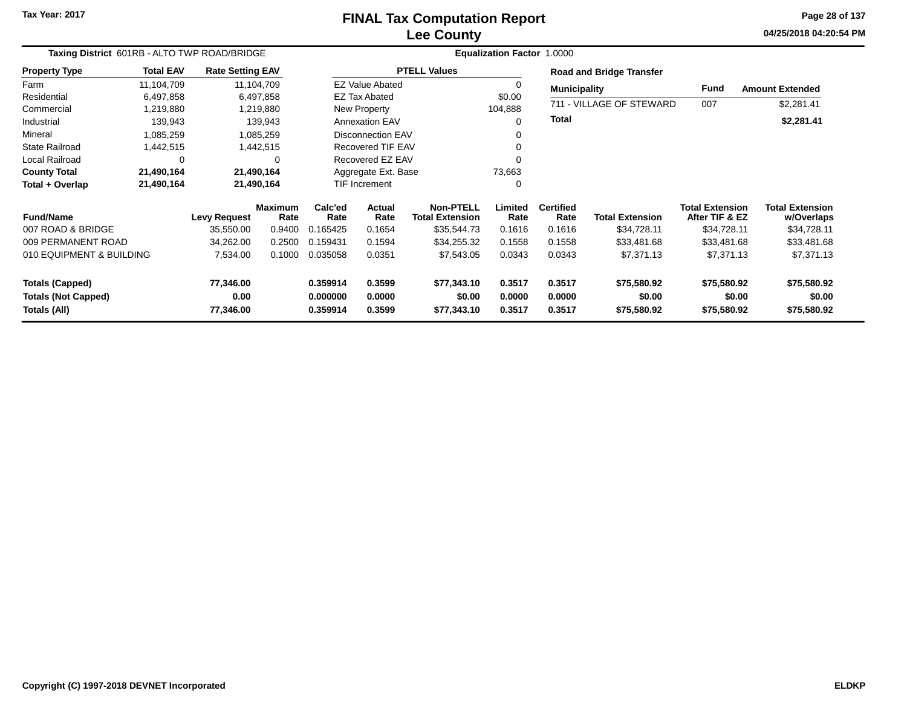# **Lee CountyFINAL Tax Computation Report**

**04/25/2018 04:20:54 PM Page 28 of 137**

| Taxing District 601RB - ALTO TWP ROAD/BRIDGE         |                  |                         |                        |                      |                          |                                            | Equalization Factor 1.0000 |                          |                                 |                                          |                                      |
|------------------------------------------------------|------------------|-------------------------|------------------------|----------------------|--------------------------|--------------------------------------------|----------------------------|--------------------------|---------------------------------|------------------------------------------|--------------------------------------|
| <b>Property Type</b>                                 | <b>Total EAV</b> | <b>Rate Setting EAV</b> |                        |                      |                          | <b>PTELL Values</b>                        |                            |                          | <b>Road and Bridge Transfer</b> |                                          |                                      |
| Farm                                                 | 11,104,709       |                         | 11,104,709             |                      | <b>EZ Value Abated</b>   |                                            |                            | <b>Municipality</b>      |                                 | Fund                                     | <b>Amount Extended</b>               |
| Residential                                          | 6,497,858        |                         | 6,497,858              |                      | EZ Tax Abated            |                                            | \$0.00                     |                          |                                 |                                          |                                      |
| Commercial                                           | 1,219,880        |                         | 1,219,880              |                      | New Property             |                                            | 104,888                    |                          | 711 - VILLAGE OF STEWARD        | 007                                      | \$2,281.41                           |
| Industrial                                           | 139,943          |                         | 139,943                |                      | <b>Annexation EAV</b>    |                                            |                            | <b>Total</b>             |                                 |                                          | \$2,281.41                           |
| Mineral                                              | 1,085,259        |                         | 1,085,259              |                      | <b>Disconnection EAV</b> |                                            |                            |                          |                                 |                                          |                                      |
| <b>State Railroad</b>                                | 1,442,515        |                         | 1,442,515              |                      | <b>Recovered TIF EAV</b> |                                            |                            |                          |                                 |                                          |                                      |
| Local Railroad                                       | 0                |                         | $\Omega$               |                      | Recovered EZ EAV         |                                            |                            |                          |                                 |                                          |                                      |
| <b>County Total</b>                                  | 21,490,164       |                         | 21,490,164             |                      | Aggregate Ext. Base      |                                            | 73,663                     |                          |                                 |                                          |                                      |
| Total + Overlap                                      | 21,490,164       |                         | 21,490,164             |                      | <b>TIF Increment</b>     |                                            |                            |                          |                                 |                                          |                                      |
| <b>Fund/Name</b>                                     |                  | <b>Levy Request</b>     | <b>Maximum</b><br>Rate | Calc'ed<br>Rate      | Actual<br>Rate           | <b>Non-PTELL</b><br><b>Total Extension</b> | Limited<br>Rate            | <b>Certified</b><br>Rate | <b>Total Extension</b>          | <b>Total Extension</b><br>After TIF & EZ | <b>Total Extension</b><br>w/Overlaps |
| 007 ROAD & BRIDGE                                    |                  | 35,550.00               | 0.9400                 | 0.165425             | 0.1654                   | \$35,544.73                                | 0.1616                     | 0.1616                   | \$34,728.11                     | \$34,728.11                              | \$34,728.11                          |
| 009 PERMANENT ROAD                                   |                  | 34,262.00               | 0.2500                 | 0.159431             | 0.1594                   | \$34,255.32                                | 0.1558                     | 0.1558                   | \$33,481.68                     | \$33,481.68                              | \$33,481.68                          |
| 010 EQUIPMENT & BUILDING                             |                  | 7,534.00                | 0.1000                 | 0.035058             | 0.0351                   | \$7,543.05                                 | 0.0343                     | 0.0343                   | \$7,371.13                      | \$7,371.13                               | \$7,371.13                           |
| <b>Totals (Capped)</b><br><b>Totals (Not Capped)</b> |                  | 77,346.00<br>0.00       |                        | 0.359914<br>0.000000 | 0.3599<br>0.0000         | \$77,343.10<br>\$0.00                      | 0.3517<br>0.0000           | 0.3517<br>0.0000         | \$75,580.92<br>\$0.00           | \$75,580.92<br>\$0.00                    | \$75,580.92<br>\$0.00                |
| Totals (All)                                         |                  | 77,346.00               |                        | 0.359914             | 0.3599                   | \$77,343.10                                | 0.3517                     | 0.3517                   | \$75,580.92                     | \$75,580.92                              | \$75,580.92                          |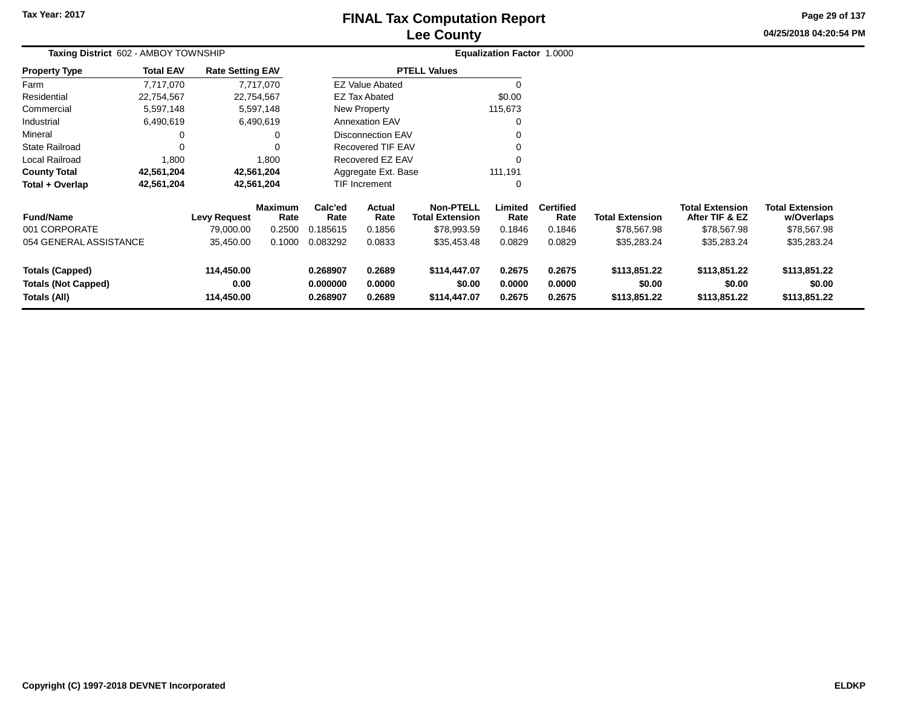# **Lee CountyFINAL Tax Computation Report**

**04/25/2018 04:20:54 PM Page 29 of 137**

| Taxing District 602 - AMBOY TOWNSHIP                                 |                                  |                                  |                                  |                                  |                            |                                                           | Equalization Factor 1.0000 |                                    |                                        |                                                         |                                                     |  |
|----------------------------------------------------------------------|----------------------------------|----------------------------------|----------------------------------|----------------------------------|----------------------------|-----------------------------------------------------------|----------------------------|------------------------------------|----------------------------------------|---------------------------------------------------------|-----------------------------------------------------|--|
| <b>Property Type</b>                                                 | <b>Total EAV</b>                 | <b>Rate Setting EAV</b>          |                                  |                                  |                            | <b>PTELL Values</b>                                       |                            |                                    |                                        |                                                         |                                                     |  |
| Farm                                                                 | 7,717,070                        |                                  | 7,717,070                        |                                  | <b>EZ Value Abated</b>     |                                                           |                            |                                    |                                        |                                                         |                                                     |  |
| Residential                                                          | 22,754,567                       |                                  | 22,754,567                       |                                  | <b>EZ Tax Abated</b>       |                                                           | \$0.00                     |                                    |                                        |                                                         |                                                     |  |
| Commercial                                                           | 5,597,148                        |                                  | 5,597,148                        |                                  | <b>New Property</b>        |                                                           | 115,673                    |                                    |                                        |                                                         |                                                     |  |
| Industrial                                                           | 6,490,619                        |                                  | 6,490,619                        |                                  | Annexation EAV             |                                                           |                            |                                    |                                        |                                                         |                                                     |  |
| Mineral                                                              | 0                                |                                  |                                  |                                  | <b>Disconnection EAV</b>   |                                                           |                            |                                    |                                        |                                                         |                                                     |  |
| <b>State Railroad</b>                                                | 0                                |                                  |                                  |                                  | Recovered TIF EAV          |                                                           |                            |                                    |                                        |                                                         |                                                     |  |
| Local Railroad                                                       | 1,800                            |                                  | 1,800                            |                                  | Recovered EZ EAV           |                                                           | $\Omega$                   |                                    |                                        |                                                         |                                                     |  |
| <b>County Total</b>                                                  | 42,561,204                       |                                  | 42,561,204                       |                                  | Aggregate Ext. Base        |                                                           | 111,191                    |                                    |                                        |                                                         |                                                     |  |
| Total + Overlap                                                      | 42,561,204                       |                                  | 42,561,204                       |                                  | <b>TIF Increment</b>       |                                                           | 0                          |                                    |                                        |                                                         |                                                     |  |
| <b>Fund/Name</b><br>001 CORPORATE                                    | <b>Levy Request</b><br>79,000.00 |                                  | <b>Maximum</b><br>Rate<br>0.2500 | Calc'ed<br>Rate<br>0.185615      | Actual<br>Rate<br>0.1856   | <b>Non-PTELL</b><br><b>Total Extension</b><br>\$78,993.59 | Limited<br>Rate<br>0.1846  | <b>Certified</b><br>Rate<br>0.1846 | <b>Total Extension</b><br>\$78,567.98  | <b>Total Extension</b><br>After TIF & EZ<br>\$78,567.98 | <b>Total Extension</b><br>w/Overlaps<br>\$78,567.98 |  |
| 054 GENERAL ASSISTANCE                                               |                                  | 35,450.00                        | 0.1000                           | 0.083292                         | 0.0833                     | \$35,453.48                                               | 0.0829                     | 0.0829                             | \$35,283.24                            | \$35,283.24                                             | \$35,283.24                                         |  |
| <b>Totals (Capped)</b><br><b>Totals (Not Capped)</b><br>Totals (All) |                                  | 114,450.00<br>0.00<br>114,450.00 |                                  | 0.268907<br>0.000000<br>0.268907 | 0.2689<br>0.0000<br>0.2689 | \$114,447.07<br>\$0.00<br>\$114,447.07                    | 0.2675<br>0.0000<br>0.2675 | 0.2675<br>0.0000<br>0.2675         | \$113,851.22<br>\$0.00<br>\$113,851.22 | \$113,851.22<br>\$0.00<br>\$113,851.22                  | \$113,851.22<br>\$0.00<br>\$113,851.22              |  |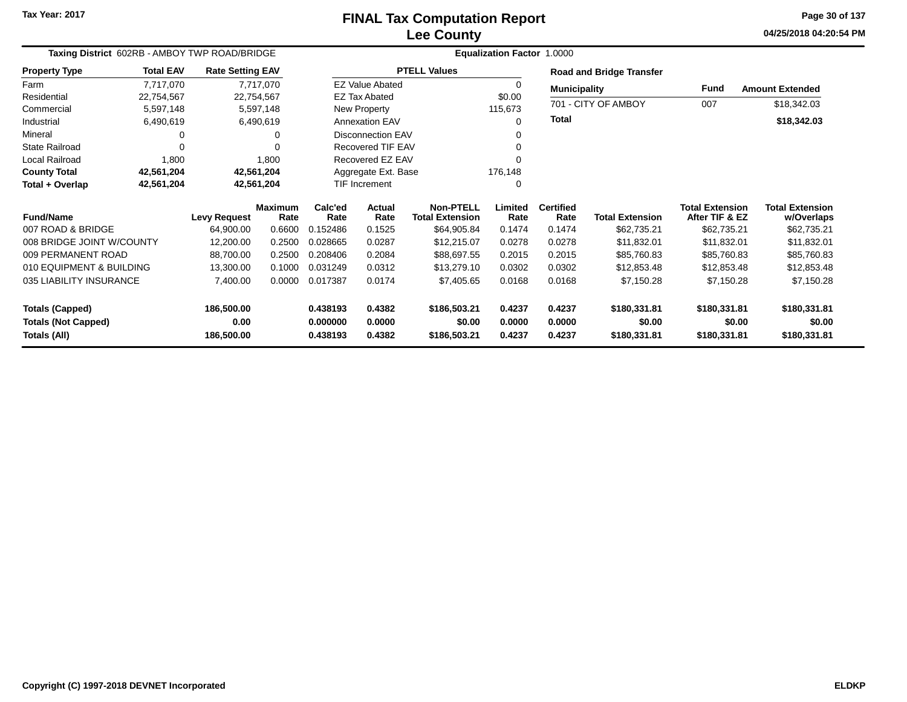### **Lee CountyFINAL Tax Computation Report**

**04/25/2018 04:20:54 PM Page 30 of 137**

|                            |                  | Taxing District 602RB - AMBOY TWP ROAD/BRIDGE |                        |                 |                          |                                     | Equalization Factor 1.0000 |                          |                                 |                                          |                                      |
|----------------------------|------------------|-----------------------------------------------|------------------------|-----------------|--------------------------|-------------------------------------|----------------------------|--------------------------|---------------------------------|------------------------------------------|--------------------------------------|
| <b>Property Type</b>       | <b>Total EAV</b> | <b>Rate Setting EAV</b>                       |                        |                 |                          | <b>PTELL Values</b>                 |                            |                          | <b>Road and Bridge Transfer</b> |                                          |                                      |
| Farm                       | 7,717,070        | 7,717,070                                     |                        |                 | <b>EZ Value Abated</b>   |                                     | 0                          | <b>Municipality</b>      |                                 | Fund                                     | <b>Amount Extended</b>               |
| Residential                | 22,754,567       | 22,754,567                                    |                        |                 | <b>EZ Tax Abated</b>     |                                     | \$0.00                     |                          |                                 |                                          |                                      |
| Commercial                 | 5,597,148        | 5,597,148                                     |                        |                 | New Property             |                                     | 115,673                    |                          | 701 - CITY OF AMBOY             | 007                                      | \$18,342.03                          |
| Industrial                 | 6,490,619        | 6,490,619                                     |                        |                 | <b>Annexation EAV</b>    |                                     | 0                          | Total                    |                                 |                                          | \$18,342.03                          |
| Mineral                    |                  |                                               | $\Omega$               |                 | Disconnection EAV        |                                     | 0                          |                          |                                 |                                          |                                      |
| <b>State Railroad</b>      | 0                |                                               | $\Omega$               |                 | <b>Recovered TIF EAV</b> |                                     | 0                          |                          |                                 |                                          |                                      |
| Local Railroad             | 1,800            |                                               | 1,800                  |                 | Recovered EZ EAV         |                                     | O                          |                          |                                 |                                          |                                      |
| <b>County Total</b>        | 42,561,204       | 42,561,204                                    |                        |                 | Aggregate Ext. Base      |                                     | 176,148                    |                          |                                 |                                          |                                      |
| Total + Overlap            | 42,561,204       | 42,561,204                                    |                        |                 | TIF Increment            |                                     | 0                          |                          |                                 |                                          |                                      |
| <b>Fund/Name</b>           |                  | <b>Levy Request</b>                           | <b>Maximum</b><br>Rate | Calc'ed<br>Rate | <b>Actual</b><br>Rate    | Non-PTELL<br><b>Total Extension</b> | Limited<br>Rate            | <b>Certified</b><br>Rate | <b>Total Extension</b>          | <b>Total Extension</b><br>After TIF & EZ | <b>Total Extension</b><br>w/Overlaps |
| 007 ROAD & BRIDGE          |                  | 64,900.00                                     | 0.6600                 | 0.152486        | 0.1525                   | \$64,905.84                         | 0.1474                     | 0.1474                   | \$62,735.21                     | \$62,735.21                              | \$62,735.21                          |
| 008 BRIDGE JOINT W/COUNTY  |                  | 12,200.00                                     | 0.2500                 | 0.028665        | 0.0287                   | \$12,215.07                         | 0.0278                     | 0.0278                   | \$11,832.01                     | \$11,832.01                              | \$11,832.01                          |
| 009 PERMANENT ROAD         |                  | 88,700.00                                     | 0.2500                 | 0.208406        | 0.2084                   | \$88,697.55                         | 0.2015                     | 0.2015                   | \$85,760.83                     | \$85,760.83                              | \$85,760.83                          |
| 010 EQUIPMENT & BUILDING   |                  | 13,300.00                                     | 0.1000                 | 0.031249        | 0.0312                   | \$13,279.10                         | 0.0302                     | 0.0302                   | \$12,853.48                     | \$12,853.48                              | \$12,853.48                          |
| 035 LIABILITY INSURANCE    |                  | 7,400.00                                      | 0.0000                 | 0.017387        | 0.0174                   | \$7,405.65                          | 0.0168                     | 0.0168                   | \$7,150.28                      | \$7,150.28                               | \$7,150.28                           |
| <b>Totals (Capped)</b>     |                  | 186,500.00                                    |                        | 0.438193        | 0.4382                   | \$186,503.21                        | 0.4237                     | 0.4237                   | \$180,331.81                    | \$180,331.81                             | \$180,331.81                         |
| <b>Totals (Not Capped)</b> |                  | 0.00                                          |                        | 0.000000        | 0.0000                   | \$0.00                              | 0.0000                     | 0.0000                   | \$0.00                          | \$0.00                                   | \$0.00                               |
| <b>Totals (All)</b>        |                  | 186,500.00                                    |                        | 0.438193        | 0.4382                   | \$186,503.21                        | 0.4237                     | 0.4237                   | \$180,331.81                    | \$180,331.81                             | \$180,331.81                         |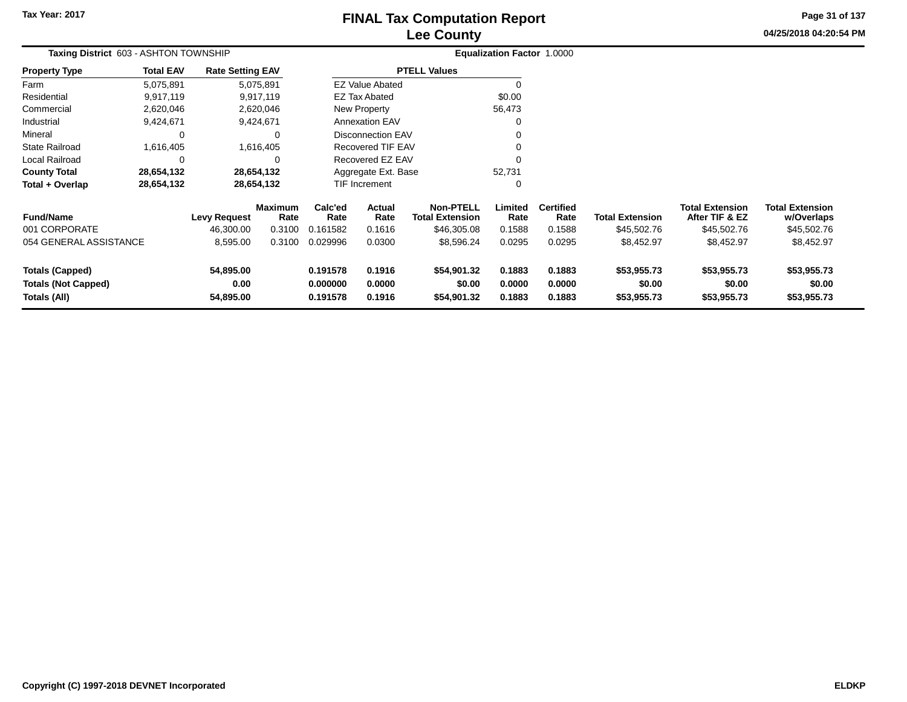## **Lee CountyFINAL Tax Computation Report**

**04/25/2018 04:20:54 PM Page 31 of 137**

|                                                                      | Taxing District 603 - ASHTON TOWNSHIP |                                |                        |                                  |                            |                                            | <b>Equalization Factor 1.0000</b> |                            |                                      |                                          |                                      |
|----------------------------------------------------------------------|---------------------------------------|--------------------------------|------------------------|----------------------------------|----------------------------|--------------------------------------------|-----------------------------------|----------------------------|--------------------------------------|------------------------------------------|--------------------------------------|
| <b>Property Type</b>                                                 | <b>Total EAV</b>                      | <b>Rate Setting EAV</b>        |                        |                                  |                            | <b>PTELL Values</b>                        |                                   |                            |                                      |                                          |                                      |
| Farm                                                                 | 5,075,891                             |                                | 5,075,891              |                                  | <b>EZ Value Abated</b>     |                                            |                                   |                            |                                      |                                          |                                      |
| Residential                                                          | 9,917,119                             |                                | 9,917,119              |                                  | <b>EZ Tax Abated</b>       |                                            | \$0.00                            |                            |                                      |                                          |                                      |
| Commercial                                                           | 2,620,046                             |                                | 2,620,046              |                                  | New Property               |                                            | 56,473                            |                            |                                      |                                          |                                      |
| Industrial                                                           | 9,424,671                             |                                | 9,424,671              |                                  | <b>Annexation EAV</b>      |                                            |                                   |                            |                                      |                                          |                                      |
| Mineral                                                              |                                       |                                | 0                      |                                  | <b>Disconnection EAV</b>   |                                            |                                   |                            |                                      |                                          |                                      |
| State Railroad                                                       | 1,616,405                             |                                | 1,616,405              |                                  | Recovered TIF EAV          |                                            |                                   |                            |                                      |                                          |                                      |
| Local Railroad                                                       |                                       |                                | 0                      |                                  | Recovered EZ EAV           |                                            |                                   |                            |                                      |                                          |                                      |
| <b>County Total</b>                                                  | 28,654,132                            |                                | 28,654,132             |                                  | Aggregate Ext. Base        |                                            | 52,731                            |                            |                                      |                                          |                                      |
| Total + Overlap                                                      | 28,654,132                            |                                | 28,654,132             |                                  | TIF Increment              |                                            | C                                 |                            |                                      |                                          |                                      |
| <b>Fund/Name</b>                                                     |                                       | <b>Levy Request</b>            | <b>Maximum</b><br>Rate | Calc'ed<br>Rate                  | Actual<br>Rate             | <b>Non-PTELL</b><br><b>Total Extension</b> | Limited<br>Rate                   | <b>Certified</b><br>Rate   | <b>Total Extension</b>               | <b>Total Extension</b><br>After TIF & EZ | <b>Total Extension</b><br>w/Overlaps |
| 001 CORPORATE                                                        |                                       | 46,300.00                      | 0.3100                 | 0.161582                         | 0.1616                     | \$46,305.08                                | 0.1588                            | 0.1588                     | \$45,502.76                          | \$45,502.76                              | \$45,502.76                          |
| 054 GENERAL ASSISTANCE                                               |                                       | 8,595.00                       | 0.3100                 | 0.029996                         | 0.0300                     | \$8,596.24                                 | 0.0295                            | 0.0295                     | \$8,452.97                           | \$8,452.97                               | \$8,452.97                           |
| <b>Totals (Capped)</b><br><b>Totals (Not Capped)</b><br>Totals (All) |                                       | 54,895.00<br>0.00<br>54,895.00 |                        | 0.191578<br>0.000000<br>0.191578 | 0.1916<br>0.0000<br>0.1916 | \$54,901.32<br>\$0.00<br>\$54,901.32       | 0.1883<br>0.0000<br>0.1883        | 0.1883<br>0.0000<br>0.1883 | \$53,955.73<br>\$0.00<br>\$53,955.73 | \$53,955.73<br>\$0.00<br>\$53,955.73     | \$53,955.73<br>\$0.00<br>\$53,955.73 |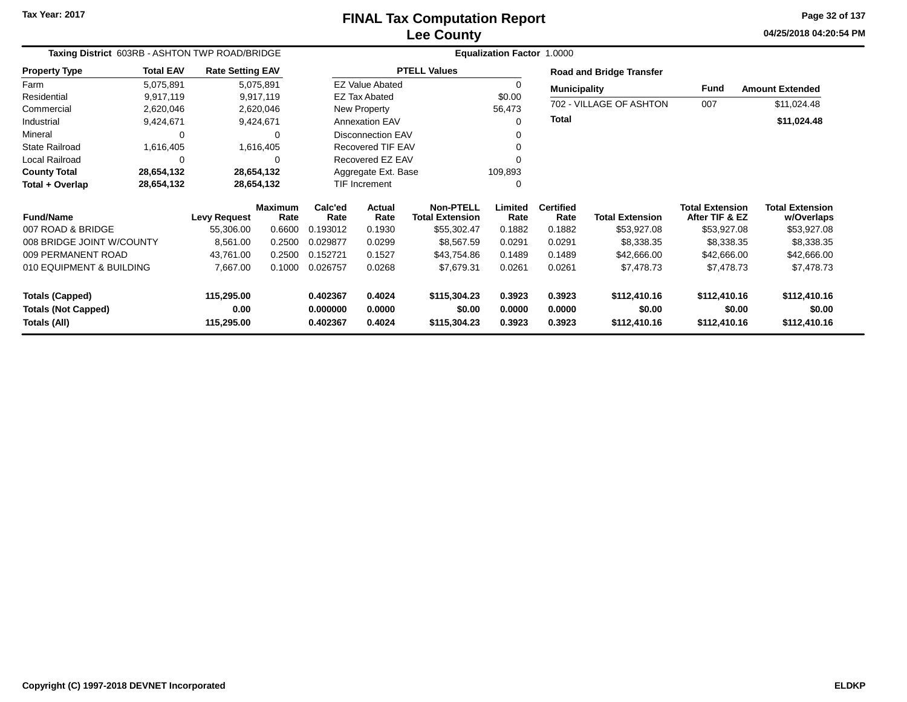**04/25/2018 04:20:54 PM Page 32 of 137**

| Taxing District 603RB - ASHTON TWP ROAD/BRIDGE |                  |                         |                |                      |                          |                        | <b>Equalization Factor 1.0000</b> |                     |                                 |                        |                        |
|------------------------------------------------|------------------|-------------------------|----------------|----------------------|--------------------------|------------------------|-----------------------------------|---------------------|---------------------------------|------------------------|------------------------|
| <b>Property Type</b>                           | <b>Total EAV</b> | <b>Rate Setting EAV</b> |                |                      |                          | <b>PTELL Values</b>    |                                   |                     | <b>Road and Bridge Transfer</b> |                        |                        |
| Farm                                           | 5,075,891        |                         | 5,075,891      |                      | <b>EZ Value Abated</b>   |                        |                                   | <b>Municipality</b> |                                 | Fund                   | <b>Amount Extended</b> |
| Residential                                    | 9,917,119        |                         | 9,917,119      |                      | <b>EZ Tax Abated</b>     |                        | \$0.00                            |                     |                                 |                        |                        |
| Commercial                                     | 2,620,046        |                         | 2,620,046      |                      | New Property             |                        | 56,473                            |                     | 702 - VILLAGE OF ASHTON         | 007                    | \$11,024.48            |
| Industrial                                     | 9,424,671        |                         | 9,424,671      |                      | <b>Annexation EAV</b>    |                        | ∩                                 | <b>Total</b>        |                                 |                        | \$11,024.48            |
| Mineral                                        | 0                |                         | $\Omega$       |                      | Disconnection EAV        |                        |                                   |                     |                                 |                        |                        |
| <b>State Railroad</b>                          | 1,616,405        |                         | 1,616,405      |                      | <b>Recovered TIF EAV</b> |                        |                                   |                     |                                 |                        |                        |
| Local Railroad                                 | 0                |                         | 0              |                      | Recovered EZ EAV         |                        |                                   |                     |                                 |                        |                        |
| <b>County Total</b>                            | 28,654,132       | 28,654,132              |                |                      | Aggregate Ext. Base      |                        | 109,893                           |                     |                                 |                        |                        |
| Total + Overlap                                | 28,654,132       | 28,654,132              |                | TIF Increment        |                          |                        | 0                                 |                     |                                 |                        |                        |
|                                                |                  |                         | <b>Maximum</b> | Calc'ed              | Actual                   | Non-PTELL              | Limited                           | <b>Certified</b>    |                                 | <b>Total Extension</b> | <b>Total Extension</b> |
| <b>Fund/Name</b><br>007 ROAD & BRIDGE          |                  | <b>Levy Request</b>     | Rate           | Rate                 | Rate                     | <b>Total Extension</b> | Rate                              | Rate                | <b>Total Extension</b>          | After TIF & EZ         | w/Overlaps             |
|                                                |                  | 55,306.00               | 0.6600         | 0.193012             | 0.1930                   | \$55,302.47            | 0.1882                            | 0.1882              | \$53,927.08                     | \$53,927.08            | \$53,927.08            |
| 008 BRIDGE JOINT W/COUNTY                      |                  | 8,561.00                | 0.2500         | 0.029877             | 0.0299                   | \$8,567.59             | 0.0291                            | 0.0291              | \$8,338.35                      | \$8,338.35             | \$8,338.35             |
| 009 PERMANENT ROAD                             |                  | 43,761.00               | 0.2500         | 0.152721             | 0.1527                   | \$43,754.86            | 0.1489                            | 0.1489              | \$42,666.00                     | \$42,666.00            | \$42,666.00            |
| 010 EQUIPMENT & BUILDING                       |                  | 7,667.00                | 0.1000         | 0.026757             | 0.0268                   | \$7,679.31             | 0.0261                            | 0.0261              | \$7,478.73                      | \$7,478.73             | \$7,478.73             |
| <b>Totals (Capped)</b>                         |                  | 115,295.00              |                | 0.402367             | 0.4024                   | \$115,304.23           | 0.3923                            | 0.3923              | \$112,410.16                    | \$112,410.16           | \$112,410.16           |
| <b>Totals (Not Capped)</b><br>Totals (All)     |                  | 0.00<br>115,295.00      |                | 0.000000<br>0.402367 | 0.0000<br>0.4024         | \$0.00<br>\$115,304.23 | 0.0000<br>0.3923                  | 0.0000<br>0.3923    | \$0.00<br>\$112,410.16          | \$0.00<br>\$112,410.16 | \$0.00<br>\$112,410.16 |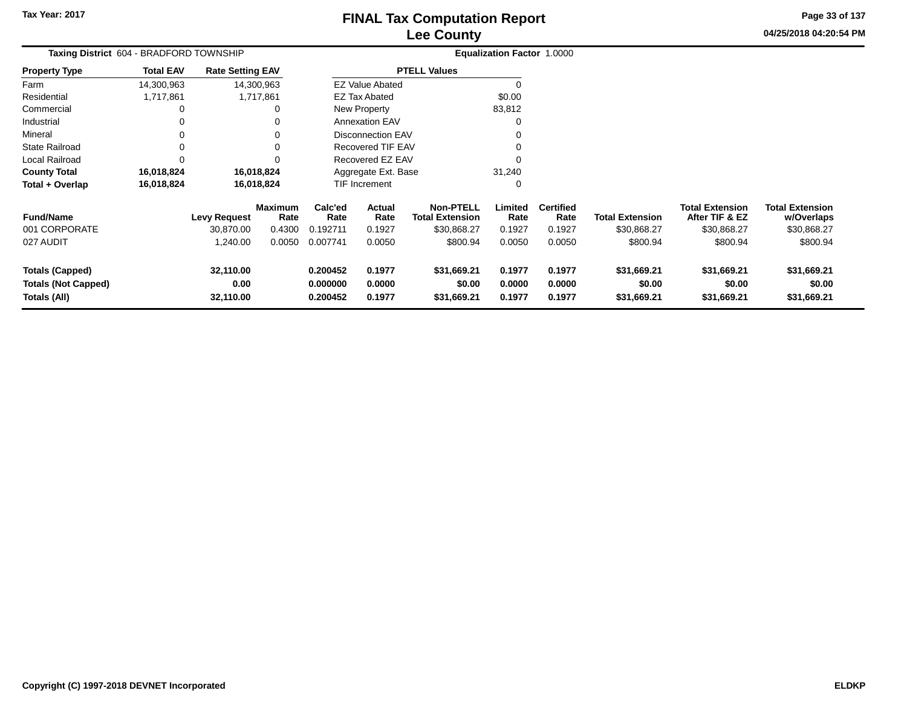**04/25/2018 04:20:54 PM Page 33 of 137**

| Taxing District 604 - BRADFORD TOWNSHIP              |                  |                         |                        |                                                                   |                          |                                            | <b>Equalization Factor 1.0000</b> |                          |                        |                                          |                                      |  |
|------------------------------------------------------|------------------|-------------------------|------------------------|-------------------------------------------------------------------|--------------------------|--------------------------------------------|-----------------------------------|--------------------------|------------------------|------------------------------------------|--------------------------------------|--|
| <b>Property Type</b>                                 | <b>Total EAV</b> | <b>Rate Setting EAV</b> |                        |                                                                   |                          | <b>PTELL Values</b>                        |                                   |                          |                        |                                          |                                      |  |
| Farm                                                 | 14,300,963       |                         | 14,300,963             |                                                                   | <b>EZ Value Abated</b>   |                                            | $\Omega$                          |                          |                        |                                          |                                      |  |
| Residential                                          | 1,717,861        |                         | 1,717,861              |                                                                   | EZ Tax Abated            |                                            | \$0.00                            |                          |                        |                                          |                                      |  |
| Commercial                                           |                  |                         | 0                      |                                                                   | New Property             |                                            | 83,812                            |                          |                        |                                          |                                      |  |
| Industrial                                           |                  |                         | 0                      |                                                                   | <b>Annexation EAV</b>    |                                            | 0                                 |                          |                        |                                          |                                      |  |
| Mineral                                              |                  |                         | 0                      |                                                                   | <b>Disconnection EAV</b> |                                            | 0                                 |                          |                        |                                          |                                      |  |
| <b>State Railroad</b>                                |                  |                         | 0                      |                                                                   | Recovered TIF EAV        |                                            | 0                                 |                          |                        |                                          |                                      |  |
| Local Railroad                                       |                  |                         | 0                      |                                                                   | Recovered EZ EAV         |                                            | $\Omega$                          |                          |                        |                                          |                                      |  |
| <b>County Total</b>                                  | 16,018,824       |                         | 16,018,824             |                                                                   | Aggregate Ext. Base      |                                            | 31,240                            |                          |                        |                                          |                                      |  |
| Total + Overlap                                      | 16,018,824       |                         | 16,018,824             |                                                                   | <b>TIF Increment</b>     |                                            | 0                                 |                          |                        |                                          |                                      |  |
| <b>Fund/Name</b>                                     |                  | <b>Levy Request</b>     | <b>Maximum</b><br>Rate | Calc'ed<br>Rate                                                   | <b>Actual</b><br>Rate    | <b>Non-PTELL</b><br><b>Total Extension</b> | Limited<br>Rate                   | <b>Certified</b><br>Rate | <b>Total Extension</b> | <b>Total Extension</b><br>After TIF & EZ | <b>Total Extension</b><br>w/Overlaps |  |
| 001 CORPORATE                                        |                  | 30,870.00               | 0.4300                 | 0.192711                                                          | 0.1927                   | \$30,868.27                                | 0.1927                            | 0.1927                   | \$30,868.27            | \$30,868.27                              | \$30,868.27                          |  |
| 027 AUDIT                                            |                  | 1,240.00                | 0.0050                 | 0.007741                                                          | 0.0050                   | \$800.94                                   | 0.0050                            | 0.0050                   | \$800.94               | \$800.94                                 | \$800.94                             |  |
| <b>Totals (Capped)</b><br><b>Totals (Not Capped)</b> |                  | 32,110.00<br>0.00       |                        | 0.200452<br>0.1977<br>\$31,669.21<br>\$0.00<br>0.000000<br>0.0000 |                          | 0.1977<br>0.0000                           | 0.1977<br>0.0000                  | \$31,669.21<br>\$0.00    | \$31,669.21<br>\$0.00  | \$31,669.21<br>\$0.00                    |                                      |  |
| Totals (All)                                         |                  | 32,110.00               |                        | 0.200452                                                          | 0.1977                   | \$31,669.21                                | 0.1977                            | 0.1977                   | \$31,669.21            | \$31,669.21                              | \$31,669.21                          |  |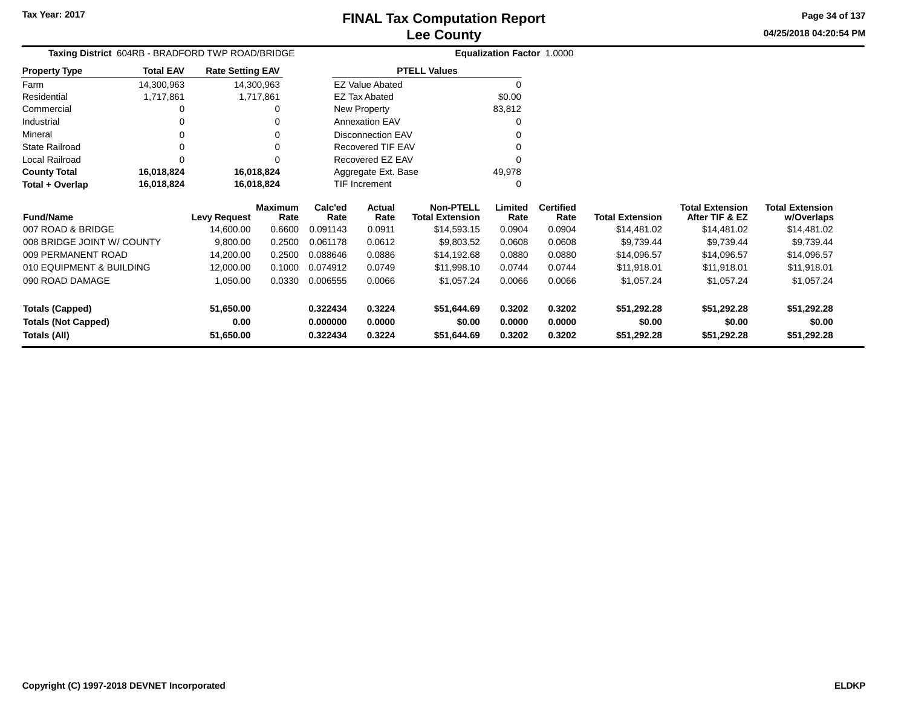**04/25/2018 04:20:54 PM Page 34 of 137**

|                            | Taxing District 604RB - BRADFORD TWP ROAD/BRIDGE |                         |                        |                 |                          |                                            | Equalization Factor 1.0000 |                          |                        |                                          |                                      |
|----------------------------|--------------------------------------------------|-------------------------|------------------------|-----------------|--------------------------|--------------------------------------------|----------------------------|--------------------------|------------------------|------------------------------------------|--------------------------------------|
| Property Type              | <b>Total EAV</b>                                 | <b>Rate Setting EAV</b> |                        |                 |                          | <b>PTELL Values</b>                        |                            |                          |                        |                                          |                                      |
| Farm                       | 14,300,963                                       |                         | 14,300,963             |                 | <b>EZ Value Abated</b>   |                                            | 0                          |                          |                        |                                          |                                      |
| Residential                | 1,717,861                                        |                         | 1,717,861              |                 | EZ Tax Abated            |                                            | \$0.00                     |                          |                        |                                          |                                      |
| Commercial                 |                                                  |                         |                        |                 | New Property             |                                            | 83,812                     |                          |                        |                                          |                                      |
| Industrial                 |                                                  |                         |                        |                 | Annexation EAV           |                                            | 0                          |                          |                        |                                          |                                      |
| Mineral                    |                                                  |                         | 0                      |                 | <b>Disconnection EAV</b> |                                            |                            |                          |                        |                                          |                                      |
| State Railroad             | 0                                                |                         | $\Omega$               |                 | <b>Recovered TIF EAV</b> |                                            | 0                          |                          |                        |                                          |                                      |
| Local Railroad             |                                                  |                         | 0                      |                 | Recovered EZ EAV         |                                            | 0                          |                          |                        |                                          |                                      |
| <b>County Total</b>        | 16,018,824                                       |                         | 16,018,824             |                 | Aggregate Ext. Base      |                                            | 49,978                     |                          |                        |                                          |                                      |
| Total + Overlap            | 16,018,824                                       |                         | 16,018,824             |                 | <b>TIF Increment</b>     |                                            | 0                          |                          |                        |                                          |                                      |
| <b>Fund/Name</b>           |                                                  | <b>Levy Request</b>     | <b>Maximum</b><br>Rate | Calc'ed<br>Rate | Actual<br>Rate           | <b>Non-PTELL</b><br><b>Total Extension</b> | Limited<br>Rate            | <b>Certified</b><br>Rate | <b>Total Extension</b> | <b>Total Extension</b><br>After TIF & EZ | <b>Total Extension</b><br>w/Overlaps |
| 007 ROAD & BRIDGE          |                                                  | 14,600.00               | 0.6600                 | 0.091143        | 0.0911                   | \$14,593.15                                | 0.0904                     | 0.0904                   | \$14,481.02            | \$14,481.02                              | \$14,481.02                          |
| 008 BRIDGE JOINT W/ COUNTY |                                                  | 9,800.00                | 0.2500                 | 0.061178        | 0.0612                   | \$9,803.52                                 | 0.0608                     | 0.0608                   | \$9,739.44             | \$9,739.44                               | \$9,739.44                           |
| 009 PERMANENT ROAD         |                                                  | 14,200.00               | 0.2500                 | 0.088646        | 0.0886                   | \$14,192.68                                | 0.0880                     | 0.0880                   | \$14,096.57            | \$14,096.57                              | \$14,096.57                          |
| 010 EQUIPMENT & BUILDING   |                                                  | 12,000.00               | 0.1000                 | 0.074912        | 0.0749                   | \$11,998.10                                | 0.0744                     | 0.0744                   | \$11,918.01            | \$11,918.01                              | \$11,918.01                          |
| 090 ROAD DAMAGE            |                                                  | 1,050.00                | 0.0330                 | 0.006555        | 0.0066                   | \$1,057.24                                 | 0.0066                     | 0.0066                   | \$1,057.24             | \$1,057.24                               | \$1,057.24                           |
| <b>Totals (Capped)</b>     |                                                  | 51,650.00               |                        | 0.322434        | 0.3224                   | \$51,644.69                                | 0.3202                     | 0.3202                   | \$51,292.28            | \$51,292.28                              | \$51,292.28                          |
| <b>Totals (Not Capped)</b> |                                                  | 0.00                    |                        | 0.000000        | 0.0000                   | \$0.00                                     | 0.0000                     | 0.0000                   | \$0.00                 | \$0.00                                   | \$0.00                               |
| Totals (All)               |                                                  | 51,650.00               |                        | 0.322434        | 0.3224                   | \$51,644.69                                | 0.3202                     | 0.3202                   | \$51,292.28            | \$51,292.28                              | \$51,292.28                          |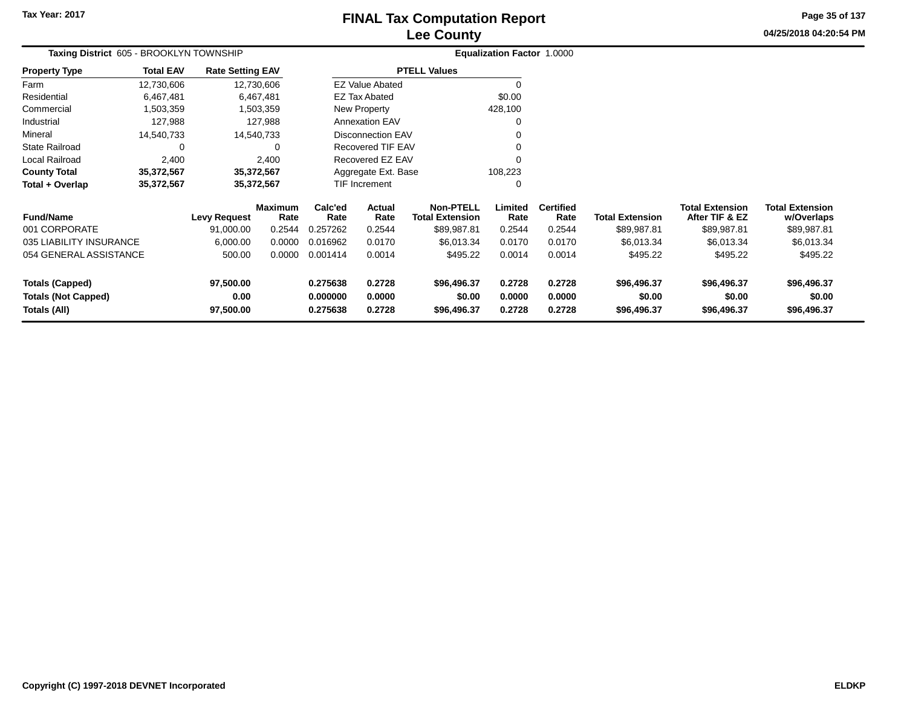## **Lee CountyFINAL Tax Computation Report**

**04/25/2018 04:20:54 PM Page 35 of 137**

| Taxing District 605 - BROOKLYN TOWNSHIP    |                  |                         |                 |                      |                                            |                       | Equalization Factor 1.0000 |                        |                                          |                                      |                       |
|--------------------------------------------|------------------|-------------------------|-----------------|----------------------|--------------------------------------------|-----------------------|----------------------------|------------------------|------------------------------------------|--------------------------------------|-----------------------|
| <b>Property Type</b>                       | <b>Total EAV</b> | <b>Rate Setting EAV</b> |                 |                      |                                            | <b>PTELL Values</b>   |                            |                        |                                          |                                      |                       |
| Farm                                       | 12,730,606       |                         | 12,730,606      |                      | <b>EZ Value Abated</b>                     |                       |                            |                        |                                          |                                      |                       |
| Residential                                | 6,467,481        |                         | 6,467,481       |                      | <b>EZ Tax Abated</b>                       |                       | \$0.00                     |                        |                                          |                                      |                       |
| Commercial                                 | 1,503,359        |                         | 1,503,359       |                      | New Property                               |                       | 428,100                    |                        |                                          |                                      |                       |
| Industrial                                 | 127,988          |                         | 127,988         |                      | <b>Annexation EAV</b>                      |                       |                            |                        |                                          |                                      |                       |
| Mineral                                    | 14,540,733       |                         | 14,540,733      |                      | <b>Disconnection EAV</b>                   |                       |                            |                        |                                          |                                      |                       |
| <b>State Railroad</b>                      | 0                |                         | 0               |                      | <b>Recovered TIF EAV</b>                   |                       |                            |                        |                                          |                                      |                       |
| Local Railroad                             | 2,400            |                         | 2,400           |                      | Recovered EZ EAV                           |                       |                            |                        |                                          |                                      |                       |
| <b>County Total</b>                        | 35,372,567       |                         | 35,372,567      |                      | Aggregate Ext. Base                        |                       | 108,223                    |                        |                                          |                                      |                       |
| Total + Overlap                            | 35,372,567       |                         | 35,372,567      | TIF Increment        |                                            | ∩                     |                            |                        |                                          |                                      |                       |
| <b>Fund/Name</b><br><b>Levy Request</b>    |                  | <b>Maximum</b><br>Rate  | Calc'ed<br>Rate | Actual<br>Rate       | <b>Non-PTELL</b><br><b>Total Extension</b> | Limited<br>Rate       | <b>Certified</b><br>Rate   | <b>Total Extension</b> | <b>Total Extension</b><br>After TIF & EZ | <b>Total Extension</b><br>w/Overlaps |                       |
| 001 CORPORATE                              |                  | 91,000.00               | 0.2544          | 0.257262             | 0.2544                                     | \$89,987.81           | 0.2544                     | 0.2544                 | \$89,987.81                              | \$89,987.81                          | \$89,987.81           |
| 035 LIABILITY INSURANCE                    |                  | 6,000.00                | 0.0000          | 0.016962             | 0.0170                                     | \$6,013.34            | 0.0170                     | 0.0170                 | \$6,013.34                               | \$6,013.34                           | \$6,013.34            |
| 054 GENERAL ASSISTANCE                     |                  | 500.00                  | 0.0000          | 0.001414             | 0.0014                                     | \$495.22              | 0.0014                     | 0.0014                 | \$495.22                                 | \$495.22                             | \$495.22              |
| <b>Totals (Capped)</b>                     |                  | 97,500.00               |                 | 0.275638             | 0.2728                                     | \$96,496.37           | 0.2728                     | 0.2728                 | \$96,496.37                              | \$96,496.37                          | \$96,496.37           |
| <b>Totals (Not Capped)</b><br>Totals (All) |                  | 0.00<br>97,500.00       |                 | 0.000000<br>0.275638 | 0.0000<br>0.2728                           | \$0.00<br>\$96,496.37 | 0.0000<br>0.2728           | 0.0000<br>0.2728       | \$0.00<br>\$96,496.37                    | \$0.00<br>\$96,496.37                | \$0.00<br>\$96,496.37 |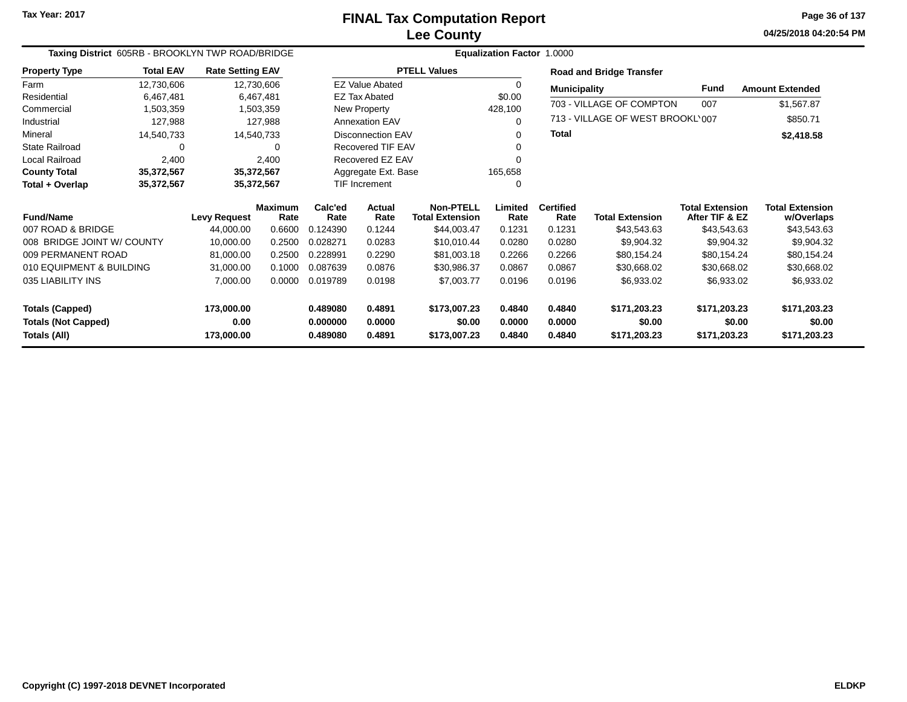**04/25/2018 04:20:54 PM Page 36 of 137**

| Taxing District 605RB - BROOKLYN TWP ROAD/BRIDGE |                  |                         |                        |                 |                          |                                            | Equalization Factor 1.0000 |                          |                                  |                                          |                                      |
|--------------------------------------------------|------------------|-------------------------|------------------------|-----------------|--------------------------|--------------------------------------------|----------------------------|--------------------------|----------------------------------|------------------------------------------|--------------------------------------|
| <b>Property Type</b>                             | <b>Total EAV</b> | <b>Rate Setting EAV</b> |                        |                 |                          | <b>PTELL Values</b>                        |                            |                          | <b>Road and Bridge Transfer</b>  |                                          |                                      |
| Farm                                             | 12,730,606       | 12,730,606              |                        |                 | <b>EZ Value Abated</b>   |                                            | 0                          | <b>Municipality</b>      |                                  | <b>Fund</b>                              | <b>Amount Extended</b>               |
| Residential                                      | 6,467,481        |                         | 6,467,481              |                 | <b>EZ Tax Abated</b>     |                                            | \$0.00                     |                          | 703 - VILLAGE OF COMPTON         |                                          |                                      |
| Commercial                                       | 1,503,359        |                         | 1,503,359              |                 | New Property             |                                            | 428,100                    |                          |                                  | 007                                      | \$1,567.87                           |
| Industrial                                       | 127,988          |                         | 127,988                |                 | <b>Annexation EAV</b>    |                                            | 0                          |                          | 713 - VILLAGE OF WEST BROOKL'007 |                                          | \$850.71                             |
| Mineral                                          | 14,540,733       | 14,540,733              |                        |                 | Disconnection EAV        |                                            | 0                          | <b>Total</b>             |                                  |                                          | \$2,418.58                           |
| <b>State Railroad</b>                            | 0                |                         | $\Omega$               |                 | <b>Recovered TIF EAV</b> |                                            | $\Omega$                   |                          |                                  |                                          |                                      |
| Local Railroad                                   | 2,400            |                         | 2,400                  |                 | Recovered EZ EAV         |                                            | ∩                          |                          |                                  |                                          |                                      |
| <b>County Total</b>                              | 35,372,567       |                         | 35,372,567             |                 | Aggregate Ext. Base      |                                            | 165,658                    |                          |                                  |                                          |                                      |
| Total + Overlap                                  | 35,372,567       | 35,372,567              |                        |                 | <b>TIF Increment</b>     |                                            | $\Omega$                   |                          |                                  |                                          |                                      |
| <b>Fund/Name</b>                                 |                  | <b>Levy Request</b>     | <b>Maximum</b><br>Rate | Calc'ed<br>Rate | Actual<br>Rate           | <b>Non-PTELL</b><br><b>Total Extension</b> | Limited<br>Rate            | <b>Certified</b><br>Rate | <b>Total Extension</b>           | <b>Total Extension</b><br>After TIF & EZ | <b>Total Extension</b><br>w/Overlaps |
| 007 ROAD & BRIDGE                                |                  | 44,000.00               | 0.6600                 | 0.124390        | 0.1244                   | \$44,003.47                                | 0.1231                     | 0.1231                   | \$43,543.63                      | \$43,543.63                              | \$43,543.63                          |
| 008 BRIDGE JOINT W/ COUNTY                       |                  | 10,000.00               | 0.2500                 | 0.028271        | 0.0283                   | \$10,010.44                                | 0.0280                     | 0.0280                   | \$9,904.32                       | \$9,904.32                               | \$9,904.32                           |
| 009 PERMANENT ROAD                               |                  | 81,000.00               | 0.2500                 | 0.228991        | 0.2290                   | \$81,003.18                                | 0.2266                     | 0.2266                   | \$80,154.24                      | \$80,154.24                              | \$80,154.24                          |
| 010 EQUIPMENT & BUILDING                         |                  | 31,000.00               | 0.1000                 | 0.087639        | 0.0876                   | \$30,986.37                                | 0.0867                     | 0.0867                   | \$30,668.02                      | \$30,668.02                              | \$30,668.02                          |
| 035 LIABILITY INS                                |                  | 7,000.00                | 0.0000                 | 0.019789        | 0.0198                   | \$7,003.77                                 | 0.0196                     | 0.0196                   | \$6,933.02                       | \$6,933.02                               | \$6,933.02                           |
| <b>Totals (Capped)</b>                           |                  | 173,000.00              |                        | 0.489080        | 0.4891                   | \$173,007.23                               | 0.4840                     | 0.4840                   | \$171,203.23                     | \$171,203.23                             | \$171,203.23                         |
| <b>Totals (Not Capped)</b>                       |                  | 0.00                    |                        | 0.000000        | 0.0000                   | \$0.00                                     | 0.0000                     | 0.0000                   | \$0.00                           | \$0.00                                   | \$0.00                               |
| Totals (All)                                     |                  | 173,000.00              |                        | 0.489080        | 0.4891                   | \$173,007.23                               | 0.4840                     | 0.4840                   | \$171,203.23                     | \$171,203.23                             | \$171,203.23                         |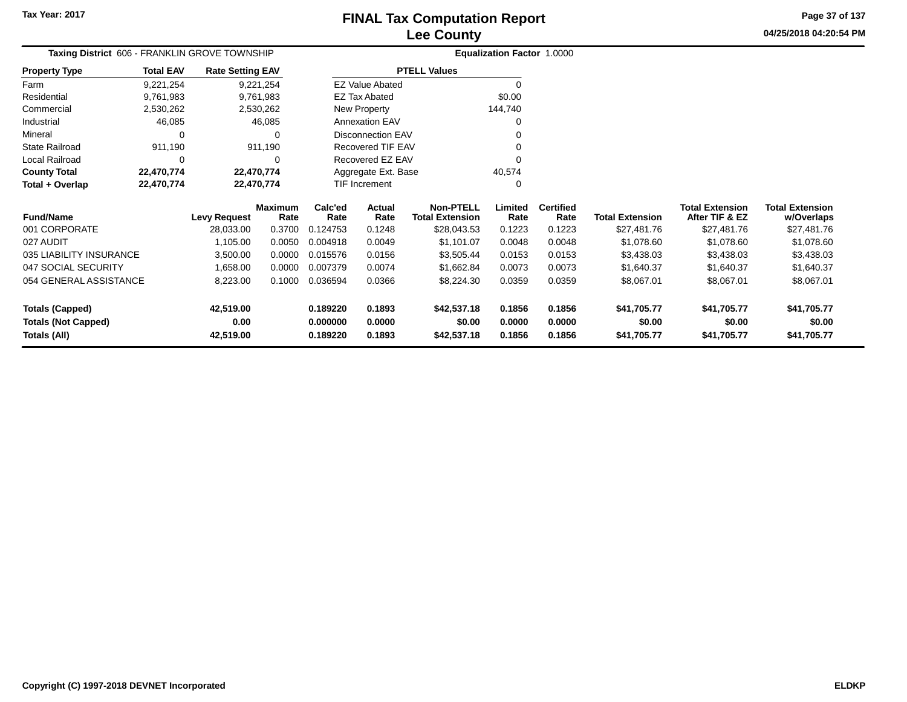**04/25/2018 04:20:54 PM Page 37 of 137**

| Taxing District 606 - FRANKLIN GROVE TOWNSHIP |                  |                         |                        |                      |                          |                                            | Equalization Factor 1.0000 |                          |                        |                                          |                                      |
|-----------------------------------------------|------------------|-------------------------|------------------------|----------------------|--------------------------|--------------------------------------------|----------------------------|--------------------------|------------------------|------------------------------------------|--------------------------------------|
| <b>Property Type</b>                          | <b>Total EAV</b> | <b>Rate Setting EAV</b> |                        |                      |                          | <b>PTELL Values</b>                        |                            |                          |                        |                                          |                                      |
| Farm                                          | 9,221,254        |                         | 9,221,254              |                      | <b>EZ Value Abated</b>   |                                            | 0                          |                          |                        |                                          |                                      |
| Residential                                   | 9,761,983        |                         | 9,761,983              |                      | <b>EZ Tax Abated</b>     |                                            | \$0.00                     |                          |                        |                                          |                                      |
| Commercial                                    | 2,530,262        |                         | 2,530,262              |                      | New Property             |                                            | 144,740                    |                          |                        |                                          |                                      |
| Industrial                                    | 46,085           |                         | 46,085                 |                      | <b>Annexation EAV</b>    |                                            | 0                          |                          |                        |                                          |                                      |
| Mineral                                       | 0                |                         | 0                      |                      | <b>Disconnection EAV</b> |                                            |                            |                          |                        |                                          |                                      |
| <b>State Railroad</b>                         | 911,190          |                         | 911,190                |                      | Recovered TIF EAV        |                                            |                            |                          |                        |                                          |                                      |
| <b>Local Railroad</b>                         | 0                |                         | O                      |                      | Recovered EZ EAV         |                                            |                            |                          |                        |                                          |                                      |
| <b>County Total</b>                           | 22,470,774       |                         | 22,470,774             |                      | Aggregate Ext. Base      |                                            | 40,574                     |                          |                        |                                          |                                      |
| Total + Overlap                               | 22,470,774       |                         | 22,470,774             |                      | TIF Increment            |                                            | 0                          |                          |                        |                                          |                                      |
| <b>Fund/Name</b>                              |                  | <b>Levy Request</b>     | <b>Maximum</b><br>Rate | Calc'ed<br>Rate      | Actual<br>Rate           | <b>Non-PTELL</b><br><b>Total Extension</b> | Limited<br>Rate            | <b>Certified</b><br>Rate | <b>Total Extension</b> | <b>Total Extension</b><br>After TIF & EZ | <b>Total Extension</b><br>w/Overlaps |
| 001 CORPORATE                                 |                  | 28,033.00               | 0.3700                 | 0.124753             | 0.1248                   | \$28,043.53                                | 0.1223                     | 0.1223                   | \$27,481.76            | \$27,481.76                              | \$27,481.76                          |
| 027 AUDIT                                     |                  | 1,105.00                | 0.0050                 | 0.004918             | 0.0049                   | \$1,101.07                                 | 0.0048                     | 0.0048                   | \$1,078.60             | \$1,078.60                               | \$1,078.60                           |
| 035 LIABILITY INSURANCE                       |                  | 3,500.00                | 0.0000                 | 0.015576             | 0.0156                   | \$3,505.44                                 | 0.0153                     | 0.0153                   | \$3,438.03             | \$3,438.03                               | \$3,438.03                           |
| 047 SOCIAL SECURITY                           |                  | 1,658.00                | 0.0000                 | 0.007379             | 0.0074                   | \$1,662.84                                 | 0.0073                     | 0.0073                   | \$1,640.37             | \$1,640.37                               | \$1,640.37                           |
| 054 GENERAL ASSISTANCE                        |                  | 8,223.00                | 0.1000                 | 0.036594             | 0.0366                   | \$8,224.30                                 | 0.0359                     | 0.0359                   | \$8,067.01             | \$8,067.01                               | \$8,067.01                           |
| <b>Totals (Capped)</b>                        |                  | 42,519.00               |                        | 0.189220             | 0.1893                   | \$42,537.18                                | 0.1856                     | 0.1856                   | \$41,705.77            | \$41,705.77                              | \$41,705.77                          |
| <b>Totals (Not Capped)</b><br>Totals (All)    |                  | 0.00<br>42,519.00       |                        | 0.000000<br>0.189220 | 0.0000<br>0.1893         | \$0.00<br>\$42,537.18                      | 0.0000<br>0.1856           | 0.0000<br>0.1856         | \$0.00<br>\$41,705.77  | \$0.00<br>\$41,705.77                    | \$0.00<br>\$41,705.77                |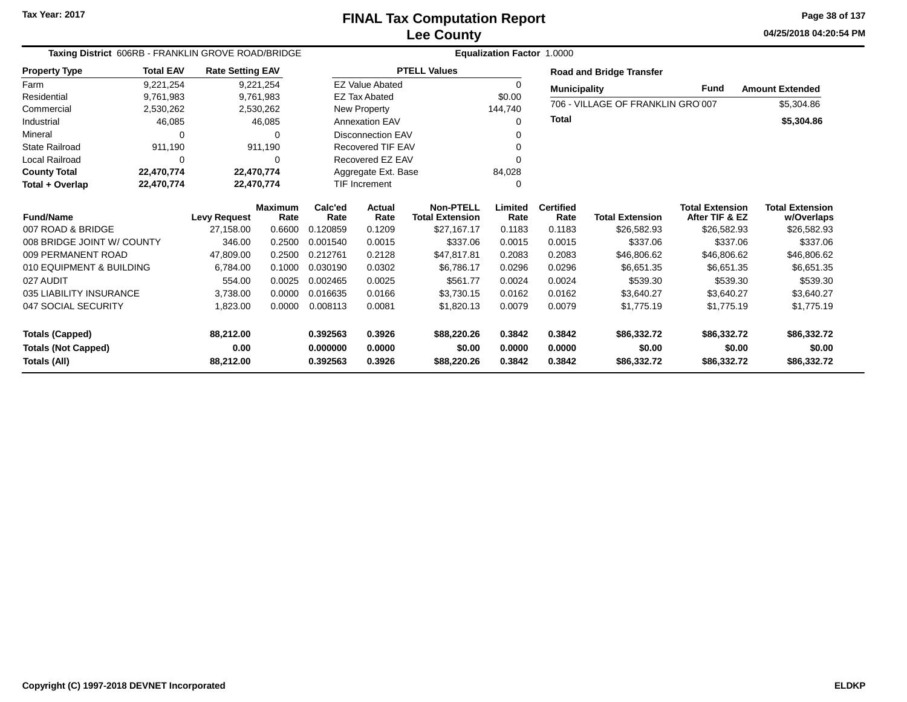**04/25/2018 04:20:54 PM Page 38 of 137**

| Taxing District 606RB - FRANKLIN GROVE ROAD/BRIDGE |                  |                         |                        |                 |                          |                                            | <b>Equalization Factor 1.0000</b> |                          |                                   |                                          |                                      |
|----------------------------------------------------|------------------|-------------------------|------------------------|-----------------|--------------------------|--------------------------------------------|-----------------------------------|--------------------------|-----------------------------------|------------------------------------------|--------------------------------------|
| <b>Property Type</b>                               | <b>Total EAV</b> | <b>Rate Setting EAV</b> |                        |                 |                          | <b>PTELL Values</b>                        |                                   |                          | <b>Road and Bridge Transfer</b>   |                                          |                                      |
| Farm                                               | 9,221,254        |                         | 9,221,254              |                 | <b>EZ Value Abated</b>   |                                            | 0                                 | <b>Municipality</b>      |                                   | Fund                                     | <b>Amount Extended</b>               |
| Residential                                        | 9,761,983        |                         | 9,761,983              |                 | <b>EZ Tax Abated</b>     |                                            | \$0.00                            |                          | 706 - VILLAGE OF FRANKLIN GRO 007 |                                          |                                      |
| Commercial                                         | 2,530,262        |                         | 2,530,262              |                 | New Property             |                                            | 144,740                           |                          |                                   |                                          | \$5,304.86                           |
| Industrial                                         | 46,085           |                         | 46,085                 |                 | <b>Annexation EAV</b>    |                                            | $\Omega$                          | <b>Total</b>             |                                   |                                          | \$5,304.86                           |
| Mineral                                            | 0                |                         | 0                      |                 | <b>Disconnection EAV</b> |                                            |                                   |                          |                                   |                                          |                                      |
| <b>State Railroad</b>                              | 911,190          |                         | 911,190                |                 | Recovered TIF EAV        |                                            |                                   |                          |                                   |                                          |                                      |
| <b>Local Railroad</b>                              | $\Omega$         |                         | 0                      |                 | Recovered EZ EAV         |                                            | 0                                 |                          |                                   |                                          |                                      |
| <b>County Total</b>                                | 22,470,774       |                         | 22,470,774             |                 | Aggregate Ext. Base      |                                            | 84,028                            |                          |                                   |                                          |                                      |
| Total + Overlap                                    | 22,470,774       |                         | 22,470,774             |                 | <b>TIF Increment</b>     |                                            | 0                                 |                          |                                   |                                          |                                      |
| <b>Fund/Name</b>                                   |                  | <b>Levy Request</b>     | <b>Maximum</b><br>Rate | Calc'ed<br>Rate | Actual<br>Rate           | <b>Non-PTELL</b><br><b>Total Extension</b> | Limited<br>Rate                   | <b>Certified</b><br>Rate | <b>Total Extension</b>            | <b>Total Extension</b><br>After TIF & EZ | <b>Total Extension</b><br>w/Overlaps |
| 007 ROAD & BRIDGE                                  |                  | 27.158.00               | 0.6600                 | 0.120859        | 0.1209                   | \$27,167.17                                | 0.1183                            | 0.1183                   | \$26,582.93                       | \$26,582.93                              | \$26,582.93                          |
| 008 BRIDGE JOINT W/ COUNTY                         |                  | 346.00                  | 0.2500                 | 0.001540        | 0.0015                   | \$337.06                                   | 0.0015                            | 0.0015                   | \$337.06                          | \$337.06                                 | \$337.06                             |
| 009 PERMANENT ROAD                                 |                  | 47,809.00               | 0.2500                 | 0.212761        | 0.2128                   | \$47,817.81                                | 0.2083                            | 0.2083                   | \$46,806.62                       | \$46,806.62                              | \$46,806.62                          |
| 010 EQUIPMENT & BUILDING                           |                  | 6,784.00                | 0.1000                 | 0.030190        | 0.0302                   | \$6.786.17                                 | 0.0296                            | 0.0296                   | \$6,651.35                        | \$6,651.35                               | \$6,651.35                           |
| 027 AUDIT                                          |                  | 554.00                  | 0.0025                 | 0.002465        | 0.0025                   | \$561.77                                   | 0.0024                            | 0.0024                   | \$539.30                          | \$539.30                                 | \$539.30                             |
| 035 LIABILITY INSURANCE                            |                  | 3,738.00                | 0.0000                 | 0.016635        | 0.0166                   | \$3,730.15                                 | 0.0162                            | 0.0162                   | \$3,640.27                        | \$3,640.27                               | \$3,640.27                           |
| 047 SOCIAL SECURITY                                |                  | 1,823.00                | 0.0000                 | 0.008113        | 0.0081                   | \$1.820.13                                 | 0.0079                            | 0.0079                   | \$1,775.19                        | \$1,775.19                               | \$1,775.19                           |
|                                                    |                  |                         |                        |                 |                          |                                            |                                   |                          |                                   |                                          |                                      |
| <b>Totals (Capped)</b>                             |                  | 88,212.00               |                        | 0.392563        | 0.3926                   | \$88,220.26                                | 0.3842                            | 0.3842                   | \$86,332.72                       | \$86,332.72                              | \$86,332.72                          |
| <b>Totals (Not Capped)</b>                         |                  | 0.00                    |                        | 0.000000        | 0.0000                   | \$0.00                                     | 0.0000                            | 0.0000                   | \$0.00                            | \$0.00                                   | \$0.00                               |
| Totals (All)                                       |                  | 88,212.00               |                        | 0.392563        | 0.3926                   | \$88,220.26                                | 0.3842                            | 0.3842                   | \$86,332.72                       | \$86,332.72                              | \$86,332.72                          |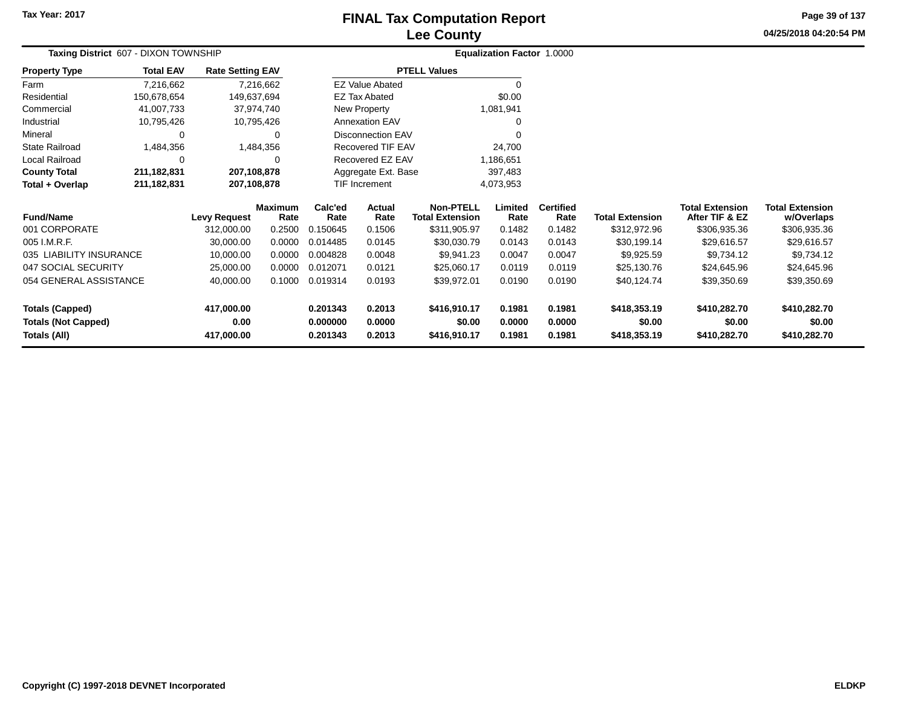**Property Type**

Farm

**Taxing District** 607 - DIXON TOWNSHIP

7,216,662

**Total EAV**

**Rate Setting EAV**

# **Lee CountyFINAL Tax Computation Report**

**04/25/2018 04:20:54 PM Page 39 of 137**

|                 |                       | <b>Lee County</b>                 |
|-----------------|-----------------------|-----------------------------------|
| D               |                       | <b>Equalization Factor 1.0000</b> |
| ate Setting EAV | <b>PTELL Values</b>   |                                   |
| 7,216,662       | EZ Value Abated       |                                   |
| 149,637,694     | EZ Tax Abated         | \$0.00                            |
| 37,974,740      | New Property          | 1,081,941                         |
| 10,795,426      | <b>Annexation EAV</b> |                                   |

| Residential                | 150,678,654   |                     | 149,637,694            |                 | <b>EZ Tax Abated</b>     |                                            | \$0.00          |                          |                        |                                          |                                      |
|----------------------------|---------------|---------------------|------------------------|-----------------|--------------------------|--------------------------------------------|-----------------|--------------------------|------------------------|------------------------------------------|--------------------------------------|
| Commercial                 | 41,007,733    |                     | 37,974,740             |                 | <b>New Property</b>      |                                            | 1,081,941       |                          |                        |                                          |                                      |
| Industrial                 | 10,795,426    |                     | 10,795,426             |                 | <b>Annexation EAV</b>    |                                            | 0               |                          |                        |                                          |                                      |
| Mineral                    | $\Omega$      |                     | 0                      |                 | <b>Disconnection EAV</b> |                                            | $\Omega$        |                          |                        |                                          |                                      |
| <b>State Railroad</b>      | 1,484,356     |                     | 1,484,356              |                 | Recovered TIF EAV        |                                            | 24,700          |                          |                        |                                          |                                      |
| Local Railroad             | $\Omega$      |                     | 0                      |                 | Recovered EZ EAV         |                                            | 1,186,651       |                          |                        |                                          |                                      |
| <b>County Total</b>        | 211, 182, 831 | 207,108,878         |                        |                 | Aggregate Ext. Base      |                                            | 397,483         |                          |                        |                                          |                                      |
| Total + Overlap            | 211,182,831   | 207,108,878         |                        |                 | <b>TIF Increment</b>     |                                            | 4,073,953       |                          |                        |                                          |                                      |
| <b>Fund/Name</b>           |               | <b>Levy Request</b> | <b>Maximum</b><br>Rate | Calc'ed<br>Rate | <b>Actual</b><br>Rate    | <b>Non-PTELL</b><br><b>Total Extension</b> | Limited<br>Rate | <b>Certified</b><br>Rate | <b>Total Extension</b> | <b>Total Extension</b><br>After TIF & EZ | <b>Total Extension</b><br>w/Overlaps |
| 001 CORPORATE              |               | 312,000.00          | 0.2500                 | 0.150645        | 0.1506                   | \$311,905.97                               | 0.1482          | 0.1482                   | \$312,972.96           | \$306,935.36                             | \$306,935.36                         |
| 005 I.M.R.F.               |               | 30,000.00           | 0.0000                 | 0.014485        | 0.0145                   | \$30,030.79                                | 0.0143          | 0.0143                   | \$30,199.14            | \$29,616.57                              | \$29,616.57                          |
| 035 LIABILITY INSURANCE    |               | 10,000.00           | 0.0000                 | 0.004828        | 0.0048                   | \$9,941.23                                 | 0.0047          | 0.0047                   | \$9,925.59             | \$9,734.12                               | \$9,734.12                           |
| 047 SOCIAL SECURITY        |               | 25,000.00           | 0.0000                 | 0.012071        | 0.0121                   | \$25,060.17                                | 0.0119          | 0.0119                   | \$25,130.76            | \$24,645.96                              | \$24,645.96                          |
| 054 GENERAL ASSISTANCE     |               | 40,000.00           | 0.1000                 | 0.019314        | 0.0193                   | \$39,972.01                                | 0.0190          | 0.0190                   | \$40,124.74            | \$39,350.69                              | \$39,350.69                          |
| Totals (Capped)            |               | 417,000.00          |                        | 0.201343        | 0.2013                   | \$416,910.17                               | 0.1981          | 0.1981                   | \$418,353.19           | \$410,282.70                             | \$410,282.70                         |
| <b>Totals (Not Capped)</b> |               | 0.00                |                        | 0.000000        | 0.0000                   | \$0.00                                     | 0.0000          | 0.0000                   | \$0.00                 | \$0.00                                   | \$0.00                               |
| Totals (All)               |               | 417,000.00          |                        | 0.201343        | 0.2013                   | \$416,910.17                               | 0.1981          | 0.1981                   | \$418,353.19           | \$410,282.70                             | \$410,282.70                         |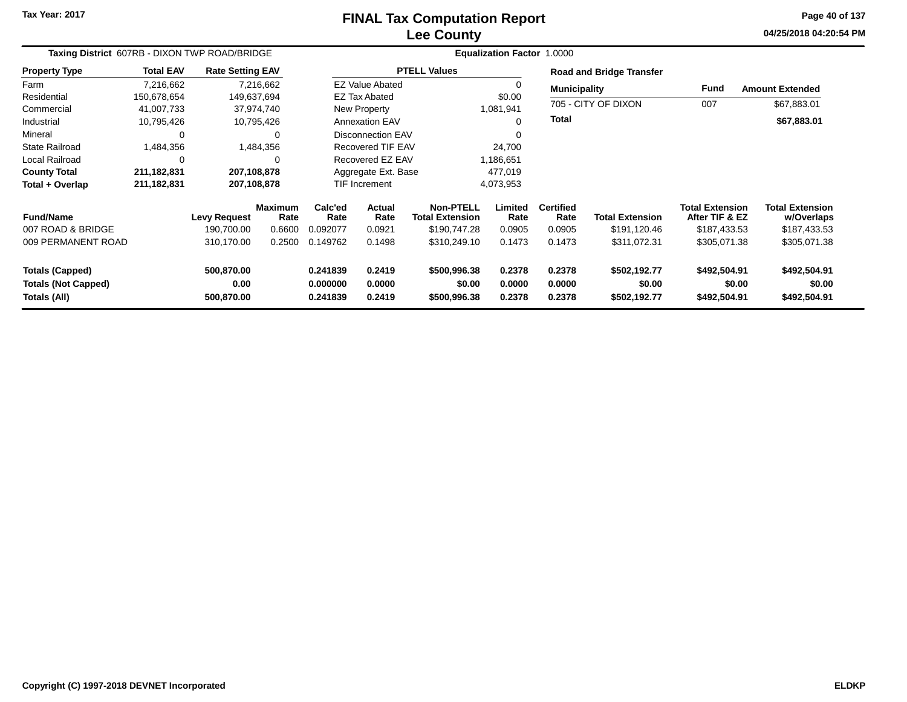# **Lee CountyFINAL Tax Computation Report**

**04/25/2018 04:20:54 PM Page 40 of 137**

| Taxing District 607RB - DIXON TWP ROAD/BRIDGE                        |                  |                                                 |                                            |                                         |                                           |                                                                            |                                     | Equalization Factor 1.0000                   |                                                        |                                                                          |                                                                      |  |  |
|----------------------------------------------------------------------|------------------|-------------------------------------------------|--------------------------------------------|-----------------------------------------|-------------------------------------------|----------------------------------------------------------------------------|-------------------------------------|----------------------------------------------|--------------------------------------------------------|--------------------------------------------------------------------------|----------------------------------------------------------------------|--|--|
| <b>Property Type</b>                                                 | <b>Total EAV</b> | <b>Rate Setting EAV</b>                         |                                            |                                         |                                           | <b>PTELL Values</b>                                                        |                                     |                                              | <b>Road and Bridge Transfer</b>                        |                                                                          |                                                                      |  |  |
| Farm                                                                 | 7,216,662        |                                                 | 7,216,662                                  |                                         | <b>EZ Value Abated</b>                    |                                                                            |                                     | <b>Municipality</b>                          |                                                        | Fund                                                                     | <b>Amount Extended</b>                                               |  |  |
| Residential                                                          | 150,678,654      |                                                 | 149,637,694                                |                                         | <b>EZ Tax Abated</b>                      |                                                                            | \$0.00                              |                                              |                                                        |                                                                          |                                                                      |  |  |
| Commercial                                                           | 41,007,733       |                                                 | 37,974,740                                 |                                         | New Property<br>1,081,941                 |                                                                            |                                     |                                              | 705 - CITY OF DIXON                                    | 007                                                                      | \$67,883.01                                                          |  |  |
| Industrial                                                           | 10,795,426       |                                                 | 10,795,426                                 |                                         | <b>Annexation EAV</b>                     |                                                                            | 0                                   | <b>Total</b>                                 |                                                        |                                                                          | \$67,883.01                                                          |  |  |
| Mineral                                                              | 0                |                                                 | 0                                          |                                         | <b>Disconnection EAV</b>                  |                                                                            | $\Omega$                            |                                              |                                                        |                                                                          |                                                                      |  |  |
| <b>State Railroad</b>                                                | 1,484,356        |                                                 | 1,484,356                                  |                                         | Recovered TIF EAV                         |                                                                            | 24,700                              |                                              |                                                        |                                                                          |                                                                      |  |  |
| Local Railroad                                                       | 0                |                                                 |                                            |                                         | Recovered EZ EAV                          |                                                                            | 1,186,651                           |                                              |                                                        |                                                                          |                                                                      |  |  |
| <b>County Total</b>                                                  | 211, 182, 831    | 207,108,878                                     |                                            |                                         | Aggregate Ext. Base                       |                                                                            | 477,019                             |                                              |                                                        |                                                                          |                                                                      |  |  |
| Total + Overlap                                                      | 211, 182, 831    | 207,108,878                                     |                                            |                                         | <b>TIF Increment</b>                      |                                                                            | 4,073,953                           |                                              |                                                        |                                                                          |                                                                      |  |  |
| <b>Fund/Name</b><br>007 ROAD & BRIDGE<br>009 PERMANENT ROAD          |                  | <b>Levy Request</b><br>190,700.00<br>310,170.00 | <b>Maximum</b><br>Rate<br>0.6600<br>0.2500 | Calc'ed<br>Rate<br>0.092077<br>0.149762 | <b>Actual</b><br>Rate<br>0.0921<br>0.1498 | <b>Non-PTELL</b><br><b>Total Extension</b><br>\$190,747.28<br>\$310,249.10 | Limited<br>Rate<br>0.0905<br>0.1473 | <b>Certified</b><br>Rate<br>0.0905<br>0.1473 | <b>Total Extension</b><br>\$191,120.46<br>\$311,072.31 | <b>Total Extension</b><br>After TIF & EZ<br>\$187,433.53<br>\$305,071.38 | <b>Total Extension</b><br>w/Overlaps<br>\$187,433.53<br>\$305,071.38 |  |  |
|                                                                      |                  |                                                 |                                            |                                         |                                           |                                                                            |                                     |                                              |                                                        |                                                                          |                                                                      |  |  |
| <b>Totals (Capped)</b><br><b>Totals (Not Capped)</b><br>Totals (All) |                  | 500,870.00<br>0.00<br>500,870.00                |                                            | 0.241839<br>0.000000<br>0.241839        | 0.2419<br>0.0000<br>0.2419                | \$500,996.38<br>\$0.00<br>\$500,996.38                                     | 0.2378<br>0.0000<br>0.2378          | 0.2378<br>0.0000<br>0.2378                   | \$502,192.77<br>\$0.00<br>\$502,192.77                 | \$492,504.91<br>\$0.00<br>\$492,504.91                                   | \$492,504.91<br>\$0.00<br>\$492,504.91                               |  |  |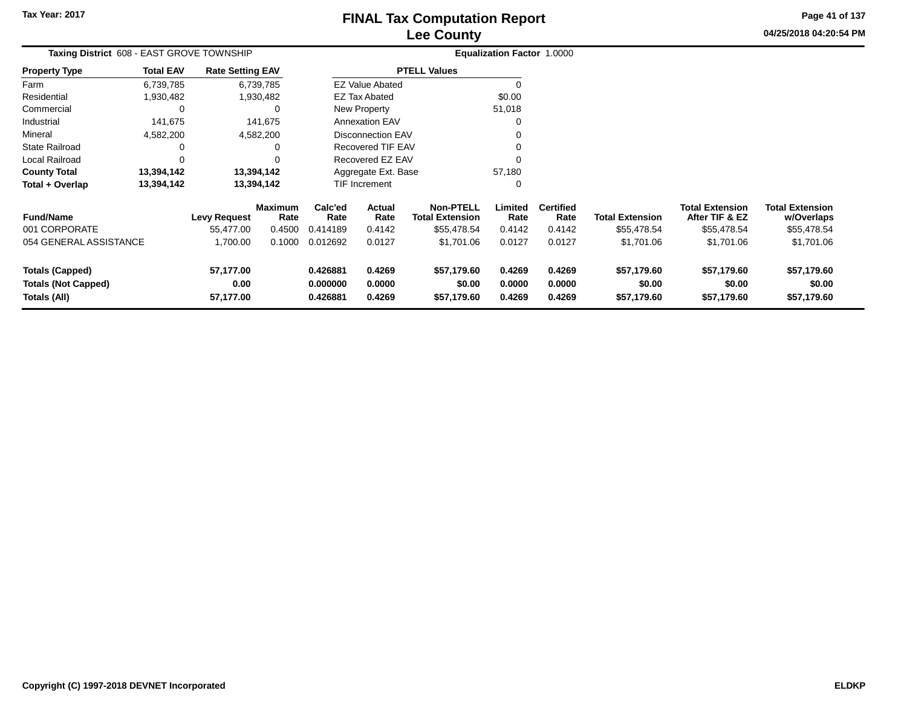**04/25/2018 04:20:54 PM Page 41 of 137**

| Taxing District 608 - EAST GROVE TOWNSHIP                            |                  |                                |                        |                                  |                            |                                            | Equalization Factor 1.0000 |                            |                                      |                                          |                                      |
|----------------------------------------------------------------------|------------------|--------------------------------|------------------------|----------------------------------|----------------------------|--------------------------------------------|----------------------------|----------------------------|--------------------------------------|------------------------------------------|--------------------------------------|
| <b>Property Type</b>                                                 | <b>Total EAV</b> | <b>Rate Setting EAV</b>        |                        |                                  |                            | <b>PTELL Values</b>                        |                            |                            |                                      |                                          |                                      |
| Farm                                                                 | 6,739,785        |                                | 6,739,785              |                                  | <b>EZ Value Abated</b>     |                                            | $\Omega$                   |                            |                                      |                                          |                                      |
| Residential                                                          | 1,930,482        |                                | 1,930,482              |                                  | EZ Tax Abated              |                                            | \$0.00                     |                            |                                      |                                          |                                      |
| Commercial                                                           | 0                |                                | 0                      |                                  | New Property               |                                            | 51,018                     |                            |                                      |                                          |                                      |
| Industrial                                                           | 141,675          |                                | 141,675                |                                  | <b>Annexation EAV</b>      |                                            | 0                          |                            |                                      |                                          |                                      |
| Mineral                                                              | 4,582,200        |                                | 4,582,200              |                                  | <b>Disconnection EAV</b>   |                                            |                            |                            |                                      |                                          |                                      |
| <b>State Railroad</b>                                                | 0                |                                | 0                      |                                  | Recovered TIF EAV          |                                            |                            |                            |                                      |                                          |                                      |
| Local Railroad                                                       | 0                |                                | ∩                      |                                  | Recovered EZ EAV           |                                            | $\Omega$                   |                            |                                      |                                          |                                      |
| <b>County Total</b>                                                  | 13,394,142       |                                | 13,394,142             |                                  | Aggregate Ext. Base        |                                            | 57,180                     |                            |                                      |                                          |                                      |
| Total + Overlap                                                      | 13,394,142       |                                | 13,394,142             |                                  | <b>TIF Increment</b>       |                                            | 0                          |                            |                                      |                                          |                                      |
| <b>Fund/Name</b>                                                     |                  | Levy Request                   | <b>Maximum</b><br>Rate | Calc'ed<br>Rate                  | Actual<br>Rate             | <b>Non-PTELL</b><br><b>Total Extension</b> | Limited<br>Rate            | <b>Certified</b><br>Rate   | <b>Total Extension</b>               | <b>Total Extension</b><br>After TIF & EZ | <b>Total Extension</b><br>w/Overlaps |
| 001 CORPORATE                                                        |                  | 55,477.00                      | 0.4500                 | 0.414189                         | 0.4142                     | \$55,478.54                                | 0.4142                     | 0.4142                     | \$55,478.54                          | \$55,478.54                              | \$55,478.54                          |
| 054 GENERAL ASSISTANCE                                               |                  | 1,700.00                       | 0.1000                 | 0.012692                         | 0.0127                     | \$1,701.06                                 | 0.0127                     | 0.0127                     | \$1,701.06                           | \$1,701.06                               | \$1,701.06                           |
| <b>Totals (Capped)</b><br><b>Totals (Not Capped)</b><br>Totals (All) |                  | 57,177.00<br>0.00<br>57,177.00 |                        | 0.426881<br>0.000000<br>0.426881 | 0.4269<br>0.0000<br>0.4269 | \$57,179.60<br>\$0.00<br>\$57,179.60       | 0.4269<br>0.0000<br>0.4269 | 0.4269<br>0.0000<br>0.4269 | \$57,179.60<br>\$0.00<br>\$57,179.60 | \$57,179.60<br>\$0.00<br>\$57,179.60     | \$57,179.60<br>\$0.00<br>\$57,179.60 |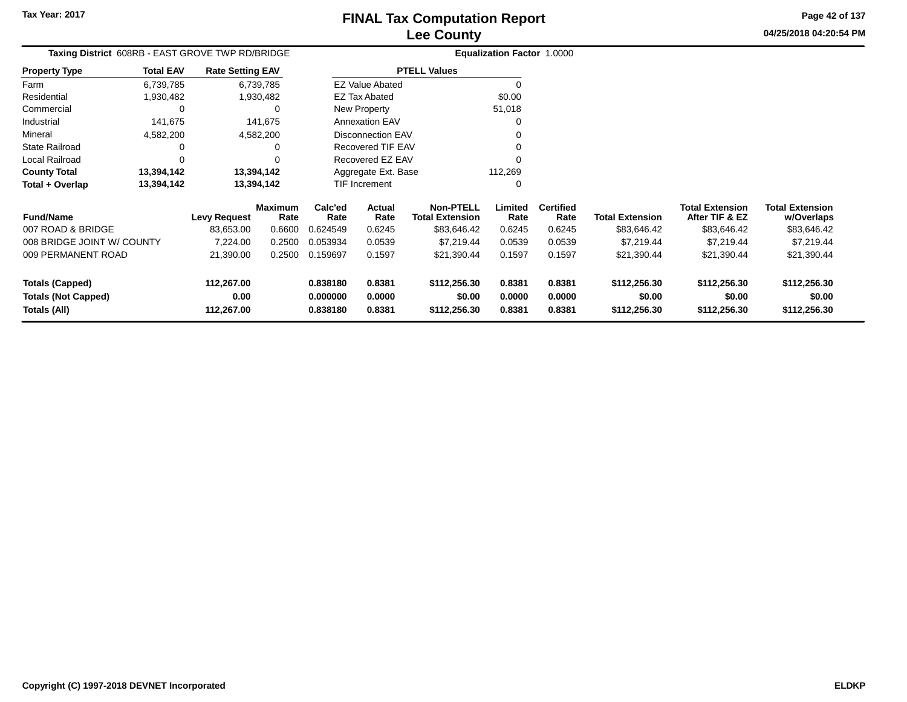**0.838180 0.8381 \$112,256.30 0.8381 0.8381 \$112,256.30 \$112,256.30 \$112,256.30**

**04/25/2018 04:20:54 PMPage 42 of 137**

> **w/Overlaps**\$83,646.42

| Taxing District 608RB - EAST GROVE TWP RD/BRIDGE |                  |                         |                        |                 |                        |                                            | Equalization Factor 1.0000 |                          |                        |                                          |                                      |
|--------------------------------------------------|------------------|-------------------------|------------------------|-----------------|------------------------|--------------------------------------------|----------------------------|--------------------------|------------------------|------------------------------------------|--------------------------------------|
| <b>Property Type</b>                             | <b>Total EAV</b> | <b>Rate Setting EAV</b> |                        |                 |                        | <b>PTELL Values</b>                        |                            |                          |                        |                                          |                                      |
| Farm                                             | 6,739,785        |                         | 6,739,785              |                 | <b>EZ Value Abated</b> |                                            |                            |                          |                        |                                          |                                      |
| Residential                                      | 1,930,482        |                         | 1,930,482              |                 | <b>EZ Tax Abated</b>   |                                            | \$0.00                     |                          |                        |                                          |                                      |
| Commercial                                       |                  |                         |                        |                 | New Property           |                                            | 51,018                     |                          |                        |                                          |                                      |
| Industrial                                       | 141,675          |                         | 141,675                |                 | <b>Annexation EAV</b>  |                                            |                            |                          |                        |                                          |                                      |
| Mineral                                          | 4,582,200        |                         | 4,582,200              |                 | Disconnection EAV      |                                            |                            |                          |                        |                                          |                                      |
| <b>State Railroad</b>                            |                  |                         |                        |                 | Recovered TIF EAV      |                                            |                            |                          |                        |                                          |                                      |
| Local Railroad                                   |                  |                         |                        |                 | Recovered EZ EAV       |                                            |                            |                          |                        |                                          |                                      |
| <b>County Total</b>                              | 13,394,142       | 13,394,142              |                        |                 | Aggregate Ext. Base    |                                            | 112,269                    |                          |                        |                                          |                                      |
| Total + Overlap                                  | 13,394,142       | 13,394,142              |                        |                 | TIF Increment          |                                            |                            |                          |                        |                                          |                                      |
| <b>Fund/Name</b>                                 |                  | <b>Levy Request</b>     | <b>Maximum</b><br>Rate | Calc'ed<br>Rate | Actual<br>Rate         | <b>Non-PTELL</b><br><b>Total Extension</b> | Limited<br>Rate            | <b>Certified</b><br>Rate | <b>Total Extension</b> | <b>Total Extension</b><br>After TIF & EZ | <b>Total Extension</b><br>w/Overlaps |
| 007 ROAD & BRIDGE                                |                  | 83,653.00               | 0.6600                 | 0.624549        | 0.6245                 | \$83,646.42                                | 0.6245                     | 0.6245                   | \$83,646.42            | \$83,646.42                              | \$83,646.42                          |
| 008 BRIDGE JOINT W/ COUNTY                       |                  | 7,224.00                | 0.2500                 | 0.053934        | 0.0539                 | \$7,219.44                                 | 0.0539                     | 0.0539                   | \$7,219.44             | \$7,219.44                               | \$7,219.44                           |
| 009 PERMANENT ROAD                               |                  | 21,390.00               | 0.2500                 | 0.159697        | 0.1597                 | \$21,390.44                                | 0.1597                     | 0.1597                   | \$21,390.44            | \$21,390.44                              | \$21,390.44                          |
| <b>Totals (Capped)</b>                           |                  | 112,267.00              |                        | 0.838180        | 0.8381                 | \$112,256.30                               | 0.8381                     | 0.8381                   | \$112,256.30           | \$112,256.30                             | \$112,256.30                         |
| <b>Totals (Not Capped)</b>                       |                  | 0.00                    |                        | 0.000000        | 0.0000                 | \$0.00                                     | 0.0000                     | 0.0000                   | \$0.00                 | \$0.00                                   | \$0.00                               |
| Totals (All)                                     |                  | 112,267.00              |                        | 0.838180        | 0.8381                 | \$112,256.30                               | 0.8381                     | 0.8381                   | \$112,256.30           | \$112,256.30                             | \$112,256.30                         |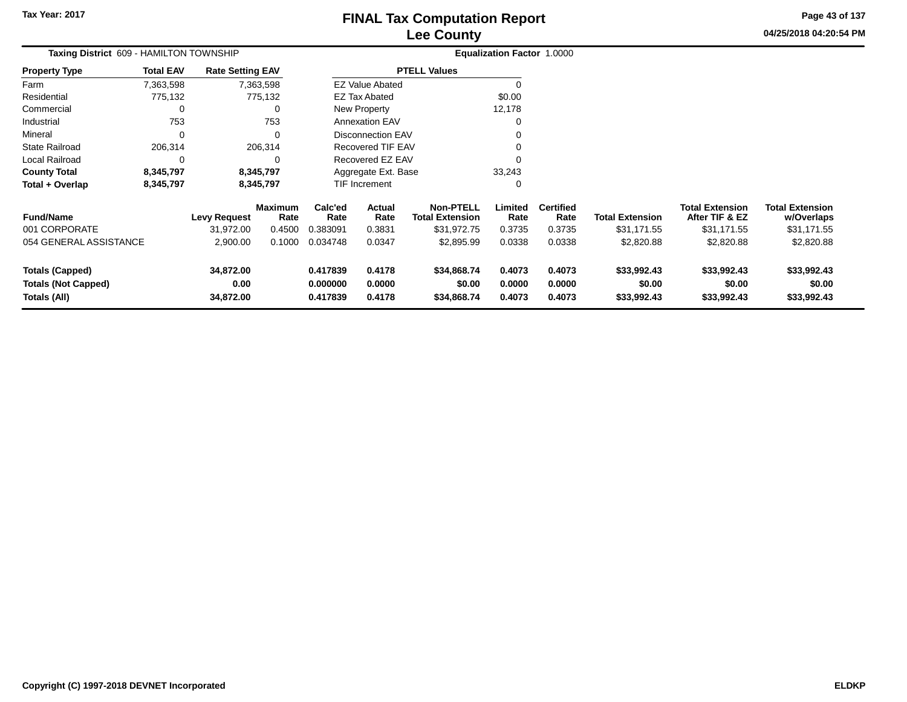**04/25/2018 04:20:54 PM Page 43 of 137**

| Taxing District 609 - HAMILTON TOWNSHIP                              |                  |                                |                        |                                  |                            |                                            | Equalization Factor 1.0000 |                            |                                      |                                          |                                      |
|----------------------------------------------------------------------|------------------|--------------------------------|------------------------|----------------------------------|----------------------------|--------------------------------------------|----------------------------|----------------------------|--------------------------------------|------------------------------------------|--------------------------------------|
| <b>Property Type</b>                                                 | <b>Total EAV</b> | <b>Rate Setting EAV</b>        |                        |                                  |                            | <b>PTELL Values</b>                        |                            |                            |                                      |                                          |                                      |
| Farm                                                                 | 7,363,598        |                                | 7,363,598              |                                  | <b>EZ Value Abated</b>     |                                            | $\Omega$                   |                            |                                      |                                          |                                      |
| Residential                                                          | 775,132          |                                | 775,132                |                                  | <b>EZ Tax Abated</b>       |                                            | \$0.00                     |                            |                                      |                                          |                                      |
| Commercial                                                           | 0                |                                | 0                      |                                  | New Property               |                                            | 12,178                     |                            |                                      |                                          |                                      |
| Industrial                                                           | 753              |                                | 753                    |                                  | <b>Annexation EAV</b>      |                                            |                            |                            |                                      |                                          |                                      |
| Mineral                                                              | $\Omega$         |                                | $\Omega$               |                                  | <b>Disconnection EAV</b>   |                                            |                            |                            |                                      |                                          |                                      |
| <b>State Railroad</b>                                                | 206,314          |                                | 206,314                |                                  | <b>Recovered TIF EAV</b>   |                                            |                            |                            |                                      |                                          |                                      |
| Local Railroad                                                       | 0                |                                | O                      |                                  | Recovered EZ EAV           |                                            |                            |                            |                                      |                                          |                                      |
| <b>County Total</b>                                                  | 8,345,797        |                                | 8,345,797              |                                  | Aggregate Ext. Base        |                                            | 33,243                     |                            |                                      |                                          |                                      |
| Total + Overlap                                                      | 8,345,797        |                                | 8,345,797              |                                  | TIF Increment              |                                            | 0                          |                            |                                      |                                          |                                      |
| <b>Fund/Name</b>                                                     |                  | <b>Levy Request</b>            | <b>Maximum</b><br>Rate | Calc'ed<br>Rate                  | Actual<br>Rate             | <b>Non-PTELL</b><br><b>Total Extension</b> | Limited<br>Rate            | <b>Certified</b><br>Rate   | <b>Total Extension</b>               | <b>Total Extension</b><br>After TIF & EZ | <b>Total Extension</b><br>w/Overlaps |
| 001 CORPORATE                                                        |                  | 31,972.00                      | 0.4500                 | 0.383091                         | 0.3831                     | \$31,972.75                                | 0.3735                     | 0.3735                     | \$31,171.55                          | \$31,171.55                              | \$31,171.55                          |
| 054 GENERAL ASSISTANCE                                               |                  | 2,900.00                       | 0.1000                 | 0.034748                         | 0.0347                     | \$2,895.99                                 | 0.0338                     | 0.0338                     | \$2,820.88                           | \$2,820.88                               | \$2,820.88                           |
| <b>Totals (Capped)</b><br><b>Totals (Not Capped)</b><br>Totals (All) |                  | 34,872.00<br>0.00<br>34,872.00 |                        | 0.417839<br>0.000000<br>0.417839 | 0.4178<br>0.0000<br>0.4178 | \$34,868.74<br>\$0.00<br>\$34,868.74       | 0.4073<br>0.0000<br>0.4073 | 0.4073<br>0.0000<br>0.4073 | \$33,992.43<br>\$0.00<br>\$33,992.43 | \$33,992.43<br>\$0.00<br>\$33,992.43     | \$33,992.43<br>\$0.00<br>\$33,992.43 |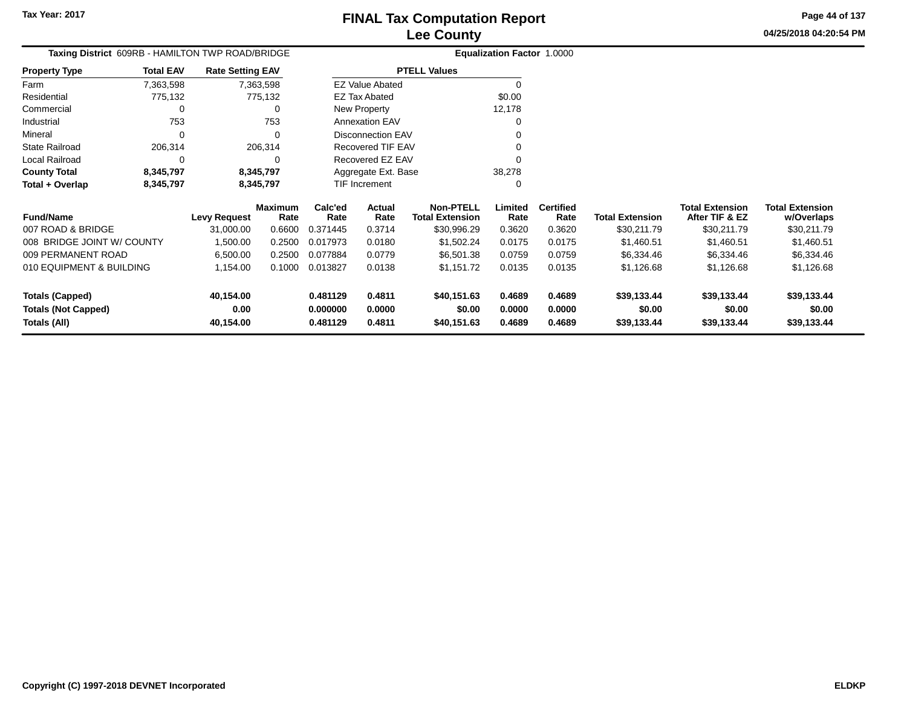**Page 44 of 137**

#### **04/25/2018 04:20:54 PM**

**w/Overlaps**

**Total ExtensionTotal Extension**

**After TIF & EZ**

|                            | Taxing District 609RB - HAMILTON TWP ROAD/BRIDGE |                         |                |          |                        |                        | Equalization Factor 1.0000 |                  |                        |
|----------------------------|--------------------------------------------------|-------------------------|----------------|----------|------------------------|------------------------|----------------------------|------------------|------------------------|
| <b>Property Type</b>       | <b>Total EAV</b>                                 | <b>Rate Setting EAV</b> |                |          |                        | <b>PTELL Values</b>    |                            |                  |                        |
| Farm                       | 7,363,598                                        |                         | 7,363,598      |          | <b>EZ Value Abated</b> |                        |                            |                  |                        |
| Residential                | 775,132                                          |                         | 775,132        |          | <b>EZ Tax Abated</b>   |                        | \$0.00                     |                  |                        |
| Commercial                 | 0                                                |                         | 0              |          | New Property           |                        | 12.178                     |                  |                        |
| Industrial                 | 753                                              |                         | 753            |          | <b>Annexation EAV</b>  |                        | 0                          |                  |                        |
| Mineral                    | $\Omega$                                         |                         | 0              |          | Disconnection EAV      |                        |                            |                  |                        |
| <b>State Railroad</b>      | 206,314                                          |                         | 206,314        |          | Recovered TIF EAV      |                        |                            |                  |                        |
| Local Railroad             | 0                                                |                         | 0              |          | Recovered EZ EAV       |                        |                            |                  |                        |
| <b>County Total</b>        | 8,345,797                                        |                         | 8,345,797      |          | Aggregate Ext. Base    |                        | 38,278                     |                  |                        |
| Total + Overlap            | 8,345,797                                        |                         | 8,345,797      |          | <b>TIF Increment</b>   |                        | 0                          |                  |                        |
|                            |                                                  |                         | <b>Maximum</b> | Calc'ed  | Actual                 | <b>Non-PTELL</b>       | Limited                    | <b>Certified</b> |                        |
| <b>Fund/Name</b>           |                                                  | <b>Levy Request</b>     | Rate           | Rate     | Rate                   | <b>Total Extension</b> | Rate                       | Rate             | <b>Total Extension</b> |
| 007 ROAD & BRIDGE          |                                                  | 31,000.00               | 0.6600         | 0.371445 | 0.3714                 | \$30,996.29            | 0.3620                     | 0.3620           | \$30,211.79            |
| 008 BRIDGE JOINT W/ COUNTY |                                                  | 1.500.00                | 0.2500         | 0.017973 | 0.0180                 | \$1,502.24             | 0.0175                     | 0.0175           | \$1.460.51             |

| 007 ROAD & BRIDGE          | 31.000.00 | 0.6600 | 0.371445 | 0.3714 | \$30.996.29 | 0.3620 | 0.3620 | \$30,211.79 | \$30,211.79 | \$30,211.79 |  |
|----------------------------|-----------|--------|----------|--------|-------------|--------|--------|-------------|-------------|-------------|--|
| 008 BRIDGE JOINT W/ COUNTY | 1.500.00  | 0.2500 | 0.017973 | 0.0180 | \$1,502.24  | 0.0175 | 0.0175 | \$1,460.51  | \$1.460.51  | \$1,460.51  |  |
| 009 PERMANENT ROAD         | 6.500.00  | 0.2500 | 0.077884 | 0.0779 | \$6,501.38  | 0.0759 | 0.0759 | \$6,334.46  | \$6.334.46  | \$6,334.46  |  |
| 010 EQUIPMENT & BUILDING   | .154.00   | 0.1000 | 0.013827 | 0.0138 | \$1.151.72  | 0.0135 | 0.0135 | \$1,126,68  | \$1,126,68  | \$1,126.68  |  |
|                            |           |        |          |        |             |        |        |             |             |             |  |
| <b>Totals (Capped)</b>     | 40.154.00 |        | 0.481129 | 0.4811 | \$40.151.63 | 0.4689 | 0.4689 | \$39.133.44 | \$39.133.44 | \$39,133.44 |  |
| <b>Totals (Not Capped)</b> | 0.00      |        | 0.000000 | 0.0000 | \$0.00      | 0.0000 | 0.0000 | \$0.00      | \$0.00      | \$0.00      |  |
| Totals (All)               | 40.154.00 |        | 0.481129 | 0.4811 | \$40,151.63 | 0.4689 | 0.4689 | \$39,133.44 | \$39,133.44 | \$39,133.44 |  |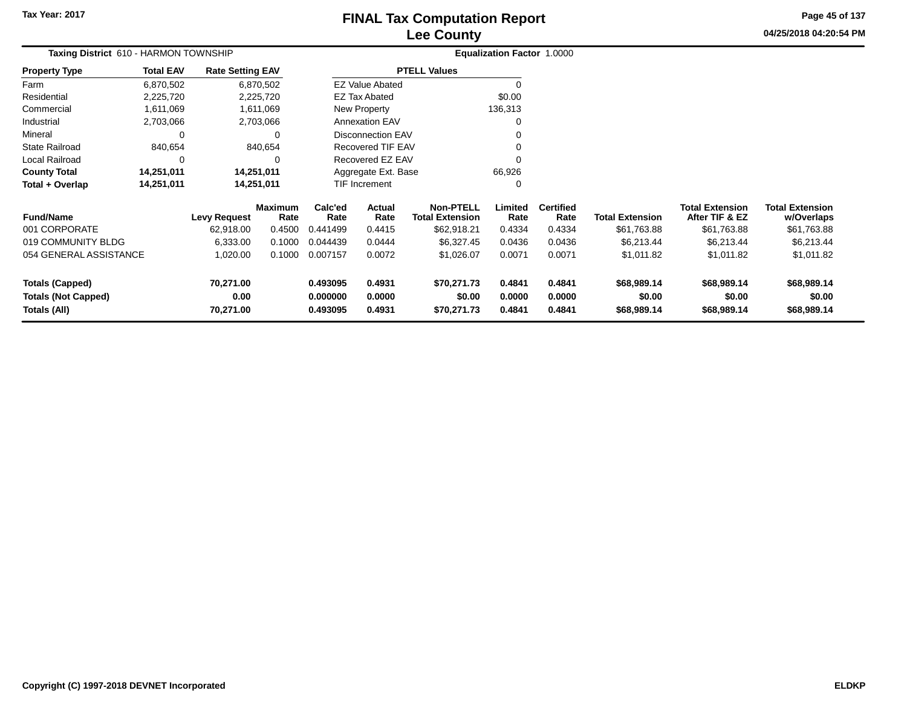# **Lee CountyFINAL Tax Computation Report**

**04/25/2018 04:20:54 PM Page 45 of 137**

| Taxing District 610 - HARMON TOWNSHIP      |                  |                         |                        |                      |                          |                                            | Equalization Factor 1.0000 |                          |                        |                                          |                                      |
|--------------------------------------------|------------------|-------------------------|------------------------|----------------------|--------------------------|--------------------------------------------|----------------------------|--------------------------|------------------------|------------------------------------------|--------------------------------------|
| <b>Property Type</b>                       | <b>Total EAV</b> | <b>Rate Setting EAV</b> |                        |                      |                          | <b>PTELL Values</b>                        |                            |                          |                        |                                          |                                      |
| Farm                                       | 6,870,502        |                         | 6,870,502              |                      | <b>EZ Value Abated</b>   |                                            |                            |                          |                        |                                          |                                      |
| Residential                                | 2,225,720        |                         | 2,225,720              |                      | <b>EZ Tax Abated</b>     |                                            | \$0.00                     |                          |                        |                                          |                                      |
| Commercial                                 | 1,611,069        |                         | 1,611,069              |                      | New Property             |                                            | 136,313                    |                          |                        |                                          |                                      |
| Industrial                                 | 2,703,066        |                         | 2,703,066              |                      | <b>Annexation EAV</b>    |                                            |                            |                          |                        |                                          |                                      |
| Mineral                                    | 0                |                         | 0                      |                      | <b>Disconnection EAV</b> |                                            |                            |                          |                        |                                          |                                      |
| <b>State Railroad</b>                      | 840,654          |                         | 840,654                |                      | <b>Recovered TIF EAV</b> |                                            |                            |                          |                        |                                          |                                      |
| <b>Local Railroad</b>                      | $\Omega$         |                         | 0                      |                      | Recovered EZ EAV         |                                            |                            |                          |                        |                                          |                                      |
| <b>County Total</b>                        | 14,251,011       |                         | 14,251,011             |                      | Aggregate Ext. Base      |                                            | 66,926                     |                          |                        |                                          |                                      |
| Total + Overlap                            | 14,251,011       |                         | 14,251,011             |                      | TIF Increment            |                                            |                            |                          |                        |                                          |                                      |
| <b>Fund/Name</b>                           |                  | <b>Levy Request</b>     | <b>Maximum</b><br>Rate | Calc'ed<br>Rate      | Actual<br>Rate           | <b>Non-PTELL</b><br><b>Total Extension</b> | Limited<br>Rate            | <b>Certified</b><br>Rate | <b>Total Extension</b> | <b>Total Extension</b><br>After TIF & EZ | <b>Total Extension</b><br>w/Overlaps |
| 001 CORPORATE                              |                  | 62,918.00               | 0.4500                 | 0.441499             | 0.4415                   | \$62,918.21                                | 0.4334                     | 0.4334                   | \$61,763.88            | \$61,763.88                              | \$61,763.88                          |
| 019 COMMUNITY BLDG                         |                  | 6,333.00                | 0.1000                 | 0.044439             | 0.0444                   | \$6,327.45                                 | 0.0436                     | 0.0436                   | \$6,213.44             | \$6,213.44                               | \$6,213.44                           |
| 054 GENERAL ASSISTANCE                     |                  | 1,020.00                | 0.1000                 | 0.007157             | 0.0072                   | \$1,026.07                                 | 0.0071                     | 0.0071                   | \$1,011.82             | \$1,011.82                               | \$1,011.82                           |
| <b>Totals (Capped)</b>                     |                  | 70,271.00               |                        | 0.493095             | 0.4931                   | \$70,271.73                                | 0.4841                     | 0.4841                   | \$68,989.14            | \$68,989.14                              | \$68,989.14                          |
| <b>Totals (Not Capped)</b><br>Totals (All) |                  | 0.00<br>70,271.00       |                        | 0.000000<br>0.493095 | 0.0000<br>0.4931         | \$0.00<br>\$70,271.73                      | 0.0000<br>0.4841           | 0.0000<br>0.4841         | \$0.00<br>\$68,989.14  | \$0.00<br>\$68,989.14                    | \$0.00<br>\$68,989.14                |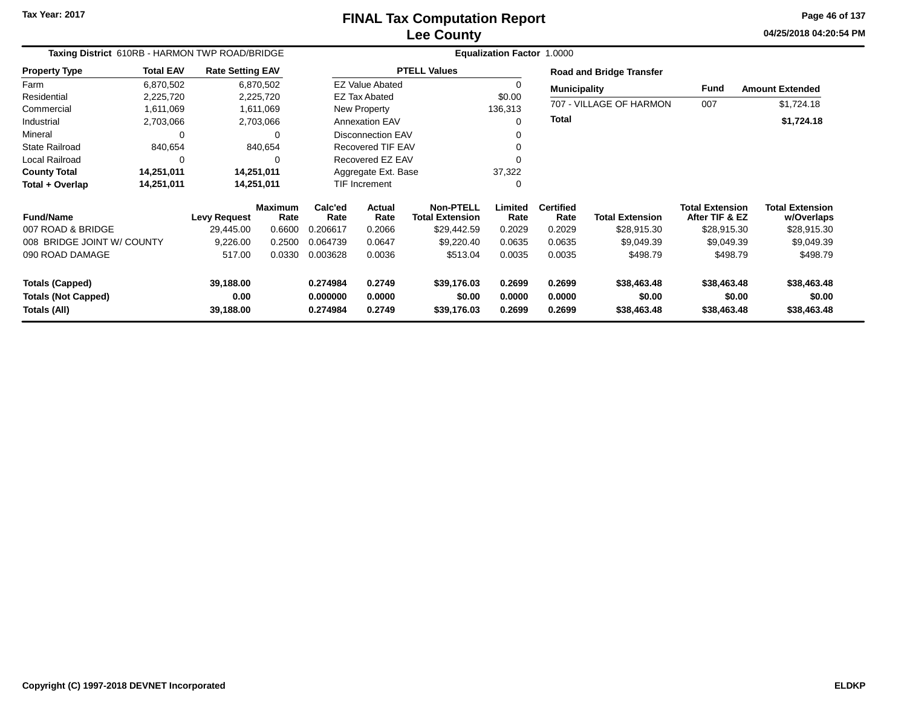# **Lee CountyFINAL Tax Computation Report**

**04/25/2018 04:20:54 PM Page 46 of 137**

| Taxing District 610RB - HARMON TWP ROAD/BRIDGE       |                  |                         |                        | Equalization Factor 1.0000 |                          |                                            |                  |                          |                                 |                                          |                                      |  |
|------------------------------------------------------|------------------|-------------------------|------------------------|----------------------------|--------------------------|--------------------------------------------|------------------|--------------------------|---------------------------------|------------------------------------------|--------------------------------------|--|
| <b>Property Type</b>                                 | <b>Total EAV</b> | <b>Rate Setting EAV</b> |                        |                            |                          | <b>PTELL Values</b>                        |                  |                          | <b>Road and Bridge Transfer</b> |                                          |                                      |  |
| Farm                                                 | 6,870,502        |                         | 6,870,502              |                            | <b>EZ Value Abated</b>   |                                            | 0                | <b>Municipality</b>      |                                 | Fund                                     | <b>Amount Extended</b>               |  |
| Residential                                          | 2,225,720        |                         | 2,225,720              |                            | <b>EZ Tax Abated</b>     |                                            | \$0.00           |                          |                                 |                                          |                                      |  |
| Commercial                                           | 1,611,069        |                         | 1,611,069              |                            | New Property             |                                            | 136,313          |                          | 707 - VILLAGE OF HARMON         | 007                                      | \$1,724.18                           |  |
| Industrial                                           | 2,703,066        |                         | 2,703,066              |                            | <b>Annexation EAV</b>    |                                            | $\Omega$         | <b>Total</b>             |                                 |                                          | \$1,724.18                           |  |
| Mineral                                              | 0                |                         | $\Omega$               |                            | <b>Disconnection EAV</b> |                                            |                  |                          |                                 |                                          |                                      |  |
| <b>State Railroad</b>                                | 840,654          |                         | 840,654                |                            | <b>Recovered TIF EAV</b> |                                            |                  |                          |                                 |                                          |                                      |  |
| Local Railroad                                       | 0                |                         | 0                      |                            | Recovered EZ EAV         |                                            |                  |                          |                                 |                                          |                                      |  |
| <b>County Total</b>                                  | 14,251,011       |                         | 14,251,011             |                            | Aggregate Ext. Base      |                                            | 37,322           |                          |                                 |                                          |                                      |  |
| Total + Overlap                                      | 14,251,011       |                         | 14,251,011             |                            | TIF Increment            |                                            | 0                |                          |                                 |                                          |                                      |  |
| <b>Fund/Name</b>                                     |                  | <b>Levy Request</b>     | <b>Maximum</b><br>Rate | Calc'ed<br>Rate            | Actual<br>Rate           | <b>Non-PTELL</b><br><b>Total Extension</b> | Limited<br>Rate  | <b>Certified</b><br>Rate | <b>Total Extension</b>          | <b>Total Extension</b><br>After TIF & EZ | <b>Total Extension</b><br>w/Overlaps |  |
| 007 ROAD & BRIDGE                                    |                  | 29,445.00               | 0.6600                 | 0.206617                   | 0.2066                   | \$29,442.59                                | 0.2029           | 0.2029                   | \$28,915.30                     | \$28,915.30                              | \$28,915.30                          |  |
| 008 BRIDGE JOINT W/ COUNTY                           |                  | 9,226.00                | 0.2500                 | 0.064739                   | 0.0647                   | \$9,220.40                                 | 0.0635           | 0.0635                   | \$9,049.39                      | \$9,049.39                               | \$9,049.39                           |  |
| 090 ROAD DAMAGE                                      |                  | 517.00                  | 0.0330                 | 0.003628                   | 0.0036                   | \$513.04                                   | 0.0035           | 0.0035                   | \$498.79                        | \$498.79                                 | \$498.79                             |  |
| <b>Totals (Capped)</b><br><b>Totals (Not Capped)</b> |                  | 39,188.00<br>0.00       |                        | 0.274984<br>0.000000       | 0.2749<br>0.0000         | \$39,176.03<br>\$0.00                      | 0.2699<br>0.0000 | 0.2699<br>0.0000         | \$38,463.48<br>\$0.00           | \$38,463.48<br>\$0.00                    | \$38,463.48<br>\$0.00                |  |
| Totals (All)                                         |                  | 39,188.00               |                        | 0.274984                   | 0.2749                   | \$39,176.03                                | 0.2699           | 0.2699                   | \$38,463.48                     | \$38,463.48                              | \$38,463.48                          |  |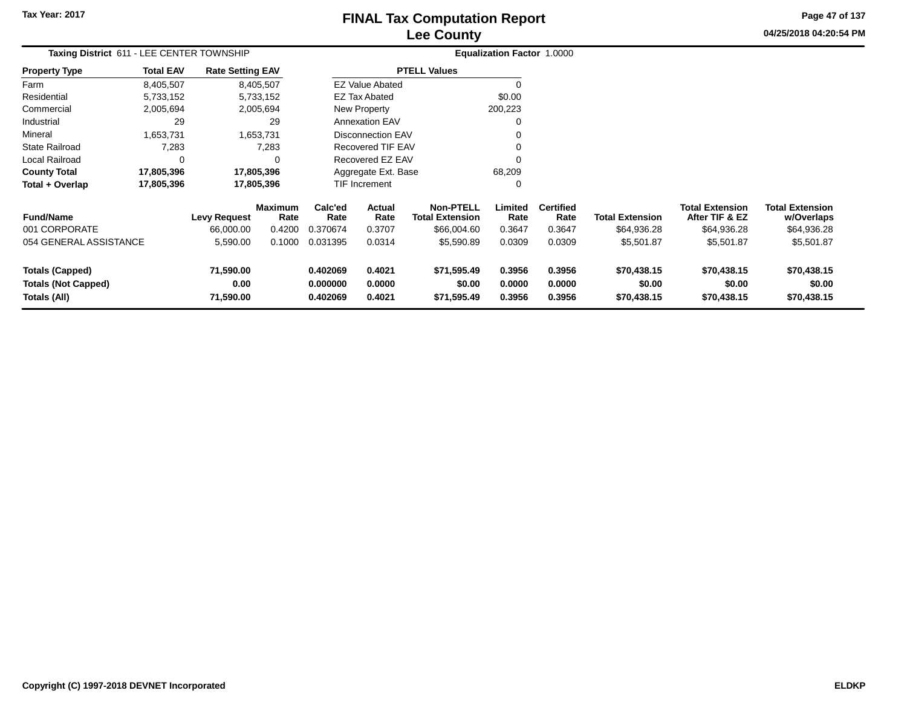$\ddot{\phantom{a}}$ 

# **Lee CountyFINAL Tax Computation Report**

**04/25/2018 04:20:54 PM Page 47 of 137**

| Taxing District 611 - LEE CENTER TOWNSHIP                            |                  |                                |                        |                                  | Equalization Factor 1.0000 |                                            |                            |                            |                                      |                                          |                                      |
|----------------------------------------------------------------------|------------------|--------------------------------|------------------------|----------------------------------|----------------------------|--------------------------------------------|----------------------------|----------------------------|--------------------------------------|------------------------------------------|--------------------------------------|
| <b>Property Type</b>                                                 | <b>Total EAV</b> | <b>Rate Setting EAV</b>        |                        |                                  |                            | <b>PTELL Values</b>                        |                            |                            |                                      |                                          |                                      |
| Farm                                                                 | 8,405,507        |                                | 8,405,507              |                                  | <b>EZ Value Abated</b>     |                                            |                            |                            |                                      |                                          |                                      |
| Residential                                                          | 5,733,152        |                                | 5,733,152              |                                  | <b>EZ Tax Abated</b>       |                                            | \$0.00                     |                            |                                      |                                          |                                      |
| Commercial                                                           | 2,005,694        |                                | 2,005,694              |                                  | New Property               |                                            | 200,223                    |                            |                                      |                                          |                                      |
| Industrial                                                           | 29               |                                | 29                     |                                  | <b>Annexation EAV</b>      |                                            | 0                          |                            |                                      |                                          |                                      |
| Mineral                                                              | 1,653,731        |                                | 1,653,731              |                                  | <b>Disconnection EAV</b>   |                                            |                            |                            |                                      |                                          |                                      |
| <b>State Railroad</b>                                                | 7,283            |                                | 7,283                  |                                  | <b>Recovered TIF EAV</b>   |                                            |                            |                            |                                      |                                          |                                      |
| Local Railroad                                                       | $\Omega$         |                                | 0                      |                                  | Recovered EZ EAV           |                                            |                            |                            |                                      |                                          |                                      |
| <b>County Total</b>                                                  | 17,805,396       |                                | 17,805,396             |                                  | Aggregate Ext. Base        |                                            | 68,209                     |                            |                                      |                                          |                                      |
| Total + Overlap                                                      | 17,805,396       |                                | 17,805,396             |                                  | <b>TIF Increment</b>       |                                            | 0                          |                            |                                      |                                          |                                      |
| <b>Fund/Name</b>                                                     |                  | <b>Levy Request</b>            | <b>Maximum</b><br>Rate | Calc'ed<br>Rate                  | <b>Actual</b><br>Rate      | <b>Non-PTELL</b><br><b>Total Extension</b> | Limited<br>Rate            | <b>Certified</b><br>Rate   | <b>Total Extension</b>               | <b>Total Extension</b><br>After TIF & EZ | <b>Total Extension</b><br>w/Overlaps |
| 001 CORPORATE                                                        |                  | 66,000,00                      | 0.4200                 | 0.370674                         | 0.3707                     | \$66,004.60                                | 0.3647                     | 0.3647                     | \$64,936.28                          | \$64,936.28                              | \$64,936.28                          |
| 054 GENERAL ASSISTANCE                                               |                  | 5,590.00                       | 0.1000                 | 0.031395                         | 0.0314                     | \$5,590.89                                 | 0.0309                     | 0.0309                     | \$5,501.87                           | \$5,501.87                               | \$5,501.87                           |
| <b>Totals (Capped)</b><br><b>Totals (Not Capped)</b><br>Totals (All) |                  | 71,590.00<br>0.00<br>71,590.00 |                        | 0.402069<br>0.000000<br>0.402069 | 0.4021<br>0.0000<br>0.4021 | \$71,595.49<br>\$0.00<br>\$71,595.49       | 0.3956<br>0.0000<br>0.3956 | 0.3956<br>0.0000<br>0.3956 | \$70,438.15<br>\$0.00<br>\$70,438.15 | \$70,438.15<br>\$0.00<br>\$70,438.15     | \$70,438.15<br>\$0.00<br>\$70,438.15 |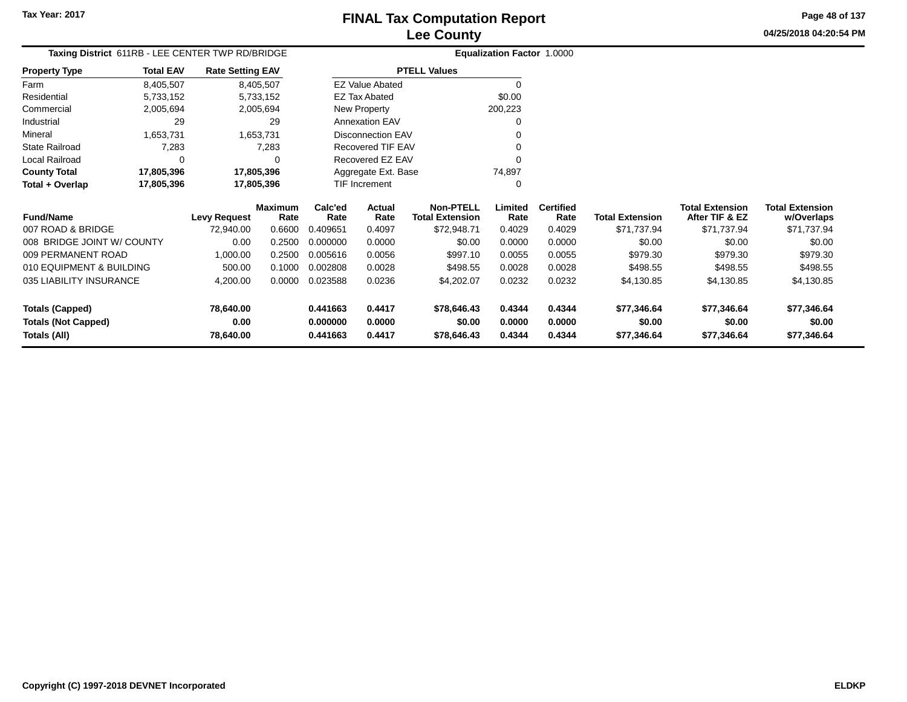**Page 48 of 137**

**04/25/2018 04:20:54 PM**

|                      |                  | Taxing District 611RB - LEE CENTER TWP RD/BRIDGE |                        | Equalization Factor 1.0000 |  |
|----------------------|------------------|--------------------------------------------------|------------------------|----------------------------|--|
| <b>Property Type</b> | <b>Total EAV</b> | <b>Rate Setting EAV</b>                          | <b>PTELL Values</b>    |                            |  |
| Farm                 | 8.405.507        | 8,405,507                                        | <b>EZ Value Abated</b> | 0                          |  |
| Residential          | 5,733,152        | 5,733,152                                        | EZ Tax Abated          | \$0.00                     |  |
| Commercial           | 2.005.694        | 2.005.694                                        | New Property           | 200.223                    |  |
| Industrial           | 29               | 29                                               | <b>Annexation EAV</b>  | 0                          |  |
| Mineral              | 1.653.731        | 1.653.731                                        | Disconnection EAV      | 0                          |  |
| State Railroad       | 7.283            | 7.283                                            | Recovered TIF EAV      | 0                          |  |
| Local Railroad       | $\Omega$         | $\Omega$                                         | Recovered EZ EAV       | 0                          |  |
| <b>County Total</b>  | 17.805.396       | 17.805.396                                       | Aggregate Ext. Base    | 74.897                     |  |
| Total + Overlap      | 17,805,396       | 17,805,396                                       | <b>TIF Increment</b>   | 0                          |  |

| <b>Fund/Name</b>           | <b>Levy Request</b> | <b>Maximum</b><br>Rate | Calc'ed<br>Rate | Actual<br>Rate | Non-PTELL<br><b>Total Extension</b> | .imited<br>Rate | <b>Certified</b><br>Rate | <b>Total Extension</b> | <b>Total Extension</b><br>After TIF & EZ | <b>Total Extension</b><br>w/Overlaps |
|----------------------------|---------------------|------------------------|-----------------|----------------|-------------------------------------|-----------------|--------------------------|------------------------|------------------------------------------|--------------------------------------|
| 007 ROAD & BRIDGE          | 72.940.00           | 0.6600                 | 0.409651        | 0.4097         | \$72,948.71                         | 0.4029          | 0.4029                   | \$71.737.94            | \$71.737.94                              | \$71,737.94                          |
| 008 BRIDGE JOINT W/ COUNTY | 0.00                | 0.2500                 | 0.000000        | 0.0000         | \$0.00                              | 0.0000          | 0.0000                   | \$0.00                 | \$0.00                                   | \$0.00                               |
| 009 PERMANENT ROAD         | 1.000.00            | 0.2500                 | 0.005616        | 0.0056         | \$997.10                            | 0.0055          | 0.0055                   | \$979.30               | \$979.30                                 | \$979.30                             |
| 010 EQUIPMENT & BUILDING   | 500.00              | 0.1000                 | 0.002808        | 0.0028         | \$498.55                            | 0.0028          | 0.0028                   | \$498.55               | \$498.55                                 | \$498.55                             |
| 035 LIABILITY INSURANCE    | 4,200.00            | 0.0000                 | 0.023588        | 0.0236         | \$4,202.07                          | 0.0232          | 0.0232                   | \$4,130.85             | \$4,130.85                               | \$4,130.85                           |
| Totals (Capped)            | 78,640.00           |                        | 0.441663        | 0.4417         | \$78,646.43                         | 0.4344          | 0.4344                   | \$77,346.64            | \$77,346.64                              | \$77,346.64                          |
| <b>Totals (Not Capped)</b> | 0.00                |                        | 0.000000        | 0.0000         | \$0.00                              | 0.0000          | 0.0000                   | \$0.00                 | \$0.00                                   | \$0.00                               |
| Totals (All)               | 78,640.00           |                        | 0.441663        | 0.4417         | \$78,646.43                         | 0.4344          | 0.4344                   | \$77,346.64            | \$77,346.64                              | \$77,346.64                          |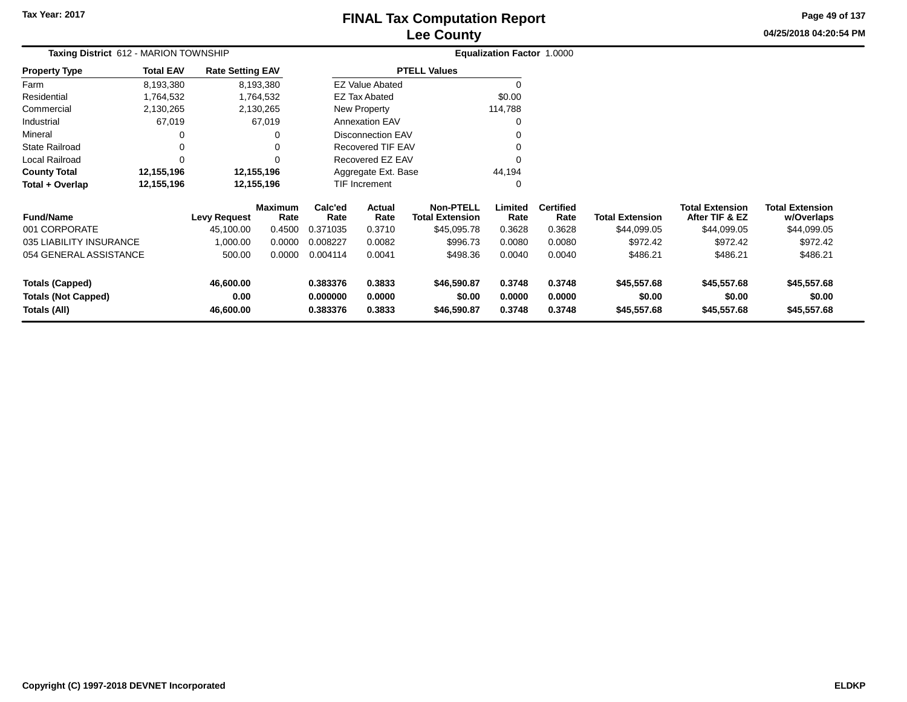# **Lee CountyFINAL Tax Computation Report**

**04/25/2018 04:20:54 PMPage 49 of 137**

| Taxing District 612 - MARION TOWNSHIP |                  |                         |                        |                 | Equalization Factor 1.0000 |                                            |                 |                          |                        |                                          |                                      |
|---------------------------------------|------------------|-------------------------|------------------------|-----------------|----------------------------|--------------------------------------------|-----------------|--------------------------|------------------------|------------------------------------------|--------------------------------------|
| <b>Property Type</b>                  | <b>Total EAV</b> | <b>Rate Setting EAV</b> |                        |                 |                            | <b>PTELL Values</b>                        |                 |                          |                        |                                          |                                      |
| Farm                                  | 8,193,380        |                         | 8,193,380              |                 | <b>EZ Value Abated</b>     |                                            | $\Omega$        |                          |                        |                                          |                                      |
| Residential                           | 1,764,532        |                         | 1,764,532              |                 | <b>EZ Tax Abated</b>       |                                            | \$0.00          |                          |                        |                                          |                                      |
| Commercial                            | 2,130,265        |                         | 2,130,265              |                 | New Property               |                                            | 114,788         |                          |                        |                                          |                                      |
| Industrial                            | 67,019           |                         | 67,019                 |                 | <b>Annexation EAV</b>      |                                            | 0               |                          |                        |                                          |                                      |
| Mineral                               | 0                |                         | 0                      |                 | <b>Disconnection EAV</b>   |                                            |                 |                          |                        |                                          |                                      |
| <b>State Railroad</b>                 | 0                |                         | 0                      |                 | Recovered TIF EAV          |                                            |                 |                          |                        |                                          |                                      |
| Local Railroad                        | $\Omega$         |                         | $\Omega$               |                 | Recovered EZ EAV           |                                            | $\Omega$        |                          |                        |                                          |                                      |
| <b>County Total</b>                   | 12,155,196       |                         | 12,155,196             |                 | Aggregate Ext. Base        |                                            | 44,194          |                          |                        |                                          |                                      |
| Total + Overlap                       | 12,155,196       |                         | 12,155,196             |                 | TIF Increment              |                                            | 0               |                          |                        |                                          |                                      |
| <b>Fund/Name</b>                      |                  | Levy Request            | <b>Maximum</b><br>Rate | Calc'ed<br>Rate | Actual<br>Rate             | <b>Non-PTELL</b><br><b>Total Extension</b> | Limited<br>Rate | <b>Certified</b><br>Rate | <b>Total Extension</b> | <b>Total Extension</b><br>After TIF & EZ | <b>Total Extension</b><br>w/Overlaps |
| 001 CORPORATE                         |                  | 45,100.00               | 0.4500                 | 0.371035        | 0.3710                     | \$45,095.78                                | 0.3628          | 0.3628                   | \$44,099.05            | \$44,099.05                              | \$44,099.05                          |
| 035 LIABILITY INSURANCE               |                  | 1,000.00                | 0.0000                 | 0.008227        | 0.0082                     | \$996.73                                   | 0.0080          | 0.0080                   | \$972.42               | \$972.42                                 | \$972.42                             |
| 054 GENERAL ASSISTANCE                |                  | 500.00                  | 0.0000                 | 0.004114        | 0.0041                     | \$498.36                                   | 0.0040          | 0.0040                   | \$486.21               | \$486.21                                 | \$486.21                             |
| <b>Totals (Capped)</b>                |                  | 46,600.00               |                        | 0.383376        | 0.3833                     | \$46,590.87                                | 0.3748          | 0.3748                   | \$45,557.68            | \$45,557.68                              | \$45,557.68                          |
| <b>Totals (Not Capped)</b>            |                  | 0.00                    |                        | 0.000000        | 0.0000                     | \$0.00                                     | 0.0000          | 0.0000                   | \$0.00                 | \$0.00                                   | \$0.00                               |
| Totals (All)<br>46,600.00             |                  | 0.383376                | 0.3833                 | \$46,590.87     | 0.3748                     | 0.3748                                     | \$45,557.68     | \$45,557.68              | \$45,557.68            |                                          |                                      |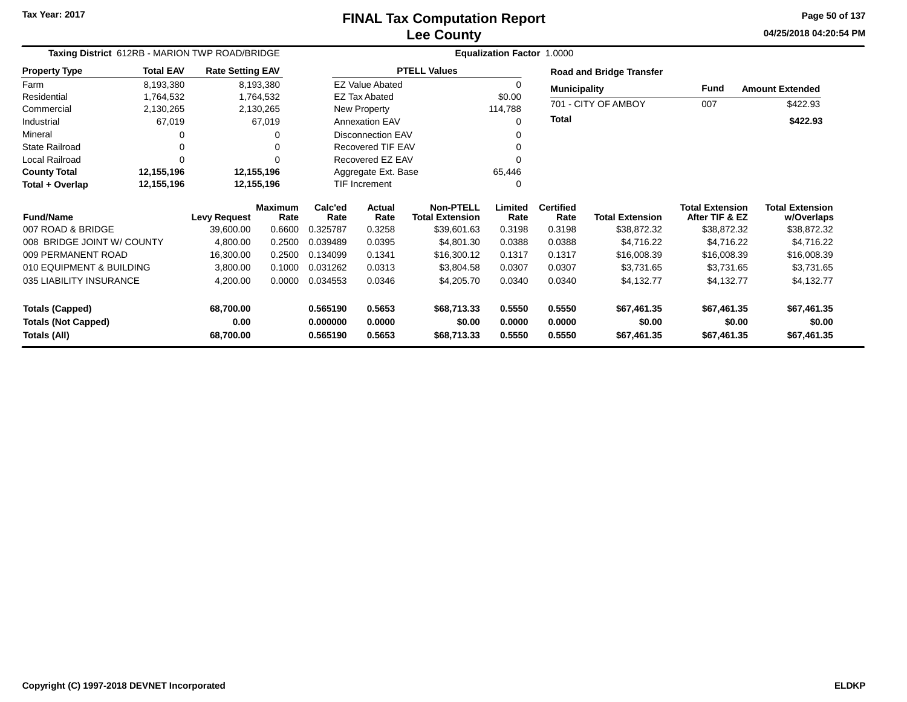**04/25/2018 04:20:54 PM Page 50 of 137**

| Taxing District 612RB - MARION TWP ROAD/BRIDGE |                  |                         |                        |                 |                          |                                            | <b>Equalization Factor 1.0000</b> |                          |                                 |                                          |                                      |
|------------------------------------------------|------------------|-------------------------|------------------------|-----------------|--------------------------|--------------------------------------------|-----------------------------------|--------------------------|---------------------------------|------------------------------------------|--------------------------------------|
| <b>Property Type</b>                           | <b>Total EAV</b> | <b>Rate Setting EAV</b> |                        |                 |                          | <b>PTELL Values</b>                        |                                   |                          | <b>Road and Bridge Transfer</b> |                                          |                                      |
| Farm                                           | 8,193,380        |                         | 8,193,380              |                 | <b>EZ Value Abated</b>   |                                            | 0                                 | <b>Municipality</b>      |                                 | Fund                                     | <b>Amount Extended</b>               |
| Residential                                    | 1,764,532        |                         | 1,764,532              |                 | <b>EZ Tax Abated</b>     |                                            | \$0.00                            |                          |                                 |                                          |                                      |
| Commercial                                     | 2,130,265        |                         | 2,130,265              |                 | New Property             |                                            | 114,788                           |                          | 701 - CITY OF AMBOY             | 007                                      | \$422.93                             |
| Industrial                                     | 67,019           |                         | 67,019                 |                 | Annexation EAV           |                                            | $\Omega$                          | <b>Total</b>             |                                 |                                          | \$422.93                             |
| Mineral                                        |                  |                         | O                      |                 | <b>Disconnection EAV</b> |                                            | 0                                 |                          |                                 |                                          |                                      |
| State Railroad                                 |                  |                         | 0                      |                 | <b>Recovered TIF EAV</b> |                                            | 0                                 |                          |                                 |                                          |                                      |
| Local Railroad                                 |                  |                         | ŋ                      |                 | Recovered EZ EAV         |                                            | 0                                 |                          |                                 |                                          |                                      |
| <b>County Total</b>                            | 12,155,196       | 12,155,196              |                        |                 | Aggregate Ext. Base      |                                            | 65,446                            |                          |                                 |                                          |                                      |
| Total + Overlap                                | 12,155,196       | 12,155,196              |                        |                 | TIF Increment            |                                            | 0                                 |                          |                                 |                                          |                                      |
| <b>Fund/Name</b>                               |                  | <b>Levy Request</b>     | <b>Maximum</b><br>Rate | Calc'ed<br>Rate | Actual<br>Rate           | <b>Non-PTELL</b><br><b>Total Extension</b> | Limited<br>Rate                   | <b>Certified</b><br>Rate | <b>Total Extension</b>          | <b>Total Extension</b><br>After TIF & EZ | <b>Total Extension</b><br>w/Overlaps |
| 007 ROAD & BRIDGE                              |                  | 39,600.00               | 0.6600                 | 0.325787        | 0.3258                   | \$39,601.63                                | 0.3198                            | 0.3198                   | \$38,872.32                     | \$38,872.32                              | \$38,872.32                          |
| 008 BRIDGE JOINT W/ COUNTY                     |                  | 4,800.00                | 0.2500                 | 0.039489        | 0.0395                   | \$4,801.30                                 | 0.0388                            | 0.0388                   | \$4,716.22                      | \$4,716.22                               | \$4,716.22                           |
| 009 PERMANENT ROAD                             |                  | 16,300.00               | 0.2500                 | 0.134099        | 0.1341                   | \$16,300.12                                | 0.1317                            | 0.1317                   | \$16,008.39                     | \$16,008.39                              | \$16,008.39                          |
| 010 EQUIPMENT & BUILDING                       |                  | 3,800.00                | 0.1000                 | 0.031262        | 0.0313                   | \$3,804.58                                 | 0.0307                            | 0.0307                   | \$3,731.65                      | \$3,731.65                               | \$3,731.65                           |
| 035 LIABILITY INSURANCE                        |                  | 4,200.00                | 0.0000                 | 0.034553        | 0.0346                   | \$4,205.70                                 | 0.0340                            | 0.0340                   | \$4,132.77                      | \$4,132.77                               | \$4,132.77                           |
| <b>Totals (Capped)</b>                         |                  | 68,700.00               |                        | 0.565190        | 0.5653                   | \$68,713.33                                | 0.5550                            | 0.5550                   | \$67,461.35                     | \$67,461.35                              | \$67,461.35                          |
| <b>Totals (Not Capped)</b>                     |                  | 0.00                    |                        | 0.000000        | 0.0000                   | \$0.00                                     | 0.0000                            | 0.0000                   | \$0.00                          | \$0.00                                   | \$0.00                               |
| Totals (All)                                   |                  | 68,700.00               |                        | 0.565190        | 0.5653                   | \$68,713.33                                | 0.5550                            | 0.5550                   | \$67,461.35                     | \$67,461.35                              | \$67,461.35                          |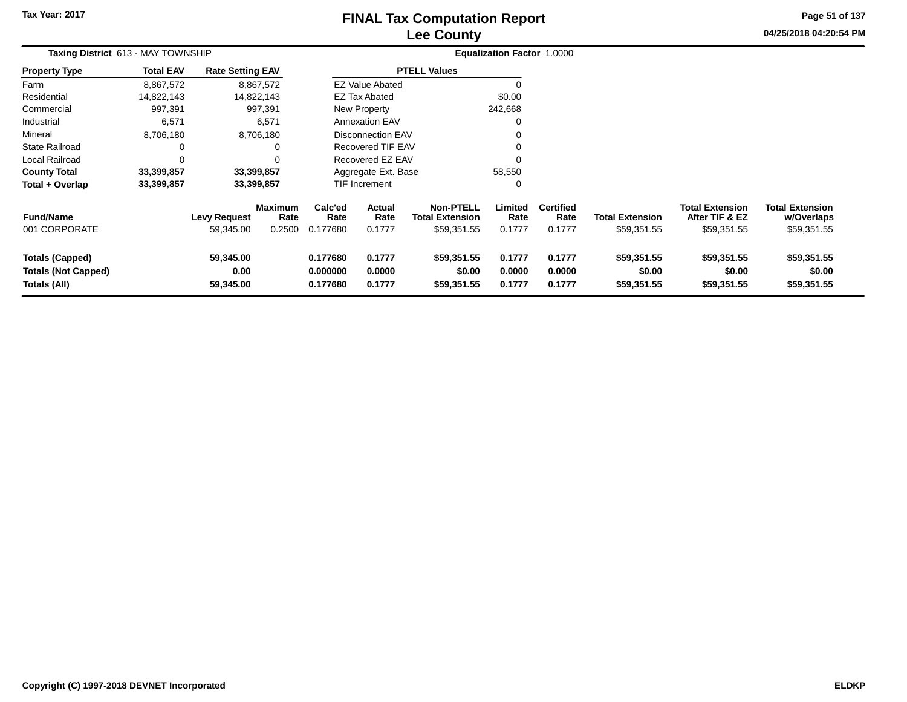# **Lee CountyFINAL Tax Computation Report**

**04/25/2018 04:20:54 PM Page 51 of 137**

| Taxing District 613 - MAY TOWNSHIP                                   |                  |                                  |                                  |                                  |                                 |                                                           | Equalization Factor 1.0000 |                                    |                                       |                                                         |                                                     |
|----------------------------------------------------------------------|------------------|----------------------------------|----------------------------------|----------------------------------|---------------------------------|-----------------------------------------------------------|----------------------------|------------------------------------|---------------------------------------|---------------------------------------------------------|-----------------------------------------------------|
| <b>Property Type</b>                                                 | <b>Total EAV</b> | <b>Rate Setting EAV</b>          |                                  |                                  |                                 | <b>PTELL Values</b>                                       |                            |                                    |                                       |                                                         |                                                     |
| Farm                                                                 | 8,867,572        |                                  | 8,867,572                        |                                  | <b>EZ Value Abated</b>          |                                                           |                            |                                    |                                       |                                                         |                                                     |
| Residential                                                          | 14,822,143       |                                  | 14,822,143                       |                                  | EZ Tax Abated                   |                                                           | \$0.00                     |                                    |                                       |                                                         |                                                     |
| Commercial                                                           | 997,391          |                                  | 997,391                          |                                  | New Property                    |                                                           | 242,668                    |                                    |                                       |                                                         |                                                     |
| Industrial                                                           | 6,571            |                                  | 6,571                            |                                  | <b>Annexation EAV</b>           |                                                           |                            |                                    |                                       |                                                         |                                                     |
| Mineral                                                              | 8,706,180        |                                  | 8,706,180                        |                                  | <b>Disconnection EAV</b>        |                                                           |                            |                                    |                                       |                                                         |                                                     |
| State Railroad                                                       |                  |                                  |                                  |                                  | Recovered TIF EAV               |                                                           |                            |                                    |                                       |                                                         |                                                     |
| Local Railroad                                                       |                  |                                  |                                  |                                  | Recovered EZ EAV                |                                                           |                            |                                    |                                       |                                                         |                                                     |
| <b>County Total</b>                                                  | 33,399,857       |                                  | 33,399,857                       |                                  | Aggregate Ext. Base             |                                                           | 58,550                     |                                    |                                       |                                                         |                                                     |
| Total + Overlap                                                      | 33,399,857       |                                  | 33,399,857                       |                                  | <b>TIF Increment</b>            |                                                           |                            |                                    |                                       |                                                         |                                                     |
| <b>Fund/Name</b><br>001 CORPORATE                                    |                  | <b>Levy Request</b><br>59,345.00 | <b>Maximum</b><br>Rate<br>0.2500 | Calc'ed<br>Rate<br>0.177680      | <b>Actual</b><br>Rate<br>0.1777 | <b>Non-PTELL</b><br><b>Total Extension</b><br>\$59,351.55 | Limited<br>Rate<br>0.1777  | <b>Certified</b><br>Rate<br>0.1777 | <b>Total Extension</b><br>\$59,351.55 | <b>Total Extension</b><br>After TIF & EZ<br>\$59,351.55 | <b>Total Extension</b><br>w/Overlaps<br>\$59,351.55 |
| <b>Totals (Capped)</b><br><b>Totals (Not Capped)</b><br>Totals (All) |                  | 59,345.00<br>0.00<br>59,345.00   |                                  | 0.177680<br>0.000000<br>0.177680 | 0.1777<br>0.0000<br>0.1777      | \$59,351.55<br>\$0.00<br>\$59,351.55                      | 0.1777<br>0.0000<br>0.1777 | 0.1777<br>0.0000<br>0.1777         | \$59,351.55<br>\$0.00<br>\$59,351.55  | \$59,351.55<br>\$0.00<br>\$59,351.55                    | \$59,351.55<br>\$0.00<br>\$59,351.55                |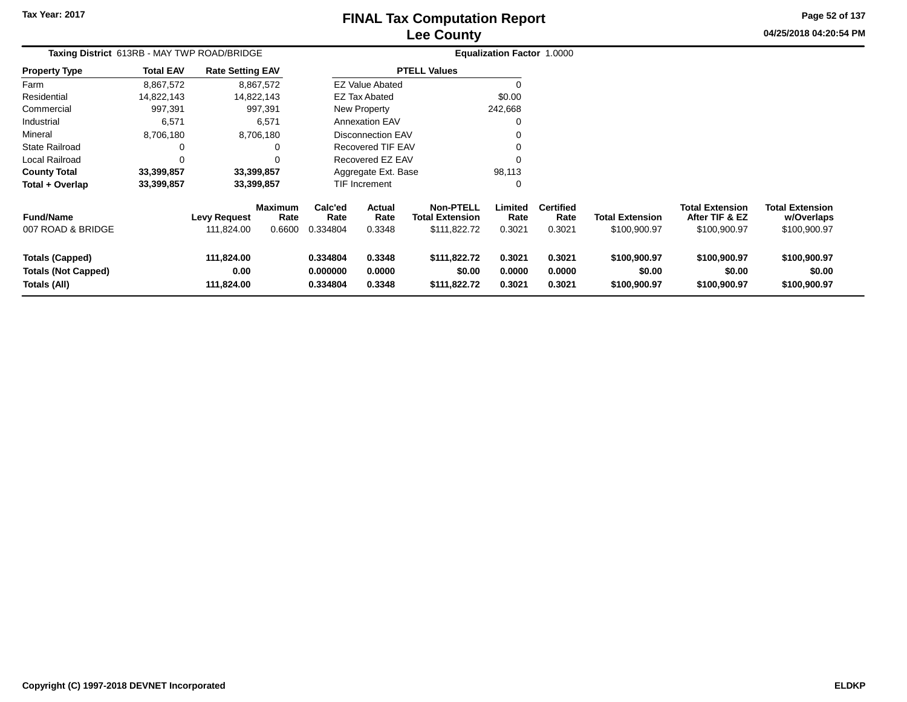# **Lee CountyFINAL Tax Computation Report**

**04/25/2018 04:20:54 PM Page 52 of 137**

| Taxing District 613RB - MAY TWP ROAD/BRIDGE                          |                  |                                   |                                  |                                  |                                 |                                                            | <b>Equalization Factor 1.0000</b> |                                    |                                        |                                                          |                                                      |  |
|----------------------------------------------------------------------|------------------|-----------------------------------|----------------------------------|----------------------------------|---------------------------------|------------------------------------------------------------|-----------------------------------|------------------------------------|----------------------------------------|----------------------------------------------------------|------------------------------------------------------|--|
| <b>Property Type</b>                                                 | <b>Total EAV</b> | <b>Rate Setting EAV</b>           |                                  |                                  |                                 | <b>PTELL Values</b>                                        |                                   |                                    |                                        |                                                          |                                                      |  |
| Farm                                                                 | 8,867,572        |                                   | 8,867,572                        |                                  | <b>EZ Value Abated</b>          |                                                            | 0                                 |                                    |                                        |                                                          |                                                      |  |
| Residential                                                          | 14,822,143       |                                   | 14,822,143                       |                                  | <b>EZ Tax Abated</b>            |                                                            | \$0.00                            |                                    |                                        |                                                          |                                                      |  |
| Commercial                                                           | 997,391          |                                   | 997,391                          |                                  | New Property                    |                                                            | 242,668                           |                                    |                                        |                                                          |                                                      |  |
| Industrial                                                           | 6,571            |                                   | 6,571                            |                                  | <b>Annexation EAV</b>           |                                                            | $\mathbf 0$                       |                                    |                                        |                                                          |                                                      |  |
| Mineral                                                              | 8,706,180        |                                   | 8,706,180                        |                                  | Disconnection EAV               |                                                            | 0                                 |                                    |                                        |                                                          |                                                      |  |
| <b>State Railroad</b>                                                | 0                |                                   | 0                                |                                  | Recovered TIF EAV               |                                                            | $\Omega$                          |                                    |                                        |                                                          |                                                      |  |
| Local Railroad                                                       | 0                |                                   |                                  |                                  | Recovered EZ EAV                |                                                            | $\Omega$                          |                                    |                                        |                                                          |                                                      |  |
| <b>County Total</b>                                                  | 33,399,857       |                                   | 33,399,857                       |                                  | Aggregate Ext. Base             |                                                            | 98,113                            |                                    |                                        |                                                          |                                                      |  |
| Total + Overlap                                                      | 33,399,857       |                                   | 33,399,857                       |                                  | TIF Increment                   |                                                            | 0                                 |                                    |                                        |                                                          |                                                      |  |
| <b>Fund/Name</b><br>007 ROAD & BRIDGE                                |                  | <b>Levy Request</b><br>111,824.00 | <b>Maximum</b><br>Rate<br>0.6600 | Calc'ed<br>Rate<br>0.334804      | <b>Actual</b><br>Rate<br>0.3348 | <b>Non-PTELL</b><br><b>Total Extension</b><br>\$111,822.72 | Limited<br>Rate<br>0.3021         | <b>Certified</b><br>Rate<br>0.3021 | <b>Total Extension</b><br>\$100,900.97 | <b>Total Extension</b><br>After TIF & EZ<br>\$100,900.97 | <b>Total Extension</b><br>w/Overlaps<br>\$100,900.97 |  |
| <b>Totals (Capped)</b><br><b>Totals (Not Capped)</b><br>Totals (All) |                  | 111,824.00<br>0.00<br>111,824.00  |                                  | 0.334804<br>0.000000<br>0.334804 | 0.3348<br>0.0000<br>0.3348      | \$111,822.72<br>\$0.00<br>\$111,822.72                     | 0.3021<br>0.0000<br>0.3021        | 0.3021<br>0.0000<br>0.3021         | \$100,900.97<br>\$0.00<br>\$100,900.97 | \$100,900.97<br>\$0.00<br>\$100,900.97                   | \$100,900.97<br>\$0.00<br>\$100,900.97               |  |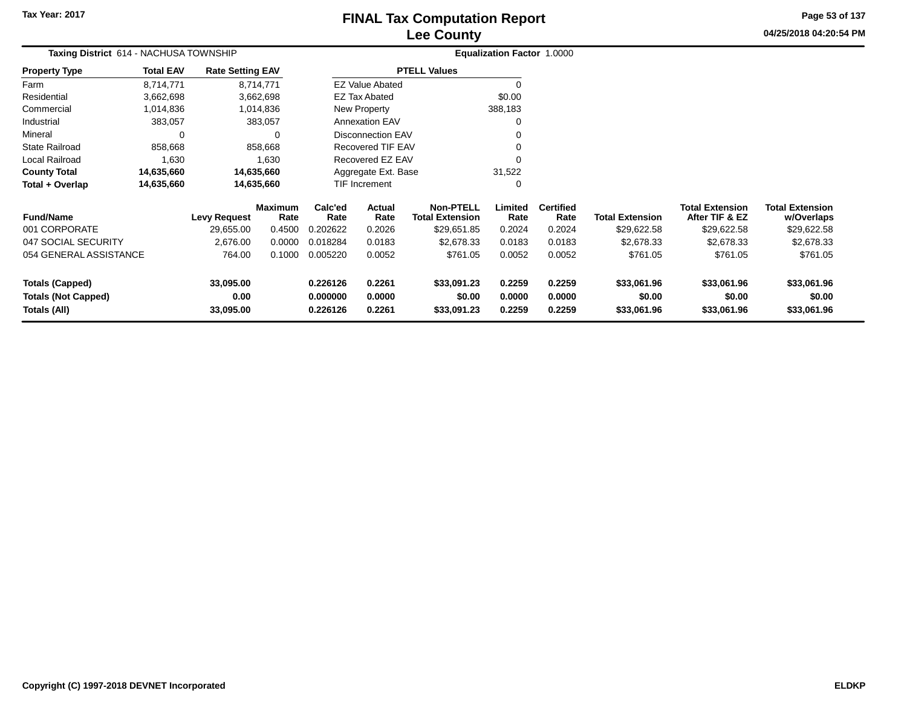# **Lee CountyFINAL Tax Computation Report**

**04/25/2018 04:20:54 PM Page 53 of 137**

| Taxing District 614 - NACHUSA TOWNSHIP<br><b>Property Type</b> |                   |                                  |                                                                                                                                                     |                  |                                                                                          |                                                                                                                                                                 |                          |                                      |                                          |                                      |
|----------------------------------------------------------------|-------------------|----------------------------------|-----------------------------------------------------------------------------------------------------------------------------------------------------|------------------|------------------------------------------------------------------------------------------|-----------------------------------------------------------------------------------------------------------------------------------------------------------------|--------------------------|--------------------------------------|------------------------------------------|--------------------------------------|
| <b>Total EAV</b>                                               |                   |                                  |                                                                                                                                                     |                  |                                                                                          |                                                                                                                                                                 |                          |                                      |                                          |                                      |
| 8,714,771                                                      |                   |                                  |                                                                                                                                                     |                  |                                                                                          |                                                                                                                                                                 |                          |                                      |                                          |                                      |
| 3,662,698                                                      |                   |                                  |                                                                                                                                                     |                  |                                                                                          | \$0.00                                                                                                                                                          |                          |                                      |                                          |                                      |
| 1,014,836                                                      |                   |                                  |                                                                                                                                                     |                  |                                                                                          |                                                                                                                                                                 |                          |                                      |                                          |                                      |
| 383,057                                                        |                   |                                  |                                                                                                                                                     |                  |                                                                                          |                                                                                                                                                                 |                          |                                      |                                          |                                      |
| 0                                                              |                   | 0                                |                                                                                                                                                     |                  |                                                                                          |                                                                                                                                                                 |                          |                                      |                                          |                                      |
| 858,668                                                        |                   |                                  |                                                                                                                                                     |                  |                                                                                          |                                                                                                                                                                 |                          |                                      |                                          |                                      |
| 1,630                                                          |                   |                                  |                                                                                                                                                     |                  |                                                                                          |                                                                                                                                                                 |                          |                                      |                                          |                                      |
| 14,635,660                                                     |                   |                                  |                                                                                                                                                     |                  |                                                                                          | 31,522                                                                                                                                                          |                          |                                      |                                          |                                      |
| 14,635,660                                                     |                   |                                  |                                                                                                                                                     |                  |                                                                                          |                                                                                                                                                                 |                          |                                      |                                          |                                      |
|                                                                |                   |                                  | Calc'ed<br>Rate                                                                                                                                     | Actual<br>Rate   | <b>Non-PTELL</b><br><b>Total Extension</b>                                               | Limited<br>Rate                                                                                                                                                 | <b>Certified</b><br>Rate | <b>Total Extension</b>               | <b>Total Extension</b><br>After TIF & EZ | Total Extension<br>w/Overlaps        |
|                                                                | 29,655.00         | 0.4500                           | 0.202622                                                                                                                                            | 0.2026           | \$29,651.85                                                                              | 0.2024                                                                                                                                                          | 0.2024                   | \$29,622.58                          | \$29,622.58                              | \$29,622.58                          |
|                                                                | 2,676.00          | 0.0000                           | 0.018284                                                                                                                                            | 0.0183           | \$2,678.33                                                                               | 0.0183                                                                                                                                                          | 0.0183                   | \$2,678.33                           | \$2,678.33                               | \$2,678.33                           |
| 054 GENERAL ASSISTANCE                                         | 764.00            | 0.1000                           | 0.005220                                                                                                                                            | 0.0052           | \$761.05                                                                                 | 0.0052                                                                                                                                                          | 0.0052                   | \$761.05                             | \$761.05                                 | \$761.05                             |
|                                                                | 33,095.00<br>0.00 |                                  | 0.226126<br>0.000000                                                                                                                                | 0.2261<br>0.0000 | \$33,091.23<br>\$0.00                                                                    | 0.2259<br>0.0000                                                                                                                                                | 0.2259<br>0.0000         | \$33,061.96<br>\$0.00                | \$33,061.96<br>\$0.00                    | \$33,061.96<br>\$0.00<br>\$33,061.96 |
|                                                                |                   | <b>Levy Request</b><br>33,095.00 | <b>Rate Setting EAV</b><br>8,714,771<br>3,662,698<br>1,014,836<br>383,057<br>858,668<br>1,630<br>14,635,660<br>14,635,660<br><b>Maximum</b><br>Rate | 0.226126         | <b>EZ Tax Abated</b><br>New Property<br><b>Annexation EAV</b><br>TIF Increment<br>0.2261 | <b>PTELL Values</b><br><b>EZ Value Abated</b><br><b>Disconnection EAV</b><br><b>Recovered TIF EAV</b><br>Recovered EZ EAV<br>Aggregate Ext. Base<br>\$33,091.23 | 388,183<br>0.2259        | Equalization Factor 1.0000<br>0.2259 | \$33,061.96                              | \$33,061.96                          |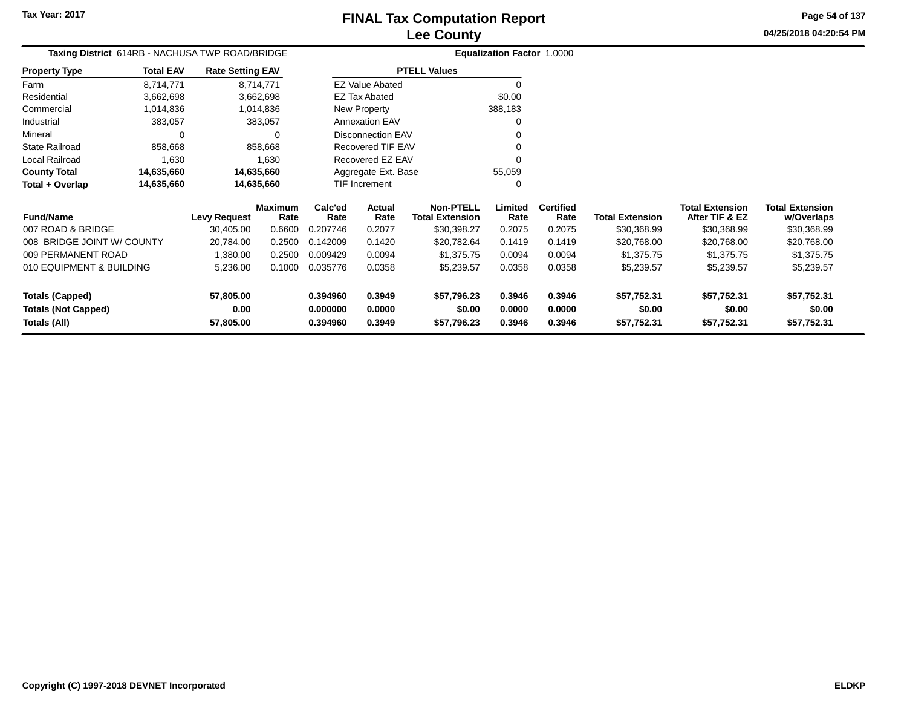**0.394960 0.3949 \$57,796.23 0.3946 0.3946 \$57,752.31 \$57,752.31 \$57,752.31**

**04/25/2018 04:20:54 PMPage 54 of 137**

> **w/Overlaps**\$30,368.99

| Taxing District 614RB - NACHUSA TWP ROAD/BRIDGE |                  |                         |                        |                 | Equalization Factor 1.0000 |                                            |                 |                          |                        |                                          |                                      |
|-------------------------------------------------|------------------|-------------------------|------------------------|-----------------|----------------------------|--------------------------------------------|-----------------|--------------------------|------------------------|------------------------------------------|--------------------------------------|
| <b>Property Type</b>                            | <b>Total EAV</b> | <b>Rate Setting EAV</b> |                        |                 |                            | <b>PTELL Values</b>                        |                 |                          |                        |                                          |                                      |
| Farm                                            | 8,714,771        |                         | 8,714,771              |                 | <b>EZ Value Abated</b>     |                                            |                 |                          |                        |                                          |                                      |
| Residential                                     | 3,662,698        |                         | 3,662,698              |                 | <b>EZ Tax Abated</b>       |                                            | \$0.00          |                          |                        |                                          |                                      |
| Commercial                                      | 1,014,836        |                         | 1,014,836              |                 | New Property               |                                            | 388,183         |                          |                        |                                          |                                      |
| Industrial                                      | 383,057          |                         | 383,057                |                 | <b>Annexation EAV</b>      |                                            |                 |                          |                        |                                          |                                      |
| Mineral                                         |                  |                         |                        |                 | Disconnection EAV          |                                            |                 |                          |                        |                                          |                                      |
| <b>State Railroad</b>                           | 858,668          |                         | 858,668                |                 | Recovered TIF EAV          |                                            |                 |                          |                        |                                          |                                      |
| <b>Local Railroad</b>                           | 1,630            |                         | 1,630                  |                 | Recovered EZ EAV           |                                            |                 |                          |                        |                                          |                                      |
| <b>County Total</b>                             | 14,635,660       | 14,635,660              |                        |                 | Aggregate Ext. Base        |                                            | 55,059          |                          |                        |                                          |                                      |
| Total + Overlap                                 | 14,635,660       | 14,635,660              |                        |                 | TIF Increment              |                                            |                 |                          |                        |                                          |                                      |
| <b>Fund/Name</b>                                |                  | <b>Levy Request</b>     | <b>Maximum</b><br>Rate | Calc'ed<br>Rate | Actual<br>Rate             | <b>Non-PTELL</b><br><b>Total Extension</b> | Limited<br>Rate | <b>Certified</b><br>Rate | <b>Total Extension</b> | <b>Total Extension</b><br>After TIF & EZ | <b>Total Extension</b><br>w/Overlaps |
| 007 ROAD & BRIDGE                               |                  | 30,405.00               | 0.6600                 | 0.207746        | 0.2077                     | \$30,398.27                                | 0.2075          | 0.2075                   | \$30,368.99            | \$30,368.99                              | \$30,368.99                          |
| 008 BRIDGE JOINT W/ COUNTY                      |                  | 20,784.00               | 0.2500                 | 0.142009        | 0.1420                     | \$20,782.64                                | 0.1419          | 0.1419                   | \$20,768.00            | \$20,768.00                              | \$20,768.00                          |
| 009 PERMANENT ROAD                              |                  | 1,380.00                | 0.2500                 | 0.009429        | 0.0094                     | \$1,375.75                                 | 0.0094          | 0.0094                   | \$1,375.75             | \$1,375.75                               | \$1,375.75                           |
| 010 EQUIPMENT & BUILDING                        |                  | 5,236.00                | 0.1000                 | 0.035776        | 0.0358                     | \$5,239.57                                 | 0.0358          | 0.0358                   | \$5,239.57             | \$5,239.57                               | \$5,239.57                           |
| <b>Totals (Capped)</b>                          |                  | 57,805.00               |                        | 0.394960        | 0.3949                     | \$57,796.23                                | 0.3946          | 0.3946                   | \$57,752.31            | \$57,752.31                              | \$57,752.31                          |
| <b>Totals (Not Capped)</b>                      |                  | 0.00                    |                        | 0.000000        | 0.0000                     | \$0.00                                     | 0.0000          | 0.0000                   | \$0.00                 | \$0.00                                   | \$0.00                               |
| Totals (All)                                    |                  | 57,805.00               |                        | 0.394960        | 0.3949                     | \$57,796.23                                | 0.3946          | 0.3946                   | \$57,752.31            | \$57,752.31                              | \$57,752.31                          |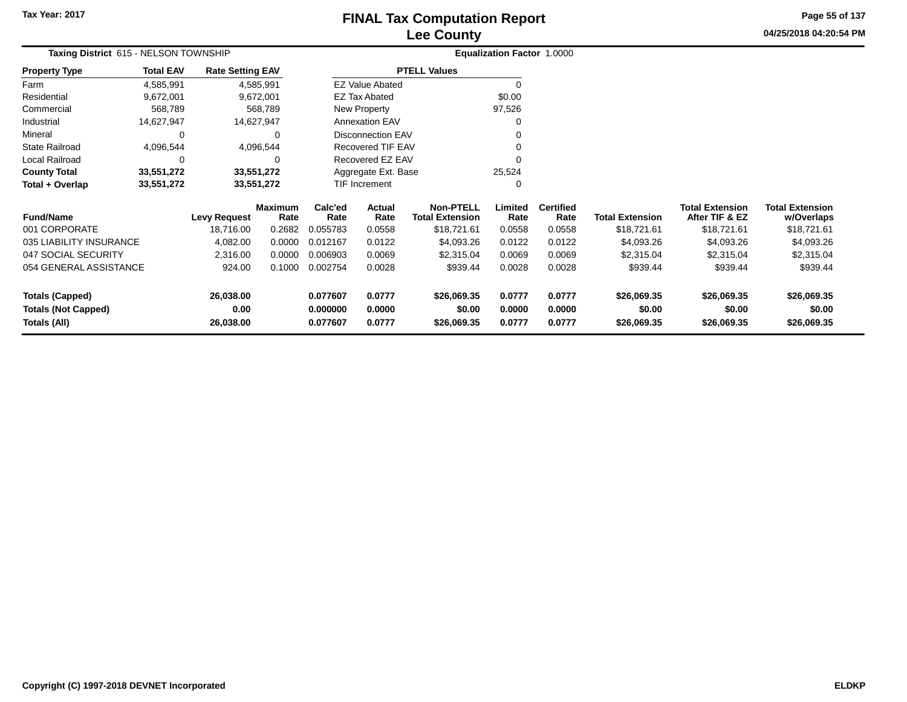# **Lee CountyFINAL Tax Computation Report**

**04/25/2018 04:20:54 PM Page 55 of 137**

| Taxing District 615 - NELSON TOWNSHIP      |                     |                         |                      |                          |                                            | Equalization Factor 1.0000 |                          |                        |                                          |                                      |
|--------------------------------------------|---------------------|-------------------------|----------------------|--------------------------|--------------------------------------------|----------------------------|--------------------------|------------------------|------------------------------------------|--------------------------------------|
| <b>Total EAV</b><br>Property Type          |                     | <b>Rate Setting EAV</b> |                      |                          | <b>PTELL Values</b>                        |                            |                          |                        |                                          |                                      |
| 4,585,991<br>Farm                          |                     | 4,585,991               |                      | <b>EZ Value Abated</b>   |                                            |                            |                          |                        |                                          |                                      |
| Residential<br>9,672,001                   |                     | 9,672,001               |                      | <b>EZ Tax Abated</b>     |                                            | \$0.00                     |                          |                        |                                          |                                      |
| Commercial<br>568,789                      |                     | 568,789                 |                      | New Property             |                                            | 97,526                     |                          |                        |                                          |                                      |
| Industrial<br>14,627,947                   |                     | 14,627,947              |                      | <b>Annexation EAV</b>    |                                            |                            |                          |                        |                                          |                                      |
| Mineral                                    | 0                   | 0                       |                      | <b>Disconnection EAV</b> |                                            |                            |                          |                        |                                          |                                      |
| 4,096,544<br>State Railroad                |                     | 4,096,544               |                      | Recovered TIF EAV        |                                            |                            |                          |                        |                                          |                                      |
| Local Railroad                             | 0                   | 0                       |                      | Recovered EZ EAV         |                                            |                            |                          |                        |                                          |                                      |
| <b>County Total</b><br>33,551,272          |                     | 33,551,272              |                      | Aggregate Ext. Base      |                                            | 25,524                     |                          |                        |                                          |                                      |
| Total + Overlap<br>33,551,272              |                     | 33,551,272              |                      | TIF Increment            |                                            |                            |                          |                        |                                          |                                      |
| <b>Fund/Name</b>                           | <b>Levy Request</b> | <b>Maximum</b><br>Rate  | Calc'ed<br>Rate      | Actual<br>Rate           | <b>Non-PTELL</b><br><b>Total Extension</b> | Limited<br>Rate            | <b>Certified</b><br>Rate | <b>Total Extension</b> | <b>Total Extension</b><br>After TIF & EZ | <b>Total Extension</b><br>w/Overlaps |
| 001 CORPORATE                              | 18,716.00           | 0.2682                  | 0.055783             | 0.0558                   | \$18,721.61                                | 0.0558                     | 0.0558                   | \$18,721.61            | \$18,721.61                              | \$18,721.61                          |
| 035 LIABILITY INSURANCE                    | 4,082.00            | 0.0000                  | 0.012167             | 0.0122                   | \$4,093.26                                 | 0.0122                     | 0.0122                   | \$4,093.26             | \$4,093.26                               | \$4,093.26                           |
| 047 SOCIAL SECURITY                        | 2,316.00            | 0.0000                  | 0.006903             | 0.0069                   | \$2,315.04                                 | 0.0069                     | 0.0069                   | \$2,315.04             | \$2,315.04                               | \$2,315.04                           |
| 054 GENERAL ASSISTANCE                     |                     | 0.1000<br>924.00        | 0.002754             | 0.0028                   | \$939.44                                   | 0.0028                     | 0.0028                   | \$939.44               | \$939.44                                 | \$939.44                             |
| <b>Totals (Capped)</b>                     | 26,038.00           |                         | 0.077607             | 0.0777                   | \$26,069.35                                | 0.0777                     | 0.0777                   | \$26,069.35            | \$26,069.35                              | \$26,069.35                          |
| <b>Totals (Not Capped)</b><br>Totals (All) | 26,038.00           | 0.00                    | 0.000000<br>0.077607 | 0.0000<br>0.0777         | \$0.00<br>\$26,069.35                      | 0.0000<br>0.0777           | 0.0000<br>0.0777         | \$0.00<br>\$26,069.35  | \$0.00<br>\$26,069.35                    | \$0.00<br>\$26,069.35                |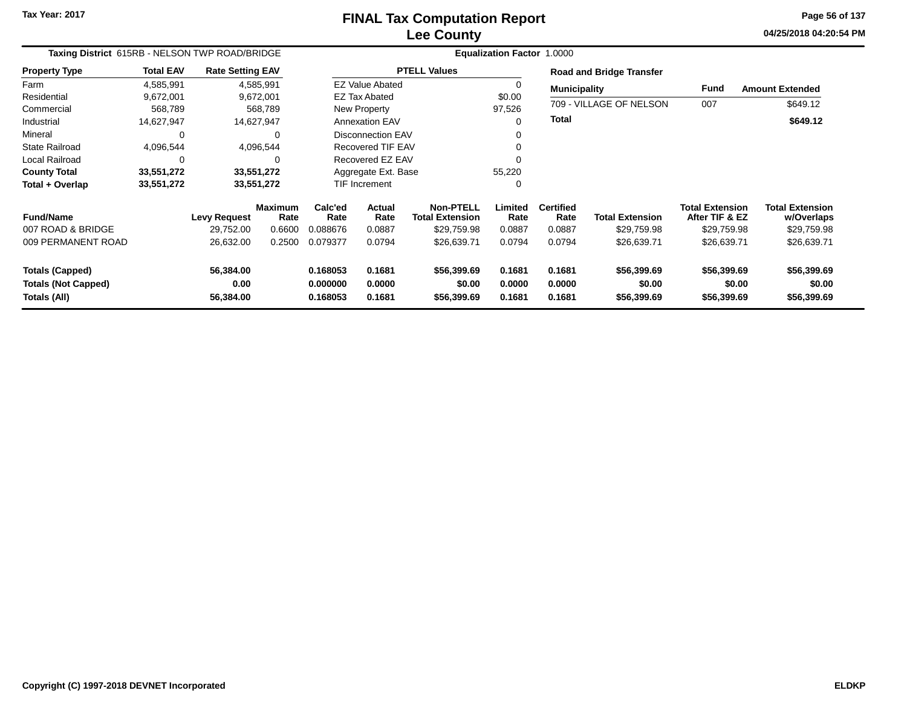# **Lee CountyFINAL Tax Computation Report**

**04/25/2018 04:20:54 PM Page 56 of 137**

| Taxing District 615RB - NELSON TWP ROAD/BRIDGE                       |                  |                                |                        |                                  |                            |                                            | Equalization Factor 1.0000 |                            |                                      |                                          |                                      |
|----------------------------------------------------------------------|------------------|--------------------------------|------------------------|----------------------------------|----------------------------|--------------------------------------------|----------------------------|----------------------------|--------------------------------------|------------------------------------------|--------------------------------------|
| <b>Property Type</b>                                                 | <b>Total EAV</b> | <b>Rate Setting EAV</b>        |                        |                                  |                            | <b>PTELL Values</b>                        |                            |                            | <b>Road and Bridge Transfer</b>      |                                          |                                      |
| Farm                                                                 | 4,585,991        | 4,585,991                      |                        |                                  | <b>EZ Value Abated</b>     |                                            | 0                          | <b>Municipality</b>        |                                      | Fund                                     | <b>Amount Extended</b>               |
| Residential                                                          | 9,672,001        | 9,672,001                      |                        |                                  | <b>EZ Tax Abated</b>       |                                            | \$0.00                     |                            |                                      |                                          |                                      |
| Commercial                                                           | 568,789          |                                | 568,789                |                                  | New Property               |                                            | 97,526                     |                            | 709 - VILLAGE OF NELSON              | 007                                      | \$649.12                             |
| Industrial                                                           | 14,627,947       | 14,627,947                     |                        |                                  | <b>Annexation EAV</b>      |                                            | 0                          | <b>Total</b>               |                                      |                                          | \$649.12                             |
| Mineral                                                              | 0                |                                | 0                      |                                  | Disconnection EAV          |                                            | 0                          |                            |                                      |                                          |                                      |
| <b>State Railroad</b>                                                | 4,096,544        |                                | 4,096,544              |                                  | <b>Recovered TIF EAV</b>   |                                            | 0                          |                            |                                      |                                          |                                      |
| Local Railroad                                                       | 0                |                                | $\Omega$               |                                  | Recovered EZ EAV           |                                            | $\Omega$                   |                            |                                      |                                          |                                      |
| <b>County Total</b>                                                  | 33,551,272       | 33,551,272                     |                        |                                  | Aggregate Ext. Base        |                                            | 55,220                     |                            |                                      |                                          |                                      |
| Total + Overlap                                                      | 33,551,272       | 33,551,272                     |                        |                                  | <b>TIF Increment</b>       |                                            | 0                          |                            |                                      |                                          |                                      |
| <b>Fund/Name</b>                                                     |                  | <b>Levy Request</b>            | <b>Maximum</b><br>Rate | Calc'ed<br>Rate                  | <b>Actual</b><br>Rate      | <b>Non-PTELL</b><br><b>Total Extension</b> | Limited<br>Rate            | <b>Certified</b><br>Rate   | <b>Total Extension</b>               | <b>Total Extension</b><br>After TIF & EZ | <b>Total Extension</b><br>w/Overlaps |
| 007 ROAD & BRIDGE                                                    |                  | 29,752.00                      | 0.6600                 | 0.088676                         | 0.0887                     | \$29,759.98                                | 0.0887                     | 0.0887                     | \$29,759.98                          | \$29,759.98                              | \$29,759.98                          |
| 009 PERMANENT ROAD                                                   |                  | 26,632.00                      | 0.2500                 | 0.079377                         | 0.0794                     | \$26,639.71                                | 0.0794                     | 0.0794                     | \$26,639.71                          | \$26,639.71                              | \$26,639.71                          |
| <b>Totals (Capped)</b><br><b>Totals (Not Capped)</b><br>Totals (All) |                  | 56,384.00<br>0.00<br>56,384.00 |                        | 0.168053<br>0.000000<br>0.168053 | 0.1681<br>0.0000<br>0.1681 | \$56,399.69<br>\$0.00<br>\$56,399.69       | 0.1681<br>0.0000<br>0.1681 | 0.1681<br>0.0000<br>0.1681 | \$56,399.69<br>\$0.00<br>\$56,399.69 | \$56,399.69<br>\$0.00<br>\$56,399.69     | \$56,399.69<br>\$0.00<br>\$56,399.69 |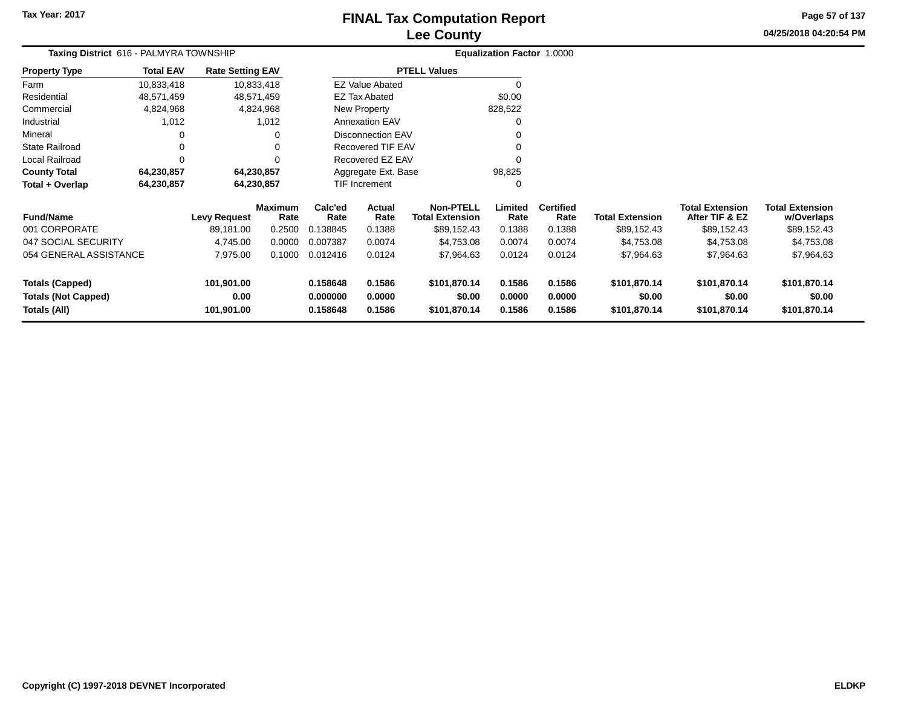# **Lee CountyFINAL Tax Computation Report**

**04/25/2018 04:20:54 PM Page 57 of 137**

| Taxing District 616 - PALMYRA TOWNSHIP |                  |                         |                        |                 | Equalization Factor 1.0000 |                                            |                 |                          |                        |                                          |                                      |
|----------------------------------------|------------------|-------------------------|------------------------|-----------------|----------------------------|--------------------------------------------|-----------------|--------------------------|------------------------|------------------------------------------|--------------------------------------|
| <b>Property Type</b>                   | <b>Total EAV</b> | <b>Rate Setting EAV</b> |                        |                 |                            | <b>PTELL Values</b>                        |                 |                          |                        |                                          |                                      |
| Farm                                   | 10,833,418       |                         | 10,833,418             |                 | <b>EZ Value Abated</b>     |                                            | $\Omega$        |                          |                        |                                          |                                      |
| Residential                            | 48,571,459       | 48,571,459              |                        |                 | <b>EZ Tax Abated</b>       |                                            | \$0.00          |                          |                        |                                          |                                      |
| Commercial                             | 4,824,968        |                         | 4,824,968              |                 | New Property               |                                            | 828,522         |                          |                        |                                          |                                      |
| Industrial                             | 1,012            |                         | 1,012                  |                 | <b>Annexation EAV</b>      |                                            | 0               |                          |                        |                                          |                                      |
| Mineral                                |                  |                         |                        |                 | <b>Disconnection EAV</b>   |                                            |                 |                          |                        |                                          |                                      |
| State Railroad                         |                  |                         |                        |                 | <b>Recovered TIF EAV</b>   |                                            |                 |                          |                        |                                          |                                      |
| Local Railroad                         |                  |                         |                        |                 | Recovered EZ EAV           |                                            |                 |                          |                        |                                          |                                      |
| <b>County Total</b>                    | 64,230,857       | 64,230,857              |                        |                 | Aggregate Ext. Base        |                                            | 98,825          |                          |                        |                                          |                                      |
| Total + Overlap                        | 64,230,857       | 64,230,857              |                        |                 | TIF Increment              |                                            | 0               |                          |                        |                                          |                                      |
| <b>Fund/Name</b>                       |                  | <b>Levy Request</b>     | <b>Maximum</b><br>Rate | Calc'ed<br>Rate | Actual<br>Rate             | <b>Non-PTELL</b><br><b>Total Extension</b> | Limited<br>Rate | <b>Certified</b><br>Rate | <b>Total Extension</b> | <b>Total Extension</b><br>After TIF & EZ | <b>Total Extension</b><br>w/Overlaps |
| 001 CORPORATE                          |                  | 89,181.00               | 0.2500                 | 0.138845        | 0.1388                     | \$89,152.43                                | 0.1388          | 0.1388                   | \$89,152.43            | \$89,152.43                              | \$89,152.43                          |
| 047 SOCIAL SECURITY                    |                  | 4,745.00                | 0.0000                 | 0.007387        | 0.0074                     | \$4,753.08                                 | 0.0074          | 0.0074                   | \$4,753.08             | \$4,753.08                               | \$4,753.08                           |
| 054 GENERAL ASSISTANCE                 |                  | 7,975.00                | 0.1000                 | 0.012416        | 0.0124                     | \$7,964.63                                 | 0.0124          | 0.0124                   | \$7,964.63             | \$7,964.63                               | \$7,964.63                           |
| <b>Totals (Capped)</b>                 |                  | 101,901.00              |                        | 0.158648        | 0.1586                     | \$101,870.14                               | 0.1586          | 0.1586                   | \$101,870.14           | \$101,870.14                             | \$101,870.14                         |
| <b>Totals (Not Capped)</b>             |                  | 0.00                    |                        | 0.000000        | 0.0000                     | \$0.00                                     | 0.0000          | 0.0000                   | \$0.00                 | \$0.00                                   | \$0.00                               |
| Totals (All)<br>101,901.00             |                  |                         | 0.158648               | 0.1586          | \$101,870.14               | 0.1586                                     | 0.1586          | \$101,870.14             | \$101,870.14           | \$101,870.14                             |                                      |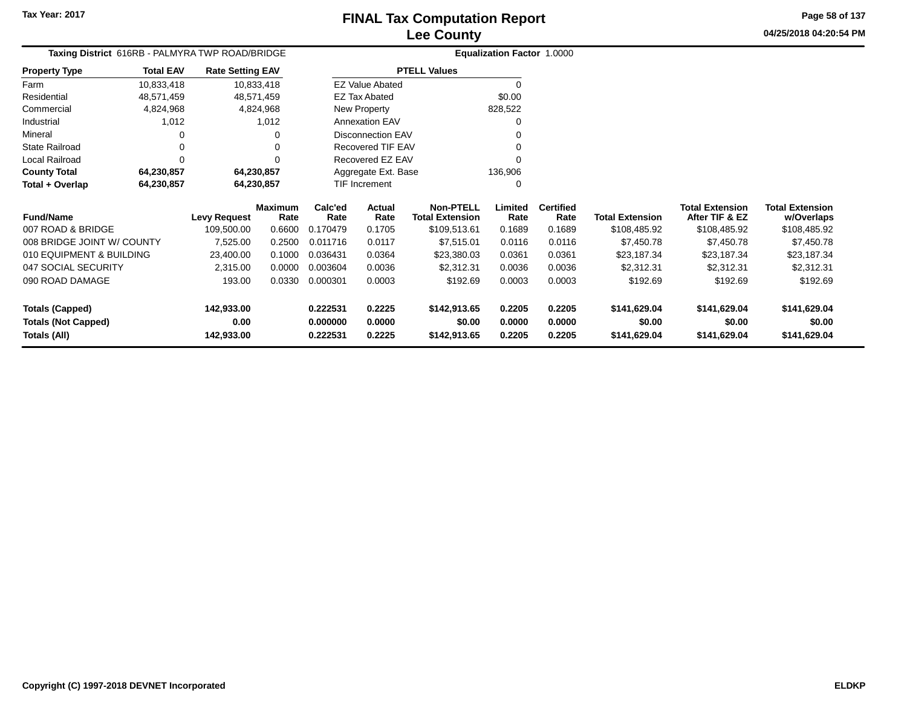**04/25/2018 04:20:54 PM Page 58 of 137**

| Taxing District 616RB - PALMYRA TWP ROAD/BRIDGE |                  |                         |                        |                 | Equalization Factor 1.0000 |                                            |                 |                          |                        |                                          |                                      |
|-------------------------------------------------|------------------|-------------------------|------------------------|-----------------|----------------------------|--------------------------------------------|-----------------|--------------------------|------------------------|------------------------------------------|--------------------------------------|
| <b>Property Type</b>                            | <b>Total EAV</b> | <b>Rate Setting EAV</b> |                        |                 |                            | <b>PTELL Values</b>                        |                 |                          |                        |                                          |                                      |
| Farm                                            | 10,833,418       |                         | 10,833,418             |                 | <b>EZ Value Abated</b>     |                                            | 0               |                          |                        |                                          |                                      |
| Residential                                     | 48,571,459       |                         | 48,571,459             |                 | <b>EZ Tax Abated</b>       |                                            | \$0.00          |                          |                        |                                          |                                      |
| Commercial                                      | 4,824,968        |                         | 4,824,968              |                 | New Property               |                                            | 828,522         |                          |                        |                                          |                                      |
| Industrial                                      | 1,012            |                         | 1,012                  |                 | <b>Annexation EAV</b>      |                                            | 0               |                          |                        |                                          |                                      |
| Mineral                                         | 0                |                         | 0                      |                 | Disconnection EAV          |                                            | 0               |                          |                        |                                          |                                      |
| State Railroad                                  | 0                |                         |                        |                 | <b>Recovered TIF EAV</b>   |                                            | 0               |                          |                        |                                          |                                      |
| Local Railroad                                  | $\Omega$         |                         | ∩                      |                 | Recovered EZ EAV           |                                            | 0               |                          |                        |                                          |                                      |
| <b>County Total</b>                             | 64,230,857       |                         | 64,230,857             |                 | Aggregate Ext. Base        |                                            | 136,906         |                          |                        |                                          |                                      |
| Total + Overlap                                 | 64,230,857       |                         | 64,230,857             |                 | TIF Increment              |                                            | 0               |                          |                        |                                          |                                      |
| <b>Fund/Name</b>                                |                  | <b>Levy Request</b>     | <b>Maximum</b><br>Rate | Calc'ed<br>Rate | Actual<br>Rate             | <b>Non-PTELL</b><br><b>Total Extension</b> | Limited<br>Rate | <b>Certified</b><br>Rate | <b>Total Extension</b> | <b>Total Extension</b><br>After TIF & EZ | <b>Total Extension</b><br>w/Overlaps |
| 007 ROAD & BRIDGE                               |                  | 109,500.00              | 0.6600                 | 0.170479        | 0.1705                     | \$109,513.61                               | 0.1689          | 0.1689                   | \$108,485.92           | \$108,485.92                             | \$108,485.92                         |
| 008 BRIDGE JOINT W/ COUNTY                      |                  | 7,525.00                | 0.2500                 | 0.011716        | 0.0117                     | \$7,515.01                                 | 0.0116          | 0.0116                   | \$7,450.78             | \$7,450.78                               | \$7,450.78                           |
| 010 EQUIPMENT & BUILDING                        |                  | 23,400.00               | 0.1000                 | 0.036431        | 0.0364                     | \$23,380.03                                | 0.0361          | 0.0361                   | \$23,187.34            | \$23,187.34                              | \$23,187.34                          |
| 047 SOCIAL SECURITY                             |                  | 2,315.00                | 0.0000                 | 0.003604        | 0.0036                     | \$2,312.31                                 | 0.0036          | 0.0036                   | \$2,312.31             | \$2,312.31                               | \$2,312.31                           |
| 090 ROAD DAMAGE                                 |                  | 193.00                  | 0.0330                 | 0.000301        | 0.0003                     | \$192.69                                   | 0.0003          | 0.0003                   | \$192.69               | \$192.69                                 | \$192.69                             |
| <b>Totals (Capped)</b>                          |                  | 142,933.00              |                        | 0.222531        | 0.2225                     | \$142,913.65                               | 0.2205          | 0.2205                   | \$141,629.04           | \$141,629.04                             | \$141,629.04                         |
| <b>Totals (Not Capped)</b>                      |                  | 0.00                    |                        | 0.000000        | 0.0000                     | \$0.00                                     | 0.0000          | 0.0000                   | \$0.00                 | \$0.00                                   | \$0.00                               |
| Totals (All)                                    |                  | 142,933.00              |                        | 0.222531        | 0.2225                     | \$142,913.65                               | 0.2205          | 0.2205                   | \$141,629.04           | \$141,629.04                             | \$141,629.04                         |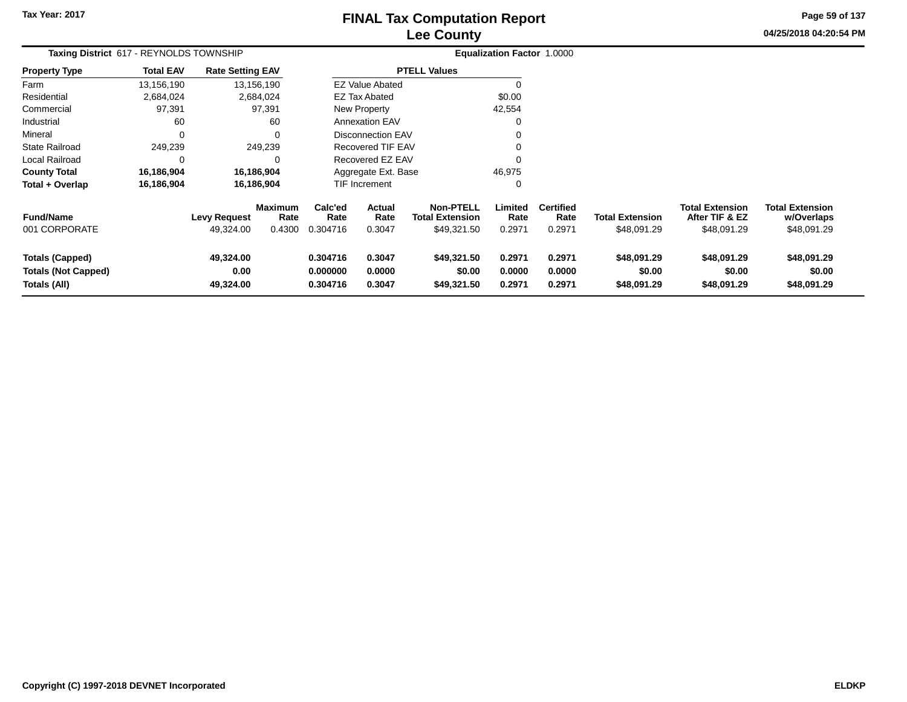# **Lee CountyFINAL Tax Computation Report**

**04/25/2018 04:20:54 PM Page 59 of 137**

| Taxing District 617 - REYNOLDS TOWNSHIP                              |                  |                                  |                                  |                                  | Equalization Factor 1.0000 |                                                           |                            |                                    |                                       |                                                         |                                                     |
|----------------------------------------------------------------------|------------------|----------------------------------|----------------------------------|----------------------------------|----------------------------|-----------------------------------------------------------|----------------------------|------------------------------------|---------------------------------------|---------------------------------------------------------|-----------------------------------------------------|
| <b>Property Type</b>                                                 | <b>Total EAV</b> | <b>Rate Setting EAV</b>          |                                  |                                  |                            | <b>PTELL Values</b>                                       |                            |                                    |                                       |                                                         |                                                     |
| Farm                                                                 | 13,156,190       |                                  | 13,156,190                       |                                  | <b>EZ Value Abated</b>     |                                                           |                            |                                    |                                       |                                                         |                                                     |
| Residential                                                          | 2,684,024        |                                  | 2,684,024                        |                                  | EZ Tax Abated              |                                                           | \$0.00                     |                                    |                                       |                                                         |                                                     |
| Commercial                                                           | 97,391           |                                  | 97,391                           |                                  | New Property               |                                                           | 42,554                     |                                    |                                       |                                                         |                                                     |
| Industrial                                                           | 60               |                                  | 60                               |                                  | <b>Annexation EAV</b>      |                                                           |                            |                                    |                                       |                                                         |                                                     |
| Mineral                                                              | $\Omega$         |                                  | $\Omega$                         |                                  | Disconnection EAV          |                                                           |                            |                                    |                                       |                                                         |                                                     |
| State Railroad                                                       | 249,239          |                                  | 249,239                          |                                  | Recovered TIF EAV          |                                                           |                            |                                    |                                       |                                                         |                                                     |
| Local Railroad                                                       | 0                |                                  | $\Omega$                         |                                  | Recovered EZ EAV           |                                                           |                            |                                    |                                       |                                                         |                                                     |
| <b>County Total</b>                                                  | 16,186,904       |                                  | 16,186,904                       |                                  | Aggregate Ext. Base        |                                                           | 46,975                     |                                    |                                       |                                                         |                                                     |
| Total + Overlap                                                      | 16,186,904       |                                  | 16,186,904                       |                                  | TIF Increment              |                                                           |                            |                                    |                                       |                                                         |                                                     |
| <b>Fund/Name</b><br>001 CORPORATE                                    |                  | <b>Levy Request</b><br>49,324.00 | <b>Maximum</b><br>Rate<br>0.4300 | Calc'ed<br>Rate<br>0.304716      | Actual<br>Rate<br>0.3047   | <b>Non-PTELL</b><br><b>Total Extension</b><br>\$49,321.50 | Limited<br>Rate<br>0.2971  | <b>Certified</b><br>Rate<br>0.2971 | <b>Total Extension</b><br>\$48,091.29 | <b>Total Extension</b><br>After TIF & EZ<br>\$48,091.29 | <b>Total Extension</b><br>w/Overlaps<br>\$48,091.29 |
| <b>Totals (Capped)</b><br><b>Totals (Not Capped)</b><br>Totals (All) |                  | 49,324.00<br>0.00<br>49,324.00   |                                  | 0.304716<br>0.000000<br>0.304716 | 0.3047<br>0.0000<br>0.3047 | \$49,321.50<br>\$0.00<br>\$49,321.50                      | 0.2971<br>0.0000<br>0.2971 | 0.2971<br>0.0000<br>0.2971         | \$48,091.29<br>\$0.00<br>\$48,091.29  | \$48,091.29<br>\$0.00<br>\$48,091.29                    | \$48,091.29<br>\$0.00<br>\$48,091.29                |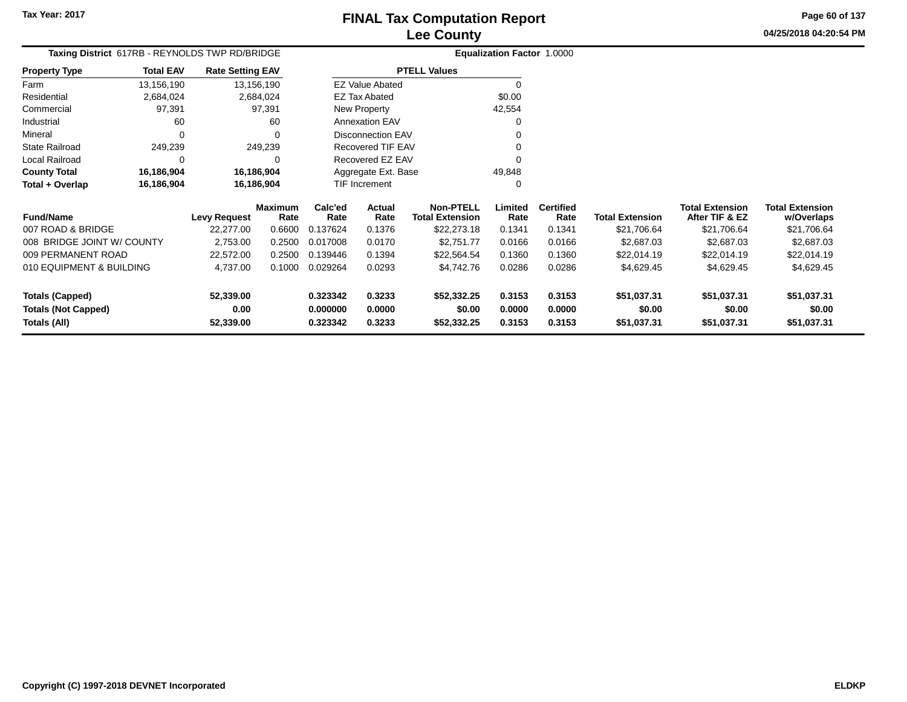**04/25/2018 04:20:54 PMPage 60 of 137**

| Taxing District 617RB - REYNOLDS TWP RD/BRIDGE |                  |                         |                        |                     | Equalization Factor 1.0000 |                                            |                 |                          |                        |                                          |                                      |
|------------------------------------------------|------------------|-------------------------|------------------------|---------------------|----------------------------|--------------------------------------------|-----------------|--------------------------|------------------------|------------------------------------------|--------------------------------------|
| <b>Property Type</b>                           | <b>Total EAV</b> | <b>Rate Setting EAV</b> |                        |                     |                            | <b>PTELL Values</b>                        |                 |                          |                        |                                          |                                      |
| Farm                                           | 13,156,190       |                         | 13,156,190             |                     | <b>EZ Value Abated</b>     |                                            |                 |                          |                        |                                          |                                      |
| Residential                                    | 2,684,024        |                         | 2,684,024              |                     | <b>EZ Tax Abated</b>       |                                            | \$0.00          |                          |                        |                                          |                                      |
| Commercial                                     | 97,391           |                         | 97,391                 |                     | New Property               |                                            | 42,554          |                          |                        |                                          |                                      |
| Industrial                                     | 60               |                         | 60                     |                     | <b>Annexation EAV</b>      |                                            |                 |                          |                        |                                          |                                      |
| Mineral                                        | $\Omega$         |                         | $\Omega$               |                     | <b>Disconnection EAV</b>   |                                            |                 |                          |                        |                                          |                                      |
| <b>State Railroad</b>                          | 249,239          |                         | 249,239                |                     | Recovered TIF EAV          |                                            |                 |                          |                        |                                          |                                      |
| <b>Local Railroad</b>                          | 0                |                         | 0                      |                     | Recovered EZ EAV           |                                            |                 |                          |                        |                                          |                                      |
| <b>County Total</b>                            | 16,186,904       | 16,186,904              |                        | Aggregate Ext. Base |                            |                                            | 49,848          |                          |                        |                                          |                                      |
| Total + Overlap                                | 16,186,904       | 16,186,904              |                        |                     | <b>TIF Increment</b>       |                                            | $\Omega$        |                          |                        |                                          |                                      |
| <b>Fund/Name</b>                               |                  | <b>Levy Request</b>     | <b>Maximum</b><br>Rate | Calc'ed<br>Rate     | Actual<br>Rate             | <b>Non-PTELL</b><br><b>Total Extension</b> | Limited<br>Rate | <b>Certified</b><br>Rate | <b>Total Extension</b> | <b>Total Extension</b><br>After TIF & EZ | <b>Total Extension</b><br>w/Overlaps |
| 007 ROAD & BRIDGE                              |                  | 22,277.00               | 0.6600                 | 0.137624            | 0.1376                     | \$22,273.18                                | 0.1341          | 0.1341                   | \$21,706.64            | \$21,706.64                              | \$21,706.64                          |
| 008 BRIDGE JOINT W/ COUNTY                     |                  | 2,753.00                | 0.2500                 | 0.017008            | 0.0170                     | \$2,751.77                                 | 0.0166          | 0.0166                   | \$2,687.03             | \$2,687.03                               | \$2,687.03                           |
| 009 PERMANENT ROAD                             |                  | 22,572.00               | 0.2500                 | 0.139446            | 0.1394                     | \$22,564.54                                | 0.1360          | 0.1360                   | \$22,014.19            | \$22,014.19                              | \$22,014.19                          |
| 010 EQUIPMENT & BUILDING                       |                  | 4,737.00                | 0.1000                 | 0.029264            | 0.0293                     | \$4,742.76                                 | 0.0286          | 0.0286                   | \$4,629.45             | \$4,629.45                               | \$4,629.45                           |
| <b>Totals (Capped)</b>                         |                  | 52,339.00               |                        | 0.323342            | 0.3233                     | \$52,332.25                                | 0.3153          | 0.3153                   | \$51,037.31            | \$51,037.31                              | \$51,037.31                          |
| <b>Totals (Not Capped)</b>                     |                  | 0.00                    |                        | 0.000000            | 0.0000                     | \$0.00                                     | 0.0000          | 0.0000                   | \$0.00                 | \$0.00                                   | \$0.00                               |
| Totals (All)                                   |                  | 52,339.00               |                        | 0.323342            | 0.3233                     | \$52,332.25                                | 0.3153          | 0.3153                   | \$51,037.31            | \$51,037.31                              | \$51,037.31                          |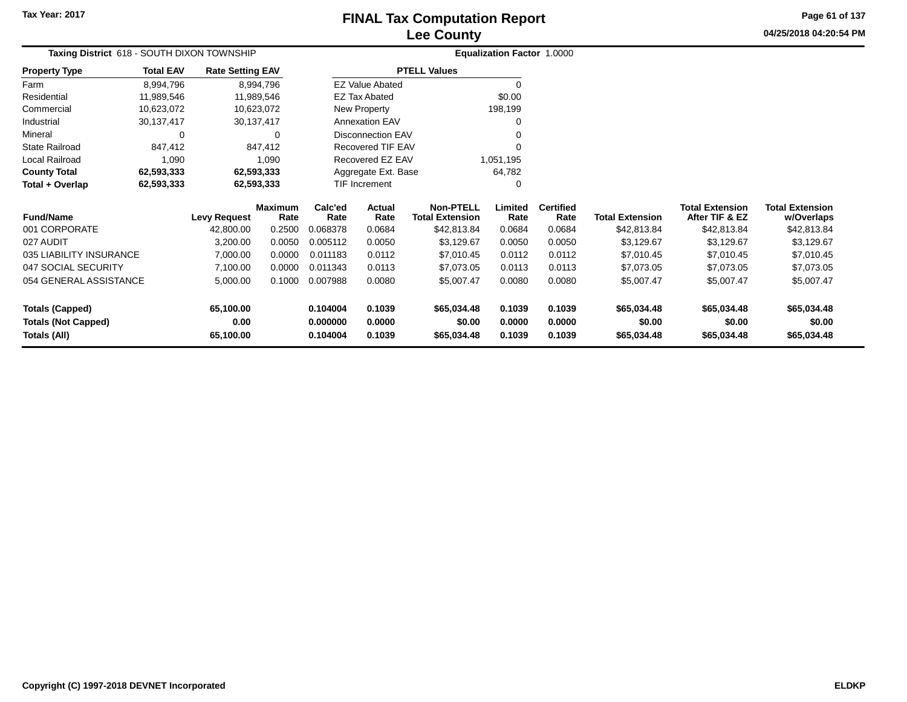## **Lee CountyFINAL Tax Computation Report**

**04/25/2018 04:20:54 PMPage 61 of 137**

| Taxing District 618 - SOUTH DIXON TOWNSHIP |                  |                         |                        |                 |                          |                                            | Equalization Factor 1.0000 |                          |                        |                                          |                                      |
|--------------------------------------------|------------------|-------------------------|------------------------|-----------------|--------------------------|--------------------------------------------|----------------------------|--------------------------|------------------------|------------------------------------------|--------------------------------------|
| <b>Property Type</b>                       | <b>Total EAV</b> | <b>Rate Setting EAV</b> |                        |                 |                          | <b>PTELL Values</b>                        |                            |                          |                        |                                          |                                      |
| Farm                                       | 8,994,796        |                         | 8,994,796              |                 | <b>EZ Value Abated</b>   |                                            |                            |                          |                        |                                          |                                      |
| Residential                                | 11,989,546       | 11,989,546              |                        |                 | <b>EZ Tax Abated</b>     |                                            | \$0.00                     |                          |                        |                                          |                                      |
| Commercial                                 | 10,623,072       | 10,623,072              |                        |                 | New Property             |                                            | 198,199                    |                          |                        |                                          |                                      |
| Industrial                                 | 30,137,417       | 30,137,417              |                        |                 | <b>Annexation EAV</b>    |                                            |                            |                          |                        |                                          |                                      |
| Mineral                                    | 0                |                         | 0                      |                 | <b>Disconnection EAV</b> |                                            |                            |                          |                        |                                          |                                      |
| <b>State Railroad</b>                      | 847,412          |                         | 847,412                |                 | Recovered TIF EAV        |                                            |                            |                          |                        |                                          |                                      |
| Local Railroad                             | 1,090            |                         | 1,090                  |                 | Recovered EZ EAV         |                                            | 1,051,195                  |                          |                        |                                          |                                      |
| <b>County Total</b>                        | 62,593,333       | 62,593,333              |                        |                 | Aggregate Ext. Base      |                                            | 64,782                     |                          |                        |                                          |                                      |
| Total + Overlap                            | 62,593,333       | 62,593,333              |                        |                 | TIF Increment            |                                            | 0                          |                          |                        |                                          |                                      |
| <b>Fund/Name</b>                           |                  | <b>Levy Request</b>     | <b>Maximum</b><br>Rate | Calc'ed<br>Rate | Actual<br>Rate           | <b>Non-PTELL</b><br><b>Total Extension</b> | Limited<br>Rate            | <b>Certified</b><br>Rate | <b>Total Extension</b> | <b>Total Extension</b><br>After TIF & EZ | <b>Total Extension</b><br>w/Overlaps |
| 001 CORPORATE                              |                  | 42,800.00               | 0.2500                 | 0.068378        | 0.0684                   | \$42,813.84                                | 0.0684                     | 0.0684                   | \$42,813.84            | \$42,813.84                              | \$42,813.84                          |
| 027 AUDIT                                  |                  | 3,200.00                | 0.0050                 | 0.005112        | 0.0050                   | \$3,129.67                                 | 0.0050                     | 0.0050                   | \$3,129.67             | \$3,129.67                               | \$3,129.67                           |
| 035 LIABILITY INSURANCE                    |                  | 7,000.00                | 0.0000                 | 0.011183        | 0.0112                   | \$7,010.45                                 | 0.0112                     | 0.0112                   | \$7,010.45             | \$7,010.45                               | \$7,010.45                           |
| 047 SOCIAL SECURITY                        |                  | 7,100.00                | 0.0000                 | 0.011343        | 0.0113                   | \$7,073.05                                 | 0.0113                     | 0.0113                   | \$7,073.05             | \$7,073.05                               | \$7,073.05                           |
| 054 GENERAL ASSISTANCE                     |                  | 5,000.00                | 0.1000                 | 0.007988        | 0.0080                   | \$5,007.47                                 | 0.0080                     | 0.0080                   | \$5,007.47             | \$5,007.47                               | \$5,007.47                           |
| <b>Totals (Capped)</b>                     |                  | 65,100.00               |                        | 0.104004        | 0.1039                   | \$65,034.48                                | 0.1039                     | 0.1039                   | \$65,034.48            | \$65,034.48                              | \$65,034.48                          |
| <b>Totals (Not Capped)</b>                 |                  | 0.00                    |                        | 0.000000        | 0.0000                   | \$0.00                                     | 0.0000                     | 0.0000                   | \$0.00                 | \$0.00                                   | \$0.00                               |
| Totals (All)                               |                  | 65,100.00               |                        | 0.104004        | 0.1039                   | \$65,034.48                                | 0.1039                     | 0.1039                   | \$65,034.48            | \$65,034.48                              | \$65,034.48                          |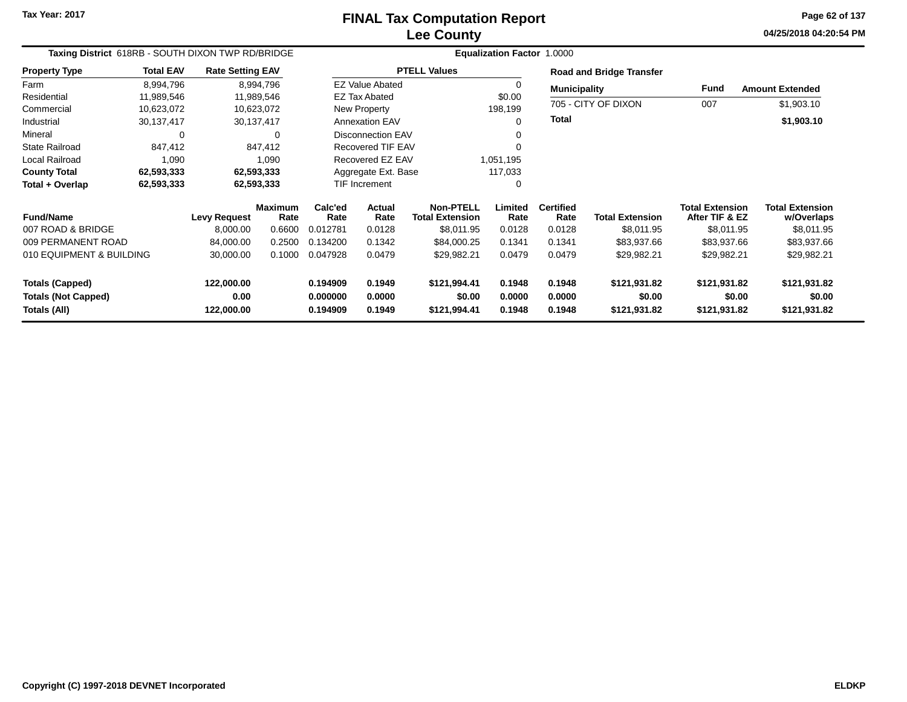**04/25/2018 04:20:54 PM Page 62 of 137**

| Taxing District 618RB - SOUTH DIXON TWP RD/BRIDGE<br><b>Rate Setting EAV</b> |                  |                     |                        |                 |                                |                                            | <b>Equalization Factor 1.0000</b> |                          |                                 |                                          |                                      |
|------------------------------------------------------------------------------|------------------|---------------------|------------------------|-----------------|--------------------------------|--------------------------------------------|-----------------------------------|--------------------------|---------------------------------|------------------------------------------|--------------------------------------|
| <b>Property Type</b>                                                         | <b>Total EAV</b> |                     |                        |                 |                                | <b>PTELL Values</b>                        |                                   |                          | <b>Road and Bridge Transfer</b> |                                          |                                      |
| Farm                                                                         | 8,994,796        |                     | 8,994,796              |                 | <b>EZ Value Abated</b>         |                                            | 0                                 | <b>Municipality</b>      |                                 | Fund                                     | <b>Amount Extended</b>               |
| Residential                                                                  | 11,989,546       |                     | 11,989,546             |                 | <b>EZ Tax Abated</b>           |                                            | \$0.00                            |                          | 705 - CITY OF DIXON             |                                          |                                      |
| Commercial                                                                   | 10,623,072       |                     | 10,623,072             |                 | New Property                   |                                            | 198,199                           |                          |                                 | 007                                      | \$1,903.10                           |
| Industrial                                                                   | 30,137,417       |                     | 30,137,417             |                 | <b>Annexation EAV</b>          |                                            | 0                                 | <b>Total</b>             |                                 |                                          | \$1,903.10                           |
| Mineral                                                                      | 0                |                     | 0                      |                 | <b>Disconnection EAV</b>       |                                            | 0                                 |                          |                                 |                                          |                                      |
| <b>State Railroad</b>                                                        | 847,412          |                     | 847,412                |                 | <b>Recovered TIF EAV</b>       |                                            |                                   |                          |                                 |                                          |                                      |
| Local Railroad                                                               | 1,090            |                     | 1,090                  |                 | Recovered EZ EAV               |                                            | 1,051,195                         |                          |                                 |                                          |                                      |
| <b>County Total</b>                                                          | 62,593,333       |                     | 62,593,333             |                 | Aggregate Ext. Base<br>117,033 |                                            |                                   |                          |                                 |                                          |                                      |
| Total + Overlap                                                              | 62,593,333       |                     | 62,593,333             |                 | TIF Increment                  | 0                                          |                                   |                          |                                 |                                          |                                      |
| <b>Fund/Name</b>                                                             |                  | <b>Levy Request</b> | <b>Maximum</b><br>Rate | Calc'ed<br>Rate | <b>Actual</b><br>Rate          | <b>Non-PTELL</b><br><b>Total Extension</b> | Limited<br>Rate                   | <b>Certified</b><br>Rate | <b>Total Extension</b>          | <b>Total Extension</b><br>After TIF & EZ | <b>Total Extension</b><br>w/Overlaps |
| 007 ROAD & BRIDGE                                                            |                  | 8,000.00            | 0.6600                 | 0.012781        | 0.0128                         | \$8,011.95                                 | 0.0128                            | 0.0128                   | \$8,011.95                      | \$8,011.95                               | \$8,011.95                           |
| 009 PERMANENT ROAD                                                           |                  | 84,000.00           | 0.2500                 | 0.134200        | 0.1342                         | \$84,000.25                                | 0.1341                            | 0.1341                   | \$83,937.66                     | \$83,937.66                              | \$83,937.66                          |
| 010 EQUIPMENT & BUILDING                                                     |                  | 30,000.00           | 0.1000                 | 0.047928        | 0.0479                         | \$29,982.21                                | 0.0479                            | 0.0479                   | \$29,982.21                     | \$29,982.21                              | \$29,982.21                          |
| <b>Totals (Capped)</b>                                                       |                  | 122,000.00          |                        | 0.194909        | 0.1949                         | \$121,994.41                               | 0.1948                            | 0.1948                   | \$121,931.82                    | \$121,931.82                             | \$121,931.82                         |
| <b>Totals (Not Capped)</b>                                                   |                  | 0.00                |                        | 0.000000        | 0.0000                         | \$0.00                                     | 0.0000                            | 0.0000                   | \$0.00                          | \$0.00                                   | \$0.00                               |
| Totals (All)                                                                 |                  | 122,000.00          |                        | 0.194909        | 0.1949                         | \$121,994.41                               | 0.1948                            | 0.1948                   | \$121,931.82                    | \$121,931.82                             | \$121,931.82                         |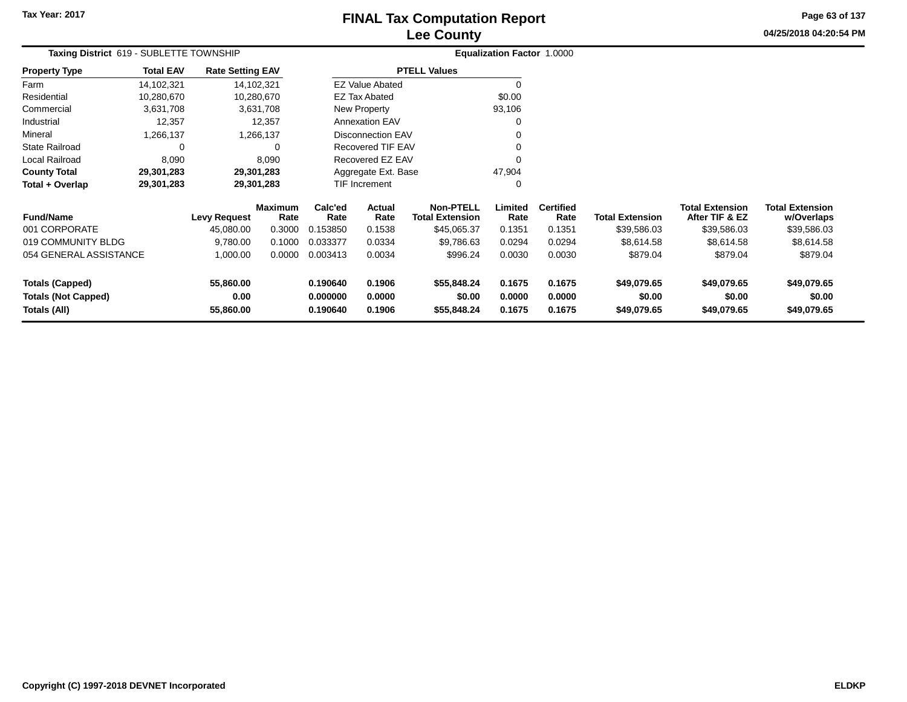# **Lee CountyFINAL Tax Computation Report**

**04/25/2018 04:20:54 PM Page 63 of 137**

| Taxing District 619 - SUBLETTE TOWNSHIP              |                  |                         |                        |                      | Equalization Factor 1.0000 |                                            |                  |                          |                        |                                          |                                      |
|------------------------------------------------------|------------------|-------------------------|------------------------|----------------------|----------------------------|--------------------------------------------|------------------|--------------------------|------------------------|------------------------------------------|--------------------------------------|
| <b>Property Type</b>                                 | <b>Total EAV</b> | <b>Rate Setting EAV</b> |                        |                      |                            | <b>PTELL Values</b>                        |                  |                          |                        |                                          |                                      |
| Farm                                                 | 14,102,321       |                         | 14,102,321             |                      | <b>EZ Value Abated</b>     |                                            | $\Omega$         |                          |                        |                                          |                                      |
| Residential                                          | 10,280,670       |                         | 10,280,670             |                      | EZ Tax Abated              |                                            | \$0.00           |                          |                        |                                          |                                      |
| Commercial                                           | 3,631,708        |                         | 3,631,708              |                      | New Property               |                                            | 93,106           |                          |                        |                                          |                                      |
| Industrial                                           | 12,357           |                         | 12,357                 |                      | <b>Annexation EAV</b>      |                                            | 0                |                          |                        |                                          |                                      |
| Mineral                                              | 1,266,137        |                         | 1,266,137              |                      | <b>Disconnection EAV</b>   |                                            | 0                |                          |                        |                                          |                                      |
| <b>State Railroad</b>                                | 0                |                         | ∩                      |                      | <b>Recovered TIF EAV</b>   |                                            |                  |                          |                        |                                          |                                      |
| Local Railroad                                       | 8,090            |                         | 8,090                  |                      | Recovered EZ EAV           |                                            | 0                |                          |                        |                                          |                                      |
| <b>County Total</b>                                  | 29,301,283       |                         | 29,301,283             |                      | Aggregate Ext. Base        |                                            | 47,904           |                          |                        |                                          |                                      |
| Total + Overlap                                      | 29,301,283       |                         | 29,301,283             |                      | <b>TIF Increment</b>       |                                            | 0                |                          |                        |                                          |                                      |
| <b>Fund/Name</b>                                     |                  | <b>Levy Request</b>     | <b>Maximum</b><br>Rate | Calc'ed<br>Rate      | Actual<br>Rate             | <b>Non-PTELL</b><br><b>Total Extension</b> | Limited<br>Rate  | <b>Certified</b><br>Rate | <b>Total Extension</b> | <b>Total Extension</b><br>After TIF & EZ | <b>Total Extension</b><br>w/Overlaps |
| 001 CORPORATE                                        |                  | 45,080.00               | 0.3000                 | 0.153850             | 0.1538                     | \$45,065.37                                | 0.1351           | 0.1351                   | \$39,586.03            | \$39,586.03                              | \$39,586.03                          |
| 019 COMMUNITY BLDG                                   |                  | 9,780.00                | 0.1000                 | 0.033377             | 0.0334                     | \$9,786.63                                 | 0.0294           | 0.0294                   | \$8,614.58             | \$8,614.58                               | \$8,614.58                           |
| 054 GENERAL ASSISTANCE                               |                  | 1,000.00                | 0.0000                 | 0.003413             | 0.0034                     | \$996.24                                   | 0.0030           | 0.0030                   | \$879.04               | \$879.04                                 | \$879.04                             |
| <b>Totals (Capped)</b><br><b>Totals (Not Capped)</b> |                  | 55,860.00<br>0.00       |                        | 0.190640<br>0.000000 | 0.1906<br>0.0000           | \$55,848.24<br>\$0.00                      | 0.1675<br>0.0000 | 0.1675<br>0.0000         | \$49,079.65<br>\$0.00  | \$49,079.65<br>\$0.00                    | \$49,079.65<br>\$0.00                |
| <b>Totals (All)</b>                                  |                  | 55,860.00               |                        | 0.190640             | 0.1906                     | \$55,848.24                                | 0.1675           | 0.1675                   | \$49,079.65            | \$49,079.65                              | \$49,079.65                          |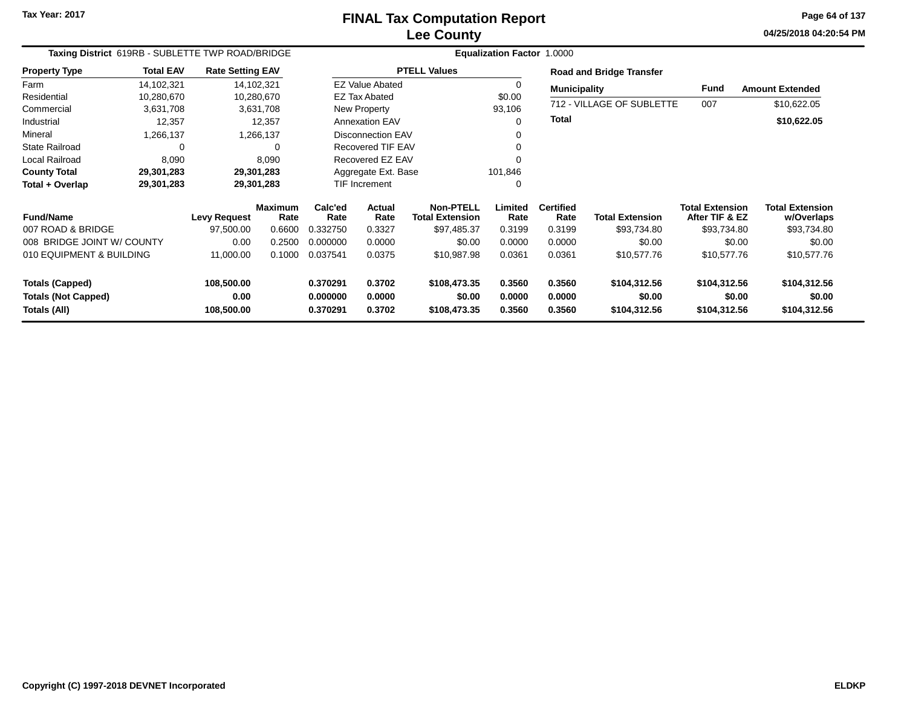**04/25/2018 04:20:54 PM Page 64 of 137**

|                                            | Taxing District 619RB - SUBLETTE TWP ROAD/BRIDGE |                         |                        |                      |                          |                                            | <b>Equalization Factor 1.0000</b> |                          |                                 |                                          |                                      |
|--------------------------------------------|--------------------------------------------------|-------------------------|------------------------|----------------------|--------------------------|--------------------------------------------|-----------------------------------|--------------------------|---------------------------------|------------------------------------------|--------------------------------------|
| <b>Property Type</b>                       | <b>Total EAV</b>                                 | <b>Rate Setting EAV</b> |                        |                      |                          | <b>PTELL Values</b>                        |                                   |                          | <b>Road and Bridge Transfer</b> |                                          |                                      |
| Farm                                       | 14.102.321                                       |                         | 14,102,321             |                      | <b>EZ Value Abated</b>   |                                            | $\Omega$                          | <b>Municipality</b>      |                                 | Fund                                     | <b>Amount Extended</b>               |
| Residential                                | 10,280,670                                       |                         | 10,280,670             |                      | <b>EZ Tax Abated</b>     |                                            | \$0.00                            |                          |                                 |                                          |                                      |
| Commercial                                 | 3,631,708                                        |                         | 3,631,708              |                      | New Property             |                                            | 93,106                            |                          | 712 - VILLAGE OF SUBLETTE       | 007                                      | \$10,622.05                          |
| Industrial                                 | 12,357                                           |                         | 12,357                 |                      | <b>Annexation EAV</b>    |                                            | 0                                 | <b>Total</b>             |                                 |                                          | \$10,622.05                          |
| Mineral                                    | 1,266,137                                        |                         | 1,266,137              |                      | <b>Disconnection EAV</b> |                                            | 0                                 |                          |                                 |                                          |                                      |
| <b>State Railroad</b>                      | 0                                                |                         | 0                      |                      | <b>Recovered TIF EAV</b> |                                            | 0                                 |                          |                                 |                                          |                                      |
| Local Railroad                             | 8,090                                            |                         | 8,090                  |                      | Recovered EZ EAV         |                                            | $\Omega$                          |                          |                                 |                                          |                                      |
| <b>County Total</b>                        | 29,301,283                                       |                         | 29,301,283             | Aggregate Ext. Base  |                          | 101,846                                    |                                   |                          |                                 |                                          |                                      |
| Total + Overlap                            | 29,301,283                                       |                         | 29,301,283             |                      | TIF Increment<br>0       |                                            |                                   |                          |                                 |                                          |                                      |
| <b>Fund/Name</b>                           |                                                  | <b>Levy Request</b>     | <b>Maximum</b><br>Rate | Calc'ed<br>Rate      | Actual<br>Rate           | <b>Non-PTELL</b><br><b>Total Extension</b> | Limited<br>Rate                   | <b>Certified</b><br>Rate | <b>Total Extension</b>          | <b>Total Extension</b><br>After TIF & EZ | <b>Total Extension</b><br>w/Overlaps |
| 007 ROAD & BRIDGE                          |                                                  | 97,500.00               | 0.6600                 | 0.332750             | 0.3327                   | \$97,485.37                                | 0.3199                            | 0.3199                   | \$93.734.80                     | \$93,734.80                              | \$93,734.80                          |
| 008 BRIDGE JOINT W/ COUNTY                 |                                                  | 0.00                    | 0.2500                 | 0.000000             | 0.0000                   | \$0.00                                     | 0.0000                            | 0.0000                   | \$0.00                          | \$0.00                                   | \$0.00                               |
| 010 EQUIPMENT & BUILDING                   |                                                  | 11,000.00               | 0.1000                 | 0.037541             | 0.0375                   | \$10,987.98                                | 0.0361                            | 0.0361                   | \$10,577.76                     | \$10,577.76                              | \$10,577.76                          |
| <b>Totals (Capped)</b>                     |                                                  | 108,500.00              |                        | 0.370291             | 0.3702                   | \$108,473.35                               | 0.3560                            | 0.3560                   | \$104,312.56                    | \$104,312.56                             | \$104,312.56                         |
| <b>Totals (Not Capped)</b><br>Totals (All) |                                                  | 0.00<br>108,500.00      |                        | 0.000000<br>0.370291 | 0.0000<br>0.3702         | \$0.00<br>\$108,473.35                     | 0.0000<br>0.3560                  | 0.0000<br>0.3560         | \$0.00<br>\$104,312.56          | \$0.00<br>\$104,312.56                   | \$0.00<br>\$104,312.56               |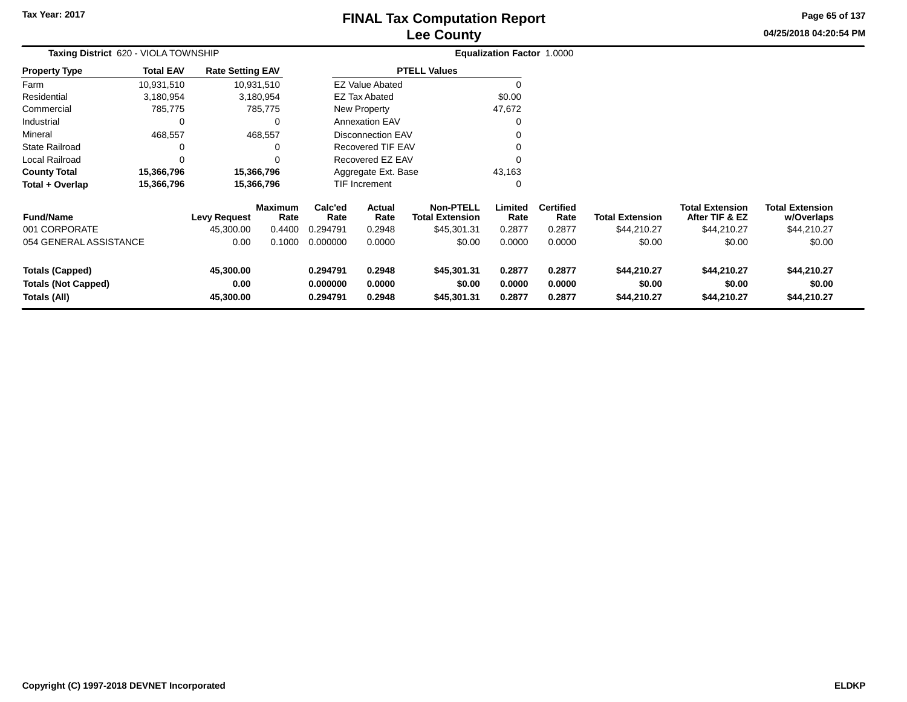# **Lee CountyFINAL Tax Computation Report**

**04/25/2018 04:20:54 PM Page 65 of 137**

| Taxing District 620 - VIOLA TOWNSHIP                                 |                  |                                |                        |                                  |                            |                                            | Equalization Factor 1.0000 |                            |                                      |                                          |                                      |
|----------------------------------------------------------------------|------------------|--------------------------------|------------------------|----------------------------------|----------------------------|--------------------------------------------|----------------------------|----------------------------|--------------------------------------|------------------------------------------|--------------------------------------|
| Property Type                                                        | <b>Total EAV</b> | <b>Rate Setting EAV</b>        |                        |                                  |                            | <b>PTELL Values</b>                        |                            |                            |                                      |                                          |                                      |
| Farm                                                                 | 10,931,510       |                                | 10,931,510             |                                  | <b>EZ Value Abated</b>     |                                            | 0                          |                            |                                      |                                          |                                      |
| Residential                                                          | 3,180,954        |                                | 3,180,954              |                                  | <b>EZ Tax Abated</b>       |                                            | \$0.00                     |                            |                                      |                                          |                                      |
| Commercial                                                           | 785,775          |                                | 785,775                |                                  | New Property               |                                            | 47,672                     |                            |                                      |                                          |                                      |
| Industrial                                                           | 0                |                                | 0                      |                                  | <b>Annexation EAV</b>      |                                            |                            |                            |                                      |                                          |                                      |
| Mineral                                                              | 468,557          |                                | 468,557                |                                  | <b>Disconnection EAV</b>   |                                            |                            |                            |                                      |                                          |                                      |
| State Railroad                                                       |                  |                                |                        |                                  | <b>Recovered TIF EAV</b>   |                                            |                            |                            |                                      |                                          |                                      |
| Local Railroad                                                       | 0                |                                | $\Omega$               |                                  | Recovered EZ EAV           |                                            |                            |                            |                                      |                                          |                                      |
| <b>County Total</b>                                                  | 15,366,796       |                                | 15,366,796             |                                  | Aggregate Ext. Base        |                                            | 43,163                     |                            |                                      |                                          |                                      |
| Total + Overlap                                                      | 15,366,796       |                                | 15,366,796             |                                  | TIF Increment              |                                            | 0                          |                            |                                      |                                          |                                      |
| <b>Fund/Name</b>                                                     |                  | <b>Levy Request</b>            | <b>Maximum</b><br>Rate | Calc'ed<br>Rate                  | Actual<br>Rate             | <b>Non-PTELL</b><br><b>Total Extension</b> | Limited<br>Rate            | <b>Certified</b><br>Rate   | <b>Total Extension</b>               | <b>Total Extension</b><br>After TIF & EZ | <b>Total Extension</b><br>w/Overlaps |
| 001 CORPORATE                                                        |                  | 45,300.00                      | 0.4400                 | 0.294791                         | 0.2948                     | \$45,301.31                                | 0.2877                     | 0.2877                     | \$44,210.27                          | \$44,210.27                              | \$44,210.27                          |
| 054 GENERAL ASSISTANCE                                               |                  | 0.00                           | 0.1000                 | 0.000000                         | 0.0000                     | \$0.00                                     | 0.0000                     | 0.0000                     | \$0.00                               | \$0.00                                   | \$0.00                               |
| <b>Totals (Capped)</b><br><b>Totals (Not Capped)</b><br>Totals (All) |                  | 45,300.00<br>0.00<br>45,300.00 |                        | 0.294791<br>0.000000<br>0.294791 | 0.2948<br>0.0000<br>0.2948 | \$45,301.31<br>\$0.00<br>\$45,301.31       | 0.2877<br>0.0000<br>0.2877 | 0.2877<br>0.0000<br>0.2877 | \$44,210.27<br>\$0.00<br>\$44,210.27 | \$44,210.27<br>\$0.00<br>\$44,210.27     | \$44,210.27<br>\$0.00<br>\$44,210.27 |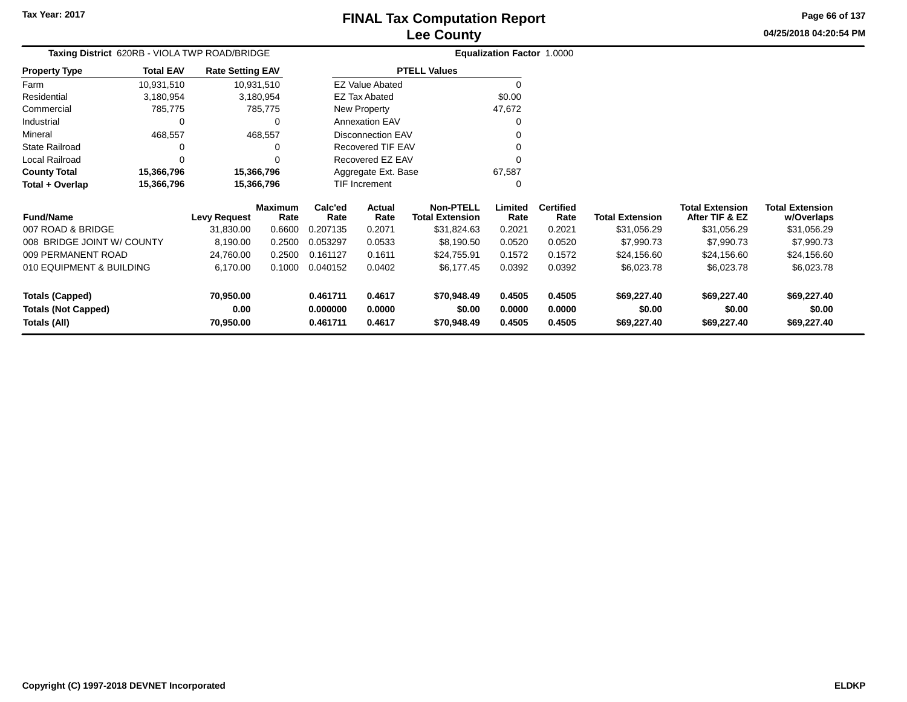**Totals (Not Capped)**

**Totals (All)**

**0.00**

**70,950.00**

# **Lee CountyFINAL Tax Computation Report**

**0.000000 0.0000 \$0.00 0.0000 0.0000 \$0.00 \$0.00 \$0.00**

**0.461711 0.4617 \$70,948.49 0.4505 0.4505 \$69,227.40 \$69,227.40 \$69,227.40**

**04/25/2018 04:20:54 PMPage 66 of 137**

> **w/Overlaps**\$31,056.29

| Taxing District 620RB - VIOLA TWP ROAD/BRIDGE |                  |                         |                 |                 | Equalization Factor 1.0000 |                                            |                 |                          |                        |                                          |                                      |
|-----------------------------------------------|------------------|-------------------------|-----------------|-----------------|----------------------------|--------------------------------------------|-----------------|--------------------------|------------------------|------------------------------------------|--------------------------------------|
| <b>Property Type</b>                          | <b>Total EAV</b> | <b>Rate Setting EAV</b> |                 |                 |                            | <b>PTELL Values</b>                        |                 |                          |                        |                                          |                                      |
| Farm                                          | 10,931,510       | 10,931,510              |                 |                 | <b>EZ Value Abated</b>     |                                            |                 |                          |                        |                                          |                                      |
| Residential                                   | 3,180,954        |                         | 3,180,954       |                 | <b>EZ Tax Abated</b>       |                                            | \$0.00          |                          |                        |                                          |                                      |
| Commercial                                    | 785,775          |                         | 785,775         |                 | New Property               |                                            | 47,672          |                          |                        |                                          |                                      |
| Industrial                                    |                  |                         | 0               |                 | <b>Annexation EAV</b>      |                                            |                 |                          |                        |                                          |                                      |
| Mineral                                       | 468,557          |                         | 468,557         |                 | Disconnection EAV          |                                            |                 |                          |                        |                                          |                                      |
| <b>State Railroad</b>                         |                  |                         | O               |                 | Recovered TIF EAV          |                                            |                 |                          |                        |                                          |                                      |
| Local Railroad                                |                  |                         |                 |                 | Recovered EZ EAV           |                                            |                 |                          |                        |                                          |                                      |
| <b>County Total</b>                           | 15,366,796       | 15,366,796              |                 |                 | Aggregate Ext. Base        |                                            | 67,587          |                          |                        |                                          |                                      |
| Total + Overlap                               | 15,366,796       | 15,366,796              |                 |                 | TIF Increment              |                                            |                 |                          |                        |                                          |                                      |
| <b>Fund/Name</b>                              |                  | Levy Request            | Maximum<br>Rate | Calc'ed<br>Rate | Actual<br>Rate             | <b>Non-PTELL</b><br><b>Total Extension</b> | Limited<br>Rate | <b>Certified</b><br>Rate | <b>Total Extension</b> | <b>Total Extension</b><br>After TIF & EZ | <b>Total Extension</b><br>w/Overlaps |
| 007 ROAD & BRIDGE                             |                  | 31,830.00               | 0.6600          | 0.207135        | 0.2071                     | \$31,824.63                                | 0.2021          | 0.2021                   | \$31,056.29            | \$31,056.29                              | \$31,056.29                          |
| 008 BRIDGE JOINT W/ COUNTY                    |                  | 8,190.00                | 0.2500          | 0.053297        | 0.0533                     | \$8,190.50                                 | 0.0520          | 0.0520                   | \$7,990.73             | \$7,990.73                               | \$7,990.73                           |
| 009 PERMANENT ROAD                            |                  | 24,760.00               | 0.2500          | 0.161127        | 0.1611                     | \$24,755.91                                | 0.1572          | 0.1572                   | \$24,156.60            | \$24,156.60                              | \$24,156.60                          |
| 010 EQUIPMENT & BUILDING                      |                  | 6,170.00                | 0.1000          | 0.040152        | 0.0402                     | \$6,177.45                                 | 0.0392          | 0.0392                   | \$6,023.78             | \$6,023.78                               | \$6,023.78                           |
| <b>Totals (Capped)</b>                        |                  | 70,950.00               |                 | 0.461711        | 0.4617                     | \$70,948.49                                | 0.4505          | 0.4505                   | \$69,227.40            | \$69,227.40                              | \$69,227.40                          |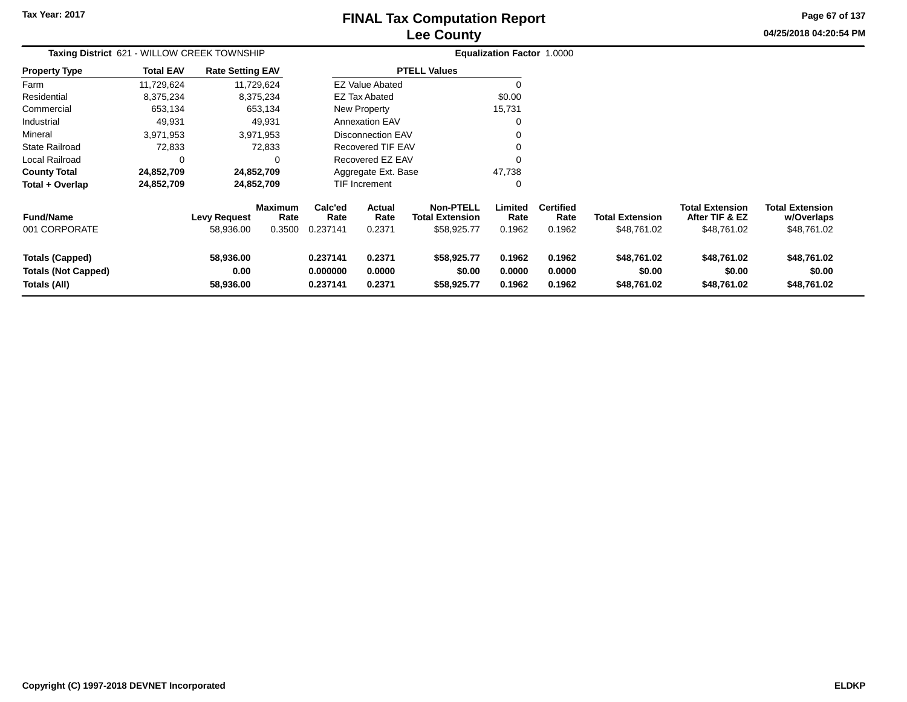# **Lee CountyFINAL Tax Computation Report**

**04/25/2018 04:20:54 PM Page 67 of 137**

|                                                                      | Taxing District 621 - WILLOW CREEK TOWNSHIP |                                  |                                  |                                  |                                 |                                                           | Equalization Factor 1.0000 |                                    |                                       |                                                         |                                                     |
|----------------------------------------------------------------------|---------------------------------------------|----------------------------------|----------------------------------|----------------------------------|---------------------------------|-----------------------------------------------------------|----------------------------|------------------------------------|---------------------------------------|---------------------------------------------------------|-----------------------------------------------------|
| <b>Property Type</b>                                                 | <b>Total EAV</b>                            | <b>Rate Setting EAV</b>          |                                  |                                  |                                 | <b>PTELL Values</b>                                       |                            |                                    |                                       |                                                         |                                                     |
| Farm                                                                 | 11,729,624                                  |                                  | 11,729,624                       |                                  | <b>EZ Value Abated</b>          |                                                           |                            |                                    |                                       |                                                         |                                                     |
| Residential                                                          | 8,375,234                                   |                                  | 8,375,234                        |                                  | <b>EZ Tax Abated</b>            |                                                           | \$0.00                     |                                    |                                       |                                                         |                                                     |
| Commercial                                                           | 653,134                                     |                                  | 653,134                          |                                  | New Property                    |                                                           | 15,731                     |                                    |                                       |                                                         |                                                     |
| Industrial                                                           | 49,931                                      |                                  | 49,931                           |                                  | <b>Annexation EAV</b>           |                                                           | 0                          |                                    |                                       |                                                         |                                                     |
| Mineral                                                              | 3,971,953                                   |                                  | 3,971,953                        |                                  | Disconnection EAV               |                                                           |                            |                                    |                                       |                                                         |                                                     |
| State Railroad                                                       | 72,833                                      |                                  | 72,833                           |                                  | <b>Recovered TIF EAV</b>        |                                                           | 0                          |                                    |                                       |                                                         |                                                     |
| Local Railroad                                                       | 0                                           |                                  | 0                                |                                  | Recovered EZ EAV                |                                                           | 0                          |                                    |                                       |                                                         |                                                     |
| <b>County Total</b>                                                  | 24,852,709                                  |                                  | 24,852,709                       |                                  | Aggregate Ext. Base             |                                                           | 47,738                     |                                    |                                       |                                                         |                                                     |
| Total + Overlap                                                      | 24,852,709                                  |                                  | 24,852,709                       |                                  | <b>TIF Increment</b>            |                                                           | 0                          |                                    |                                       |                                                         |                                                     |
| <b>Fund/Name</b><br>001 CORPORATE                                    |                                             | <b>Levy Request</b><br>58,936.00 | <b>Maximum</b><br>Rate<br>0.3500 | Calc'ed<br>Rate<br>0.237141      | <b>Actual</b><br>Rate<br>0.2371 | <b>Non-PTELL</b><br><b>Total Extension</b><br>\$58,925.77 | Limited<br>Rate<br>0.1962  | <b>Certified</b><br>Rate<br>0.1962 | <b>Total Extension</b><br>\$48,761.02 | <b>Total Extension</b><br>After TIF & EZ<br>\$48,761.02 | <b>Total Extension</b><br>w/Overlaps<br>\$48,761.02 |
| <b>Totals (Capped)</b><br><b>Totals (Not Capped)</b><br>Totals (All) |                                             | 58,936.00<br>0.00<br>58,936.00   |                                  | 0.237141<br>0.000000<br>0.237141 | 0.2371<br>0.0000<br>0.2371      | \$58,925.77<br>\$0.00<br>\$58,925.77                      | 0.1962<br>0.0000<br>0.1962 | 0.1962<br>0.0000<br>0.1962         | \$48,761.02<br>\$0.00<br>\$48,761.02  | \$48,761.02<br>\$0.00<br>\$48,761.02                    | \$48,761.02<br>\$0.00<br>\$48,761.02                |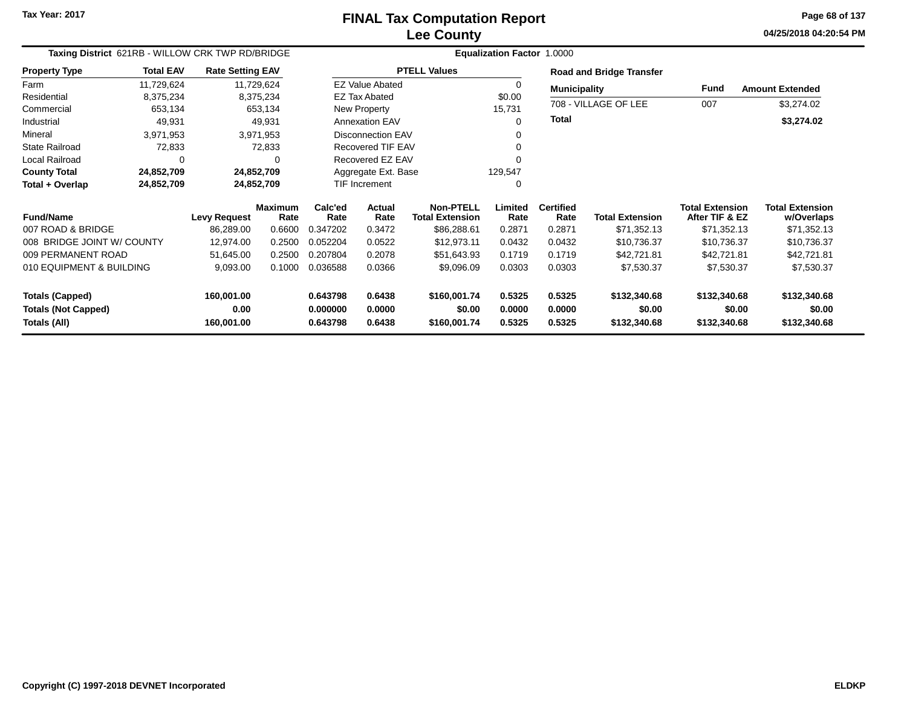**04/25/2018 04:20:54 PM Page 68 of 137**

| Taxing District 621RB - WILLOW CRK TWP RD/BRIDGE |                  |                         |                        | Equalization Factor 1.0000 |                        |                                     |                  |                          |                                 |                                          |                                      |  |
|--------------------------------------------------|------------------|-------------------------|------------------------|----------------------------|------------------------|-------------------------------------|------------------|--------------------------|---------------------------------|------------------------------------------|--------------------------------------|--|
| <b>Property Type</b>                             | <b>Total EAV</b> | <b>Rate Setting EAV</b> |                        |                            |                        | <b>PTELL Values</b>                 |                  |                          | <b>Road and Bridge Transfer</b> |                                          |                                      |  |
| Farm                                             | 11,729,624       |                         | 11,729,624             |                            | <b>EZ Value Abated</b> |                                     | $\Omega$         | <b>Municipality</b>      |                                 | Fund                                     | <b>Amount Extended</b>               |  |
| Residential                                      | 8,375,234        |                         | 8,375,234              |                            | <b>EZ Tax Abated</b>   |                                     | \$0.00           |                          |                                 |                                          |                                      |  |
| Commercial                                       | 653,134          |                         | 653,134                |                            | New Property           |                                     | 15,731           |                          | 708 - VILLAGE OF LEE            | 007                                      | \$3,274.02                           |  |
| Industrial                                       | 49,931           |                         | 49,931                 |                            | <b>Annexation EAV</b>  |                                     | $\Omega$         | <b>Total</b>             |                                 |                                          | \$3,274.02                           |  |
| Mineral                                          | 3,971,953        |                         | 3,971,953              |                            | Disconnection EAV      |                                     |                  |                          |                                 |                                          |                                      |  |
| <b>State Railroad</b>                            | 72,833           |                         | 72,833                 |                            | Recovered TIF EAV      |                                     |                  |                          |                                 |                                          |                                      |  |
| <b>Local Railroad</b>                            | 0                |                         |                        |                            | Recovered EZ EAV       |                                     |                  |                          |                                 |                                          |                                      |  |
| <b>County Total</b>                              | 24,852,709       | 24,852,709              |                        | Aggregate Ext. Base        |                        |                                     | 129,547          |                          |                                 |                                          |                                      |  |
| Total + Overlap                                  | 24,852,709       | 24,852,709              |                        | <b>TIF Increment</b><br>0  |                        |                                     |                  |                          |                                 |                                          |                                      |  |
| <b>Fund/Name</b>                                 |                  | <b>Levy Request</b>     | <b>Maximum</b><br>Rate | Calc'ed<br>Rate            | Actual<br>Rate         | Non-PTELL<br><b>Total Extension</b> | Limited<br>Rate  | <b>Certified</b><br>Rate | <b>Total Extension</b>          | <b>Total Extension</b><br>After TIF & EZ | <b>Total Extension</b><br>w/Overlaps |  |
| 007 ROAD & BRIDGE                                |                  | 86,289.00               | 0.6600                 | 0.347202                   | 0.3472                 | \$86,288.61                         | 0.2871           | 0.2871                   | \$71,352.13                     | \$71,352.13                              | \$71,352.13                          |  |
| 008 BRIDGE JOINT W/ COUNTY                       |                  | 12,974.00               | 0.2500                 | 0.052204                   | 0.0522                 | \$12,973.11                         | 0.0432           | 0.0432                   | \$10,736.37                     | \$10,736.37                              | \$10,736.37                          |  |
| 009 PERMANENT ROAD                               |                  | 51,645.00               | 0.2500                 | 0.207804                   | 0.2078                 | \$51,643.93                         | 0.1719           | 0.1719                   | \$42,721.81                     | \$42,721.81                              | \$42,721.81                          |  |
| 010 EQUIPMENT & BUILDING                         |                  | 9,093.00                | 0.1000                 | 0.036588                   | 0.0366                 | \$9,096.09                          | 0.0303           | 0.0303                   | \$7,530.37                      | \$7,530.37                               | \$7,530.37                           |  |
| <b>Totals (Capped)</b>                           |                  | 160,001.00              |                        | 0.643798                   | 0.6438                 | \$160,001.74                        | 0.5325           | 0.5325                   | \$132,340.68                    | \$132,340.68                             | \$132,340.68                         |  |
| <b>Totals (Not Capped)</b><br>Totals (All)       |                  | 0.00<br>160,001.00      |                        | 0.000000<br>0.643798       | 0.0000<br>0.6438       | \$0.00<br>\$160,001.74              | 0.0000<br>0.5325 | 0.0000<br>0.5325         | \$0.00<br>\$132,340.68          | \$0.00<br>\$132,340.68                   | \$0.00<br>\$132,340.68               |  |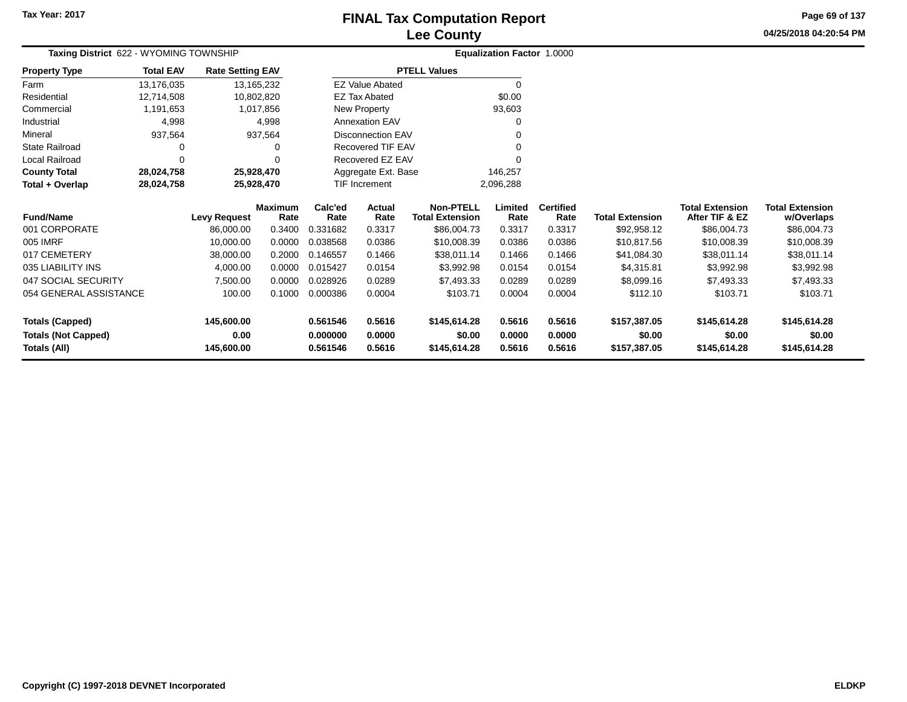# **Lee CountyFINAL Tax Computation Report**

**04/25/2018 04:20:54 PM Page 69 of 137**

| Taxing District 622 - WYOMING TOWNSHIP |                  |                                  |                        |                 |                          |                                            | Equalization Factor 1.0000 |                          |                        |                                          |                                      |
|----------------------------------------|------------------|----------------------------------|------------------------|-----------------|--------------------------|--------------------------------------------|----------------------------|--------------------------|------------------------|------------------------------------------|--------------------------------------|
| <b>Property Type</b>                   | <b>Total EAV</b> | <b>Rate Setting EAV</b>          |                        |                 |                          | <b>PTELL Values</b>                        |                            |                          |                        |                                          |                                      |
| Farm                                   | 13,176,035       | 13, 165, 232                     |                        |                 | <b>EZ Value Abated</b>   |                                            | 0                          |                          |                        |                                          |                                      |
| Residential                            | 12,714,508       | 10,802,820                       |                        |                 | <b>EZ Tax Abated</b>     |                                            | \$0.00                     |                          |                        |                                          |                                      |
| Commercial                             | 1,191,653        |                                  | 1,017,856              |                 | New Property             |                                            | 93,603                     |                          |                        |                                          |                                      |
| Industrial                             | 4,998            |                                  | 4,998                  |                 | <b>Annexation EAV</b>    |                                            | 0                          |                          |                        |                                          |                                      |
| Mineral                                | 937,564          |                                  | 937,564                |                 | <b>Disconnection EAV</b> |                                            |                            |                          |                        |                                          |                                      |
| State Railroad                         |                  |                                  | 0                      |                 | Recovered TIF EAV        |                                            |                            |                          |                        |                                          |                                      |
| Local Railroad                         | $\Omega$         |                                  | 0                      |                 | Recovered EZ EAV         |                                            | ŋ                          |                          |                        |                                          |                                      |
| <b>County Total</b>                    | 28,024,758       | 25,928,470                       |                        |                 | Aggregate Ext. Base      |                                            | 146,257                    |                          |                        |                                          |                                      |
| Total + Overlap                        | 28,024,758       | 25,928,470                       |                        |                 | TIF Increment            |                                            | 2,096,288                  |                          |                        |                                          |                                      |
| <b>Fund/Name</b>                       |                  | <b>Levy Request</b>              | <b>Maximum</b><br>Rate | Calc'ed<br>Rate | Actual<br>Rate           | <b>Non-PTELL</b><br><b>Total Extension</b> | Limited<br>Rate            | <b>Certified</b><br>Rate | <b>Total Extension</b> | <b>Total Extension</b><br>After TIF & EZ | <b>Total Extension</b><br>w/Overlaps |
| 001 CORPORATE                          |                  | 86,000.00                        | 0.3400                 | 0.331682        | 0.3317                   | \$86,004.73                                | 0.3317                     | 0.3317                   | \$92,958.12            | \$86,004.73                              | \$86,004.73                          |
| 005 IMRF                               |                  | 10,000.00                        | 0.0000                 | 0.038568        | 0.0386                   | \$10,008.39                                | 0.0386                     | 0.0386                   | \$10,817.56            | \$10,008.39                              | \$10,008.39                          |
| 017 CEMETERY                           |                  | 38,000.00                        | 0.2000                 | 0.146557        | 0.1466                   | \$38,011.14                                | 0.1466                     | 0.1466                   | \$41,084.30            | \$38,011.14                              | \$38,011.14                          |
| 035 LIABILITY INS                      |                  | 4,000.00                         | 0.0000                 | 0.015427        | 0.0154                   | \$3,992.98                                 | 0.0154                     | 0.0154                   | \$4,315.81             | \$3,992.98                               | \$3,992.98                           |
| 047 SOCIAL SECURITY                    |                  | 7,500.00                         | 0.0000                 | 0.028926        | 0.0289                   | \$7,493.33                                 | 0.0289                     | 0.0289                   | \$8,099.16             | \$7,493.33                               | \$7,493.33                           |
| 054 GENERAL ASSISTANCE                 |                  | 100.00                           | 0.1000                 | 0.000386        | 0.0004                   | \$103.71                                   | 0.0004                     | 0.0004                   | \$112.10               | \$103.71                                 | \$103.71                             |
| <b>Totals (Capped)</b>                 |                  | 145,600.00                       |                        | 0.561546        | 0.5616                   | \$145,614.28                               | 0.5616                     | 0.5616                   | \$157,387.05           | \$145,614.28                             | \$145,614.28                         |
| <b>Totals (Not Capped)</b>             |                  | 0.00                             |                        | 0.000000        | 0.0000                   | \$0.00                                     | 0.0000                     | 0.0000                   | \$0.00                 | \$0.00                                   | \$0.00                               |
| Totals (All)                           |                  | 145,600.00<br>0.561546<br>0.5616 |                        | \$145,614.28    | 0.5616                   | 0.5616                                     | \$157,387.05               | \$145,614.28             | \$145,614.28           |                                          |                                      |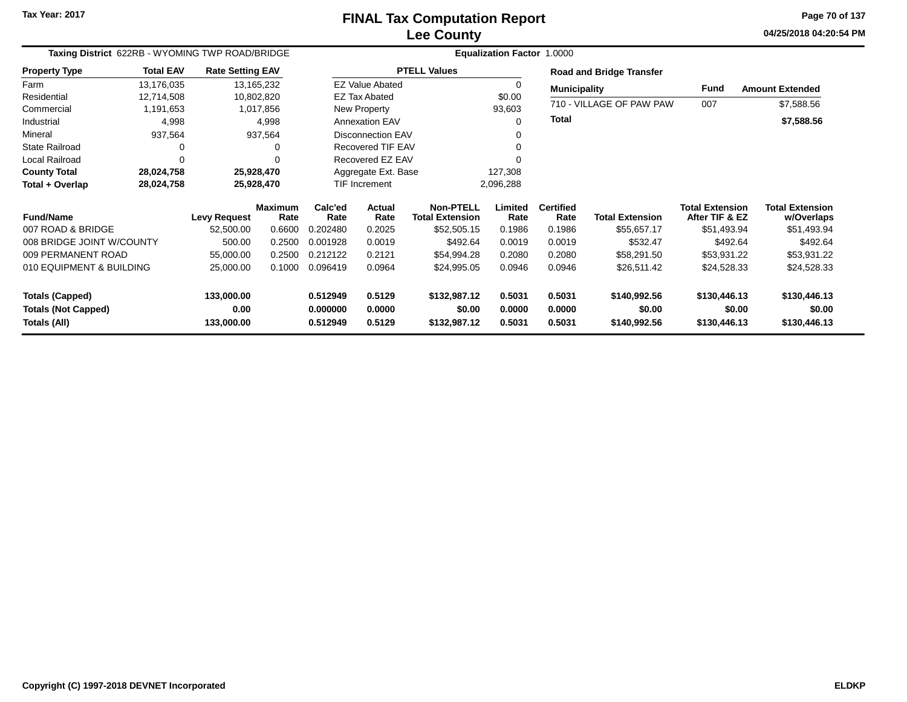**04/25/2018 04:20:54 PMPage 70 of 137**

| Taxing District 622RB - WYOMING TWP ROAD/BRIDGE                     |                    |                     |                        | Equalization Factor 1.0000 |                        |                                            |                  |                                 |                          |                                          |                                      |  |
|---------------------------------------------------------------------|--------------------|---------------------|------------------------|----------------------------|------------------------|--------------------------------------------|------------------|---------------------------------|--------------------------|------------------------------------------|--------------------------------------|--|
| <b>Total EAV</b><br><b>Rate Setting EAV</b><br><b>Property Type</b> |                    |                     | <b>PTELL Values</b>    |                            |                        |                                            |                  | <b>Road and Bridge Transfer</b> |                          |                                          |                                      |  |
| Farm                                                                | 13,176,035         | 13, 165, 232        |                        |                            | <b>EZ Value Abated</b> |                                            | $\Omega$         |                                 | <b>Municipality</b>      | <b>Fund</b>                              | <b>Amount Extended</b>               |  |
| Residential                                                         | 12,714,508         | 10,802,820          |                        | <b>EZ Tax Abated</b>       |                        |                                            | \$0.00           |                                 |                          |                                          |                                      |  |
| Commercial                                                          | 1,191,653          |                     | 1,017,856              |                            | New Property           |                                            | 93,603           |                                 | 710 - VILLAGE OF PAW PAW | 007                                      | \$7,588.56                           |  |
| Industrial                                                          | 4,998              | 4,998               |                        | <b>Annexation EAV</b>      |                        |                                            | $\Omega$         |                                 |                          |                                          | \$7,588.56                           |  |
| Mineral                                                             | 937,564<br>937,564 |                     |                        | <b>Disconnection EAV</b>   |                        |                                            |                  |                                 |                          |                                          |                                      |  |
| <b>State Railroad</b>                                               | 0                  |                     | 0                      |                            | Recovered TIF EAV      |                                            | $\Omega$         |                                 |                          |                                          |                                      |  |
| Local Railroad                                                      | 0                  |                     |                        | Recovered EZ EAV           |                        |                                            |                  |                                 |                          |                                          |                                      |  |
| <b>County Total</b>                                                 | 28,024,758         | 25,928,470          |                        | Aggregate Ext. Base        |                        |                                            | 127,308          |                                 |                          |                                          |                                      |  |
| Total + Overlap                                                     | 28,024,758         | 25,928,470          |                        | TIF Increment              |                        |                                            | 2,096,288        |                                 |                          |                                          |                                      |  |
| <b>Fund/Name</b>                                                    |                    | <b>Levy Request</b> | <b>Maximum</b><br>Rate | Calc'ed<br>Rate            | Actual<br>Rate         | <b>Non-PTELL</b><br><b>Total Extension</b> | Limited<br>Rate  | <b>Certified</b><br>Rate        | <b>Total Extension</b>   | <b>Total Extension</b><br>After TIF & EZ | <b>Total Extension</b><br>w/Overlaps |  |
| 007 ROAD & BRIDGE                                                   |                    | 52,500.00           | 0.6600                 | 0.202480                   | 0.2025                 | \$52,505.15                                | 0.1986           | 0.1986                          | \$55,657.17              | \$51,493.94                              | \$51,493.94                          |  |
| 008 BRIDGE JOINT W/COUNTY                                           |                    | 500.00              | 0.2500                 | 0.001928                   | 0.0019                 | \$492.64                                   | 0.0019           | 0.0019                          | \$532.47                 | \$492.64                                 | \$492.64                             |  |
| 009 PERMANENT ROAD                                                  |                    | 55,000.00           | 0.2500                 | 0.212122                   | 0.2121                 | \$54,994.28                                | 0.2080           | 0.2080                          | \$58,291.50              | \$53,931.22                              | \$53,931.22                          |  |
| 010 EQUIPMENT & BUILDING                                            |                    | 25,000.00           | 0.1000                 | 0.096419                   | 0.0964                 | \$24,995.05                                | 0.0946           | 0.0946                          | \$26,511.42              | \$24,528.33                              | \$24,528.33                          |  |
| <b>Totals (Capped)</b>                                              |                    | 133,000.00<br>0.00  |                        | 0.512949<br>0.000000       | 0.5129<br>0.0000       | \$132,987.12<br>\$0.00                     | 0.5031<br>0.0000 | 0.5031<br>0.0000                | \$140,992.56<br>\$0.00   | \$130,446.13<br>\$0.00                   | \$130,446.13<br>\$0.00               |  |
| <b>Totals (Not Capped)</b><br>Totals (All)                          |                    | 133,000.00          |                        | 0.512949                   | 0.5129                 | \$132,987.12                               | 0.5031           | 0.5031                          | \$140,992.56             | \$130,446.13                             | \$130,446.13                         |  |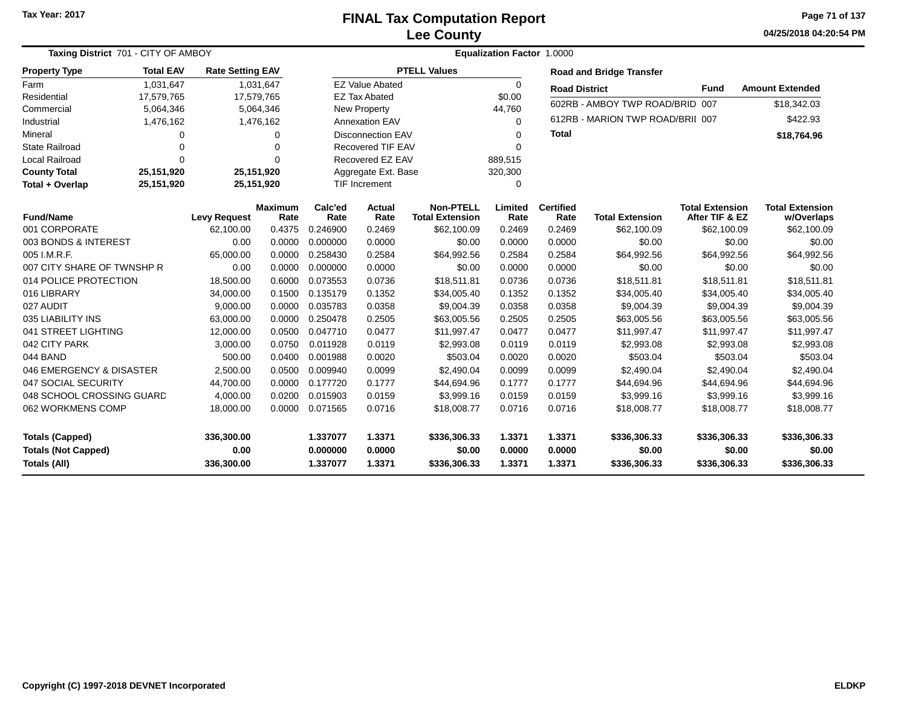#### **Lee CountyFINAL Tax Computation Report**

**04/25/2018 04:20:54 PM Page 71 of 137**

| Taxing District 701 - CITY OF AMBOY  |                        |                         |                          | <b>Equalization Factor 1.0000</b> |                      |                                            |                      |                                 |                                  |                                          |                                      |  |
|--------------------------------------|------------------------|-------------------------|--------------------------|-----------------------------------|----------------------|--------------------------------------------|----------------------|---------------------------------|----------------------------------|------------------------------------------|--------------------------------------|--|
| <b>Property Type</b>                 | <b>Total EAV</b>       | <b>Rate Setting EAV</b> |                          | <b>PTELL Values</b>               |                      |                                            |                      | <b>Road and Bridge Transfer</b> |                                  |                                          |                                      |  |
| Farm                                 | 1,031,647<br>1,031,647 |                         | <b>EZ Value Abated</b>   |                                   |                      | $\Omega$                                   | <b>Road District</b> |                                 | <b>Fund</b>                      | <b>Amount Extended</b>                   |                                      |  |
| Residential<br>17,579,765            |                        | 17,579,765              |                          | <b>EZ Tax Abated</b>              |                      |                                            | \$0.00               |                                 | 602RB - AMBOY TWP ROAD/BRID 007  |                                          |                                      |  |
| Commercial<br>5,064,346<br>5,064,346 |                        |                         | <b>New Property</b>      |                                   |                      | 44,760                                     |                      |                                 |                                  | \$18,342.03                              |                                      |  |
| Industrial                           | 1,476,162<br>1,476,162 |                         |                          |                                   | Annexation EAV       |                                            | $\Omega$             |                                 | 612RB - MARION TWP ROAD/BRII 007 |                                          | \$422.93                             |  |
| Mineral                              | 0<br>0                 |                         | <b>Disconnection EAV</b> |                                   |                      | 0                                          | <b>Total</b>         |                                 |                                  | \$18,764.96                              |                                      |  |
| <b>State Railroad</b>                | 0<br>$\Omega$          |                         | <b>Recovered TIF EAV</b> |                                   |                      | $\Omega$                                   |                      |                                 |                                  |                                          |                                      |  |
| <b>Local Railroad</b>                | $\Omega$<br>$\Omega$   |                         | Recovered EZ EAV         |                                   |                      | 889,515                                    |                      |                                 |                                  |                                          |                                      |  |
| <b>County Total</b>                  | 25,151,920             | 25,151,920              |                          | Aggregate Ext. Base               |                      |                                            | 320,300              |                                 |                                  |                                          |                                      |  |
| Total + Overlap                      | 25,151,920             | 25,151,920              |                          |                                   | <b>TIF Increment</b> |                                            | 0                    |                                 |                                  |                                          |                                      |  |
| <b>Fund/Name</b>                     |                        | <b>Levy Request</b>     | <b>Maximum</b><br>Rate   | Calc'ed<br>Rate                   | Actual<br>Rate       | <b>Non-PTELL</b><br><b>Total Extension</b> | Limited<br>Rate      | <b>Certified</b><br>Rate        | <b>Total Extension</b>           | <b>Total Extension</b><br>After TIF & EZ | <b>Total Extension</b><br>w/Overlaps |  |
| 001 CORPORATE                        |                        | 62,100.00               | 0.4375                   | 0.246900                          | 0.2469               | \$62,100.09                                | 0.2469               | 0.2469                          | \$62,100.09                      | \$62,100.09                              | \$62,100.09                          |  |
| 003 BONDS & INTEREST                 |                        | 0.00                    | 0.0000                   | 0.000000                          | 0.0000               | \$0.00                                     | 0.0000               | 0.0000                          | \$0.00                           | \$0.00                                   | \$0.00                               |  |
| 005 I.M.R.F.                         |                        | 65,000.00               | 0.0000                   | 0.258430                          | 0.2584               | \$64,992.56                                | 0.2584               | 0.2584                          | \$64,992.56                      | \$64,992.56                              | \$64,992.56                          |  |
| 007 CITY SHARE OF TWNSHP R           |                        | 0.00                    | 0.0000                   | 0.000000                          | 0.0000               | \$0.00                                     | 0.0000               | 0.0000                          | \$0.00                           | \$0.00                                   | \$0.00                               |  |
| 014 POLICE PROTECTION                |                        | 18,500.00               | 0.6000                   | 0.073553                          | 0.0736               | \$18,511.81                                | 0.0736               | 0.0736                          | \$18,511.81                      | \$18,511.81                              | \$18,511.81                          |  |
| 016 LIBRARY                          |                        | 34,000.00               | 0.1500                   | 0.135179                          | 0.1352               | \$34,005.40                                | 0.1352               | 0.1352                          | \$34,005.40                      | \$34,005.40                              | \$34,005.40                          |  |
| 027 AUDIT                            |                        | 9,000.00                | 0.0000                   | 0.035783                          | 0.0358               | \$9,004.39                                 | 0.0358               | 0.0358                          | \$9,004.39                       | \$9,004.39                               | \$9,004.39                           |  |
| 035 LIABILITY INS                    |                        | 63,000.00               | 0.0000                   | 0.250478                          | 0.2505               | \$63,005.56                                | 0.2505               | 0.2505                          | \$63,005.56                      | \$63,005.56                              | \$63,005.56                          |  |
| 041 STREET LIGHTING                  |                        | 12,000.00               | 0.0500                   | 0.047710                          | 0.0477               | \$11,997.47                                | 0.0477               | 0.0477                          | \$11,997.47                      | \$11,997.47                              | \$11,997.47                          |  |
| 042 CITY PARK                        |                        | 3,000.00                | 0.0750                   | 0.011928                          | 0.0119               | \$2,993.08                                 | 0.0119               | 0.0119                          | \$2,993.08                       | \$2,993.08                               | \$2,993.08                           |  |
| 044 BAND                             |                        | 500.00                  | 0.0400                   | 0.001988                          | 0.0020               | \$503.04                                   | 0.0020               | 0.0020                          | \$503.04                         | \$503.04                                 | \$503.04                             |  |
| 046 EMERGENCY & DISASTER             |                        | 2,500.00                | 0.0500                   | 0.009940                          | 0.0099               | \$2,490.04                                 | 0.0099               | 0.0099                          | \$2,490.04                       | \$2,490.04                               | \$2,490.04                           |  |
| 047 SOCIAL SECURITY                  |                        | 44,700.00               | 0.0000                   | 0.177720                          | 0.1777               | \$44,694.96                                | 0.1777               | 0.1777                          | \$44,694.96                      | \$44,694.96                              | \$44,694.96                          |  |
| 048 SCHOOL CROSSING GUARD            |                        | 4,000.00                | 0.0200                   | 0.015903                          | 0.0159               | \$3,999.16                                 | 0.0159               | 0.0159                          | \$3,999.16                       | \$3,999.16                               | \$3,999.16                           |  |
| 062 WORKMENS COMP                    |                        | 18,000.00               | 0.0000                   | 0.071565                          | 0.0716               | \$18,008.77                                | 0.0716               | 0.0716                          | \$18,008.77                      | \$18,008.77                              | \$18,008.77                          |  |
| <b>Totals (Capped)</b>               |                        | 336,300.00              |                          | 1.337077                          | 1.3371               | \$336,306.33                               | 1.3371               | 1.3371                          | \$336,306.33                     | \$336,306.33                             | \$336,306.33                         |  |
| <b>Totals (Not Capped)</b>           |                        | 0.00                    |                          | 0.000000                          | 0.0000               | \$0.00                                     | 0.0000               | 0.0000                          | \$0.00                           | \$0.00                                   | \$0.00                               |  |
| Totals (All)                         |                        | 336,300.00              |                          | 1.337077                          | 1.3371               | \$336,306.33                               | 1.3371               | 1.3371                          | \$336,306.33                     | \$336,306.33                             | \$336,306.33                         |  |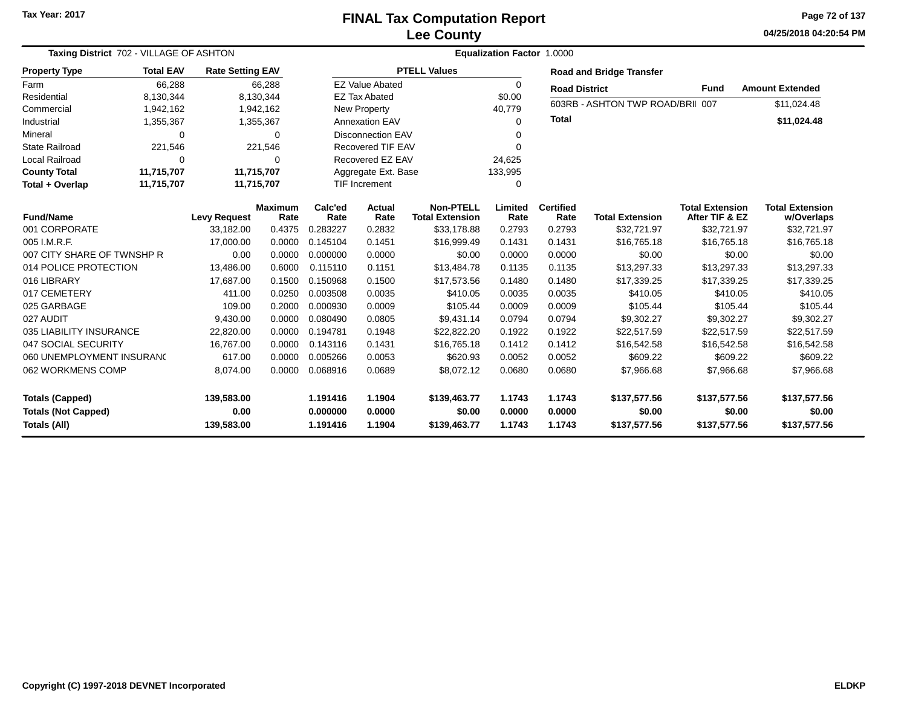**04/25/2018 04:20:54 PM Page 72 of 137**

| Taxing District 702 - VILLAGE OF ASHTON                                     |                                             |                                  |                          | Equalization Factor 1.0000       |                            |                                            |                                 |                            |                                        |                                          |                                        |  |
|-----------------------------------------------------------------------------|---------------------------------------------|----------------------------------|--------------------------|----------------------------------|----------------------------|--------------------------------------------|---------------------------------|----------------------------|----------------------------------------|------------------------------------------|----------------------------------------|--|
| <b>Property Type</b>                                                        | <b>Total EAV</b><br><b>Rate Setting EAV</b> |                                  | <b>PTELL Values</b>      |                                  |                            |                                            | <b>Road and Bridge Transfer</b> |                            |                                        |                                          |                                        |  |
| 66,288<br>Farm                                                              |                                             | 66,288                           |                          | <b>EZ Value Abated</b>           |                            |                                            | $\Omega$                        | <b>Road District</b>       |                                        | <b>Fund</b>                              | <b>Amount Extended</b>                 |  |
| Residential<br>8,130,344                                                    |                                             | 8,130,344                        |                          | <b>EZ Tax Abated</b>             |                            |                                            | \$0.00                          |                            | 603RB - ASHTON TWP ROAD/BRII 007       |                                          | \$11,024.48                            |  |
| Commercial<br>1,942,162                                                     |                                             |                                  | 1,942,162                | New Property                     |                            |                                            | 40,779                          |                            |                                        |                                          |                                        |  |
| Industrial<br>1,355,367<br>1,355,367                                        |                                             | <b>Annexation EAV</b>            |                          |                                  | $\Omega$                   | <b>Total</b>                               |                                 |                            | \$11,024.48                            |                                          |                                        |  |
| Mineral                                                                     | 0<br>$\Omega$                               |                                  | <b>Disconnection EAV</b> |                                  |                            | $\Omega$                                   |                                 |                            |                                        |                                          |                                        |  |
| <b>State Railroad</b>                                                       | 221,546<br>221,546                          |                                  | <b>Recovered TIF EAV</b> |                                  |                            | $\Omega$                                   |                                 |                            |                                        |                                          |                                        |  |
| <b>Local Railroad</b>                                                       | $\Omega$                                    | 0                                |                          | Recovered EZ EAV                 |                            |                                            | 24,625                          |                            |                                        |                                          |                                        |  |
| <b>County Total</b>                                                         | 11,715,707                                  | 11,715,707                       |                          | Aggregate Ext. Base              |                            |                                            | 133,995                         |                            |                                        |                                          |                                        |  |
| Total + Overlap                                                             | 11,715,707                                  | 11,715,707                       |                          | <b>TIF Increment</b>             |                            |                                            | $\Omega$                        |                            |                                        |                                          |                                        |  |
| <b>Fund/Name</b>                                                            |                                             | <b>Levy Request</b>              | <b>Maximum</b><br>Rate   | Calc'ed<br>Rate                  | Actual<br>Rate             | <b>Non-PTELL</b><br><b>Total Extension</b> | Limited<br>Rate                 | <b>Certified</b><br>Rate   | <b>Total Extension</b>                 | <b>Total Extension</b><br>After TIF & EZ | <b>Total Extension</b><br>w/Overlaps   |  |
| 001 CORPORATE                                                               |                                             | 33,182.00                        | 0.4375                   | 0.283227                         | 0.2832                     | \$33,178.88                                | 0.2793                          | 0.2793                     | \$32,721.97                            | \$32,721.97                              | \$32,721.97                            |  |
| 005 I.M.R.F.                                                                |                                             | 17,000.00                        | 0.0000                   | 0.145104                         | 0.1451                     | \$16,999.49                                | 0.1431                          | 0.1431                     | \$16,765.18                            | \$16,765.18                              | \$16,765.18                            |  |
| 007 CITY SHARE OF TWNSHP R                                                  |                                             | 0.00                             | 0.0000                   | 0.000000                         | 0.0000                     | \$0.00                                     | 0.0000                          | 0.0000                     | \$0.00                                 | \$0.00                                   | \$0.00                                 |  |
| 014 POLICE PROTECTION                                                       |                                             | 13,486.00                        | 0.6000                   | 0.115110                         | 0.1151                     | \$13,484.78                                | 0.1135                          | 0.1135                     | \$13,297.33                            | \$13,297.33                              | \$13,297.33                            |  |
| 016 LIBRARY                                                                 |                                             | 17.687.00                        | 0.1500                   | 0.150968                         | 0.1500                     | \$17,573.56                                | 0.1480                          | 0.1480                     | \$17,339.25                            | \$17,339.25                              | \$17,339.25                            |  |
| 017 CEMETERY                                                                |                                             | 411.00                           | 0.0250                   | 0.003508                         | 0.0035                     | \$410.05                                   | 0.0035                          | 0.0035                     | \$410.05                               | \$410.05                                 | \$410.05                               |  |
| 025 GARBAGE                                                                 |                                             | 109.00                           | 0.2000                   | 0.000930                         | 0.0009                     | \$105.44                                   | 0.0009                          | 0.0009                     | \$105.44                               | \$105.44                                 | \$105.44                               |  |
| 027 AUDIT                                                                   |                                             | 9,430.00                         | 0.0000                   | 0.080490                         | 0.0805                     | \$9,431.14                                 | 0.0794                          | 0.0794                     | \$9,302.27                             | \$9,302.27                               | \$9,302.27                             |  |
| 035 LIABILITY INSURANCE                                                     |                                             | 22,820.00                        | 0.0000                   | 0.194781                         | 0.1948                     | \$22,822.20                                | 0.1922                          | 0.1922                     | \$22,517.59                            | \$22,517.59                              | \$22,517.59                            |  |
| 047 SOCIAL SECURITY                                                         |                                             | 16,767.00                        | 0.0000                   | 0.143116                         | 0.1431                     | \$16,765.18                                | 0.1412                          | 0.1412                     | \$16,542.58                            | \$16,542.58                              | \$16,542.58                            |  |
| 060 UNEMPLOYMENT INSURANC                                                   |                                             | 617.00                           | 0.0000                   | 0.005266                         | 0.0053                     | \$620.93                                   | 0.0052                          | 0.0052                     | \$609.22                               | \$609.22                                 | \$609.22                               |  |
| 062 WORKMENS COMP                                                           |                                             | 8,074.00                         | 0.0000                   | 0.068916                         | 0.0689                     | \$8,072.12                                 | 0.0680                          | 0.0680                     | \$7,966.68                             | \$7,966.68                               | \$7,966.68                             |  |
| <b>Totals (Capped)</b><br><b>Totals (Not Capped)</b><br><b>Totals (All)</b> |                                             | 139,583.00<br>0.00<br>139,583.00 |                          | 1.191416<br>0.000000<br>1.191416 | 1.1904<br>0.0000<br>1.1904 | \$139,463.77<br>\$0.00<br>\$139,463.77     | 1.1743<br>0.0000<br>1.1743      | 1.1743<br>0.0000<br>1.1743 | \$137,577.56<br>\$0.00<br>\$137,577.56 | \$137,577.56<br>\$0.00<br>\$137,577.56   | \$137,577.56<br>\$0.00<br>\$137,577.56 |  |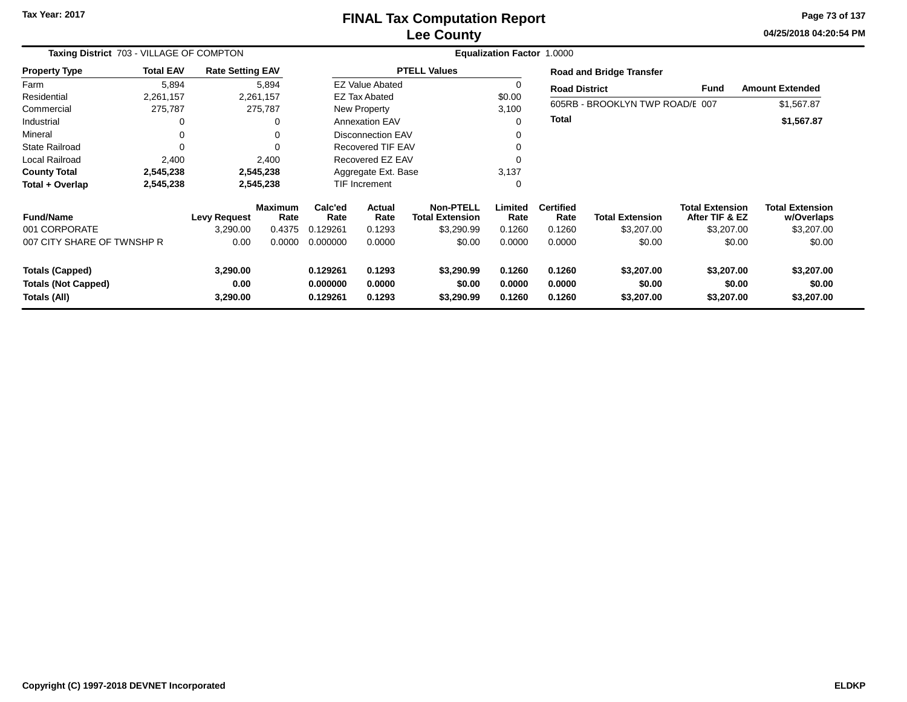### **Lee CountyFINAL Tax Computation Report**

**04/25/2018 04:20:54 PM Page 73 of 137**

| Taxing District 703 - VILLAGE OF COMPTON                                                             |                  |                                                                                                      |                        |                            | Equalization Factor 1.0000 |                                     |                                    |                                    |                                 |                                          |                                      |  |  |
|------------------------------------------------------------------------------------------------------|------------------|------------------------------------------------------------------------------------------------------|------------------------|----------------------------|----------------------------|-------------------------------------|------------------------------------|------------------------------------|---------------------------------|------------------------------------------|--------------------------------------|--|--|
| <b>Property Type</b>                                                                                 | <b>Total EAV</b> | <b>Rate Setting EAV</b>                                                                              |                        |                            |                            | <b>PTELL Values</b>                 |                                    |                                    | <b>Road and Bridge Transfer</b> |                                          |                                      |  |  |
| Farm                                                                                                 | 5,894            |                                                                                                      | 5,894                  |                            | <b>EZ Value Abated</b>     |                                     | 0                                  | <b>Road District</b>               |                                 | Fund                                     | <b>Amount Extended</b>               |  |  |
| Residential                                                                                          | 2,261,157        |                                                                                                      | 2,261,157              |                            | <b>EZ Tax Abated</b>       |                                     | \$0.00                             |                                    |                                 |                                          |                                      |  |  |
| Commercial                                                                                           | 275,787          |                                                                                                      | 275,787                |                            | New Property               |                                     | 3,100                              |                                    | 605RB - BROOKLYN TWP ROAD/E 007 |                                          | \$1,567.87                           |  |  |
| Industrial                                                                                           | 0                |                                                                                                      | 0                      |                            | <b>Annexation EAV</b>      |                                     | $\Omega$                           | <b>Total</b>                       |                                 |                                          | \$1,567.87                           |  |  |
| Mineral                                                                                              | 0                |                                                                                                      | 0                      |                            | <b>Disconnection EAV</b>   |                                     | 0                                  |                                    |                                 |                                          |                                      |  |  |
| <b>State Railroad</b>                                                                                | 0                |                                                                                                      | $\Omega$               |                            | <b>Recovered TIF EAV</b>   |                                     | 0                                  |                                    |                                 |                                          |                                      |  |  |
| Local Railroad                                                                                       | 2,400            |                                                                                                      | 2,400                  | Recovered EZ EAV           |                            |                                     | 0                                  |                                    |                                 |                                          |                                      |  |  |
| <b>County Total</b>                                                                                  | 2,545,238        |                                                                                                      | 2,545,238              |                            | Aggregate Ext. Base        |                                     | 3,137                              |                                    |                                 |                                          |                                      |  |  |
| Total + Overlap                                                                                      | 2,545,238        |                                                                                                      | 2,545,238              |                            | <b>TIF Increment</b>       |                                     | 0                                  |                                    |                                 |                                          |                                      |  |  |
| <b>Fund/Name</b>                                                                                     |                  | <b>Levy Request</b>                                                                                  | <b>Maximum</b><br>Rate | Calc'ed<br>Rate            | Actual<br>Rate             | Non-PTELL<br><b>Total Extension</b> | Limited<br>Rate                    | <b>Certified</b><br>Rate           | <b>Total Extension</b>          | <b>Total Extension</b><br>After TIF & EZ | <b>Total Extension</b><br>w/Overlaps |  |  |
| 001 CORPORATE                                                                                        |                  | 3,290.00                                                                                             | 0.4375                 | 0.129261                   | 0.1293                     | \$3,290.99                          | 0.1260                             | 0.1260                             | \$3,207.00                      | \$3,207.00                               | \$3,207.00                           |  |  |
| 007 CITY SHARE OF TWNSHP R                                                                           |                  | 0.00                                                                                                 | 0.0000                 | 0.000000                   | 0.0000                     | \$0.00                              | 0.0000                             | 0.0000                             | \$0.00                          | \$0.00                                   | \$0.00                               |  |  |
| 3,290.00<br><b>Totals (Capped)</b><br><b>Totals (Not Capped)</b><br>0.00<br>Totals (All)<br>3,290.00 |                  | 0.129261<br>0.1293<br>\$3,290.99<br>0.000000<br>0.0000<br>\$0.00<br>0.129261<br>0.1293<br>\$3,290.99 |                        | 0.1260<br>0.0000<br>0.1260 | 0.1260<br>0.0000<br>0.1260 | \$3,207.00<br>\$0.00<br>\$3,207.00  | \$3,207.00<br>\$0.00<br>\$3,207.00 | \$3,207.00<br>\$0.00<br>\$3,207.00 |                                 |                                          |                                      |  |  |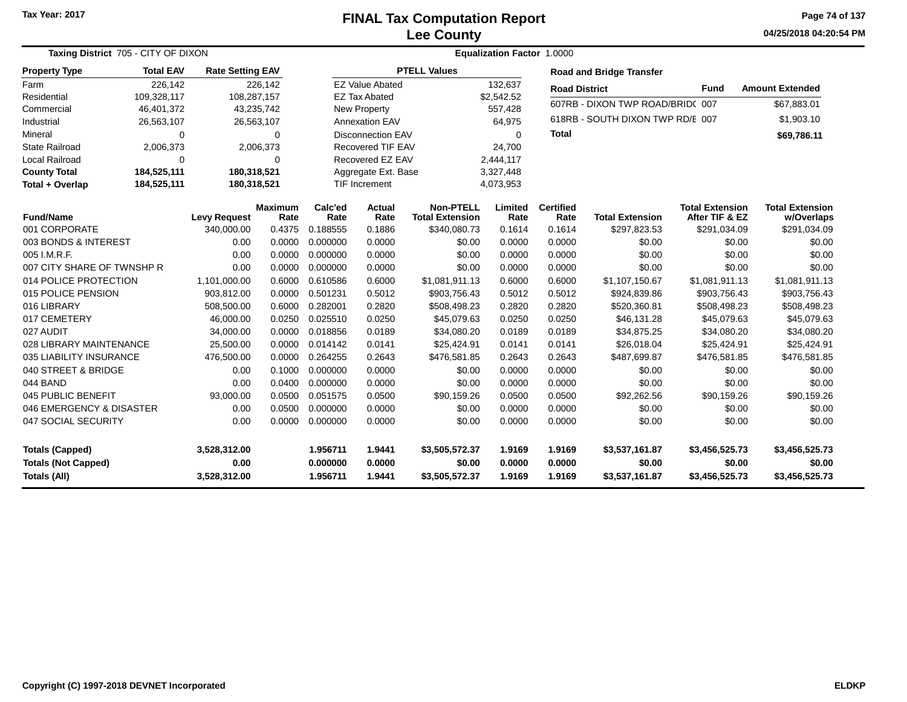**04/25/2018 04:20:54 PM Page 74 of 137**

| Taxing District 705 - CITY OF DIXON |                  |                         |                 |                      | <b>Equalization Factor 1.0000</b> |                                            |                 |                          |                                  |                                          |                                      |
|-------------------------------------|------------------|-------------------------|-----------------|----------------------|-----------------------------------|--------------------------------------------|-----------------|--------------------------|----------------------------------|------------------------------------------|--------------------------------------|
| <b>Property Type</b>                | <b>Total EAV</b> | <b>Rate Setting EAV</b> |                 |                      |                                   | <b>PTELL Values</b>                        |                 |                          | <b>Road and Bridge Transfer</b>  |                                          |                                      |
| Farm                                | 226,142          |                         | 226,142         |                      | <b>EZ Value Abated</b>            |                                            | 132,637         | <b>Road District</b>     |                                  | <b>Fund</b>                              | <b>Amount Extended</b>               |
| Residential                         | 109,328,117      | 108,287,157             |                 |                      | <b>EZ Tax Abated</b>              |                                            | \$2,542.52      |                          | 607RB - DIXON TWP ROAD/BRID(007  |                                          | \$67,883.01                          |
| Commercial                          | 46,401,372       |                         | 43,235,742      |                      | <b>New Property</b>               |                                            | 557,428         |                          |                                  |                                          |                                      |
| Industrial                          | 26,563,107       |                         | 26,563,107      |                      | <b>Annexation EAV</b>             |                                            | 64,975          |                          | 618RB - SOUTH DIXON TWP RD/E 007 |                                          | \$1,903.10                           |
| Mineral                             | 0                |                         | $\Omega$        |                      | <b>Disconnection EAV</b>          |                                            | $\Omega$        | <b>Total</b>             |                                  |                                          | \$69,786.11                          |
| <b>State Railroad</b>               | 2,006,373        |                         | 2,006,373       |                      | <b>Recovered TIF EAV</b>          |                                            | 24,700          |                          |                                  |                                          |                                      |
| Local Railroad                      | 0                |                         | $\Omega$        |                      | Recovered EZ EAV                  | 2,444,117                                  |                 |                          |                                  |                                          |                                      |
| <b>County Total</b>                 | 184,525,111      | 180,318,521             |                 |                      | Aggregate Ext. Base               |                                            | 3,327,448       |                          |                                  |                                          |                                      |
| Total + Overlap                     | 184,525,111      | 180,318,521             |                 | <b>TIF Increment</b> |                                   |                                            | 4,073,953       |                          |                                  |                                          |                                      |
| <b>Fund/Name</b>                    |                  | <b>Levy Request</b>     | Maximum<br>Rate | Calc'ed<br>Rate      | <b>Actual</b><br>Rate             | <b>Non-PTELL</b><br><b>Total Extension</b> | Limited<br>Rate | <b>Certified</b><br>Rate | <b>Total Extension</b>           | <b>Total Extension</b><br>After TIF & EZ | <b>Total Extension</b><br>w/Overlaps |
| 001 CORPORATE                       |                  | 340,000.00              | 0.4375          | 0.188555             | 0.1886                            | \$340,080.73                               | 0.1614          | 0.1614                   | \$297,823.53                     | \$291,034.09                             | \$291,034.09                         |
| 003 BONDS & INTEREST                |                  | 0.00                    | 0.0000          | 0.000000             | 0.0000                            | \$0.00                                     | 0.0000          | 0.0000                   | \$0.00                           | \$0.00                                   | \$0.00                               |
| 005 I.M.R.F.                        |                  | 0.00                    | 0.0000          | 0.000000             | 0.0000                            | \$0.00                                     | 0.0000          | 0.0000                   | \$0.00                           | \$0.00                                   | \$0.00                               |
| 007 CITY SHARE OF TWNSHP R          |                  | 0.00                    | 0.0000          | 0.000000             | 0.0000                            | \$0.00                                     | 0.0000          | 0.0000                   | \$0.00                           | \$0.00                                   | \$0.00                               |
| 014 POLICE PROTECTION               |                  | 1,101,000.00            | 0.6000          | 0.610586             | 0.6000                            | \$1,081,911.13                             | 0.6000          | 0.6000                   | \$1,107,150.67                   | \$1,081,911.13                           | \$1,081,911.13                       |
| 015 POLICE PENSION                  |                  | 903,812.00              | 0.0000          | 0.501231             | 0.5012                            | \$903,756.43                               | 0.5012          | 0.5012                   | \$924,839.86                     | \$903,756.43                             | \$903,756.43                         |
| 016 LIBRARY                         |                  | 508,500.00              | 0.6000          | 0.282001             | 0.2820                            | \$508,498.23                               | 0.2820          | 0.2820                   | \$520,360.81                     | \$508,498.23                             | \$508,498.23                         |
| 017 CEMETERY                        |                  | 46,000.00               | 0.0250          | 0.025510             | 0.0250                            | \$45,079.63                                | 0.0250          | 0.0250                   | \$46,131.28                      | \$45,079.63                              | \$45,079.63                          |
| 027 AUDIT                           |                  | 34,000.00               | 0.0000          | 0.018856             | 0.0189                            | \$34,080.20                                | 0.0189          | 0.0189                   | \$34,875.25                      | \$34,080.20                              | \$34,080.20                          |
| 028 LIBRARY MAINTENANCE             |                  | 25,500.00               | 0.0000          | 0.014142             | 0.0141                            | \$25,424.91                                | 0.0141          | 0.0141                   | \$26,018.04                      | \$25,424.91                              | \$25,424.91                          |
| 035 LIABILITY INSURANCE             |                  | 476,500.00              | 0.0000          | 0.264255             | 0.2643                            | \$476,581.85                               | 0.2643          | 0.2643                   | \$487,699.87                     | \$476,581.85                             | \$476,581.85                         |
| 040 STREET & BRIDGE                 |                  | 0.00                    | 0.1000          | 0.000000             | 0.0000                            | \$0.00                                     | 0.0000          | 0.0000                   | \$0.00                           | \$0.00                                   | \$0.00                               |
| 044 BAND                            |                  | 0.00                    | 0.0400          | 0.000000             | 0.0000                            | \$0.00                                     | 0.0000          | 0.0000                   | \$0.00                           | \$0.00                                   | \$0.00                               |
| 045 PUBLIC BENEFIT                  |                  | 93,000.00               | 0.0500          | 0.051575             | 0.0500                            | \$90,159.26                                | 0.0500          | 0.0500                   | \$92,262.56                      | \$90,159.26                              | \$90,159.26                          |
| 046 EMERGENCY & DISASTER            |                  | 0.00                    | 0.0500          | 0.000000             | 0.0000                            | \$0.00                                     | 0.0000          | 0.0000                   | \$0.00                           | \$0.00                                   | \$0.00                               |
| 047 SOCIAL SECURITY                 |                  | 0.00                    | 0.0000          | 0.000000             | 0.0000                            | \$0.00                                     | 0.0000          | 0.0000                   | \$0.00                           | \$0.00                                   | \$0.00                               |
| <b>Totals (Capped)</b>              |                  | 3,528,312.00            |                 | 1.956711             | 1.9441                            | \$3,505,572.37                             | 1.9169          | 1.9169                   | \$3,537,161.87                   | \$3,456,525.73                           | \$3,456,525.73                       |
| <b>Totals (Not Capped)</b>          |                  | 0.00                    |                 | 0.000000             | 0.0000                            | \$0.00                                     | 0.0000          | 0.0000                   | \$0.00                           | \$0.00                                   | \$0.00                               |
| Totals (All)                        |                  | 3,528,312.00            |                 | 1.956711             | 1.9441                            | \$3,505,572.37                             | 1.9169          | 1.9169                   | \$3,537,161.87                   | \$3,456,525.73                           | \$3,456,525.73                       |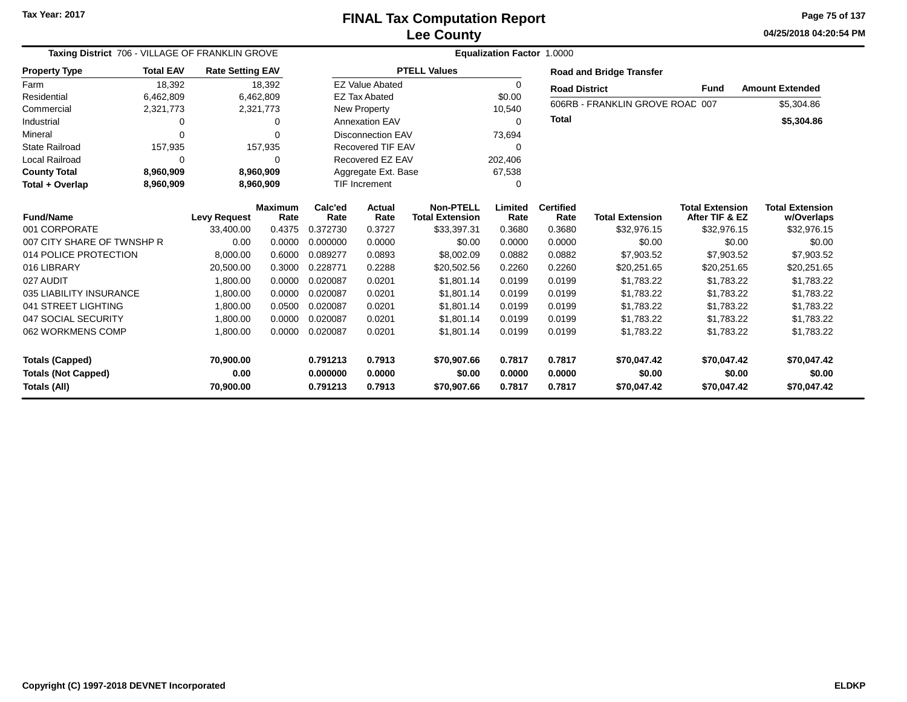**04/25/2018 04:20:54 PMPage 75 of 137**

| Taxing District 706 - VILLAGE OF FRANKLIN GROVE |                  | <b>Equalization Factor 1.0000</b> |                |          |                          |                        |          |                      |                                 |                        |                        |  |
|-------------------------------------------------|------------------|-----------------------------------|----------------|----------|--------------------------|------------------------|----------|----------------------|---------------------------------|------------------------|------------------------|--|
| <b>Property Type</b>                            | <b>Total EAV</b> | <b>Rate Setting EAV</b>           |                |          |                          | <b>PTELL Values</b>    |          |                      | <b>Road and Bridge Transfer</b> |                        |                        |  |
| Farm                                            | 18,392           |                                   | 18,392         |          | <b>EZ Value Abated</b>   |                        | $\Omega$ | <b>Road District</b> |                                 | Fund                   | <b>Amount Extended</b> |  |
| Residential                                     | 6,462,809        |                                   | 6,462,809      |          | <b>EZ Tax Abated</b>     |                        | \$0.00   |                      |                                 |                        |                        |  |
| Commercial                                      | 2,321,773        |                                   | 2,321,773      |          | New Property             |                        | 10,540   |                      | 606RB - FRANKLIN GROVE ROAC 007 |                        | \$5,304.86             |  |
| Industrial                                      | 0                |                                   | 0              |          | <b>Annexation EAV</b>    |                        | $\Omega$ | <b>Total</b>         |                                 |                        | \$5,304.86             |  |
| Mineral                                         | $\Omega$         |                                   |                |          | <b>Disconnection EAV</b> |                        | 73,694   |                      |                                 |                        |                        |  |
| <b>State Railroad</b>                           | 157,935          |                                   | 157,935        |          | Recovered TIF EAV        |                        | ∩        |                      |                                 |                        |                        |  |
| Local Railroad                                  | $\Omega$         |                                   |                |          | Recovered EZ EAV         |                        | 202,406  |                      |                                 |                        |                        |  |
| <b>County Total</b>                             | 8,960,909        |                                   | 8,960,909      |          | Aggregate Ext. Base      |                        | 67,538   |                      |                                 |                        |                        |  |
| Total + Overlap                                 | 8,960,909        |                                   | 8,960,909      |          | <b>TIF Increment</b>     |                        | $\Omega$ |                      |                                 |                        |                        |  |
| <b>Fund/Name</b>                                |                  |                                   | <b>Maximum</b> | Calc'ed  | Actual                   | <b>Non-PTELL</b>       | Limited  | <b>Certified</b>     |                                 | <b>Total Extension</b> | <b>Total Extension</b> |  |
|                                                 |                  | <b>Levy Request</b>               | Rate           | Rate     | Rate                     | <b>Total Extension</b> | Rate     | Rate                 | <b>Total Extension</b>          | After TIF & EZ         | w/Overlaps             |  |
| 001 CORPORATE                                   |                  | 33,400.00                         | 0.4375         | 0.372730 | 0.3727                   | \$33,397.31            | 0.3680   | 0.3680               | \$32,976.15                     | \$32,976.15            | \$32,976.15            |  |
| 007 CITY SHARE OF TWNSHP R                      |                  | 0.00                              | 0.0000         | 0.000000 | 0.0000                   | \$0.00                 | 0.0000   | 0.0000               | \$0.00                          | \$0.00                 | \$0.00                 |  |
| 014 POLICE PROTECTION                           |                  | 8,000.00                          | 0.6000         | 0.089277 | 0.0893                   | \$8,002.09             | 0.0882   | 0.0882               | \$7,903.52                      | \$7,903.52             | \$7,903.52             |  |
| 016 LIBRARY                                     |                  | 20,500.00                         | 0.3000         | 0.228771 | 0.2288                   | \$20,502.56            | 0.2260   | 0.2260               | \$20,251.65                     | \$20,251.65            | \$20,251.65            |  |
| 027 AUDIT                                       |                  | 1,800.00                          | 0.0000         | 0.020087 | 0.0201                   | \$1,801.14             | 0.0199   | 0.0199               | \$1,783.22                      | \$1,783.22             | \$1,783.22             |  |
| 035 LIABILITY INSURANCE                         |                  | 1,800.00                          | 0.0000         | 0.020087 | 0.0201                   | \$1,801.14             | 0.0199   | 0.0199               | \$1,783.22                      | \$1,783.22             | \$1,783.22             |  |
| 041 STREET LIGHTING                             |                  | 1,800.00                          | 0.0500         | 0.020087 | 0.0201                   | \$1,801.14             | 0.0199   | 0.0199               | \$1,783.22                      | \$1,783.22             | \$1,783.22             |  |
| 047 SOCIAL SECURITY                             |                  | 1,800.00                          | 0.0000         | 0.020087 | 0.0201                   | \$1.801.14             | 0.0199   | 0.0199               | \$1,783.22                      | \$1,783.22             | \$1,783.22             |  |
| 062 WORKMENS COMP                               |                  | 1,800.00                          | 0.0000         | 0.020087 | 0.0201                   | \$1,801.14             | 0.0199   | 0.0199               | \$1,783.22                      | \$1,783.22             | \$1,783.22             |  |
| <b>Totals (Capped)</b>                          |                  | 70,900.00                         |                | 0.791213 | 0.7913                   | \$70,907.66            | 0.7817   | 0.7817               | \$70,047.42                     | \$70,047.42            | \$70,047.42            |  |
| <b>Totals (Not Capped)</b>                      |                  | 0.00                              |                | 0.000000 | 0.0000                   | \$0.00                 | 0.0000   | 0.0000               | \$0.00                          | \$0.00                 | \$0.00                 |  |
| Totals (All)                                    |                  | 70,900.00                         |                | 0.791213 | 0.7913                   | \$70,907.66            | 0.7817   | 0.7817               | \$70,047.42                     | \$70,047.42            | \$70,047.42            |  |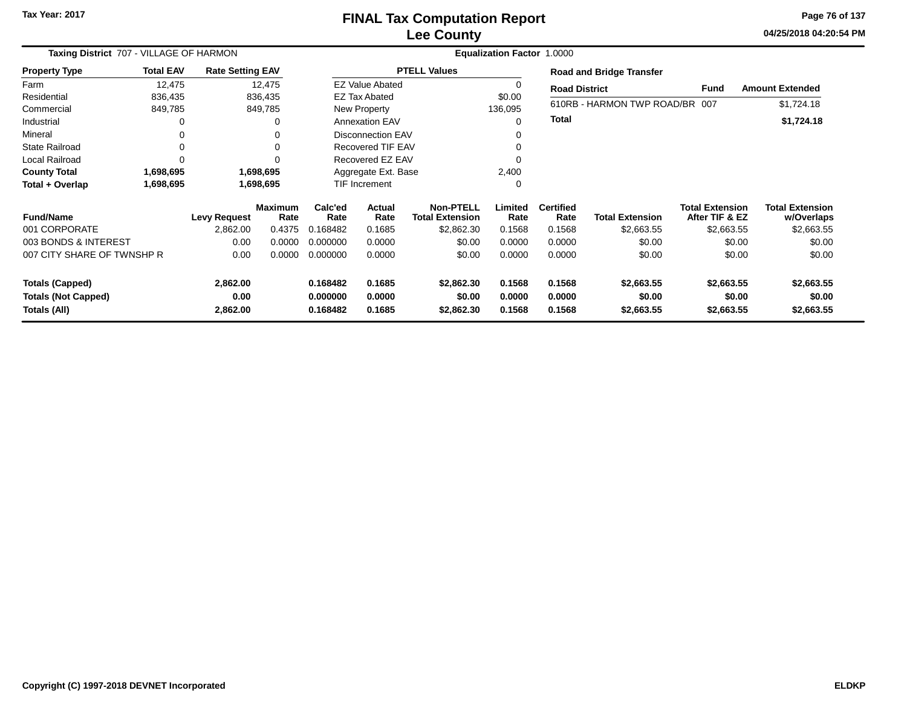### **Lee CountyFINAL Tax Computation Report**

**04/25/2018 04:20:54 PM Page 76 of 137**

|                            | Taxing District 707 - VILLAGE OF HARMON |                         |                        |                      |                          | Equalization Factor 1.0000                 |                 |                          |                                 |                                          |                                      |  |  |  |  |
|----------------------------|-----------------------------------------|-------------------------|------------------------|----------------------|--------------------------|--------------------------------------------|-----------------|--------------------------|---------------------------------|------------------------------------------|--------------------------------------|--|--|--|--|
| <b>Property Type</b>       | <b>Total EAV</b>                        | <b>Rate Setting EAV</b> |                        |                      |                          | <b>PTELL Values</b>                        |                 |                          | <b>Road and Bridge Transfer</b> |                                          |                                      |  |  |  |  |
| Farm                       | 12,475                                  |                         | 12,475                 |                      | <b>EZ Value Abated</b>   |                                            | 0               | <b>Road District</b>     |                                 | Fund                                     | <b>Amount Extended</b>               |  |  |  |  |
| Residential                | 836,435                                 |                         | 836,435                |                      | <b>EZ Tax Abated</b>     |                                            | \$0.00          |                          |                                 |                                          |                                      |  |  |  |  |
| Commercial                 | 849,785                                 |                         | 849,785                |                      | New Property             |                                            | 136,095         |                          | 610RB - HARMON TWP ROAD/BR 007  |                                          | \$1,724.18                           |  |  |  |  |
| Industrial                 | 0                                       |                         | 0                      |                      | <b>Annexation EAV</b>    |                                            | 0               | <b>Total</b>             |                                 |                                          | \$1,724.18                           |  |  |  |  |
| Mineral                    | 0                                       |                         | 0                      |                      | Disconnection EAV        |                                            | 0               |                          |                                 |                                          |                                      |  |  |  |  |
| <b>State Railroad</b>      | 0                                       |                         | 0                      |                      | <b>Recovered TIF EAV</b> |                                            | 0               |                          |                                 |                                          |                                      |  |  |  |  |
| Local Railroad             | $\Omega$                                |                         |                        |                      | Recovered EZ EAV         |                                            | 0               |                          |                                 |                                          |                                      |  |  |  |  |
| <b>County Total</b>        | 1,698,695                               |                         | 1,698,695              |                      | Aggregate Ext. Base      |                                            | 2,400           |                          |                                 |                                          |                                      |  |  |  |  |
| Total + Overlap            | 1,698,695                               |                         | 1,698,695              | <b>TIF Increment</b> |                          |                                            | 0               |                          |                                 |                                          |                                      |  |  |  |  |
| <b>Fund/Name</b>           |                                         | <b>Levy Request</b>     | <b>Maximum</b><br>Rate | Calc'ed<br>Rate      | <b>Actual</b><br>Rate    | <b>Non-PTELL</b><br><b>Total Extension</b> | Limited<br>Rate | <b>Certified</b><br>Rate | <b>Total Extension</b>          | <b>Total Extension</b><br>After TIF & EZ | <b>Total Extension</b><br>w/Overlaps |  |  |  |  |
| 001 CORPORATE              |                                         | 2,862.00                | 0.4375                 | 0.168482             | 0.1685                   | \$2,862.30                                 | 0.1568          | 0.1568                   | \$2,663.55                      | \$2,663.55                               | \$2,663.55                           |  |  |  |  |
| 003 BONDS & INTEREST       |                                         | 0.00                    | 0.0000                 | 0.000000             | 0.0000                   | \$0.00                                     | 0.0000          | 0.0000                   | \$0.00                          | \$0.00                                   | \$0.00                               |  |  |  |  |
| 007 CITY SHARE OF TWNSHP R |                                         | 0.00                    | 0.0000                 | 0.000000             | 0.0000                   | \$0.00                                     | 0.0000          | 0.0000                   | \$0.00                          | \$0.00                                   | \$0.00                               |  |  |  |  |
| <b>Totals (Capped)</b>     |                                         | 2,862.00                |                        | 0.168482             | 0.1685                   | \$2,862.30                                 | 0.1568          | 0.1568                   | \$2,663.55                      | \$2,663.55                               | \$2,663.55                           |  |  |  |  |
| <b>Totals (Not Capped)</b> |                                         | 0.00                    |                        | 0.000000             | 0.0000                   | \$0.00                                     | 0.0000          | 0.0000                   | \$0.00                          | \$0.00                                   | \$0.00                               |  |  |  |  |
| Totals (All)               |                                         | 2,862.00                |                        | 0.168482             | 0.1685                   | \$2,862.30                                 | 0.1568          | 0.1568                   | \$2,663.55                      | \$2,663.55                               | \$2,663.55                           |  |  |  |  |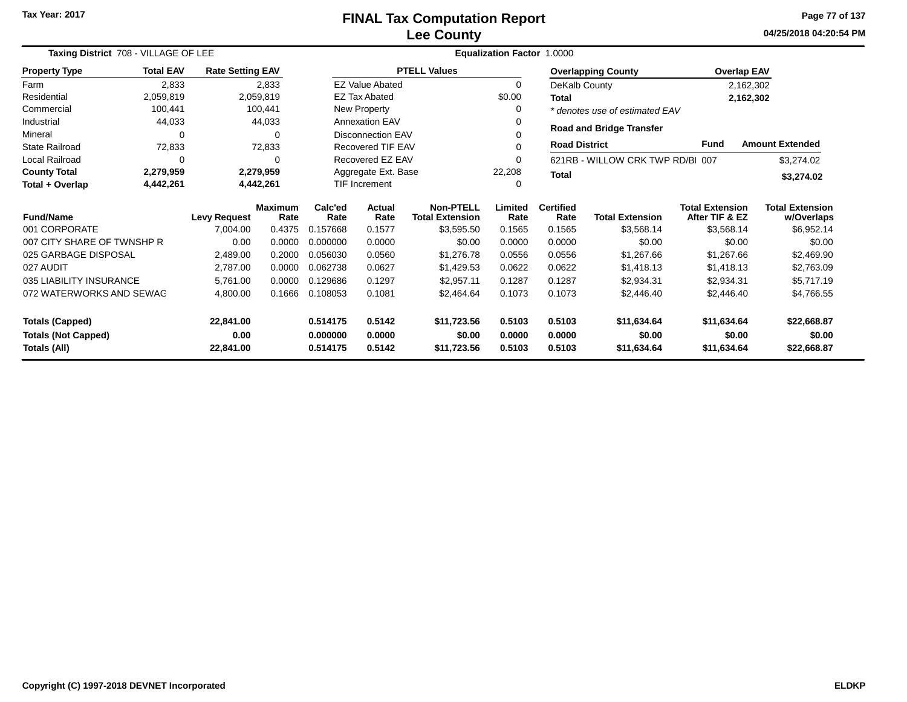**04/25/2018 04:20:54 PMPage 77 of 137**

| Taxing District 708 - VILLAGE OF LEE    |                  |                         |                 | Equalization Factor 1.0000 |                                            |                     |                          |                        |                                          |                                      |                        |  |
|-----------------------------------------|------------------|-------------------------|-----------------|----------------------------|--------------------------------------------|---------------------|--------------------------|------------------------|------------------------------------------|--------------------------------------|------------------------|--|
| <b>Property Type</b>                    | <b>Total EAV</b> | <b>Rate Setting EAV</b> |                 |                            |                                            | <b>PTELL Values</b> |                          |                        | <b>Overlapping County</b>                |                                      | <b>Overlap EAV</b>     |  |
| Farm                                    | 2,833            |                         | 2,833           |                            | <b>EZ Value Abated</b>                     |                     | $\Omega$                 | DeKalb County          |                                          |                                      | 2,162,302              |  |
| Residential                             | 2,059,819        |                         | 2,059,819       |                            | <b>EZ Tax Abated</b>                       |                     | \$0.00                   | <b>Total</b>           |                                          |                                      | 2,162,302              |  |
| Commercial                              | 100,441          |                         | 100,441         |                            | New Property                               |                     | 0                        |                        | * denotes use of estimated EAV           |                                      |                        |  |
| Industrial                              | 44,033           |                         | 44,033          |                            | <b>Annexation EAV</b>                      |                     | 0                        |                        |                                          |                                      |                        |  |
| Mineral                                 | $\Omega$         |                         | $\Omega$        |                            | <b>Disconnection EAV</b>                   |                     |                          |                        | <b>Road and Bridge Transfer</b>          |                                      |                        |  |
| <b>State Railroad</b>                   | 72,833           |                         | 72,833          |                            | Recovered TIF EAV                          |                     | $\Omega$                 | <b>Road District</b>   |                                          | <b>Fund</b>                          | <b>Amount Extended</b> |  |
| Local Railroad                          | $\Omega$         |                         | $\Omega$        |                            | Recovered EZ EAV                           |                     | 0                        |                        | 621RB - WILLOW CRK TWP RD/BI 007         |                                      | \$3,274.02             |  |
| <b>County Total</b>                     | 2,279,959        |                         | 2,279,959       |                            | Aggregate Ext. Base                        |                     | 22,208                   | <b>Total</b>           |                                          |                                      | \$3,274.02             |  |
| Total + Overlap                         | 4,442,261        |                         | 4,442,261       |                            | <b>TIF Increment</b>                       |                     | 0                        |                        |                                          |                                      |                        |  |
| <b>Fund/Name</b><br><b>Levy Request</b> |                  | <b>Maximum</b><br>Rate  | Calc'ed<br>Rate | Actual<br>Rate             | <b>Non-PTELL</b><br><b>Total Extension</b> | Limited<br>Rate     | <b>Certified</b><br>Rate | <b>Total Extension</b> | <b>Total Extension</b><br>After TIF & EZ | <b>Total Extension</b><br>w/Overlaps |                        |  |
| 001 CORPORATE                           |                  | 7,004.00                | 0.4375          | 0.157668                   | 0.1577                                     | \$3,595.50          | 0.1565                   | 0.1565                 | \$3,568.14                               | \$3,568.14                           | \$6,952.14             |  |
| 007 CITY SHARE OF TWNSHP R              |                  | 0.00                    | 0.0000          | 0.000000                   | 0.0000                                     | \$0.00              | 0.0000                   | 0.0000                 | \$0.00                                   | \$0.00                               | \$0.00                 |  |
| 025 GARBAGE DISPOSAL                    |                  | 2,489.00                | 0.2000          | 0.056030                   | 0.0560                                     | \$1,276.78          | 0.0556                   | 0.0556                 | \$1,267.66                               | \$1,267.66                           | \$2,469.90             |  |
| 027 AUDIT                               |                  | 2,787.00                | 0.0000          | 0.062738                   | 0.0627                                     | \$1,429.53          | 0.0622                   | 0.0622                 | \$1,418.13                               | \$1,418.13                           | \$2,763.09             |  |
| 035 LIABILITY INSURANCE                 |                  | 5,761.00                | 0.0000          | 0.129686                   | 0.1297                                     | \$2,957.11          | 0.1287                   | 0.1287                 | \$2,934.31                               | \$2,934.31                           | \$5,717.19             |  |
| 072 WATERWORKS AND SEWAG                |                  | 4,800.00                | 0.1666          | 0.108053                   | 0.1081                                     | \$2,464.64          | 0.1073                   | 0.1073                 | \$2,446.40                               | \$2,446.40                           | \$4,766.55             |  |
| <b>Totals (Capped)</b>                  |                  | 22,841.00               |                 | 0.514175                   | 0.5142                                     | \$11,723.56         | 0.5103                   | 0.5103                 | \$11,634.64                              | \$11,634.64                          | \$22,668.87            |  |
| <b>Totals (Not Capped)</b>              |                  | 0.00                    |                 | 0.000000                   | 0.0000                                     | \$0.00              | 0.0000                   | 0.0000                 | \$0.00                                   | \$0.00                               | \$0.00                 |  |
| Totals (All)<br>22,841.00               |                  |                         | 0.514175        | 0.5142                     | \$11,723.56                                | 0.5103              | 0.5103                   | \$11,634.64            | \$11,634.64                              | \$22,668.87                          |                        |  |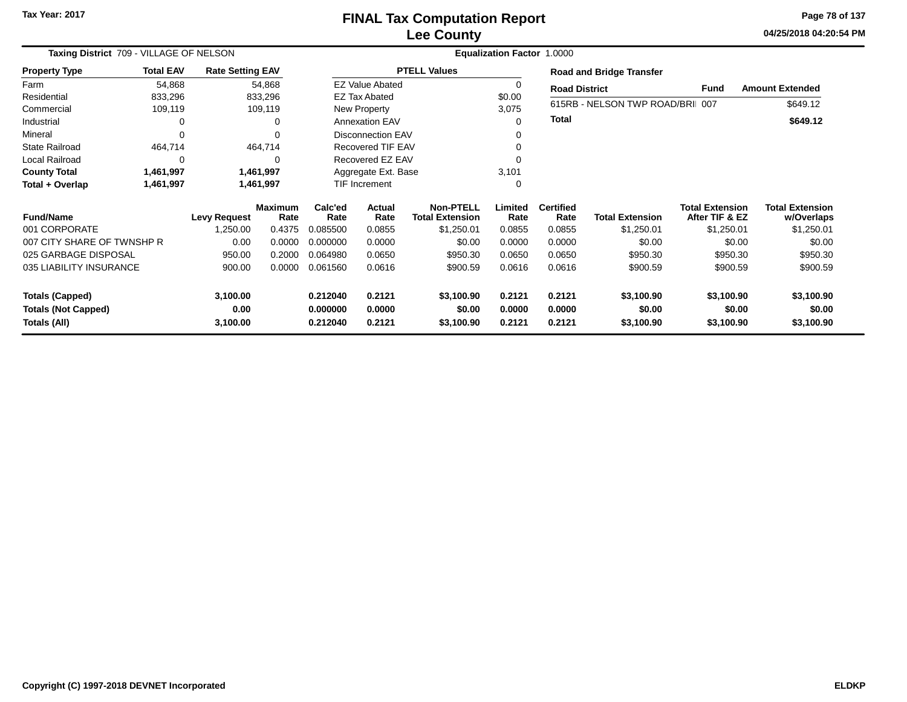# **Lee CountyFINAL Tax Computation Report**

**04/25/2018 04:20:54 PM Page 78 of 137**

| Taxing District 709 - VILLAGE OF NELSON |                  |                         |                 | <b>Equalization Factor 1.0000</b> |                                            |                     |                          |                        |                                          |                                      |                        |  |  |
|-----------------------------------------|------------------|-------------------------|-----------------|-----------------------------------|--------------------------------------------|---------------------|--------------------------|------------------------|------------------------------------------|--------------------------------------|------------------------|--|--|
| <b>Property Type</b>                    | <b>Total EAV</b> | <b>Rate Setting EAV</b> |                 |                                   |                                            | <b>PTELL Values</b> |                          |                        | <b>Road and Bridge Transfer</b>          |                                      |                        |  |  |
| Farm                                    | 54,868           |                         | 54,868          |                                   | <b>EZ Value Abated</b>                     |                     | $\Omega$                 | <b>Road District</b>   |                                          | Fund                                 | <b>Amount Extended</b> |  |  |
| Residential                             | 833,296          |                         | 833,296         |                                   | EZ Tax Abated                              |                     | \$0.00                   |                        |                                          |                                      |                        |  |  |
| Commercial                              | 109,119          |                         | 109,119         |                                   | New Property                               |                     | 3,075                    |                        | 615RB - NELSON TWP ROAD/BRI 007          |                                      | \$649.12               |  |  |
| Industrial                              | 0                |                         | 0               |                                   | <b>Annexation EAV</b>                      |                     | 0                        | <b>Total</b>           |                                          |                                      | \$649.12               |  |  |
| Mineral                                 | 0                |                         | $\Omega$        |                                   | <b>Disconnection EAV</b>                   |                     |                          |                        |                                          |                                      |                        |  |  |
| State Railroad                          | 464,714          |                         | 464,714         |                                   | <b>Recovered TIF EAV</b>                   |                     |                          |                        |                                          |                                      |                        |  |  |
| Local Railroad                          | 0                |                         | 0               |                                   | Recovered EZ EAV                           |                     |                          |                        |                                          |                                      |                        |  |  |
| <b>County Total</b>                     | 1,461,997        |                         | 1,461,997       |                                   | Aggregate Ext. Base                        |                     | 3,101                    |                        |                                          |                                      |                        |  |  |
| Total + Overlap                         | 1,461,997        |                         | 1,461,997       |                                   | TIF Increment                              |                     | $\Omega$                 |                        |                                          |                                      |                        |  |  |
| <b>Fund/Name</b><br><b>Levy Request</b> |                  | <b>Maximum</b><br>Rate  | Calc'ed<br>Rate | Actual<br>Rate                    | <b>Non-PTELL</b><br><b>Total Extension</b> | Limited<br>Rate     | <b>Certified</b><br>Rate | <b>Total Extension</b> | <b>Total Extension</b><br>After TIF & EZ | <b>Total Extension</b><br>w/Overlaps |                        |  |  |
| 001 CORPORATE                           |                  | 1,250.00                | 0.4375          | 0.085500                          | 0.0855                                     | \$1,250.01          | 0.0855                   | 0.0855                 | \$1,250.01                               | \$1,250.01                           | \$1,250.01             |  |  |
| 007 CITY SHARE OF TWNSHP R              |                  | 0.00                    | 0.0000          | 0.000000                          | 0.0000                                     | \$0.00              | 0.0000                   | 0.0000                 | \$0.00                                   | \$0.00                               | \$0.00                 |  |  |
| 025 GARBAGE DISPOSAL                    |                  | 950.00                  | 0.2000          | 0.064980                          | 0.0650                                     | \$950.30            | 0.0650                   | 0.0650                 | \$950.30                                 | \$950.30                             | \$950.30               |  |  |
| 035 LIABILITY INSURANCE                 |                  | 900.00                  | 0.0000          | 0.061560                          | 0.0616                                     | \$900.59            | 0.0616                   | 0.0616                 | \$900.59                                 | \$900.59                             | \$900.59               |  |  |
| <b>Totals (Capped)</b>                  |                  | 3,100.00                |                 | 0.212040                          | 0.2121                                     | \$3,100.90          | 0.2121                   | 0.2121                 | \$3,100.90                               | \$3,100.90                           | \$3,100.90             |  |  |
| <b>Totals (Not Capped)</b>              |                  | 0.00                    |                 | 0.000000                          | 0.0000                                     | \$0.00              | 0.0000                   | 0.0000                 | \$0.00                                   | \$0.00                               | \$0.00                 |  |  |
| Totals (All)                            |                  | 3,100.00                |                 | 0.212040                          | 0.2121                                     | \$3,100.90          | 0.2121                   | 0.2121                 | \$3,100.90                               | \$3,100.90                           | \$3,100.90             |  |  |

—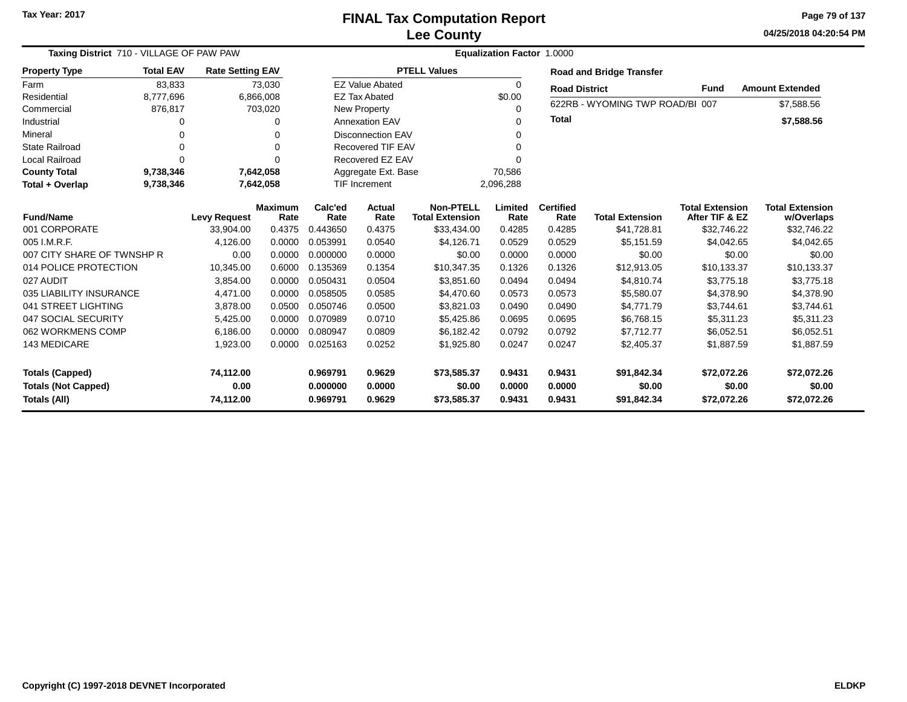**04/25/2018 04:20:54 PMPage 79 of 137**

| Taxing District 710 - VILLAGE OF PAW PAW |                     |                         |                | <b>Equalization Factor</b><br>1.0000 |                          |                                       |                |                      |                                       |                               |                           |  |  |
|------------------------------------------|---------------------|-------------------------|----------------|--------------------------------------|--------------------------|---------------------------------------|----------------|----------------------|---------------------------------------|-------------------------------|---------------------------|--|--|
| <b>Property Type</b>                     | <b>Total EAV</b>    | <b>Rate Setting EAV</b> |                |                                      |                          | <b>PTELL Values</b>                   |                |                      | <b>Road and Bridge Transfer</b>       |                               |                           |  |  |
| Farm                                     | 83,833              |                         | 73,030         |                                      | <b>EZ Value Abated</b>   |                                       | 0              | <b>Road District</b> |                                       | <b>Fund</b>                   | <b>Amount Extended</b>    |  |  |
| Residential                              | 8,777,696           |                         | 6,866,008      |                                      | <b>EZ Tax Abated</b>     |                                       | \$0.00         |                      |                                       |                               |                           |  |  |
| Commercial                               | 876,817             |                         | 703,020        |                                      | New Property             |                                       | 0              |                      | 622RB - WYOMING TWP ROAD/BI 007       |                               | \$7,588.56                |  |  |
| Industrial                               | O                   |                         | $\Omega$       |                                      | <b>Annexation EAV</b>    |                                       | 0              | <b>Total</b>         |                                       |                               | \$7,588.56                |  |  |
| Mineral                                  | $\Omega$            |                         | 0              |                                      | <b>Disconnection EAV</b> |                                       | 0              |                      |                                       |                               |                           |  |  |
| <b>State Railroad</b>                    | $\Omega$            |                         | $\Omega$       |                                      | <b>Recovered TIF EAV</b> |                                       | 0              |                      |                                       |                               |                           |  |  |
| <b>Local Railroad</b>                    | $\Omega$            |                         | $\Omega$       |                                      | Recovered EZ EAV         |                                       | U              |                      |                                       |                               |                           |  |  |
| <b>County Total</b>                      | 9,738,346           |                         | 7,642,058      |                                      | Aggregate Ext. Base      |                                       | 70,586         |                      |                                       |                               |                           |  |  |
| Total + Overlap                          | 9,738,346           |                         | 7,642,058      | TIF Increment                        |                          |                                       | 2,096,288      |                      |                                       |                               |                           |  |  |
|                                          | <b>Levy Request</b> |                         | <b>Maximum</b> | Calc'ed                              | Actual                   | <b>Non-PTELL</b>                      | Limited        | <b>Certified</b>     |                                       | <b>Total Extension</b>        | <b>Total Extension</b>    |  |  |
| <b>Fund/Name</b><br>001 CORPORATE        |                     | 33.904.00               | Rate<br>0.4375 | Rate<br>0.443650                     | Rate<br>0.4375           | <b>Total Extension</b><br>\$33,434.00 | Rate<br>0.4285 | Rate<br>0.4285       | <b>Total Extension</b><br>\$41,728.81 | After TIF & EZ<br>\$32,746.22 | w/Overlaps<br>\$32,746.22 |  |  |
| 005 I.M.R.F.                             |                     | 4,126.00                | 0.0000         | 0.053991                             | 0.0540                   | \$4,126.71                            | 0.0529         | 0.0529               | \$5,151.59                            | \$4,042.65                    | \$4,042.65                |  |  |
| 007 CITY SHARE OF TWNSHP R               |                     | 0.00                    | 0.0000         | 0.000000                             | 0.0000                   | \$0.00                                | 0.0000         | 0.0000               | \$0.00                                | \$0.00                        | \$0.00                    |  |  |
| 014 POLICE PROTECTION                    |                     | 10,345.00               | 0.6000         | 0.135369                             | 0.1354                   | \$10,347.35                           | 0.1326         | 0.1326               | \$12,913.05                           | \$10,133.37                   | \$10,133.37               |  |  |
| 027 AUDIT                                |                     | 3,854.00                | 0.0000         | 0.050431                             | 0.0504                   | \$3,851.60                            | 0.0494         | 0.0494               | \$4,810.74                            | \$3,775.18                    | \$3,775.18                |  |  |
| 035 LIABILITY INSURANCE                  |                     | 4,471.00                | 0.0000         | 0.058505                             | 0.0585                   | \$4,470.60                            | 0.0573         | 0.0573               | \$5,580.07                            | \$4,378.90                    | \$4,378.90                |  |  |
| 041 STREET LIGHTING                      |                     | 3,878.00                | 0.0500         | 0.050746                             | 0.0500                   | \$3,821.03                            | 0.0490         | 0.0490               | \$4,771.79                            | \$3,744.61                    | \$3,744.61                |  |  |
| 047 SOCIAL SECURITY                      |                     | 5,425.00                | 0.0000         | 0.070989                             | 0.0710                   | \$5,425.86                            | 0.0695         | 0.0695               | \$6,768.15                            | \$5,311.23                    | \$5,311.23                |  |  |
| 062 WORKMENS COMP                        |                     | 6.186.00                | 0.0000         | 0.080947                             | 0.0809                   | \$6.182.42                            | 0.0792         | 0.0792               | \$7,712.77                            | \$6,052.51                    | \$6,052.51                |  |  |
| 143 MEDICARE                             |                     |                         | 0.0000         | 0.025163                             | 0.0252                   |                                       | 0.0247         | 0.0247               |                                       |                               |                           |  |  |
|                                          |                     | 1,923.00                |                |                                      |                          | \$1,925.80                            |                |                      | \$2,405.37                            | \$1,887.59                    | \$1,887.59                |  |  |
| <b>Totals (Capped)</b>                   |                     | 74,112.00               |                | 0.969791                             | 0.9629                   | \$73,585.37                           | 0.9431         | 0.9431               | \$91,842.34                           | \$72,072.26                   | \$72,072.26               |  |  |
| <b>Totals (Not Capped)</b>               |                     | 0.00                    |                | 0.000000                             | 0.0000                   | \$0.00                                | 0.0000         | 0.0000               | \$0.00                                | \$0.00                        | \$0.00                    |  |  |
| <b>Totals (All)</b>                      |                     | 74,112.00               |                | 0.969791                             | 0.9629                   | \$73,585.37                           | 0.9431         | 0.9431               | \$91,842.34                           | \$72,072.26                   | \$72,072.26               |  |  |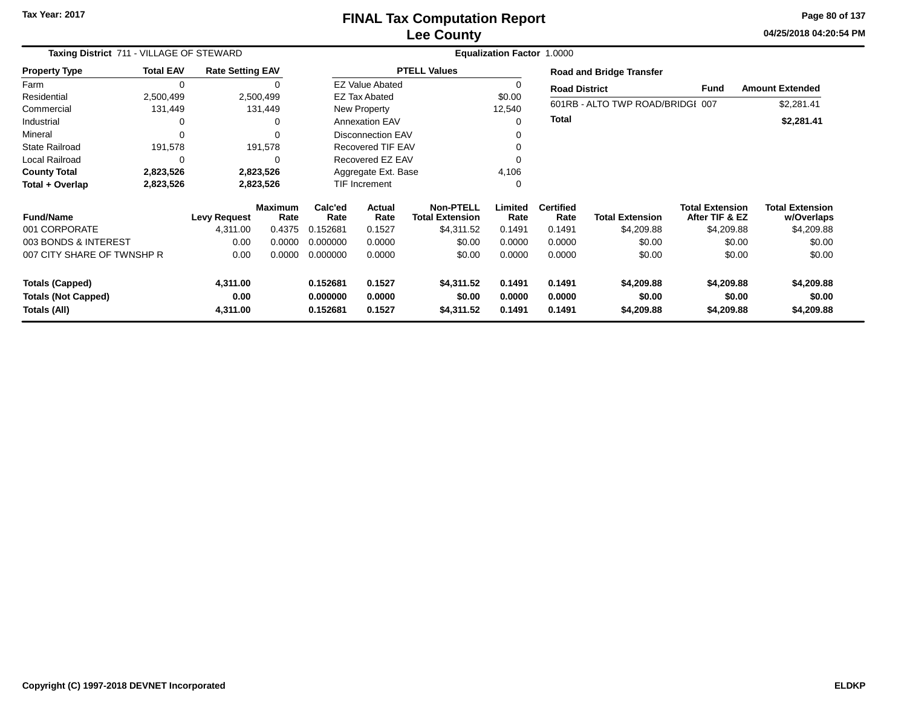**04/25/2018 04:20:54 PM Page 80 of 137**

|                            | Taxing District 711 - VILLAGE OF STEWARD |                         |                        |                 |                          | Equalization Factor 1.0000                 |                 |                          |                                  |                                          |                                      |  |  |  |  |  |
|----------------------------|------------------------------------------|-------------------------|------------------------|-----------------|--------------------------|--------------------------------------------|-----------------|--------------------------|----------------------------------|------------------------------------------|--------------------------------------|--|--|--|--|--|
| <b>Property Type</b>       | <b>Total EAV</b>                         | <b>Rate Setting EAV</b> |                        |                 |                          | <b>PTELL Values</b>                        |                 |                          | <b>Road and Bridge Transfer</b>  |                                          |                                      |  |  |  |  |  |
| Farm                       | $\mathbf 0$                              |                         |                        |                 | <b>EZ Value Abated</b>   |                                            |                 | <b>Road District</b>     |                                  | <b>Fund</b>                              | <b>Amount Extended</b>               |  |  |  |  |  |
| Residential                | 2,500,499                                |                         | 2,500,499              |                 | <b>EZ Tax Abated</b>     |                                            | \$0.00          |                          |                                  |                                          |                                      |  |  |  |  |  |
| Commercial                 | 131,449                                  |                         | 131,449                |                 | New Property             |                                            | 12,540          |                          | 601RB - ALTO TWP ROAD/BRIDGI 007 |                                          | \$2,281.41                           |  |  |  |  |  |
| Industrial                 | $\Omega$                                 |                         | 0                      |                 | <b>Annexation EAV</b>    |                                            | 0               | Total                    |                                  |                                          | \$2,281.41                           |  |  |  |  |  |
| Mineral                    | $\Omega$                                 |                         | 0                      |                 | <b>Disconnection EAV</b> |                                            |                 |                          |                                  |                                          |                                      |  |  |  |  |  |
| <b>State Railroad</b>      | 191,578                                  |                         | 191,578                |                 | <b>Recovered TIF EAV</b> |                                            |                 |                          |                                  |                                          |                                      |  |  |  |  |  |
| Local Railroad             | $\mathbf 0$                              |                         | 0                      |                 | Recovered EZ EAV         |                                            |                 |                          |                                  |                                          |                                      |  |  |  |  |  |
| <b>County Total</b>        | 2,823,526                                |                         | 2,823,526              |                 | Aggregate Ext. Base      |                                            | 4,106           |                          |                                  |                                          |                                      |  |  |  |  |  |
| Total + Overlap            | 2,823,526                                |                         | 2,823,526              | TIF Increment   |                          |                                            | 0               |                          |                                  |                                          |                                      |  |  |  |  |  |
| <b>Fund/Name</b>           |                                          | <b>Levy Request</b>     | <b>Maximum</b><br>Rate | Calc'ed<br>Rate | <b>Actual</b><br>Rate    | <b>Non-PTELL</b><br><b>Total Extension</b> | Limited<br>Rate | <b>Certified</b><br>Rate | <b>Total Extension</b>           | <b>Total Extension</b><br>After TIF & EZ | <b>Total Extension</b><br>w/Overlaps |  |  |  |  |  |
| 001 CORPORATE              |                                          | 4,311.00                | 0.4375                 | 0.152681        | 0.1527                   | \$4,311.52                                 | 0.1491          | 0.1491                   | \$4,209.88                       | \$4,209.88                               | \$4,209.88                           |  |  |  |  |  |
| 003 BONDS & INTEREST       |                                          | 0.00                    | 0.0000                 | 0.000000        | 0.0000                   | \$0.00                                     | 0.0000          | 0.0000                   | \$0.00                           | \$0.00                                   | \$0.00                               |  |  |  |  |  |
| 007 CITY SHARE OF TWNSHP R |                                          | 0.00                    | 0.0000                 | 0.000000        | 0.0000                   | \$0.00                                     | 0.0000          | 0.0000                   | \$0.00                           | \$0.00                                   | \$0.00                               |  |  |  |  |  |
| <b>Totals (Capped)</b>     |                                          | 4,311.00                |                        | 0.152681        | 0.1527                   | \$4,311.52                                 | 0.1491          | 0.1491                   | \$4,209.88                       | \$4,209.88                               | \$4,209.88                           |  |  |  |  |  |
| <b>Totals (Not Capped)</b> |                                          | 0.00                    |                        | 0.000000        | 0.0000                   | \$0.00                                     | 0.0000          | 0.0000                   | \$0.00                           | \$0.00                                   | \$0.00                               |  |  |  |  |  |
| Totals (All)               |                                          | 4,311.00                |                        | 0.152681        | 0.1527                   | \$4,311.52                                 | 0.1491          | 0.1491                   | \$4,209.88                       | \$4,209.88                               | \$4,209.88                           |  |  |  |  |  |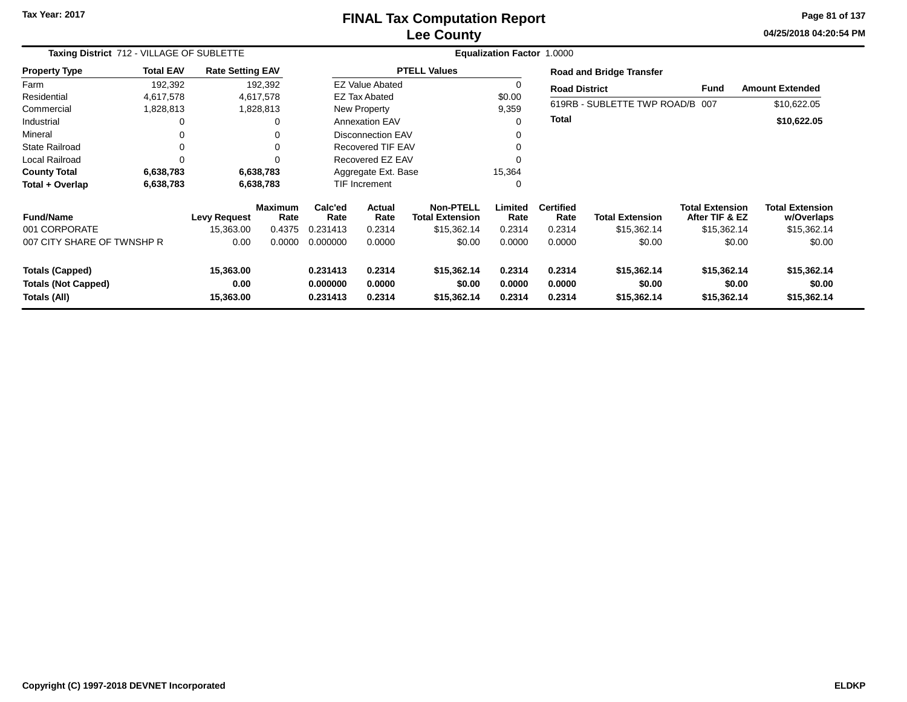### **Lee CountyFINAL Tax Computation Report**

**04/25/2018 04:20:54 PM Page 81 of 137**

|                            | Taxing District 712 - VILLAGE OF SUBLETTE<br><b>Rate Setting EAV</b> |                     |                        |                 |                          |                                            | <b>Equalization Factor 1.0000</b> |                          |                                 |                                          |                                      |
|----------------------------|----------------------------------------------------------------------|---------------------|------------------------|-----------------|--------------------------|--------------------------------------------|-----------------------------------|--------------------------|---------------------------------|------------------------------------------|--------------------------------------|
| <b>Property Type</b>       | <b>Total EAV</b>                                                     |                     |                        |                 |                          | <b>PTELL Values</b>                        |                                   |                          | <b>Road and Bridge Transfer</b> |                                          |                                      |
| Farm                       | 192,392                                                              |                     | 192,392                |                 | <b>EZ Value Abated</b>   |                                            | 0                                 | <b>Road District</b>     |                                 | Fund                                     | <b>Amount Extended</b>               |
| Residential                | 4,617,578                                                            |                     | 4,617,578              |                 | <b>EZ Tax Abated</b>     |                                            | \$0.00                            |                          |                                 |                                          |                                      |
| Commercial                 | 1,828,813                                                            |                     | 1,828,813              |                 | <b>New Property</b>      |                                            | 9,359                             |                          | 619RB - SUBLETTE TWP ROAD/B 007 |                                          | \$10,622.05                          |
| Industrial                 | 0                                                                    |                     |                        |                 | <b>Annexation EAV</b>    |                                            | 0                                 | <b>Total</b>             |                                 |                                          | \$10,622.05                          |
| Mineral                    | $\Omega$                                                             |                     |                        |                 | <b>Disconnection EAV</b> |                                            |                                   |                          |                                 |                                          |                                      |
| <b>State Railroad</b>      | 0                                                                    |                     |                        |                 | <b>Recovered TIF EAV</b> |                                            | $\Omega$                          |                          |                                 |                                          |                                      |
| <b>Local Railroad</b>      | 0                                                                    |                     |                        |                 | Recovered EZ EAV         |                                            | $\Omega$                          |                          |                                 |                                          |                                      |
| <b>County Total</b>        | 6,638,783                                                            |                     | 6,638,783              |                 | Aggregate Ext. Base      |                                            | 15,364                            |                          |                                 |                                          |                                      |
| Total + Overlap            | 6,638,783                                                            |                     | 6,638,783              |                 | <b>TIF Increment</b>     |                                            | 0                                 |                          |                                 |                                          |                                      |
| <b>Fund/Name</b>           |                                                                      | <b>Levy Request</b> | <b>Maximum</b><br>Rate | Calc'ed<br>Rate | Actual<br>Rate           | <b>Non-PTELL</b><br><b>Total Extension</b> | Limited<br>Rate                   | <b>Certified</b><br>Rate | <b>Total Extension</b>          | <b>Total Extension</b><br>After TIF & EZ | <b>Total Extension</b><br>w/Overlaps |
| 001 CORPORATE              |                                                                      | 15,363.00           | 0.4375                 | 0.231413        | 0.2314                   | \$15,362.14                                | 0.2314                            | 0.2314                   | \$15,362.14                     | \$15,362.14                              | \$15,362.14                          |
| 007 CITY SHARE OF TWNSHP R |                                                                      | 0.00                | 0.0000                 | 0.000000        | 0.0000                   | \$0.00                                     | 0.0000                            | 0.0000                   | \$0.00                          | \$0.00                                   | \$0.00                               |
| <b>Totals (Capped)</b>     |                                                                      | 15,363.00           |                        | 0.231413        | 0.2314                   | \$15,362.14                                | 0.2314                            | 0.2314                   | \$15,362.14                     | \$15,362.14                              | \$15,362.14                          |
| <b>Totals (Not Capped)</b> |                                                                      | 0.00                |                        | 0.000000        | 0.0000                   | \$0.00                                     | 0.0000                            | 0.0000                   | \$0.00                          | \$0.00                                   | \$0.00                               |
| Totals (All)               |                                                                      | 15,363.00           |                        | 0.231413        | 0.2314                   | \$15,362.14                                | 0.2314                            | 0.2314                   | \$15,362.14                     | \$15,362.14                              | \$15,362.14                          |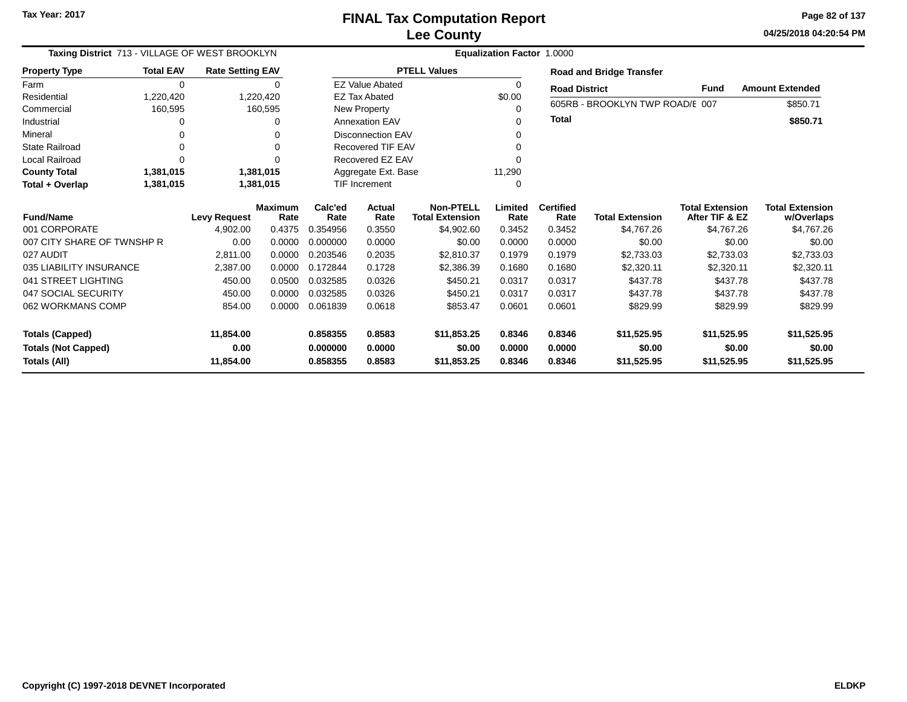**04/25/2018 04:20:54 PM Page 82 of 137**

|                            | Taxing District 713 - VILLAGE OF WEST BROOKLYN |                         |           |                  |                          | <b>Equalization Factor 1.0000</b> |             |                      |                                 |                        |                        |  |  |  |
|----------------------------|------------------------------------------------|-------------------------|-----------|------------------|--------------------------|-----------------------------------|-------------|----------------------|---------------------------------|------------------------|------------------------|--|--|--|
| <b>Property Type</b>       | <b>Total EAV</b>                               | <b>Rate Setting EAV</b> |           |                  |                          | <b>PTELL Values</b>               |             |                      | <b>Road and Bridge Transfer</b> |                        |                        |  |  |  |
| Farm                       | $\Omega$                                       |                         | 0         |                  | <b>EZ Value Abated</b>   |                                   | $\mathbf 0$ | <b>Road District</b> |                                 | <b>Fund</b>            | <b>Amount Extended</b> |  |  |  |
| Residential                | 1,220,420                                      |                         | 1,220,420 |                  | <b>EZ Tax Abated</b>     |                                   | \$0.00      |                      |                                 |                        |                        |  |  |  |
| Commercial                 | 160,595                                        |                         | 160,595   |                  | New Property             |                                   | $\Omega$    |                      | 605RB - BROOKLYN TWP ROAD/E 007 |                        | \$850.71               |  |  |  |
| Industrial                 |                                                |                         | 0         |                  | <b>Annexation EAV</b>    |                                   | $\Omega$    | <b>Total</b>         |                                 |                        | \$850.71               |  |  |  |
| Mineral                    |                                                |                         | 0         |                  | <b>Disconnection EAV</b> |                                   | $\Omega$    |                      |                                 |                        |                        |  |  |  |
| <b>State Railroad</b>      |                                                |                         | $\Omega$  |                  | <b>Recovered TIF EAV</b> |                                   |             |                      |                                 |                        |                        |  |  |  |
| <b>Local Railroad</b>      | $\Omega$<br>1,381,015<br>1,381,015             |                         |           | Recovered EZ EAV |                          |                                   |             |                      |                                 |                        |                        |  |  |  |
| <b>County Total</b>        | 1,381,015                                      |                         |           |                  | Aggregate Ext. Base      |                                   | 11,290      |                      |                                 |                        |                        |  |  |  |
| Total + Overlap            | 1,381,015                                      |                         |           |                  | <b>TIF Increment</b>     |                                   | 0           |                      |                                 |                        |                        |  |  |  |
|                            |                                                | <b>Maximum</b>          |           | Calc'ed          | Actual                   | <b>Non-PTELL</b>                  | Limited     | <b>Certified</b>     |                                 | <b>Total Extension</b> | <b>Total Extension</b> |  |  |  |
| <b>Fund/Name</b>           |                                                | <b>Levy Request</b>     | Rate      | Rate             | Rate                     | <b>Total Extension</b>            | Rate        | Rate                 | <b>Total Extension</b>          | After TIF & EZ         | w/Overlaps             |  |  |  |
| 001 CORPORATE              |                                                | 4,902.00                | 0.4375    | 0.354956         | 0.3550                   | \$4,902.60                        | 0.3452      | 0.3452               | \$4.767.26                      | \$4.767.26             | \$4,767.26             |  |  |  |
| 007 CITY SHARE OF TWNSHP R |                                                | 0.00                    | 0.0000    | 0.000000         | 0.0000                   | \$0.00                            | 0.0000      | 0.0000               | \$0.00                          | \$0.00                 | \$0.00                 |  |  |  |
| 027 AUDIT                  |                                                | 2,811.00                | 0.0000    | 0.203546         | 0.2035                   | \$2.810.37                        | 0.1979      | 0.1979               | \$2,733.03                      | \$2,733.03             | \$2,733.03             |  |  |  |
| 035 LIABILITY INSURANCE    |                                                | 2,387.00                | 0.0000    | 0.172844         | 0.1728                   | \$2.386.39                        | 0.1680      | 0.1680               | \$2,320.11                      | \$2,320.11             | \$2,320.11             |  |  |  |
| 041 STREET LIGHTING        |                                                | 450.00                  | 0.0500    | 0.032585         | 0.0326                   | \$450.21                          | 0.0317      | 0.0317               | \$437.78                        | \$437.78               | \$437.78               |  |  |  |
| 047 SOCIAL SECURITY        |                                                | 450.00                  | 0.0000    | 0.032585         | 0.0326                   | \$450.21                          | 0.0317      | 0.0317               | \$437.78                        | \$437.78               | \$437.78               |  |  |  |
| 062 WORKMANS COMP          |                                                | 854.00                  | 0.0000    | 0.061839         | 0.0618                   | \$853.47                          | 0.0601      | 0.0601               | \$829.99                        | \$829.99               | \$829.99               |  |  |  |
|                            |                                                |                         |           |                  |                          |                                   |             |                      |                                 |                        |                        |  |  |  |
| <b>Totals (Capped)</b>     |                                                | 11,854.00               |           | 0.858355         | 0.8583                   | \$11,853.25                       | 0.8346      | 0.8346               | \$11,525.95                     | \$11,525.95            | \$11,525.95            |  |  |  |
| <b>Totals (Not Capped)</b> |                                                | 0.00                    |           | 0.000000         | 0.0000                   | \$0.00                            | 0.0000      | 0.0000               | \$0.00                          | \$0.00                 | \$0.00                 |  |  |  |
| Totals (All)               |                                                | 11,854.00               |           | 0.858355         | 0.8583                   | \$11,853.25                       | 0.8346      | 0.8346               | \$11,525.95                     | \$11,525.95            | \$11,525.95            |  |  |  |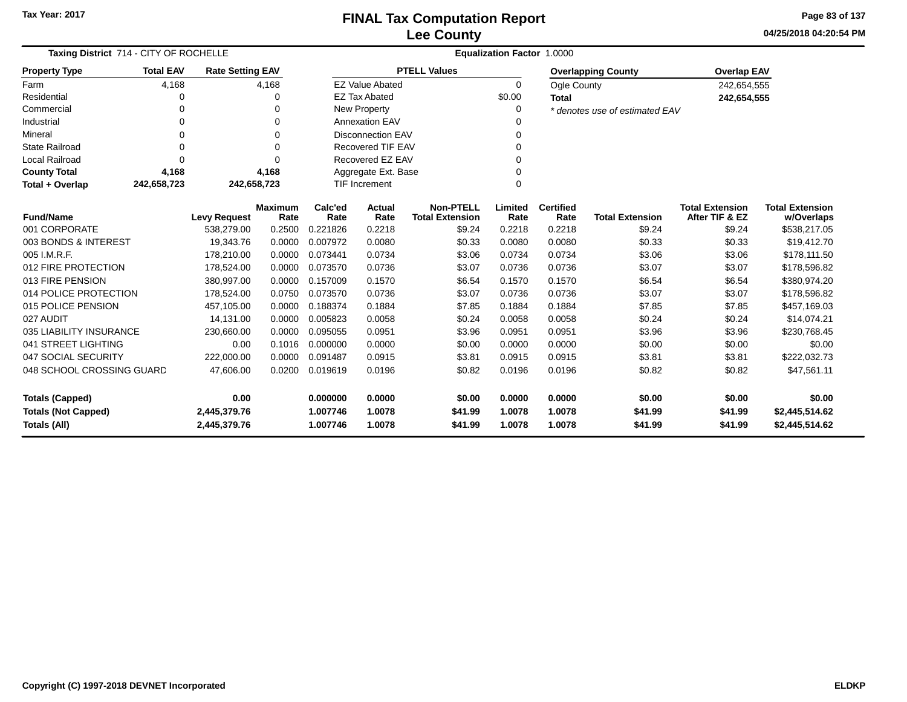**04/25/2018 04:20:54 PM Page 83 of 137**

| Taxing District 714 - CITY OF ROCHELLE                                     |                  |                         |                        | Equalization Factor 1.0000 |                          |                                            |                  |                          |                                |                                          |                                      |  |  |
|----------------------------------------------------------------------------|------------------|-------------------------|------------------------|----------------------------|--------------------------|--------------------------------------------|------------------|--------------------------|--------------------------------|------------------------------------------|--------------------------------------|--|--|
| <b>Property Type</b>                                                       | <b>Total EAV</b> | <b>Rate Setting EAV</b> |                        |                            |                          | <b>PTELL Values</b>                        |                  |                          | <b>Overlapping County</b>      | <b>Overlap EAV</b>                       |                                      |  |  |
| Farm                                                                       | 4,168            |                         | 4,168                  |                            | <b>EZ Value Abated</b>   |                                            | $\Omega$         | Ogle County              |                                | 242,654,555                              |                                      |  |  |
| Residential                                                                | 0                |                         | $\Omega$               |                            | <b>EZ Tax Abated</b>     |                                            | \$0.00           | <b>Total</b>             |                                | 242,654,555                              |                                      |  |  |
| Commercial                                                                 | 0                |                         | $\Omega$               |                            | New Property             |                                            | 0                |                          | * denotes use of estimated EAV |                                          |                                      |  |  |
| Industrial                                                                 | 0                |                         | $\Omega$               |                            | <b>Annexation EAV</b>    |                                            | 0                |                          |                                |                                          |                                      |  |  |
| Mineral                                                                    | 0                |                         | $\Omega$               |                            | <b>Disconnection EAV</b> |                                            | $\Omega$         |                          |                                |                                          |                                      |  |  |
| <b>State Railroad</b>                                                      | 0                |                         | $\Omega$               |                            | <b>Recovered TIF EAV</b> |                                            |                  |                          |                                |                                          |                                      |  |  |
| <b>Local Railroad</b>                                                      | $\Omega$         |                         | $\Omega$               |                            | Recovered EZ EAV         |                                            | $\Omega$         |                          |                                |                                          |                                      |  |  |
| <b>County Total</b>                                                        | 4,168            |                         | 4,168                  |                            | Aggregate Ext. Base      |                                            | $\Omega$         |                          |                                |                                          |                                      |  |  |
| Total + Overlap                                                            | 242,658,723      | 242,658,723             |                        |                            | <b>TIF Increment</b>     |                                            | $\Omega$         |                          |                                |                                          |                                      |  |  |
| <b>Fund/Name</b>                                                           |                  | <b>Levy Request</b>     | <b>Maximum</b><br>Rate | Calc'ed<br>Rate            | Actual<br>Rate           | <b>Non-PTELL</b><br><b>Total Extension</b> | Limited<br>Rate  | <b>Certified</b><br>Rate | <b>Total Extension</b>         | <b>Total Extension</b><br>After TIF & EZ | <b>Total Extension</b><br>w/Overlaps |  |  |
| 001 CORPORATE                                                              |                  | 538,279.00              | 0.2500                 | 0.221826                   | 0.2218                   | \$9.24                                     | 0.2218           | 0.2218                   | \$9.24                         | \$9.24                                   | \$538,217.05                         |  |  |
| 003 BONDS & INTEREST                                                       |                  | 19,343.76               | 0.0000                 | 0.007972                   | 0.0080                   | \$0.33                                     | 0.0080           | 0.0080                   | \$0.33                         | \$0.33                                   | \$19,412.70                          |  |  |
| 005 I.M.R.F.                                                               |                  | 178,210.00              | 0.0000                 | 0.073441                   | 0.0734                   | \$3.06                                     | 0.0734           | 0.0734                   | \$3.06                         | \$3.06                                   | \$178,111.50                         |  |  |
| 012 FIRE PROTECTION                                                        |                  | 178,524.00              | 0.0000                 | 0.073570                   | 0.0736                   | \$3.07                                     | 0.0736           | 0.0736                   | \$3.07                         | \$3.07                                   | \$178,596.82                         |  |  |
| 013 FIRE PENSION                                                           |                  | 380,997.00              | 0.0000                 | 0.157009                   | 0.1570                   | \$6.54                                     | 0.1570           | 0.1570                   | \$6.54                         | \$6.54                                   | \$380,974.20                         |  |  |
| 014 POLICE PROTECTION                                                      |                  | 178,524.00              | 0.0750                 | 0.073570                   | 0.0736                   | \$3.07                                     | 0.0736           | 0.0736                   | \$3.07                         | \$3.07                                   | \$178,596.82                         |  |  |
| 015 POLICE PENSION                                                         |                  | 457,105.00              | 0.0000                 | 0.188374                   | 0.1884                   | \$7.85                                     | 0.1884           | 0.1884                   | \$7.85                         | \$7.85                                   | \$457,169.03                         |  |  |
| 027 AUDIT                                                                  |                  | 14,131.00               | 0.0000                 | 0.005823                   | 0.0058                   | \$0.24                                     | 0.0058           | 0.0058                   | \$0.24                         | \$0.24                                   | \$14,074.21                          |  |  |
| 035 LIABILITY INSURANCE                                                    |                  | 230,660.00              | 0.0000                 | 0.095055                   | 0.0951                   | \$3.96                                     | 0.0951           | 0.0951                   | \$3.96                         | \$3.96                                   | \$230,768.45                         |  |  |
| 041 STREET LIGHTING                                                        |                  | 0.00                    | 0.1016                 | 0.000000                   | 0.0000                   | \$0.00                                     | 0.0000           | 0.0000                   | \$0.00                         | \$0.00                                   | \$0.00                               |  |  |
| 047 SOCIAL SECURITY                                                        |                  | 222,000.00              | 0.0000                 | 0.091487                   | 0.0915                   | \$3.81                                     | 0.0915           | 0.0915                   | \$3.81                         | \$3.81                                   | \$222,032.73                         |  |  |
| 048 SCHOOL CROSSING GUARD                                                  |                  | 47,606.00               | 0.0200                 | 0.019619                   | 0.0196                   | \$0.82                                     | 0.0196           | 0.0196                   | \$0.82                         | \$0.82                                   | \$47,561.11                          |  |  |
| <b>Totals (Capped)</b>                                                     |                  | 0.00                    |                        | 0.000000                   | 0.0000                   | \$0.00                                     | 0.0000           | 0.0000                   | \$0.00                         | \$0.00                                   | \$0.00                               |  |  |
| <b>Totals (Not Capped)</b><br>2,445,379.76<br>Totals (All)<br>2,445,379.76 |                  |                         |                        | 1.007746<br>1.007746       | 1.0078<br>1.0078         | \$41.99<br>\$41.99                         | 1.0078<br>1.0078 | 1.0078<br>1.0078         | \$41.99<br>\$41.99             | \$41.99<br>\$41.99                       | \$2,445,514.62<br>\$2,445,514.62     |  |  |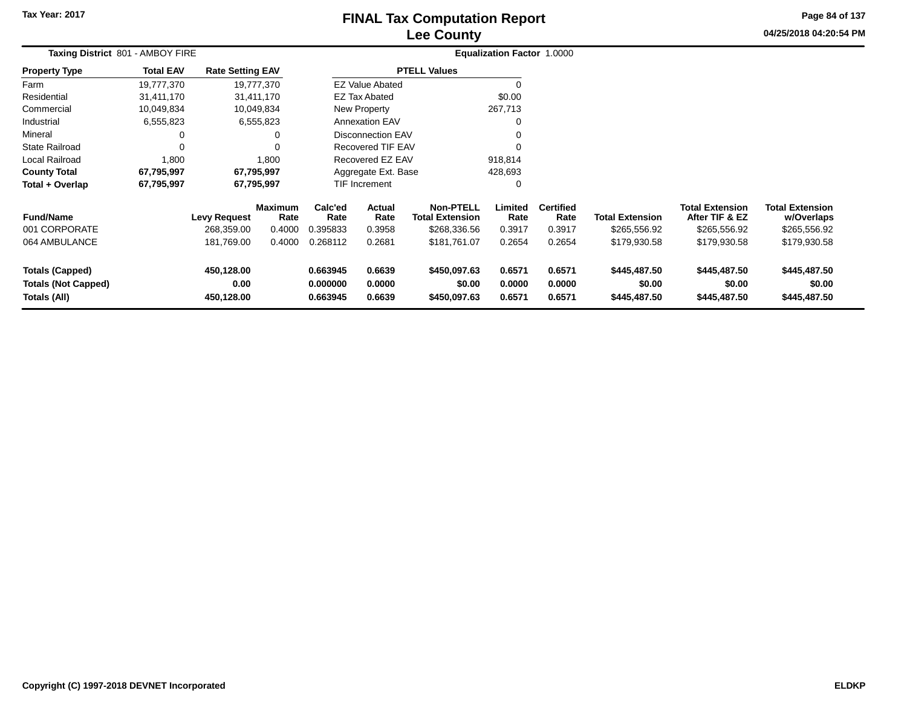# **Lee CountyFINAL Tax Computation Report**

**04/25/2018 04:20:54 PM Page 84 of 137**

| Taxing District 801 - AMBOY FIRE                                     |                  |                                   |                                  |                                  |                            |                                                            | Equalization Factor 1.0000 |                                    |                                        |                                                          |                                                      |  |
|----------------------------------------------------------------------|------------------|-----------------------------------|----------------------------------|----------------------------------|----------------------------|------------------------------------------------------------|----------------------------|------------------------------------|----------------------------------------|----------------------------------------------------------|------------------------------------------------------|--|
| <b>Property Type</b>                                                 | <b>Total EAV</b> | <b>Rate Setting EAV</b>           |                                  |                                  |                            | <b>PTELL Values</b>                                        |                            |                                    |                                        |                                                          |                                                      |  |
| Farm                                                                 | 19,777,370       |                                   | 19,777,370                       |                                  | <b>EZ Value Abated</b>     |                                                            | 0                          |                                    |                                        |                                                          |                                                      |  |
| Residential                                                          | 31,411,170       |                                   | 31,411,170                       |                                  | <b>EZ Tax Abated</b>       |                                                            | \$0.00                     |                                    |                                        |                                                          |                                                      |  |
| Commercial                                                           | 10,049,834       |                                   | 10,049,834                       |                                  | <b>New Property</b>        |                                                            | 267,713                    |                                    |                                        |                                                          |                                                      |  |
| Industrial                                                           | 6,555,823        |                                   | 6,555,823                        | <b>Annexation EAV</b>            |                            |                                                            | 0                          |                                    |                                        |                                                          |                                                      |  |
| Mineral                                                              |                  |                                   |                                  | <b>Disconnection EAV</b>         |                            |                                                            | 0                          |                                    |                                        |                                                          |                                                      |  |
| <b>State Railroad</b>                                                | 0                |                                   |                                  | <b>Recovered TIF EAV</b>         |                            |                                                            | 0                          |                                    |                                        |                                                          |                                                      |  |
| Local Railroad                                                       | 1,800            |                                   | 1,800                            | Recovered EZ EAV                 |                            |                                                            | 918,814                    |                                    |                                        |                                                          |                                                      |  |
| <b>County Total</b>                                                  | 67,795,997       |                                   | 67,795,997                       |                                  | Aggregate Ext. Base        |                                                            | 428,693                    |                                    |                                        |                                                          |                                                      |  |
| Total + Overlap                                                      | 67,795,997       |                                   | 67,795,997                       |                                  | TIF Increment              |                                                            | 0                          |                                    |                                        |                                                          |                                                      |  |
| <b>Fund/Name</b><br>001 CORPORATE                                    |                  | <b>Levy Request</b><br>268,359.00 | <b>Maximum</b><br>Rate<br>0.4000 | Calc'ed<br>Rate<br>0.395833      | Actual<br>Rate<br>0.3958   | <b>Non-PTELL</b><br><b>Total Extension</b><br>\$268,336.56 | Limited<br>Rate<br>0.3917  | <b>Certified</b><br>Rate<br>0.3917 | <b>Total Extension</b><br>\$265,556.92 | <b>Total Extension</b><br>After TIF & EZ<br>\$265,556.92 | <b>Total Extension</b><br>w/Overlaps<br>\$265,556.92 |  |
| 064 AMBULANCE                                                        |                  | 181,769.00                        | 0.4000                           | 0.268112                         | 0.2681                     | \$181,761.07                                               | 0.2654                     | 0.2654                             | \$179,930.58                           | \$179,930.58                                             | \$179,930.58                                         |  |
| <b>Totals (Capped)</b><br><b>Totals (Not Capped)</b><br>Totals (All) |                  | 450,128.00<br>0.00<br>450,128.00  |                                  | 0.663945<br>0.000000<br>0.663945 | 0.6639<br>0.0000<br>0.6639 | \$450,097.63<br>\$0.00<br>\$450,097.63                     | 0.6571<br>0.0000<br>0.6571 | 0.6571<br>0.0000<br>0.6571         | \$445,487.50<br>\$0.00<br>\$445,487.50 | \$445,487.50<br>\$0.00<br>\$445,487.50                   | \$445,487.50<br>\$0.00<br>\$445,487.50               |  |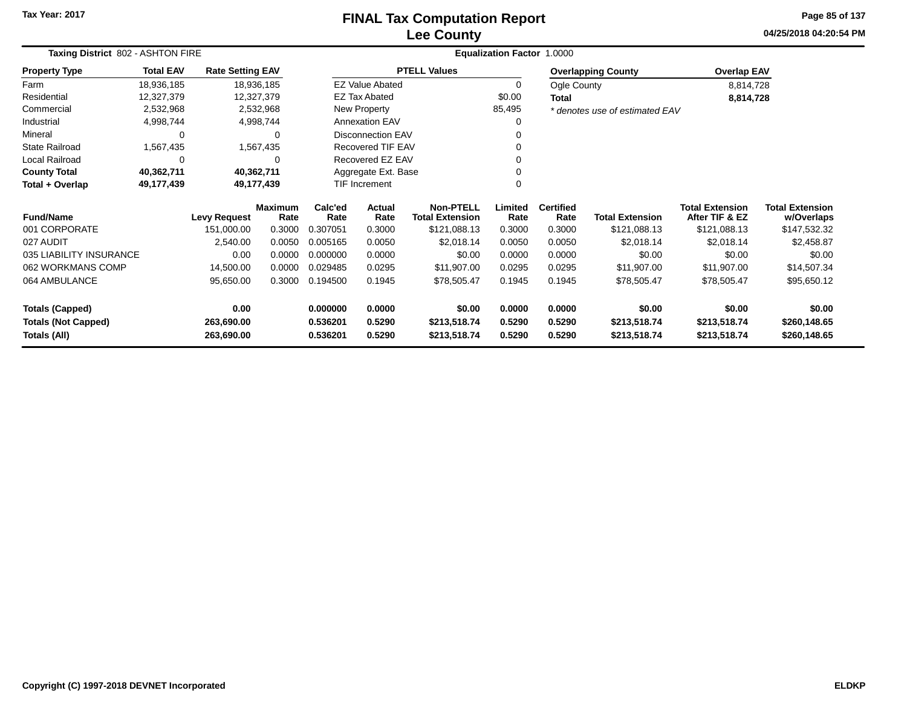#### **Lee CountyFINAL Tax Computation Report**

**04/25/2018 04:20:54 PM Page 85 of 137**

| Taxing District 802 - ASHTON FIRE |                  |                         |                        |                 |                          |                                            | <b>Equalization Factor 1.0000</b> |                          |                                |                                          |                                      |
|-----------------------------------|------------------|-------------------------|------------------------|-----------------|--------------------------|--------------------------------------------|-----------------------------------|--------------------------|--------------------------------|------------------------------------------|--------------------------------------|
| <b>Property Type</b>              | <b>Total EAV</b> | <b>Rate Setting EAV</b> |                        |                 |                          | <b>PTELL Values</b>                        |                                   |                          | <b>Overlapping County</b>      | <b>Overlap EAV</b>                       |                                      |
| Farm                              | 18,936,185       |                         | 18,936,185             |                 | <b>EZ Value Abated</b>   |                                            | 0                                 | Ogle County              |                                | 8,814,728                                |                                      |
| Residential                       | 12,327,379       |                         | 12,327,379             |                 | <b>EZ Tax Abated</b>     |                                            | \$0.00                            | <b>Total</b>             |                                | 8,814,728                                |                                      |
| Commercial                        | 2,532,968        |                         | 2,532,968              |                 | New Property             |                                            | 85,495                            |                          | * denotes use of estimated EAV |                                          |                                      |
| Industrial                        | 4,998,744        |                         | 4,998,744              |                 | <b>Annexation EAV</b>    |                                            | 0                                 |                          |                                |                                          |                                      |
| Mineral                           | 0                |                         | 0                      |                 | <b>Disconnection EAV</b> |                                            |                                   |                          |                                |                                          |                                      |
| State Railroad                    | 1,567,435        |                         | 1,567,435              |                 | Recovered TIF EAV        |                                            |                                   |                          |                                |                                          |                                      |
| Local Railroad                    | 0                |                         | 0                      |                 | Recovered EZ EAV         |                                            | U                                 |                          |                                |                                          |                                      |
| <b>County Total</b>               | 40,362,711       |                         | 40,362,711             |                 | Aggregate Ext. Base      |                                            |                                   |                          |                                |                                          |                                      |
| Total + Overlap                   | 49,177,439       |                         | 49,177,439             |                 | TIF Increment            |                                            | O                                 |                          |                                |                                          |                                      |
| <b>Fund/Name</b>                  |                  | <b>Levy Request</b>     | <b>Maximum</b><br>Rate | Calc'ed<br>Rate | Actual<br>Rate           | <b>Non-PTELL</b><br><b>Total Extension</b> | Limited<br>Rate                   | <b>Certified</b><br>Rate | <b>Total Extension</b>         | <b>Total Extension</b><br>After TIF & EZ | <b>Total Extension</b><br>w/Overlaps |
| 001 CORPORATE                     |                  | 151,000.00              | 0.3000                 | 0.307051        | 0.3000                   | \$121,088.13                               | 0.3000                            | 0.3000                   | \$121,088.13                   | \$121,088.13                             | \$147,532.32                         |
| 027 AUDIT                         |                  | 2,540.00                | 0.0050                 | 0.005165        | 0.0050                   | \$2,018.14                                 | 0.0050                            | 0.0050                   | \$2,018.14                     | \$2,018.14                               | \$2,458.87                           |
| 035 LIABILITY INSURANCE           |                  | 0.00                    | 0.0000                 | 0.000000        | 0.0000                   | \$0.00                                     | 0.0000                            | 0.0000                   | \$0.00                         | \$0.00                                   | \$0.00                               |
| 062 WORKMANS COMP                 |                  | 14,500.00               | 0.0000                 | 0.029485        | 0.0295                   | \$11,907.00                                | 0.0295                            | 0.0295                   | \$11,907.00                    | \$11,907.00                              | \$14,507.34                          |
| 064 AMBULANCE                     |                  | 95,650.00               | 0.3000                 | 0.194500        | 0.1945                   | \$78,505.47                                | 0.1945                            | 0.1945                   | \$78,505.47                    | \$78,505.47                              | \$95,650.12                          |
| <b>Totals (Capped)</b>            |                  | 0.00                    |                        | 0.000000        | 0.0000                   | \$0.00                                     | 0.0000                            | 0.0000                   | \$0.00                         | \$0.00                                   | \$0.00                               |
| <b>Totals (Not Capped)</b>        |                  | 263,690.00              |                        | 0.536201        | 0.5290                   | \$213,518.74                               | 0.5290                            | 0.5290                   | \$213,518.74                   | \$213,518.74                             | \$260,148.65                         |
| Totals (All)                      |                  | 263,690.00              |                        | 0.536201        | 0.5290                   | \$213,518.74                               | 0.5290                            | 0.5290                   | \$213,518.74                   | \$213,518.74                             | \$260,148.65                         |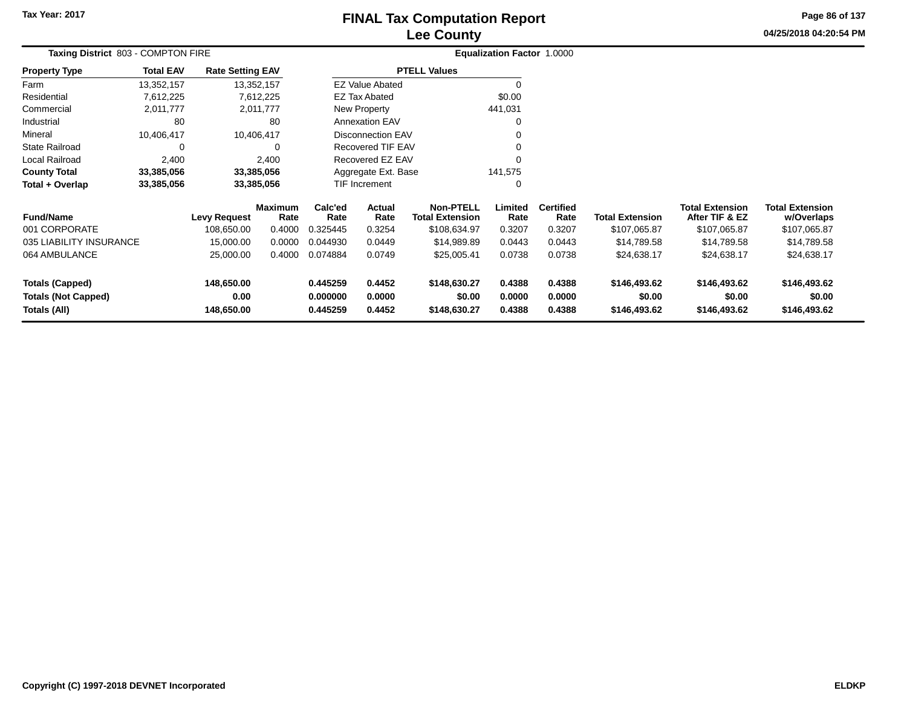# **Lee CountyFINAL Tax Computation Report**

**04/25/2018 04:20:54 PM Page 86 of 137**

|                            | Taxing District 803 - COMPTON FIRE |                         |                        |                                          |                          |                                            | <b>Equalization Factor 1.0000</b> |                          |                        |                                          |                                      |  |
|----------------------------|------------------------------------|-------------------------|------------------------|------------------------------------------|--------------------------|--------------------------------------------|-----------------------------------|--------------------------|------------------------|------------------------------------------|--------------------------------------|--|
| <b>Property Type</b>       | <b>Total EAV</b>                   | <b>Rate Setting EAV</b> |                        |                                          |                          | <b>PTELL Values</b>                        |                                   |                          |                        |                                          |                                      |  |
| Farm                       | 13,352,157                         |                         | 13,352,157             |                                          | <b>EZ Value Abated</b>   |                                            | $\Omega$                          |                          |                        |                                          |                                      |  |
| Residential                | 7,612,225                          |                         | 7,612,225              |                                          | EZ Tax Abated            |                                            | \$0.00                            |                          |                        |                                          |                                      |  |
| Commercial                 | 2,011,777                          |                         | 2,011,777              |                                          | New Property             |                                            | 441,031                           |                          |                        |                                          |                                      |  |
| Industrial                 | 80                                 |                         | 80                     |                                          | <b>Annexation EAV</b>    |                                            | $\Omega$                          |                          |                        |                                          |                                      |  |
| Mineral                    | 10,406,417                         |                         | 10,406,417             |                                          | <b>Disconnection EAV</b> |                                            | 0                                 |                          |                        |                                          |                                      |  |
| <b>State Railroad</b>      | 0                                  |                         | 0                      |                                          | <b>Recovered TIF EAV</b> |                                            | $\Omega$                          |                          |                        |                                          |                                      |  |
| Local Railroad             | 2,400                              |                         | 2,400                  |                                          | Recovered EZ EAV         |                                            | $\Omega$                          |                          |                        |                                          |                                      |  |
| <b>County Total</b>        | 33,385,056                         |                         | 33,385,056             |                                          | Aggregate Ext. Base      |                                            | 141,575                           |                          |                        |                                          |                                      |  |
| Total + Overlap            | 33,385,056                         |                         | 33,385,056             |                                          | TIF Increment            |                                            | 0                                 |                          |                        |                                          |                                      |  |
| <b>Fund/Name</b>           |                                    | <b>Levy Request</b>     | <b>Maximum</b><br>Rate | Calc'ed<br><b>Actual</b><br>Rate<br>Rate |                          | <b>Non-PTELL</b><br><b>Total Extension</b> | Limited<br>Rate                   | <b>Certified</b><br>Rate | <b>Total Extension</b> | <b>Total Extension</b><br>After TIF & EZ | <b>Total Extension</b><br>w/Overlaps |  |
| 001 CORPORATE              |                                    | 108,650.00              | 0.4000                 | 0.325445                                 | 0.3254                   | \$108,634.97                               | 0.3207                            | 0.3207                   | \$107,065.87           | \$107,065.87                             | \$107,065.87                         |  |
| 035 LIABILITY INSURANCE    |                                    | 15,000.00               | 0.0000                 | 0.044930                                 | 0.0449                   | \$14,989.89                                | 0.0443                            | 0.0443                   | \$14,789.58            | \$14,789.58                              | \$14,789.58                          |  |
| 064 AMBULANCE              |                                    | 25,000.00               | 0.4000                 | 0.074884                                 | 0.0749                   | \$25,005.41                                | 0.0738                            | 0.0738                   | \$24,638.17            | \$24,638.17                              | \$24,638.17                          |  |
| <b>Totals (Capped)</b>     |                                    | 148,650.00              |                        | 0.445259                                 | 0.4452                   | \$148,630.27                               | 0.4388                            | 0.4388                   | \$146,493.62           | \$146,493.62                             | \$146,493.62                         |  |
| <b>Totals (Not Capped)</b> |                                    | 0.00                    |                        | 0.000000                                 | 0.0000                   | \$0.00                                     | 0.0000                            | 0.0000                   | \$0.00                 | \$0.00                                   | \$0.00                               |  |
| Totals (All)               |                                    | 148,650.00              |                        | 0.445259                                 | 0.4452                   | \$148,630.27                               | 0.4388                            | 0.4388                   | \$146,493.62           | \$146,493.62                             | \$146,493.62                         |  |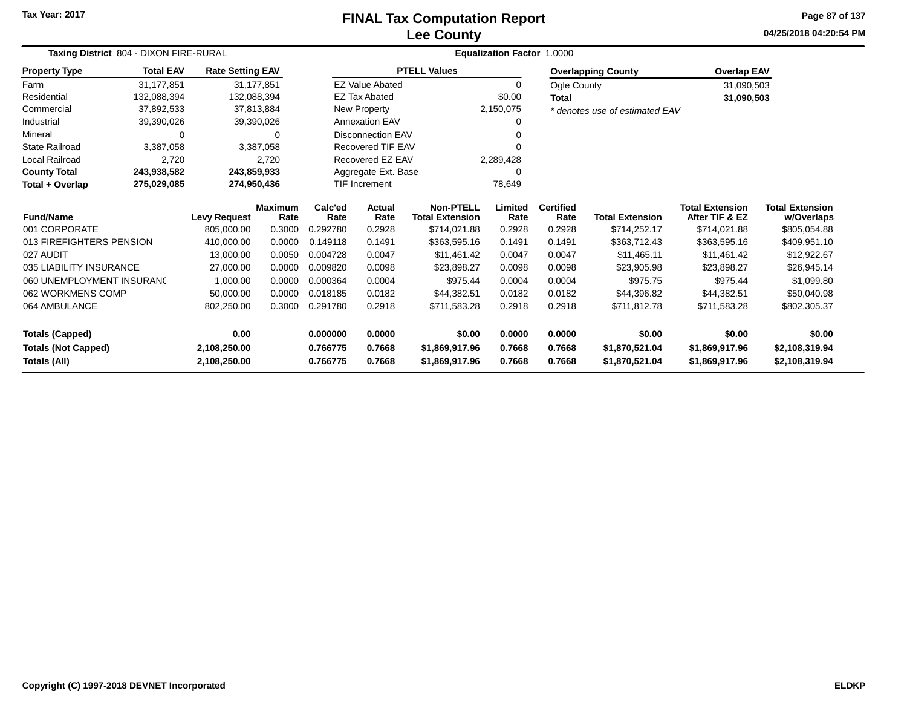#### **Lee CountyFINAL Tax Computation Report**

**04/25/2018 04:20:54 PMPage 87 of 137**

|                            | Taxing District 804 - DIXON FIRE-RURAL |                         |                        |                      |                        |                                            | Equalization Factor 1.0000 |                          |                                |                                          |                                      |
|----------------------------|----------------------------------------|-------------------------|------------------------|----------------------|------------------------|--------------------------------------------|----------------------------|--------------------------|--------------------------------|------------------------------------------|--------------------------------------|
| <b>Property Type</b>       | <b>Total EAV</b>                       | <b>Rate Setting EAV</b> |                        |                      |                        | <b>PTELL Values</b>                        |                            |                          | <b>Overlapping County</b>      | <b>Overlap EAV</b>                       |                                      |
| Farm                       | 31.177.851                             |                         | 31.177.851             |                      | <b>EZ Value Abated</b> |                                            | $\mathbf 0$                | Ogle County              |                                | 31,090,503                               |                                      |
| Residential                | 132,088,394                            |                         | 132,088,394            |                      | <b>EZ Tax Abated</b>   |                                            | \$0.00                     | <b>Total</b>             |                                | 31,090,503                               |                                      |
| Commercial                 | 37,892,533                             |                         | 37,813,884             |                      | <b>New Property</b>    |                                            | 2,150,075                  |                          | * denotes use of estimated EAV |                                          |                                      |
| Industrial                 | 39,390,026                             |                         | 39,390,026             |                      | <b>Annexation EAV</b>  |                                            | 0                          |                          |                                |                                          |                                      |
| Mineral                    | 0                                      |                         | 0                      | Disconnection EAV    |                        |                                            |                            |                          |                                |                                          |                                      |
| <b>State Railroad</b>      | 3,387,058                              |                         | 3,387,058              | Recovered TIF EAV    |                        |                                            |                            |                          |                                |                                          |                                      |
| Local Railroad             | 2,720                                  |                         | 2,720                  |                      | Recovered EZ EAV       |                                            | 2,289,428                  |                          |                                |                                          |                                      |
| <b>County Total</b>        | 243,938,582                            |                         | 243,859,933            |                      | Aggregate Ext. Base    |                                            | 0                          |                          |                                |                                          |                                      |
| Total + Overlap            | 275,029,085                            |                         | 274,950,436            | <b>TIF Increment</b> |                        |                                            | 78,649                     |                          |                                |                                          |                                      |
| <b>Fund/Name</b>           |                                        | <b>Levy Request</b>     | <b>Maximum</b><br>Rate | Calc'ed<br>Rate      | Actual<br>Rate         | <b>Non-PTELL</b><br><b>Total Extension</b> | Limited<br>Rate            | <b>Certified</b><br>Rate | <b>Total Extension</b>         | <b>Total Extension</b><br>After TIF & EZ | <b>Total Extension</b><br>w/Overlaps |
| 001 CORPORATE              |                                        | 805.000.00              | 0.3000                 | 0.292780             | 0.2928                 | \$714,021.88                               | 0.2928                     | 0.2928                   | \$714,252.17                   | \$714,021.88                             | \$805,054.88                         |
| 013 FIREFIGHTERS PENSION   |                                        | 410,000.00              | 0.0000                 | 0.149118             | 0.1491                 | \$363,595.16                               | 0.1491                     | 0.1491                   | \$363,712.43                   | \$363,595.16                             | \$409,951.10                         |
| 027 AUDIT                  |                                        | 13,000.00               | 0.0050                 | 0.004728             | 0.0047                 | \$11,461.42                                | 0.0047                     | 0.0047                   | \$11,465.11                    | \$11,461.42                              | \$12,922.67                          |
| 035 LIABILITY INSURANCE    |                                        | 27,000.00               | 0.0000                 | 0.009820             | 0.0098                 | \$23,898.27                                | 0.0098                     | 0.0098                   | \$23,905.98                    | \$23,898.27                              | \$26,945.14                          |
| 060 UNEMPLOYMENT INSURANC  |                                        | 1,000.00                | 0.0000                 | 0.000364             | 0.0004                 | \$975.44                                   | 0.0004                     | 0.0004                   | \$975.75                       | \$975.44                                 | \$1,099.80                           |
| 062 WORKMENS COMP          |                                        | 50,000.00               | 0.0000                 | 0.018185             | 0.0182                 | \$44,382.51                                | 0.0182                     | 0.0182                   | \$44,396.82                    | \$44,382.51                              | \$50,040.98                          |
| 064 AMBULANCE              |                                        | 802,250.00              | 0.3000                 | 0.291780             | 0.2918                 | \$711,583.28                               | 0.2918                     | 0.2918                   | \$711,812.78                   | \$711,583.28                             | \$802,305.37                         |
| <b>Totals (Capped)</b>     |                                        | 0.00                    |                        | 0.000000             | 0.0000                 | \$0.00                                     | 0.0000                     | 0.0000                   | \$0.00                         | \$0.00                                   | \$0.00                               |
| <b>Totals (Not Capped)</b> |                                        | 2,108,250.00            |                        | 0.766775             | 0.7668                 | \$1,869,917.96                             | 0.7668                     | 0.7668                   | \$1,870,521.04                 | \$1,869,917.96                           | \$2,108,319.94                       |
| Totals (All)               |                                        | 2,108,250.00            |                        | 0.766775             | 0.7668                 | \$1,869,917.96                             | 0.7668                     | 0.7668                   | \$1,870,521.04                 | \$1,869,917.96                           | \$2,108,319.94                       |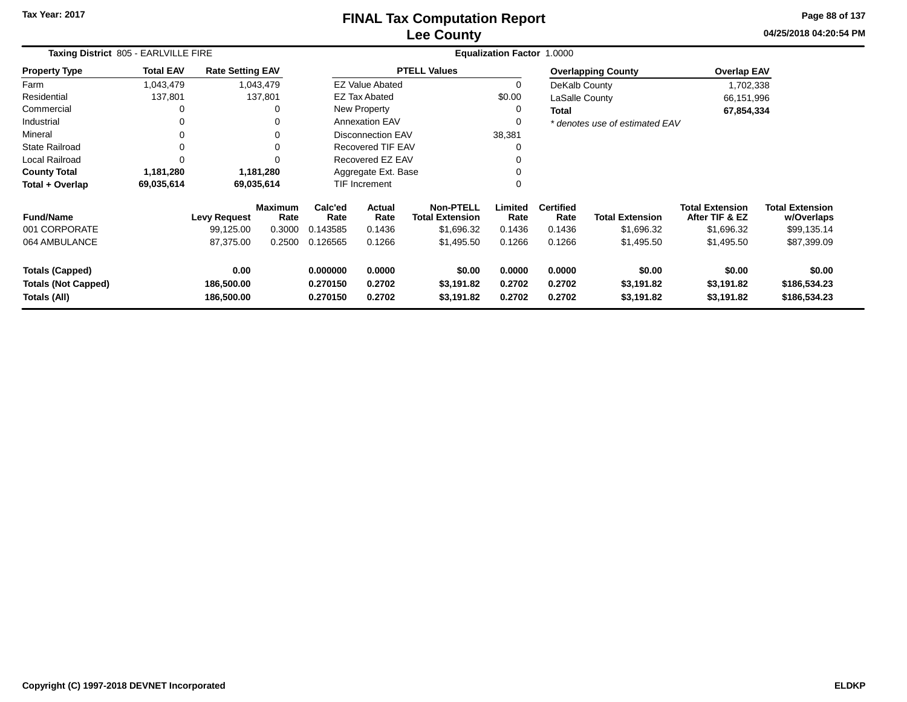**04/25/2018 04:20:54 PM Page 88 of 137**

| Taxing District 805 - EARLVILLE FIRE                                 |                  |                                  |                        | Equalization Factor 1.0000       |                            |                                            |                            |                            |                                    |                                          |                                        |
|----------------------------------------------------------------------|------------------|----------------------------------|------------------------|----------------------------------|----------------------------|--------------------------------------------|----------------------------|----------------------------|------------------------------------|------------------------------------------|----------------------------------------|
| <b>Property Type</b>                                                 | <b>Total EAV</b> | <b>Rate Setting EAV</b>          |                        |                                  |                            | <b>PTELL Values</b>                        |                            |                            | <b>Overlapping County</b>          | <b>Overlap EAV</b>                       |                                        |
| Farm                                                                 | 1,043,479        |                                  | 1,043,479              |                                  | <b>EZ Value Abated</b>     |                                            | $\mathbf 0$                | DeKalb County              |                                    | 1,702,338                                |                                        |
| Residential                                                          | 137,801          |                                  | 137,801                |                                  | <b>EZ Tax Abated</b>       |                                            | \$0.00                     | LaSalle County             |                                    | 66,151,996                               |                                        |
| Commercial                                                           | 0                |                                  | 0                      |                                  | <b>New Property</b>        |                                            | 0                          | <b>Total</b>               |                                    | 67,854,334                               |                                        |
| Industrial                                                           | 0                |                                  | 0                      |                                  | <b>Annexation EAV</b>      |                                            | 0                          |                            | * denotes use of estimated EAV     |                                          |                                        |
| Mineral                                                              | 0                |                                  | 0                      |                                  | <b>Disconnection EAV</b>   |                                            | 38,381                     |                            |                                    |                                          |                                        |
| <b>State Railroad</b>                                                | 0                |                                  | 0                      |                                  | <b>Recovered TIF EAV</b>   |                                            | $\Omega$                   |                            |                                    |                                          |                                        |
| Local Railroad                                                       | $\Omega$         |                                  | 0                      |                                  | Recovered EZ EAV           |                                            |                            |                            |                                    |                                          |                                        |
| <b>County Total</b>                                                  | 1,181,280        |                                  | 1,181,280              |                                  | Aggregate Ext. Base        |                                            |                            |                            |                                    |                                          |                                        |
| Total + Overlap                                                      | 69,035,614       | 69,035,614                       |                        |                                  | TIF Increment              |                                            | 0                          |                            |                                    |                                          |                                        |
| <b>Fund/Name</b>                                                     |                  | <b>Levy Request</b>              | <b>Maximum</b><br>Rate | Calc'ed<br>Rate                  | Actual<br>Rate             | <b>Non-PTELL</b><br><b>Total Extension</b> | Limited<br>Rate            | <b>Certified</b><br>Rate   | <b>Total Extension</b>             | <b>Total Extension</b><br>After TIF & EZ | <b>Total Extension</b><br>w/Overlaps   |
| 001 CORPORATE                                                        |                  | 99,125.00                        | 0.3000                 | 0.143585                         | 0.1436                     | \$1,696.32                                 | 0.1436                     | 0.1436                     | \$1,696.32                         | \$1,696.32                               | \$99,135.14                            |
| 064 AMBULANCE                                                        |                  | 87,375.00                        | 0.2500                 | 0.126565                         | 0.1266                     | \$1,495.50                                 | 0.1266                     | 0.1266                     | \$1,495.50                         | \$1,495.50                               | \$87,399.09                            |
| <b>Totals (Capped)</b><br><b>Totals (Not Capped)</b><br>Totals (All) |                  | 0.00<br>186,500.00<br>186,500.00 |                        | 0.000000<br>0.270150<br>0.270150 | 0.0000<br>0.2702<br>0.2702 | \$0.00<br>\$3,191.82<br>\$3,191.82         | 0.0000<br>0.2702<br>0.2702 | 0.0000<br>0.2702<br>0.2702 | \$0.00<br>\$3,191.82<br>\$3,191.82 | \$0.00<br>\$3,191.82<br>\$3,191.82       | \$0.00<br>\$186,534.23<br>\$186,534.23 |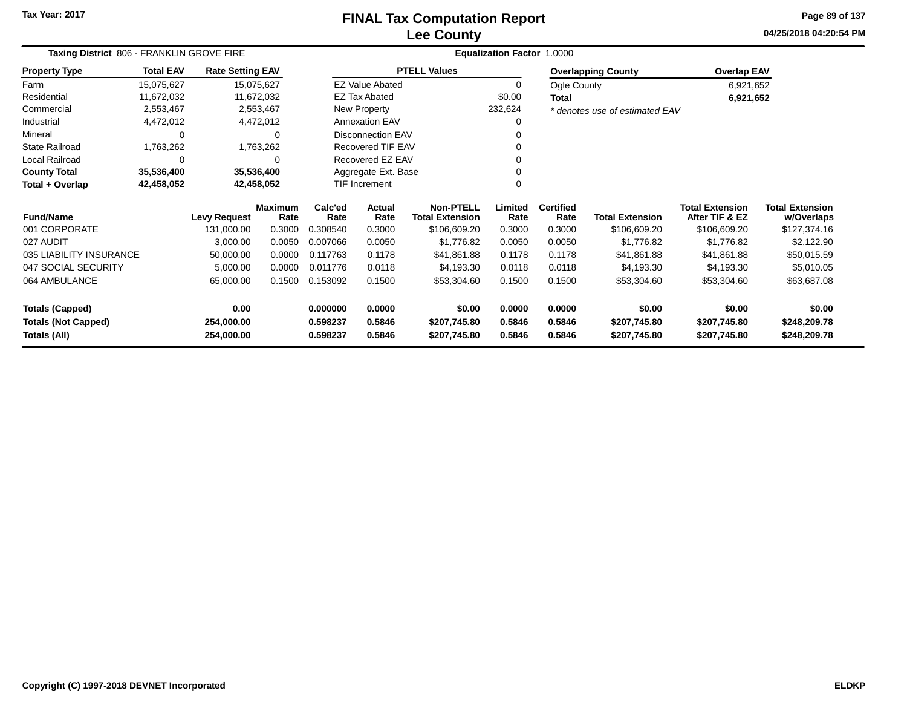# **Lee CountyFINAL Tax Computation Report**

**04/25/2018 04:20:54 PM Page 89 of 137**

| Taxing District 806 - FRANKLIN GROVE FIRE |                  |                         |                        |                 |                          |                                            | Equalization Factor 1.0000 |                          |                                |                                          |                                      |
|-------------------------------------------|------------------|-------------------------|------------------------|-----------------|--------------------------|--------------------------------------------|----------------------------|--------------------------|--------------------------------|------------------------------------------|--------------------------------------|
| <b>Property Type</b>                      | <b>Total EAV</b> | <b>Rate Setting EAV</b> |                        |                 |                          | <b>PTELL Values</b>                        |                            |                          | <b>Overlapping County</b>      | <b>Overlap EAV</b>                       |                                      |
| Farm                                      | 15,075,627       |                         | 15,075,627             |                 | <b>EZ Value Abated</b>   |                                            | 0                          | Ogle County              |                                | 6,921,652                                |                                      |
| Residential                               | 11,672,032       |                         | 11,672,032             |                 | <b>EZ Tax Abated</b>     |                                            | \$0.00                     | Total                    |                                | 6,921,652                                |                                      |
| Commercial                                | 2,553,467        |                         | 2,553,467              |                 | New Property             |                                            | 232,624                    |                          | * denotes use of estimated EAV |                                          |                                      |
| Industrial                                | 4,472,012        |                         | 4,472,012              |                 | <b>Annexation EAV</b>    |                                            | 0                          |                          |                                |                                          |                                      |
| Mineral                                   | 0                |                         | $\Omega$               |                 | <b>Disconnection EAV</b> |                                            |                            |                          |                                |                                          |                                      |
| <b>State Railroad</b>                     | 1,763,262        |                         | 1,763,262              |                 | Recovered TIF EAV        |                                            |                            |                          |                                |                                          |                                      |
| Local Railroad                            | 0                |                         | $\Omega$               |                 | Recovered EZ EAV         |                                            |                            |                          |                                |                                          |                                      |
| <b>County Total</b>                       | 35,536,400       |                         | 35,536,400             |                 | Aggregate Ext. Base      |                                            |                            |                          |                                |                                          |                                      |
| Total + Overlap                           | 42,458,052       | 42,458,052              |                        |                 | <b>TIF Increment</b>     |                                            | $\Omega$                   |                          |                                |                                          |                                      |
| <b>Fund/Name</b>                          |                  | <b>Levy Request</b>     | <b>Maximum</b><br>Rate | Calc'ed<br>Rate | Actual<br>Rate           | <b>Non-PTELL</b><br><b>Total Extension</b> | Limited<br>Rate            | <b>Certified</b><br>Rate | <b>Total Extension</b>         | <b>Total Extension</b><br>After TIF & EZ | <b>Total Extension</b><br>w/Overlaps |
| 001 CORPORATE                             |                  | 131,000.00              | 0.3000                 | 0.308540        | 0.3000                   | \$106,609.20                               | 0.3000                     | 0.3000                   | \$106,609.20                   | \$106,609.20                             | \$127,374.16                         |
| 027 AUDIT                                 |                  | 3,000.00                | 0.0050                 | 0.007066        | 0.0050                   | \$1,776.82                                 | 0.0050                     | 0.0050                   | \$1,776.82                     | \$1,776.82                               | \$2,122.90                           |
| 035 LIABILITY INSURANCE                   |                  | 50,000.00               | 0.0000                 | 0.117763        | 0.1178                   | \$41,861.88                                | 0.1178                     | 0.1178                   | \$41,861.88                    | \$41,861.88                              | \$50,015.59                          |
| 047 SOCIAL SECURITY                       |                  | 5,000.00                | 0.0000                 | 0.011776        | 0.0118                   | \$4,193.30                                 | 0.0118                     | 0.0118                   | \$4,193.30                     | \$4,193.30                               | \$5,010.05                           |
| 064 AMBULANCE                             |                  | 65,000.00               | 0.1500                 | 0.153092        | 0.1500                   | \$53,304.60                                | 0.1500                     | 0.1500                   | \$53,304.60                    | \$53,304.60                              | \$63,687.08                          |
| <b>Totals (Capped)</b>                    |                  | 0.00                    |                        | 0.000000        | 0.0000                   | \$0.00                                     | 0.0000                     | 0.0000                   | \$0.00                         | \$0.00                                   | \$0.00                               |
| <b>Totals (Not Capped)</b>                |                  | 254,000.00              |                        | 0.598237        | 0.5846                   | \$207,745.80                               | 0.5846                     | 0.5846                   | \$207,745.80                   | \$207,745.80                             | \$248,209.78                         |
| Totals (All)                              |                  | 254,000.00              |                        | 0.598237        | 0.5846                   | \$207,745.80                               | 0.5846                     | 0.5846                   | \$207,745.80                   | \$207,745.80                             | \$248,209.78                         |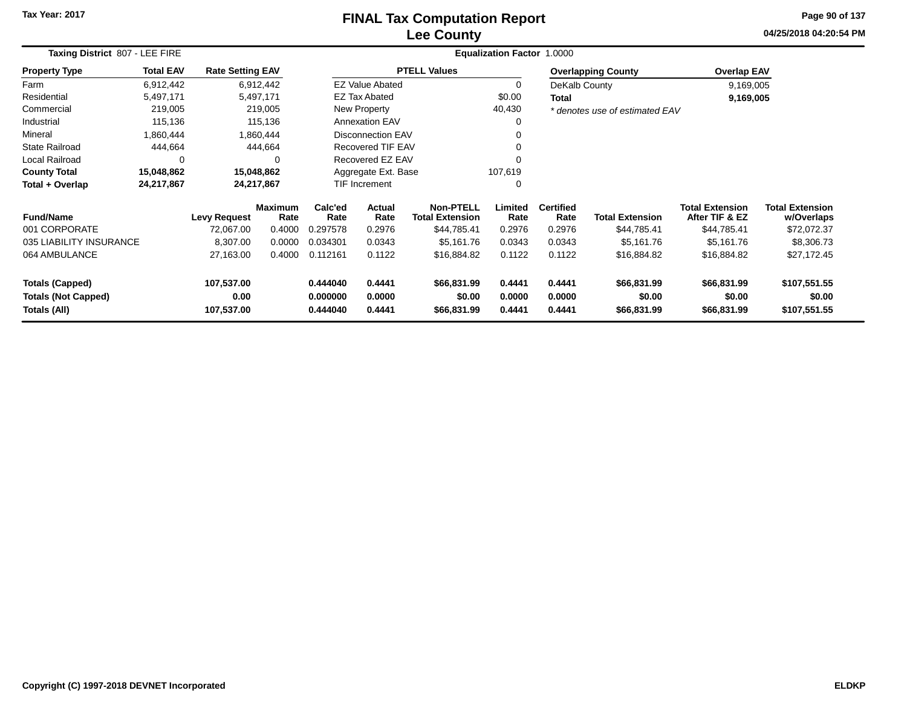### **Lee CountyFINAL Tax Computation Report**

**04/25/2018 04:20:54 PM Page 90 of 137**

|                                            | Taxing District 807 - LEE FIRE |                         |                        |                      |                          |                                            | <b>Equalization Factor</b> | 1.0000                   |                                |                                          |                                      |
|--------------------------------------------|--------------------------------|-------------------------|------------------------|----------------------|--------------------------|--------------------------------------------|----------------------------|--------------------------|--------------------------------|------------------------------------------|--------------------------------------|
| <b>Property Type</b>                       | <b>Total EAV</b>               | <b>Rate Setting EAV</b> |                        |                      |                          | <b>PTELL Values</b>                        |                            |                          | <b>Overlapping County</b>      | <b>Overlap EAV</b>                       |                                      |
| Farm                                       | 6,912,442                      |                         | 6,912,442              |                      | <b>EZ Value Abated</b>   |                                            | 0                          | DeKalb County            |                                | 9,169,005                                |                                      |
| Residential                                | 5,497,171                      |                         | 5,497,171              |                      | <b>EZ Tax Abated</b>     |                                            | \$0.00                     | <b>Total</b>             |                                | 9,169,005                                |                                      |
| Commercial                                 | 219,005                        |                         | 219,005                |                      | New Property             |                                            | 40,430                     |                          | * denotes use of estimated EAV |                                          |                                      |
| Industrial                                 | 115,136                        |                         | 115,136                |                      | <b>Annexation EAV</b>    |                                            |                            |                          |                                |                                          |                                      |
| Mineral                                    | 1,860,444                      |                         | 1,860,444              |                      | <b>Disconnection EAV</b> |                                            |                            |                          |                                |                                          |                                      |
| <b>State Railroad</b>                      | 444,664                        |                         | 444,664                |                      | <b>Recovered TIF EAV</b> |                                            | 0                          |                          |                                |                                          |                                      |
| Local Railroad                             | 0                              |                         | 0                      |                      | Recovered EZ EAV         |                                            |                            |                          |                                |                                          |                                      |
| <b>County Total</b>                        | 15,048,862                     |                         | 15,048,862             |                      | Aggregate Ext. Base      |                                            | 107,619                    |                          |                                |                                          |                                      |
| Total + Overlap                            | 24,217,867                     |                         | 24,217,867             |                      | TIF Increment            |                                            | 0                          |                          |                                |                                          |                                      |
| <b>Fund/Name</b>                           |                                | <b>Levy Request</b>     | <b>Maximum</b><br>Rate | Calc'ed<br>Rate      | <b>Actual</b><br>Rate    | <b>Non-PTELL</b><br><b>Total Extension</b> | Limited<br>Rate            | <b>Certified</b><br>Rate | <b>Total Extension</b>         | <b>Total Extension</b><br>After TIF & EZ | <b>Total Extension</b><br>w/Overlaps |
| 001 CORPORATE                              |                                | 72,067.00               | 0.4000                 | 0.297578             | 0.2976                   | \$44,785.41                                | 0.2976                     | 0.2976                   | \$44,785.41                    | \$44,785.41                              | \$72,072.37                          |
| 035 LIABILITY INSURANCE                    |                                | 8,307.00                | 0.0000                 | 0.034301             | 0.0343                   | \$5,161.76                                 | 0.0343                     | 0.0343                   | \$5,161.76                     | \$5,161.76                               | \$8,306.73                           |
| 064 AMBULANCE                              |                                | 27,163.00               | 0.4000                 | 0.112161             | 0.1122                   | \$16,884.82                                | 0.1122                     | 0.1122                   | \$16,884.82                    | \$16,884.82                              | \$27,172.45                          |
| <b>Totals (Capped)</b>                     |                                | 107,537.00              |                        | 0.444040             | 0.4441                   | \$66,831.99                                | 0.4441                     | 0.4441                   | \$66,831.99                    | \$66,831.99                              | \$107,551.55                         |
| <b>Totals (Not Capped)</b><br>Totals (All) |                                | 0.00<br>107,537.00      |                        | 0.000000<br>0.444040 | 0.0000<br>0.4441         | \$0.00<br>\$66,831.99                      | 0.0000<br>0.4441           | 0.0000<br>0.4441         | \$0.00<br>\$66,831.99          | \$0.00<br>\$66,831.99                    | \$0.00<br>\$107,551.55               |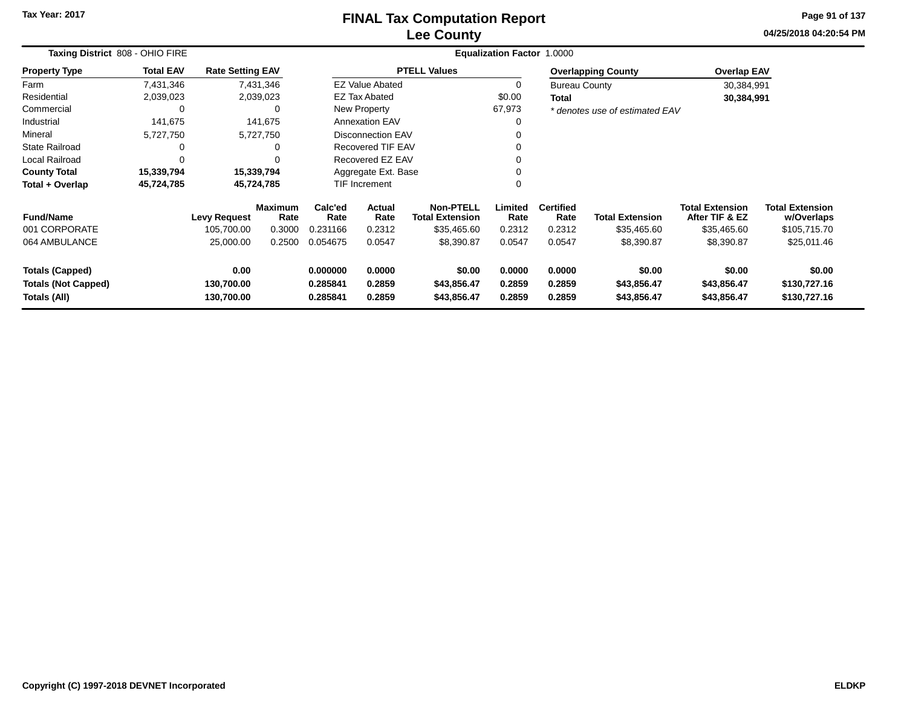### **Lee CountyFINAL Tax Computation Report**

**04/25/2018 04:20:54 PM Page 91 of 137**

| Taxing District 808 - OHIO FIRE |                  |                         |                        |                                   |                          | Equalization Factor 1.0000                 |                 |                          |                                |                                          |                                      |
|---------------------------------|------------------|-------------------------|------------------------|-----------------------------------|--------------------------|--------------------------------------------|-----------------|--------------------------|--------------------------------|------------------------------------------|--------------------------------------|
| <b>Property Type</b>            | <b>Total EAV</b> | <b>Rate Setting EAV</b> |                        |                                   |                          | <b>PTELL Values</b>                        |                 |                          | <b>Overlapping County</b>      | <b>Overlap EAV</b>                       |                                      |
| Farm                            | 7,431,346        |                         | 7,431,346              |                                   | <b>EZ Value Abated</b>   |                                            |                 | <b>Bureau County</b>     |                                | 30,384,991                               |                                      |
| Residential                     | 2,039,023        |                         | 2,039,023              |                                   | <b>EZ Tax Abated</b>     |                                            | \$0.00          | Total                    |                                | 30,384,991                               |                                      |
| Commercial                      | 0                |                         | $\Omega$               |                                   | New Property             |                                            | 67,973          |                          | * denotes use of estimated EAV |                                          |                                      |
| Industrial                      | 141,675          |                         | 141,675                |                                   | <b>Annexation EAV</b>    |                                            | O               |                          |                                |                                          |                                      |
| Mineral                         | 5,727,750        |                         | 5,727,750              |                                   | <b>Disconnection EAV</b> |                                            |                 |                          |                                |                                          |                                      |
| <b>State Railroad</b>           |                  |                         |                        |                                   | <b>Recovered TIF EAV</b> |                                            |                 |                          |                                |                                          |                                      |
| Local Railroad                  |                  |                         |                        |                                   | Recovered EZ EAV         |                                            |                 |                          |                                |                                          |                                      |
| <b>County Total</b>             | 15,339,794       | 15,339,794              |                        |                                   | Aggregate Ext. Base      |                                            |                 |                          |                                |                                          |                                      |
| Total + Overlap                 | 45,724,785       | 45,724,785              |                        |                                   | <b>TIF Increment</b>     |                                            | 0               |                          |                                |                                          |                                      |
| <b>Fund/Name</b>                |                  | <b>Levy Request</b>     | <b>Maximum</b><br>Rate | Calc'ed<br>Rate                   | Actual<br>Rate           | <b>Non-PTELL</b><br><b>Total Extension</b> | Limited<br>Rate | <b>Certified</b><br>Rate | <b>Total Extension</b>         | <b>Total Extension</b><br>After TIF & EZ | <b>Total Extension</b><br>w/Overlaps |
| 001 CORPORATE                   |                  | 105,700.00              | 0.3000                 | 0.231166                          | 0.2312                   | \$35,465.60                                | 0.2312          | 0.2312                   | \$35,465.60                    | \$35,465.60                              | \$105,715.70                         |
| 064 AMBULANCE                   |                  | 25,000.00               | 0.2500                 | 0.054675                          | 0.0547                   | \$8,390.87                                 | 0.0547          | 0.0547                   | \$8,390.87                     | \$8,390.87                               | \$25,011.46                          |
| <b>Totals (Capped)</b>          |                  | 0.00                    |                        | 0.000000<br>0.0000                |                          | \$0.00                                     | 0.0000          | 0.0000                   | \$0.00                         | \$0.00                                   | \$0.00                               |
| <b>Totals (Not Capped)</b>      |                  | 130,700.00              |                        | 0.285841                          | 0.2859                   | \$43,856.47                                | 0.2859          | 0.2859                   | \$43,856.47                    | \$43,856.47                              | \$130,727.16                         |
| Totals (All)                    |                  | 130,700.00              |                        | 0.285841<br>0.2859<br>\$43,856.47 |                          |                                            | 0.2859          | 0.2859                   | \$43,856.47                    | \$43,856.47                              | \$130,727.16                         |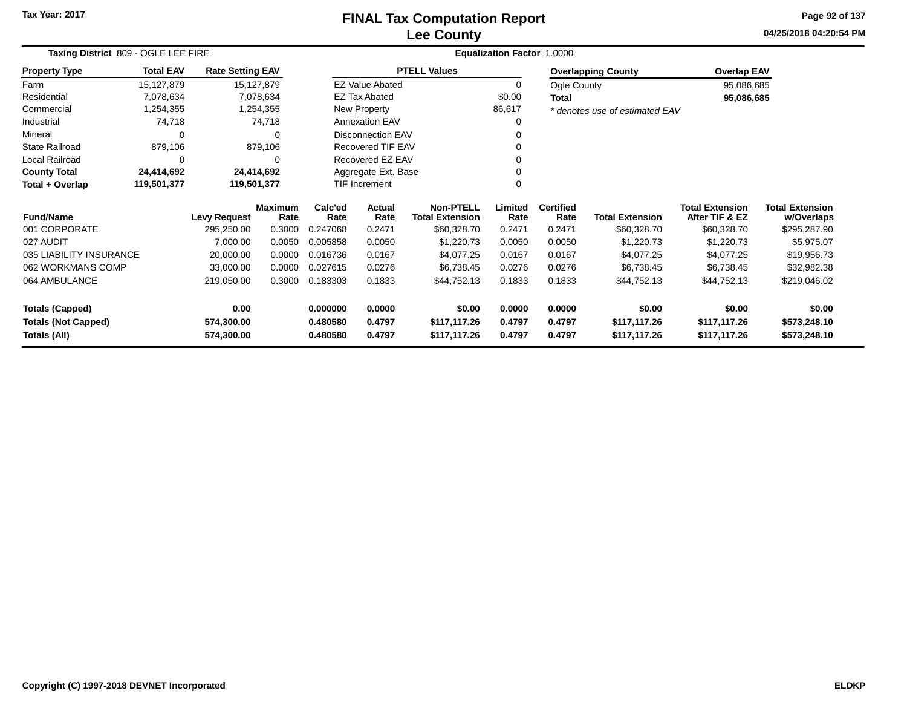### **Lee CountyFINAL Tax Computation Report**

**04/25/2018 04:20:54 PM Page 92 of 137**

| Taxing District 809 - OGLE LEE FIRE |                  |                         |                        |                 |                          |                                            | Equalization Factor 1.0000 |                          |                                |                                          |                               |
|-------------------------------------|------------------|-------------------------|------------------------|-----------------|--------------------------|--------------------------------------------|----------------------------|--------------------------|--------------------------------|------------------------------------------|-------------------------------|
| <b>Property Type</b>                | <b>Total EAV</b> | <b>Rate Setting EAV</b> |                        |                 |                          | <b>PTELL Values</b>                        |                            |                          | <b>Overlapping County</b>      | <b>Overlap EAV</b>                       |                               |
| Farm                                | 15,127,879       |                         | 15,127,879             |                 | <b>EZ Value Abated</b>   |                                            | 0                          | Ogle County              |                                | 95,086,685                               |                               |
| Residential                         | 7,078,634        |                         | 7,078,634              |                 | <b>EZ Tax Abated</b>     |                                            | \$0.00                     | <b>Total</b>             |                                | 95,086,685                               |                               |
| Commercial                          | 1,254,355        |                         | 1,254,355              |                 | New Property             |                                            | 86,617                     |                          | * denotes use of estimated EAV |                                          |                               |
| Industrial                          | 74,718           |                         | 74,718                 |                 | <b>Annexation EAV</b>    |                                            | 0                          |                          |                                |                                          |                               |
| Mineral                             | 0                |                         | $\Omega$               |                 | <b>Disconnection EAV</b> |                                            |                            |                          |                                |                                          |                               |
| <b>State Railroad</b>               | 879,106          |                         | 879,106                |                 | Recovered TIF EAV        |                                            |                            |                          |                                |                                          |                               |
| Local Railroad                      | 0                |                         | 0                      |                 | Recovered EZ EAV         |                                            |                            |                          |                                |                                          |                               |
| <b>County Total</b>                 | 24,414,692       |                         | 24,414,692             |                 | Aggregate Ext. Base      |                                            |                            |                          |                                |                                          |                               |
| Total + Overlap                     | 119,501,377      | 119,501,377             |                        |                 | <b>TIF Increment</b>     |                                            | ∩                          |                          |                                |                                          |                               |
| <b>Fund/Name</b>                    |                  | <b>Levy Request</b>     | <b>Maximum</b><br>Rate | Calc'ed<br>Rate | Actual<br>Rate           | <b>Non-PTELL</b><br><b>Total Extension</b> | Limited<br>Rate            | <b>Certified</b><br>Rate | <b>Total Extension</b>         | <b>Total Extension</b><br>After TIF & EZ | Total Extension<br>w/Overlaps |
| 001 CORPORATE                       |                  | 295,250.00              | 0.3000                 | 0.247068        | 0.2471                   | \$60,328.70                                | 0.2471                     | 0.2471                   | \$60,328.70                    | \$60,328.70                              | \$295,287.90                  |
| 027 AUDIT                           |                  | 7,000.00                | 0.0050                 | 0.005858        | 0.0050                   | \$1,220.73                                 | 0.0050                     | 0.0050                   | \$1,220.73                     | \$1,220.73                               | \$5,975.07                    |
| 035 LIABILITY INSURANCE             |                  | 20,000.00               | 0.0000                 | 0.016736        | 0.0167                   | \$4,077.25                                 | 0.0167                     | 0.0167                   | \$4,077.25                     | \$4,077.25                               | \$19,956.73                   |
| 062 WORKMANS COMP                   |                  | 33,000.00               | 0.0000                 | 0.027615        | 0.0276                   | \$6,738.45                                 | 0.0276                     | 0.0276                   | \$6,738.45                     | \$6,738.45                               | \$32,982.38                   |
| 064 AMBULANCE                       |                  | 219,050.00              | 0.3000                 | 0.183303        | 0.1833                   | \$44,752.13                                | 0.1833                     | 0.1833                   | \$44,752.13                    | \$44,752.13                              | \$219,046.02                  |
| <b>Totals (Capped)</b>              |                  | 0.00                    |                        | 0.000000        | 0.0000                   | \$0.00                                     | 0.0000                     | 0.0000                   | \$0.00                         | \$0.00                                   | \$0.00                        |
| <b>Totals (Not Capped)</b>          |                  | 574,300.00              |                        | 0.480580        | 0.4797                   | \$117,117.26                               | 0.4797                     | 0.4797                   | \$117,117.26                   | \$117,117.26                             | \$573,248.10                  |
| Totals (All)                        |                  | 574,300.00              |                        | 0.480580        | 0.4797                   | \$117,117.26                               | 0.4797                     | 0.4797                   | \$117,117.26                   | \$117,117.26                             | \$573,248.10                  |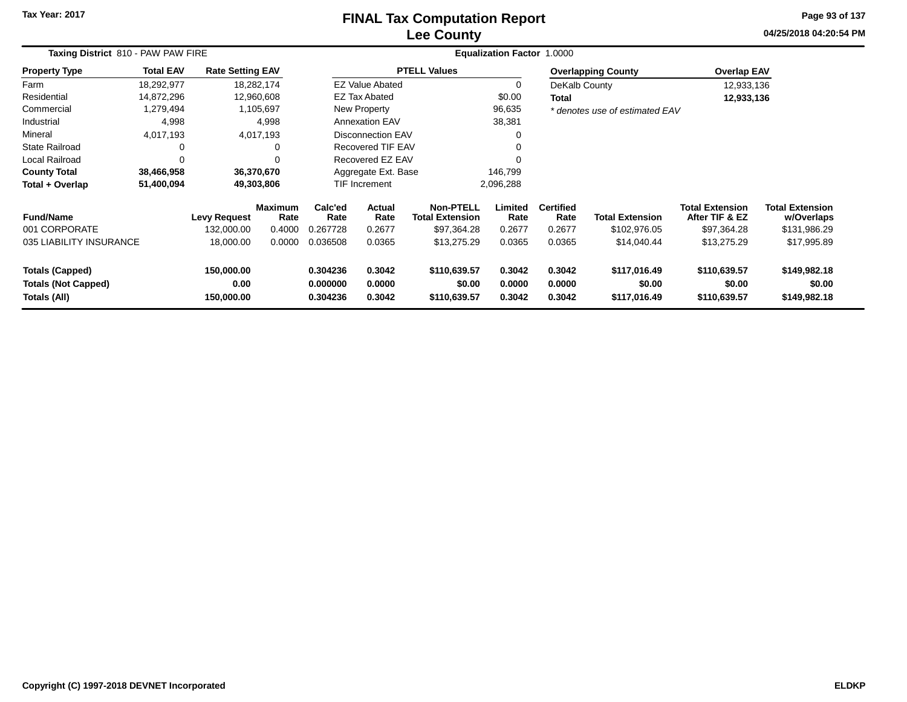### **Lee CountyFINAL Tax Computation Report**

**04/25/2018 04:20:54 PM Page 93 of 137**

| Taxing District 810 - PAW PAW FIRE                                   |                  |                                  |                        |                                  | <b>Equalization Factor</b> | 1.0000                                     |                            |                            |                                        |                                          |                                        |  |
|----------------------------------------------------------------------|------------------|----------------------------------|------------------------|----------------------------------|----------------------------|--------------------------------------------|----------------------------|----------------------------|----------------------------------------|------------------------------------------|----------------------------------------|--|
| <b>Property Type</b>                                                 | <b>Total EAV</b> | <b>Rate Setting EAV</b>          |                        |                                  |                            | <b>PTELL Values</b>                        |                            |                            | <b>Overlapping County</b>              | <b>Overlap EAV</b>                       |                                        |  |
| Farm                                                                 | 18,292,977       |                                  | 18,282,174             |                                  | <b>EZ Value Abated</b>     |                                            | 0                          | DeKalb County              |                                        | 12,933,136                               |                                        |  |
| Residential                                                          | 14,872,296       |                                  | 12,960,608             |                                  | <b>EZ Tax Abated</b>       |                                            | \$0.00                     | Total                      |                                        | 12,933,136                               |                                        |  |
| Commercial                                                           | 1,279,494        |                                  | 1,105,697              |                                  | <b>New Property</b>        |                                            | 96,635                     |                            | * denotes use of estimated EAV         |                                          |                                        |  |
| Industrial                                                           | 4,998            |                                  | 4,998                  |                                  | <b>Annexation EAV</b>      |                                            | 38,381                     |                            |                                        |                                          |                                        |  |
| Mineral                                                              | 4,017,193        |                                  | 4,017,193              |                                  | <b>Disconnection EAV</b>   |                                            | 0                          |                            |                                        |                                          |                                        |  |
| State Railroad                                                       | 0                |                                  | 0                      |                                  | Recovered TIF EAV          |                                            | 0                          |                            |                                        |                                          |                                        |  |
| Local Railroad                                                       | 0                |                                  | $\Omega$               |                                  | Recovered EZ EAV           |                                            | 0                          |                            |                                        |                                          |                                        |  |
| <b>County Total</b>                                                  | 38,466,958       |                                  | 36,370,670             |                                  | Aggregate Ext. Base        |                                            | 146,799                    |                            |                                        |                                          |                                        |  |
| Total + Overlap                                                      | 51,400,094       |                                  | 49,303,806             |                                  | TIF Increment              |                                            | 2,096,288                  |                            |                                        |                                          |                                        |  |
| <b>Fund/Name</b>                                                     |                  | <b>Levy Request</b>              | <b>Maximum</b><br>Rate | Calc'ed<br>Rate                  | Actual<br>Rate             | <b>Non-PTELL</b><br><b>Total Extension</b> | Limited<br>Rate            | <b>Certified</b><br>Rate   | <b>Total Extension</b>                 | <b>Total Extension</b><br>After TIF & EZ | <b>Total Extension</b><br>w/Overlaps   |  |
| 001 CORPORATE                                                        |                  | 132,000.00                       | 0.4000                 | 0.267728                         | 0.2677                     | \$97,364.28                                | 0.2677                     | 0.2677                     | \$102,976.05                           | \$97,364.28                              | \$131,986.29                           |  |
| 035 LIABILITY INSURANCE                                              |                  | 18,000.00                        | 0.0000                 | 0.036508                         | 0.0365                     | \$13,275.29                                | 0.0365                     | 0.0365                     | \$14,040.44                            | \$13,275.29                              | \$17,995.89                            |  |
| <b>Totals (Capped)</b><br><b>Totals (Not Capped)</b><br>Totals (All) |                  | 150,000.00<br>0.00<br>150,000.00 |                        | 0.304236<br>0.000000<br>0.304236 | 0.3042<br>0.0000<br>0.3042 | \$110,639.57<br>\$0.00<br>\$110,639.57     | 0.3042<br>0.0000<br>0.3042 | 0.3042<br>0.0000<br>0.3042 | \$117,016.49<br>\$0.00<br>\$117,016.49 | \$110,639.57<br>\$0.00<br>\$110,639.57   | \$149,982.18<br>\$0.00<br>\$149,982.18 |  |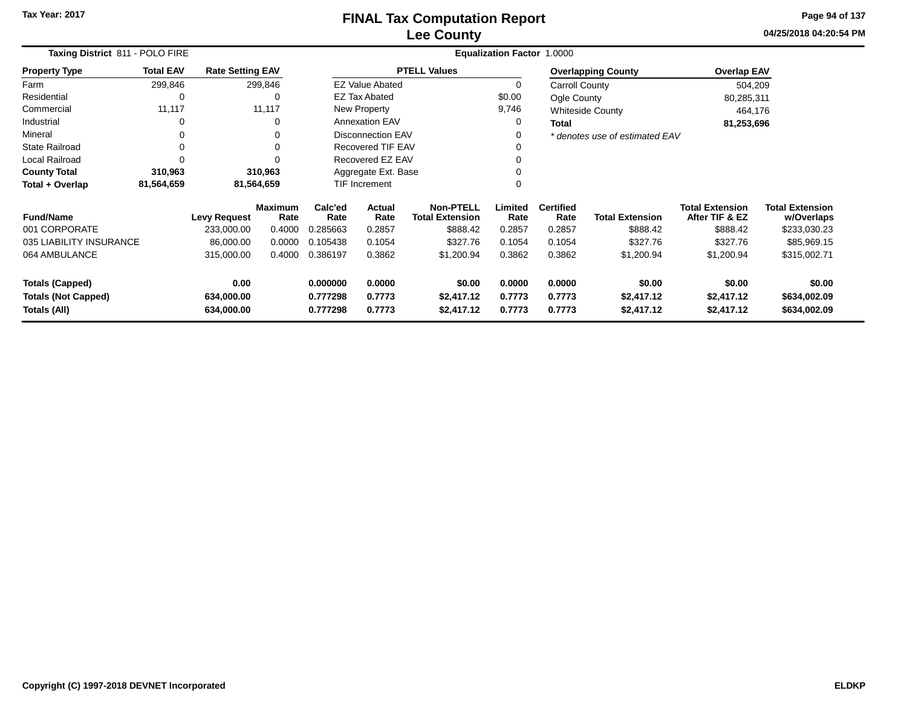**04/25/2018 04:20:54 PM Page 94 of 137**

|                                                                        | Taxing District 811 - POLO FIRE |                         |                      |                     |                          |                                            | <b>Equalization Factor 1.0000</b> |                          |                                |                                          |                                      |
|------------------------------------------------------------------------|---------------------------------|-------------------------|----------------------|---------------------|--------------------------|--------------------------------------------|-----------------------------------|--------------------------|--------------------------------|------------------------------------------|--------------------------------------|
| <b>Property Type</b>                                                   | <b>Total EAV</b>                | <b>Rate Setting EAV</b> |                      |                     |                          | <b>PTELL Values</b>                        |                                   |                          | <b>Overlapping County</b>      | <b>Overlap EAV</b>                       |                                      |
| Farm                                                                   | 299,846                         |                         | 299,846              |                     | <b>EZ Value Abated</b>   |                                            | $\Omega$                          | Carroll County           |                                | 504,209                                  |                                      |
| Residential                                                            | 0                               |                         | $\Omega$             |                     | <b>EZ Tax Abated</b>     |                                            | \$0.00                            | Ogle County              |                                | 80,285,311                               |                                      |
| Commercial                                                             | 11,117                          |                         | 11,117               |                     | New Property             |                                            | 9,746                             |                          | <b>Whiteside County</b>        | 464,176                                  |                                      |
| Industrial                                                             | 0                               |                         |                      |                     | <b>Annexation EAV</b>    |                                            | 0                                 | <b>Total</b>             |                                | 81,253,696                               |                                      |
| Mineral                                                                | 0                               |                         |                      |                     | <b>Disconnection EAV</b> |                                            | 0                                 |                          | * denotes use of estimated EAV |                                          |                                      |
| <b>State Railroad</b>                                                  | 0                               |                         |                      |                     | <b>Recovered TIF EAV</b> |                                            |                                   |                          |                                |                                          |                                      |
| Local Railroad                                                         | 0                               |                         |                      | Recovered EZ EAV    |                          |                                            | $\Omega$                          |                          |                                |                                          |                                      |
| <b>County Total</b>                                                    | 310,963                         |                         | 310,963              | Aggregate Ext. Base |                          |                                            |                                   |                          |                                |                                          |                                      |
| Total + Overlap                                                        | 81,564,659                      |                         | 81,564,659           |                     | TIF Increment            |                                            | 0                                 |                          |                                |                                          |                                      |
| <b>Fund/Name</b>                                                       |                                 | <b>Levy Request</b>     | Maximum<br>Rate      | Calc'ed<br>Rate     | Actual<br>Rate           | <b>Non-PTELL</b><br><b>Total Extension</b> | Limited<br>Rate                   | <b>Certified</b><br>Rate | <b>Total Extension</b>         | <b>Total Extension</b><br>After TIF & EZ | <b>Total Extension</b><br>w/Overlaps |
| 001 CORPORATE                                                          |                                 | 233,000.00              | 0.4000               | 0.285663            | 0.2857                   | \$888.42                                   | 0.2857                            | 0.2857                   | \$888.42                       | \$888.42                                 | \$233,030.23                         |
| 035 LIABILITY INSURANCE                                                |                                 | 86,000.00               | 0.0000               | 0.105438            | 0.1054                   | \$327.76                                   | 0.1054                            | 0.1054                   | \$327.76                       | \$327.76                                 | \$85,969.15                          |
| 064 AMBULANCE                                                          |                                 | 315,000.00              | 0.4000               | 0.386197            | 0.3862                   | \$1,200.94                                 | 0.3862                            | 0.3862                   | \$1,200.94                     | \$1,200.94                               | \$315,002.71                         |
| <b>Totals (Capped)</b>                                                 |                                 | 0.00                    |                      | 0.000000            | 0.0000                   | \$0.00                                     | 0.0000                            | 0.0000                   | \$0.00                         | \$0.00                                   | \$0.00                               |
| <b>Totals (Not Capped)</b><br>634,000.00<br>Totals (All)<br>634,000.00 |                                 |                         | 0.777298<br>0.777298 | 0.7773<br>0.7773    | \$2,417.12<br>\$2,417.12 | 0.7773<br>0.7773                           | 0.7773<br>0.7773                  | \$2,417.12<br>\$2,417.12 | \$2,417.12<br>\$2,417.12       | \$634,002.09<br>\$634,002.09             |                                      |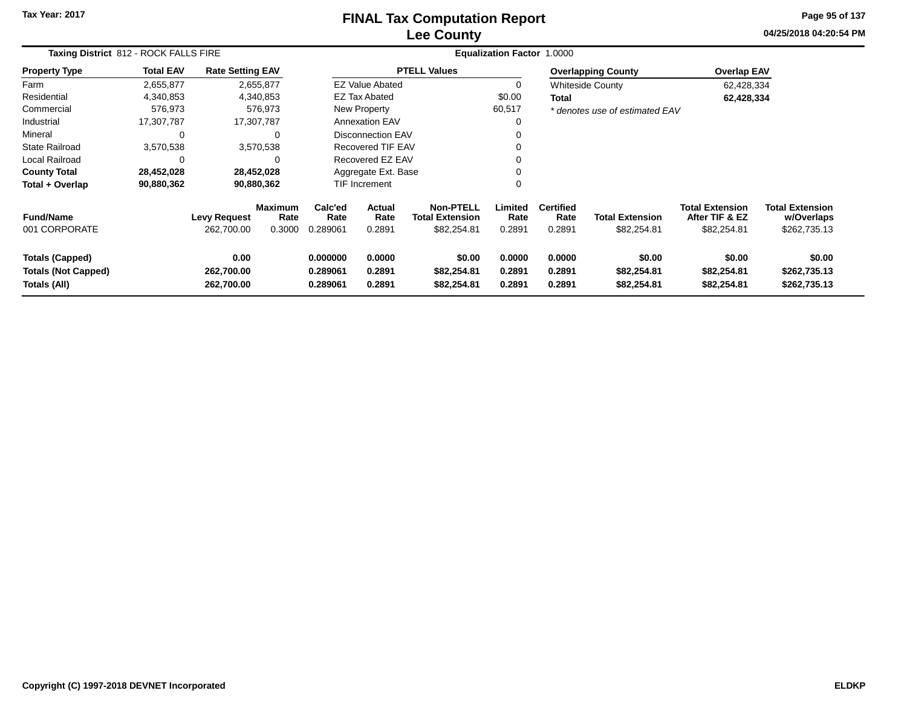### **Lee CountyFINAL Tax Computation Report**

**04/25/2018 04:20:54 PM Page 95 of 137**

| Taxing District 812 - ROCK FALLS FIRE                                |                  |                                   |                                  |                                                                |                                                    |                                      | Equalization Factor 1.0000 |                                    |                                       |                                                         |                                                      |
|----------------------------------------------------------------------|------------------|-----------------------------------|----------------------------------|----------------------------------------------------------------|----------------------------------------------------|--------------------------------------|----------------------------|------------------------------------|---------------------------------------|---------------------------------------------------------|------------------------------------------------------|
| <b>Property Type</b>                                                 | <b>Total EAV</b> | <b>Rate Setting EAV</b>           |                                  |                                                                |                                                    | <b>PTELL Values</b>                  |                            |                                    | <b>Overlapping County</b>             | <b>Overlap EAV</b>                                      |                                                      |
| Farm                                                                 | 2,655,877        |                                   | 2,655,877                        |                                                                | <b>EZ Value Abated</b>                             |                                      | 0                          |                                    | <b>Whiteside County</b>               | 62,428,334                                              |                                                      |
| Residential                                                          | 4,340,853        |                                   | 4,340,853                        |                                                                | <b>EZ Tax Abated</b>                               |                                      | \$0.00                     | Total                              |                                       | 62,428,334                                              |                                                      |
| Commercial                                                           | 576,973          |                                   | 576,973                          |                                                                | New Property                                       |                                      | 60,517                     |                                    | * denotes use of estimated EAV        |                                                         |                                                      |
| Industrial                                                           | 17,307,787       | 17,307,787                        |                                  |                                                                | <b>Annexation EAV</b>                              |                                      | $\Omega$                   |                                    |                                       |                                                         |                                                      |
| Mineral                                                              | $\Omega$         |                                   | 0                                |                                                                | <b>Disconnection EAV</b>                           |                                      | $\Omega$                   |                                    |                                       |                                                         |                                                      |
| <b>State Railroad</b>                                                | 3,570,538        |                                   | 3,570,538                        |                                                                | Recovered TIF EAV                                  |                                      |                            |                                    |                                       |                                                         |                                                      |
| Local Railroad                                                       |                  |                                   | 0                                |                                                                | Recovered EZ EAV                                   |                                      | $\Omega$                   |                                    |                                       |                                                         |                                                      |
| <b>County Total</b>                                                  | 28,452,028       | 28,452,028                        |                                  |                                                                | Aggregate Ext. Base                                |                                      | 0                          |                                    |                                       |                                                         |                                                      |
| Total + Overlap                                                      | 90,880,362       | 90,880,362                        |                                  |                                                                | TIF Increment                                      |                                      | $\Omega$                   |                                    |                                       |                                                         |                                                      |
| <b>Fund/Name</b><br>001 CORPORATE                                    |                  | <b>Levy Request</b><br>262,700.00 | <b>Maximum</b><br>Rate<br>0.3000 | Calc'ed<br>Rate<br>0.289061                                    | Actual<br><b>Total Extension</b><br>Rate<br>0.2891 |                                      | Limited<br>Rate<br>0.2891  | <b>Certified</b><br>Rate<br>0.2891 | <b>Total Extension</b><br>\$82,254.81 | <b>Total Extension</b><br>After TIF & EZ<br>\$82,254.81 | <b>Total Extension</b><br>w/Overlaps<br>\$262,735.13 |
| <b>Totals (Capped)</b><br><b>Totals (Not Capped)</b><br>Totals (All) |                  | 0.00<br>262,700.00<br>262,700.00  |                                  | 0.0000<br>0.000000<br>0.2891<br>0.289061<br>0.2891<br>0.289061 |                                                    | \$0.00<br>\$82,254.81<br>\$82,254.81 | 0.0000<br>0.2891<br>0.2891 | 0.0000<br>0.2891<br>0.2891         | \$0.00<br>\$82,254.81<br>\$82,254.81  | \$0.00<br>\$82,254.81<br>\$82,254.81                    | \$0.00<br>\$262,735.13<br>\$262,735.13               |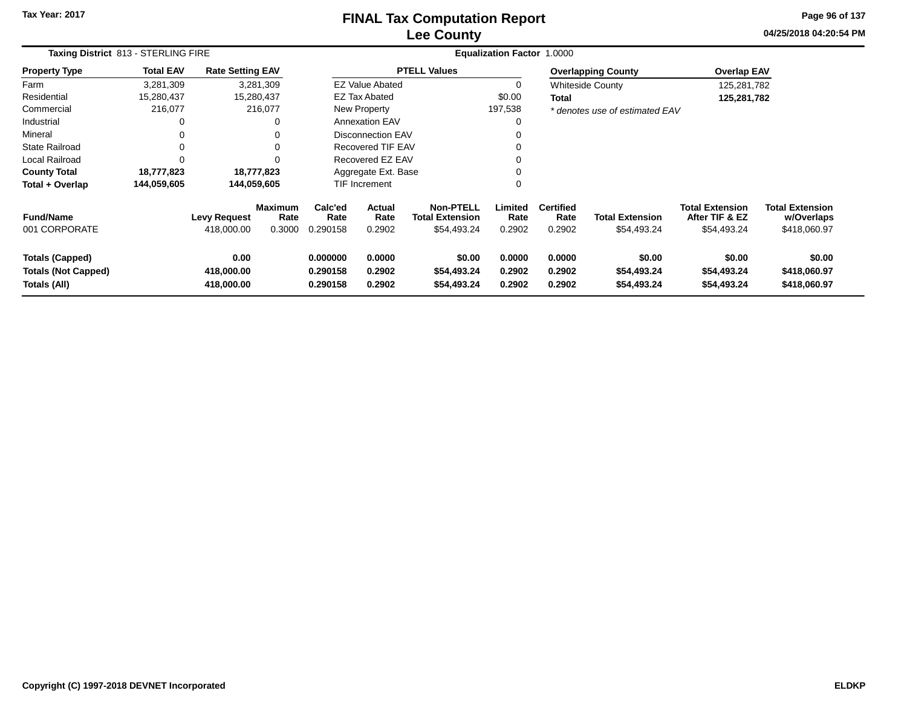### **Lee CountyFINAL Tax Computation Report**

**04/25/2018 04:20:54 PM Page 96 of 137**

|                                                                      | Taxing District 813 - STERLING FIRE |                                   |                                  |                                                                |                          |                                                           | <b>Equalization Factor 1.0000</b> |                                    |                                       |                                                         |                                                      |  |
|----------------------------------------------------------------------|-------------------------------------|-----------------------------------|----------------------------------|----------------------------------------------------------------|--------------------------|-----------------------------------------------------------|-----------------------------------|------------------------------------|---------------------------------------|---------------------------------------------------------|------------------------------------------------------|--|
| <b>Property Type</b>                                                 | <b>Total EAV</b>                    | <b>Rate Setting EAV</b>           |                                  |                                                                |                          | <b>PTELL Values</b>                                       |                                   |                                    | <b>Overlapping County</b>             | <b>Overlap EAV</b>                                      |                                                      |  |
| Farm                                                                 | 3,281,309                           |                                   | 3,281,309                        |                                                                | <b>EZ Value Abated</b>   |                                                           | 0                                 |                                    | <b>Whiteside County</b>               | 125,281,782                                             |                                                      |  |
| Residential                                                          | 15,280,437                          |                                   | 15,280,437                       |                                                                | <b>EZ Tax Abated</b>     |                                                           | \$0.00                            | Total                              |                                       | 125,281,782                                             |                                                      |  |
| Commercial                                                           | 216,077                             |                                   | 216,077                          |                                                                | New Property             |                                                           | 197,538                           |                                    | * denotes use of estimated EAV        |                                                         |                                                      |  |
| Industrial                                                           | 0                                   |                                   | 0                                |                                                                | <b>Annexation EAV</b>    |                                                           | 0                                 |                                    |                                       |                                                         |                                                      |  |
| Mineral                                                              |                                     |                                   | 0                                |                                                                | Disconnection EAV        |                                                           | 0                                 |                                    |                                       |                                                         |                                                      |  |
| <b>State Railroad</b>                                                |                                     |                                   | 0                                |                                                                | Recovered TIF EAV        |                                                           | 0                                 |                                    |                                       |                                                         |                                                      |  |
| Local Railroad                                                       |                                     |                                   |                                  |                                                                | Recovered EZ EAV         |                                                           | 0                                 |                                    |                                       |                                                         |                                                      |  |
| <b>County Total</b>                                                  | 18,777,823                          |                                   | 18,777,823                       |                                                                | Aggregate Ext. Base      |                                                           | 0                                 |                                    |                                       |                                                         |                                                      |  |
| Total + Overlap                                                      | 144,059,605                         | 144,059,605                       |                                  |                                                                | TIF Increment            |                                                           | 0                                 |                                    |                                       |                                                         |                                                      |  |
| <b>Fund/Name</b><br>001 CORPORATE                                    |                                     | <b>Levy Request</b><br>418,000.00 | <b>Maximum</b><br>Rate<br>0.3000 | Calc'ed<br>Rate<br>0.290158                                    | Actual<br>Rate<br>0.2902 | <b>Non-PTELL</b><br><b>Total Extension</b><br>\$54,493.24 | Limited<br>Rate<br>0.2902         | <b>Certified</b><br>Rate<br>0.2902 | <b>Total Extension</b><br>\$54,493.24 | <b>Total Extension</b><br>After TIF & EZ<br>\$54,493.24 | <b>Total Extension</b><br>w/Overlaps<br>\$418,060.97 |  |
| <b>Totals (Capped)</b><br><b>Totals (Not Capped)</b><br>Totals (All) |                                     | 0.00<br>418,000.00<br>418,000.00  |                                  | 0.000000<br>0.0000<br>0.2902<br>0.290158<br>0.290158<br>0.2902 |                          | \$0.00<br>\$54,493.24<br>\$54,493.24                      | 0.0000<br>0.2902<br>0.2902        | 0.0000<br>0.2902<br>0.2902         | \$0.00<br>\$54,493.24<br>\$54,493.24  | \$0.00<br>\$54,493.24<br>\$54,493.24                    | \$0.00<br>\$418,060.97<br>\$418,060.97               |  |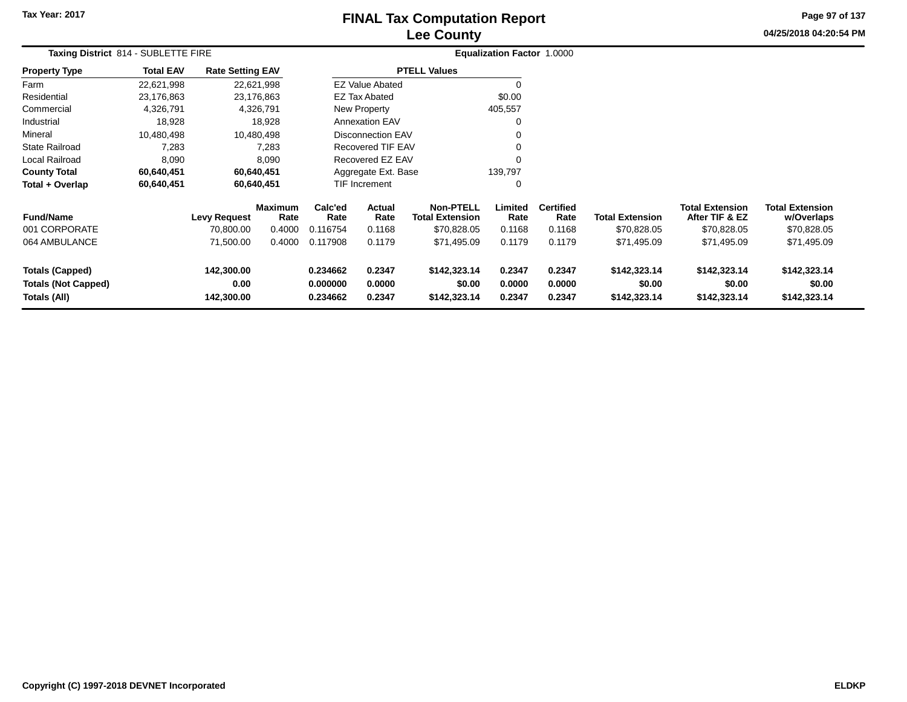# **Lee CountyFINAL Tax Computation Report**

**04/25/2018 04:20:54 PM Page 97 of 137**

|                                                                      | Taxing District 814 - SUBLETTE FIRE |                                  |                                  |                                  |                            |                                                           | Equalization Factor 1.0000 |                                    |                                        |                                                         |                                                     |  |
|----------------------------------------------------------------------|-------------------------------------|----------------------------------|----------------------------------|----------------------------------|----------------------------|-----------------------------------------------------------|----------------------------|------------------------------------|----------------------------------------|---------------------------------------------------------|-----------------------------------------------------|--|
| <b>Property Type</b>                                                 | <b>Total EAV</b>                    | <b>Rate Setting EAV</b>          |                                  |                                  |                            | <b>PTELL Values</b>                                       |                            |                                    |                                        |                                                         |                                                     |  |
| Farm                                                                 | 22,621,998                          |                                  | 22,621,998                       |                                  | <b>EZ Value Abated</b>     |                                                           | 0                          |                                    |                                        |                                                         |                                                     |  |
| Residential                                                          | 23,176,863                          |                                  | 23,176,863                       |                                  | <b>EZ Tax Abated</b>       |                                                           | \$0.00                     |                                    |                                        |                                                         |                                                     |  |
| Commercial                                                           | 4,326,791                           |                                  | 4,326,791                        |                                  | New Property               |                                                           | 405,557                    |                                    |                                        |                                                         |                                                     |  |
| Industrial                                                           | 18,928                              |                                  | 18,928                           |                                  | <b>Annexation EAV</b>      |                                                           | $\Omega$                   |                                    |                                        |                                                         |                                                     |  |
| Mineral                                                              | 10,480,498                          |                                  | 10,480,498                       |                                  | <b>Disconnection EAV</b>   |                                                           | 0                          |                                    |                                        |                                                         |                                                     |  |
| <b>State Railroad</b>                                                | 7,283                               |                                  | 7,283                            | Recovered TIF EAV                |                            |                                                           | 0                          |                                    |                                        |                                                         |                                                     |  |
| <b>Local Railroad</b>                                                | 8,090                               |                                  | 8,090                            | Recovered EZ EAV                 |                            |                                                           | $\mathbf 0$                |                                    |                                        |                                                         |                                                     |  |
| <b>County Total</b>                                                  | 60,640,451                          |                                  | 60,640,451                       | Aggregate Ext. Base              |                            |                                                           | 139,797                    |                                    |                                        |                                                         |                                                     |  |
| Total + Overlap                                                      | 60,640,451                          |                                  | 60,640,451                       |                                  | TIF Increment              |                                                           | 0                          |                                    |                                        |                                                         |                                                     |  |
| <b>Fund/Name</b><br>001 CORPORATE                                    |                                     | <b>Levy Request</b><br>70,800.00 | <b>Maximum</b><br>Rate<br>0.4000 | Calc'ed<br>Rate<br>0.116754      | Actual<br>Rate<br>0.1168   | <b>Non-PTELL</b><br><b>Total Extension</b><br>\$70,828.05 | Limited<br>Rate<br>0.1168  | <b>Certified</b><br>Rate<br>0.1168 | <b>Total Extension</b><br>\$70,828.05  | <b>Total Extension</b><br>After TIF & EZ<br>\$70,828.05 | <b>Total Extension</b><br>w/Overlaps<br>\$70,828.05 |  |
| 064 AMBULANCE                                                        |                                     | 71,500.00                        | 0.4000                           | 0.117908                         | 0.1179                     | \$71,495.09                                               | 0.1179                     | 0.1179                             | \$71,495.09                            | \$71,495.09                                             | \$71,495.09                                         |  |
| <b>Totals (Capped)</b><br><b>Totals (Not Capped)</b><br>Totals (All) |                                     | 142,300.00<br>0.00<br>142,300.00 |                                  | 0.234662<br>0.000000<br>0.234662 | 0.2347<br>0.0000<br>0.2347 | \$142,323.14<br>\$0.00<br>\$142,323.14                    | 0.2347<br>0.0000<br>0.2347 | 0.2347<br>0.0000<br>0.2347         | \$142,323.14<br>\$0.00<br>\$142,323.14 | \$142,323.14<br>\$0.00<br>\$142,323.14                  | \$142,323.14<br>\$0.00<br>\$142,323.14              |  |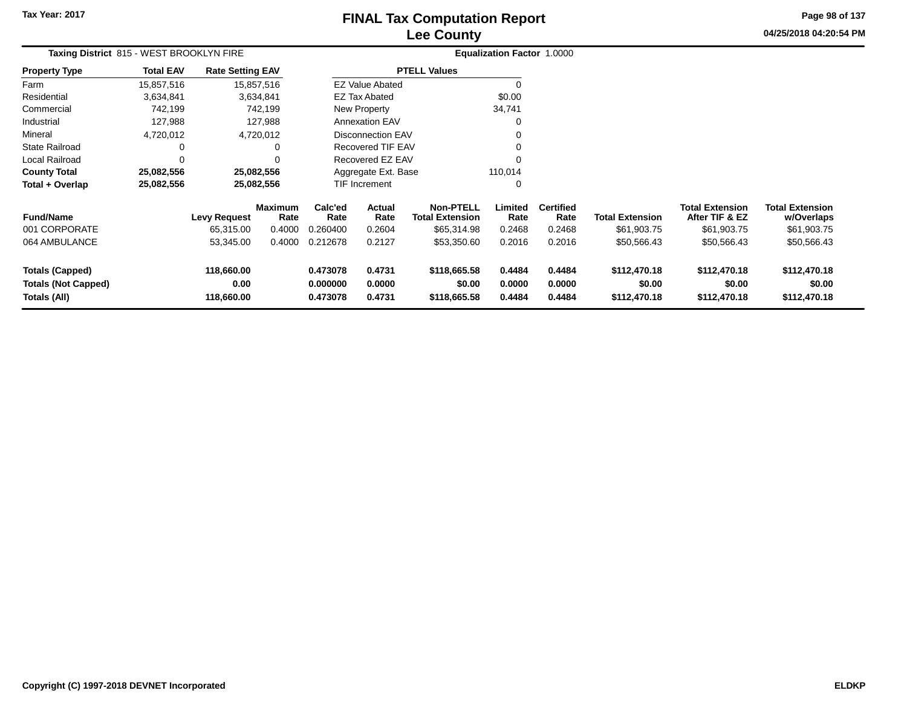# **Lee CountyFINAL Tax Computation Report**

**04/25/2018 04:20:54 PM Page 98 of 137**

| Taxing District 815 - WEST BROOKLYN FIRE                             |                  |                                  |                        | <b>Equalization Factor 1.0000</b>                              |                          |                                            |                            |                            |                                        |                                          |                                        |  |
|----------------------------------------------------------------------|------------------|----------------------------------|------------------------|----------------------------------------------------------------|--------------------------|--------------------------------------------|----------------------------|----------------------------|----------------------------------------|------------------------------------------|----------------------------------------|--|
| <b>Property Type</b>                                                 | <b>Total EAV</b> | <b>Rate Setting EAV</b>          |                        |                                                                |                          | <b>PTELL Values</b>                        |                            |                            |                                        |                                          |                                        |  |
| Farm                                                                 | 15,857,516       |                                  | 15,857,516             |                                                                | <b>EZ Value Abated</b>   |                                            | 0                          |                            |                                        |                                          |                                        |  |
| Residential                                                          | 3,634,841        |                                  | 3,634,841              |                                                                | <b>EZ Tax Abated</b>     |                                            | \$0.00                     |                            |                                        |                                          |                                        |  |
| Commercial                                                           | 742,199          |                                  | 742,199                |                                                                | New Property             |                                            | 34,741                     |                            |                                        |                                          |                                        |  |
| Industrial                                                           | 127,988          |                                  | 127,988                |                                                                | <b>Annexation EAV</b>    |                                            | 0                          |                            |                                        |                                          |                                        |  |
| Mineral                                                              | 4,720,012        |                                  | 4,720,012              |                                                                | <b>Disconnection EAV</b> |                                            | 0                          |                            |                                        |                                          |                                        |  |
| <b>State Railroad</b>                                                | 0                |                                  |                        |                                                                | <b>Recovered TIF EAV</b> |                                            | 0                          |                            |                                        |                                          |                                        |  |
| Local Railroad                                                       | $\mathbf 0$      |                                  |                        |                                                                | Recovered EZ EAV         |                                            | $\Omega$                   |                            |                                        |                                          |                                        |  |
| <b>County Total</b>                                                  | 25,082,556       |                                  | 25,082,556             |                                                                | Aggregate Ext. Base      |                                            | 110,014                    |                            |                                        |                                          |                                        |  |
| Total + Overlap                                                      | 25,082,556       |                                  | 25,082,556             |                                                                | <b>TIF Increment</b>     |                                            | 0                          |                            |                                        |                                          |                                        |  |
| <b>Fund/Name</b>                                                     |                  | <b>Levy Request</b>              | <b>Maximum</b><br>Rate | Calc'ed<br><b>Actual</b><br>Rate<br>Rate                       |                          | <b>Non-PTELL</b><br><b>Total Extension</b> | Limited<br>Rate            | <b>Certified</b><br>Rate   | <b>Total Extension</b>                 | <b>Total Extension</b><br>After TIF & EZ | <b>Total Extension</b><br>w/Overlaps   |  |
| 001 CORPORATE                                                        |                  | 65,315.00                        | 0.4000                 | 0.260400                                                       | 0.2604                   | \$65,314.98                                | 0.2468                     | 0.2468                     | \$61,903.75                            | \$61,903.75                              | \$61,903.75                            |  |
| 064 AMBULANCE                                                        |                  | 53,345.00                        | 0.4000                 | 0.212678                                                       | 0.2127                   | \$53,350.60                                | 0.2016                     | 0.2016                     | \$50,566.43                            | \$50,566.43                              | \$50,566.43                            |  |
| <b>Totals (Capped)</b><br><b>Totals (Not Capped)</b><br>Totals (All) |                  | 118,660.00<br>0.00<br>118,660.00 |                        | 0.473078<br>0.4731<br>0.000000<br>0.0000<br>0.4731<br>0.473078 |                          | \$118,665.58<br>\$0.00<br>\$118,665.58     | 0.4484<br>0.0000<br>0.4484 | 0.4484<br>0.0000<br>0.4484 | \$112,470.18<br>\$0.00<br>\$112,470.18 | \$112,470.18<br>\$0.00<br>\$112,470.18   | \$112,470.18<br>\$0.00<br>\$112,470.18 |  |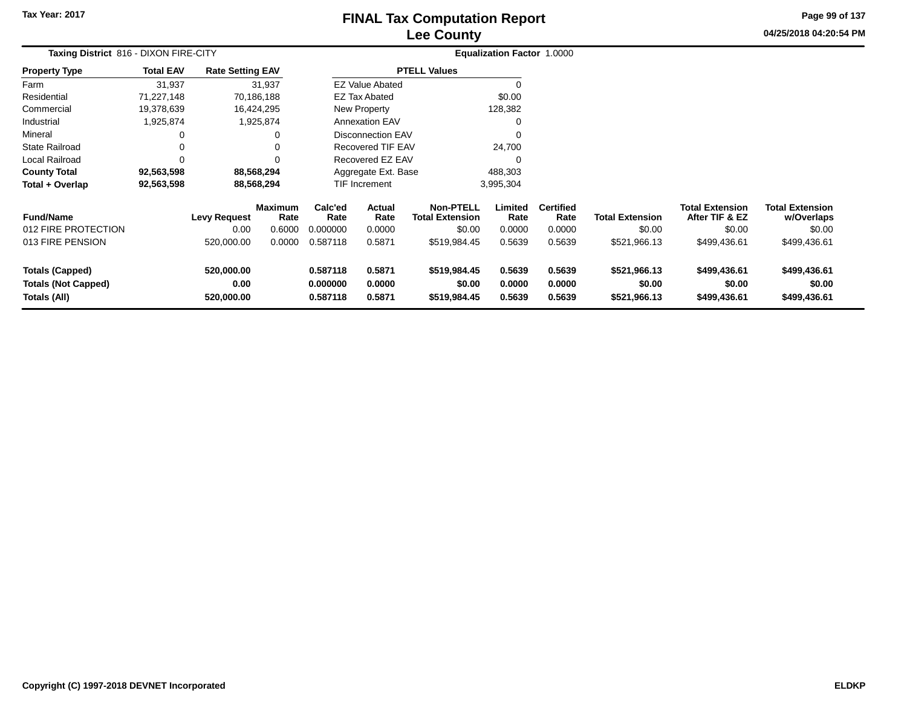### **Lee CountyFINAL Tax Computation Report**

**04/25/2018 04:20:54 PM Page 99 of 137**

|                                                                      | Taxing District 816 - DIXON FIRE-CITY |                                           |                                            |                                         |                                    |                                                                      | <b>Equalization Factor 1.0000</b>   |                                              |                                                  |                                                                    |                                                                |  |
|----------------------------------------------------------------------|---------------------------------------|-------------------------------------------|--------------------------------------------|-----------------------------------------|------------------------------------|----------------------------------------------------------------------|-------------------------------------|----------------------------------------------|--------------------------------------------------|--------------------------------------------------------------------|----------------------------------------------------------------|--|
| <b>Property Type</b>                                                 | <b>Total EAV</b>                      | <b>Rate Setting EAV</b>                   |                                            |                                         |                                    | <b>PTELL Values</b>                                                  |                                     |                                              |                                                  |                                                                    |                                                                |  |
| Farm                                                                 | 31,937                                |                                           | 31,937                                     |                                         | <b>EZ Value Abated</b>             |                                                                      |                                     |                                              |                                                  |                                                                    |                                                                |  |
| Residential                                                          | 71,227,148                            |                                           | 70,186,188                                 |                                         | <b>EZ Tax Abated</b>               |                                                                      | \$0.00                              |                                              |                                                  |                                                                    |                                                                |  |
| Commercial                                                           | 19,378,639                            |                                           | 16,424,295                                 |                                         | New Property                       |                                                                      | 128,382                             |                                              |                                                  |                                                                    |                                                                |  |
| Industrial                                                           | 1,925,874                             |                                           | 1,925,874                                  |                                         | <b>Annexation EAV</b>              |                                                                      | 0                                   |                                              |                                                  |                                                                    |                                                                |  |
| Mineral                                                              | 0                                     |                                           | 0                                          |                                         | <b>Disconnection EAV</b>           |                                                                      | 0                                   |                                              |                                                  |                                                                    |                                                                |  |
| <b>State Railroad</b>                                                | 0                                     |                                           | 0                                          | Recovered TIF EAV                       |                                    |                                                                      | 24,700                              |                                              |                                                  |                                                                    |                                                                |  |
| <b>Local Railroad</b>                                                | $\Omega$                              |                                           | 0                                          | Recovered EZ EAV                        |                                    |                                                                      | $\Omega$                            |                                              |                                                  |                                                                    |                                                                |  |
| <b>County Total</b>                                                  | 92,563,598                            |                                           | 88,568,294                                 | Aggregate Ext. Base                     |                                    |                                                                      | 488,303                             |                                              |                                                  |                                                                    |                                                                |  |
| Total + Overlap                                                      | 92,563,598                            |                                           | 88,568,294                                 |                                         | <b>TIF Increment</b>               |                                                                      | 3,995,304                           |                                              |                                                  |                                                                    |                                                                |  |
| <b>Fund/Name</b><br>012 FIRE PROTECTION<br>013 FIRE PENSION          |                                       | <b>Levy Request</b><br>0.00<br>520,000.00 | <b>Maximum</b><br>Rate<br>0.6000<br>0.0000 | Calc'ed<br>Rate<br>0.000000<br>0.587118 | Actual<br>Rate<br>0.0000<br>0.5871 | <b>Non-PTELL</b><br><b>Total Extension</b><br>\$0.00<br>\$519,984.45 | Limited<br>Rate<br>0.0000<br>0.5639 | <b>Certified</b><br>Rate<br>0.0000<br>0.5639 | <b>Total Extension</b><br>\$0.00<br>\$521,966.13 | <b>Total Extension</b><br>After TIF & EZ<br>\$0.00<br>\$499,436.61 | <b>Total Extension</b><br>w/Overlaps<br>\$0.00<br>\$499,436.61 |  |
| <b>Totals (Capped)</b><br><b>Totals (Not Capped)</b><br>Totals (All) |                                       | 520,000.00<br>0.00<br>520,000.00          |                                            | 0.587118<br>0.000000<br>0.587118        | 0.5871<br>0.0000<br>0.5871         | \$519,984.45<br>\$0.00<br>\$519,984.45                               | 0.5639<br>0.0000<br>0.5639          | 0.5639<br>0.0000<br>0.5639                   | \$521,966.13<br>\$0.00<br>\$521,966.13           | \$499,436.61<br>\$0.00<br>\$499,436.61                             | \$499,436.61<br>\$0.00<br>\$499,436.61                         |  |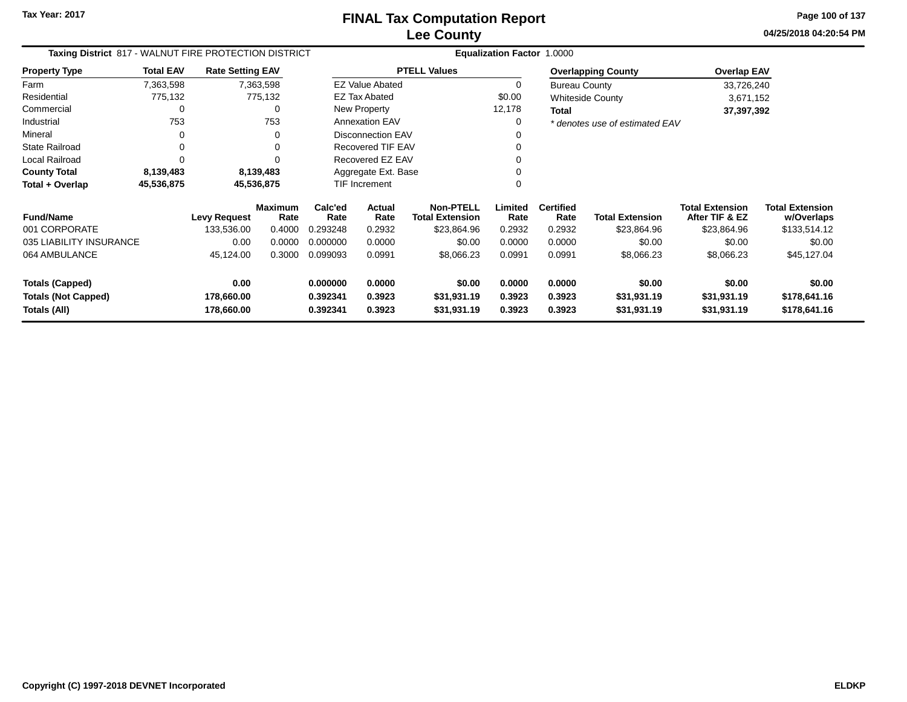**04/25/2018 04:20:54 PMPage 100 of 137**

| Taxing District 817 - WALNUT FIRE PROTECTION DISTRICT |                  |                         |                        |                 |                        |                                            | Equalization Factor 1.0000 |                          |                                |                                          |                                      |
|-------------------------------------------------------|------------------|-------------------------|------------------------|-----------------|------------------------|--------------------------------------------|----------------------------|--------------------------|--------------------------------|------------------------------------------|--------------------------------------|
| <b>Property Type</b>                                  | <b>Total EAV</b> | <b>Rate Setting EAV</b> |                        |                 |                        | <b>PTELL Values</b>                        |                            |                          | <b>Overlapping County</b>      | <b>Overlap EAV</b>                       |                                      |
| Farm                                                  | 7,363,598        |                         | 7,363,598              |                 | <b>EZ Value Abated</b> |                                            | 0                          | <b>Bureau County</b>     |                                | 33,726,240                               |                                      |
| Residential                                           | 775,132          |                         | 775,132                |                 | <b>EZ Tax Abated</b>   |                                            | \$0.00                     |                          | <b>Whiteside County</b>        | 3,671,152                                |                                      |
| Commercial                                            | 0                |                         | <sup>0</sup>           |                 | New Property           |                                            | 12,178                     | Total                    |                                | 37,397,392                               |                                      |
| Industrial                                            | 753              |                         | 753                    |                 | <b>Annexation EAV</b>  |                                            | 0                          |                          | * denotes use of estimated EAV |                                          |                                      |
| Mineral                                               | 0                |                         | 0                      |                 | Disconnection EAV      |                                            | 0                          |                          |                                |                                          |                                      |
| <b>State Railroad</b>                                 | 0                |                         |                        |                 | Recovered TIF EAV      |                                            | 0                          |                          |                                |                                          |                                      |
| <b>Local Railroad</b>                                 | $\Omega$         |                         |                        |                 | Recovered EZ EAV       |                                            | 0                          |                          |                                |                                          |                                      |
| <b>County Total</b>                                   | 8,139,483        |                         | 8,139,483              |                 | Aggregate Ext. Base    |                                            |                            |                          |                                |                                          |                                      |
| Total + Overlap                                       | 45,536,875       |                         | 45,536,875             |                 | TIF Increment          |                                            | 0                          |                          |                                |                                          |                                      |
| <b>Fund/Name</b>                                      |                  | <b>Levy Request</b>     | <b>Maximum</b><br>Rate | Calc'ed<br>Rate | Actual<br>Rate         | <b>Non-PTELL</b><br><b>Total Extension</b> | Limited<br>Rate            | <b>Certified</b><br>Rate | <b>Total Extension</b>         | <b>Total Extension</b><br>After TIF & EZ | <b>Total Extension</b><br>w/Overlaps |
| 001 CORPORATE                                         |                  | 133,536.00              | 0.4000                 | 0.293248        | 0.2932                 | \$23,864.96                                | 0.2932                     | 0.2932                   | \$23,864.96                    | \$23,864.96                              | \$133,514.12                         |
| 035 LIABILITY INSURANCE                               |                  | 0.00                    | 0.0000                 | 0.000000        | 0.0000                 | \$0.00                                     | 0.0000                     | 0.0000                   | \$0.00                         | \$0.00                                   | \$0.00                               |
| 064 AMBULANCE                                         |                  | 45,124.00               | 0.3000                 | 0.099093        | 0.0991                 | \$8,066.23                                 | 0.0991                     | 0.0991                   | \$8,066.23                     | \$8,066.23                               | \$45,127.04                          |
| <b>Totals (Capped)</b>                                |                  | 0.00                    |                        | 0.000000        | 0.0000                 | \$0.00                                     | 0.0000                     | 0.0000                   | \$0.00                         | \$0.00                                   | \$0.00                               |
| <b>Totals (Not Capped)</b>                            |                  | 178,660.00              |                        | 0.392341        | 0.3923                 | \$31,931.19                                | 0.3923                     | 0.3923                   | \$31,931.19                    | \$31,931.19                              | \$178,641.16                         |
| Totals (All)                                          |                  | 178,660.00              |                        | 0.392341        | 0.3923                 | \$31,931.19                                | 0.3923                     | 0.3923                   | \$31,931.19                    | \$31,931.19                              | \$178,641.16                         |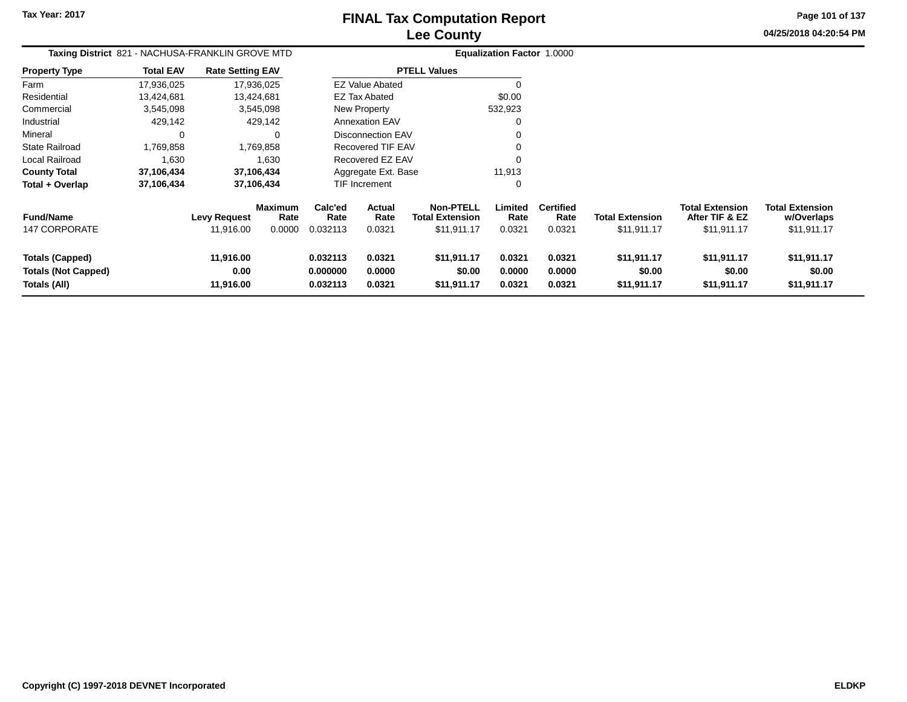**Totals (All)**

# **Lee CountyFINAL Tax Computation Report**

**0.032113 0.0321 \$11,911.17 0.0321 0.0321 \$11,911.17 \$11,911.17 \$11,911.17**

**Page 101 of 137**

**04/25/2018 04:20:54 PM**

| Taxing District 821 - NACHUSA-FRANKLIN GROVE MTD |                  |                         |                        | Equalization Factor 1.0000 |                          |                                            |                 |                          |                        |                                          |                               |
|--------------------------------------------------|------------------|-------------------------|------------------------|----------------------------|--------------------------|--------------------------------------------|-----------------|--------------------------|------------------------|------------------------------------------|-------------------------------|
| <b>Property Type</b>                             | <b>Total EAV</b> | <b>Rate Setting EAV</b> |                        |                            |                          | <b>PTELL Values</b>                        |                 |                          |                        |                                          |                               |
| Farm                                             | 17,936,025       | 17,936,025              |                        |                            | <b>EZ Value Abated</b>   |                                            |                 |                          |                        |                                          |                               |
| Residential                                      | 13,424,681       | 13,424,681              |                        |                            | <b>EZ Tax Abated</b>     |                                            | \$0.00          |                          |                        |                                          |                               |
| Commercial                                       | 3,545,098        |                         | 3,545,098              |                            | New Property             |                                            | 532,923         |                          |                        |                                          |                               |
| Industrial                                       | 429,142          |                         | 429,142                |                            | <b>Annexation EAV</b>    |                                            | 0               |                          |                        |                                          |                               |
| Mineral                                          | 0                |                         | $\Omega$               |                            | <b>Disconnection EAV</b> |                                            | 0               |                          |                        |                                          |                               |
| <b>State Railroad</b>                            | 1,769,858        |                         | 1,769,858              |                            | Recovered TIF EAV        |                                            | 0               |                          |                        |                                          |                               |
| Local Railroad                                   | 1,630            |                         | 1,630                  |                            | Recovered EZ EAV         |                                            | 0               |                          |                        |                                          |                               |
| <b>County Total</b>                              | 37,106,434       | 37,106,434              |                        |                            | Aggregate Ext. Base      |                                            | 11,913          |                          |                        |                                          |                               |
| Total + Overlap                                  | 37,106,434       | 37,106,434              |                        |                            | TIF Increment            |                                            | 0               |                          |                        |                                          |                               |
| <b>Fund/Name</b>                                 |                  | <b>Levy Request</b>     | <b>Maximum</b><br>Rate | Calc'ed<br>Rate            | Actual<br>Rate           | <b>Non-PTELL</b><br><b>Total Extension</b> | Limited<br>Rate | <b>Certified</b><br>Rate | <b>Total Extension</b> | <b>Total Extension</b><br>After TIF & EZ | Total Extension<br>w/Overlaps |
| <b>147 CORPORATE</b>                             |                  | 11,916.00               | 0.0000                 | 0.032113                   | 0.0321                   | \$11,911.17                                | 0.0321          | 0.0321                   | \$11,911.17            | \$11,911.17                              | \$11,911.17                   |
| <b>Totals (Capped)</b>                           |                  | 11,916.00               |                        | 0.032113                   | 0.0321                   | \$11,911.17                                | 0.0321          | 0.0321                   | \$11,911.17            | \$11,911.17                              | \$11,911.17                   |
| <b>Totals (Not Capped)</b>                       |                  | 0.00                    |                        | 0.000000                   | 0.0000                   | \$0.00                                     | 0.0000          | 0.0000                   | \$0.00                 | \$0.00                                   | \$0.00                        |

**11,916.00**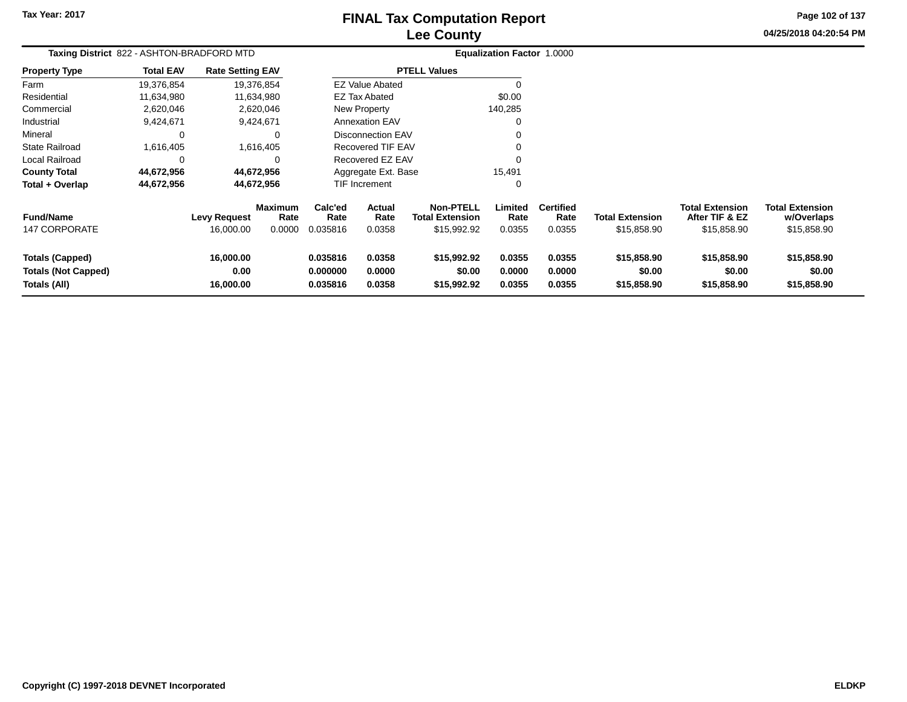# **Lee CountyFINAL Tax Computation Report**

**04/25/2018 04:20:54 PM Page 102 of 137**

| Taxing District 822 - ASHTON-BRADFORD MTD                            |                  |                                                    |                | Equalization Factor 1.0000       |                            |                                                           |                            |                                    |                                       |                                                         |                                                     |
|----------------------------------------------------------------------|------------------|----------------------------------------------------|----------------|----------------------------------|----------------------------|-----------------------------------------------------------|----------------------------|------------------------------------|---------------------------------------|---------------------------------------------------------|-----------------------------------------------------|
| <b>Property Type</b>                                                 | <b>Total EAV</b> | <b>Rate Setting EAV</b>                            |                |                                  |                            | <b>PTELL Values</b>                                       |                            |                                    |                                       |                                                         |                                                     |
| Farm                                                                 | 19,376,854       | 19,376,854                                         |                |                                  | <b>EZ Value Abated</b>     |                                                           |                            |                                    |                                       |                                                         |                                                     |
| Residential                                                          | 11,634,980       | 11,634,980                                         |                |                                  | <b>EZ Tax Abated</b>       |                                                           | \$0.00                     |                                    |                                       |                                                         |                                                     |
| Commercial                                                           | 2,620,046        | 2,620,046                                          |                |                                  | New Property               |                                                           | 140,285                    |                                    |                                       |                                                         |                                                     |
| Industrial                                                           | 9,424,671        | 9,424,671                                          |                |                                  | <b>Annexation EAV</b>      |                                                           |                            |                                    |                                       |                                                         |                                                     |
| Mineral                                                              |                  |                                                    |                |                                  | <b>Disconnection EAV</b>   |                                                           |                            |                                    |                                       |                                                         |                                                     |
| <b>State Railroad</b>                                                | 1,616,405        | 1,616,405                                          |                |                                  | Recovered TIF EAV          |                                                           |                            |                                    |                                       |                                                         |                                                     |
| Local Railroad                                                       | $\Omega$         |                                                    |                | Recovered EZ EAV                 |                            |                                                           |                            |                                    |                                       |                                                         |                                                     |
| <b>County Total</b>                                                  | 44,672,956       | 44,672,956                                         |                | Aggregate Ext. Base              |                            |                                                           | 15,491                     |                                    |                                       |                                                         |                                                     |
| Total + Overlap                                                      | 44,672,956       | 44,672,956                                         |                |                                  | TIF Increment              |                                                           |                            |                                    |                                       |                                                         |                                                     |
| <b>Fund/Name</b><br><b>147 CORPORATE</b>                             |                  | <b>Maximum</b><br><b>Levy Request</b><br>16,000.00 | Rate<br>0.0000 | Calc'ed<br>Rate<br>0.035816      | Actual<br>Rate<br>0.0358   | <b>Non-PTELL</b><br><b>Total Extension</b><br>\$15,992.92 | Limited<br>Rate<br>0.0355  | <b>Certified</b><br>Rate<br>0.0355 | <b>Total Extension</b><br>\$15,858.90 | <b>Total Extension</b><br>After TIF & EZ<br>\$15,858.90 | <b>Total Extension</b><br>w/Overlaps<br>\$15,858.90 |
| <b>Totals (Capped)</b><br><b>Totals (Not Capped)</b><br>Totals (All) |                  | 16,000.00<br>0.00<br>16,000.00                     |                | 0.035816<br>0.000000<br>0.035816 | 0.0358<br>0.0000<br>0.0358 | \$15,992.92<br>\$0.00<br>\$15,992.92                      | 0.0355<br>0.0000<br>0.0355 | 0.0355<br>0.0000<br>0.0355         | \$15,858.90<br>\$0.00<br>\$15,858.90  | \$15,858.90<br>\$0.00<br>\$15,858.90                    | \$15,858.90<br>\$0.00<br>\$15,858.90                |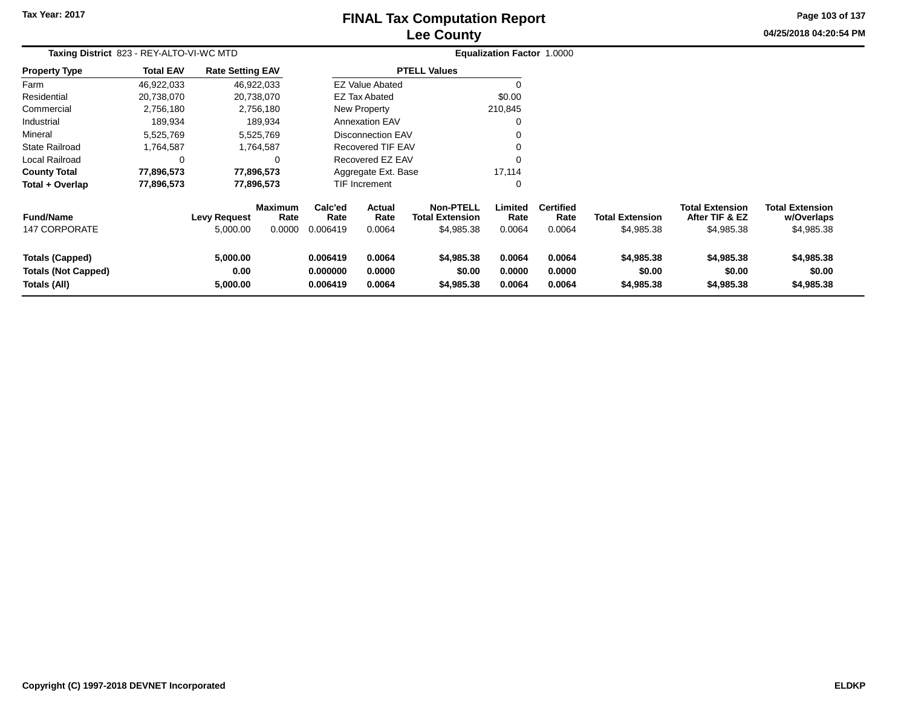# **Lee CountyFINAL Tax Computation Report**

**04/25/2018 04:20:54 PM Page 103 of 137**

|                                                                      | Taxing District 823 - REY-ALTO-VI-WC MTD<br><b>Rate Setting EAV</b> |                                 |                                  |                                  |                            |                                                          | Equalization Factor 1.0000 |                                    |                                      |                                                        |                                                    |
|----------------------------------------------------------------------|---------------------------------------------------------------------|---------------------------------|----------------------------------|----------------------------------|----------------------------|----------------------------------------------------------|----------------------------|------------------------------------|--------------------------------------|--------------------------------------------------------|----------------------------------------------------|
| <b>Property Type</b>                                                 | <b>Total EAV</b>                                                    |                                 |                                  |                                  |                            | <b>PTELL Values</b>                                      |                            |                                    |                                      |                                                        |                                                    |
| Farm                                                                 | 46,922,033                                                          |                                 | 46,922,033                       |                                  | <b>EZ Value Abated</b>     |                                                          |                            |                                    |                                      |                                                        |                                                    |
| Residential                                                          | 20,738,070                                                          |                                 | 20,738,070                       |                                  | EZ Tax Abated              |                                                          | \$0.00                     |                                    |                                      |                                                        |                                                    |
| Commercial                                                           | 2,756,180                                                           |                                 | 2,756,180                        |                                  | New Property               |                                                          | 210,845                    |                                    |                                      |                                                        |                                                    |
| Industrial                                                           | 189,934                                                             |                                 | 189,934                          |                                  | <b>Annexation EAV</b>      |                                                          |                            |                                    |                                      |                                                        |                                                    |
| Mineral                                                              | 5,525,769                                                           |                                 | 5,525,769                        |                                  | <b>Disconnection EAV</b>   |                                                          |                            |                                    |                                      |                                                        |                                                    |
| <b>State Railroad</b>                                                | 1,764,587                                                           |                                 | 1,764,587                        | Recovered TIF EAV                |                            |                                                          |                            |                                    |                                      |                                                        |                                                    |
| Local Railroad                                                       | 0                                                                   |                                 | ∩                                | Recovered EZ EAV                 |                            |                                                          |                            |                                    |                                      |                                                        |                                                    |
| <b>County Total</b>                                                  | 77,896,573                                                          |                                 | 77,896,573                       |                                  | Aggregate Ext. Base        |                                                          | 17,114                     |                                    |                                      |                                                        |                                                    |
| Total + Overlap                                                      | 77,896,573                                                          |                                 | 77,896,573                       |                                  | TIF Increment              |                                                          | 0                          |                                    |                                      |                                                        |                                                    |
| <b>Fund/Name</b><br><b>147 CORPORATE</b>                             |                                                                     | <b>Levy Request</b><br>5,000.00 | <b>Maximum</b><br>Rate<br>0.0000 | Calc'ed<br>Rate<br>0.006419      | Actual<br>Rate<br>0.0064   | <b>Non-PTELL</b><br><b>Total Extension</b><br>\$4,985.38 | Limited<br>Rate<br>0.0064  | <b>Certified</b><br>Rate<br>0.0064 | <b>Total Extension</b><br>\$4,985.38 | <b>Total Extension</b><br>After TIF & EZ<br>\$4,985.38 | <b>Total Extension</b><br>w/Overlaps<br>\$4,985.38 |
| <b>Totals (Capped)</b><br><b>Totals (Not Capped)</b><br>Totals (All) |                                                                     | 5,000.00<br>0.00<br>5,000.00    |                                  | 0.006419<br>0.000000<br>0.006419 | 0.0064<br>0.0000<br>0.0064 | \$4,985.38<br>\$0.00<br>\$4,985.38                       | 0.0064<br>0.0000<br>0.0064 | 0.0064<br>0.0000<br>0.0064         | \$4,985.38<br>\$0.00<br>\$4,985.38   | \$4,985.38<br>\$0.00<br>\$4,985.38                     | \$4,985.38<br>\$0.00<br>\$4,985.38                 |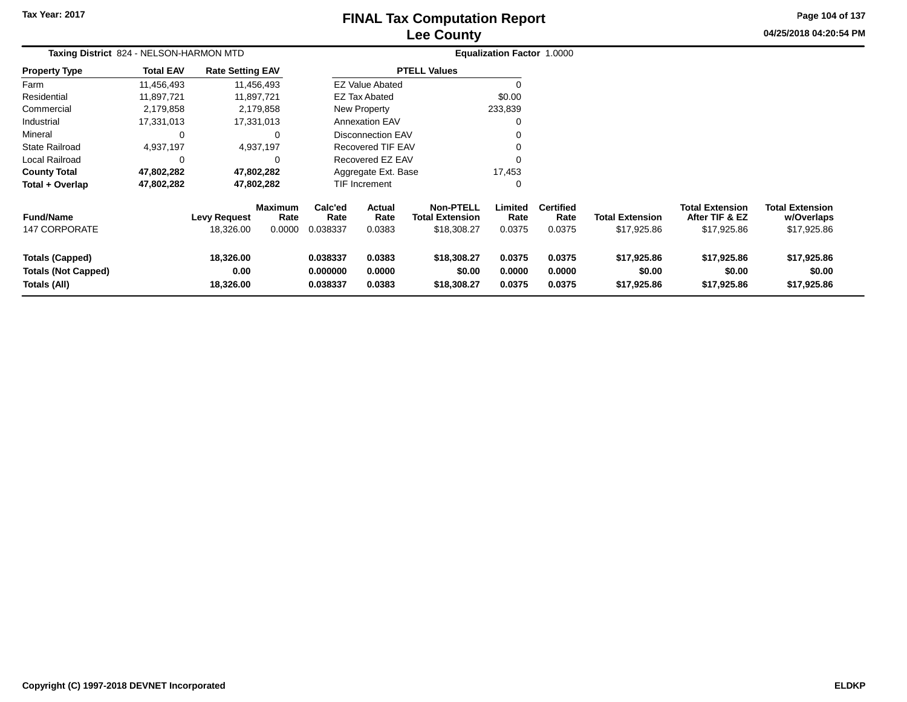# **Lee CountyFINAL Tax Computation Report**

**04/25/2018 04:20:54 PM Page 104 of 137**

|                                                                      | Taxing District 824 - NELSON-HARMON MTD |                                |                        |                                  |                            |                                            | <b>Equalization Factor 1.0000</b> |                            |                                      |                                          |                                      |  |
|----------------------------------------------------------------------|-----------------------------------------|--------------------------------|------------------------|----------------------------------|----------------------------|--------------------------------------------|-----------------------------------|----------------------------|--------------------------------------|------------------------------------------|--------------------------------------|--|
| <b>Property Type</b>                                                 | <b>Total EAV</b>                        | <b>Rate Setting EAV</b>        |                        |                                  |                            | <b>PTELL Values</b>                        |                                   |                            |                                      |                                          |                                      |  |
| Farm                                                                 | 11,456,493                              |                                | 11,456,493             |                                  | <b>EZ Value Abated</b>     |                                            | $\Omega$                          |                            |                                      |                                          |                                      |  |
| Residential                                                          | 11,897,721                              | 11,897,721                     |                        |                                  | <b>EZ Tax Abated</b>       |                                            | \$0.00                            |                            |                                      |                                          |                                      |  |
| Commercial                                                           | 2,179,858                               |                                | 2,179,858              |                                  | New Property               |                                            | 233,839                           |                            |                                      |                                          |                                      |  |
| Industrial                                                           | 17,331,013                              | 17,331,013                     |                        |                                  | <b>Annexation EAV</b>      |                                            | 0                                 |                            |                                      |                                          |                                      |  |
| Mineral                                                              | 0                                       |                                | 0                      |                                  | <b>Disconnection EAV</b>   |                                            | 0                                 |                            |                                      |                                          |                                      |  |
| <b>State Railroad</b>                                                | 4,937,197                               |                                | 4,937,197              | <b>Recovered TIF EAV</b>         |                            |                                            | $\Omega$                          |                            |                                      |                                          |                                      |  |
| Local Railroad                                                       | 0                                       |                                | $\Omega$               | Recovered EZ EAV                 |                            |                                            | $\Omega$                          |                            |                                      |                                          |                                      |  |
| <b>County Total</b>                                                  | 47,802,282                              | 47,802,282                     |                        | Aggregate Ext. Base              |                            |                                            | 17,453                            |                            |                                      |                                          |                                      |  |
| Total + Overlap                                                      | 47,802,282                              | 47,802,282                     |                        |                                  | TIF Increment              |                                            | 0                                 |                            |                                      |                                          |                                      |  |
| <b>Fund/Name</b>                                                     |                                         | <b>Levy Request</b>            | <b>Maximum</b><br>Rate | Calc'ed<br>Rate                  | Actual<br>Rate             | <b>Non-PTELL</b><br><b>Total Extension</b> | Limited<br>Rate                   | <b>Certified</b><br>Rate   | <b>Total Extension</b>               | <b>Total Extension</b><br>After TIF & EZ | <b>Total Extension</b><br>w/Overlaps |  |
| <b>147 CORPORATE</b>                                                 |                                         | 18,326.00                      | 0.0000                 | 0.038337                         | 0.0383                     | \$18,308.27                                | 0.0375                            | 0.0375                     | \$17,925.86                          | \$17,925.86                              | \$17,925.86                          |  |
| <b>Totals (Capped)</b><br><b>Totals (Not Capped)</b><br>Totals (All) |                                         | 18,326.00<br>0.00<br>18,326.00 |                        | 0.038337<br>0.000000<br>0.038337 | 0.0383<br>0.0000<br>0.0383 | \$18,308.27<br>\$0.00<br>\$18,308.27       | 0.0375<br>0.0000<br>0.0375        | 0.0375<br>0.0000<br>0.0375 | \$17,925.86<br>\$0.00<br>\$17,925.86 | \$17,925.86<br>\$0.00<br>\$17,925.86     | \$17,925.86<br>\$0.00<br>\$17,925.86 |  |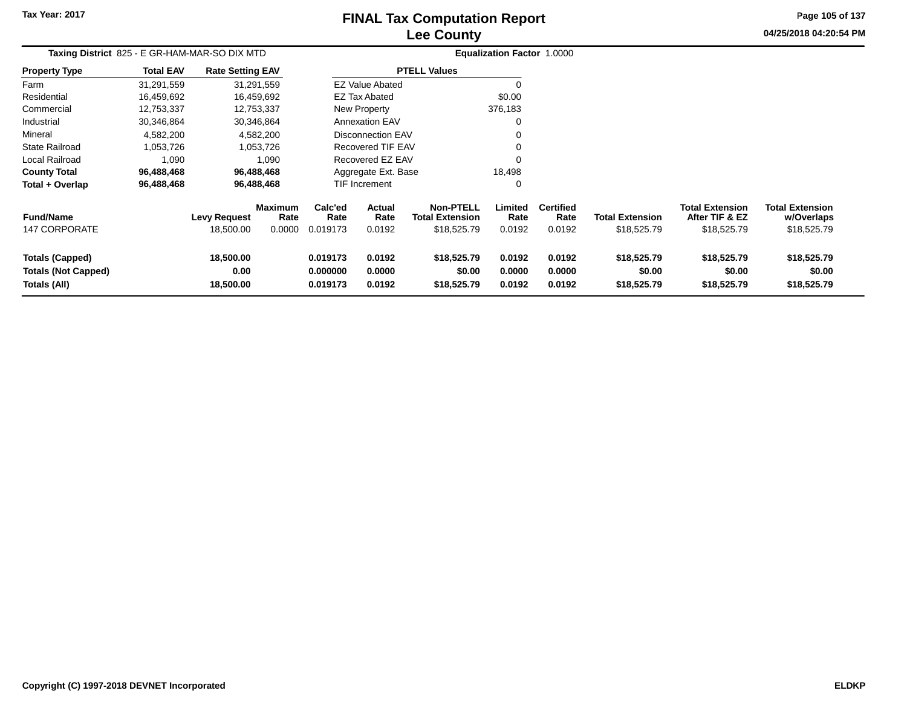# **Lee CountyFINAL Tax Computation Report**

**04/25/2018 04:20:54 PM Page 105 of 137**

| Taxing District 825 - E GR-HAM-MAR-SO DIX MTD                        |                  |                                |                        |                                              |                            |                                            | <b>Equalization Factor 1.0000</b> |                            |                                      |                                          |                                      |
|----------------------------------------------------------------------|------------------|--------------------------------|------------------------|----------------------------------------------|----------------------------|--------------------------------------------|-----------------------------------|----------------------------|--------------------------------------|------------------------------------------|--------------------------------------|
| <b>Property Type</b>                                                 | <b>Total EAV</b> | <b>Rate Setting EAV</b>        |                        |                                              |                            | <b>PTELL Values</b>                        |                                   |                            |                                      |                                          |                                      |
| Farm                                                                 | 31,291,559       |                                | 31,291,559             |                                              | <b>EZ Value Abated</b>     |                                            |                                   |                            |                                      |                                          |                                      |
| Residential                                                          | 16,459,692       |                                | 16,459,692             |                                              | <b>EZ Tax Abated</b>       |                                            | \$0.00                            |                            |                                      |                                          |                                      |
| Commercial                                                           | 12,753,337       |                                | 12,753,337             |                                              | <b>New Property</b>        |                                            | 376,183                           |                            |                                      |                                          |                                      |
| Industrial                                                           | 30,346,864       |                                | 30,346,864             |                                              | <b>Annexation EAV</b>      |                                            | 0                                 |                            |                                      |                                          |                                      |
| Mineral                                                              | 4,582,200        |                                | 4,582,200              |                                              | <b>Disconnection EAV</b>   |                                            |                                   |                            |                                      |                                          |                                      |
| State Railroad                                                       | 1,053,726        |                                | 1,053,726              | <b>Recovered TIF EAV</b><br>Recovered EZ EAV |                            |                                            |                                   |                            |                                      |                                          |                                      |
| Local Railroad                                                       | 1,090            |                                | 1,090                  |                                              |                            |                                            |                                   |                            |                                      |                                          |                                      |
| <b>County Total</b>                                                  | 96,488,468       |                                | 96,488,468             |                                              | Aggregate Ext. Base        |                                            | 18,498                            |                            |                                      |                                          |                                      |
| Total + Overlap                                                      | 96,488,468       |                                | 96,488,468             |                                              | TIF Increment              |                                            | 0                                 |                            |                                      |                                          |                                      |
| <b>Fund/Name</b>                                                     |                  | <b>Levy Request</b>            | <b>Maximum</b><br>Rate | Calc'ed<br>Rate                              | <b>Actual</b><br>Rate      | <b>Non-PTELL</b><br><b>Total Extension</b> | Limited<br>Rate                   | <b>Certified</b><br>Rate   | <b>Total Extension</b>               | <b>Total Extension</b><br>After TIF & EZ | <b>Total Extension</b><br>w/Overlaps |
| <b>147 CORPORATE</b>                                                 |                  | 18,500.00                      | 0.0000                 | 0.019173                                     | 0.0192                     | \$18,525.79                                | 0.0192                            | 0.0192                     | \$18,525.79                          | \$18,525.79                              | \$18,525.79                          |
| <b>Totals (Capped)</b><br><b>Totals (Not Capped)</b><br>Totals (All) |                  | 18,500.00<br>0.00<br>18,500.00 |                        | 0.019173<br>0.000000<br>0.019173             | 0.0192<br>0.0000<br>0.0192 | \$18,525.79<br>\$0.00<br>\$18,525.79       | 0.0192<br>0.0000<br>0.0192        | 0.0192<br>0.0000<br>0.0192 | \$18,525.79<br>\$0.00<br>\$18,525.79 | \$18,525.79<br>\$0.00<br>\$18,525.79     | \$18,525.79<br>\$0.00<br>\$18,525.79 |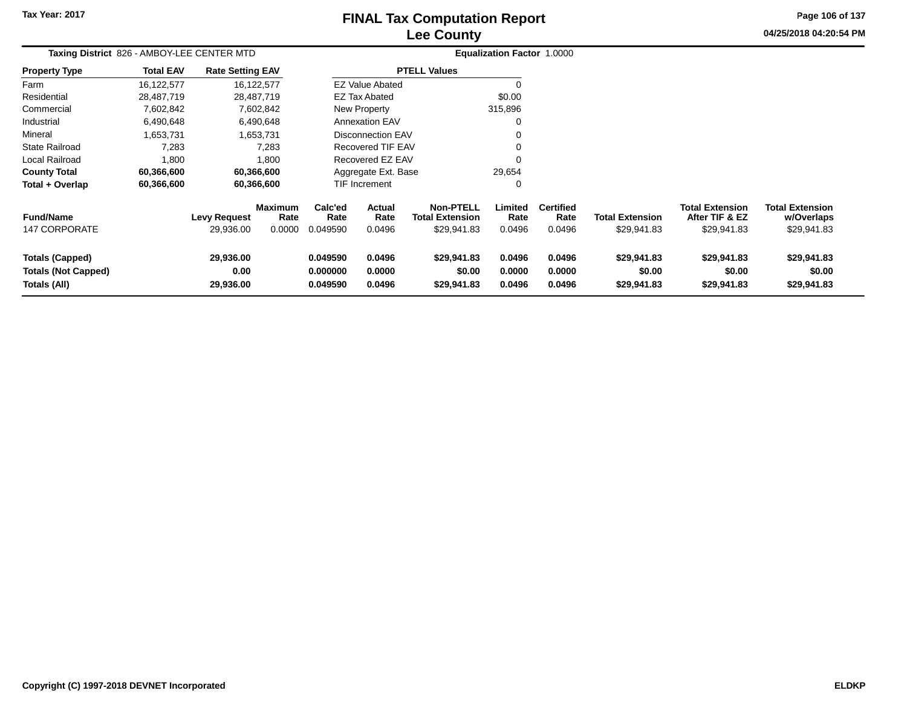## **Lee CountyFINAL Tax Computation Report**

**Page 106 of 137**

| 04/25/2018 04:20:54 PM |
|------------------------|
|------------------------|

| Taxing District 826 - AMBOY-LEE CENTER MTD                           |                  |                                  |                                  | Equalization Factor 1.0000            |                            |                                                    |                            |                                    |                                       |                                                         |                                                     |
|----------------------------------------------------------------------|------------------|----------------------------------|----------------------------------|---------------------------------------|----------------------------|----------------------------------------------------|----------------------------|------------------------------------|---------------------------------------|---------------------------------------------------------|-----------------------------------------------------|
| <b>Property Type</b>                                                 | <b>Total EAV</b> | <b>Rate Setting EAV</b>          |                                  |                                       |                            | <b>PTELL Values</b>                                |                            |                                    |                                       |                                                         |                                                     |
| Farm                                                                 | 16,122,577       |                                  | 16,122,577                       |                                       | <b>EZ Value Abated</b>     |                                                    | $\Omega$                   |                                    |                                       |                                                         |                                                     |
| Residential                                                          | 28,487,719       |                                  | 28,487,719                       |                                       | EZ Tax Abated              |                                                    | \$0.00                     |                                    |                                       |                                                         |                                                     |
| Commercial                                                           | 7,602,842        |                                  | 7,602,842                        |                                       | New Property               |                                                    | 315,896                    |                                    |                                       |                                                         |                                                     |
| Industrial                                                           | 6,490,648        |                                  | 6,490,648                        |                                       | <b>Annexation EAV</b>      |                                                    | 0                          |                                    |                                       |                                                         |                                                     |
| Mineral                                                              | 1,653,731        |                                  | 1.653.731                        |                                       | <b>Disconnection EAV</b>   |                                                    | 0                          |                                    |                                       |                                                         |                                                     |
| <b>State Railroad</b>                                                | 7,283            |                                  | 7,283                            | Recovered TIF EAV<br>Recovered EZ EAV |                            |                                                    | 0                          |                                    |                                       |                                                         |                                                     |
| Local Railroad                                                       | 1,800            |                                  | 1,800                            |                                       |                            |                                                    | 0                          |                                    |                                       |                                                         |                                                     |
| <b>County Total</b>                                                  | 60,366,600       |                                  | 60,366,600                       |                                       | Aggregate Ext. Base        |                                                    | 29,654                     |                                    |                                       |                                                         |                                                     |
| Total + Overlap                                                      | 60,366,600       |                                  | 60,366,600                       |                                       | TIF Increment              |                                                    | 0                          |                                    |                                       |                                                         |                                                     |
| <b>Fund/Name</b><br>147 CORPORATE                                    |                  | <b>Levy Request</b><br>29,936.00 | <b>Maximum</b><br>Rate<br>0.0000 | Calc'ed<br>Rate<br>0.049590           | Actual<br>Rate<br>0.0496   | <b>Non-PTELL</b><br>Total Extension<br>\$29,941.83 | Limited<br>Rate<br>0.0496  | <b>Certified</b><br>Rate<br>0.0496 | <b>Total Extension</b><br>\$29,941.83 | <b>Total Extension</b><br>After TIF & EZ<br>\$29,941.83 | <b>Total Extension</b><br>w/Overlaps<br>\$29,941.83 |
| <b>Totals (Capped)</b><br><b>Totals (Not Capped)</b><br>Totals (All) |                  | 29,936.00<br>0.00<br>29,936.00   |                                  | 0.049590<br>0.000000<br>0.049590      | 0.0496<br>0.0000<br>0.0496 | \$29,941.83<br>\$0.00<br>\$29,941.83               | 0.0496<br>0.0000<br>0.0496 | 0.0496<br>0.0000<br>0.0496         | \$29,941.83<br>\$0.00<br>\$29,941.83  | \$29,941.83<br>\$0.00<br>\$29,941.83                    | \$29,941.83<br>\$0.00<br>\$29,941.83                |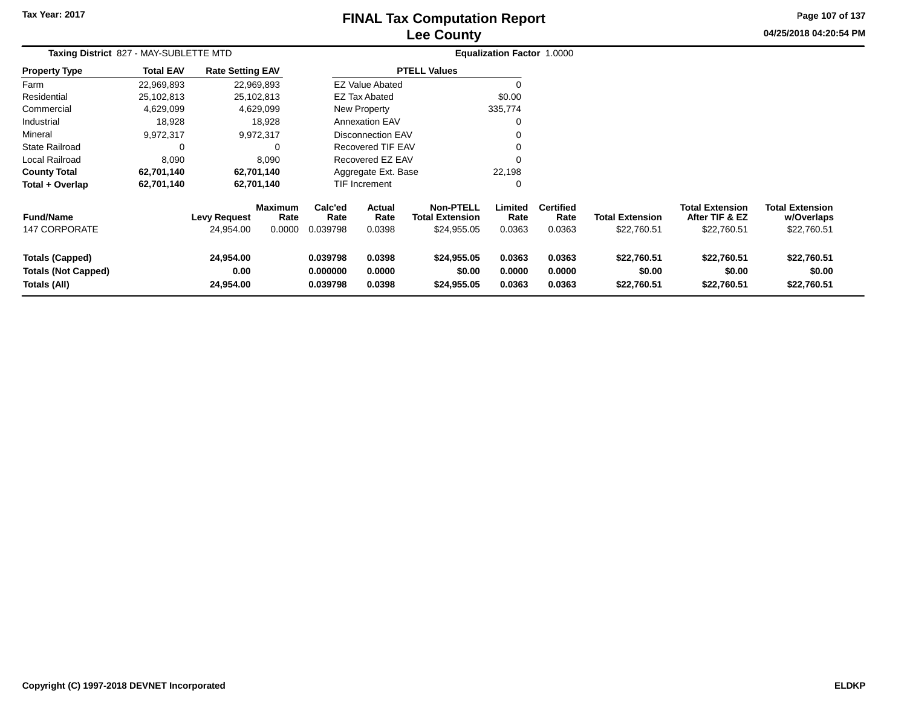# **Lee CountyFINAL Tax Computation Report**

**04/25/2018 04:20:54 PM Page 107 of 137**

|                                                                      | Taxing District 827 - MAY-SUBLETTE MTD |                                |                        |                                  |                            |                                            | Equalization Factor 1.0000 |                            |                                      |                                          |                                      |  |
|----------------------------------------------------------------------|----------------------------------------|--------------------------------|------------------------|----------------------------------|----------------------------|--------------------------------------------|----------------------------|----------------------------|--------------------------------------|------------------------------------------|--------------------------------------|--|
| <b>Property Type</b>                                                 | <b>Total EAV</b>                       | <b>Rate Setting EAV</b>        |                        |                                  |                            | <b>PTELL Values</b>                        |                            |                            |                                      |                                          |                                      |  |
| Farm                                                                 | 22,969,893                             | 22,969,893                     |                        |                                  | <b>EZ Value Abated</b>     |                                            | O                          |                            |                                      |                                          |                                      |  |
| Residential                                                          | 25,102,813                             | 25,102,813                     |                        |                                  | <b>EZ Tax Abated</b>       |                                            | \$0.00                     |                            |                                      |                                          |                                      |  |
| Commercial                                                           | 4,629,099                              | 4,629,099                      |                        |                                  | New Property               |                                            | 335,774                    |                            |                                      |                                          |                                      |  |
| Industrial                                                           | 18,928                                 | 18,928                         |                        |                                  | <b>Annexation EAV</b>      |                                            | $\Omega$                   |                            |                                      |                                          |                                      |  |
| Mineral                                                              | 9,972,317                              | 9,972,317                      |                        | <b>Disconnection EAV</b>         |                            |                                            |                            |                            |                                      |                                          |                                      |  |
| <b>State Railroad</b>                                                | 0                                      |                                | 0                      | Recovered TIF EAV                |                            |                                            |                            |                            |                                      |                                          |                                      |  |
| Local Railroad                                                       | 8,090                                  |                                | 8,090                  | Recovered EZ EAV                 |                            |                                            | $\Omega$                   |                            |                                      |                                          |                                      |  |
| <b>County Total</b>                                                  | 62,701,140                             | 62,701,140                     |                        |                                  | Aggregate Ext. Base        |                                            | 22,198                     |                            |                                      |                                          |                                      |  |
| Total + Overlap                                                      | 62,701,140                             | 62,701,140                     |                        |                                  | TIF Increment              |                                            | $\Omega$                   |                            |                                      |                                          |                                      |  |
| <b>Fund/Name</b>                                                     |                                        | <b>Levy Request</b>            | <b>Maximum</b><br>Rate | Calc'ed<br>Rate                  | <b>Actual</b><br>Rate      | <b>Non-PTELL</b><br><b>Total Extension</b> | Limited<br>Rate            | <b>Certified</b><br>Rate   | <b>Total Extension</b>               | <b>Total Extension</b><br>After TIF & EZ | <b>Total Extension</b><br>w/Overlaps |  |
| 147 CORPORATE                                                        |                                        | 24,954.00                      | 0.0000                 | 0.039798                         | 0.0398                     | \$24,955.05                                | 0.0363                     | 0.0363                     | \$22,760.51                          | \$22,760.51                              | \$22,760.51                          |  |
| <b>Totals (Capped)</b><br><b>Totals (Not Capped)</b><br>Totals (All) |                                        | 24,954.00<br>0.00<br>24,954.00 |                        | 0.039798<br>0.000000<br>0.039798 | 0.0398<br>0.0000<br>0.0398 | \$24,955.05<br>\$0.00<br>\$24,955.05       | 0.0363<br>0.0000<br>0.0363 | 0.0363<br>0.0000<br>0.0363 | \$22,760.51<br>\$0.00<br>\$22,760.51 | \$22,760.51<br>\$0.00<br>\$22,760.51     | \$22,760.51<br>\$0.00<br>\$22,760.51 |  |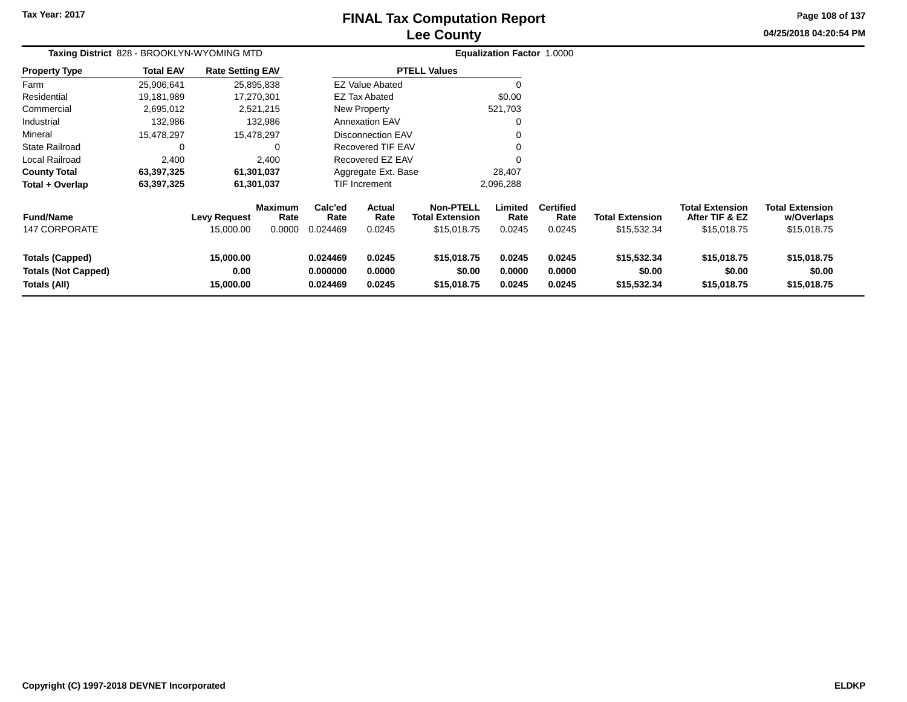# **Lee CountyFINAL Tax Computation Report**

**04/25/2018 04:20:54 PMPage 108 of 137**

| Taxing District 828 - BROOKLYN-WYOMING MTD                           |                  |                                |                                  | <b>Equalization Factor 1.0000</b> |                            |                                                           |                            |                                    |                                       |                                                         |                                                     |
|----------------------------------------------------------------------|------------------|--------------------------------|----------------------------------|-----------------------------------|----------------------------|-----------------------------------------------------------|----------------------------|------------------------------------|---------------------------------------|---------------------------------------------------------|-----------------------------------------------------|
| Property Type                                                        | <b>Total EAV</b> | <b>Rate Setting EAV</b>        |                                  | <b>PTELL Values</b>               |                            |                                                           |                            |                                    |                                       |                                                         |                                                     |
| Farm                                                                 | 25,906,641       |                                | 25,895,838                       |                                   | <b>EZ Value Abated</b>     |                                                           | 0                          |                                    |                                       |                                                         |                                                     |
| Residential                                                          | 19,181,989       | 17,270,301                     |                                  | <b>EZ Tax Abated</b>              |                            |                                                           | \$0.00                     |                                    |                                       |                                                         |                                                     |
| Commercial                                                           | 2,695,012        | 2,521,215                      |                                  | New Property                      |                            |                                                           | 521,703                    |                                    |                                       |                                                         |                                                     |
| Industrial                                                           | 132,986          | 132,986                        |                                  | <b>Annexation EAV</b>             |                            |                                                           | 0                          |                                    |                                       |                                                         |                                                     |
| Mineral                                                              | 15,478,297       | 15,478,297                     |                                  | <b>Disconnection EAV</b>          |                            |                                                           |                            |                                    |                                       |                                                         |                                                     |
| State Railroad                                                       | 0                |                                |                                  | Recovered TIF EAV                 |                            |                                                           |                            |                                    |                                       |                                                         |                                                     |
| Local Railroad                                                       | 2,400            | 2,400                          |                                  | Recovered EZ EAV                  |                            |                                                           |                            |                                    |                                       |                                                         |                                                     |
| <b>County Total</b>                                                  | 63,397,325       | 61,301,037                     |                                  |                                   | Aggregate Ext. Base        |                                                           | 28,407                     |                                    |                                       |                                                         |                                                     |
| Total + Overlap                                                      | 63,397,325       | 61,301,037                     |                                  | TIF Increment                     |                            |                                                           | 2,096,288                  |                                    |                                       |                                                         |                                                     |
| <b>Fund/Name</b><br><b>147 CORPORATE</b>                             |                  | Levy Request<br>15,000.00      | <b>Maximum</b><br>Rate<br>0.0000 | Calc'ed<br>Rate<br>0.024469       | Actual<br>Rate<br>0.0245   | <b>Non-PTELL</b><br><b>Total Extension</b><br>\$15,018.75 | Limited<br>Rate<br>0.0245  | <b>Certified</b><br>Rate<br>0.0245 | <b>Total Extension</b><br>\$15,532.34 | <b>Total Extension</b><br>After TIF & EZ<br>\$15,018.75 | <b>Total Extension</b><br>w/Overlaps<br>\$15,018.75 |
| <b>Totals (Capped)</b><br><b>Totals (Not Capped)</b><br>Totals (All) |                  | 15,000.00<br>0.00<br>15,000.00 |                                  | 0.024469<br>0.000000<br>0.024469  | 0.0245<br>0.0000<br>0.0245 | \$15,018.75<br>\$0.00<br>\$15,018.75                      | 0.0245<br>0.0000<br>0.0245 | 0.0245<br>0.0000<br>0.0245         | \$15,532.34<br>\$0.00<br>\$15,532.34  | \$15,018.75<br>\$0.00<br>\$15,018.75                    | \$15,018.75<br>\$0.00<br>\$15,018.75                |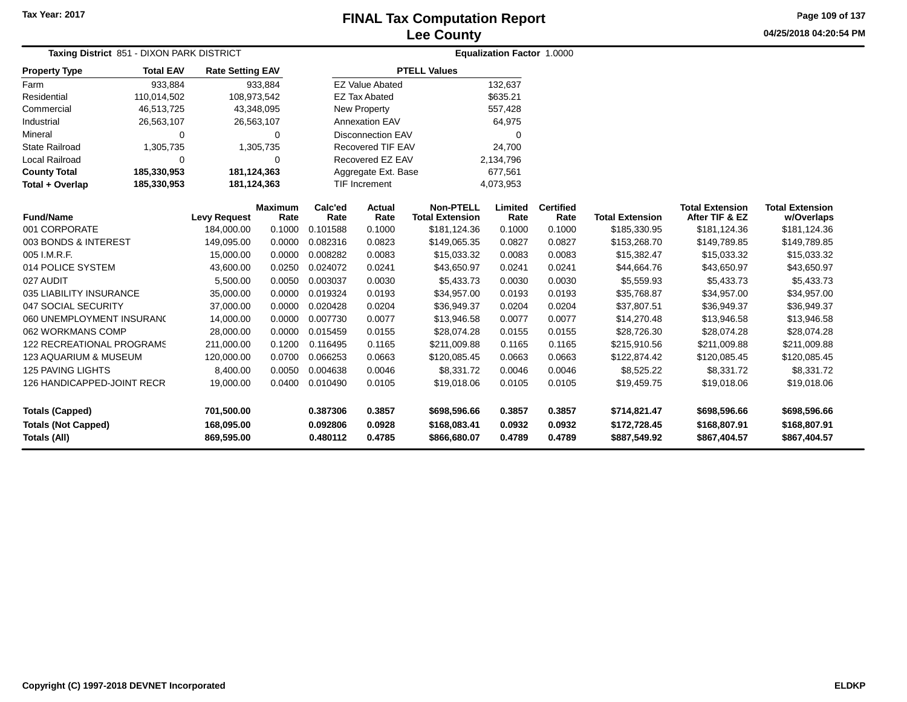**Page 109 of 137**

| <b>Taxing District 851 - DIXON PARK DISTRICT</b> |                              |                          |                        |                      |                          |                                            | <b>Equalization Factor 1.0000</b> |                          |                              |                                          |                                      |
|--------------------------------------------------|------------------------------|--------------------------|------------------------|----------------------|--------------------------|--------------------------------------------|-----------------------------------|--------------------------|------------------------------|------------------------------------------|--------------------------------------|
| <b>Property Type</b>                             | <b>Total EAV</b>             | <b>Rate Setting EAV</b>  |                        |                      |                          | <b>PTELL Values</b>                        |                                   |                          |                              |                                          |                                      |
| Farm                                             | 933,884                      |                          | 933,884                |                      | <b>EZ Value Abated</b>   |                                            | 132,637                           |                          |                              |                                          |                                      |
| Residential                                      | 110,014,502                  |                          | 108,973,542            |                      | <b>EZ Tax Abated</b>     |                                            | \$635.21                          |                          |                              |                                          |                                      |
| Commercial                                       | 46,513,725                   |                          | 43,348,095             |                      | New Property             |                                            | 557,428                           |                          |                              |                                          |                                      |
| Industrial                                       | 26,563,107                   |                          | 26,563,107             |                      | <b>Annexation EAV</b>    |                                            | 64,975                            |                          |                              |                                          |                                      |
| Mineral                                          | 0                            |                          | $\Omega$               |                      | <b>Disconnection EAV</b> |                                            | 0                                 |                          |                              |                                          |                                      |
| <b>State Railroad</b>                            | 1,305,735                    |                          | 1,305,735              |                      | Recovered TIF EAV        |                                            | 24,700                            |                          |                              |                                          |                                      |
| Local Railroad                                   | $\Omega$                     |                          | $\Omega$               |                      | Recovered EZ EAV         |                                            | 2,134,796                         |                          |                              |                                          |                                      |
| <b>County Total</b>                              | 185,330,953<br>181, 124, 363 |                          |                        |                      | Aggregate Ext. Base      |                                            | 677,561                           |                          |                              |                                          |                                      |
| Total + Overlap                                  | 185,330,953                  |                          | 181,124,363            |                      | <b>TIF Increment</b>     |                                            | 4,073,953                         |                          |                              |                                          |                                      |
| <b>Fund/Name</b>                                 |                              | <b>Levy Request</b>      | <b>Maximum</b><br>Rate | Calc'ed<br>Rate      | Actual<br>Rate           | <b>Non-PTELL</b><br><b>Total Extension</b> | Limited<br>Rate                   | <b>Certified</b><br>Rate | <b>Total Extension</b>       | <b>Total Extension</b><br>After TIF & EZ | <b>Total Extension</b><br>w/Overlaps |
| 001 CORPORATE                                    |                              | 184,000.00               | 0.1000                 | 0.101588             | 0.1000                   | \$181,124.36                               | 0.1000                            | 0.1000                   | \$185,330.95                 | \$181,124.36                             | \$181,124.36                         |
| 003 BONDS & INTEREST                             |                              | 149,095.00               | 0.0000                 | 0.082316             | 0.0823                   | \$149,065.35                               | 0.0827                            | 0.0827                   | \$153,268.70                 | \$149,789.85                             | \$149,789.85                         |
| 005 I.M.R.F.                                     |                              | 15,000.00                | 0.0000                 | 0.008282             | 0.0083                   | \$15,033.32                                | 0.0083                            | 0.0083                   | \$15,382.47                  | \$15,033.32                              | \$15,033.32                          |
| 014 POLICE SYSTEM                                |                              | 43,600.00                | 0.0250                 | 0.024072             | 0.0241                   | \$43,650.97                                | 0.0241                            | 0.0241                   | \$44,664.76                  | \$43,650.97                              | \$43,650.97                          |
| 027 AUDIT                                        |                              | 5,500.00                 | 0.0050                 | 0.003037             | 0.0030                   | \$5,433.73                                 | 0.0030                            | 0.0030                   | \$5,559.93                   | \$5,433.73                               | \$5,433.73                           |
| 035 LIABILITY INSURANCE                          |                              | 35,000.00                | 0.0000                 | 0.019324             | 0.0193                   | \$34,957.00                                | 0.0193                            | 0.0193                   | \$35,768.87                  | \$34,957.00                              | \$34,957.00                          |
| 047 SOCIAL SECURITY                              |                              | 37,000.00                | 0.0000                 | 0.020428             | 0.0204                   | \$36,949.37                                | 0.0204                            | 0.0204                   | \$37,807.51                  | \$36,949.37                              | \$36,949.37                          |
| 060 UNEMPLOYMENT INSURANC                        |                              | 14,000.00                | 0.0000                 | 0.007730             | 0.0077                   | \$13,946.58                                | 0.0077                            | 0.0077                   | \$14,270.48                  | \$13,946.58                              | \$13,946.58                          |
| 062 WORKMANS COMP                                |                              | 28,000.00                | 0.0000                 | 0.015459             | 0.0155                   | \$28,074.28                                | 0.0155                            | 0.0155                   | \$28,726.30                  | \$28,074.28                              | \$28,074.28                          |
| <b>122 RECREATIONAL PROGRAMS</b>                 |                              | 211,000.00               | 0.1200                 | 0.116495             | 0.1165                   | \$211,009.88                               | 0.1165                            | 0.1165                   | \$215,910.56                 | \$211,009.88                             | \$211,009.88                         |
| 123 AQUARIUM & MUSEUM                            |                              | 120,000.00               | 0.0700                 | 0.066253             | 0.0663                   | \$120,085.45                               | 0.0663                            | 0.0663                   | \$122,874.42                 | \$120,085.45                             | \$120,085.45                         |
| 125 PAVING LIGHTS                                |                              | 8,400.00                 | 0.0050                 | 0.004638             | 0.0046                   | \$8,331.72                                 | 0.0046                            | 0.0046                   | \$8,525.22                   | \$8,331.72                               | \$8,331.72                           |
| <b>126 HANDICAPPED-JOINT RECR</b>                |                              | 19,000.00                | 0.0400                 | 0.010490             | 0.0105                   | \$19,018.06                                | 0.0105                            | 0.0105                   | \$19,459.75                  | \$19,018.06                              | \$19,018.06                          |
| <b>Totals (Capped)</b>                           |                              | 701,500.00               |                        | 0.387306             | 0.3857                   | \$698,596.66                               | 0.3857                            | 0.3857                   | \$714,821.47                 | \$698,596.66                             | \$698,596.66                         |
| <b>Totals (Not Capped)</b><br>Totals (All)       |                              | 168,095.00<br>869,595.00 |                        | 0.092806<br>0.480112 | 0.0928<br>0.4785         | \$168,083.41<br>\$866,680.07               | 0.0932<br>0.4789                  | 0.0932<br>0.4789         | \$172,728.45<br>\$887,549.92 | \$168,807.91<br>\$867,404.57             | \$168,807.91<br>\$867,404.57         |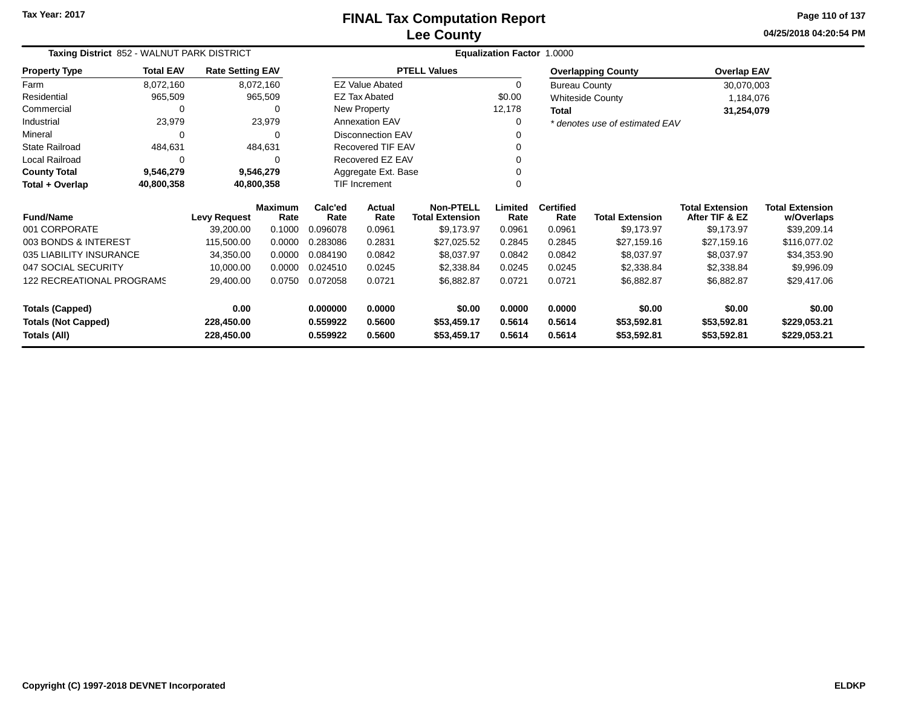**04/25/2018 04:20:54 PM Page 110 of 137**

| Taxing District 852 - WALNUT PARK DISTRICT<br><b>Total EAV</b><br><b>Rate Setting EAV</b> |              |                     |                        |                 |                          |                                            | Equalization Factor 1.0000 |                          |                                |                                          |                                      |
|-------------------------------------------------------------------------------------------|--------------|---------------------|------------------------|-----------------|--------------------------|--------------------------------------------|----------------------------|--------------------------|--------------------------------|------------------------------------------|--------------------------------------|
| <b>Property Type</b>                                                                      |              |                     |                        |                 |                          | <b>PTELL Values</b>                        |                            |                          | <b>Overlapping County</b>      | <b>Overlap EAV</b>                       |                                      |
| Farm                                                                                      | 8,072,160    |                     | 8,072,160              |                 | <b>EZ Value Abated</b>   |                                            | 0                          | <b>Bureau County</b>     |                                | 30,070,003                               |                                      |
| Residential                                                                               | 965,509      |                     | 965,509                |                 | <b>EZ Tax Abated</b>     |                                            | \$0.00                     |                          | <b>Whiteside County</b>        | 1,184,076                                |                                      |
| Commercial                                                                                | 0            |                     | 0                      |                 | New Property             |                                            | 12,178                     | Total                    |                                | 31,254,079                               |                                      |
| Industrial                                                                                | 23,979       |                     | 23,979                 |                 | <b>Annexation EAV</b>    |                                            | 0                          |                          | * denotes use of estimated EAV |                                          |                                      |
| Mineral                                                                                   | 0            |                     | 0                      |                 | Disconnection EAV        |                                            |                            |                          |                                |                                          |                                      |
| <b>State Railroad</b>                                                                     | 484,631      |                     | 484,631                |                 | <b>Recovered TIF EAV</b> |                                            |                            |                          |                                |                                          |                                      |
| Local Railroad                                                                            | $\mathbf{0}$ |                     | 0                      |                 | Recovered EZ EAV         |                                            |                            |                          |                                |                                          |                                      |
| <b>County Total</b>                                                                       | 9,546,279    |                     | 9,546,279              |                 | Aggregate Ext. Base      |                                            |                            |                          |                                |                                          |                                      |
| Total + Overlap                                                                           | 40,800,358   |                     | 40,800,358             |                 | TIF Increment            |                                            |                            |                          |                                |                                          |                                      |
| <b>Fund/Name</b>                                                                          |              | <b>Levy Request</b> | <b>Maximum</b><br>Rate | Calc'ed<br>Rate | Actual<br>Rate           | <b>Non-PTELL</b><br><b>Total Extension</b> | Limited<br>Rate            | <b>Certified</b><br>Rate | <b>Total Extension</b>         | <b>Total Extension</b><br>After TIF & EZ | <b>Total Extension</b><br>w/Overlaps |
| 001 CORPORATE                                                                             |              | 39,200.00           | 0.1000                 | 0.096078        | 0.0961                   | \$9,173.97                                 | 0.0961                     | 0.0961                   | \$9,173.97                     | \$9,173.97                               | \$39,209.14                          |
| 003 BONDS & INTEREST                                                                      |              | 115,500.00          | 0.0000                 | 0.283086        | 0.2831                   | \$27,025.52                                | 0.2845                     | 0.2845                   | \$27,159.16                    | \$27,159.16                              | \$116,077.02                         |
| 035 LIABILITY INSURANCE                                                                   |              | 34,350.00           | 0.0000                 | 0.084190        | 0.0842                   | \$8,037.97                                 | 0.0842                     | 0.0842                   | \$8,037.97                     | \$8,037.97                               | \$34,353.90                          |
| 047 SOCIAL SECURITY                                                                       |              | 10,000.00           | 0.0000                 | 0.024510        | 0.0245                   | \$2,338.84                                 | 0.0245                     | 0.0245                   | \$2,338.84                     | \$2,338.84                               | \$9,996.09                           |
| <b>122 RECREATIONAL PROGRAMS</b>                                                          |              | 29,400.00           | 0.0750                 | 0.072058        | 0.0721                   | \$6,882.87                                 | 0.0721                     | 0.0721                   | \$6,882.87                     | \$6,882.87                               | \$29,417.06                          |
| <b>Totals (Capped)</b>                                                                    |              | 0.00                |                        | 0.000000        | 0.0000                   | \$0.00                                     | 0.0000                     | 0.0000                   | \$0.00                         | \$0.00                                   | \$0.00                               |
| <b>Totals (Not Capped)</b>                                                                |              | 228,450.00          |                        | 0.559922        | 0.5600                   | \$53,459.17                                | 0.5614                     | 0.5614                   | \$53,592.81                    | \$53,592.81                              | \$229,053.21                         |
| Totals (All)                                                                              |              | 228,450.00          |                        | 0.559922        | 0.5600                   | \$53,459.17                                | 0.5614                     | 0.5614                   | \$53,592.81                    | \$53,592.81                              | \$229,053.21                         |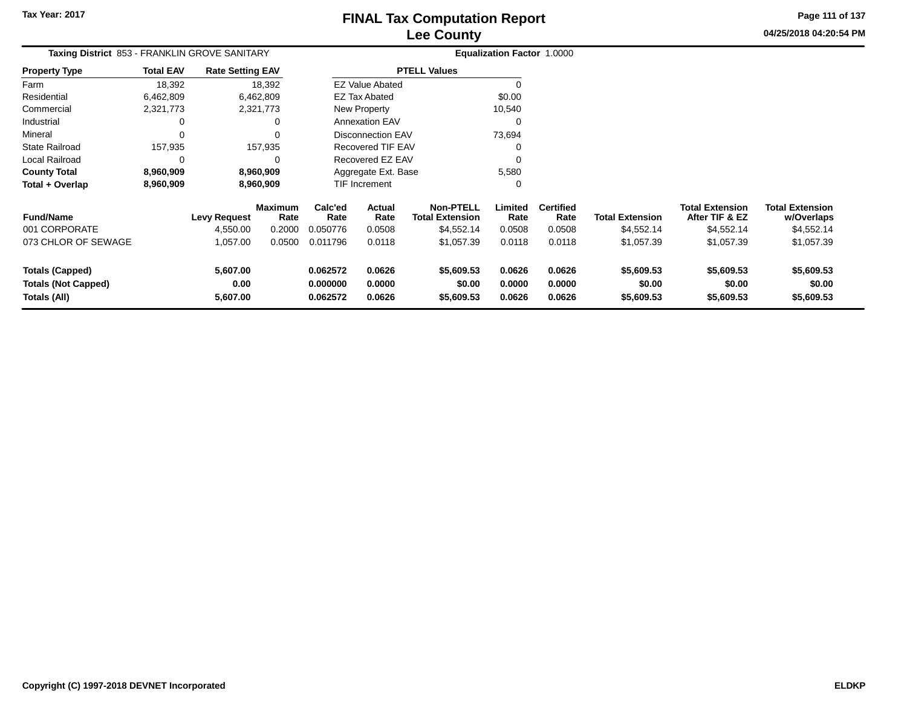**04/25/2018 04:20:54 PM Page 111 of 137**

| <b>Taxing District 853 - FRANKLIN GROVE SANITARY</b>                 |                  |                              |                        | Equalization Factor 1.0000       |                              |                                            |                            |                            |                                    |                                          |                                      |
|----------------------------------------------------------------------|------------------|------------------------------|------------------------|----------------------------------|------------------------------|--------------------------------------------|----------------------------|----------------------------|------------------------------------|------------------------------------------|--------------------------------------|
| <b>Property Type</b>                                                 | <b>Total EAV</b> | <b>Rate Setting EAV</b>      |                        |                                  |                              | <b>PTELL Values</b>                        |                            |                            |                                    |                                          |                                      |
| Farm                                                                 | 18,392           |                              | 18,392                 |                                  | <b>EZ Value Abated</b>       |                                            | $\Omega$                   |                            |                                    |                                          |                                      |
| Residential                                                          | 6,462,809        |                              | 6,462,809              |                                  | <b>EZ Tax Abated</b>         |                                            | \$0.00                     |                            |                                    |                                          |                                      |
| Commercial                                                           | 2,321,773        |                              | 2,321,773              |                                  | New Property                 |                                            | 10,540                     |                            |                                    |                                          |                                      |
| Industrial                                                           | 0                |                              | 0                      |                                  | <b>Annexation EAV</b>        |                                            | 0                          |                            |                                    |                                          |                                      |
| Mineral                                                              | 0                |                              | 0                      |                                  | <b>Disconnection EAV</b>     |                                            | 73,694                     |                            |                                    |                                          |                                      |
| <b>State Railroad</b>                                                | 157,935          |                              | 157,935                |                                  | <b>Recovered TIF EAV</b>     |                                            | 0                          |                            |                                    |                                          |                                      |
| <b>Local Railroad</b>                                                | 0                |                              | 0                      |                                  | Recovered EZ EAV<br>$\Omega$ |                                            |                            |                            |                                    |                                          |                                      |
| <b>County Total</b>                                                  | 8,960,909        |                              | 8,960,909              | 5,580<br>Aggregate Ext. Base     |                              |                                            |                            |                            |                                    |                                          |                                      |
| Total + Overlap                                                      | 8,960,909        |                              | 8,960,909              |                                  | <b>TIF Increment</b>         |                                            | 0                          |                            |                                    |                                          |                                      |
| <b>Fund/Name</b>                                                     |                  | <b>Levy Request</b>          | <b>Maximum</b><br>Rate | Calc'ed<br>Rate                  | <b>Actual</b><br>Rate        | <b>Non-PTELL</b><br><b>Total Extension</b> | Limited<br>Rate            | <b>Certified</b><br>Rate   | <b>Total Extension</b>             | <b>Total Extension</b><br>After TIF & EZ | <b>Total Extension</b><br>w/Overlaps |
| 001 CORPORATE                                                        |                  | 4,550.00                     | 0.2000                 | 0.050776                         | 0.0508                       | \$4,552.14                                 | 0.0508                     | 0.0508                     | \$4,552.14                         | \$4,552.14                               | \$4,552.14                           |
| 073 CHLOR OF SEWAGE                                                  |                  | 1,057.00                     | 0.0500                 | 0.011796                         | 0.0118                       | \$1,057.39                                 | 0.0118                     | 0.0118                     | \$1,057.39                         | \$1,057.39                               | \$1,057.39                           |
| <b>Totals (Capped)</b><br><b>Totals (Not Capped)</b><br>Totals (All) |                  | 5,607.00<br>0.00<br>5,607.00 |                        | 0.062572<br>0.000000<br>0.062572 | 0.0626<br>0.0000<br>0.0626   | \$5,609.53<br>\$0.00<br>\$5,609.53         | 0.0626<br>0.0000<br>0.0626 | 0.0626<br>0.0000<br>0.0626 | \$5,609.53<br>\$0.00<br>\$5,609.53 | \$5,609.53<br>\$0.00<br>\$5,609.53       | \$5,609.53<br>\$0.00<br>\$5,609.53   |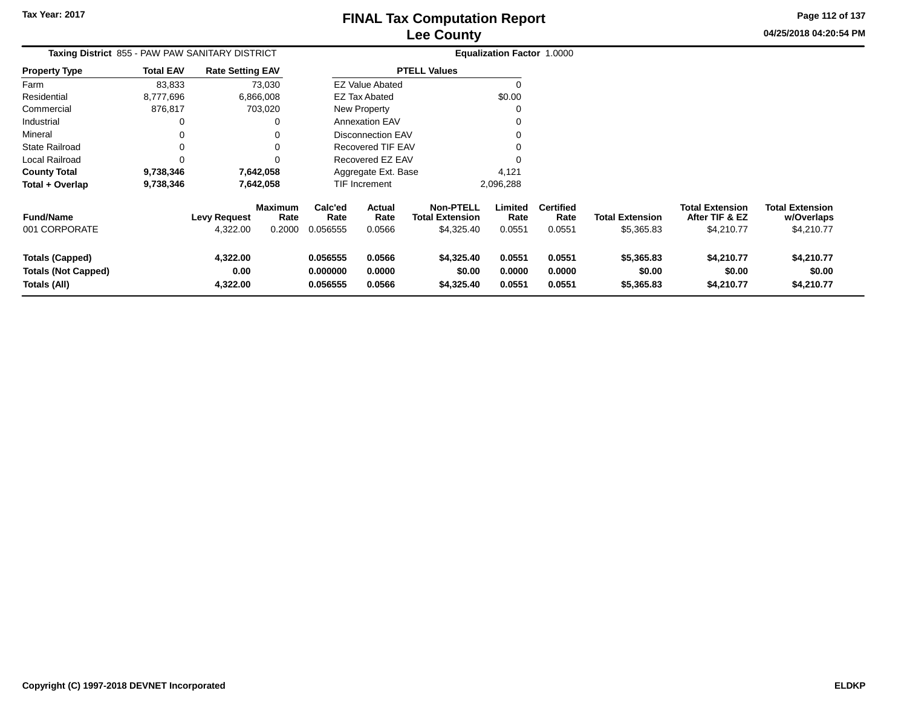**Page 112 of 137**

**04/25/2018 04:20:54 PM**

**w/Overlaps**\$4,210.77

| <b>Taxing District 855 - PAW PAW SANITARY DISTRICT</b><br><b>Rate Setting EAV</b> |                  |                                 |                                  |                                        |                            |                                                          | <b>Equalization Factor 1.0000</b> |                                    |                                      |                                                        |                                                    |
|-----------------------------------------------------------------------------------|------------------|---------------------------------|----------------------------------|----------------------------------------|----------------------------|----------------------------------------------------------|-----------------------------------|------------------------------------|--------------------------------------|--------------------------------------------------------|----------------------------------------------------|
| <b>Property Type</b>                                                              | <b>Total EAV</b> |                                 |                                  |                                        |                            | <b>PTELL Values</b>                                      |                                   |                                    |                                      |                                                        |                                                    |
| Farm                                                                              | 83,833           |                                 | 73,030                           |                                        | <b>EZ Value Abated</b>     |                                                          |                                   |                                    |                                      |                                                        |                                                    |
| Residential                                                                       | 8,777,696        |                                 | 6,866,008                        |                                        | <b>EZ Tax Abated</b>       |                                                          | \$0.00                            |                                    |                                      |                                                        |                                                    |
| Commercial                                                                        | 876,817          |                                 | 703,020                          |                                        | New Property               |                                                          |                                   |                                    |                                      |                                                        |                                                    |
| Industrial                                                                        |                  |                                 | 0                                |                                        | <b>Annexation EAV</b>      |                                                          |                                   |                                    |                                      |                                                        |                                                    |
| Mineral                                                                           |                  |                                 |                                  | Disconnection EAV<br>Recovered TIF EAV |                            |                                                          |                                   |                                    |                                      |                                                        |                                                    |
| <b>State Railroad</b>                                                             |                  |                                 |                                  |                                        |                            |                                                          |                                   |                                    |                                      |                                                        |                                                    |
| Local Railroad                                                                    |                  |                                 |                                  |                                        | Recovered EZ EAV           |                                                          |                                   |                                    |                                      |                                                        |                                                    |
| <b>County Total</b>                                                               | 9,738,346        |                                 | 7,642,058                        |                                        | Aggregate Ext. Base        |                                                          | 4,121                             |                                    |                                      |                                                        |                                                    |
| Total + Overlap                                                                   | 9,738,346        |                                 | 7,642,058                        | TIF Increment                          |                            |                                                          | 2,096,288                         |                                    |                                      |                                                        |                                                    |
| <b>Fund/Name</b><br>001 CORPORATE                                                 |                  | <b>Levy Request</b><br>4,322.00 | <b>Maximum</b><br>Rate<br>0.2000 | Calc'ed<br>Rate<br>0.056555            | Actual<br>Rate<br>0.0566   | <b>Non-PTELL</b><br><b>Total Extension</b><br>\$4,325.40 | Limited<br>Rate<br>0.0551         | <b>Certified</b><br>Rate<br>0.0551 | <b>Total Extension</b><br>\$5,365.83 | <b>Total Extension</b><br>After TIF & EZ<br>\$4,210.77 | <b>Total Extension</b><br>w/Overlaps<br>\$4,210.77 |
|                                                                                   |                  |                                 |                                  |                                        |                            |                                                          |                                   |                                    |                                      |                                                        |                                                    |
| <b>Totals (Capped)</b><br><b>Totals (Not Capped)</b><br>Totals (All)              |                  | 4,322.00<br>0.00<br>4,322.00    |                                  | 0.056555<br>0.000000<br>0.056555       | 0.0566<br>0.0000<br>0.0566 | \$4,325.40<br>\$0.00<br>\$4,325.40                       | 0.0551<br>0.0000<br>0.0551        | 0.0551<br>0.0000<br>0.0551         | \$5,365.83<br>\$0.00<br>\$5,365.83   | \$4,210.77<br>\$0.00<br>\$4,210.77                     | \$4,210.77<br>\$0.00<br>\$4,210.77                 |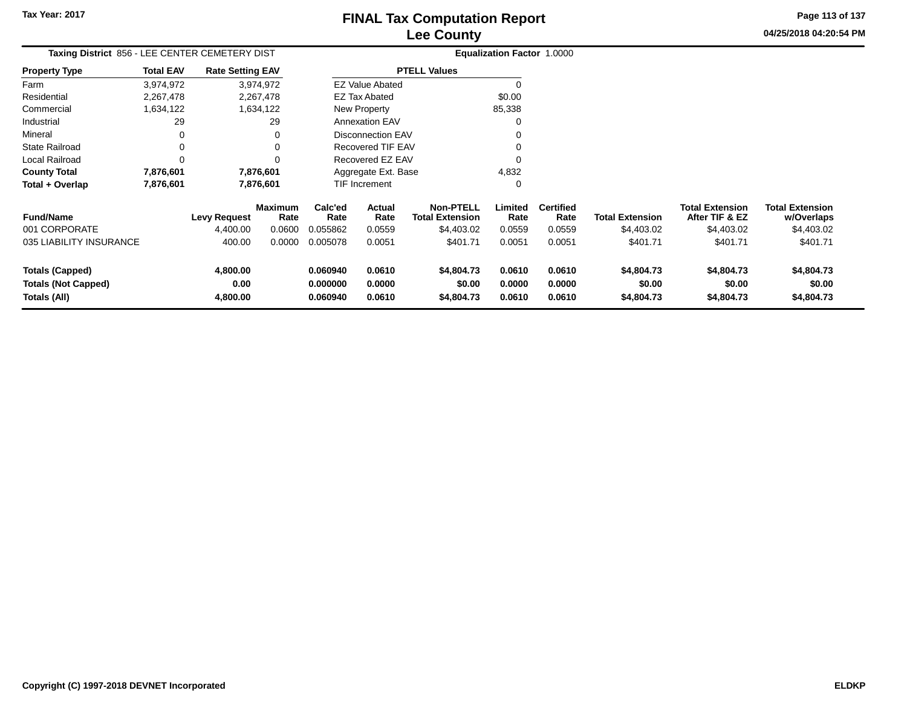**Tax Year: 2017**

### **Lee CountyFINAL Tax Computation Report**

**04/25/2018 04:20:54 PMPage 113 of 137**

| Taxing District 856 - LEE CENTER CEMETERY DIST       |                  |                         |                        |                      |                          | Equalization Factor 1.0000                 |                  |                          |                        |                                          |                                      |
|------------------------------------------------------|------------------|-------------------------|------------------------|----------------------|--------------------------|--------------------------------------------|------------------|--------------------------|------------------------|------------------------------------------|--------------------------------------|
| <b>Property Type</b>                                 | <b>Total EAV</b> | <b>Rate Setting EAV</b> |                        |                      |                          | <b>PTELL Values</b>                        |                  |                          |                        |                                          |                                      |
| Farm                                                 | 3,974,972        |                         | 3,974,972              |                      | <b>EZ Value Abated</b>   |                                            |                  |                          |                        |                                          |                                      |
| Residential                                          | 2,267,478        |                         | 2,267,478              |                      | <b>EZ Tax Abated</b>     |                                            | \$0.00           |                          |                        |                                          |                                      |
| Commercial                                           | 1,634,122        |                         | 1,634,122              |                      | New Property             |                                            | 85,338           |                          |                        |                                          |                                      |
| Industrial                                           | 29               |                         | 29                     |                      | <b>Annexation EAV</b>    |                                            |                  |                          |                        |                                          |                                      |
| Mineral                                              | 0                |                         | 0                      |                      | <b>Disconnection EAV</b> |                                            |                  |                          |                        |                                          |                                      |
| <b>State Railroad</b>                                | 0                |                         |                        |                      | <b>Recovered TIF EAV</b> |                                            |                  |                          |                        |                                          |                                      |
| Local Railroad                                       | $\Omega$         |                         |                        | Recovered EZ EAV     |                          |                                            |                  |                          |                        |                                          |                                      |
| <b>County Total</b>                                  | 7,876,601        |                         | 7,876,601              | Aggregate Ext. Base  |                          |                                            | 4,832            |                          |                        |                                          |                                      |
| Total + Overlap                                      | 7,876,601        |                         | 7,876,601              |                      | <b>TIF Increment</b>     |                                            |                  |                          |                        |                                          |                                      |
| <b>Fund/Name</b>                                     |                  | <b>Levy Request</b>     | <b>Maximum</b><br>Rate | Calc'ed<br>Rate      | Actual<br>Rate           | <b>Non-PTELL</b><br><b>Total Extension</b> | Limited<br>Rate  | <b>Certified</b><br>Rate | <b>Total Extension</b> | <b>Total Extension</b><br>After TIF & EZ | <b>Total Extension</b><br>w/Overlaps |
| 001 CORPORATE                                        |                  | 4,400.00                | 0.0600                 | 0.055862             | 0.0559                   | \$4,403.02                                 | 0.0559           | 0.0559                   | \$4,403.02             | \$4,403.02                               | \$4,403.02                           |
| 035 LIABILITY INSURANCE                              |                  | 400.00                  | 0.0000                 | 0.005078             | 0.0051                   | \$401.71                                   | 0.0051           | 0.0051                   | \$401.71               | \$401.71                                 | \$401.71                             |
| <b>Totals (Capped)</b><br><b>Totals (Not Capped)</b> |                  | 4,800.00<br>0.00        |                        | 0.060940<br>0.000000 | 0.0610<br>0.0000         | \$4,804.73<br>\$0.00                       | 0.0610<br>0.0000 | 0.0610<br>0.0000         | \$4,804.73<br>\$0.00   | \$4,804.73<br>\$0.00                     | \$4,804.73<br>\$0.00                 |
| Totals (All)                                         |                  | 4,800.00                |                        | 0.060940             | 0.0610                   | \$4,804.73                                 | 0.0610           | 0.0610                   | \$4,804.73             | \$4,804.73                               | \$4,804.73                           |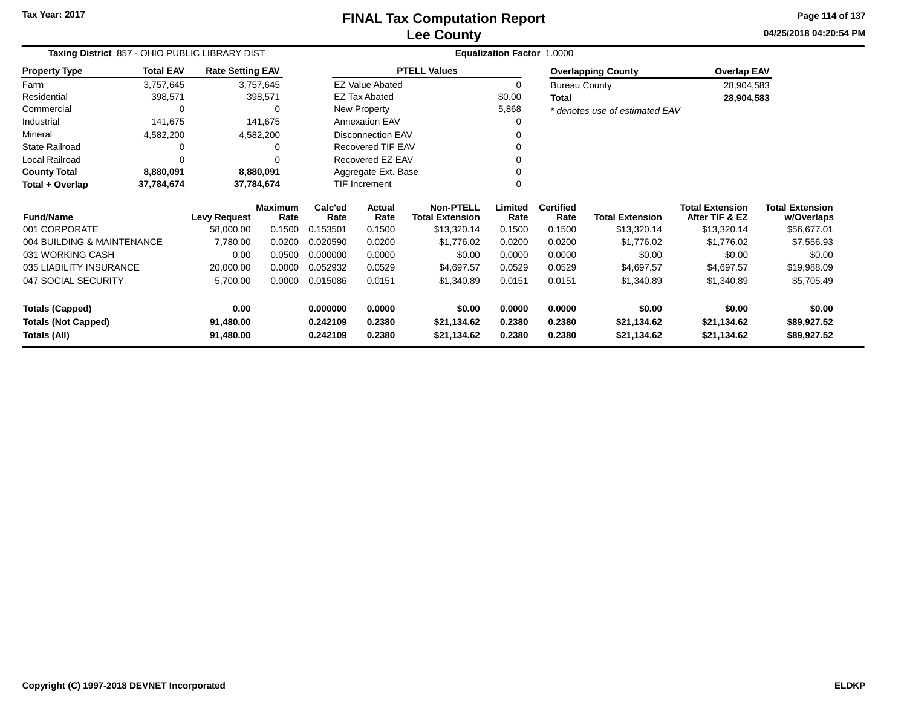**04/25/2018 04:20:54 PM Page 114 of 137**

| Taxing District 857 - OHIO PUBLIC LIBRARY DIST<br><b>Rate Setting EAV</b> |                        |                     |                        |                 |                          |                                            | Equalization Factor 1.0000 |                          |                                |                                          |                                      |  |
|---------------------------------------------------------------------------|------------------------|---------------------|------------------------|-----------------|--------------------------|--------------------------------------------|----------------------------|--------------------------|--------------------------------|------------------------------------------|--------------------------------------|--|
| <b>Property Type</b>                                                      | <b>Total EAV</b>       |                     |                        |                 |                          | <b>PTELL Values</b>                        |                            |                          | <b>Overlapping County</b>      | <b>Overlap EAV</b>                       |                                      |  |
| Farm                                                                      | 3,757,645              |                     | 3,757,645              |                 | <b>EZ Value Abated</b>   |                                            | 0                          | <b>Bureau County</b>     |                                |                                          | 28,904,583                           |  |
| Residential                                                               | 398,571                |                     | 398,571                |                 | <b>EZ Tax Abated</b>     |                                            | \$0.00                     | <b>Total</b>             |                                | 28,904,583                               |                                      |  |
| Commercial                                                                | 0                      |                     | 0                      |                 | New Property             |                                            | 5,868                      |                          | * denotes use of estimated EAV |                                          |                                      |  |
| Industrial                                                                | 141,675                |                     | 141,675                |                 | Annexation EAV           |                                            | 0                          |                          |                                |                                          |                                      |  |
| Mineral                                                                   | 4,582,200              |                     | 4,582,200              |                 | <b>Disconnection EAV</b> |                                            |                            |                          |                                |                                          |                                      |  |
| <b>State Railroad</b>                                                     | 0                      |                     | ∩                      |                 | Recovered TIF EAV        |                                            | 0                          |                          |                                |                                          |                                      |  |
| Local Railroad                                                            | 0<br>$\Omega$          |                     |                        |                 | Recovered EZ EAV         |                                            |                            |                          |                                |                                          |                                      |  |
| <b>County Total</b>                                                       | 8,880,091<br>8,880,091 |                     |                        |                 | Aggregate Ext. Base      |                                            |                            |                          |                                |                                          |                                      |  |
| Total + Overlap                                                           | 37,784,674             |                     | 37,784,674             |                 | TIF Increment            |                                            | $\Omega$                   |                          |                                |                                          |                                      |  |
| <b>Fund/Name</b>                                                          |                        | <b>Levy Request</b> | <b>Maximum</b><br>Rate | Calc'ed<br>Rate | <b>Actual</b><br>Rate    | <b>Non-PTELL</b><br><b>Total Extension</b> | Limited<br>Rate            | <b>Certified</b><br>Rate | <b>Total Extension</b>         | <b>Total Extension</b><br>After TIF & EZ | <b>Total Extension</b><br>w/Overlaps |  |
| 001 CORPORATE                                                             |                        | 58,000.00           | 0.1500                 | 0.153501        | 0.1500                   | \$13,320.14                                | 0.1500                     | 0.1500                   | \$13,320.14                    | \$13,320.14                              | \$56,677.01                          |  |
| 004 BUILDING & MAINTENANCE                                                |                        | 7,780.00            | 0.0200                 | 0.020590        | 0.0200                   | \$1,776.02                                 | 0.0200                     | 0.0200                   | \$1,776.02                     | \$1,776.02                               | \$7,556.93                           |  |
| 031 WORKING CASH                                                          |                        | 0.00                | 0.0500                 | 0.000000        | 0.0000                   | \$0.00                                     | 0.0000                     | 0.0000                   | \$0.00                         | \$0.00                                   | \$0.00                               |  |
| 035 LIABILITY INSURANCE                                                   |                        | 20,000.00           | 0.0000                 | 0.052932        | 0.0529                   | \$4,697.57                                 | 0.0529                     | 0.0529                   | \$4,697.57                     | \$4,697.57                               | \$19,988.09                          |  |
| 047 SOCIAL SECURITY                                                       |                        | 5,700.00            | 0.0000                 | 0.015086        | 0.0151                   | \$1,340.89                                 | 0.0151                     | 0.0151                   | \$1,340.89                     | \$1,340.89                               | \$5,705.49                           |  |
| <b>Totals (Capped)</b>                                                    |                        | 0.00                |                        | 0.000000        | 0.0000                   | \$0.00                                     | 0.0000                     | 0.0000                   | \$0.00                         | \$0.00                                   | \$0.00                               |  |
| <b>Totals (Not Capped)</b>                                                |                        | 91,480.00           |                        | 0.242109        | 0.2380                   | \$21,134.62                                | 0.2380                     | 0.2380                   | \$21,134.62                    | \$21,134.62                              | \$89,927.52                          |  |
| Totals (All)                                                              |                        | 91,480.00           |                        | 0.242109        | 0.2380                   | \$21,134.62                                | 0.2380                     | 0.2380                   | \$21,134.62                    | \$21,134.62                              | \$89,927.52                          |  |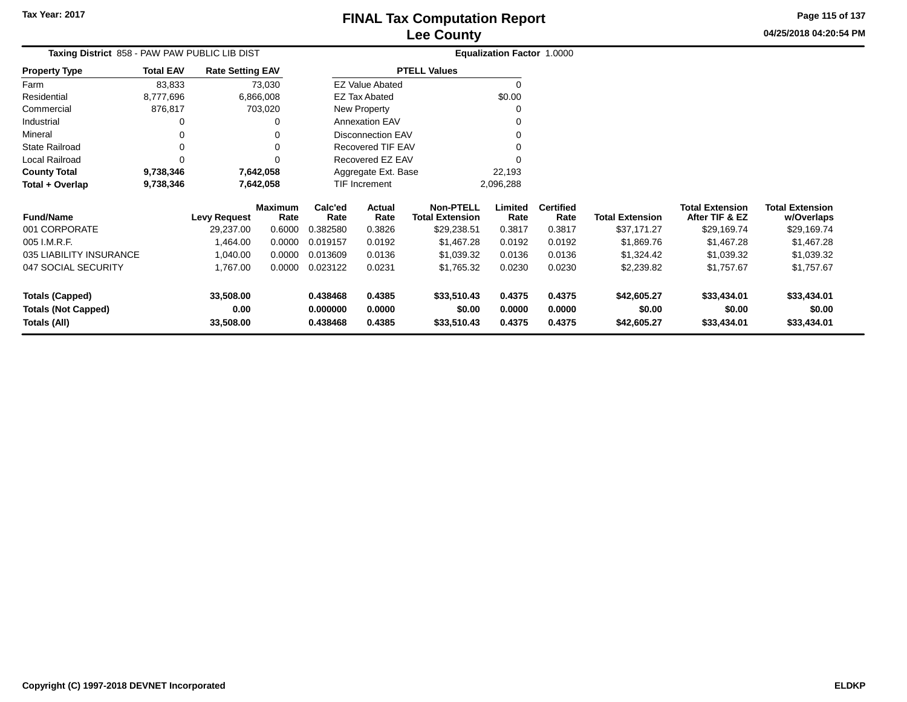**04/25/2018 04:20:54 PMPage 115 of 137**

| Taxing District 858 - PAW PAW PUBLIC LIB DIST |                  |                         |                 |                      | <b>Equalization Factor 1.0000</b> |                                            |                  |                          |                        |                                          |                                      |
|-----------------------------------------------|------------------|-------------------------|-----------------|----------------------|-----------------------------------|--------------------------------------------|------------------|--------------------------|------------------------|------------------------------------------|--------------------------------------|
| <b>Property Type</b>                          | <b>Total EAV</b> | <b>Rate Setting EAV</b> |                 |                      |                                   | <b>PTELL Values</b>                        |                  |                          |                        |                                          |                                      |
| Farm                                          | 83,833           |                         | 73,030          |                      | <b>EZ Value Abated</b>            |                                            | 0                |                          |                        |                                          |                                      |
| Residential                                   | 8,777,696        | 6,866,008               |                 |                      | EZ Tax Abated                     |                                            | \$0.00           |                          |                        |                                          |                                      |
| Commercial                                    | 876,817          |                         | 703,020         |                      | New Property                      |                                            | 0                |                          |                        |                                          |                                      |
| Industrial                                    |                  |                         | 0               |                      | <b>Annexation EAV</b>             |                                            | 0                |                          |                        |                                          |                                      |
| Mineral                                       |                  |                         | 0               |                      | <b>Disconnection EAV</b>          |                                            | 0                |                          |                        |                                          |                                      |
| State Railroad                                | O                |                         | $\Omega$        |                      | <b>Recovered TIF EAV</b>          |                                            | 0                |                          |                        |                                          |                                      |
| Local Railroad                                |                  |                         | $\Omega$        |                      | Recovered EZ EAV                  |                                            |                  |                          |                        |                                          |                                      |
| <b>County Total</b>                           | 9,738,346        | 7,642,058               |                 |                      | Aggregate Ext. Base               |                                            | 22,193           |                          |                        |                                          |                                      |
| Total + Overlap                               | 9,738,346        | 7,642,058               |                 |                      | TIF Increment                     |                                            | 2,096,288        |                          |                        |                                          |                                      |
| <b>Fund/Name</b>                              |                  | <b>Levy Request</b>     | Maximum<br>Rate | Calc'ed<br>Rate      | Actual<br>Rate                    | <b>Non-PTELL</b><br><b>Total Extension</b> | Limited<br>Rate  | <b>Certified</b><br>Rate | <b>Total Extension</b> | <b>Total Extension</b><br>After TIF & EZ | <b>Total Extension</b><br>w/Overlaps |
| 001 CORPORATE                                 |                  | 29,237.00               | 0.6000          | 0.382580             | 0.3826                            | \$29,238.51                                | 0.3817           | 0.3817                   | \$37,171.27            | \$29,169.74                              | \$29,169.74                          |
| 005 I.M.R.F.                                  |                  | 1,464.00                | 0.0000          | 0.019157             | 0.0192                            | \$1,467.28                                 | 0.0192           | 0.0192                   | \$1,869.76             | \$1,467.28                               | \$1,467.28                           |
| 035 LIABILITY INSURANCE                       |                  | 1,040.00                | 0.0000          | 0.013609             | 0.0136                            | \$1,039.32                                 | 0.0136           | 0.0136                   | \$1,324.42             | \$1,039.32                               | \$1,039.32                           |
| 047 SOCIAL SECURITY                           |                  | 1,767.00                | 0.0000          | 0.023122             | 0.0231                            | \$1,765.32                                 | 0.0230           | 0.0230                   | \$2,239.82             | \$1,757.67                               | \$1,757.67                           |
| <b>Totals (Capped)</b>                        |                  | 33,508.00               |                 | 0.438468             | 0.4385                            | \$33,510.43                                | 0.4375           | 0.4375                   | \$42,605.27            | \$33,434.01                              | \$33,434.01                          |
| <b>Totals (Not Capped)</b><br>Totals (All)    |                  | 0.00<br>33,508.00       |                 | 0.000000<br>0.438468 | 0.0000<br>0.4385                  | \$0.00<br>\$33,510.43                      | 0.0000<br>0.4375 | 0.0000<br>0.4375         | \$0.00<br>\$42,605.27  | \$0.00<br>\$33,434.01                    | \$0.00<br>\$33,434.01                |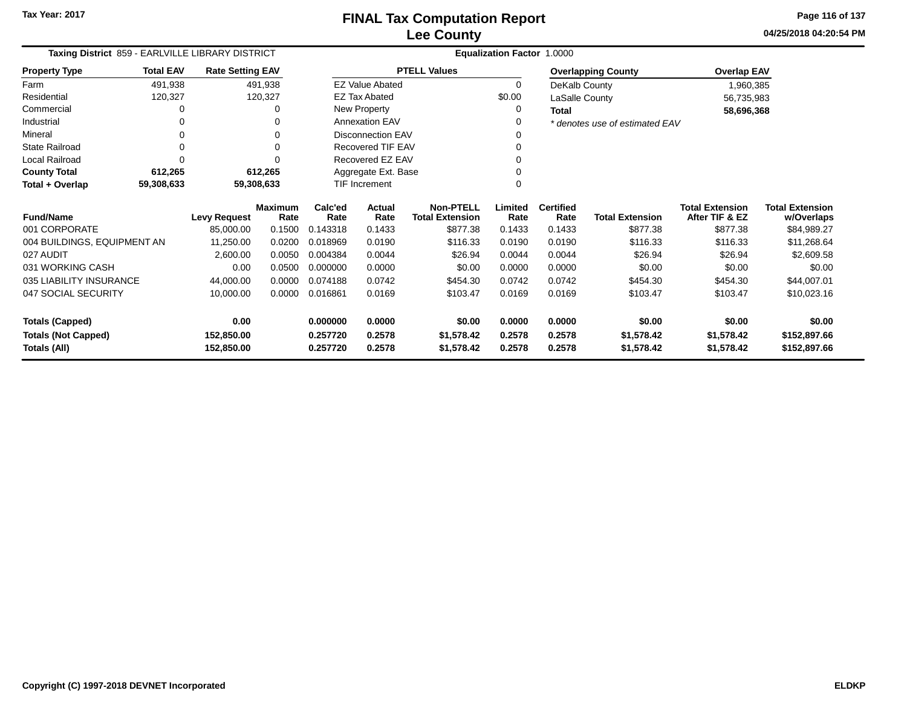**04/25/2018 04:20:54 PMPage 116 of 137**

| Taxing District 859 - EARLVILLE LIBRARY DISTRICT<br><b>Rate Setting EAV</b> |                                             |                     |                        | <b>Equalization Factor 1.0000</b>                                                |                          |                                            |                 |                          |                                |                                          |                                      |
|-----------------------------------------------------------------------------|---------------------------------------------|---------------------|------------------------|----------------------------------------------------------------------------------|--------------------------|--------------------------------------------|-----------------|--------------------------|--------------------------------|------------------------------------------|--------------------------------------|
| <b>Property Type</b>                                                        | <b>Total EAV</b><br>491,938<br>120,327<br>0 |                     |                        |                                                                                  |                          | <b>PTELL Values</b>                        |                 |                          | <b>Overlapping County</b>      | <b>Overlap EAV</b>                       |                                      |
| Farm                                                                        |                                             |                     | 491,938                |                                                                                  | <b>EZ Value Abated</b>   |                                            | $\mathbf 0$     | DeKalb County            |                                | 1,960,385                                |                                      |
| Residential                                                                 |                                             |                     | 120,327                |                                                                                  | <b>EZ Tax Abated</b>     |                                            | \$0.00          | LaSalle County           |                                | 56,735,983                               |                                      |
| Commercial                                                                  |                                             |                     |                        |                                                                                  | New Property             |                                            | 0               | <b>Total</b>             |                                | 58,696,368                               |                                      |
| Industrial                                                                  | 0                                           |                     |                        |                                                                                  | <b>Annexation EAV</b>    |                                            |                 |                          | * denotes use of estimated EAV |                                          |                                      |
| Mineral                                                                     |                                             |                     |                        |                                                                                  | <b>Disconnection EAV</b> |                                            |                 |                          |                                |                                          |                                      |
| <b>State Railroad</b>                                                       | 0                                           |                     |                        |                                                                                  | Recovered TIF EAV        |                                            |                 |                          |                                |                                          |                                      |
| Local Railroad                                                              |                                             |                     |                        | Recovered EZ EAV                                                                 |                          |                                            |                 |                          |                                |                                          |                                      |
| <b>County Total</b>                                                         | 612,265                                     |                     | 612,265                | Aggregate Ext. Base                                                              |                          |                                            |                 |                          |                                |                                          |                                      |
| Total + Overlap                                                             | 59,308,633                                  |                     | 59,308,633             |                                                                                  | <b>TIF Increment</b>     |                                            | $\Omega$        |                          |                                |                                          |                                      |
| <b>Fund/Name</b>                                                            |                                             | <b>Levy Request</b> | <b>Maximum</b><br>Rate | Calc'ed<br>Rate                                                                  | Actual<br>Rate           | <b>Non-PTELL</b><br><b>Total Extension</b> | Limited<br>Rate | <b>Certified</b><br>Rate | <b>Total Extension</b>         | <b>Total Extension</b><br>After TIF & EZ | <b>Total Extension</b><br>w/Overlaps |
| 001 CORPORATE                                                               |                                             | 85.000.00           | 0.1500                 | 0.143318                                                                         | 0.1433                   | \$877.38                                   | 0.1433          | 0.1433                   | \$877.38                       | \$877.38                                 | \$84,989.27                          |
| 004 BUILDINGS, EQUIPMENT AN                                                 |                                             | 11,250.00           | 0.0200                 | 0.018969                                                                         | 0.0190                   | \$116.33                                   | 0.0190          | 0.0190                   | \$116.33                       | \$116.33                                 | \$11,268.64                          |
| 027 AUDIT                                                                   |                                             | 2,600.00            | 0.0050                 | 0.004384                                                                         | 0.0044                   | \$26.94                                    | 0.0044          | 0.0044                   | \$26.94                        | \$26.94                                  | \$2,609.58                           |
| 031 WORKING CASH                                                            |                                             | 0.00                | 0.0500                 | 0.000000                                                                         | 0.0000                   | \$0.00                                     | 0.0000          | 0.0000                   | \$0.00                         | \$0.00                                   | \$0.00                               |
| 035 LIABILITY INSURANCE                                                     |                                             | 44,000.00           | 0.0000                 | 0.074188                                                                         | 0.0742                   | \$454.30                                   | 0.0742          | 0.0742                   | \$454.30                       | \$454.30                                 | \$44,007.01                          |
| 047 SOCIAL SECURITY                                                         |                                             | 10,000.00           | 0.0000                 | 0.016861                                                                         | 0.0169                   | \$103.47                                   | 0.0169          | 0.0169                   | \$103.47                       | \$103.47                                 | \$10,023.16                          |
| <b>Totals (Capped)</b>                                                      |                                             | 0.00                |                        | 0.000000                                                                         | 0.0000                   | \$0.00                                     | 0.0000          | 0.0000                   | \$0.00                         | \$0.00                                   | \$0.00                               |
| <b>Totals (Not Capped)</b>                                                  |                                             | 152,850.00          |                        | 0.257720<br>0.2578<br>\$1,578.42<br>0.2578<br>0.2578<br>\$1,578.42<br>\$1,578.42 |                          |                                            | \$152,897.66    |                          |                                |                                          |                                      |
| Totals (All)                                                                |                                             | 152,850.00          |                        | 0.257720                                                                         | 0.2578                   | \$1,578.42                                 | 0.2578          | 0.2578                   | \$1,578.42                     | \$1,578.42                               | \$152,897.66                         |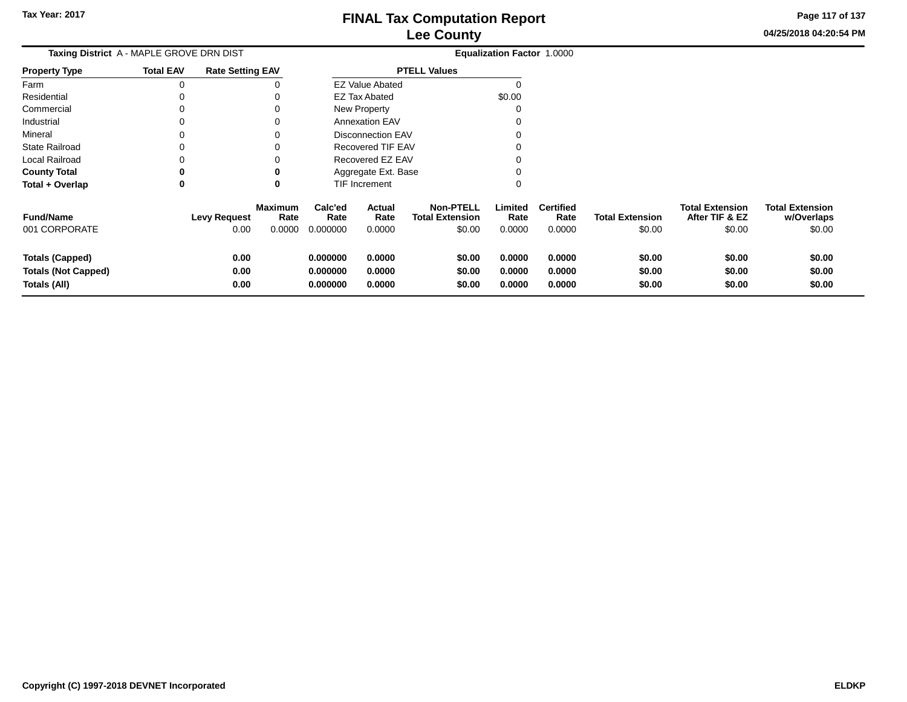**04/25/2018 04:20:54 PMPage 117 of 137**

| Taxing District A - MAPLE GROVE DRN DIST<br><b>Rate Setting EAV</b>  |                  |                             |                                  |                                  |                            |                                                      | Equalization Factor 1.0000 |                                    |                                  |                                                    |                                                |
|----------------------------------------------------------------------|------------------|-----------------------------|----------------------------------|----------------------------------|----------------------------|------------------------------------------------------|----------------------------|------------------------------------|----------------------------------|----------------------------------------------------|------------------------------------------------|
| <b>Property Type</b>                                                 | <b>Total EAV</b> |                             |                                  |                                  |                            | <b>PTELL Values</b>                                  |                            |                                    |                                  |                                                    |                                                |
| Farm                                                                 | 0                |                             | 0                                |                                  | <b>EZ Value Abated</b>     |                                                      |                            |                                    |                                  |                                                    |                                                |
| Residential                                                          |                  |                             | 0                                |                                  | <b>EZ Tax Abated</b>       |                                                      | \$0.00                     |                                    |                                  |                                                    |                                                |
| Commercial                                                           | $\Omega$         |                             | 0                                |                                  | <b>New Property</b>        |                                                      |                            |                                    |                                  |                                                    |                                                |
| Industrial                                                           |                  |                             | 0                                |                                  | <b>Annexation EAV</b>      |                                                      |                            |                                    |                                  |                                                    |                                                |
| Mineral                                                              | 0                |                             | 0                                |                                  | <b>Disconnection EAV</b>   |                                                      |                            |                                    |                                  |                                                    |                                                |
| <b>State Railroad</b>                                                |                  |                             | 0                                |                                  | <b>Recovered TIF EAV</b>   |                                                      |                            |                                    |                                  |                                                    |                                                |
| <b>Local Railroad</b>                                                |                  |                             | 0                                | Recovered EZ EAV                 |                            |                                                      |                            |                                    |                                  |                                                    |                                                |
| <b>County Total</b>                                                  | 0                |                             | 0                                |                                  | Aggregate Ext. Base        |                                                      |                            |                                    |                                  |                                                    |                                                |
| Total + Overlap                                                      | 0                |                             | 0                                |                                  | TIF Increment              |                                                      |                            |                                    |                                  |                                                    |                                                |
| <b>Fund/Name</b><br>001 CORPORATE                                    |                  | <b>Levy Request</b><br>0.00 | <b>Maximum</b><br>Rate<br>0.0000 | Calc'ed<br>Rate<br>0.000000      | Actual<br>Rate<br>0.0000   | <b>Non-PTELL</b><br><b>Total Extension</b><br>\$0.00 | Limited<br>Rate<br>0.0000  | <b>Certified</b><br>Rate<br>0.0000 | <b>Total Extension</b><br>\$0.00 | <b>Total Extension</b><br>After TIF & EZ<br>\$0.00 | <b>Total Extension</b><br>w/Overlaps<br>\$0.00 |
| <b>Totals (Capped)</b><br><b>Totals (Not Capped)</b><br>Totals (All) |                  | 0.00<br>0.00<br>0.00        |                                  | 0.000000<br>0.000000<br>0.000000 | 0.0000<br>0.0000<br>0.0000 | \$0.00<br>\$0.00<br>\$0.00                           | 0.0000<br>0.0000<br>0.0000 | 0.0000<br>0.0000<br>0.0000         | \$0.00<br>\$0.00<br>\$0.00       | \$0.00<br>\$0.00<br>\$0.00                         | \$0.00<br>\$0.00<br>\$0.00                     |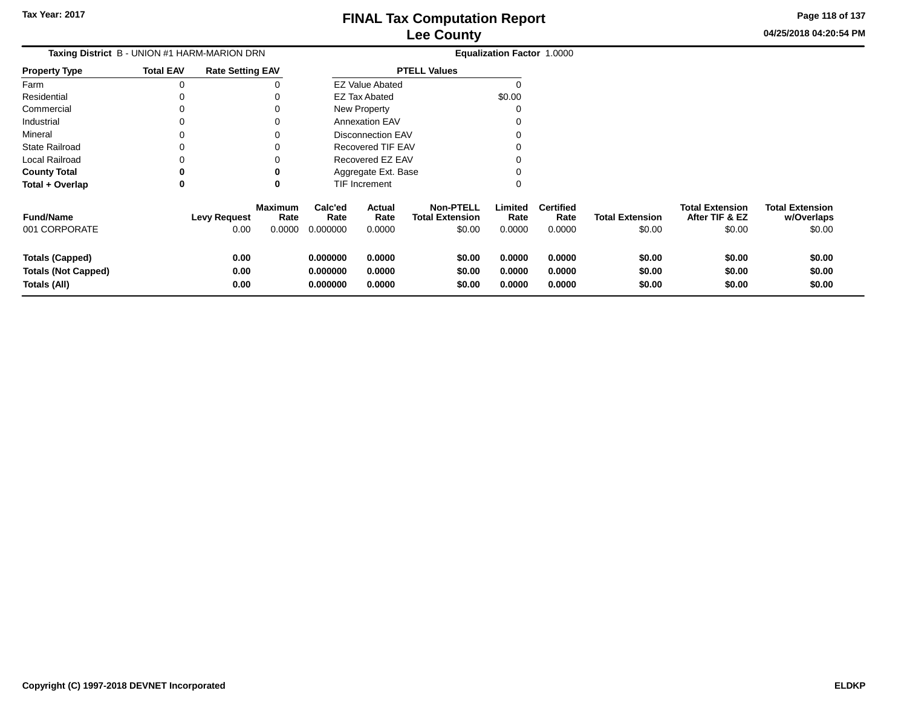**Page 118 of 137**

| Taxing District B - UNION #1 HARM-MARION DRN |                  |                         |                        |                 |                          |                                            | Equalization Factor 1.0000 |                          |                        |                                          |                                      |
|----------------------------------------------|------------------|-------------------------|------------------------|-----------------|--------------------------|--------------------------------------------|----------------------------|--------------------------|------------------------|------------------------------------------|--------------------------------------|
| <b>Property Type</b>                         | <b>Total EAV</b> | <b>Rate Setting EAV</b> |                        |                 |                          | <b>PTELL Values</b>                        |                            |                          |                        |                                          |                                      |
| Farm                                         | $\Omega$         |                         |                        |                 | <b>EZ Value Abated</b>   |                                            | $\Omega$                   |                          |                        |                                          |                                      |
| Residential                                  | 0                |                         |                        |                 | EZ Tax Abated            |                                            | \$0.00                     |                          |                        |                                          |                                      |
| Commercial                                   | $\Omega$         |                         |                        |                 | <b>New Property</b>      |                                            |                            |                          |                        |                                          |                                      |
| Industrial                                   | 0                |                         |                        |                 | <b>Annexation EAV</b>    |                                            |                            |                          |                        |                                          |                                      |
| Mineral                                      | 0                |                         |                        |                 | <b>Disconnection EAV</b> |                                            |                            |                          |                        |                                          |                                      |
| <b>State Railroad</b>                        | 0                |                         |                        |                 | <b>Recovered TIF EAV</b> |                                            |                            |                          |                        |                                          |                                      |
| <b>Local Railroad</b>                        | 0                |                         |                        |                 | Recovered EZ EAV         |                                            |                            |                          |                        |                                          |                                      |
| <b>County Total</b>                          | $\mathbf 0$      | 0                       |                        |                 | Aggregate Ext. Base      |                                            |                            |                          |                        |                                          |                                      |
| Total + Overlap                              | 0                |                         | 0                      |                 | <b>TIF Increment</b>     |                                            | 0                          |                          |                        |                                          |                                      |
| <b>Fund/Name</b>                             |                  | <b>Levy Request</b>     | <b>Maximum</b><br>Rate | Calc'ed<br>Rate | Actual<br>Rate           | <b>Non-PTELL</b><br><b>Total Extension</b> | Limited<br>Rate            | <b>Certified</b><br>Rate | <b>Total Extension</b> | <b>Total Extension</b><br>After TIF & EZ | <b>Total Extension</b><br>w/Overlaps |
| 001 CORPORATE                                |                  | 0.00                    | 0.0000                 | 0.000000        | 0.0000                   | \$0.00                                     | 0.0000                     | 0.0000                   | \$0.00                 | \$0.00                                   | \$0.00                               |
| <b>Totals (Capped)</b>                       |                  | 0.00                    |                        | 0.000000        | 0.0000                   | \$0.00                                     | 0.0000                     | 0.0000                   | \$0.00                 | \$0.00                                   | \$0.00                               |
| <b>Totals (Not Capped)</b>                   |                  | 0.00                    |                        | 0.000000        | 0.0000                   | \$0.00                                     | 0.0000                     | 0.0000                   | \$0.00                 | \$0.00                                   | \$0.00                               |
| Totals (All)                                 |                  | 0.00                    |                        | 0.000000        | 0.0000                   | \$0.00                                     | 0.0000                     | 0.0000                   | \$0.00                 | \$0.00                                   | \$0.00                               |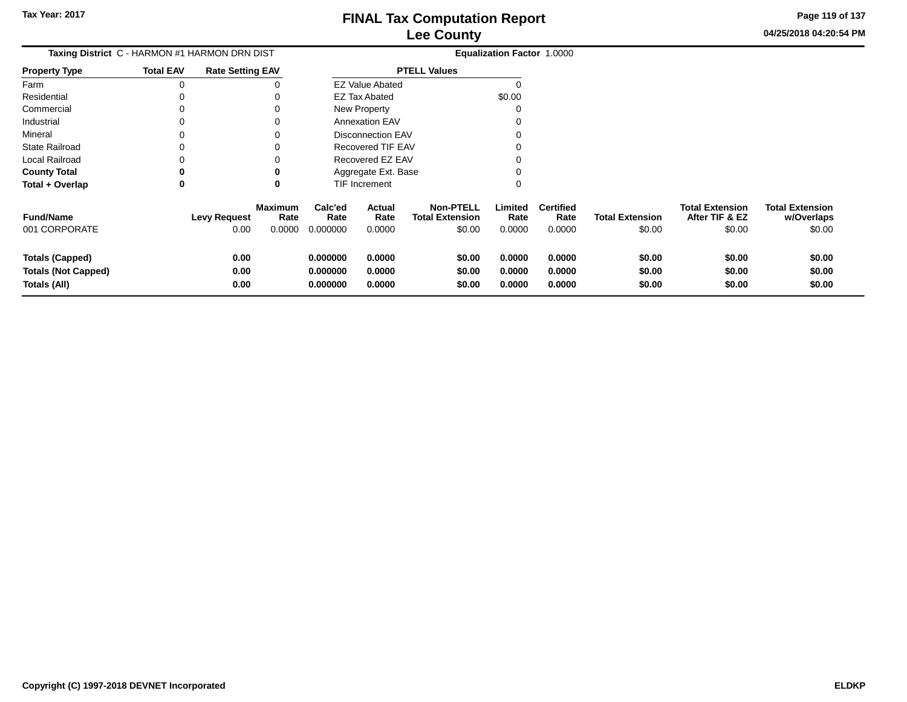**Page 119 of 137**

 $$0.00$ 

|                                                                      | <b>Taxing District C - HARMON #1 HARMON DRN DIST</b> |                             |                                  |                                  |                            |                                                      | <b>Equalization Factor 1.0000</b> |                                    |                                  |                                                    |                                                |
|----------------------------------------------------------------------|------------------------------------------------------|-----------------------------|----------------------------------|----------------------------------|----------------------------|------------------------------------------------------|-----------------------------------|------------------------------------|----------------------------------|----------------------------------------------------|------------------------------------------------|
| Property Type                                                        | <b>Total EAV</b>                                     | <b>Rate Setting EAV</b>     |                                  |                                  |                            | <b>PTELL Values</b>                                  |                                   |                                    |                                  |                                                    |                                                |
| Farm                                                                 | 0                                                    |                             |                                  |                                  | <b>EZ Value Abated</b>     |                                                      |                                   |                                    |                                  |                                                    |                                                |
| Residential                                                          |                                                      |                             |                                  |                                  | EZ Tax Abated              |                                                      | \$0.00                            |                                    |                                  |                                                    |                                                |
| Commercial                                                           | 0                                                    |                             |                                  |                                  | New Property               |                                                      | 0                                 |                                    |                                  |                                                    |                                                |
| Industrial                                                           |                                                      |                             |                                  |                                  | <b>Annexation EAV</b>      |                                                      |                                   |                                    |                                  |                                                    |                                                |
| Mineral                                                              |                                                      |                             |                                  |                                  | <b>Disconnection EAV</b>   |                                                      |                                   |                                    |                                  |                                                    |                                                |
| State Railroad                                                       |                                                      |                             |                                  |                                  | Recovered TIF EAV          |                                                      |                                   |                                    |                                  |                                                    |                                                |
| Local Railroad                                                       |                                                      |                             |                                  |                                  | Recovered EZ EAV           |                                                      |                                   |                                    |                                  |                                                    |                                                |
| <b>County Total</b>                                                  | 0                                                    |                             |                                  |                                  | Aggregate Ext. Base        |                                                      |                                   |                                    |                                  |                                                    |                                                |
| Total + Overlap                                                      | 0                                                    |                             | 0                                |                                  | <b>TIF Increment</b>       |                                                      | $\Omega$                          |                                    |                                  |                                                    |                                                |
| <b>Fund/Name</b><br>001 CORPORATE                                    |                                                      | <b>Levy Request</b><br>0.00 | <b>Maximum</b><br>Rate<br>0.0000 | Calc'ed<br>Rate<br>0.000000      | Actual<br>Rate<br>0.0000   | <b>Non-PTELL</b><br><b>Total Extension</b><br>\$0.00 | Limited<br>Rate<br>0.0000         | <b>Certified</b><br>Rate<br>0.0000 | <b>Total Extension</b><br>\$0.00 | <b>Total Extension</b><br>After TIF & EZ<br>\$0.00 | <b>Total Extension</b><br>w/Overlaps<br>\$0.00 |
| <b>Totals (Capped)</b><br><b>Totals (Not Capped)</b><br>Totals (All) |                                                      | 0.00<br>0.00<br>0.00        |                                  | 0.000000<br>0.000000<br>0.000000 | 0.0000<br>0.0000<br>0.0000 | \$0.00<br>\$0.00<br>\$0.00                           | 0.0000<br>0.0000<br>0.0000        | 0.0000<br>0.0000<br>0.0000         | \$0.00<br>\$0.00<br>\$0.00       | \$0.00<br>\$0.00<br>\$0.00                         | \$0.00<br>\$0.00<br>\$0.00                     |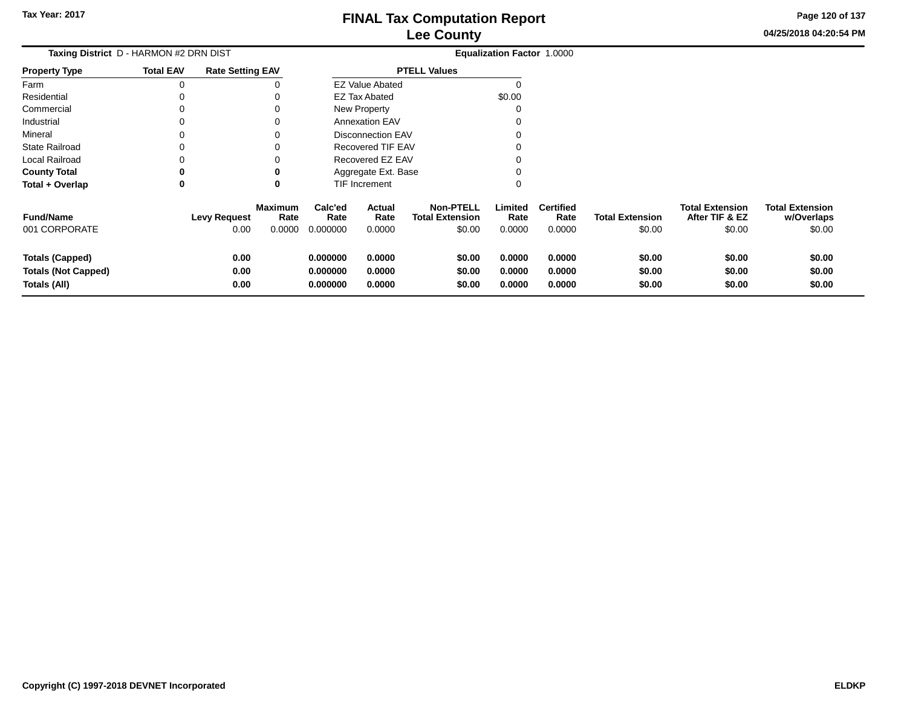**04/25/2018 04:20:54 PMPage 120 of 137**

| Taxing District D - HARMON #2 DRN DIST                               |                  |                         |                        |                                  |                            |                                            | <b>Equalization Factor 1.0000</b> |                            |                            |                                          |                                      |
|----------------------------------------------------------------------|------------------|-------------------------|------------------------|----------------------------------|----------------------------|--------------------------------------------|-----------------------------------|----------------------------|----------------------------|------------------------------------------|--------------------------------------|
| <b>Property Type</b>                                                 | <b>Total EAV</b> | <b>Rate Setting EAV</b> |                        |                                  |                            | <b>PTELL Values</b>                        |                                   |                            |                            |                                          |                                      |
| Farm                                                                 |                  |                         |                        |                                  | <b>EZ Value Abated</b>     |                                            |                                   |                            |                            |                                          |                                      |
| Residential                                                          |                  |                         |                        |                                  | <b>EZ Tax Abated</b>       |                                            | \$0.00                            |                            |                            |                                          |                                      |
| Commercial                                                           |                  |                         |                        |                                  | New Property               |                                            |                                   |                            |                            |                                          |                                      |
| Industrial                                                           |                  |                         |                        |                                  | <b>Annexation EAV</b>      |                                            |                                   |                            |                            |                                          |                                      |
| Mineral                                                              |                  |                         |                        |                                  | <b>Disconnection EAV</b>   |                                            |                                   |                            |                            |                                          |                                      |
| <b>State Railroad</b>                                                |                  |                         |                        |                                  | <b>Recovered TIF EAV</b>   |                                            |                                   |                            |                            |                                          |                                      |
| <b>Local Railroad</b>                                                |                  |                         |                        | Recovered EZ EAV                 |                            |                                            |                                   |                            |                            |                                          |                                      |
| <b>County Total</b>                                                  |                  |                         |                        |                                  | Aggregate Ext. Base        |                                            |                                   |                            |                            |                                          |                                      |
| Total + Overlap                                                      | 0                |                         | 0                      | TIF Increment                    |                            |                                            | 0                                 |                            |                            |                                          |                                      |
| <b>Fund/Name</b>                                                     |                  | <b>Levy Request</b>     | <b>Maximum</b><br>Rate | Calc'ed<br>Rate                  | Actual<br>Rate             | <b>Non-PTELL</b><br><b>Total Extension</b> | Limited<br>Rate                   | <b>Certified</b><br>Rate   | <b>Total Extension</b>     | <b>Total Extension</b><br>After TIF & EZ | <b>Total Extension</b><br>w/Overlaps |
| 001 CORPORATE                                                        |                  | 0.00                    | 0.0000                 | 0.000000                         | 0.0000                     | \$0.00                                     | 0.0000                            | 0.0000                     | \$0.00                     | \$0.00                                   | \$0.00                               |
| <b>Totals (Capped)</b><br><b>Totals (Not Capped)</b><br>Totals (All) |                  | 0.00<br>0.00<br>0.00    |                        | 0.000000<br>0.000000<br>0.000000 | 0.0000<br>0.0000<br>0.0000 | \$0.00<br>\$0.00<br>\$0.00                 | 0.0000<br>0.0000<br>0.0000        | 0.0000<br>0.0000<br>0.0000 | \$0.00<br>\$0.00<br>\$0.00 | \$0.00<br>\$0.00<br>\$0.00               | \$0.00<br>\$0.00<br>\$0.00           |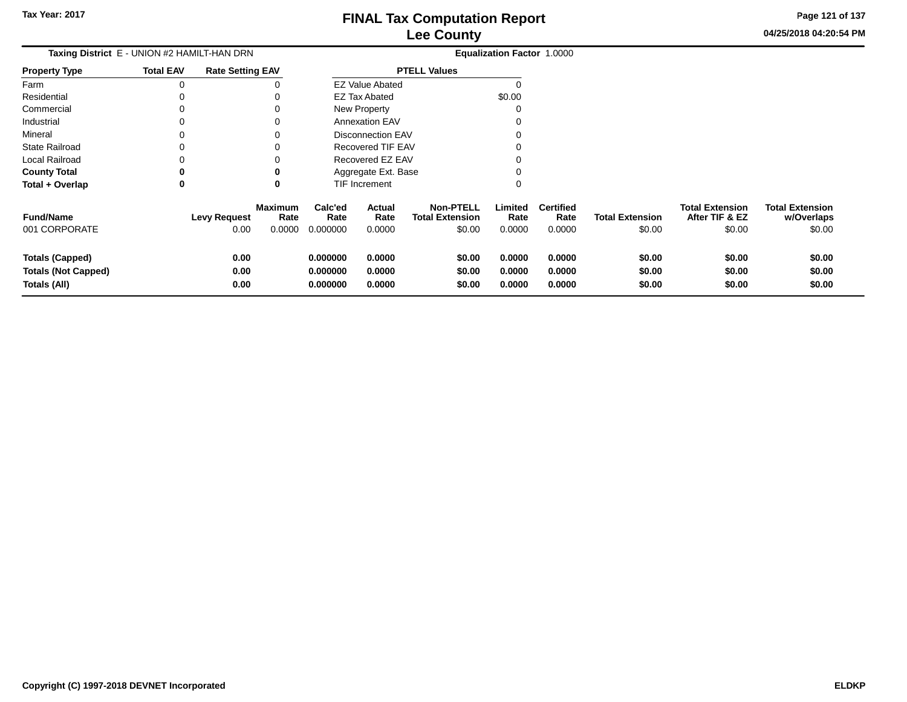**04/25/2018 04:20:54 PMPage 121 of 137**

| Taxing District E - UNION #2 HAMILT-HAN DRN                   |                  |                             |                                  |                                  |                            |                                                      | Equalization Factor 1.0000 |                                    |                                  |                                                    |                                                |
|---------------------------------------------------------------|------------------|-----------------------------|----------------------------------|----------------------------------|----------------------------|------------------------------------------------------|----------------------------|------------------------------------|----------------------------------|----------------------------------------------------|------------------------------------------------|
| <b>Property Type</b>                                          | <b>Total EAV</b> | <b>Rate Setting EAV</b>     |                                  |                                  |                            | <b>PTELL Values</b>                                  |                            |                                    |                                  |                                                    |                                                |
| Farm                                                          |                  |                             |                                  |                                  | <b>EZ Value Abated</b>     |                                                      | 0                          |                                    |                                  |                                                    |                                                |
| Residential                                                   |                  |                             |                                  |                                  | <b>EZ Tax Abated</b>       |                                                      | \$0.00                     |                                    |                                  |                                                    |                                                |
| Commercial                                                    |                  |                             | <sup>0</sup>                     |                                  | New Property               |                                                      | 0                          |                                    |                                  |                                                    |                                                |
| Industrial                                                    |                  |                             | $\Omega$                         |                                  | <b>Annexation EAV</b>      |                                                      | 0                          |                                    |                                  |                                                    |                                                |
| Mineral                                                       |                  |                             | <sup>0</sup>                     |                                  | <b>Disconnection EAV</b>   |                                                      | 0                          |                                    |                                  |                                                    |                                                |
| <b>State Railroad</b>                                         |                  |                             | $\Omega$                         |                                  | Recovered TIF EAV          |                                                      | 0                          |                                    |                                  |                                                    |                                                |
| Local Railroad                                                |                  |                             |                                  |                                  | Recovered EZ EAV           |                                                      | 0                          |                                    |                                  |                                                    |                                                |
| <b>County Total</b>                                           | 0                |                             | 0                                |                                  | Aggregate Ext. Base        |                                                      | 0                          |                                    |                                  |                                                    |                                                |
| Total + Overlap                                               | 0                |                             | 0                                |                                  | TIF Increment              |                                                      | 0                          |                                    |                                  |                                                    |                                                |
| <b>Fund/Name</b><br>001 CORPORATE                             |                  | <b>Levy Request</b><br>0.00 | <b>Maximum</b><br>Rate<br>0.0000 | Calc'ed<br>Rate<br>0.000000      | Actual<br>Rate<br>0.0000   | <b>Non-PTELL</b><br><b>Total Extension</b><br>\$0.00 | Limited<br>Rate<br>0.0000  | <b>Certified</b><br>Rate<br>0.0000 | <b>Total Extension</b><br>\$0.00 | <b>Total Extension</b><br>After TIF & EZ<br>\$0.00 | <b>Total Extension</b><br>w/Overlaps<br>\$0.00 |
| Totals (Capped)<br><b>Totals (Not Capped)</b><br>Totals (All) |                  | 0.00<br>0.00<br>0.00        |                                  | 0.000000<br>0.000000<br>0.000000 | 0.0000<br>0.0000<br>0.0000 | \$0.00<br>\$0.00<br>\$0.00                           | 0.0000<br>0.0000<br>0.0000 | 0.0000<br>0.0000<br>0.0000         | \$0.00<br>\$0.00<br>\$0.00       | \$0.00<br>\$0.00<br>\$0.00                         | \$0.00<br>\$0.00<br>\$0.00                     |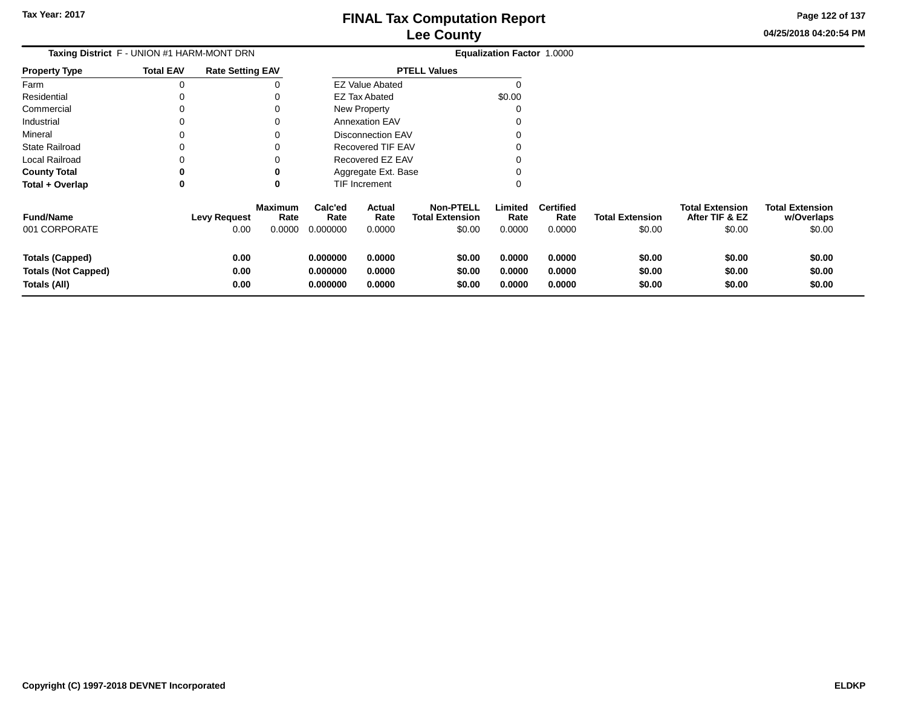**Page 122 of 137**

 $$0.00$ 

| <b>Taxing District</b> F - UNION #1 HARM-MONT DRN                    |                  |                             |                                  |                                  |                            |                                                      | <b>Equalization Factor 1.0000</b> |                                    |                                  |                                                    |                                                |
|----------------------------------------------------------------------|------------------|-----------------------------|----------------------------------|----------------------------------|----------------------------|------------------------------------------------------|-----------------------------------|------------------------------------|----------------------------------|----------------------------------------------------|------------------------------------------------|
| Property Type                                                        | <b>Total EAV</b> | <b>Rate Setting EAV</b>     |                                  | <b>PTELL Values</b>              |                            |                                                      |                                   |                                    |                                  |                                                    |                                                |
| Farm                                                                 | 0                |                             |                                  |                                  | <b>EZ Value Abated</b>     |                                                      |                                   |                                    |                                  |                                                    |                                                |
| Residential                                                          |                  |                             |                                  |                                  | EZ Tax Abated              |                                                      | \$0.00                            |                                    |                                  |                                                    |                                                |
| Commercial                                                           | 0                |                             |                                  |                                  | New Property               |                                                      | 0                                 |                                    |                                  |                                                    |                                                |
| Industrial                                                           |                  |                             |                                  |                                  | <b>Annexation EAV</b>      |                                                      |                                   |                                    |                                  |                                                    |                                                |
| Mineral                                                              |                  |                             |                                  |                                  | <b>Disconnection EAV</b>   |                                                      |                                   |                                    |                                  |                                                    |                                                |
| State Railroad                                                       |                  |                             |                                  |                                  | Recovered TIF EAV          |                                                      |                                   |                                    |                                  |                                                    |                                                |
| Local Railroad                                                       |                  |                             |                                  |                                  | Recovered EZ EAV           |                                                      |                                   |                                    |                                  |                                                    |                                                |
| <b>County Total</b>                                                  | 0                |                             |                                  |                                  | Aggregate Ext. Base        |                                                      |                                   |                                    |                                  |                                                    |                                                |
| Total + Overlap                                                      | 0                |                             | 0                                |                                  | <b>TIF Increment</b>       |                                                      | $\Omega$                          |                                    |                                  |                                                    |                                                |
| <b>Fund/Name</b><br>001 CORPORATE                                    |                  | <b>Levy Request</b><br>0.00 | <b>Maximum</b><br>Rate<br>0.0000 | Calc'ed<br>Rate<br>0.000000      | Actual<br>Rate<br>0.0000   | <b>Non-PTELL</b><br><b>Total Extension</b><br>\$0.00 | Limited<br>Rate<br>0.0000         | <b>Certified</b><br>Rate<br>0.0000 | <b>Total Extension</b><br>\$0.00 | <b>Total Extension</b><br>After TIF & EZ<br>\$0.00 | <b>Total Extension</b><br>w/Overlaps<br>\$0.00 |
| <b>Totals (Capped)</b><br><b>Totals (Not Capped)</b><br>Totals (All) |                  | 0.00<br>0.00<br>0.00        |                                  | 0.000000<br>0.000000<br>0.000000 | 0.0000<br>0.0000<br>0.0000 | \$0.00<br>\$0.00<br>\$0.00                           | 0.0000<br>0.0000<br>0.0000        | 0.0000<br>0.0000<br>0.0000         | \$0.00<br>\$0.00<br>\$0.00       | \$0.00<br>\$0.00<br>\$0.00                         | \$0.00<br>\$0.00<br>\$0.00                     |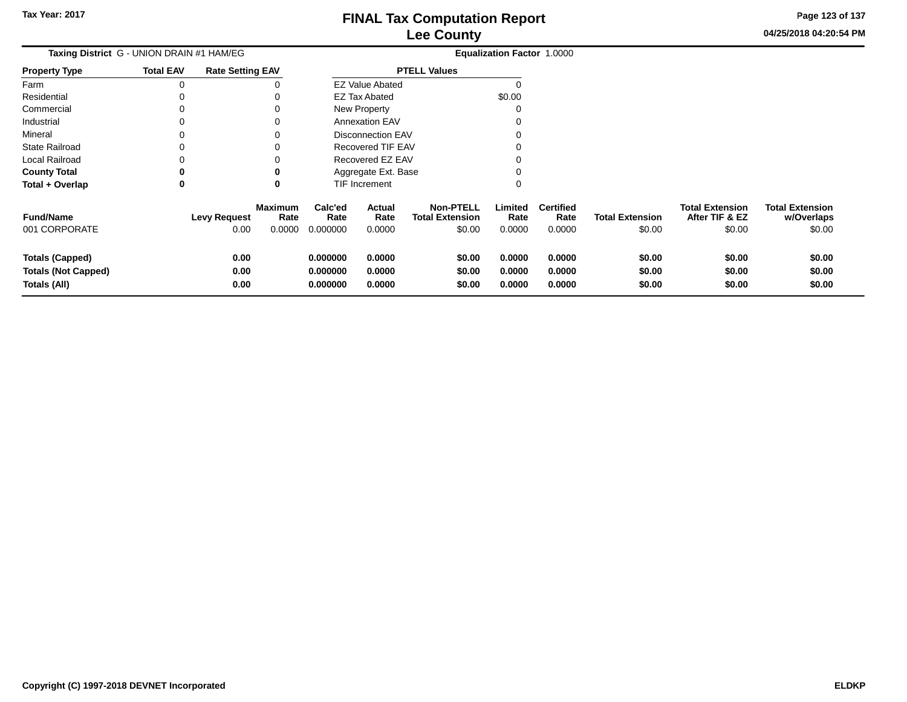**04/25/2018 04:20:54 PMPage 123 of 137**

| Taxing District G - UNION DRAIN #1 HAM/EG                            |                  |                             |                                  |                                  |                            |                                                      | <b>Equalization Factor 1.0000</b> |                                    |                                  |                                                    |                                                |
|----------------------------------------------------------------------|------------------|-----------------------------|----------------------------------|----------------------------------|----------------------------|------------------------------------------------------|-----------------------------------|------------------------------------|----------------------------------|----------------------------------------------------|------------------------------------------------|
| <b>Property Type</b>                                                 | <b>Total EAV</b> | <b>Rate Setting EAV</b>     |                                  | <b>PTELL Values</b>              |                            |                                                      |                                   |                                    |                                  |                                                    |                                                |
| Farm                                                                 |                  |                             |                                  |                                  | <b>EZ Value Abated</b>     |                                                      | 0                                 |                                    |                                  |                                                    |                                                |
| Residential                                                          |                  |                             |                                  |                                  | <b>EZ Tax Abated</b>       |                                                      | \$0.00                            |                                    |                                  |                                                    |                                                |
| Commercial                                                           |                  |                             | $\Omega$                         |                                  | New Property               |                                                      | 0                                 |                                    |                                  |                                                    |                                                |
| Industrial                                                           |                  |                             | $\Omega$                         |                                  | <b>Annexation EAV</b>      |                                                      | 0                                 |                                    |                                  |                                                    |                                                |
| Mineral                                                              |                  |                             | <sup>0</sup>                     |                                  | <b>Disconnection EAV</b>   |                                                      | 0                                 |                                    |                                  |                                                    |                                                |
| <b>State Railroad</b>                                                |                  |                             |                                  |                                  | <b>Recovered TIF EAV</b>   |                                                      | 0                                 |                                    |                                  |                                                    |                                                |
| <b>Local Railroad</b>                                                |                  |                             |                                  |                                  | Recovered EZ EAV           |                                                      | 0                                 |                                    |                                  |                                                    |                                                |
| <b>County Total</b>                                                  | 0                |                             | 0                                |                                  | Aggregate Ext. Base        |                                                      | 0                                 |                                    |                                  |                                                    |                                                |
| Total + Overlap                                                      | 0                |                             | 0                                |                                  | TIF Increment              |                                                      | 0                                 |                                    |                                  |                                                    |                                                |
| <b>Fund/Name</b><br>001 CORPORATE                                    |                  | <b>Levy Request</b><br>0.00 | <b>Maximum</b><br>Rate<br>0.0000 | Calc'ed<br>Rate<br>0.000000      | Actual<br>Rate<br>0.0000   | <b>Non-PTELL</b><br><b>Total Extension</b><br>\$0.00 | Limited<br>Rate<br>0.0000         | <b>Certified</b><br>Rate<br>0.0000 | <b>Total Extension</b><br>\$0.00 | <b>Total Extension</b><br>After TIF & EZ<br>\$0.00 | <b>Total Extension</b><br>w/Overlaps<br>\$0.00 |
| <b>Totals (Capped)</b><br><b>Totals (Not Capped)</b><br>Totals (All) |                  | 0.00<br>0.00<br>0.00        |                                  | 0.000000<br>0.000000<br>0.000000 | 0.0000<br>0.0000<br>0.0000 | \$0.00<br>\$0.00<br>\$0.00                           | 0.0000<br>0.0000<br>0.0000        | 0.0000<br>0.0000<br>0.0000         | \$0.00<br>\$0.00<br>\$0.00       | \$0.00<br>\$0.00<br>\$0.00                         | \$0.00<br>\$0.00<br>\$0.00                     |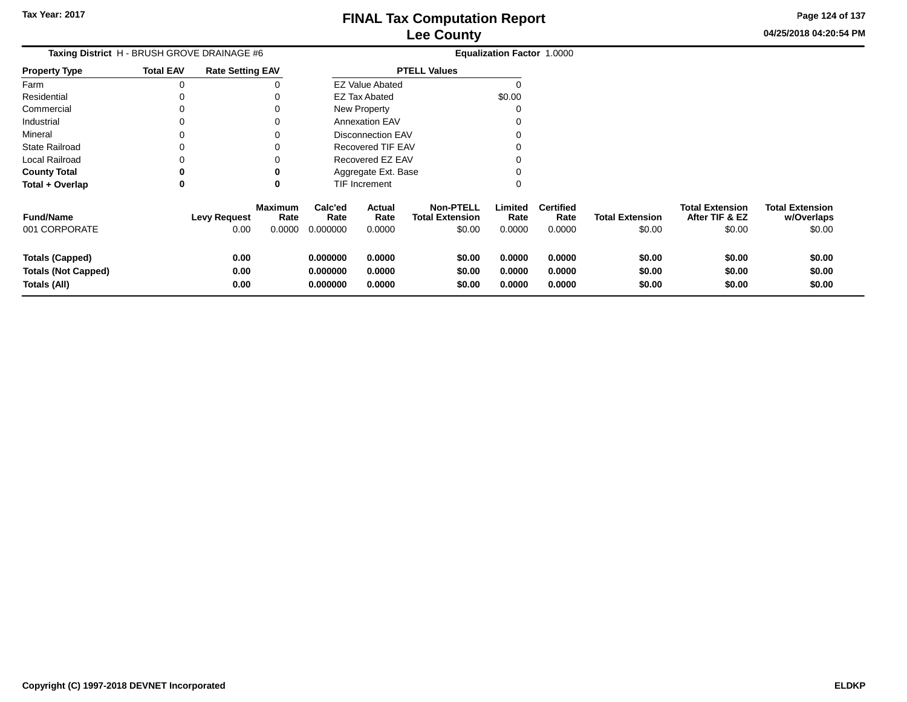**Page 124 of 137**

 $$0.00$ 

| Taxing District H - BRUSH GROVE DRAINAGE #6 |                  |                         |                        |                 |                          |                                            | Equalization Factor 1.0000 |                          |                        |                                          |                                      |
|---------------------------------------------|------------------|-------------------------|------------------------|-----------------|--------------------------|--------------------------------------------|----------------------------|--------------------------|------------------------|------------------------------------------|--------------------------------------|
| Property Type                               | <b>Total EAV</b> | <b>Rate Setting EAV</b> |                        |                 |                          | <b>PTELL Values</b>                        |                            |                          |                        |                                          |                                      |
| Farm                                        | 0                |                         |                        |                 | <b>EZ Value Abated</b>   |                                            |                            |                          |                        |                                          |                                      |
| Residential                                 |                  |                         |                        |                 | EZ Tax Abated            |                                            | \$0.00                     |                          |                        |                                          |                                      |
| Commercial                                  | 0                |                         |                        |                 | New Property             |                                            | 0                          |                          |                        |                                          |                                      |
| Industrial                                  | 0                |                         |                        |                 | <b>Annexation EAV</b>    |                                            | 0                          |                          |                        |                                          |                                      |
| Mineral                                     | 0                |                         |                        |                 | <b>Disconnection EAV</b> |                                            |                            |                          |                        |                                          |                                      |
| State Railroad                              | 0                |                         |                        |                 | Recovered TIF EAV        |                                            |                            |                          |                        |                                          |                                      |
| Local Railroad                              | 0                |                         |                        |                 | Recovered EZ EAV         |                                            |                            |                          |                        |                                          |                                      |
| County Total                                | 0                |                         |                        |                 | Aggregate Ext. Base      |                                            |                            |                          |                        |                                          |                                      |
| Total + Overlap                             | 0                |                         | 0                      |                 | TIF Increment            |                                            | 0                          |                          |                        |                                          |                                      |
| <b>Fund/Name</b>                            |                  | <b>Levy Request</b>     | <b>Maximum</b><br>Rate | Calc'ed<br>Rate | Actual<br>Rate           | <b>Non-PTELL</b><br><b>Total Extension</b> | Limited<br>Rate            | <b>Certified</b><br>Rate | <b>Total Extension</b> | <b>Total Extension</b><br>After TIF & EZ | <b>Total Extension</b><br>w/Overlaps |
| 001 CORPORATE                               |                  | 0.00                    | 0.0000                 | 0.000000        | 0.0000                   | \$0.00                                     | 0.0000                     | 0.0000                   | \$0.00                 | \$0.00                                   | \$0.00                               |
| <b>Totals (Capped)</b>                      |                  | 0.00                    |                        | 0.000000        | 0.0000                   | \$0.00                                     | 0.0000                     | 0.0000                   | \$0.00                 | \$0.00                                   | \$0.00                               |
| <b>Totals (Not Capped)</b>                  |                  | 0.00                    |                        | 0.000000        | 0.0000                   | \$0.00                                     | 0.0000                     | 0.0000                   | \$0.00                 | \$0.00                                   | \$0.00                               |
| Totals (All)                                |                  | 0.00                    |                        | 0.000000        | 0.0000                   | \$0.00                                     | 0.0000                     | 0.0000                   | \$0.00                 | \$0.00                                   | \$0.00                               |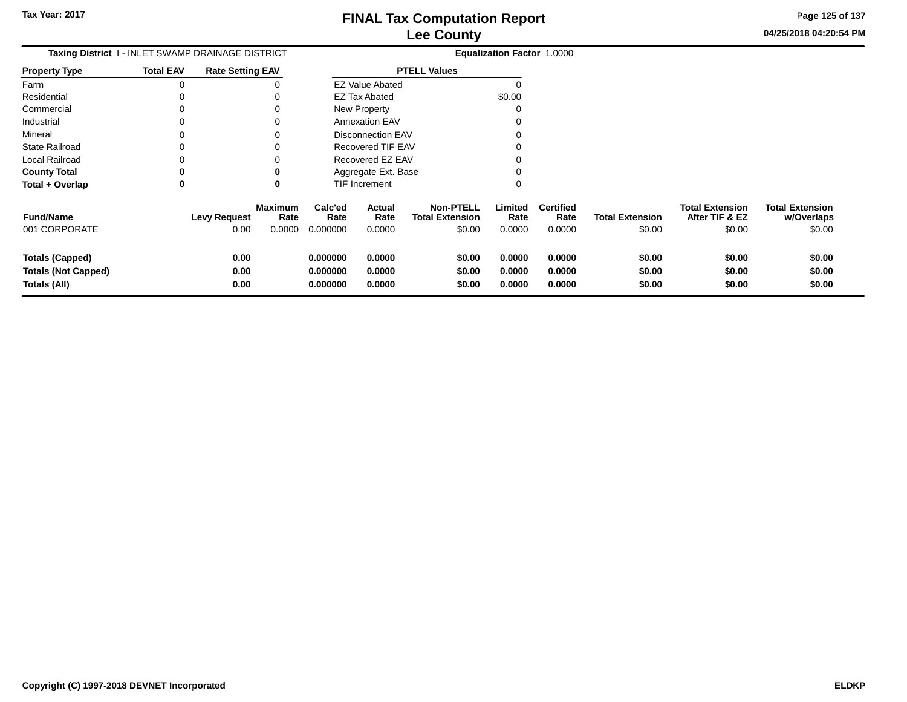**04/25/2018 04:20:54 PMPage 125 of 137**

| Taxing District 1 - INLET SWAMP DRAINAGE DISTRICT                    |                  |                             |                           |                                  |                            |                                                      | Equalization Factor 1.0000 |                                    |                                  |                                                    |                                                |
|----------------------------------------------------------------------|------------------|-----------------------------|---------------------------|----------------------------------|----------------------------|------------------------------------------------------|----------------------------|------------------------------------|----------------------------------|----------------------------------------------------|------------------------------------------------|
| <b>Property Type</b>                                                 | <b>Total EAV</b> | <b>Rate Setting EAV</b>     |                           | <b>PTELL Values</b>              |                            |                                                      |                            |                                    |                                  |                                                    |                                                |
| Farm                                                                 |                  |                             |                           |                                  | <b>EZ Value Abated</b>     |                                                      |                            |                                    |                                  |                                                    |                                                |
| Residential                                                          |                  |                             |                           |                                  | <b>EZ Tax Abated</b>       |                                                      | \$0.00                     |                                    |                                  |                                                    |                                                |
| Commercial                                                           |                  |                             | 0                         |                                  | New Property               |                                                      |                            |                                    |                                  |                                                    |                                                |
| Industrial                                                           |                  |                             | 0                         |                                  | <b>Annexation EAV</b>      |                                                      |                            |                                    |                                  |                                                    |                                                |
| Mineral                                                              |                  |                             | 0                         |                                  | <b>Disconnection EAV</b>   |                                                      |                            |                                    |                                  |                                                    |                                                |
| <b>State Railroad</b>                                                |                  |                             |                           |                                  | Recovered TIF EAV          |                                                      |                            |                                    |                                  |                                                    |                                                |
| <b>Local Railroad</b>                                                |                  |                             |                           |                                  | Recovered EZ EAV           |                                                      |                            |                                    |                                  |                                                    |                                                |
| <b>County Total</b>                                                  |                  |                             | 0                         |                                  | Aggregate Ext. Base        |                                                      |                            |                                    |                                  |                                                    |                                                |
| Total + Overlap                                                      | 0                |                             | 0                         |                                  | TIF Increment              |                                                      |                            |                                    |                                  |                                                    |                                                |
| <b>Fund/Name</b><br>001 CORPORATE                                    |                  | <b>Levy Request</b><br>0.00 | Maximum<br>Rate<br>0.0000 | Calc'ed<br>Rate<br>0.000000      | Actual<br>Rate<br>0.0000   | <b>Non-PTELL</b><br><b>Total Extension</b><br>\$0.00 | Limited<br>Rate<br>0.0000  | <b>Certified</b><br>Rate<br>0.0000 | <b>Total Extension</b><br>\$0.00 | <b>Total Extension</b><br>After TIF & EZ<br>\$0.00 | <b>Total Extension</b><br>w/Overlaps<br>\$0.00 |
| <b>Totals (Capped)</b><br><b>Totals (Not Capped)</b><br>Totals (All) |                  | 0.00<br>0.00<br>0.00        |                           | 0.000000<br>0.000000<br>0.000000 | 0.0000<br>0.0000<br>0.0000 | \$0.00<br>\$0.00<br>\$0.00                           | 0.0000<br>0.0000<br>0.0000 | 0.0000<br>0.0000<br>0.0000         | \$0.00<br>\$0.00<br>\$0.00       | \$0.00<br>\$0.00<br>\$0.00                         | \$0.00<br>\$0.00<br>\$0.00                     |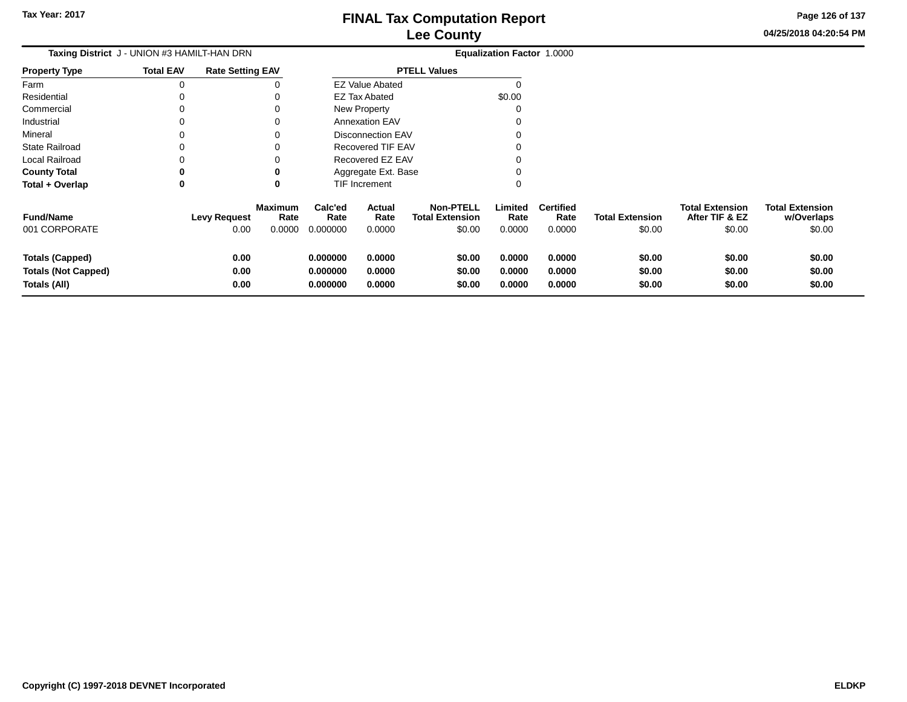**Page 126 of 137**

 $$0.00$ 

| Taxing District J - UNION #3 HAMILT-HAN DRN                          |                  |                             |                                  |                                  |                            |                                                      | Equalization Factor 1.0000 |                                    |                                  |                                                    |                                                |
|----------------------------------------------------------------------|------------------|-----------------------------|----------------------------------|----------------------------------|----------------------------|------------------------------------------------------|----------------------------|------------------------------------|----------------------------------|----------------------------------------------------|------------------------------------------------|
| Property Type                                                        | <b>Total EAV</b> | <b>Rate Setting EAV</b>     |                                  |                                  |                            | <b>PTELL Values</b>                                  |                            |                                    |                                  |                                                    |                                                |
| Farm                                                                 | 0                |                             |                                  |                                  | <b>EZ Value Abated</b>     |                                                      |                            |                                    |                                  |                                                    |                                                |
| Residential                                                          | $\Omega$         |                             |                                  |                                  | <b>EZ Tax Abated</b>       |                                                      | \$0.00                     |                                    |                                  |                                                    |                                                |
| Commercial                                                           | 0                |                             |                                  |                                  | New Property               |                                                      | 0                          |                                    |                                  |                                                    |                                                |
| Industrial                                                           |                  |                             |                                  |                                  | <b>Annexation EAV</b>      |                                                      |                            |                                    |                                  |                                                    |                                                |
| Mineral                                                              |                  |                             |                                  |                                  | <b>Disconnection EAV</b>   |                                                      |                            |                                    |                                  |                                                    |                                                |
| State Railroad                                                       |                  |                             |                                  |                                  | Recovered TIF EAV          |                                                      |                            |                                    |                                  |                                                    |                                                |
| Local Railroad                                                       |                  |                             |                                  |                                  | Recovered EZ EAV           |                                                      |                            |                                    |                                  |                                                    |                                                |
| <b>County Total</b>                                                  | 0                |                             |                                  |                                  | Aggregate Ext. Base        |                                                      |                            |                                    |                                  |                                                    |                                                |
| Total + Overlap                                                      | 0                |                             | 0                                |                                  | <b>TIF Increment</b>       |                                                      | 0                          |                                    |                                  |                                                    |                                                |
| <b>Fund/Name</b><br>001 CORPORATE                                    |                  | <b>Levy Request</b><br>0.00 | <b>Maximum</b><br>Rate<br>0.0000 | Calc'ed<br>Rate<br>0.000000      | Actual<br>Rate<br>0.0000   | <b>Non-PTELL</b><br><b>Total Extension</b><br>\$0.00 | Limited<br>Rate<br>0.0000  | <b>Certified</b><br>Rate<br>0.0000 | <b>Total Extension</b><br>\$0.00 | <b>Total Extension</b><br>After TIF & EZ<br>\$0.00 | <b>Total Extension</b><br>w/Overlaps<br>\$0.00 |
| <b>Totals (Capped)</b><br><b>Totals (Not Capped)</b><br>Totals (All) |                  | 0.00<br>0.00<br>0.00        |                                  | 0.000000<br>0.000000<br>0.000000 | 0.0000<br>0.0000<br>0.0000 | \$0.00<br>\$0.00<br>\$0.00                           | 0.0000<br>0.0000<br>0.0000 | 0.0000<br>0.0000<br>0.0000         | \$0.00<br>\$0.00<br>\$0.00       | \$0.00<br>\$0.00<br>\$0.00                         | \$0.00<br>\$0.00<br>\$0.00                     |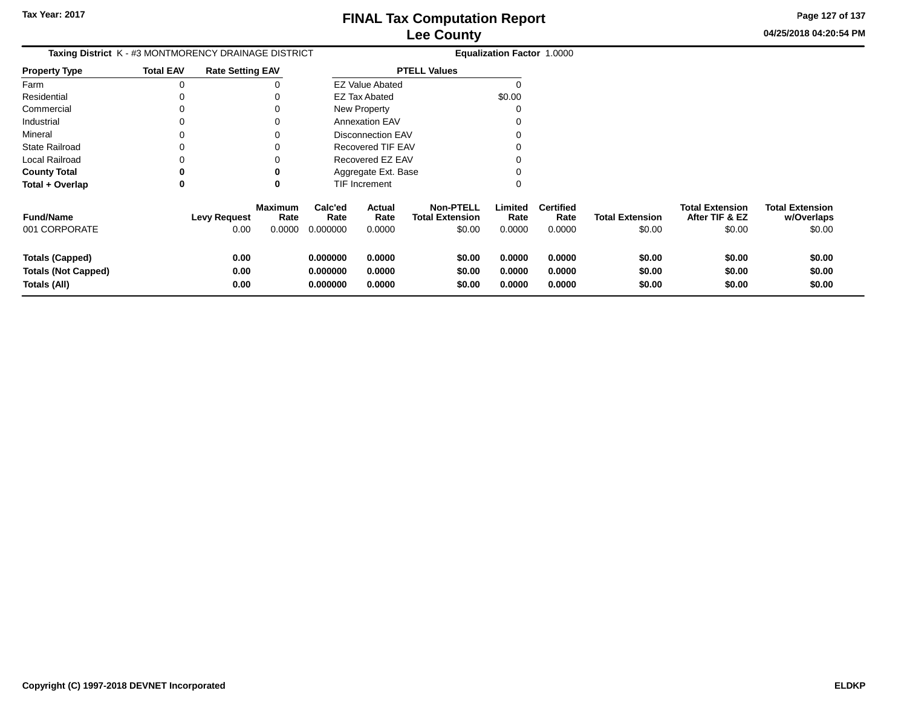**Page 127 of 137**

 $$0.00$ 

| Taxing District K - #3 MONTMORENCY DRAINAGE DISTRICT |                  |                         |                        |                 |                          |                                            | Equalization Factor 1.0000 |                          |                        |                                          |                                      |
|------------------------------------------------------|------------------|-------------------------|------------------------|-----------------|--------------------------|--------------------------------------------|----------------------------|--------------------------|------------------------|------------------------------------------|--------------------------------------|
| <b>Property Type</b>                                 | <b>Total EAV</b> | <b>Rate Setting EAV</b> |                        |                 |                          | <b>PTELL Values</b>                        |                            |                          |                        |                                          |                                      |
| Farm                                                 | 0                |                         |                        |                 | <b>EZ Value Abated</b>   |                                            |                            |                          |                        |                                          |                                      |
| Residential                                          | 0                |                         |                        |                 | <b>EZ Tax Abated</b>     |                                            | \$0.00                     |                          |                        |                                          |                                      |
| Commercial                                           | 0                |                         |                        |                 | <b>New Property</b>      |                                            |                            |                          |                        |                                          |                                      |
| Industrial                                           | 0                |                         |                        |                 | <b>Annexation EAV</b>    |                                            |                            |                          |                        |                                          |                                      |
| Mineral                                              | $\Omega$         |                         |                        |                 | <b>Disconnection EAV</b> |                                            |                            |                          |                        |                                          |                                      |
| <b>State Railroad</b>                                | $\Omega$         |                         |                        |                 | <b>Recovered TIF EAV</b> |                                            |                            |                          |                        |                                          |                                      |
| Local Railroad                                       |                  |                         |                        |                 | Recovered EZ EAV         |                                            |                            |                          |                        |                                          |                                      |
| <b>County Total</b>                                  | $\bf{0}$         |                         | 0                      |                 | Aggregate Ext. Base      |                                            |                            |                          |                        |                                          |                                      |
| Total + Overlap                                      | $\mathbf 0$      |                         | 0                      |                 | TIF Increment            |                                            |                            |                          |                        |                                          |                                      |
| <b>Fund/Name</b>                                     |                  | <b>Levy Request</b>     | <b>Maximum</b><br>Rate | Calc'ed<br>Rate | Actual<br>Rate           | <b>Non-PTELL</b><br><b>Total Extension</b> | Limited<br>Rate            | <b>Certified</b><br>Rate | <b>Total Extension</b> | <b>Total Extension</b><br>After TIF & EZ | <b>Total Extension</b><br>w/Overlaps |
| 001 CORPORATE                                        |                  | 0.00                    | 0.0000                 | 0.000000        | 0.0000                   | \$0.00                                     | 0.0000                     | 0.0000                   | \$0.00                 | \$0.00                                   | \$0.00                               |
| Totals (Capped)                                      |                  | 0.00                    |                        | 0.000000        | 0.0000                   | \$0.00                                     | 0.0000                     | 0.0000                   | \$0.00                 | \$0.00                                   | \$0.00                               |
| <b>Totals (Not Capped)</b>                           |                  | 0.00                    |                        | 0.000000        | 0.0000                   | \$0.00                                     | 0.0000                     | 0.0000                   | \$0.00                 | \$0.00                                   | \$0.00                               |
| Totals (All)                                         |                  | 0.00                    |                        | 0.000000        | 0.0000                   | \$0.00                                     | 0.0000                     | 0.0000                   | \$0.00                 | \$0.00                                   | \$0.00                               |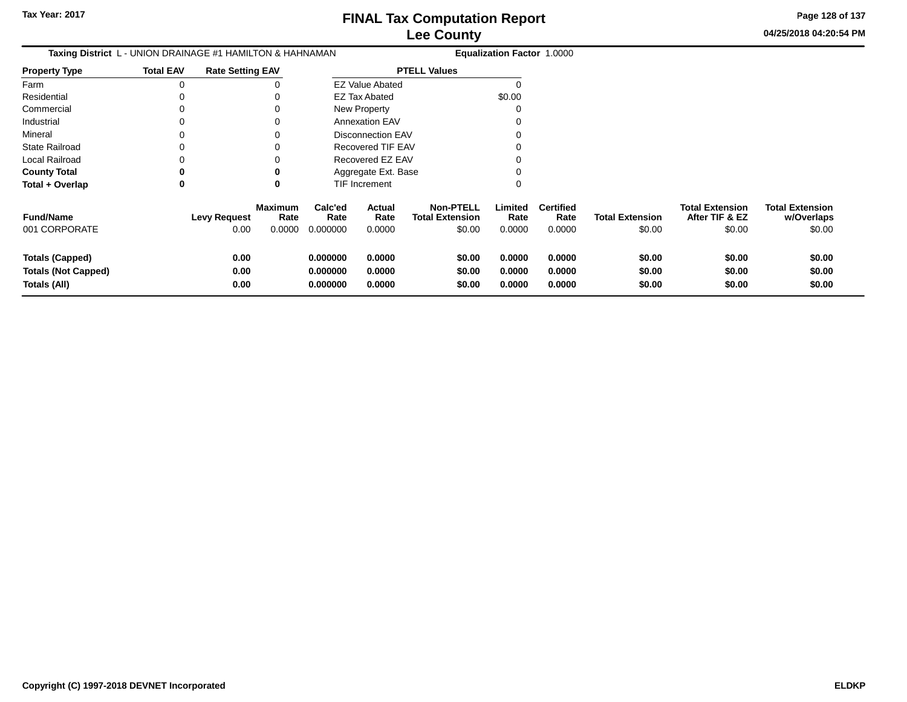**Page 128 of 137**

 $$0.00$ 

| <b>Taxing District</b> L - UNION DRAINAGE #1 HAMILTON & HAHNAMAN |                  |                             |                                  |                             |                          | <b>Equalization Factor 1.0000</b>                    |                           |                                    |                                  |                                                    |                                                |
|------------------------------------------------------------------|------------------|-----------------------------|----------------------------------|-----------------------------|--------------------------|------------------------------------------------------|---------------------------|------------------------------------|----------------------------------|----------------------------------------------------|------------------------------------------------|
| Property Type                                                    | <b>Total EAV</b> | <b>Rate Setting EAV</b>     |                                  |                             |                          | <b>PTELL Values</b>                                  |                           |                                    |                                  |                                                    |                                                |
| Farm                                                             | 0                |                             |                                  |                             | <b>EZ Value Abated</b>   |                                                      |                           |                                    |                                  |                                                    |                                                |
| Residential                                                      |                  |                             |                                  |                             | EZ Tax Abated            |                                                      | \$0.00                    |                                    |                                  |                                                    |                                                |
| Commercial                                                       |                  |                             |                                  |                             | New Property             |                                                      | $\Omega$                  |                                    |                                  |                                                    |                                                |
| Industrial                                                       |                  |                             |                                  |                             | <b>Annexation EAV</b>    |                                                      |                           |                                    |                                  |                                                    |                                                |
| Mineral                                                          |                  |                             |                                  |                             | <b>Disconnection EAV</b> |                                                      |                           |                                    |                                  |                                                    |                                                |
| State Railroad                                                   |                  |                             |                                  |                             | Recovered TIF EAV        |                                                      |                           |                                    |                                  |                                                    |                                                |
| Local Railroad                                                   |                  |                             |                                  |                             | Recovered EZ EAV         |                                                      |                           |                                    |                                  |                                                    |                                                |
| <b>County Total</b>                                              | 0                |                             |                                  |                             | Aggregate Ext. Base      |                                                      |                           |                                    |                                  |                                                    |                                                |
| Total + Overlap                                                  | 0                |                             | 0                                |                             | TIF Increment            |                                                      | 0                         |                                    |                                  |                                                    |                                                |
| <b>Fund/Name</b><br>001 CORPORATE                                |                  | <b>Levy Request</b><br>0.00 | <b>Maximum</b><br>Rate<br>0.0000 | Calc'ed<br>Rate<br>0.000000 | Actual<br>Rate<br>0.0000 | <b>Non-PTELL</b><br><b>Total Extension</b><br>\$0.00 | Limited<br>Rate<br>0.0000 | <b>Certified</b><br>Rate<br>0.0000 | <b>Total Extension</b><br>\$0.00 | <b>Total Extension</b><br>After TIF & EZ<br>\$0.00 | <b>Total Extension</b><br>w/Overlaps<br>\$0.00 |
|                                                                  |                  |                             |                                  |                             |                          |                                                      |                           |                                    |                                  |                                                    |                                                |
| <b>Totals (Capped)</b>                                           |                  | 0.00                        |                                  | 0.000000                    | 0.0000                   | \$0.00                                               | 0.0000                    | 0.0000                             | \$0.00                           | \$0.00                                             | \$0.00                                         |
| <b>Totals (Not Capped)</b>                                       |                  | 0.00                        |                                  | 0.000000                    | 0.0000                   | \$0.00                                               | 0.0000                    | 0.0000                             | \$0.00                           | \$0.00                                             | \$0.00                                         |
| Totals (All)                                                     |                  | 0.00                        |                                  | 0.000000                    | 0.0000                   | \$0.00                                               | 0.0000                    | 0.0000                             | \$0.00                           | \$0.00                                             | \$0.00                                         |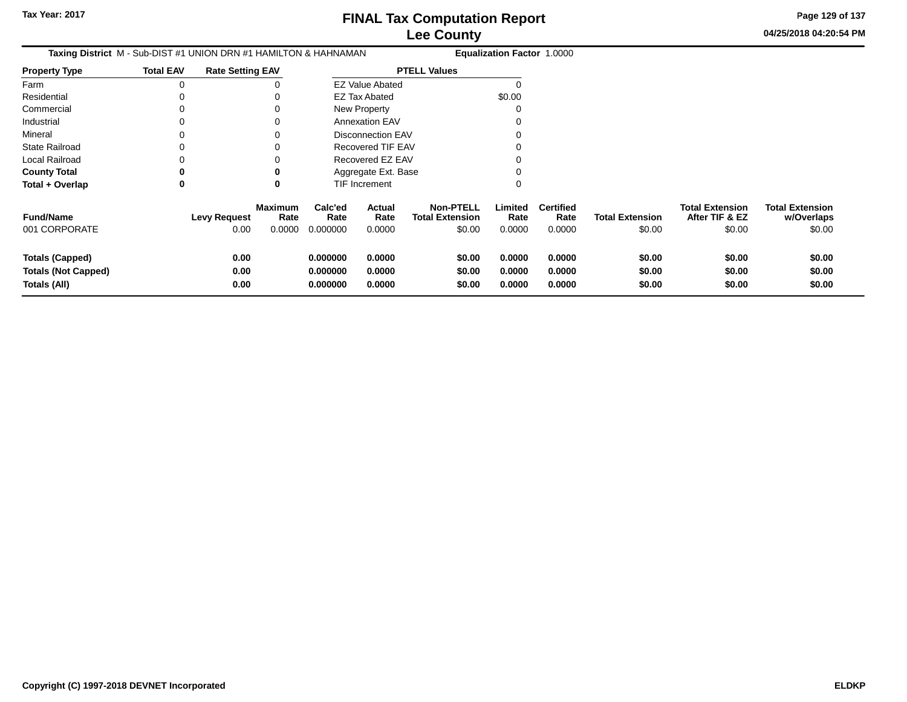**Page 129 of 137**

| <b>Taxing District</b> M - Sub-DIST #1 UNION DRN #1 HAMILTON & HAHNAMAN |                     |                                          | Equalization Factor 1.0000       |                                 |                                                      |                            |                                    |                                  |                                                    |                                                |
|-------------------------------------------------------------------------|---------------------|------------------------------------------|----------------------------------|---------------------------------|------------------------------------------------------|----------------------------|------------------------------------|----------------------------------|----------------------------------------------------|------------------------------------------------|
| <b>Property Type</b>                                                    | <b>Total EAV</b>    | <b>Rate Setting EAV</b>                  |                                  |                                 | <b>PTELL Values</b>                                  |                            |                                    |                                  |                                                    |                                                |
| Farm                                                                    | 0                   |                                          |                                  | <b>EZ Value Abated</b>          |                                                      |                            |                                    |                                  |                                                    |                                                |
| Residential                                                             |                     | 0                                        |                                  | <b>EZ Tax Abated</b>            |                                                      | \$0.00                     |                                    |                                  |                                                    |                                                |
| Commercial                                                              | 0                   | 0                                        |                                  | New Property                    |                                                      | ი                          |                                    |                                  |                                                    |                                                |
| Industrial                                                              | 0                   | 0                                        |                                  | <b>Annexation EAV</b>           |                                                      |                            |                                    |                                  |                                                    |                                                |
| Mineral                                                                 | 0                   | 0                                        |                                  | <b>Disconnection EAV</b>        |                                                      |                            |                                    |                                  |                                                    |                                                |
| <b>State Railroad</b>                                                   | 0                   | 0                                        |                                  | Recovered TIF EAV               |                                                      | ი                          |                                    |                                  |                                                    |                                                |
| Local Railroad                                                          |                     | 0                                        |                                  | Recovered EZ EAV                |                                                      | ი                          |                                    |                                  |                                                    |                                                |
| <b>County Total</b>                                                     | 0                   | 0                                        |                                  | Aggregate Ext. Base             |                                                      |                            |                                    |                                  |                                                    |                                                |
| Total + Overlap                                                         | 0                   | $\bf{0}$                                 |                                  | TIF Increment                   |                                                      | 0                          |                                    |                                  |                                                    |                                                |
| <b>Fund/Name</b><br>001 CORPORATE                                       | <b>Levy Request</b> | <b>Maximum</b><br>Rate<br>0.00<br>0.0000 | Calc'ed<br>Rate<br>0.000000      | <b>Actual</b><br>Rate<br>0.0000 | <b>Non-PTELL</b><br><b>Total Extension</b><br>\$0.00 | Limited<br>Rate<br>0.0000  | <b>Certified</b><br>Rate<br>0.0000 | <b>Total Extension</b><br>\$0.00 | <b>Total Extension</b><br>After TIF & EZ<br>\$0.00 | <b>Total Extension</b><br>w/Overlaps<br>\$0.00 |
| <b>Totals (Capped)</b><br><b>Totals (Not Capped)</b><br>Totals (All)    |                     | 0.00<br>0.00<br>0.00                     | 0.000000<br>0.000000<br>0.000000 | 0.0000<br>0.0000<br>0.0000      | \$0.00<br>\$0.00<br>\$0.00                           | 0.0000<br>0.0000<br>0.0000 | 0.0000<br>0.0000<br>0.0000         | \$0.00<br>\$0.00<br>\$0.00       | \$0.00<br>\$0.00<br>\$0.00                         | \$0.00<br>\$0.00<br>\$0.00                     |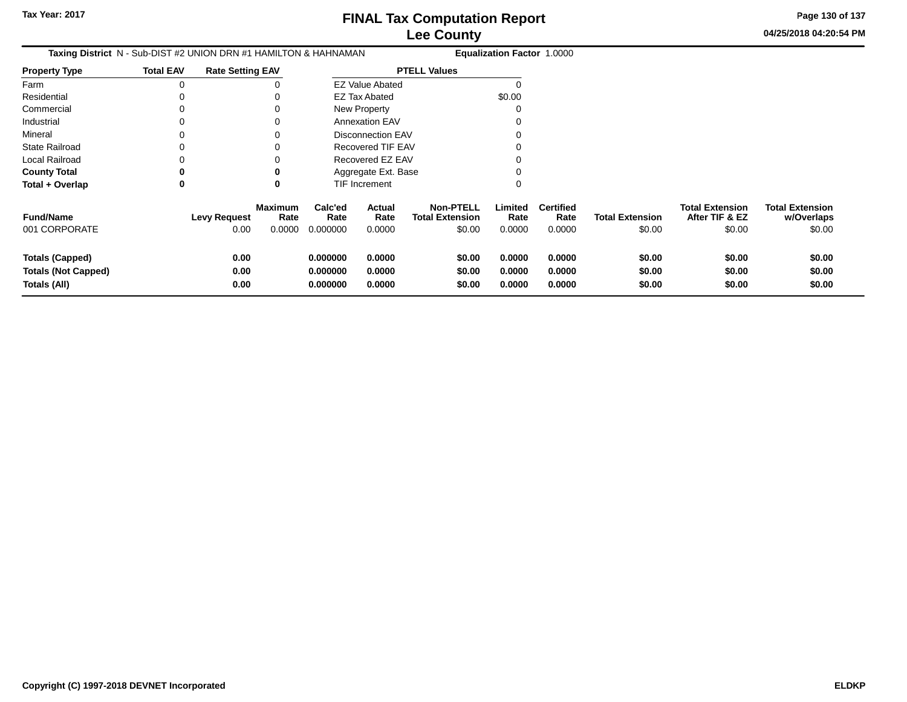**Page 130 of 137**

| <b>Taxing District</b> N - Sub-DIST #2 UNION DRN #1 HAMILTON & HAHNAMAN |                  |                             |                                  |                                  |                                 |                                                      | <b>Equalization Factor 1.0000</b> |                                    |                                  |                                                    |                                                |
|-------------------------------------------------------------------------|------------------|-----------------------------|----------------------------------|----------------------------------|---------------------------------|------------------------------------------------------|-----------------------------------|------------------------------------|----------------------------------|----------------------------------------------------|------------------------------------------------|
| <b>Property Type</b>                                                    | <b>Total EAV</b> | <b>Rate Setting EAV</b>     |                                  |                                  |                                 | <b>PTELL Values</b>                                  |                                   |                                    |                                  |                                                    |                                                |
| Farm                                                                    | 0                |                             |                                  |                                  | <b>EZ Value Abated</b>          |                                                      |                                   |                                    |                                  |                                                    |                                                |
| Residential                                                             |                  |                             | 0                                |                                  | <b>EZ Tax Abated</b>            |                                                      | \$0.00                            |                                    |                                  |                                                    |                                                |
| Commercial                                                              | 0                |                             | 0                                |                                  | New Property                    |                                                      |                                   |                                    |                                  |                                                    |                                                |
| Industrial                                                              | 0                |                             | 0                                |                                  | <b>Annexation EAV</b>           |                                                      |                                   |                                    |                                  |                                                    |                                                |
| Mineral                                                                 |                  |                             | 0                                |                                  | <b>Disconnection EAV</b>        |                                                      |                                   |                                    |                                  |                                                    |                                                |
| <b>State Railroad</b>                                                   |                  |                             | 0                                |                                  | <b>Recovered TIF EAV</b>        |                                                      |                                   |                                    |                                  |                                                    |                                                |
| Local Railroad                                                          |                  |                             | 0                                |                                  | Recovered EZ EAV                |                                                      |                                   |                                    |                                  |                                                    |                                                |
| <b>County Total</b>                                                     | 0                |                             | 0                                |                                  | Aggregate Ext. Base             |                                                      |                                   |                                    |                                  |                                                    |                                                |
| Total + Overlap                                                         | 0                |                             | 0                                |                                  | <b>TIF Increment</b>            |                                                      |                                   |                                    |                                  |                                                    |                                                |
| <b>Fund/Name</b><br>001 CORPORATE                                       |                  | <b>Levy Request</b><br>0.00 | <b>Maximum</b><br>Rate<br>0.0000 | Calc'ed<br>Rate<br>0.000000      | <b>Actual</b><br>Rate<br>0.0000 | <b>Non-PTELL</b><br><b>Total Extension</b><br>\$0.00 | Limited<br>Rate<br>0.0000         | <b>Certified</b><br>Rate<br>0.0000 | <b>Total Extension</b><br>\$0.00 | <b>Total Extension</b><br>After TIF & EZ<br>\$0.00 | <b>Total Extension</b><br>w/Overlaps<br>\$0.00 |
| <b>Totals (Capped)</b><br><b>Totals (Not Capped)</b><br>Totals (All)    |                  | 0.00<br>0.00<br>0.00        |                                  | 0.000000<br>0.000000<br>0.000000 | 0.0000<br>0.0000<br>0.0000      | \$0.00<br>\$0.00<br>\$0.00                           | 0.0000<br>0.0000<br>0.0000        | 0.0000<br>0.0000<br>0.0000         | \$0.00<br>\$0.00<br>\$0.00       | \$0.00<br>\$0.00<br>\$0.00                         | \$0.00<br>\$0.00<br>\$0.00                     |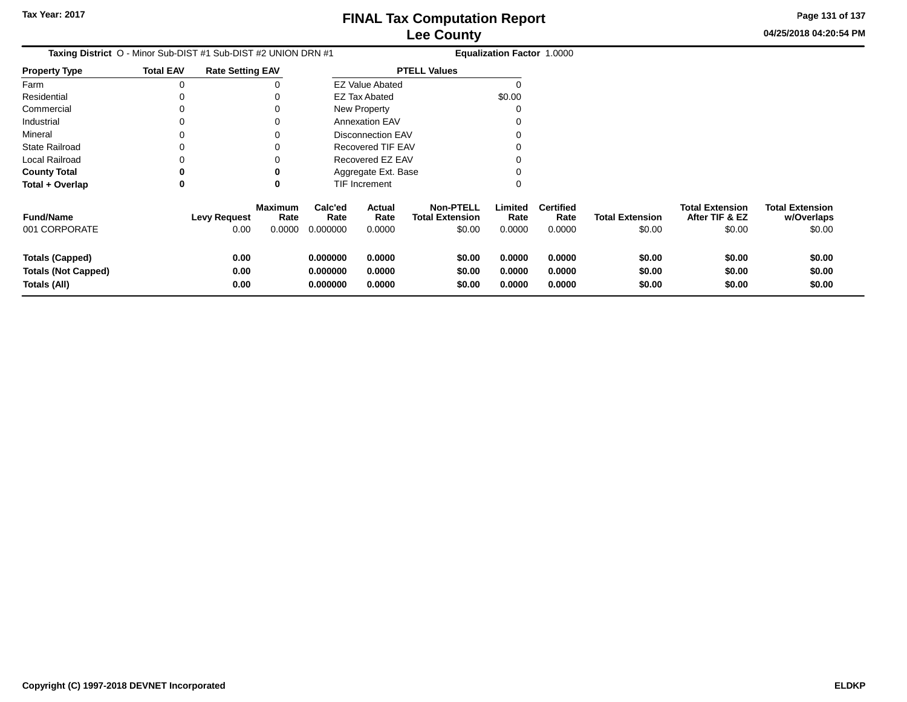**Page 131 of 137**

**04/25/2018 04:20:54 PM**

**w/Overlaps** $$0.00$ 

| <b>Taxing District</b> O - Minor Sub-DIST #1 Sub-DIST #2 UNION DRN #1 |                  |                         |                        | <b>Equalization Factor 1.0000</b> |                            |                                            |                            |                            |                            |                                          |                                      |
|-----------------------------------------------------------------------|------------------|-------------------------|------------------------|-----------------------------------|----------------------------|--------------------------------------------|----------------------------|----------------------------|----------------------------|------------------------------------------|--------------------------------------|
| Property Type                                                         | <b>Total EAV</b> | <b>Rate Setting EAV</b> |                        |                                   |                            | <b>PTELL Values</b>                        |                            |                            |                            |                                          |                                      |
| Farm                                                                  | 0                |                         |                        |                                   | <b>EZ Value Abated</b>     |                                            |                            |                            |                            |                                          |                                      |
| Residential                                                           |                  |                         |                        |                                   | <b>EZ Tax Abated</b>       |                                            | \$0.00                     |                            |                            |                                          |                                      |
| Commercial                                                            |                  |                         |                        |                                   | New Property               |                                            |                            |                            |                            |                                          |                                      |
| Industrial                                                            |                  |                         |                        |                                   | <b>Annexation EAV</b>      |                                            |                            |                            |                            |                                          |                                      |
| Mineral                                                               |                  |                         |                        |                                   | <b>Disconnection EAV</b>   |                                            |                            |                            |                            |                                          |                                      |
| State Railroad                                                        |                  |                         |                        |                                   | <b>Recovered TIF EAV</b>   |                                            |                            |                            |                            |                                          |                                      |
| Local Railroad                                                        |                  |                         |                        |                                   | Recovered EZ EAV           |                                            |                            |                            |                            |                                          |                                      |
| <b>County Total</b>                                                   |                  |                         | o                      |                                   | Aggregate Ext. Base        |                                            |                            |                            |                            |                                          |                                      |
| Total + Overlap                                                       | 0                |                         | 0                      |                                   | TIF Increment              |                                            |                            |                            |                            |                                          |                                      |
| <b>Fund/Name</b>                                                      |                  | <b>Levy Request</b>     | <b>Maximum</b><br>Rate | Calc'ed<br>Rate                   | Actual<br>Rate             | <b>Non-PTELL</b><br><b>Total Extension</b> | Limited<br>Rate            | <b>Certified</b><br>Rate   | <b>Total Extension</b>     | <b>Total Extension</b><br>After TIF & EZ | <b>Total Extension</b><br>w/Overlaps |
| 001 CORPORATE                                                         |                  | 0.00                    | 0.0000                 | 0.000000                          | 0.0000                     | \$0.00                                     | 0.0000                     | 0.0000                     | \$0.00                     | \$0.00                                   | \$0.00                               |
| <b>Totals (Capped)</b><br><b>Totals (Not Capped)</b><br>Totals (All)  |                  | 0.00<br>0.00<br>0.00    |                        | 0.000000<br>0.000000<br>0.000000  | 0.0000<br>0.0000<br>0.0000 | \$0.00<br>\$0.00<br>\$0.00                 | 0.0000<br>0.0000<br>0.0000 | 0.0000<br>0.0000<br>0.0000 | \$0.00<br>\$0.00<br>\$0.00 | \$0.00<br>\$0.00<br>\$0.00               | \$0.00<br>\$0.00<br>\$0.00           |
|                                                                       |                  |                         |                        |                                   |                            |                                            |                            |                            |                            |                                          |                                      |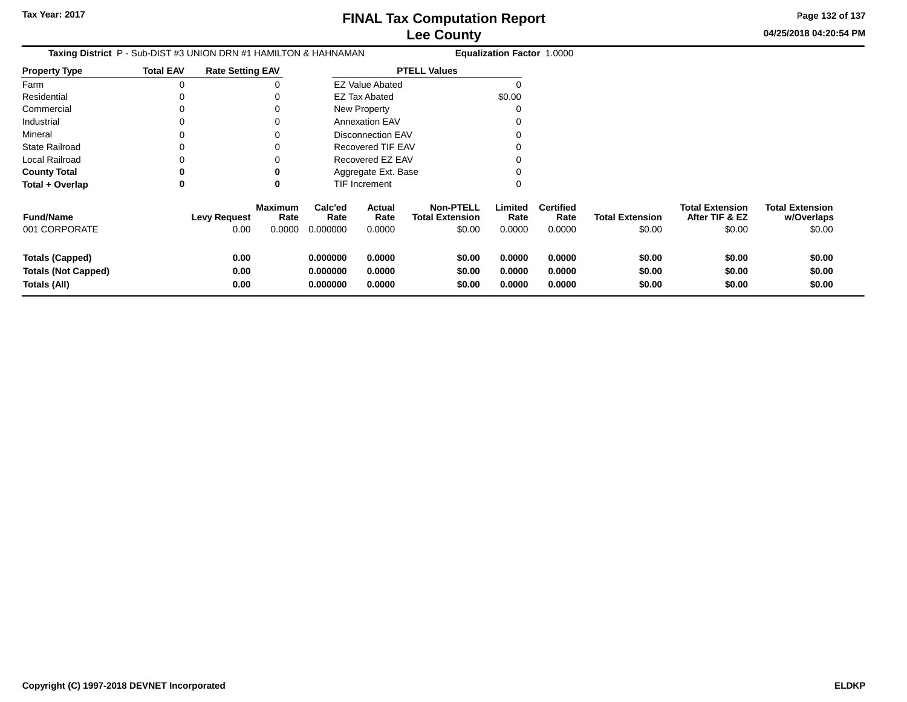**Page 132 of 137**

| <b>Taxing District</b> P - Sub-DIST #3 UNION DRN #1 HAMILTON & HAHNAMAN |                  |                             |                                  |                                  |                            |                                                      | <b>Equalization Factor 1.0000</b> |                                    |                                  |                                                    |                                                |
|-------------------------------------------------------------------------|------------------|-----------------------------|----------------------------------|----------------------------------|----------------------------|------------------------------------------------------|-----------------------------------|------------------------------------|----------------------------------|----------------------------------------------------|------------------------------------------------|
| <b>Property Type</b>                                                    | <b>Total EAV</b> | <b>Rate Setting EAV</b>     |                                  |                                  |                            | <b>PTELL Values</b>                                  |                                   |                                    |                                  |                                                    |                                                |
| Farm                                                                    |                  |                             |                                  |                                  | <b>EZ Value Abated</b>     |                                                      |                                   |                                    |                                  |                                                    |                                                |
| Residential                                                             |                  |                             |                                  |                                  | <b>EZ Tax Abated</b>       |                                                      | \$0.00                            |                                    |                                  |                                                    |                                                |
| Commercial                                                              |                  |                             |                                  |                                  | New Property               |                                                      | C                                 |                                    |                                  |                                                    |                                                |
| Industrial                                                              |                  |                             |                                  |                                  | <b>Annexation EAV</b>      |                                                      |                                   |                                    |                                  |                                                    |                                                |
| Mineral                                                                 |                  |                             |                                  |                                  | <b>Disconnection EAV</b>   |                                                      |                                   |                                    |                                  |                                                    |                                                |
| <b>State Railroad</b>                                                   |                  |                             |                                  |                                  | <b>Recovered TIF EAV</b>   |                                                      |                                   |                                    |                                  |                                                    |                                                |
| Local Railroad                                                          |                  |                             |                                  |                                  | Recovered EZ EAV           |                                                      |                                   |                                    |                                  |                                                    |                                                |
| <b>County Total</b>                                                     |                  |                             |                                  |                                  | Aggregate Ext. Base        |                                                      |                                   |                                    |                                  |                                                    |                                                |
| Total + Overlap                                                         | 0                |                             | 0                                |                                  | TIF Increment              |                                                      | ∩                                 |                                    |                                  |                                                    |                                                |
| <b>Fund/Name</b><br>001 CORPORATE                                       |                  | <b>Levy Request</b><br>0.00 | <b>Maximum</b><br>Rate<br>0.0000 | Calc'ed<br>Rate<br>0.000000      | Actual<br>Rate<br>0.0000   | <b>Non-PTELL</b><br><b>Total Extension</b><br>\$0.00 | Limited<br>Rate<br>0.0000         | <b>Certified</b><br>Rate<br>0.0000 | <b>Total Extension</b><br>\$0.00 | <b>Total Extension</b><br>After TIF & EZ<br>\$0.00 | <b>Total Extension</b><br>w/Overlaps<br>\$0.00 |
| <b>Totals (Capped)</b><br><b>Totals (Not Capped)</b><br>Totals (All)    |                  | 0.00<br>0.00<br>0.00        |                                  | 0.000000<br>0.000000<br>0.000000 | 0.0000<br>0.0000<br>0.0000 | \$0.00<br>\$0.00<br>\$0.00                           | 0.0000<br>0.0000<br>0.0000        | 0.0000<br>0.0000<br>0.0000         | \$0.00<br>\$0.00<br>\$0.00       | \$0.00<br>\$0.00<br>\$0.00                         | \$0.00<br>\$0.00<br>\$0.00                     |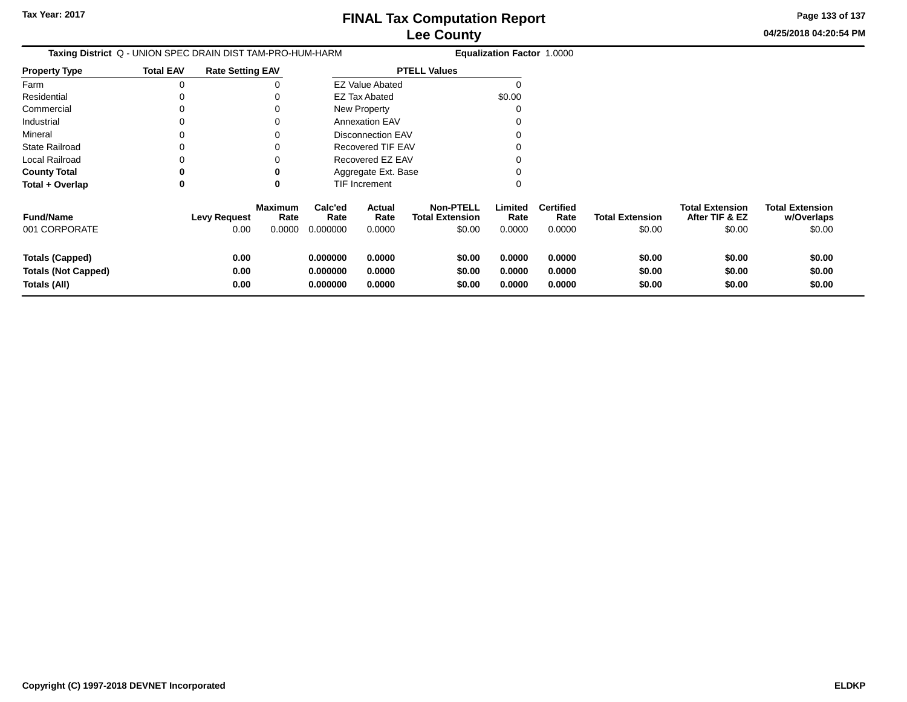**Page 133 of 137**

| Taxing District Q - UNION SPEC DRAIN DIST TAM-PRO-HUM-HARM           |                  |                             |                                  |                                  |                            |                                                      | <b>Equalization Factor 1.0000</b> |                                    |                                  |                                                    |                                                |
|----------------------------------------------------------------------|------------------|-----------------------------|----------------------------------|----------------------------------|----------------------------|------------------------------------------------------|-----------------------------------|------------------------------------|----------------------------------|----------------------------------------------------|------------------------------------------------|
| <b>Property Type</b>                                                 | <b>Total EAV</b> | <b>Rate Setting EAV</b>     |                                  |                                  |                            | <b>PTELL Values</b>                                  |                                   |                                    |                                  |                                                    |                                                |
| Farm                                                                 | 0                |                             | 0                                |                                  | <b>EZ Value Abated</b>     |                                                      |                                   |                                    |                                  |                                                    |                                                |
| Residential                                                          |                  |                             |                                  |                                  | EZ Tax Abated              |                                                      | \$0.00                            |                                    |                                  |                                                    |                                                |
| Commercial                                                           | 0                |                             |                                  |                                  | New Property               |                                                      |                                   |                                    |                                  |                                                    |                                                |
| Industrial                                                           | 0                |                             | 0                                |                                  | <b>Annexation EAV</b>      |                                                      |                                   |                                    |                                  |                                                    |                                                |
| Mineral                                                              | 0                |                             | 0                                |                                  | <b>Disconnection EAV</b>   |                                                      |                                   |                                    |                                  |                                                    |                                                |
| <b>State Railroad</b>                                                | 0                |                             |                                  |                                  | Recovered TIF EAV          |                                                      |                                   |                                    |                                  |                                                    |                                                |
| Local Railroad                                                       | 0                |                             |                                  |                                  | Recovered EZ EAV           |                                                      |                                   |                                    |                                  |                                                    |                                                |
| <b>County Total</b>                                                  | 0                |                             | 0                                |                                  | Aggregate Ext. Base        |                                                      |                                   |                                    |                                  |                                                    |                                                |
| Total + Overlap                                                      | 0                |                             | 0                                |                                  | TIF Increment              |                                                      | 0                                 |                                    |                                  |                                                    |                                                |
| <b>Fund/Name</b><br>001 CORPORATE                                    |                  | <b>Levy Request</b><br>0.00 | <b>Maximum</b><br>Rate<br>0.0000 | Calc'ed<br>Rate<br>0.000000      | Actual<br>Rate<br>0.0000   | <b>Non-PTELL</b><br><b>Total Extension</b><br>\$0.00 | Limited<br>Rate<br>0.0000         | <b>Certified</b><br>Rate<br>0.0000 | <b>Total Extension</b><br>\$0.00 | <b>Total Extension</b><br>After TIF & EZ<br>\$0.00 | <b>Total Extension</b><br>w/Overlaps<br>\$0.00 |
| <b>Totals (Capped)</b><br><b>Totals (Not Capped)</b><br>Totals (All) |                  | 0.00<br>0.00<br>0.00        |                                  | 0.000000<br>0.000000<br>0.000000 | 0.0000<br>0.0000<br>0.0000 | \$0.00<br>\$0.00<br>\$0.00                           | 0.0000<br>0.0000<br>0.0000        | 0.0000<br>0.0000<br>0.0000         | \$0.00<br>\$0.00<br>\$0.00       | \$0.00<br>\$0.00<br>\$0.00                         | \$0.00<br>\$0.00<br>\$0.00                     |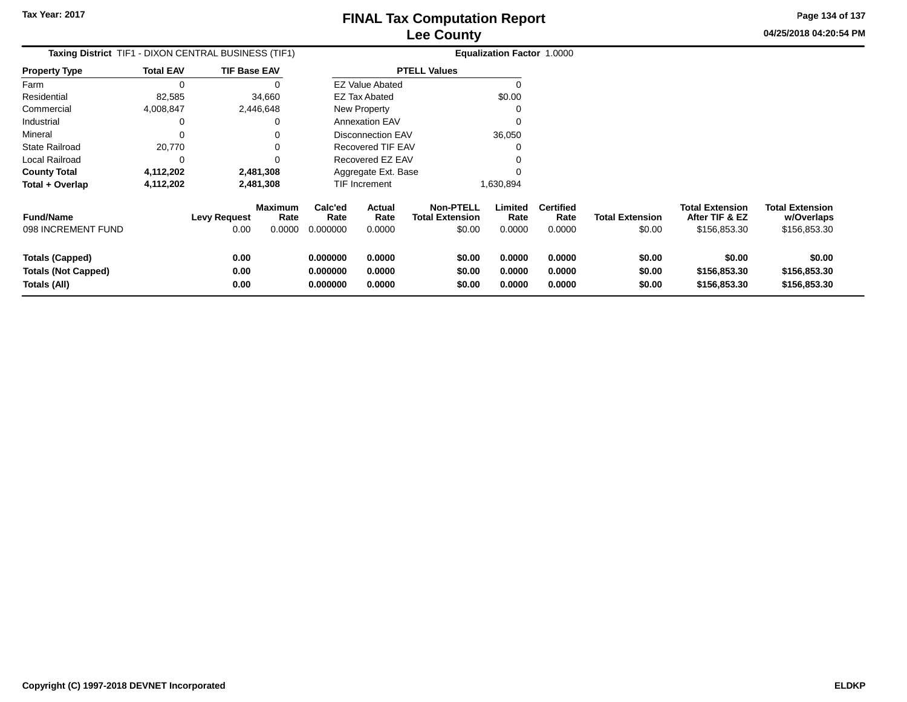**04/25/2018 04:20:54 PM Page 134 of 137**

| Taxing District TIF1 - DIXON CENTRAL BUSINESS (TIF1) |                  |                     |                 |                      |                          |                                            | Equalization Factor 1.0000 |                          |                        |                                          |                                      |
|------------------------------------------------------|------------------|---------------------|-----------------|----------------------|--------------------------|--------------------------------------------|----------------------------|--------------------------|------------------------|------------------------------------------|--------------------------------------|
| <b>Property Type</b>                                 | <b>Total EAV</b> | <b>TIF Base EAV</b> |                 |                      |                          | <b>PTELL Values</b>                        |                            |                          |                        |                                          |                                      |
| Farm                                                 | 0                |                     |                 |                      | <b>EZ Value Abated</b>   |                                            |                            |                          |                        |                                          |                                      |
| Residential                                          | 82,585           |                     | 34,660          |                      | <b>EZ Tax Abated</b>     |                                            | \$0.00                     |                          |                        |                                          |                                      |
| Commercial                                           | 4,008,847        | 2,446,648           |                 |                      | New Property             |                                            |                            |                          |                        |                                          |                                      |
| Industrial                                           | 0                |                     |                 |                      | <b>Annexation EAV</b>    |                                            |                            |                          |                        |                                          |                                      |
| Mineral                                              | $\Omega$         |                     |                 |                      | <b>Disconnection EAV</b> |                                            | 36,050                     |                          |                        |                                          |                                      |
| <b>State Railroad</b>                                | 20,770           |                     |                 |                      | Recovered TIF EAV        |                                            |                            |                          |                        |                                          |                                      |
| Local Railroad                                       | 0                |                     |                 |                      | Recovered EZ EAV         |                                            |                            |                          |                        |                                          |                                      |
| <b>County Total</b>                                  | 4,112,202        | 2,481,308           |                 |                      | Aggregate Ext. Base      |                                            |                            |                          |                        |                                          |                                      |
| Total + Overlap                                      | 4,112,202        | 2,481,308           |                 |                      | TIF Increment            |                                            | 1,630,894                  |                          |                        |                                          |                                      |
| <b>Fund/Name</b>                                     |                  | <b>Levy Request</b> | Maximum<br>Rate | Calc'ed<br>Rate      | <b>Actual</b><br>Rate    | <b>Non-PTELL</b><br><b>Total Extension</b> | Limited<br>Rate            | <b>Certified</b><br>Rate | <b>Total Extension</b> | <b>Total Extension</b><br>After TIF & EZ | <b>Total Extension</b><br>w/Overlaps |
| 098 INCREMENT FUND                                   |                  | 0.00                | 0.0000          | 0.000000             | 0.0000                   | \$0.00                                     | 0.0000                     | 0.0000                   | \$0.00                 | \$156,853.30                             | \$156,853.30                         |
| <b>Totals (Capped)</b>                               |                  | 0.00                |                 | 0.000000             | 0.0000                   | \$0.00                                     | 0.0000                     | 0.0000                   | \$0.00                 | \$0.00                                   | \$0.00                               |
| <b>Totals (Not Capped)</b><br>Totals (All)           |                  | 0.00<br>0.00        |                 | 0.000000<br>0.000000 | 0.0000<br>0.0000         | \$0.00<br>\$0.00                           | 0.0000<br>0.0000           | 0.0000<br>0.0000         | \$0.00<br>\$0.00       | \$156,853.30<br>\$156,853.30             | \$156,853.30<br>\$156,853.30         |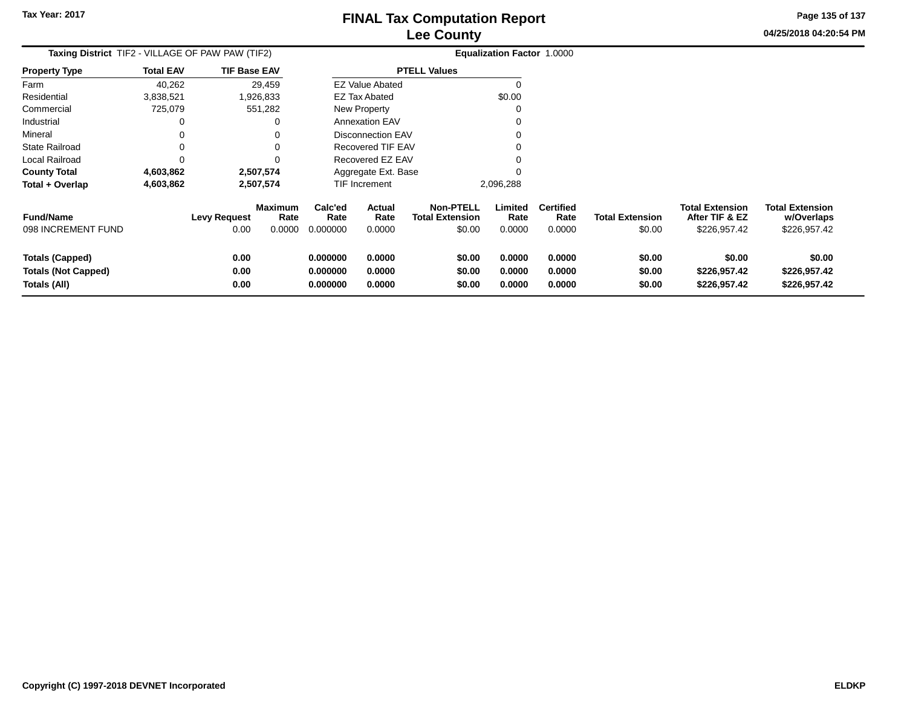**Page 135 of 137**

| <b>Taxing District</b> TIF2 - VILLAGE OF PAW PAW (TIF2)              |                  |                             |                                  |                                  |                            |                                                      | <b>Equalization Factor 1.0000</b> |                                    |                                  |                                                          |                                                      |
|----------------------------------------------------------------------|------------------|-----------------------------|----------------------------------|----------------------------------|----------------------------|------------------------------------------------------|-----------------------------------|------------------------------------|----------------------------------|----------------------------------------------------------|------------------------------------------------------|
| <b>Property Type</b>                                                 | <b>Total EAV</b> | <b>TIF Base EAV</b>         |                                  |                                  |                            | <b>PTELL Values</b>                                  |                                   |                                    |                                  |                                                          |                                                      |
| Farm                                                                 | 40,262           |                             | 29,459                           |                                  | <b>EZ Value Abated</b>     |                                                      |                                   |                                    |                                  |                                                          |                                                      |
| Residential                                                          | 3,838,521        |                             | 1,926,833                        |                                  | <b>EZ Tax Abated</b>       |                                                      | \$0.00                            |                                    |                                  |                                                          |                                                      |
| Commercial                                                           | 725,079          |                             | 551,282                          |                                  | New Property               |                                                      |                                   |                                    |                                  |                                                          |                                                      |
| Industrial                                                           | 0                |                             |                                  |                                  | <b>Annexation EAV</b>      |                                                      |                                   |                                    |                                  |                                                          |                                                      |
| Mineral                                                              |                  |                             |                                  |                                  | <b>Disconnection EAV</b>   |                                                      |                                   |                                    |                                  |                                                          |                                                      |
| State Railroad                                                       | 0                |                             |                                  |                                  | Recovered TIF EAV          |                                                      |                                   |                                    |                                  |                                                          |                                                      |
| Local Railroad                                                       | 0                |                             |                                  |                                  | Recovered EZ EAV           |                                                      |                                   |                                    |                                  |                                                          |                                                      |
| <b>County Total</b>                                                  | 4,603,862        |                             | 2,507,574                        |                                  | Aggregate Ext. Base        |                                                      |                                   |                                    |                                  |                                                          |                                                      |
| Total + Overlap                                                      | 4,603,862        |                             | 2,507,574                        |                                  | <b>TIF Increment</b>       |                                                      | 2,096,288                         |                                    |                                  |                                                          |                                                      |
| <b>Fund/Name</b><br>098 INCREMENT FUND                               |                  | <b>Levy Request</b><br>0.00 | <b>Maximum</b><br>Rate<br>0.0000 | Calc'ed<br>Rate<br>0.000000      | Actual<br>Rate<br>0.0000   | <b>Non-PTELL</b><br><b>Total Extension</b><br>\$0.00 | Limited<br>Rate<br>0.0000         | <b>Certified</b><br>Rate<br>0.0000 | <b>Total Extension</b><br>\$0.00 | <b>Total Extension</b><br>After TIF & EZ<br>\$226,957.42 | <b>Total Extension</b><br>w/Overlaps<br>\$226,957.42 |
| <b>Totals (Capped)</b><br><b>Totals (Not Capped)</b><br>Totals (All) |                  | 0.00<br>0.00<br>0.00        |                                  | 0.000000<br>0.000000<br>0.000000 | 0.0000<br>0.0000<br>0.0000 | \$0.00<br>\$0.00<br>\$0.00                           | 0.0000<br>0.0000<br>0.0000        | 0.0000<br>0.0000<br>0.0000         | \$0.00<br>\$0.00<br>\$0.00       | \$0.00<br>\$226,957.42<br>\$226,957.42                   | \$0.00<br>\$226,957.42<br>\$226,957.42               |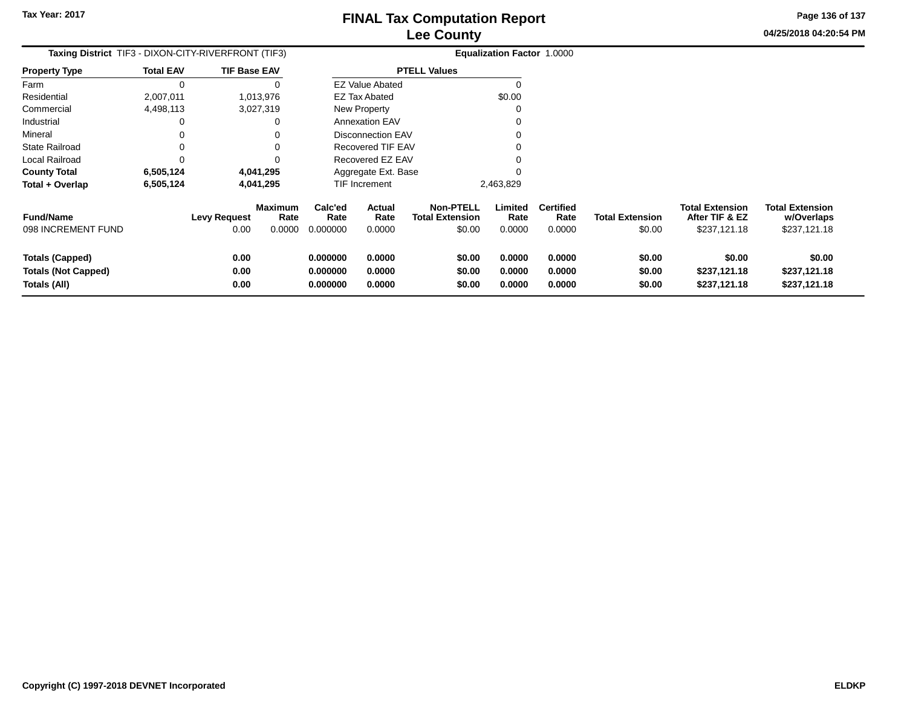**Page 136 of 137**

**04/25/2018 04:20:54 PM**

| Taxing District TIF3 - DIXON-CITY-RIVERFRONT (TIF3)                  |                  |                             |                                  |                                  |                            |                                                      | <b>Equalization Factor 1.0000</b> |                                    |                                  |                                                          |                                                      |
|----------------------------------------------------------------------|------------------|-----------------------------|----------------------------------|----------------------------------|----------------------------|------------------------------------------------------|-----------------------------------|------------------------------------|----------------------------------|----------------------------------------------------------|------------------------------------------------------|
| Property Type                                                        | <b>Total EAV</b> | <b>TIF Base EAV</b>         |                                  |                                  |                            | <b>PTELL Values</b>                                  |                                   |                                    |                                  |                                                          |                                                      |
| Farm                                                                 | 0                |                             |                                  |                                  | <b>EZ Value Abated</b>     |                                                      | 0                                 |                                    |                                  |                                                          |                                                      |
| Residential                                                          | 2,007,011        |                             | 1,013,976                        |                                  | <b>EZ Tax Abated</b>       |                                                      | \$0.00                            |                                    |                                  |                                                          |                                                      |
| Commercial                                                           | 4,498,113        |                             | 3,027,319                        |                                  | New Property               |                                                      |                                   |                                    |                                  |                                                          |                                                      |
| Industrial                                                           | 0                |                             |                                  |                                  | <b>Annexation EAV</b>      |                                                      |                                   |                                    |                                  |                                                          |                                                      |
| Mineral                                                              | 0                |                             |                                  |                                  | Disconnection EAV          |                                                      |                                   |                                    |                                  |                                                          |                                                      |
| State Railroad                                                       | 0                |                             |                                  |                                  | Recovered TIF EAV          |                                                      |                                   |                                    |                                  |                                                          |                                                      |
| Local Railroad                                                       | 0                |                             |                                  |                                  | Recovered EZ EAV           |                                                      |                                   |                                    |                                  |                                                          |                                                      |
| <b>County Total</b>                                                  | 6,505,124        |                             | 4,041,295                        |                                  | Aggregate Ext. Base        |                                                      |                                   |                                    |                                  |                                                          |                                                      |
| Total + Overlap                                                      | 6,505,124        |                             | 4,041,295                        |                                  | TIF Increment              |                                                      | 2,463,829                         |                                    |                                  |                                                          |                                                      |
| <b>Fund/Name</b><br>098 INCREMENT FUND                               |                  | <b>Levy Request</b><br>0.00 | <b>Maximum</b><br>Rate<br>0.0000 | Calc'ed<br>Rate<br>0.000000      | Actual<br>Rate<br>0.0000   | <b>Non-PTELL</b><br><b>Total Extension</b><br>\$0.00 | Limited<br>Rate<br>0.0000         | <b>Certified</b><br>Rate<br>0.0000 | <b>Total Extension</b><br>\$0.00 | <b>Total Extension</b><br>After TIF & EZ<br>\$237,121.18 | <b>Total Extension</b><br>w/Overlaps<br>\$237,121.18 |
| <b>Totals (Capped)</b><br><b>Totals (Not Capped)</b><br>Totals (All) |                  | 0.00<br>0.00<br>0.00        |                                  | 0.000000<br>0.000000<br>0.000000 | 0.0000<br>0.0000<br>0.0000 | \$0.00<br>\$0.00<br>\$0.00                           | 0.0000<br>0.0000<br>0.0000        | 0.0000<br>0.0000<br>0.0000         | \$0.00<br>\$0.00<br>\$0.00       | \$0.00<br>\$237,121.18<br>\$237,121.18                   | \$0.00<br>\$237,121.18<br>\$237,121.18               |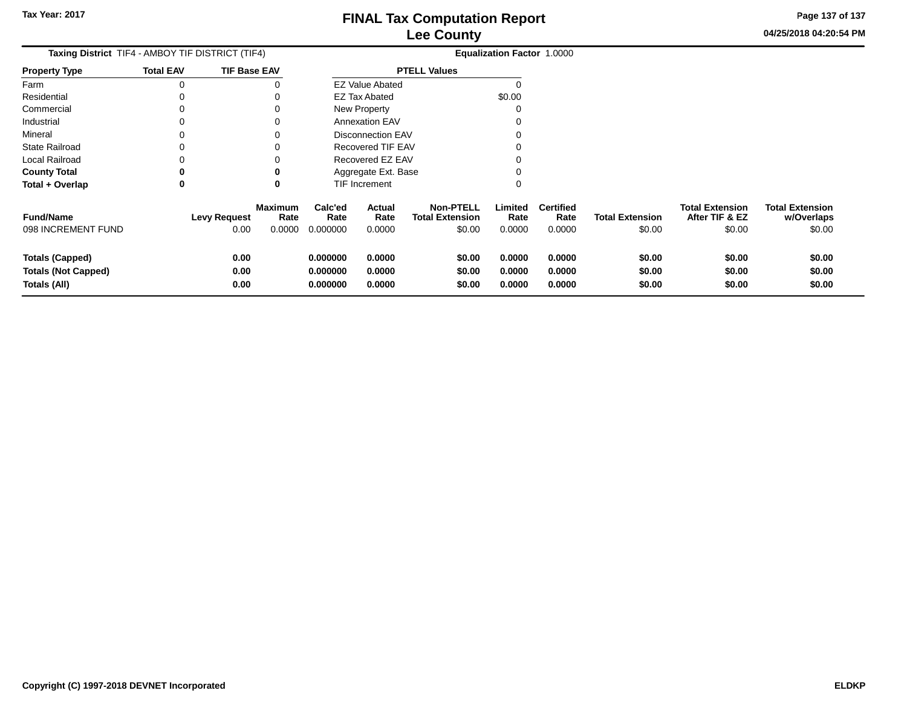**Page 137 of 137**

 $$0.00$ 

| Taxing District TIF4 - AMBOY TIF DISTRICT (TIF4)                     |                  |                      |                        |                                  |                            |                                            | Equalization Factor 1.0000 |                            |                            |                                          |                                      |
|----------------------------------------------------------------------|------------------|----------------------|------------------------|----------------------------------|----------------------------|--------------------------------------------|----------------------------|----------------------------|----------------------------|------------------------------------------|--------------------------------------|
| <b>Property Type</b>                                                 | <b>Total EAV</b> | <b>TIF Base EAV</b>  |                        |                                  |                            | <b>PTELL Values</b>                        |                            |                            |                            |                                          |                                      |
| Farm                                                                 | O                |                      |                        |                                  | <b>EZ Value Abated</b>     |                                            | 0                          |                            |                            |                                          |                                      |
| Residential                                                          |                  |                      |                        |                                  | EZ Tax Abated              |                                            | \$0.00                     |                            |                            |                                          |                                      |
| Commercial                                                           |                  |                      | 0                      |                                  | New Property               |                                            | 0                          |                            |                            |                                          |                                      |
| Industrial                                                           |                  |                      | 0                      |                                  | <b>Annexation EAV</b>      |                                            | 0                          |                            |                            |                                          |                                      |
| Mineral                                                              |                  |                      |                        |                                  | <b>Disconnection EAV</b>   |                                            |                            |                            |                            |                                          |                                      |
| State Railroad                                                       |                  |                      |                        |                                  | Recovered TIF EAV          |                                            |                            |                            |                            |                                          |                                      |
| Local Railroad                                                       |                  |                      |                        |                                  | Recovered EZ EAV           |                                            | 0                          |                            |                            |                                          |                                      |
| <b>County Total</b>                                                  | 0                |                      | 0                      |                                  | Aggregate Ext. Base        |                                            | 0                          |                            |                            |                                          |                                      |
| Total + Overlap                                                      | 0                |                      | 0                      |                                  | TIF Increment              |                                            | 0                          |                            |                            |                                          |                                      |
| <b>Fund/Name</b>                                                     |                  | <b>Levy Request</b>  | <b>Maximum</b><br>Rate | Calc'ed<br>Rate                  | <b>Actual</b><br>Rate      | <b>Non-PTELL</b><br><b>Total Extension</b> | Limited<br>Rate            | <b>Certified</b><br>Rate   | <b>Total Extension</b>     | <b>Total Extension</b><br>After TIF & EZ | <b>Total Extension</b><br>w/Overlaps |
| 098 INCREMENT FUND                                                   |                  | 0.00                 | 0.0000                 | 0.000000                         | 0.0000                     | \$0.00                                     | 0.0000                     | 0.0000                     | \$0.00                     | \$0.00                                   | \$0.00                               |
| <b>Totals (Capped)</b><br><b>Totals (Not Capped)</b><br>Totals (All) |                  | 0.00<br>0.00<br>0.00 |                        | 0.000000<br>0.000000<br>0.000000 | 0.0000<br>0.0000<br>0.0000 | \$0.00<br>\$0.00<br>\$0.00                 | 0.0000<br>0.0000<br>0.0000 | 0.0000<br>0.0000<br>0.0000 | \$0.00<br>\$0.00<br>\$0.00 | \$0.00<br>\$0.00<br>\$0.00               | \$0.00<br>\$0.00<br>\$0.00           |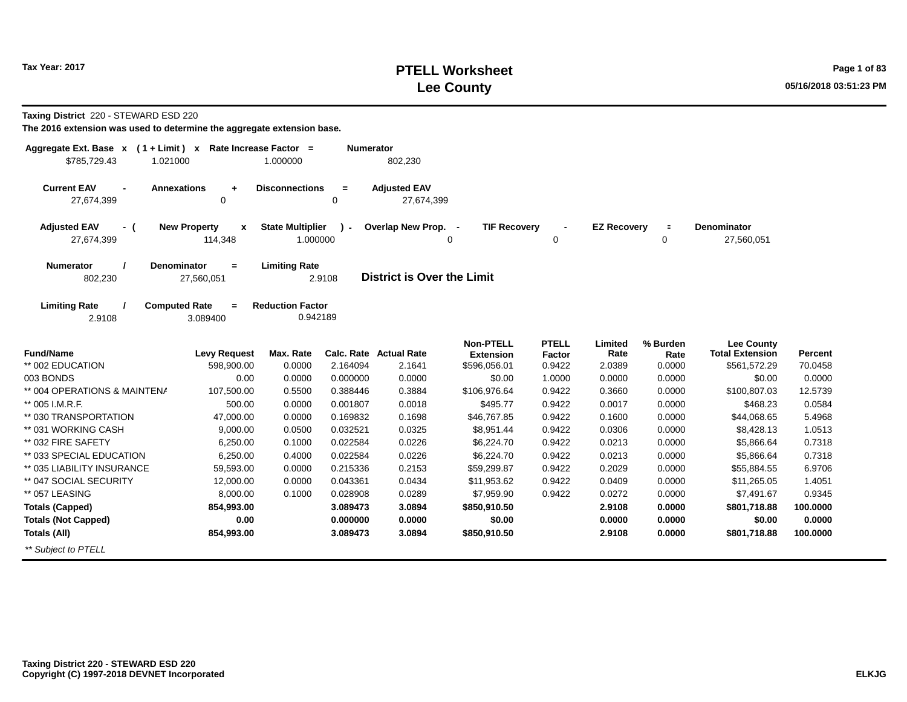# **PTELL Worksheet Tax Year: 2017 Page 1 of 83 Lee County 05/16/2018 03:51:23 PM**

**Taxing District** 220 - STEWARD ESD 220

| Aggregate Ext. Base $x$ (1+Limit) $x$<br>\$785,729.43<br>1.021000 | Rate Increase Factor =                         | 1.000000                            | <b>Numerator</b>     | 802,230                           |                                      |                        |                    |                  |                                             |          |
|-------------------------------------------------------------------|------------------------------------------------|-------------------------------------|----------------------|-----------------------------------|--------------------------------------|------------------------|--------------------|------------------|---------------------------------------------|----------|
| <b>Current EAV</b><br>$\blacksquare$<br>27,674,399                | <b>Annexations</b><br>÷<br>$\Omega$            | <b>Disconnections</b>               | $\equiv$<br>$\Omega$ | <b>Adjusted EAV</b><br>27,674,399 |                                      |                        |                    |                  |                                             |          |
| <b>Adjusted EAV</b><br>- (<br>27,674,399                          | <b>New Property</b><br>$\mathbf{x}$<br>114,348 | <b>State Multiplier</b><br>1.000000 | $\mathbf{r}$         | Overlap New Prop. -               | <b>TIF Recovery</b><br>0             | 0                      | <b>EZ Recovery</b> | $\equiv$<br>0    | <b>Denominator</b><br>27,560,051            |          |
| <b>Numerator</b><br>802,230                                       | <b>Denominator</b><br>$\equiv$<br>27,560,051   | <b>Limiting Rate</b>                | 2.9108               | <b>District is Over the Limit</b> |                                      |                        |                    |                  |                                             |          |
| <b>Limiting Rate</b><br>2.9108                                    | <b>Computed Rate</b><br>$=$<br>3.089400        | <b>Reduction Factor</b><br>0.942189 |                      |                                   |                                      |                        |                    |                  |                                             |          |
| <b>Fund/Name</b>                                                  | <b>Levy Request</b>                            | Max. Rate                           |                      | Calc. Rate Actual Rate            | <b>Non-PTELL</b><br><b>Extension</b> | <b>PTELL</b><br>Factor | Limited<br>Rate    | % Burden<br>Rate | <b>Lee County</b><br><b>Total Extension</b> | Percent  |
| ** 002 EDUCATION                                                  | 598,900.00                                     | 0.0000                              | 2.164094             | 2.1641                            | \$596,056.01                         | 0.9422                 | 2.0389             | 0.0000           | \$561,572.29                                | 70.0458  |
| 003 BONDS                                                         | 0.00                                           | 0.0000                              | 0.000000             | 0.0000                            | \$0.00                               | 1.0000                 | 0.0000             | 0.0000           | \$0.00                                      | 0.0000   |
| ** 004 OPERATIONS & MAINTENA                                      | 107,500.00                                     | 0.5500                              | 0.388446             | 0.3884                            | \$106,976.64                         | 0.9422                 | 0.3660             | 0.0000           | \$100,807.03                                | 12.5739  |
| ** 005 I.M.R.F.                                                   | 500.00                                         | 0.0000                              | 0.001807             | 0.0018                            | \$495.77                             | 0.9422                 | 0.0017             | 0.0000           | \$468.23                                    | 0.0584   |
| ** 030 TRANSPORTATION                                             | 47,000.00                                      | 0.0000                              | 0.169832             | 0.1698                            | \$46,767.85                          | 0.9422                 | 0.1600             | 0.0000           | \$44,068.65                                 | 5.4968   |
| ** 031 WORKING CASH                                               | 9,000.00                                       | 0.0500                              | 0.032521             | 0.0325                            | \$8,951.44                           | 0.9422                 | 0.0306             | 0.0000           | \$8,428.13                                  | 1.0513   |
| ** 032 FIRE SAFETY                                                | 6,250.00                                       | 0.1000                              | 0.022584             | 0.0226                            | \$6,224.70                           | 0.9422                 | 0.0213             | 0.0000           | \$5,866.64                                  | 0.7318   |
| ** 033 SPECIAL EDUCATION                                          | 6,250.00                                       | 0.4000                              | 0.022584             | 0.0226                            | \$6,224.70                           | 0.9422                 | 0.0213             | 0.0000           | \$5,866.64                                  | 0.7318   |
| ** 035 LIABILITY INSURANCE                                        | 59,593.00                                      | 0.0000                              | 0.215336             | 0.2153                            | \$59,299.87                          | 0.9422                 | 0.2029             | 0.0000           | \$55,884.55                                 | 6.9706   |
| ** 047 SOCIAL SECURITY                                            | 12,000.00                                      | 0.0000                              | 0.043361             | 0.0434                            | \$11,953.62                          | 0.9422                 | 0.0409             | 0.0000           | \$11,265.05                                 | 1.4051   |
| ** 057 LEASING                                                    | 8,000.00                                       | 0.1000                              | 0.028908             | 0.0289                            | \$7,959.90                           | 0.9422                 | 0.0272             | 0.0000           | \$7,491.67                                  | 0.9345   |
| <b>Totals (Capped)</b>                                            | 854,993.00                                     |                                     | 3.089473             | 3.0894                            | \$850,910.50                         |                        | 2.9108             | 0.0000           | \$801,718.88                                | 100.0000 |
| <b>Totals (Not Capped)</b>                                        | 0.00                                           |                                     | 0.000000             | 0.0000                            | \$0.00                               |                        | 0.0000             | 0.0000           | \$0.00                                      | 0.0000   |
| <b>Totals (All)</b>                                               | 854,993.00                                     |                                     | 3.089473             | 3.0894                            | \$850,910.50                         |                        | 2.9108             | 0.0000           | \$801,718.88                                | 100.0000 |
| ** Subject to PTELL                                               |                                                |                                     |                      |                                   |                                      |                        |                    |                  |                                             |          |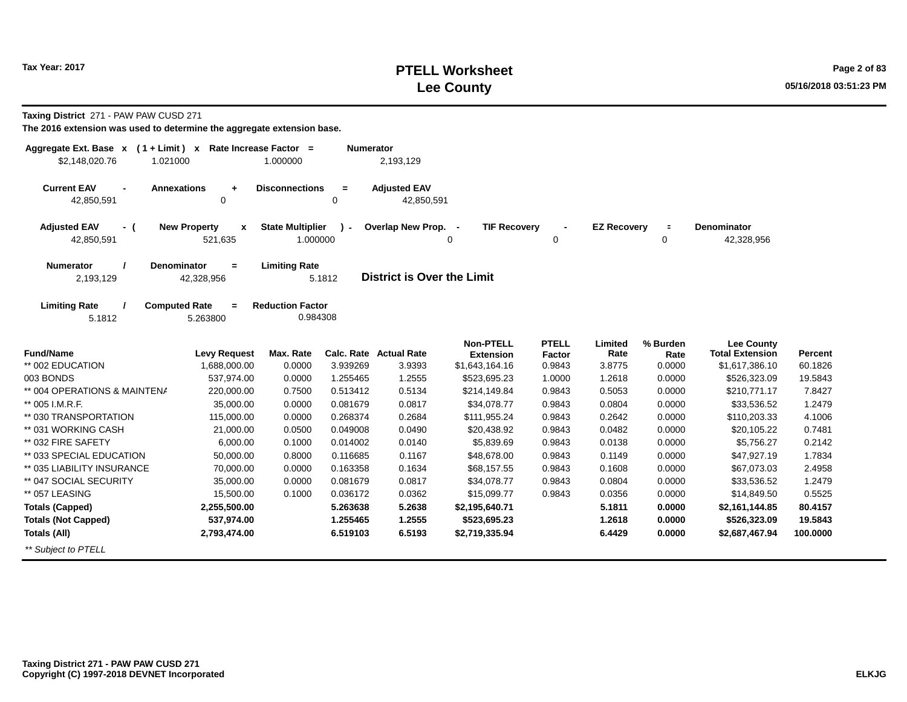# **PTELL Worksheet Tax Year: 2017 Page 2 of 83 Lee County 05/16/2018 03:51:23 PM**

**Taxing District** 271 - PAW PAW CUSD 271

| Aggregate Ext. Base $x$ (1 + Limit) $x$ Rate Increase Factor =<br>\$2,148,020.76<br>1.021000 |                                                | 1.000000                            | <b>Numerator</b> | 2,193,129                         |                                      |                        |                    |                  |                                             |          |
|----------------------------------------------------------------------------------------------|------------------------------------------------|-------------------------------------|------------------|-----------------------------------|--------------------------------------|------------------------|--------------------|------------------|---------------------------------------------|----------|
| <b>Current EAV</b><br>42,850,591                                                             | <b>Annexations</b><br>$\ddot{}$<br>0           | <b>Disconnections</b>               | $\equiv$<br>0    | <b>Adjusted EAV</b><br>42,850,591 |                                      |                        |                    |                  |                                             |          |
| <b>Adjusted EAV</b><br>- (<br>42,850,591                                                     | <b>New Property</b><br>$\mathbf{x}$<br>521,635 | <b>State Multiplier</b><br>1.000000 | $\mathbf{r}$     | Overlap New Prop.                 | <b>TIF Recovery</b><br>0             | $\mathbf 0$            | <b>EZ Recovery</b> | $\equiv$<br>0    | <b>Denominator</b><br>42,328,956            |          |
| <b>Numerator</b><br>2,193,129                                                                | <b>Denominator</b><br>$\equiv$<br>42,328,956   | <b>Limiting Rate</b>                | 5.1812           | <b>District is Over the Limit</b> |                                      |                        |                    |                  |                                             |          |
| <b>Limiting Rate</b><br>5.1812                                                               | <b>Computed Rate</b><br>$\equiv$<br>5.263800   | <b>Reduction Factor</b><br>0.984308 |                  |                                   |                                      |                        |                    |                  |                                             |          |
| <b>Fund/Name</b>                                                                             | <b>Levy Request</b>                            | Max. Rate                           |                  | Calc. Rate Actual Rate            | <b>Non-PTELL</b><br><b>Extension</b> | <b>PTELL</b><br>Factor | Limited<br>Rate    | % Burden<br>Rate | <b>Lee County</b><br><b>Total Extension</b> | Percent  |
| ** 002 EDUCATION                                                                             | 1,688,000.00                                   | 0.0000                              | 3.939269         | 3.9393                            | \$1,643,164.16                       | 0.9843                 | 3.8775             | 0.0000           | \$1,617,386.10                              | 60.1826  |
| 003 BONDS                                                                                    | 537,974.00                                     | 0.0000                              | 1.255465         | 1.2555                            | \$523,695.23                         | 1.0000                 | 1.2618             | 0.0000           | \$526,323.09                                | 19.5843  |
| ** 004 OPERATIONS & MAINTENA                                                                 | 220,000.00                                     | 0.7500                              | 0.513412         | 0.5134                            | \$214,149.84                         | 0.9843                 | 0.5053             | 0.0000           | \$210,771.17                                | 7.8427   |
| ** 005 I.M.R.F.                                                                              | 35,000.00                                      | 0.0000                              | 0.081679         | 0.0817                            | \$34,078.77                          | 0.9843                 | 0.0804             | 0.0000           | \$33,536.52                                 | 1.2479   |
| ** 030 TRANSPORTATION                                                                        | 115,000.00                                     | 0.0000                              | 0.268374         | 0.2684                            | \$111,955.24                         | 0.9843                 | 0.2642             | 0.0000           | \$110,203.33                                | 4.1006   |
| ** 031 WORKING CASH                                                                          | 21,000.00                                      | 0.0500                              | 0.049008         | 0.0490                            | \$20,438.92                          | 0.9843                 | 0.0482             | 0.0000           | \$20,105.22                                 | 0.7481   |
| ** 032 FIRE SAFETY                                                                           | 6,000.00                                       | 0.1000                              | 0.014002         | 0.0140                            | \$5,839.69                           | 0.9843                 | 0.0138             | 0.0000           | \$5,756.27                                  | 0.2142   |
| ** 033 SPECIAL EDUCATION                                                                     | 50,000.00                                      | 0.8000                              | 0.116685         | 0.1167                            | \$48,678.00                          | 0.9843                 | 0.1149             | 0.0000           | \$47,927.19                                 | 1.7834   |
| ** 035 LIABILITY INSURANCE                                                                   | 70,000.00                                      | 0.0000                              | 0.163358         | 0.1634                            | \$68,157.55                          | 0.9843                 | 0.1608             | 0.0000           | \$67,073.03                                 | 2.4958   |
| ** 047 SOCIAL SECURITY                                                                       | 35,000.00                                      | 0.0000                              | 0.081679         | 0.0817                            | \$34,078.77                          | 0.9843                 | 0.0804             | 0.0000           | \$33,536.52                                 | 1.2479   |
| ** 057 LEASING                                                                               | 15,500.00                                      | 0.1000                              | 0.036172         | 0.0362                            | \$15,099.77                          | 0.9843                 | 0.0356             | 0.0000           | \$14,849.50                                 | 0.5525   |
| <b>Totals (Capped)</b>                                                                       | 2,255,500.00                                   |                                     | 5.263638         | 5.2638                            | \$2,195,640.71                       |                        | 5.1811             | 0.0000           | \$2,161,144.85                              | 80.4157  |
| <b>Totals (Not Capped)</b>                                                                   | 537,974.00                                     |                                     | 1.255465         | 1.2555                            | \$523,695.23                         |                        | 1.2618             | 0.0000           | \$526,323.09                                | 19.5843  |
| <b>Totals (All)</b>                                                                          | 2,793,474.00                                   |                                     | 6.519103         | 6.5193                            | \$2,719,335.94                       |                        | 6.4429             | 0.0000           | \$2,687,467.94                              | 100.0000 |
| ** Subject to PTELL                                                                          |                                                |                                     |                  |                                   |                                      |                        |                    |                  |                                             |          |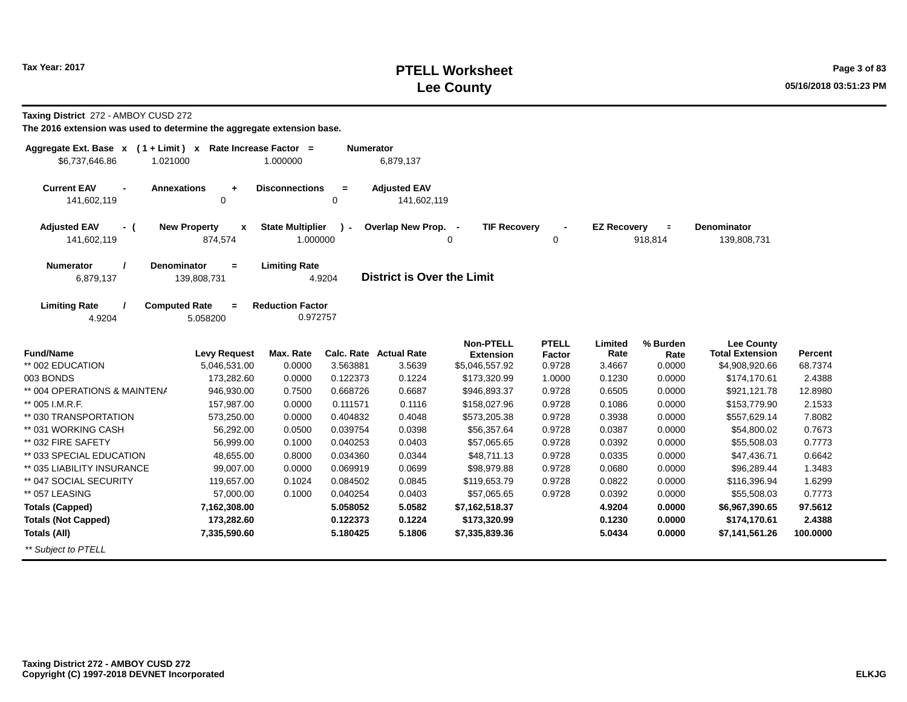# **PTELL Worksheet Tax Year: 2017 Page 3 of 83 Lee County 05/16/2018 03:51:23 PM**

**Taxing District** 272 - AMBOY CUSD 272

| Aggregate Ext. Base x<br>\$6,737,646.86<br>1.021000 | $(1 + Limit)$ x Rate Increase Factor =         | 1.000000                            | <b>Numerator</b> | 6,879,137                          |                                      |                        |                    |                     |                                             |          |
|-----------------------------------------------------|------------------------------------------------|-------------------------------------|------------------|------------------------------------|--------------------------------------|------------------------|--------------------|---------------------|---------------------------------------------|----------|
| <b>Current EAV</b><br>$\blacksquare$<br>141,602,119 | <b>Annexations</b><br>$\ddot{}$<br>0           | <b>Disconnections</b>               | $=$<br>0         | <b>Adjusted EAV</b><br>141,602,119 |                                      |                        |                    |                     |                                             |          |
| <b>Adjusted EAV</b><br>$-$ (<br>141,602,119         | <b>New Property</b><br>$\mathbf{x}$<br>874,574 | <b>State Multiplier</b><br>1.000000 |                  | Overlap New Prop. -                | <b>TIF Recovery</b><br>0             | 0                      | <b>EZ Recovery</b> | $\equiv$<br>918,814 | <b>Denominator</b><br>139,808,731           |          |
|                                                     |                                                |                                     |                  |                                    |                                      |                        |                    |                     |                                             |          |
| <b>Numerator</b><br>6,879,137                       | <b>Denominator</b><br>$\equiv$<br>139,808,731  | <b>Limiting Rate</b>                | 4.9204           | <b>District is Over the Limit</b>  |                                      |                        |                    |                     |                                             |          |
|                                                     |                                                |                                     |                  |                                    |                                      |                        |                    |                     |                                             |          |
| <b>Limiting Rate</b>                                | <b>Computed Rate</b><br>$\equiv$               | <b>Reduction Factor</b><br>0.972757 |                  |                                    |                                      |                        |                    |                     |                                             |          |
| 4.9204                                              | 5.058200                                       |                                     |                  |                                    |                                      |                        |                    |                     |                                             |          |
| <b>Fund/Name</b>                                    | <b>Levy Request</b>                            | Max. Rate                           |                  | Calc. Rate Actual Rate             | <b>Non-PTELL</b><br><b>Extension</b> | <b>PTELL</b><br>Factor | Limited<br>Rate    | % Burden<br>Rate    | <b>Lee County</b><br><b>Total Extension</b> | Percent  |
| ** 002 EDUCATION                                    | 5,046,531.00                                   | 0.0000                              | 3.563881         | 3.5639                             | \$5,046,557.92                       | 0.9728                 | 3.4667             | 0.0000              | \$4,908,920.66                              | 68.7374  |
| 003 BONDS                                           | 173,282.60                                     | 0.0000                              | 0.122373         | 0.1224                             | \$173,320.99                         | 1.0000                 | 0.1230             | 0.0000              | \$174.170.61                                | 2.4388   |
| ** 004 OPERATIONS & MAINTENA                        | 946,930.00                                     | 0.7500                              | 0.668726         | 0.6687                             | \$946,893.37                         | 0.9728                 | 0.6505             | 0.0000              | \$921,121.78                                | 12.8980  |
| ** 005 I.M.R.F.                                     | 157,987.00                                     | 0.0000                              | 0.111571         | 0.1116                             | \$158,027.96                         | 0.9728                 | 0.1086             | 0.0000              | \$153,779.90                                | 2.1533   |
| ** 030 TRANSPORTATION                               | 573,250.00                                     | 0.0000                              | 0.404832         | 0.4048                             | \$573,205.38                         | 0.9728                 | 0.3938             | 0.0000              | \$557,629.14                                | 7.8082   |
| ** 031 WORKING CASH                                 | 56,292.00                                      | 0.0500                              | 0.039754         | 0.0398                             | \$56,357.64                          | 0.9728                 | 0.0387             | 0.0000              | \$54,800.02                                 | 0.7673   |
| ** 032 FIRE SAFETY                                  | 56,999.00                                      | 0.1000                              | 0.040253         | 0.0403                             | \$57,065.65                          | 0.9728                 | 0.0392             | 0.0000              | \$55,508.03                                 | 0.7773   |
| ** 033 SPECIAL EDUCATION                            | 48,655.00                                      | 0.8000                              | 0.034360         | 0.0344                             | \$48,711.13                          | 0.9728                 | 0.0335             | 0.0000              | \$47,436.71                                 | 0.6642   |
| ** 035 LIABILITY INSURANCE                          | 99,007.00                                      | 0.0000                              | 0.069919         | 0.0699                             | \$98,979.88                          | 0.9728                 | 0.0680             | 0.0000              | \$96,289.44                                 | 1.3483   |
| ** 047 SOCIAL SECURITY                              | 119,657.00                                     | 0.1024                              | 0.084502         | 0.0845                             | \$119,653.79                         | 0.9728                 | 0.0822             | 0.0000              | \$116,396.94                                | 1.6299   |
| ** 057 LEASING                                      | 57,000.00                                      | 0.1000                              | 0.040254         | 0.0403                             | \$57,065.65                          | 0.9728                 | 0.0392             | 0.0000              | \$55,508.03                                 | 0.7773   |
| <b>Totals (Capped)</b>                              | 7,162,308.00                                   |                                     | 5.058052         | 5.0582                             | \$7,162,518.37                       |                        | 4.9204             | 0.0000              | \$6,967,390.65                              | 97.5612  |
| <b>Totals (Not Capped)</b>                          | 173,282.60                                     |                                     | 0.122373         | 0.1224                             | \$173,320.99                         |                        | 0.1230             | 0.0000              | \$174,170.61                                | 2.4388   |
| Totals (All)                                        | 7,335,590.60                                   |                                     | 5.180425         | 5.1806                             | \$7,335,839.36                       |                        | 5.0434             | 0.0000              | \$7,141,561.26                              | 100.0000 |
| ** Subject to PTELL                                 |                                                |                                     |                  |                                    |                                      |                        |                    |                     |                                             |          |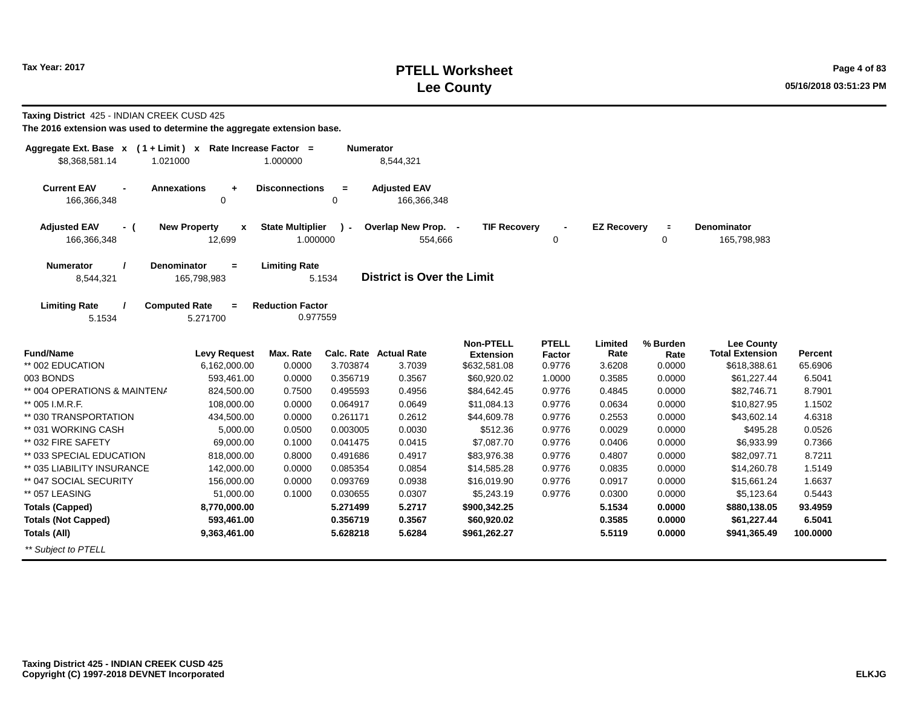# **PTELL Worksheet Tax Year: 2017 Page 4 of 83 Lee County 05/16/2018 03:51:23 PM**

| Taxing District 425 - INDIAN CREEK CUSD 425<br>The 2016 extension was used to determine the aggregate extension base. |                                          |                                     |                  |                                    |                                      |                        |                    |                               |                                             |          |
|-----------------------------------------------------------------------------------------------------------------------|------------------------------------------|-------------------------------------|------------------|------------------------------------|--------------------------------------|------------------------|--------------------|-------------------------------|---------------------------------------------|----------|
| Aggregate Ext. Base $x$ (1 + Limit) x Rate Increase Factor =<br>\$8,368,581.14<br>1.021000                            |                                          | 1.000000                            | <b>Numerator</b> | 8,544,321                          |                                      |                        |                    |                               |                                             |          |
| <b>Current EAV</b><br><b>Annexations</b><br>166,366,348                                                               | $\ddot{}$<br>0                           | <b>Disconnections</b>               | $\equiv$<br>0    | <b>Adjusted EAV</b><br>166,366,348 |                                      |                        |                    |                               |                                             |          |
| <b>Adjusted EAV</b><br>- (<br>166,366,348                                                                             | <b>New Property</b><br>X<br>12,699       | <b>State Multiplier</b><br>1.000000 | $\lambda$        | Overlap New Prop. -<br>554,666     | <b>TIF Recovery</b>                  | 0                      | <b>EZ Recovery</b> | $\blacksquare$<br>$\mathbf 0$ | <b>Denominator</b><br>165,798,983           |          |
| <b>Numerator</b><br>8,544,321                                                                                         | <b>Denominator</b><br>$=$<br>165,798,983 | <b>Limiting Rate</b>                | 5.1534           | <b>District is Over the Limit</b>  |                                      |                        |                    |                               |                                             |          |
| <b>Limiting Rate</b><br>5.1534                                                                                        | <b>Computed Rate</b><br>$=$<br>5.271700  | <b>Reduction Factor</b><br>0.977559 |                  |                                    |                                      |                        |                    |                               |                                             |          |
| <b>Fund/Name</b>                                                                                                      | <b>Levy Request</b>                      | Max. Rate                           |                  | Calc. Rate Actual Rate             | <b>Non-PTELL</b><br><b>Extension</b> | <b>PTELL</b><br>Factor | Limited<br>Rate    | % Burden<br>Rate              | <b>Lee County</b><br><b>Total Extension</b> | Percent  |
| ** 002 EDUCATION                                                                                                      | 6,162,000.00                             | 0.0000                              | 3.703874         | 3.7039                             | \$632,581.08                         | 0.9776                 | 3.6208             | 0.0000                        | \$618,388.61                                | 65.6906  |
| 003 BONDS                                                                                                             | 593,461.00                               | 0.0000                              | 0.356719         | 0.3567                             | \$60,920.02                          | 1.0000                 | 0.3585             | 0.0000                        | \$61,227.44                                 | 6.5041   |
| ** 004 OPERATIONS & MAINTENA                                                                                          | 824,500.00                               | 0.7500                              | 0.495593         | 0.4956                             | \$84,642.45                          | 0.9776                 | 0.4845             | 0.0000                        | \$82,746.71                                 | 8.7901   |
| ** 005 I.M.R.F.                                                                                                       | 108,000.00                               | 0.0000                              | 0.064917         | 0.0649                             | \$11,084.13                          | 0.9776                 | 0.0634             | 0.0000                        | \$10,827.95                                 | 1.1502   |
| ** 030 TRANSPORTATION                                                                                                 | 434,500.00                               | 0.0000                              | 0.261171         | 0.2612                             | \$44,609.78                          | 0.9776                 | 0.2553             | 0.0000                        | \$43,602.14                                 | 4.6318   |
| ** 031 WORKING CASH                                                                                                   | 5,000.00                                 | 0.0500                              | 0.003005         | 0.0030                             | \$512.36                             | 0.9776                 | 0.0029             | 0.0000                        | \$495.28                                    | 0.0526   |
| ** 032 FIRE SAFETY                                                                                                    | 69,000.00                                | 0.1000                              | 0.041475         | 0.0415                             | \$7,087.70                           | 0.9776                 | 0.0406             | 0.0000                        | \$6,933.99                                  | 0.7366   |
| ** 033 SPECIAL EDUCATION                                                                                              | 818,000.00                               | 0.8000                              | 0.491686         | 0.4917                             | \$83,976.38                          | 0.9776                 | 0.4807             | 0.0000                        | \$82,097.71                                 | 8.7211   |
| ** 035 LIABILITY INSURANCE                                                                                            | 142,000.00                               | 0.0000                              | 0.085354         | 0.0854                             | \$14,585.28                          | 0.9776                 | 0.0835             | 0.0000                        | \$14,260.78                                 | 1.5149   |
| ** 047 SOCIAL SECURITY                                                                                                | 156,000.00                               | 0.0000                              | 0.093769         | 0.0938                             | \$16,019.90                          | 0.9776                 | 0.0917             | 0.0000                        | \$15,661.24                                 | 1.6637   |
| ** 057 LEASING                                                                                                        | 51,000.00                                | 0.1000                              | 0.030655         | 0.0307                             | \$5,243.19                           | 0.9776                 | 0.0300             | 0.0000                        | \$5,123.64                                  | 0.5443   |
| <b>Totals (Capped)</b>                                                                                                | 8,770,000.00                             |                                     | 5.271499         | 5.2717                             | \$900,342.25                         |                        | 5.1534             | 0.0000                        | \$880,138.05                                | 93.4959  |
| <b>Totals (Not Capped)</b>                                                                                            | 593,461.00                               |                                     | 0.356719         | 0.3567                             | \$60,920.02                          |                        | 0.3585             | 0.0000                        | \$61,227.44                                 | 6.5041   |
| <b>Totals (All)</b>                                                                                                   | 9,363,461.00                             |                                     | 5.628218         | 5.6284                             | \$961,262.27                         |                        | 5.5119             | 0.0000                        | \$941,365.49                                | 100.0000 |
| ** Subject to PTELL                                                                                                   |                                          |                                     |                  |                                    |                                      |                        |                    |                               |                                             |          |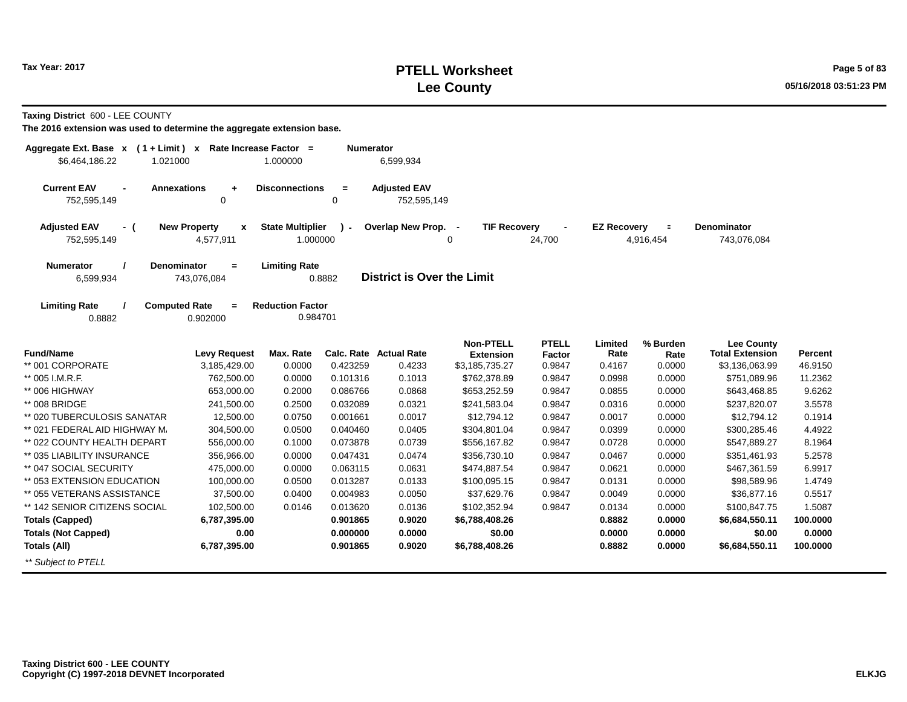# **PTELL Worksheet Tax Year: 2017 Page 5 of 83 Lee County 05/16/2018 03:51:23 PM**

**Taxing District** 600 - LEE COUNTY

| Aggregate Ext. Base $x$ (1 + Limit) $x$                 |                                       | Rate Increase Factor =              | <b>Numerator</b>        |                                    |                                      |                        |                    |                       |                                             |          |
|---------------------------------------------------------|---------------------------------------|-------------------------------------|-------------------------|------------------------------------|--------------------------------------|------------------------|--------------------|-----------------------|---------------------------------------------|----------|
| \$6,464,186.22<br>1.021000                              |                                       | 1.000000                            |                         | 6,599,934                          |                                      |                        |                    |                       |                                             |          |
| <b>Current EAV</b><br><b>Annexations</b><br>752,595,149 | $\ddot{}$<br>0                        | <b>Disconnections</b>               | $\equiv$<br>$\mathbf 0$ | <b>Adjusted EAV</b><br>752,595,149 |                                      |                        |                    |                       |                                             |          |
| <b>Adjusted EAV</b><br>- (<br>752,595,149               | <b>New Property</b><br>X<br>4,577,911 | <b>State Multiplier</b><br>1.000000 | $\mathcal{L}$           | Overlap New Prop. -                | <b>TIF Recovery</b><br>0             | 24,700                 | <b>EZ Recovery</b> | $\equiv$<br>4,916,454 | <b>Denominator</b><br>743,076,084           |          |
| <b>Denominator</b><br><b>Numerator</b><br>6,599,934     | $=$<br>743,076,084                    | <b>Limiting Rate</b>                | 0.8882                  | <b>District is Over the Limit</b>  |                                      |                        |                    |                       |                                             |          |
| <b>Limiting Rate</b><br><b>Computed Rate</b><br>0.8882  | $\equiv$<br>0.902000                  | <b>Reduction Factor</b><br>0.984701 |                         |                                    |                                      |                        |                    |                       |                                             |          |
| <b>Fund/Name</b>                                        | <b>Levy Request</b>                   | Max. Rate                           |                         | <b>Calc. Rate Actual Rate</b>      | <b>Non-PTELL</b><br><b>Extension</b> | <b>PTELL</b><br>Factor | Limited<br>Rate    | % Burden<br>Rate      | <b>Lee County</b><br><b>Total Extension</b> | Percent  |
| ** 001 CORPORATE                                        | 3,185,429.00                          | 0.0000                              | 0.423259                | 0.4233                             | \$3,185,735.27                       | 0.9847                 | 0.4167             | 0.0000                | \$3,136,063.99                              | 46.9150  |
| ** 005 I.M.R.F.                                         | 762,500.00                            | 0.0000                              | 0.101316                | 0.1013                             | \$762,378.89                         | 0.9847                 | 0.0998             | 0.0000                | \$751,089.96                                | 11.2362  |
| ** 006 HIGHWAY                                          | 653,000.00                            | 0.2000                              | 0.086766                | 0.0868                             | \$653,252.59                         | 0.9847                 | 0.0855             | 0.0000                | \$643,468.85                                | 9.6262   |
| ** 008 BRIDGE                                           | 241,500.00                            | 0.2500                              | 0.032089                | 0.0321                             | \$241,583.04                         | 0.9847                 | 0.0316             | 0.0000                | \$237,820.07                                | 3.5578   |
| ** 020 TUBERCULOSIS SANATAR                             | 12,500.00                             | 0.0750                              | 0.001661                | 0.0017                             | \$12,794.12                          | 0.9847                 | 0.0017             | 0.0000                | \$12,794.12                                 | 0.1914   |
| ** 021 FEDERAL AID HIGHWAY M.                           | 304,500.00                            | 0.0500                              | 0.040460                | 0.0405                             | \$304,801.04                         | 0.9847                 | 0.0399             | 0.0000                | \$300,285.46                                | 4.4922   |
| ** 022 COUNTY HEALTH DEPART                             | 556,000.00                            | 0.1000                              | 0.073878                | 0.0739                             | \$556,167.82                         | 0.9847                 | 0.0728             | 0.0000                | \$547,889.27                                | 8.1964   |
| ** 035 LIABILITY INSURANCE                              | 356,966.00                            | 0.0000                              | 0.047431                | 0.0474                             | \$356,730.10                         | 0.9847                 | 0.0467             | 0.0000                | \$351,461.93                                | 5.2578   |
| ** 047 SOCIAL SECURITY                                  | 475,000.00                            | 0.0000                              | 0.063115                | 0.0631                             | \$474,887.54                         | 0.9847                 | 0.0621             | 0.0000                | \$467,361.59                                | 6.9917   |
| ** 053 EXTENSION EDUCATION                              | 100,000.00                            | 0.0500                              | 0.013287                | 0.0133                             | \$100,095.15                         | 0.9847                 | 0.0131             | 0.0000                | \$98,589.96                                 | 1.4749   |
| ** 055 VETERANS ASSISTANCE                              | 37,500.00                             | 0.0400                              | 0.004983                | 0.0050                             | \$37,629.76                          | 0.9847                 | 0.0049             | 0.0000                | \$36,877.16                                 | 0.5517   |
| ** 142 SENIOR CITIZENS SOCIAL                           | 102,500.00                            | 0.0146                              | 0.013620                | 0.0136                             | \$102,352.94                         | 0.9847                 | 0.0134             | 0.0000                | \$100,847.75                                | 1.5087   |
| <b>Totals (Capped)</b>                                  | 6,787,395.00                          |                                     | 0.901865                | 0.9020                             | \$6,788,408.26                       |                        | 0.8882             | 0.0000                | \$6,684,550.11                              | 100.0000 |
| <b>Totals (Not Capped)</b>                              | 0.00                                  |                                     | 0.000000                | 0.0000                             | \$0.00                               |                        | 0.0000             | 0.0000                | \$0.00                                      | 0.0000   |
| Totals (All)                                            | 6,787,395.00                          |                                     | 0.901865                | 0.9020                             | \$6,788,408.26                       |                        | 0.8882             | 0.0000                | \$6,684,550.11                              | 100.0000 |
| ** Subject to PTELL                                     |                                       |                                     |                         |                                    |                                      |                        |                    |                       |                                             |          |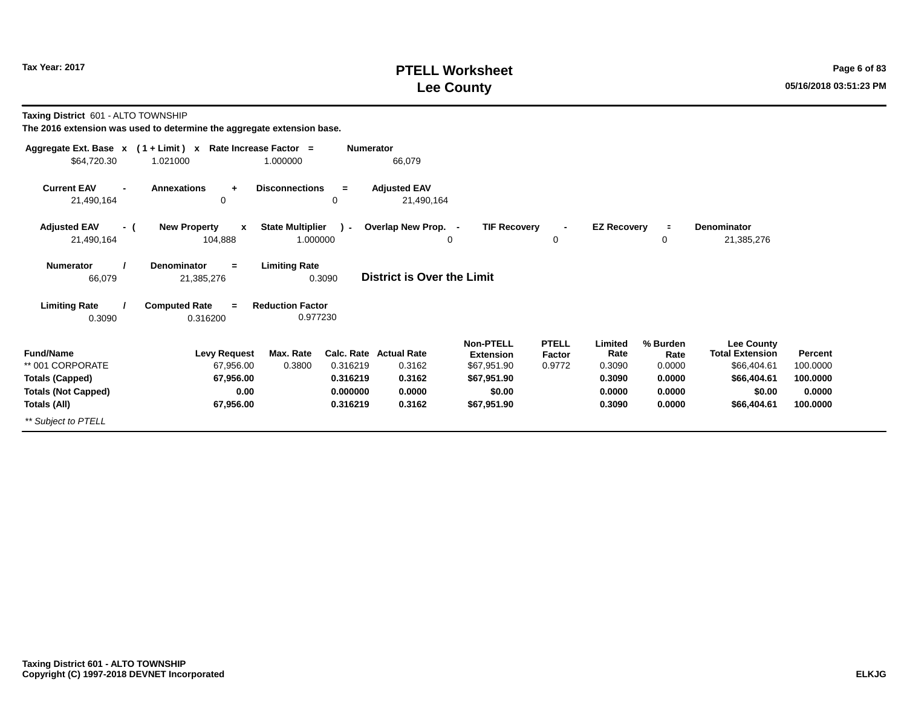# **PTELL Worksheet Tax Year: 2017 Page 6 of 83 Lee County 05/16/2018 03:51:23 PM**

**Taxing District** 601 - ALTO TOWNSHIP

| Aggregate Ext. Base $x$ (1 + Limit) $x$                                                                      | Rate Increase Factor =                                             |                                                                     | Numerator                                                             |                                                                                             |                                  |                                                         |                                                          |                                                                                                    |                                                       |
|--------------------------------------------------------------------------------------------------------------|--------------------------------------------------------------------|---------------------------------------------------------------------|-----------------------------------------------------------------------|---------------------------------------------------------------------------------------------|----------------------------------|---------------------------------------------------------|----------------------------------------------------------|----------------------------------------------------------------------------------------------------|-------------------------------------------------------|
| \$64,720.30                                                                                                  | 1.021000                                                           | 1.000000                                                            | 66,079                                                                |                                                                                             |                                  |                                                         |                                                          |                                                                                                    |                                                       |
| <b>Current EAV</b><br>$\blacksquare$<br>21,490,164                                                           | <b>Annexations</b><br>÷<br>0                                       | <b>Disconnections</b><br>$=$<br>0                                   | <b>Adjusted EAV</b><br>21,490,164                                     |                                                                                             |                                  |                                                         |                                                          |                                                                                                    |                                                       |
| <b>Adjusted EAV</b><br>- (<br>21,490,164                                                                     | <b>New Property</b><br>$\mathbf{x}$<br>104,888                     | <b>State Multiplier</b><br>$\mathcal{L}$<br>1.000000                | Overlap New Prop. -                                                   | <b>TIF Recovery</b><br>$\mathbf 0$                                                          | $\blacksquare$<br>0              | <b>EZ Recovery</b>                                      | $\equiv$<br>0                                            | Denominator<br>21,385,276                                                                          |                                                       |
| <b>Numerator</b><br>66,079                                                                                   | <b>Denominator</b><br>$\equiv$<br>21,385,276                       | <b>Limiting Rate</b><br>0.3090                                      | District is Over the Limit                                            |                                                                                             |                                  |                                                         |                                                          |                                                                                                    |                                                       |
| <b>Limiting Rate</b><br>0.3090                                                                               | <b>Computed Rate</b><br>$=$<br>0.316200                            | <b>Reduction Factor</b><br>0.977230                                 |                                                                       |                                                                                             |                                  |                                                         |                                                          |                                                                                                    |                                                       |
| <b>Fund/Name</b><br>** 001 CORPORATE<br><b>Totals (Capped)</b><br><b>Totals (Not Capped)</b><br>Totals (All) | <b>Levy Request</b><br>67,956.00<br>67,956.00<br>0.00<br>67,956.00 | Max. Rate<br>0.316219<br>0.3800<br>0.316219<br>0.000000<br>0.316219 | <b>Calc. Rate Actual Rate</b><br>0.3162<br>0.3162<br>0.0000<br>0.3162 | <b>Non-PTELL</b><br><b>Extension</b><br>\$67,951.90<br>\$67,951.90<br>\$0.00<br>\$67,951.90 | <b>PTELL</b><br>Factor<br>0.9772 | Limited<br>Rate<br>0.3090<br>0.3090<br>0.0000<br>0.3090 | % Burden<br>Rate<br>0.0000<br>0.0000<br>0.0000<br>0.0000 | <b>Lee County</b><br><b>Total Extension</b><br>\$66,404.61<br>\$66,404.61<br>\$0.00<br>\$66,404.61 | Percent<br>100.0000<br>100.0000<br>0.0000<br>100.0000 |
| ** Subject to PTELL                                                                                          |                                                                    |                                                                     |                                                                       |                                                                                             |                                  |                                                         |                                                          |                                                                                                    |                                                       |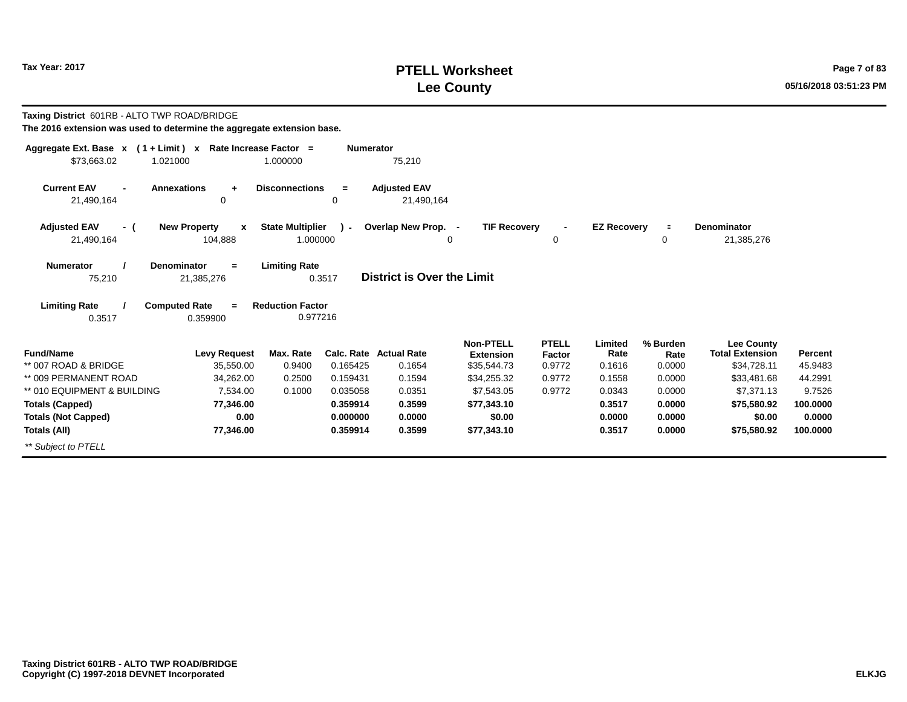# **PTELL Worksheet Tax Year: 2017 Page 7 of 83 Lee County 05/16/2018 03:51:23 PM**

| Taxing District 601RB - ALTO TWP ROAD/BRIDGE<br>The 2016 extension was used to determine the aggregate extension base. |                                                                 |                                                 |                  |                                   |                               |                        |                    |                  |                                             |                |
|------------------------------------------------------------------------------------------------------------------------|-----------------------------------------------------------------|-------------------------------------------------|------------------|-----------------------------------|-------------------------------|------------------------|--------------------|------------------|---------------------------------------------|----------------|
| Aggregate Ext. Base x (1+Limit) x Rate Increase Factor =                                                               |                                                                 |                                                 | <b>Numerator</b> |                                   |                               |                        |                    |                  |                                             |                |
| \$73.663.02<br>1.021000                                                                                                |                                                                 | 1.000000                                        |                  | 75,210                            |                               |                        |                    |                  |                                             |                |
| <b>Current EAV</b><br>21,490,164                                                                                       | <b>Annexations</b><br>$\ddot{}$<br>0                            | <b>Disconnections</b>                           | $=$<br>0         | <b>Adjusted EAV</b><br>21,490,164 |                               |                        |                    |                  |                                             |                |
| <b>Adjusted EAV</b><br>- (                                                                                             | <b>New Property</b><br>$\boldsymbol{x}$                         | <b>State Multiplier</b>                         | $\mathcal{L}$    | Overlap New Prop. -               | <b>TIF Recoverv</b>           |                        | <b>EZ Recoverv</b> | $\equiv$         | Denominator                                 |                |
| 21,490,164                                                                                                             | 104,888                                                         | 1.000000                                        |                  |                                   | $\Omega$                      | 0                      |                    | 0                | 21,385,276                                  |                |
| <b>Numerator</b><br>75,210<br><b>Limiting Rate</b>                                                                     | <b>Denominator</b><br>$=$<br>21,385,276<br><b>Computed Rate</b> | <b>Limiting Rate</b><br><b>Reduction Factor</b> | 0.3517           | <b>District is Over the Limit</b> |                               |                        |                    |                  |                                             |                |
| 0.3517                                                                                                                 | 0.977216<br>0.359900                                            |                                                 |                  |                                   |                               |                        |                    |                  |                                             |                |
| <b>Fund/Name</b>                                                                                                       | <b>Levy Request</b>                                             | Max. Rate                                       |                  | <b>Calc. Rate Actual Rate</b>     | <b>Non-PTELL</b><br>Extension | <b>PTELL</b><br>Factor | Limited<br>Rate    | % Burden<br>Rate | <b>Lee County</b><br><b>Total Extension</b> | <b>Percent</b> |
| ** 007 ROAD & BRIDGE                                                                                                   | 35,550.00                                                       | 0.9400                                          | 0.165425         | 0.1654                            | \$35,544.73                   | 0.9772                 | 0.1616             | 0.0000           | \$34,728.11                                 | 45.9483        |
| ** 009 PERMANENT ROAD                                                                                                  | 34,262.00                                                       | 0.2500                                          | 0.159431         | 0.1594                            | \$34,255.32                   | 0.9772                 | 0.1558             | 0.0000           | \$33,481.68                                 | 44.2991        |
| ** 010 EQUIPMENT & BUILDING                                                                                            | 7.534.00                                                        | 0.1000                                          | 0.035058         | 0.0351                            | \$7,543.05                    | 0.9772                 | 0.0343             | 0.0000           | \$7,371.13                                  | 9.7526         |
| <b>Totals (Capped)</b>                                                                                                 | 77.346.00                                                       |                                                 | 0.359914         | 0.3599                            | \$77,343.10                   |                        | 0.3517             | 0.0000           | \$75,580.92                                 | 100,0000       |
| <b>Totals (Not Capped)</b>                                                                                             | 0.00                                                            |                                                 | 0.000000         | 0.0000                            | \$0.00                        |                        | 0.0000             | 0.0000           | \$0.00                                      | 0.0000         |
| <b>Totals (All)</b>                                                                                                    | 77,346.00                                                       |                                                 | 0.359914         | 0.3599                            | \$77,343.10                   |                        | 0.3517             | 0.0000           | \$75,580.92                                 | 100.0000       |
| ** Subject to PTELL                                                                                                    |                                                                 |                                                 |                  |                                   |                               |                        |                    |                  |                                             |                |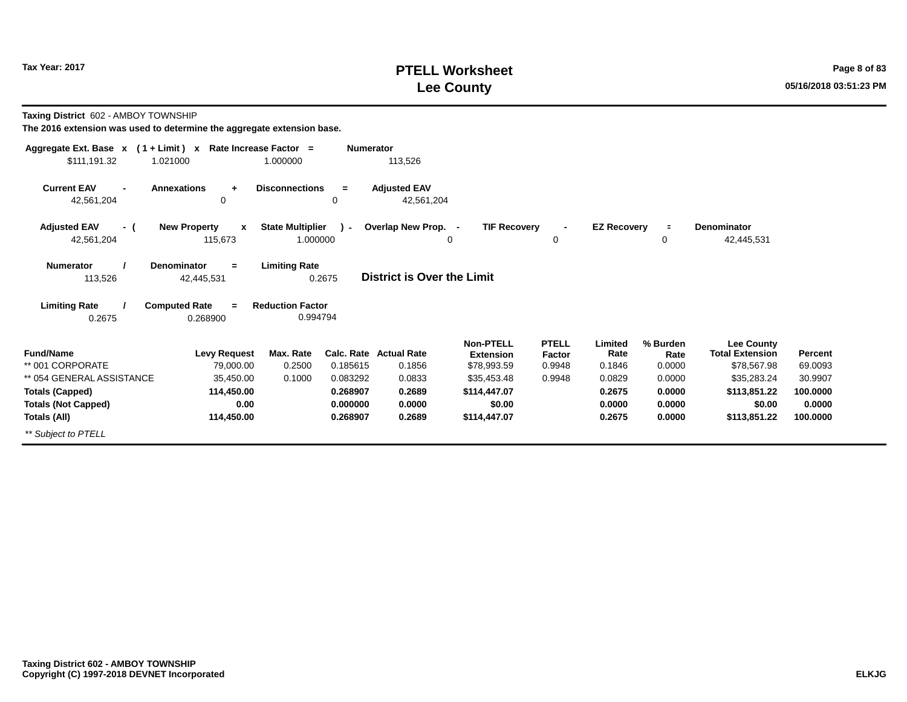# **PTELL Worksheet Tax Year: 2017 Page 8 of 83 Lee County 05/16/2018 03:51:23 PM**

**Taxing District** 602 - AMBOY TOWNSHIP

| Aggregate Ext. Base $x$ (1 + Limit) $x$ | Rate Increase Factor =              |                         | <b>Numerator</b> |                                   |                     |              |                    |                |                        |          |
|-----------------------------------------|-------------------------------------|-------------------------|------------------|-----------------------------------|---------------------|--------------|--------------------|----------------|------------------------|----------|
| \$111,191.32                            | 1.021000                            | 1.000000                |                  | 113,526                           |                     |              |                    |                |                        |          |
| <b>Current EAV</b>                      | <b>Annexations</b><br>$\ddot{}$     | <b>Disconnections</b>   | $\equiv$         | <b>Adjusted EAV</b>               |                     |              |                    |                |                        |          |
| 42,561,204                              | 0                                   |                         | 0                | 42,561,204                        |                     |              |                    |                |                        |          |
| <b>Adjusted EAV</b><br>- (              | <b>New Property</b><br>$\mathbf{x}$ | <b>State Multiplier</b> | $\mathcal{L}$    | Overlap New Prop. -               | <b>TIF Recovery</b> |              | <b>EZ Recovery</b> | $\blacksquare$ | <b>Denominator</b>     |          |
| 42,561,204                              | 115,673                             | 1.000000                |                  |                                   | 0                   | 0            |                    | 0              | 42,445,531             |          |
| <b>Numerator</b>                        | <b>Denominator</b><br>$=$           | <b>Limiting Rate</b>    |                  |                                   |                     |              |                    |                |                        |          |
| 113,526                                 | 42,445,531                          |                         | 0.2675           | <b>District is Over the Limit</b> |                     |              |                    |                |                        |          |
| <b>Limiting Rate</b>                    | <b>Computed Rate</b><br>$=$         | <b>Reduction Factor</b> |                  |                                   |                     |              |                    |                |                        |          |
| 0.2675                                  | 0.268900                            | 0.994794                |                  |                                   |                     |              |                    |                |                        |          |
|                                         |                                     |                         |                  |                                   | <b>Non-PTELL</b>    | <b>PTELL</b> | Limited            | % Burden       | <b>Lee County</b>      |          |
| <b>Fund/Name</b>                        | <b>Levy Request</b>                 | Max. Rate               |                  | <b>Calc. Rate Actual Rate</b>     | <b>Extension</b>    | Factor       | Rate               | Rate           | <b>Total Extension</b> | Percent  |
| ** 001 CORPORATE                        | 79,000.00                           | 0.2500                  | 0.185615         | 0.1856                            | \$78,993.59         | 0.9948       | 0.1846             | 0.0000         | \$78,567.98            | 69.0093  |
| ** 054 GENERAL ASSISTANCE               | 35,450.00                           | 0.1000                  | 0.083292         | 0.0833                            | \$35,453.48         | 0.9948       | 0.0829             | 0.0000         | \$35,283.24            | 30.9907  |
| <b>Totals (Capped)</b>                  | 114,450.00                          |                         | 0.268907         | 0.2689                            | \$114,447.07        |              | 0.2675             | 0.0000         | \$113,851.22           | 100.0000 |
| <b>Totals (Not Capped)</b>              | 0.00                                |                         | 0.000000         | 0.0000                            | \$0.00              |              | 0.0000             | 0.0000         | \$0.00                 | 0.0000   |
| Totals (All)                            | 114,450.00                          |                         | 0.268907         | 0.2689                            | \$114,447.07        |              | 0.2675             | 0.0000         | \$113,851.22           | 100.0000 |
| ** Subject to PTELL                     |                                     |                         |                  |                                   |                     |              |                    |                |                        |          |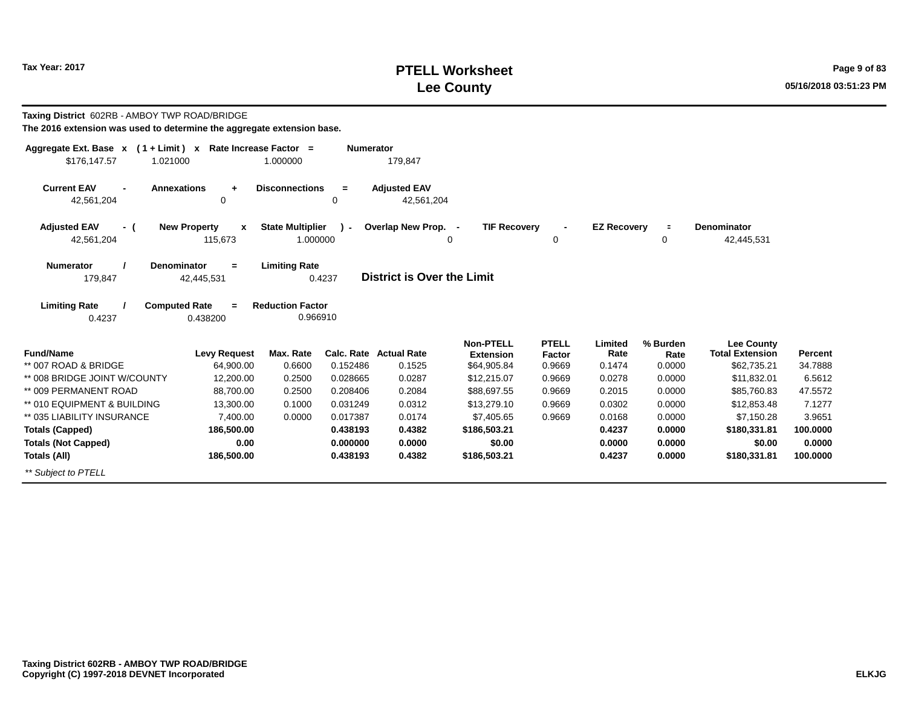# **PTELL Worksheet Tax Year: 2017 Page 9 of 83 Lee County 05/16/2018 03:51:23 PM**

| Taxing District 602RB - AMBOY TWP ROAD/BRIDGE<br>The 2016 extension was used to determine the aggregate extension base. |                          |                                                 |                  |                                   |                                      |                        |                    |                  |                                             |          |
|-------------------------------------------------------------------------------------------------------------------------|--------------------------|-------------------------------------------------|------------------|-----------------------------------|--------------------------------------|------------------------|--------------------|------------------|---------------------------------------------|----------|
| Aggregate Ext. Base x (1+Limit) x Rate Increase Factor =                                                                |                          |                                                 | <b>Numerator</b> |                                   |                                      |                        |                    |                  |                                             |          |
| \$176,147.57<br>1.021000                                                                                                |                          | 1.000000                                        |                  | 179,847                           |                                      |                        |                    |                  |                                             |          |
| <b>Current EAV</b><br><b>Annexations</b><br>42,561,204                                                                  | $\ddot{}$<br>0           | <b>Disconnections</b>                           | $=$<br>0         | <b>Adjusted EAV</b><br>42,561,204 |                                      |                        |                    |                  |                                             |          |
| <b>Adjusted EAV</b><br>- (                                                                                              | <b>New Property</b><br>X | <b>State Multiplier</b>                         | . (              | Overlap New Prop. -               | <b>TIF Recovery</b>                  |                        | <b>EZ Recovery</b> | $\equiv$         | <b>Denominator</b>                          |          |
| 42,561,204                                                                                                              | 115.673                  | 1.000000                                        |                  |                                   | $\Omega$                             | 0                      |                    | $\mathbf 0$      | 42,445,531                                  |          |
| <b>Numerator</b><br><b>Denominator</b><br>179,847<br><b>Computed Rate</b><br><b>Limiting Rate</b>                       | $=$<br>42,445,531<br>$=$ | <b>Limiting Rate</b><br><b>Reduction Factor</b> | 0.4237           | <b>District is Over the Limit</b> |                                      |                        |                    |                  |                                             |          |
| 0.4237                                                                                                                  | 0.438200                 | 0.966910                                        |                  |                                   |                                      |                        |                    |                  |                                             |          |
| <b>Fund/Name</b>                                                                                                        | <b>Levy Request</b>      | Max. Rate                                       |                  | Calc. Rate Actual Rate            | <b>Non-PTELL</b><br><b>Extension</b> | <b>PTELL</b><br>Factor | Limited<br>Rate    | % Burden<br>Rate | <b>Lee County</b><br><b>Total Extension</b> | Percent  |
| ** 007 ROAD & BRIDGE                                                                                                    | 64.900.00                | 0.6600                                          | 0.152486         | 0.1525                            | \$64,905.84                          | 0.9669                 | 0.1474             | 0.0000           | \$62,735.21                                 | 34.7888  |
| ** 008 BRIDGE JOINT W/COUNTY                                                                                            | 12,200.00                | 0.2500                                          | 0.028665         | 0.0287                            | \$12,215.07                          | 0.9669                 | 0.0278             | 0.0000           | \$11,832.01                                 | 6.5612   |
| ** 009 PERMANENT ROAD                                                                                                   | 88.700.00                | 0.2500                                          | 0.208406         | 0.2084                            | \$88,697.55                          | 0.9669                 | 0.2015             | 0.0000           | \$85,760.83                                 | 47.5572  |
| ** 010 EQUIPMENT & BUILDING                                                                                             | 13,300.00                | 0.1000                                          | 0.031249         | 0.0312                            | \$13,279.10                          | 0.9669                 | 0.0302             | 0.0000           | \$12,853.48                                 | 7.1277   |
| ** 035 LIABILITY INSURANCE                                                                                              | 7.400.00                 | 0.0000                                          | 0.017387         | 0.0174                            | \$7,405.65                           | 0.9669                 | 0.0168             | 0.0000           | \$7,150.28                                  | 3.9651   |
| <b>Totals (Capped)</b>                                                                                                  | 186,500.00               |                                                 | 0.438193         | 0.4382                            | \$186,503.21                         |                        | 0.4237             | 0.0000           | \$180,331.81                                | 100.0000 |
| <b>Totals (Not Capped)</b>                                                                                              | 0.00                     |                                                 | 0.000000         | 0.0000                            | \$0.00                               |                        | 0.0000             | 0.0000           | \$0.00                                      | 0.0000   |
| Totals (All)                                                                                                            | 186,500.00               |                                                 | 0.438193         | 0.4382                            | \$186,503.21                         |                        | 0.4237             | 0.0000           | \$180,331.81                                | 100.0000 |
| ** Subject to PTELL                                                                                                     |                          |                                                 |                  |                                   |                                      |                        |                    |                  |                                             |          |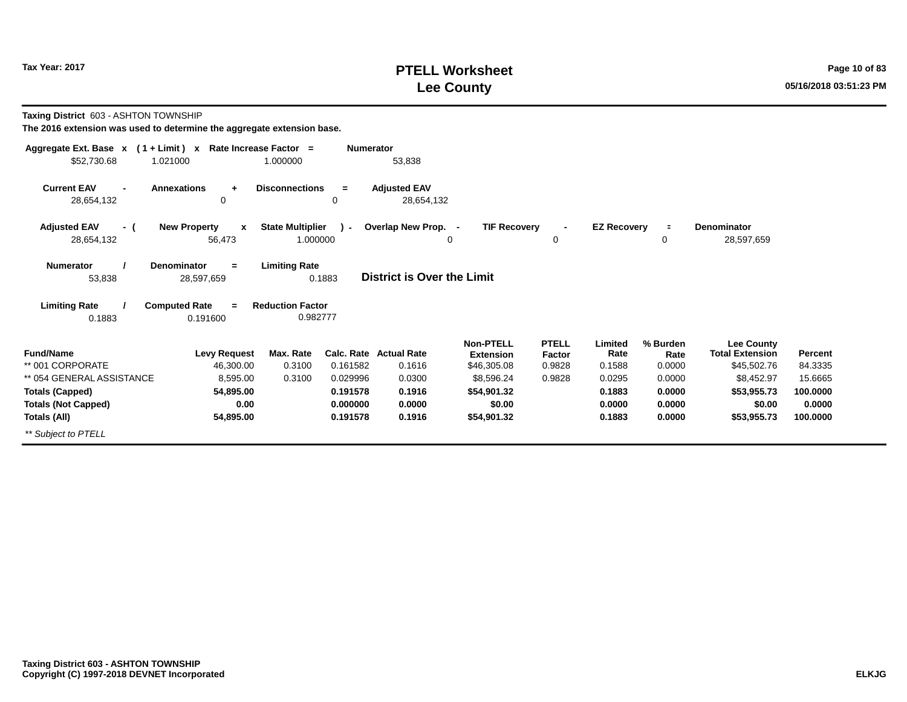# **PTELL Worksheet Tax Year: 2017 Page 10 of 83 Lee County 05/16/2018 03:51:23 PM**

**Taxing District** 603 - ASHTON TOWNSHIP

| Aggregate Ext. Base $x$ (1 + Limit) $x$ | Rate Increase Factor =              |                         | <b>Numerator</b> |                                   |                     |              |                    |          |                        |          |
|-----------------------------------------|-------------------------------------|-------------------------|------------------|-----------------------------------|---------------------|--------------|--------------------|----------|------------------------|----------|
| \$52,730.68<br>1.021000                 |                                     | 1.000000                |                  | 53,838                            |                     |              |                    |          |                        |          |
| <b>Current EAV</b>                      | <b>Annexations</b><br>$\ddot{}$     | <b>Disconnections</b>   | $\equiv$         | <b>Adjusted EAV</b>               |                     |              |                    |          |                        |          |
| 28,654,132                              | 0                                   |                         | 0                | 28,654,132                        |                     |              |                    |          |                        |          |
| <b>Adjusted EAV</b><br>- (              | <b>New Property</b><br>$\mathbf{x}$ | <b>State Multiplier</b> | $\mathcal{L}$    | Overlap New Prop. -               | <b>TIF Recovery</b> |              | <b>EZ Recovery</b> | $\equiv$ | <b>Denominator</b>     |          |
| 28,654,132                              | 56,473                              | 1.000000                |                  |                                   | 0                   | 0            |                    | 0        | 28,597,659             |          |
| <b>Numerator</b>                        | <b>Denominator</b><br>$=$           | <b>Limiting Rate</b>    |                  |                                   |                     |              |                    |          |                        |          |
| 53,838                                  | 28,597,659                          |                         | 0.1883           | <b>District is Over the Limit</b> |                     |              |                    |          |                        |          |
| <b>Limiting Rate</b>                    | <b>Computed Rate</b><br>$=$         | <b>Reduction Factor</b> |                  |                                   |                     |              |                    |          |                        |          |
| 0.1883                                  | 0.191600                            | 0.982777                |                  |                                   |                     |              |                    |          |                        |          |
|                                         |                                     |                         |                  |                                   | <b>Non-PTELL</b>    | <b>PTELL</b> | Limited            | % Burden | <b>Lee County</b>      |          |
| <b>Fund/Name</b>                        | <b>Levy Request</b>                 | Max. Rate               |                  | <b>Calc. Rate Actual Rate</b>     | <b>Extension</b>    | Factor       | Rate               | Rate     | <b>Total Extension</b> | Percent  |
| ** 001 CORPORATE                        | 46,300.00                           | 0.3100                  | 0.161582         | 0.1616                            | \$46,305.08         | 0.9828       | 0.1588             | 0.0000   | \$45,502.76            | 84.3335  |
| ** 054 GENERAL ASSISTANCE               | 8,595.00                            | 0.3100                  | 0.029996         | 0.0300                            | \$8,596.24          | 0.9828       | 0.0295             | 0.0000   | \$8,452.97             | 15.6665  |
| <b>Totals (Capped)</b>                  | 54,895.00                           |                         | 0.191578         | 0.1916                            | \$54,901.32         |              | 0.1883             | 0.0000   | \$53,955.73            | 100.0000 |
| <b>Totals (Not Capped)</b>              | 0.00                                |                         | 0.000000         | 0.0000                            | \$0.00              |              | 0.0000             | 0.0000   | \$0.00                 | 0.0000   |
| Totals (All)                            | 54,895.00                           |                         | 0.191578         | 0.1916                            | \$54,901.32         |              | 0.1883             | 0.0000   | \$53,955.73            | 100.0000 |
| ** Subject to PTELL                     |                                     |                         |                  |                                   |                     |              |                    |          |                        |          |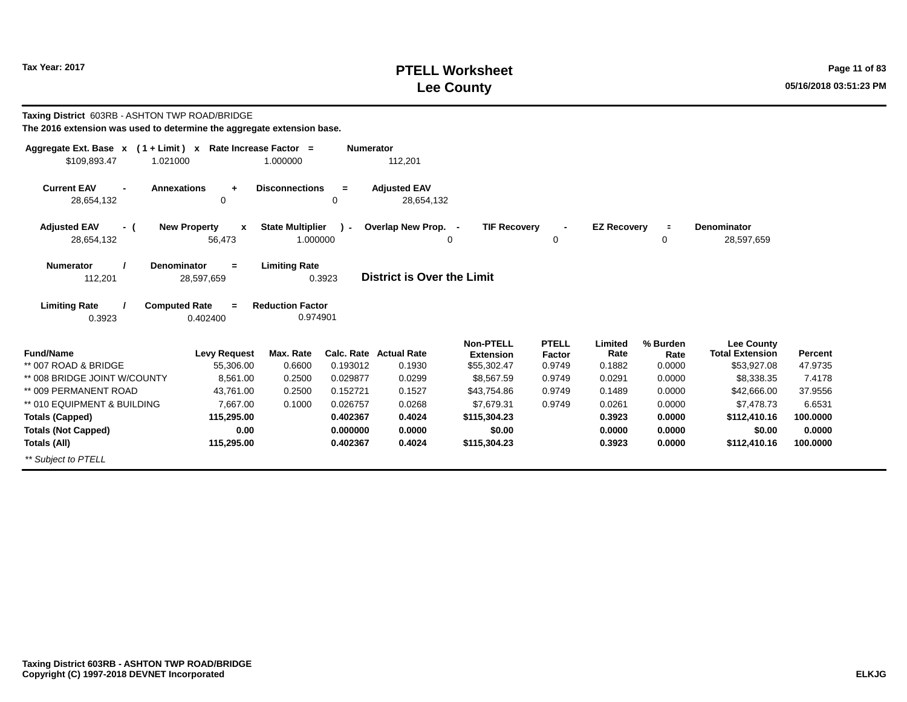# **PTELL Worksheet Tax Year: 2017 Page 11 of 83 Lee County 05/16/2018 03:51:23 PM**

| Taxing District 603RB - ASHTON TWP ROAD/BRIDGE<br>The 2016 extension was used to determine the aggregate extension base. |                                  |                         |                  |                                   |                     |              |                    |          |                        |          |
|--------------------------------------------------------------------------------------------------------------------------|----------------------------------|-------------------------|------------------|-----------------------------------|---------------------|--------------|--------------------|----------|------------------------|----------|
| Aggregate Ext. Base $x$ (1 + Limit) x Rate Increase Factor =<br>\$109,893.47<br>1.021000                                 |                                  | 1.000000                | <b>Numerator</b> | 112,201                           |                     |              |                    |          |                        |          |
|                                                                                                                          |                                  |                         |                  |                                   |                     |              |                    |          |                        |          |
| <b>Current EAV</b><br><b>Annexations</b><br>28,654,132                                                                   | $\ddot{}$<br>0                   | <b>Disconnections</b>   | $\equiv$<br>0    | <b>Adiusted EAV</b><br>28,654,132 |                     |              |                    |          |                        |          |
|                                                                                                                          |                                  |                         |                  |                                   |                     |              |                    |          |                        |          |
| <b>Adjusted EAV</b><br>- (                                                                                               | <b>New Property</b><br>X         | <b>State Multiplier</b> | $\mathbf{r}$     | Overlap New Prop. -               | <b>TIF Recovery</b> |              | <b>EZ Recovery</b> | $\equiv$ | <b>Denominator</b>     |          |
| 28,654,132                                                                                                               | 56,473                           | 1.000000                |                  | 0                                 |                     | 0            |                    | 0        | 28,597,659             |          |
| <b>Denominator</b><br><b>Numerator</b>                                                                                   | $=$                              | <b>Limiting Rate</b>    |                  |                                   |                     |              |                    |          |                        |          |
| 112,201                                                                                                                  | 28,597,659                       |                         | 0.3923           | District is Over the Limit        |                     |              |                    |          |                        |          |
| <b>Limiting Rate</b>                                                                                                     | <b>Computed Rate</b><br>$\equiv$ | <b>Reduction Factor</b> |                  |                                   |                     |              |                    |          |                        |          |
| 0.3923                                                                                                                   | 0.402400                         | 0.974901                |                  |                                   |                     |              |                    |          |                        |          |
|                                                                                                                          |                                  |                         |                  |                                   | <b>Non-PTELL</b>    | <b>PTELL</b> | Limited            | % Burden | <b>Lee County</b>      |          |
| <b>Fund/Name</b>                                                                                                         | <b>Levy Request</b>              | Max. Rate               |                  | <b>Calc. Rate Actual Rate</b>     | <b>Extension</b>    | Factor       | Rate               | Rate     | <b>Total Extension</b> | Percent  |
| ** 007 ROAD & BRIDGE                                                                                                     | 55,306.00                        | 0.6600                  | 0.193012         | 0.1930                            | \$55,302.47         | 0.9749       | 0.1882             | 0.0000   | \$53,927.08            | 47.9735  |
| ** 008 BRIDGE JOINT W/COUNTY                                                                                             | 8.561.00                         | 0.2500                  | 0.029877         | 0.0299                            | \$8,567.59          | 0.9749       | 0.0291             | 0.0000   | \$8,338.35             | 7.4178   |
| ** 009 PERMANENT ROAD                                                                                                    | 43,761.00                        | 0.2500                  | 0.152721         | 0.1527                            | \$43,754.86         | 0.9749       | 0.1489             | 0.0000   | \$42,666.00            | 37.9556  |
| ** 010 EQUIPMENT & BUILDING                                                                                              | 7.667.00                         | 0.1000                  | 0.026757         | 0.0268                            | \$7,679.31          | 0.9749       | 0.0261             | 0.0000   | \$7,478.73             | 6.6531   |
| <b>Totals (Capped)</b>                                                                                                   | 115,295.00                       |                         | 0.402367         | 0.4024                            | \$115,304,23        |              | 0.3923             | 0.0000   | \$112,410.16           | 100,0000 |
| <b>Totals (Not Capped)</b>                                                                                               | 0.00                             |                         | 0.000000         | 0.0000                            | \$0.00              |              | 0.0000             | 0.0000   | \$0.00                 | 0.0000   |
| Totals (All)                                                                                                             | 115,295.00                       |                         | 0.402367         | 0.4024                            | \$115,304.23        |              | 0.3923             | 0.0000   | \$112,410.16           | 100.0000 |
| ** Subiect to PTELL                                                                                                      |                                  |                         |                  |                                   |                     |              |                    |          |                        |          |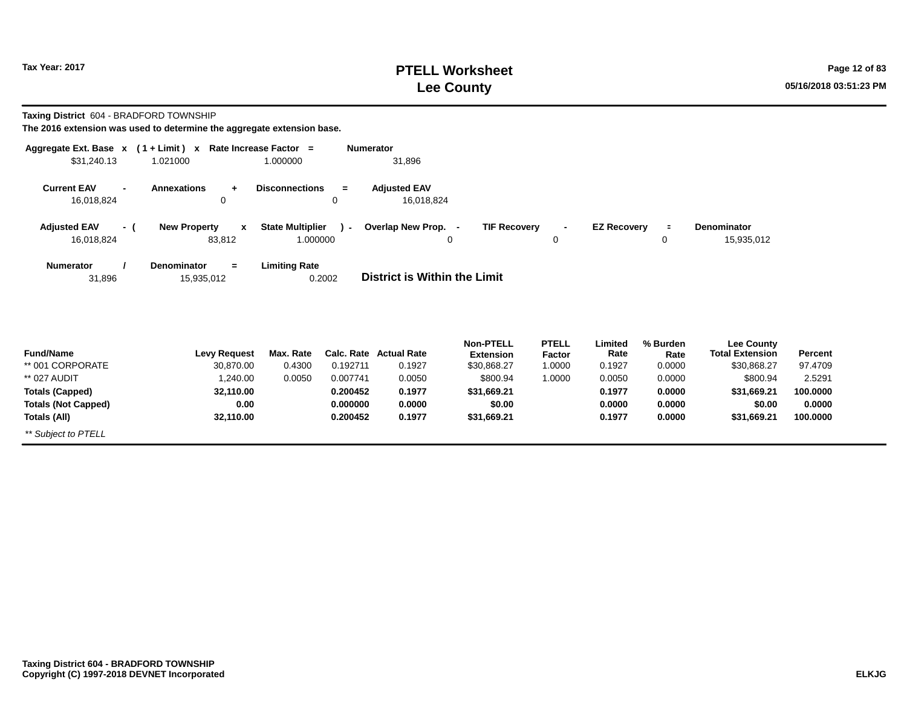**Totals (Not Capped)**

*\*\* Subject to PTELL*

**Totals (All)**

# **PTELL Worksheet Tax Year: 2017 Page 12 of 83 Lee County 05/16/2018 03:51:23 PM**

**0.0000100.0000**

**\$0.00 \$31,669.21**

**Taxing District** 604 - BRADFORD TOWNSHIP

**The 2016 extension was used to determine the aggregate extension base.**

**0.0032,110.00**

| Aggregate Ext. Base $x$ (1+Limit) $x$ |                                         | Rate Increase Factor =<br><b>Numerator</b> |                                   |                                      |                                           |                  |                                             |          |
|---------------------------------------|-----------------------------------------|--------------------------------------------|-----------------------------------|--------------------------------------|-------------------------------------------|------------------|---------------------------------------------|----------|
| \$31,240.13                           | 1.021000                                | 1.000000                                   | 31,896                            |                                      |                                           |                  |                                             |          |
| <b>Current EAV</b><br>16,018,824      | <b>Annexations</b><br>$\ddot{}$<br>0    | <b>Disconnections</b><br>$=$<br>0          | <b>Adjusted EAV</b><br>16,018,824 |                                      |                                           |                  |                                             |          |
|                                       |                                         |                                            |                                   |                                      |                                           |                  |                                             |          |
| <b>Adjusted EAV</b><br>- (            | <b>New Property</b><br>$\mathbf{x}$     | <b>State Multiplier</b><br>$) -$           | Overlap New Prop. -               | <b>TIF Recovery</b>                  | <b>EZ Recovery</b><br>$\blacksquare$      | $\equiv$         | <b>Denominator</b>                          |          |
| 16,018,824                            | 83,812                                  | 1.000000                                   | $\Omega$                          |                                      | $\Omega$                                  | 0                | 15,935,012                                  |          |
| <b>Numerator</b><br>31,896            | <b>Denominator</b><br>$=$<br>15,935,012 | <b>Limiting Rate</b><br>0.2002             | District is Within the Limit      |                                      |                                           |                  |                                             |          |
|                                       |                                         |                                            |                                   |                                      |                                           |                  |                                             |          |
| <b>Fund/Name</b>                      | <b>Levy Request</b>                     | Max. Rate<br>Calc. Rate                    | <b>Actual Rate</b>                | <b>Non-PTELL</b><br><b>Extension</b> | <b>PTELL</b><br>Limited<br>Rate<br>Factor | % Burden<br>Rate | <b>Lee County</b><br><b>Total Extension</b> | Percent  |
| ** 001 CORPORATE                      | 30,870.00                               | 0.4300<br>0.192711                         | 0.1927                            | \$30,868.27                          | 1.0000<br>0.1927                          | 0.0000           | \$30,868.27                                 | 97.4709  |
| ** 027 AUDIT                          | 1,240.00                                | 0.007741<br>0.0050                         | 0.0050                            | \$800.94                             | 1.0000<br>0.0050                          | 0.0000           | \$800.94                                    | 2.5291   |
| <b>Totals (Capped)</b>                | 32,110.00                               | 0.200452                                   | 0.1977                            | \$31,669.21                          | 0.1977                                    | 0.0000           | \$31,669.21                                 | 100.0000 |

**0.0000**

**\$0.00 \$31,669.21** **0.00000.1977**

**0.00000.0000**

**0.1977**

**0.000000**

**0.200452**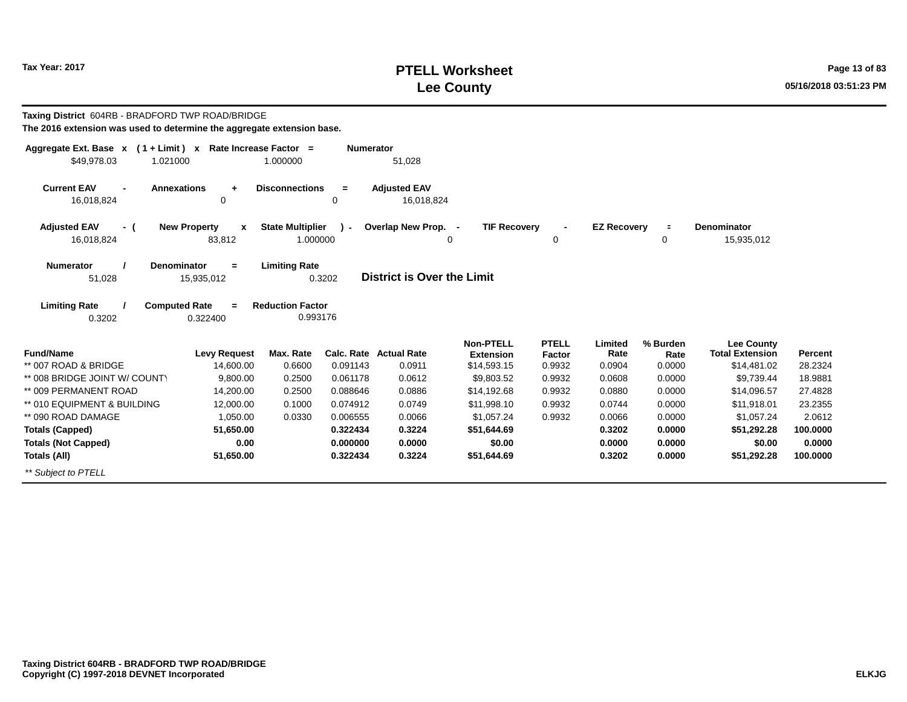# **PTELL Worksheet Tax Year: 2017 Page 13 of 83 Lee County 05/16/2018 03:51:23 PM**

| Taxing District 604RB - BRADFORD TWP ROAD/BRIDGE<br>The 2016 extension was used to determine the aggregate extension base. |                                                   |                                     |                  |                                   |                                 |                  |                    |                     |                                             |          |
|----------------------------------------------------------------------------------------------------------------------------|---------------------------------------------------|-------------------------------------|------------------|-----------------------------------|---------------------------------|------------------|--------------------|---------------------|---------------------------------------------|----------|
| Aggregate Ext. Base x (1+Limit) x Rate Increase Factor =                                                                   |                                                   |                                     | <b>Numerator</b> |                                   |                                 |                  |                    |                     |                                             |          |
| \$49.978.03<br>1.021000                                                                                                    |                                                   | 1.000000                            |                  | 51,028                            |                                 |                  |                    |                     |                                             |          |
| <b>Current EAV</b><br><b>Annexations</b><br>$\blacksquare$<br>16,018,824                                                   | $\ddot{}$<br>0                                    | <b>Disconnections</b>               | $=$<br>0         | <b>Adjusted EAV</b><br>16,018,824 |                                 |                  |                    |                     |                                             |          |
| <b>Adjusted EAV</b><br>- (<br>16,018,824                                                                                   | <b>New Property</b><br>$\boldsymbol{x}$<br>83,812 | <b>State Multiplier</b><br>1.000000 | $\mathcal{L}$    | Overlap New Prop. -               | <b>TIF Recovery</b><br>$\Omega$ | $\mathbf 0$      | <b>EZ Recovery</b> | $\blacksquare$<br>0 | <b>Denominator</b><br>15,935,012            |          |
| <b>Numerator</b><br>Denominator<br>51,028                                                                                  | $=$<br>15,935,012                                 | <b>Limiting Rate</b>                | 0.3202           | District is Over the Limit        |                                 |                  |                    |                     |                                             |          |
| <b>Limiting Rate</b><br><b>Computed Rate</b><br>0.3202                                                                     | $=$<br>0.322400                                   | <b>Reduction Factor</b><br>0.993176 |                  |                                   |                                 |                  |                    |                     |                                             |          |
| <b>Fund/Name</b>                                                                                                           |                                                   | Max. Rate                           |                  | <b>Calc. Rate Actual Rate</b>     | <b>Non-PTELL</b>                | <b>PTELL</b>     | Limited<br>Rate    | % Burden            | <b>Lee County</b><br><b>Total Extension</b> | Percent  |
| ** 007 ROAD & BRIDGE                                                                                                       | <b>Levy Request</b><br>14,600.00                  | 0.6600                              | 0.091143         | 0.0911                            | <b>Extension</b><br>\$14,593.15 | Factor<br>0.9932 | 0.0904             | Rate<br>0.0000      | \$14,481.02                                 | 28.2324  |
| ** 008 BRIDGE JOINT W/ COUNTY                                                                                              | 9.800.00                                          | 0.2500                              | 0.061178         | 0.0612                            | \$9,803.52                      | 0.9932           | 0.0608             | 0.0000              | \$9,739.44                                  | 18.9881  |
| ** 009 PERMANENT ROAD                                                                                                      | 14,200.00                                         | 0.2500                              | 0.088646         | 0.0886                            | \$14,192.68                     | 0.9932           | 0.0880             | 0.0000              | \$14,096.57                                 | 27.4828  |
| ** 010 EQUIPMENT & BUILDING                                                                                                | 12,000.00                                         | 0.1000                              | 0.074912         | 0.0749                            | \$11,998.10                     | 0.9932           | 0.0744             | 0.0000              | \$11,918.01                                 | 23.2355  |
| ** 090 ROAD DAMAGE                                                                                                         | 1,050.00                                          | 0.0330                              | 0.006555         | 0.0066                            | \$1,057.24                      | 0.9932           | 0.0066             | 0.0000              | \$1,057.24                                  | 2.0612   |
| <b>Totals (Capped)</b>                                                                                                     | 51,650.00                                         |                                     | 0.322434         | 0.3224                            | \$51,644.69                     |                  | 0.3202             | 0.0000              | \$51,292.28                                 | 100,0000 |
| <b>Totals (Not Capped)</b>                                                                                                 | 0.00                                              |                                     | 0.000000         | 0.0000                            | \$0.00                          |                  | 0.0000             | 0.0000              | \$0.00                                      | 0.0000   |
| Totals (All)                                                                                                               | 51,650.00                                         |                                     | 0.322434         | 0.3224                            | \$51,644.69                     |                  | 0.3202             | 0.0000              | \$51.292.28                                 | 100,0000 |
| ** Subject to PTELL                                                                                                        |                                                   |                                     |                  |                                   |                                 |                  |                    |                     |                                             |          |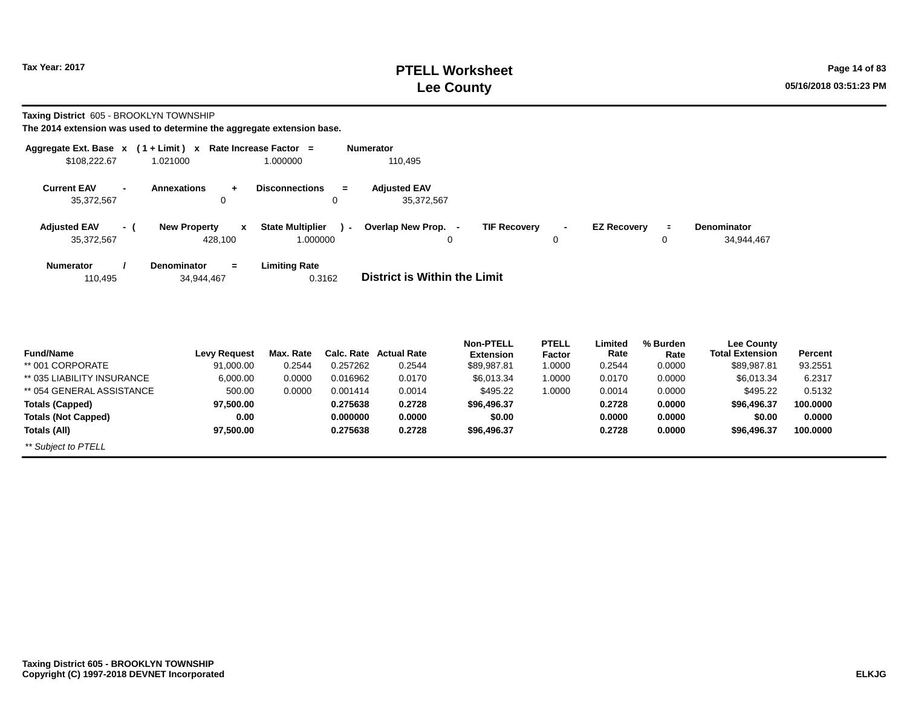# **PTELL Worksheet Tax Year: 2017 Page 14 of 83 Lee County 05/16/2018 03:51:23 PM**

**Taxing District** 605 - BROOKLYN TOWNSHIP

| Aggregate Ext. Base x                              | $(1 + Limit) x$                            | Rate Increase Factor =                  | <b>Numerator</b>                  |                               |                                      |                    |
|----------------------------------------------------|--------------------------------------------|-----------------------------------------|-----------------------------------|-------------------------------|--------------------------------------|--------------------|
| \$108,222.67                                       | 1.021000                                   | 1.000000                                | 110,495                           |                               |                                      |                    |
| <b>Current EAV</b><br>$\blacksquare$<br>35,372,567 | <b>Annexations</b><br>÷<br>$\mathbf 0$     | <b>Disconnections</b><br>$\equiv$<br>0  | <b>Adjusted EAV</b><br>35,372,567 |                               |                                      |                    |
| <b>Adjusted EAV</b>                                | <b>New Property</b><br>$\mathbf{x}$<br>- ( | <b>State Multiplier</b><br>$\mathbf{r}$ | Overlap New Prop.                 | <b>TIF Recovery</b><br>$\sim$ | <b>EZ Recovery</b><br>$\blacksquare$ | <b>Denominator</b> |
| 35,372,567                                         | 428,100                                    | 1.000000                                | $\mathbf 0$                       | 0                             | 0                                    | 34,944,467         |
| <b>Numerator</b><br>110,495                        | <b>Denominator</b><br>$=$<br>34,944,467    | <b>Limiting Rate</b><br>0.3162          | District is Within the Limit      |                               |                                      |                    |
|                                                    |                                            |                                         |                                   |                               |                                      |                    |

| <b>Fund/Name</b>           | Levy Request | Max. Rate |          | <b>Calc. Rate Actual Rate</b> | <b>Non-PTELL</b> | PTELL         | Limited<br>Rate | % Burden | <b>Lee County</b><br><b>Total Extension</b> | Percent  |
|----------------------------|--------------|-----------|----------|-------------------------------|------------------|---------------|-----------------|----------|---------------------------------------------|----------|
|                            |              |           |          |                               | <b>Extension</b> | <b>Factor</b> |                 | Rate     |                                             |          |
| ** 001 CORPORATE           | 91,000.00    | 0.2544    | 0.257262 | 0.2544                        | \$89,987.81      | 1.0000        | 0.2544          | 0.0000   | \$89,987.81                                 | 93.2551  |
| ** 035 LIABILITY INSURANCE | 6,000.00     | 0.0000    | 0.016962 | 0.0170                        | \$6,013,34       | 1.0000        | 0.0170          | 0.0000   | \$6.013.34                                  | 6.2317   |
| ** 054 GENERAL ASSISTANCE  | 500.00       | 0.0000    | 0.001414 | 0.0014                        | \$495.22         | 1.0000        | 0.0014          | 0.0000   | \$495.22                                    | 0.5132   |
| <b>Totals (Capped)</b>     | 97.500.00    |           | 0.275638 | 0.2728                        | \$96.496.37      |               | 0.2728          | 0.0000   | \$96,496,37                                 | 100.0000 |
| <b>Totals (Not Capped)</b> | 0.00         |           | 0.000000 | 0.0000                        | \$0.00           |               | 0.0000          | 0.0000   | \$0.00                                      | 0.0000   |
| Totals (All)               | 97.500.00    |           | 0.275638 | 0.2728                        | \$96.496.37      |               | 0.2728          | 0.0000   | \$96,496.37                                 | 100.0000 |
| ** Subject to PTELL        |              |           |          |                               |                  |               |                 |          |                                             |          |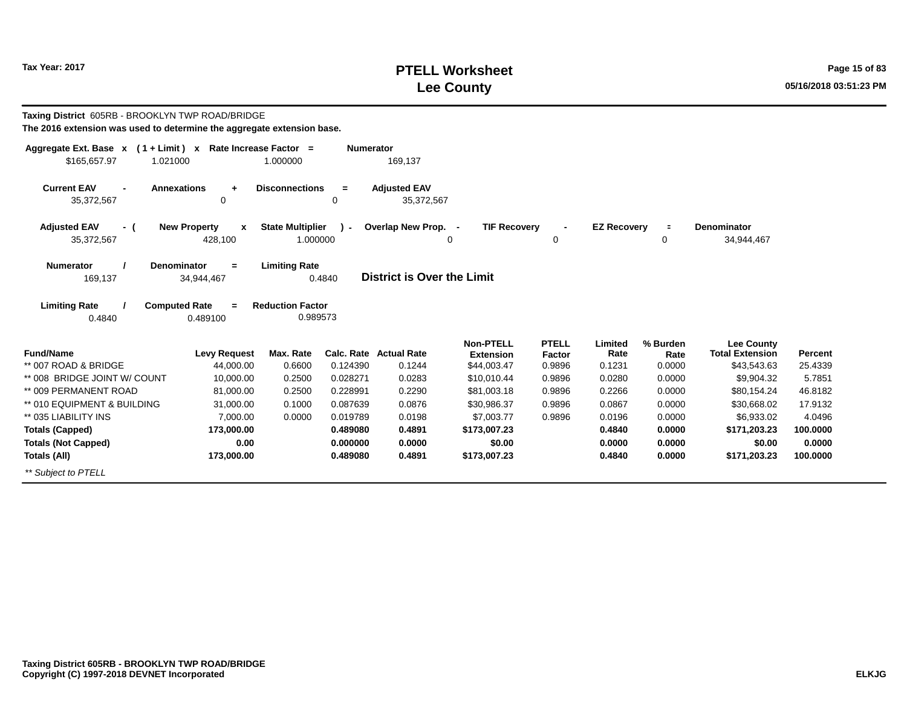# **PTELL Worksheet Tax Year: 2017 Page 15 of 83 Lee County 05/16/2018 03:51:23 PM**

| Taxing District 605RB - BROOKLYN TWP ROAD/BRIDGE<br>The 2016 extension was used to determine the aggregate extension base. |                                                    |                                     |                  |                                   |                                 |                  |                    |                |                                             |          |
|----------------------------------------------------------------------------------------------------------------------------|----------------------------------------------------|-------------------------------------|------------------|-----------------------------------|---------------------------------|------------------|--------------------|----------------|---------------------------------------------|----------|
| Aggregate Ext. Base $x$ (1 + Limit) x Rate Increase Factor =                                                               |                                                    |                                     | <b>Numerator</b> |                                   |                                 |                  |                    |                |                                             |          |
| \$165.657.97<br>1.021000                                                                                                   |                                                    | 1.000000                            |                  | 169,137                           |                                 |                  |                    |                |                                             |          |
| <b>Current EAV</b><br><b>Annexations</b><br>35,372,567                                                                     | $\ddot{}$<br>0                                     | <b>Disconnections</b>               | $=$<br>0         | <b>Adjusted EAV</b><br>35,372,567 |                                 |                  |                    |                |                                             |          |
| <b>Adjusted EAV</b><br>- (<br>35,372,567                                                                                   | <b>New Property</b><br>$\boldsymbol{x}$<br>428,100 | <b>State Multiplier</b><br>1.000000 | $\lambda$ -      | Overlap New Prop. -               | <b>TIF Recovery</b><br>$\Omega$ | 0                | <b>EZ Recovery</b> | $\equiv$<br>0  | <b>Denominator</b><br>34,944,467            |          |
| <b>Denominator</b><br><b>Numerator</b><br>169,137                                                                          | $=$<br>34,944,467                                  | <b>Limiting Rate</b>                | 0.4840           | <b>District is Over the Limit</b> |                                 |                  |                    |                |                                             |          |
| <b>Limiting Rate</b><br><b>Computed Rate</b><br>0.4840                                                                     | $=$<br>0.489100                                    | <b>Reduction Factor</b><br>0.989573 |                  |                                   |                                 |                  |                    |                |                                             |          |
| <b>Fund/Name</b>                                                                                                           | <b>Levy Request</b>                                | Max. Rate                           |                  | <b>Calc. Rate Actual Rate</b>     | <b>Non-PTELL</b>                | <b>PTELL</b>     | Limited<br>Rate    | % Burden       | <b>Lee County</b><br><b>Total Extension</b> | Percent  |
| ** 007 ROAD & BRIDGE                                                                                                       | 44,000.00                                          | 0.6600                              | 0.124390         | 0.1244                            | <b>Extension</b><br>\$44,003.47 | Factor<br>0.9896 | 0.1231             | Rate<br>0.0000 | \$43,543.63                                 | 25.4339  |
| ** 008 BRIDGE JOINT W/ COUNT                                                                                               | 10.000.00                                          | 0.2500                              | 0.028271         | 0.0283                            | \$10,010.44                     | 0.9896           | 0.0280             | 0.0000         | \$9,904.32                                  | 5.7851   |
| ** 009 PERMANENT ROAD                                                                                                      | 81,000.00                                          | 0.2500                              | 0.228991         | 0.2290                            | \$81,003.18                     | 0.9896           | 0.2266             | 0.0000         | \$80,154.24                                 | 46.8182  |
| ** 010 EQUIPMENT & BUILDING                                                                                                | 31.000.00                                          | 0.1000                              | 0.087639         | 0.0876                            | \$30,986.37                     | 0.9896           | 0.0867             | 0.0000         | \$30,668.02                                 | 17.9132  |
| ** 035 LIABILITY INS                                                                                                       | 7,000.00                                           | 0.0000                              | 0.019789         | 0.0198                            | \$7,003.77                      | 0.9896           | 0.0196             | 0.0000         | \$6,933.02                                  | 4.0496   |
| <b>Totals (Capped)</b>                                                                                                     | 173,000.00                                         |                                     | 0.489080         | 0.4891                            | \$173,007.23                    |                  | 0.4840             | 0.0000         | \$171,203.23                                | 100,0000 |
| <b>Totals (Not Capped)</b>                                                                                                 | 0.00                                               |                                     | 0.000000         | 0.0000                            | \$0.00                          |                  | 0.0000             | 0.0000         | \$0.00                                      | 0.0000   |
| Totals (All)                                                                                                               | 173,000.00                                         |                                     | 0.489080         | 0.4891                            | \$173,007.23                    |                  | 0.4840             | 0.0000         | \$171,203.23                                | 100,0000 |
| ** Subject to PTELL                                                                                                        |                                                    |                                     |                  |                                   |                                 |                  |                    |                |                                             |          |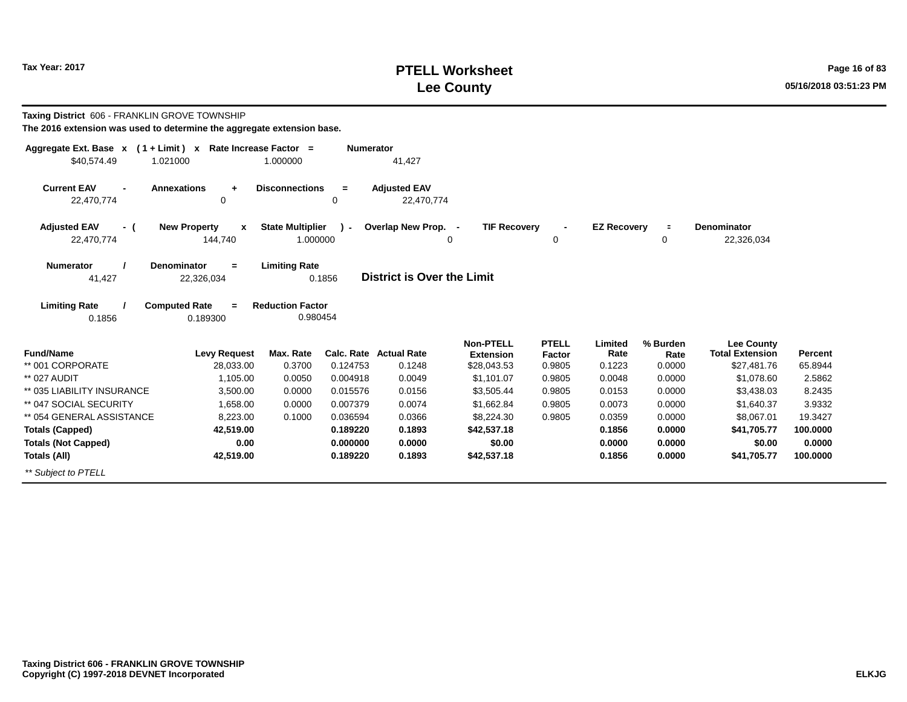# **PTELL Worksheet Tax Year: 2017 Page 16 of 83 Lee County 05/16/2018 03:51:23 PM**

| Taxing District 606 - FRANKLIN GROVE TOWNSHIP<br>The 2016 extension was used to determine the aggregate extension base. |                                                    |                                     |                  |                                         |                                                     |                                  |                           |                            |                                                            |                    |
|-------------------------------------------------------------------------------------------------------------------------|----------------------------------------------------|-------------------------------------|------------------|-----------------------------------------|-----------------------------------------------------|----------------------------------|---------------------------|----------------------------|------------------------------------------------------------|--------------------|
| Aggregate Ext. Base x (1+Limit) x Rate Increase Factor =<br>\$40,574.49<br>1.021000                                     |                                                    | 1.000000                            | <b>Numerator</b> | 41,427                                  |                                                     |                                  |                           |                            |                                                            |                    |
| <b>Current EAV</b><br>$\blacksquare$<br>22,470,774                                                                      | <b>Annexations</b><br>$\ddot{+}$<br>0              | <b>Disconnections</b>               | $=$<br>0         | <b>Adjusted EAV</b><br>22,470,774       |                                                     |                                  |                           |                            |                                                            |                    |
| <b>Adjusted EAV</b><br>- (<br>22,470,774                                                                                | <b>New Property</b><br>$\boldsymbol{x}$<br>144,740 | <b>State Multiplier</b><br>1.000000 | $\lambda$ -      | Overlap New Prop. -<br>$\Omega$         | <b>TIF Recovery</b>                                 | 0                                | <b>EZ Recoverv</b>        | $\equiv$<br>0              | Denominator<br>22,326,034                                  |                    |
| <b>Numerator</b><br>41,427                                                                                              | <b>Denominator</b><br>$=$<br>22,326,034            | <b>Limiting Rate</b>                | 0.1856           | District is Over the Limit              |                                                     |                                  |                           |                            |                                                            |                    |
| <b>Limiting Rate</b><br>0.1856                                                                                          | <b>Computed Rate</b><br>0.189300                   | <b>Reduction Factor</b><br>0.980454 |                  |                                         |                                                     |                                  |                           |                            |                                                            |                    |
| <b>Fund/Name</b><br>** 001 CORPORATE                                                                                    | <b>Levy Request</b><br>28,033.00                   | Max. Rate<br>0.3700                 | 0.124753         | <b>Calc. Rate Actual Rate</b><br>0.1248 | <b>Non-PTELL</b><br><b>Extension</b><br>\$28,043.53 | <b>PTELL</b><br>Factor<br>0.9805 | Limited<br>Rate<br>0.1223 | % Burden<br>Rate<br>0.0000 | <b>Lee County</b><br><b>Total Extension</b><br>\$27,481.76 | Percent<br>65.8944 |
| ** 027 AUDIT                                                                                                            | 1,105.00                                           | 0.0050                              | 0.004918         | 0.0049                                  | \$1,101.07                                          | 0.9805                           | 0.0048                    | 0.0000                     | \$1,078.60                                                 | 2.5862             |
| ** 035 LIABILITY INSURANCE                                                                                              | 3.500.00                                           | 0.0000                              | 0.015576         | 0.0156                                  | \$3,505.44                                          | 0.9805                           | 0.0153                    | 0.0000                     | \$3,438.03                                                 | 8.2435             |
| ** 047 SOCIAL SECURITY                                                                                                  | 1,658.00                                           | 0.0000                              | 0.007379         | 0.0074                                  | \$1,662.84                                          | 0.9805                           | 0.0073                    | 0.0000                     | \$1,640.37                                                 | 3.9332             |
| ** 054 GENERAL ASSISTANCE                                                                                               | 8,223.00                                           | 0.1000                              | 0.036594         | 0.0366                                  | \$8,224.30                                          | 0.9805                           | 0.0359                    | 0.0000                     | \$8,067.01                                                 | 19.3427            |
| <b>Totals (Capped)</b>                                                                                                  | 42,519.00                                          |                                     | 0.189220         | 0.1893                                  | \$42,537.18                                         |                                  | 0.1856                    | 0.0000                     | \$41,705.77                                                | 100.0000           |
| <b>Totals (Not Capped)</b>                                                                                              | 0.00                                               |                                     | 0.000000         | 0.0000                                  | \$0.00                                              |                                  | 0.0000                    | 0.0000                     | \$0.00                                                     | 0.0000             |
| Totals (All)                                                                                                            | 42,519.00                                          |                                     | 0.189220         | 0.1893                                  | \$42,537.18                                         |                                  | 0.1856                    | 0.0000                     | \$41,705.77                                                | 100.0000           |
| ** Subject to PTELL                                                                                                     |                                                    |                                     |                  |                                         |                                                     |                                  |                           |                            |                                                            |                    |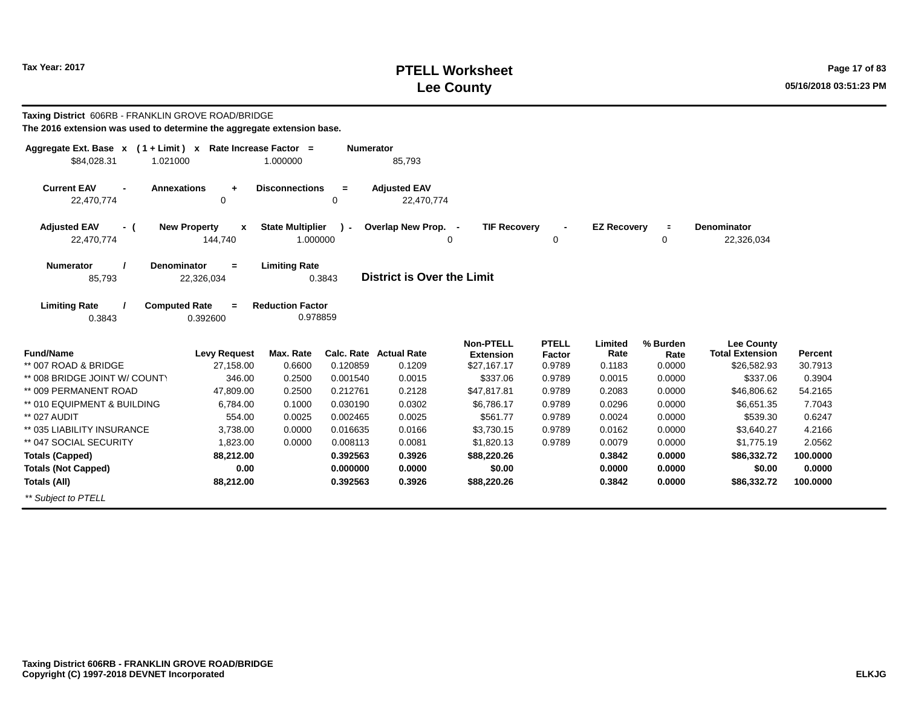# **PTELL Worksheet Tax Year: 2017 Page 17 of 83 Lee County 05/16/2018 03:51:23 PM**

| Taxing District 606RB - FRANKLIN GROVE ROAD/BRIDGE<br>The 2016 extension was used to determine the aggregate extension base. |                                         |                                     |                      |                                   |                                      |                        |                    |                     |                                             |                   |
|------------------------------------------------------------------------------------------------------------------------------|-----------------------------------------|-------------------------------------|----------------------|-----------------------------------|--------------------------------------|------------------------|--------------------|---------------------|---------------------------------------------|-------------------|
| Aggregate Ext. Base $x$ (1 + Limit) x Rate Increase Factor =<br>\$84,028.31<br>1.021000                                      |                                         | 1.000000                            | <b>Numerator</b>     | 85,793                            |                                      |                        |                    |                     |                                             |                   |
| <b>Current EAV</b><br>22,470,774                                                                                             | <b>Annexations</b><br>$\ddot{}$<br>0    | <b>Disconnections</b>               | $\equiv$<br>0        | <b>Adjusted EAV</b><br>22,470,774 |                                      |                        |                    |                     |                                             |                   |
| <b>Adjusted EAV</b><br>- (<br>22,470,774                                                                                     | <b>New Property</b><br>X<br>144,740     | <b>State Multiplier</b><br>1.000000 | $\mathbf{r}$         | Overlap New Prop. -               | <b>TIF Recovery</b><br>$\Omega$      | 0                      | <b>EZ Recovery</b> | $\blacksquare$<br>0 | <b>Denominator</b><br>22,326,034            |                   |
| <b>Numerator</b><br>85,793                                                                                                   | <b>Denominator</b><br>$=$<br>22,326,034 | <b>Limiting Rate</b>                | 0.3843               | District is Over the Limit        |                                      |                        |                    |                     |                                             |                   |
| <b>Limiting Rate</b><br>0.3843                                                                                               | <b>Computed Rate</b><br>0.392600        | <b>Reduction Factor</b><br>0.978859 |                      |                                   |                                      |                        |                    |                     |                                             |                   |
| <b>Fund/Name</b>                                                                                                             | <b>Levy Request</b>                     | Max. Rate                           |                      | <b>Calc. Rate Actual Rate</b>     | <b>Non-PTELL</b><br><b>Extension</b> | <b>PTELL</b><br>Factor | Limited<br>Rate    | % Burden<br>Rate    | <b>Lee County</b><br><b>Total Extension</b> | Percent           |
| ** 007 ROAD & BRIDGE                                                                                                         | 27,158.00<br>346.00                     | 0.6600                              | 0.120859             | 0.1209                            | \$27,167.17                          | 0.9789                 | 0.1183             | 0.0000              | \$26,582.93                                 | 30.7913           |
| ** 008 BRIDGE JOINT W/ COUNTY<br>** 009 PERMANENT ROAD                                                                       | 47.809.00                               | 0.2500<br>0.2500                    | 0.001540<br>0.212761 | 0.0015<br>0.2128                  | \$337.06<br>\$47,817.81              | 0.9789<br>0.9789       | 0.0015<br>0.2083   | 0.0000<br>0.0000    | \$337.06<br>\$46,806.62                     | 0.3904<br>54.2165 |
| ** 010 EQUIPMENT & BUILDING                                                                                                  | 6.784.00                                | 0.1000                              | 0.030190             | 0.0302                            | \$6,786.17                           | 0.9789                 | 0.0296             | 0.0000              | \$6.651.35                                  | 7.7043            |
| ** 027 AUDIT                                                                                                                 | 554.00                                  | 0.0025                              | 0.002465             | 0.0025                            | \$561.77                             | 0.9789                 | 0.0024             | 0.0000              | \$539.30                                    | 0.6247            |
| ** 035 LIABILITY INSURANCE                                                                                                   | 3,738.00                                | 0.0000                              | 0.016635             | 0.0166                            | \$3,730.15                           | 0.9789                 | 0.0162             | 0.0000              | \$3,640.27                                  | 4.2166            |
| ** 047 SOCIAL SECURITY                                                                                                       | 1,823.00                                | 0.0000                              | 0.008113             | 0.0081                            | \$1,820.13                           | 0.9789                 | 0.0079             | 0.0000              | \$1,775.19                                  | 2.0562            |
| <b>Totals (Capped)</b>                                                                                                       | 88,212.00                               |                                     | 0.392563             | 0.3926                            | \$88,220.26                          |                        | 0.3842             | 0.0000              | \$86,332.72                                 | 100,0000          |
| <b>Totals (Not Capped)</b>                                                                                                   | 0.00                                    |                                     | 0.000000             | 0.0000                            | \$0.00                               |                        | 0.0000             | 0.0000              | \$0.00                                      | 0.0000            |
| Totals (All)                                                                                                                 | 88,212.00                               |                                     | 0.392563             | 0.3926                            | \$88,220.26                          |                        | 0.3842             | 0.0000              | \$86,332.72                                 | 100.0000          |
| ** Subject to PTELL                                                                                                          |                                         |                                     |                      |                                   |                                      |                        |                    |                     |                                             |                   |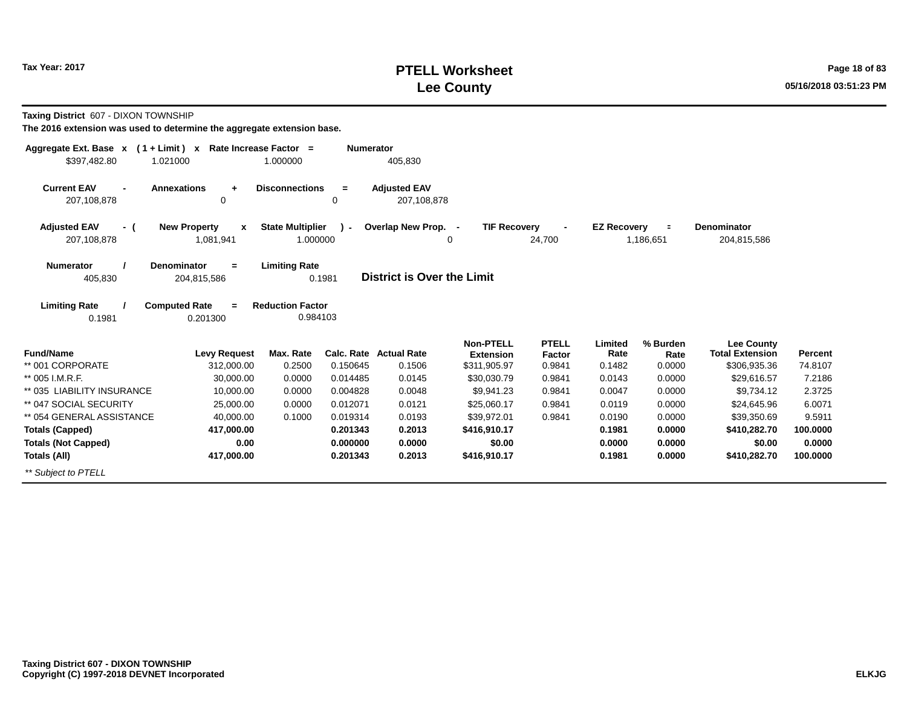# **PTELL Worksheet Tax Year: 2017 Page 18 of 83 Lee County 05/16/2018 03:51:23 PM**

**Taxing District** 607 - DIXON TOWNSHIP

| Aggregate Ext. Base $x$ (1+Limit) $x$               | Rate Increase Factor =                                                      |                          | <b>Numerator</b>                   |                                      |                        |                    |                             |                                             |          |
|-----------------------------------------------------|-----------------------------------------------------------------------------|--------------------------|------------------------------------|--------------------------------------|------------------------|--------------------|-----------------------------|---------------------------------------------|----------|
| \$397,482.80<br>1.021000                            | 1.000000                                                                    |                          | 405,830                            |                                      |                        |                    |                             |                                             |          |
| <b>Current EAV</b><br>$\blacksquare$<br>207,108,878 | <b>Annexations</b><br><b>Disconnections</b><br>$\ddot{}$<br>0               | $=$<br>0                 | <b>Adjusted EAV</b><br>207,108,878 |                                      |                        |                    |                             |                                             |          |
| <b>Adjusted EAV</b><br>- (<br>207,108,878           | <b>New Property</b><br><b>State Multiplier</b><br>$\mathbf{x}$<br>1,081,941 | $\mathbf{r}$<br>1.000000 | Overlap New Prop. -                | <b>TIF Recovery</b><br>0             | 24,700                 | <b>EZ Recovery</b> | $\blacksquare$<br>1,186,651 | <b>Denominator</b><br>204,815,586           |          |
| <b>Numerator</b><br>405,830                         | <b>Denominator</b><br><b>Limiting Rate</b><br>$=$<br>204,815,586            | 0.1981                   | District is Over the Limit         |                                      |                        |                    |                             |                                             |          |
| <b>Limiting Rate</b><br>0.1981                      | <b>Computed Rate</b><br><b>Reduction Factor</b><br>$=$<br>0.201300          | 0.984103                 |                                    |                                      |                        |                    |                             |                                             |          |
| <b>Fund/Name</b>                                    | <b>Levy Request</b><br>Max. Rate                                            | Calc. Rate               | <b>Actual Rate</b>                 | <b>Non-PTELL</b><br><b>Extension</b> | <b>PTELL</b><br>Factor | Limited<br>Rate    | % Burden<br>Rate            | <b>Lee County</b><br><b>Total Extension</b> | Percent  |
| ** 001 CORPORATE                                    | 312,000.00<br>0.2500                                                        | 0.150645                 | 0.1506                             | \$311,905.97                         | 0.9841                 | 0.1482             | 0.0000                      | \$306,935.36                                | 74.8107  |
| ** 005 I.M.R.F.                                     | 30.000.00<br>0.0000                                                         | 0.014485                 | 0.0145                             | \$30,030.79                          | 0.9841                 | 0.0143             | 0.0000                      | \$29,616.57                                 | 7.2186   |
| ** 035 LIABILITY INSURANCE                          | 10,000.00<br>0.0000                                                         | 0.004828                 | 0.0048                             | \$9,941.23                           | 0.9841                 | 0.0047             | 0.0000                      | \$9,734.12                                  | 2.3725   |
| ** 047 SOCIAL SECURITY                              | 0.0000<br>25,000.00                                                         | 0.012071                 | 0.0121                             | \$25,060.17                          | 0.9841                 | 0.0119             | 0.0000                      | \$24,645.96                                 | 6.0071   |
| ** 054 GENERAL ASSISTANCE                           | 40.000.00<br>0.1000                                                         | 0.019314                 | 0.0193                             | \$39.972.01                          | 0.9841                 | 0.0190             | 0.0000                      | \$39,350.69                                 | 9.5911   |
| <b>Totals (Capped)</b>                              | 417,000.00                                                                  | 0.201343                 | 0.2013                             | \$416,910.17                         |                        | 0.1981             | 0.0000                      | \$410,282.70                                | 100.0000 |
| <b>Totals (Not Capped)</b>                          | 0.00                                                                        | 0.000000                 | 0.0000                             | \$0.00                               |                        | 0.0000             | 0.0000                      | \$0.00                                      | 0.0000   |
| Totals (All)                                        | 417,000.00                                                                  | 0.201343                 | 0.2013                             | \$416,910.17                         |                        | 0.1981             | 0.0000                      | \$410,282.70                                | 100.0000 |
| ** Subject to PTELL                                 |                                                                             |                          |                                    |                                      |                        |                    |                             |                                             |          |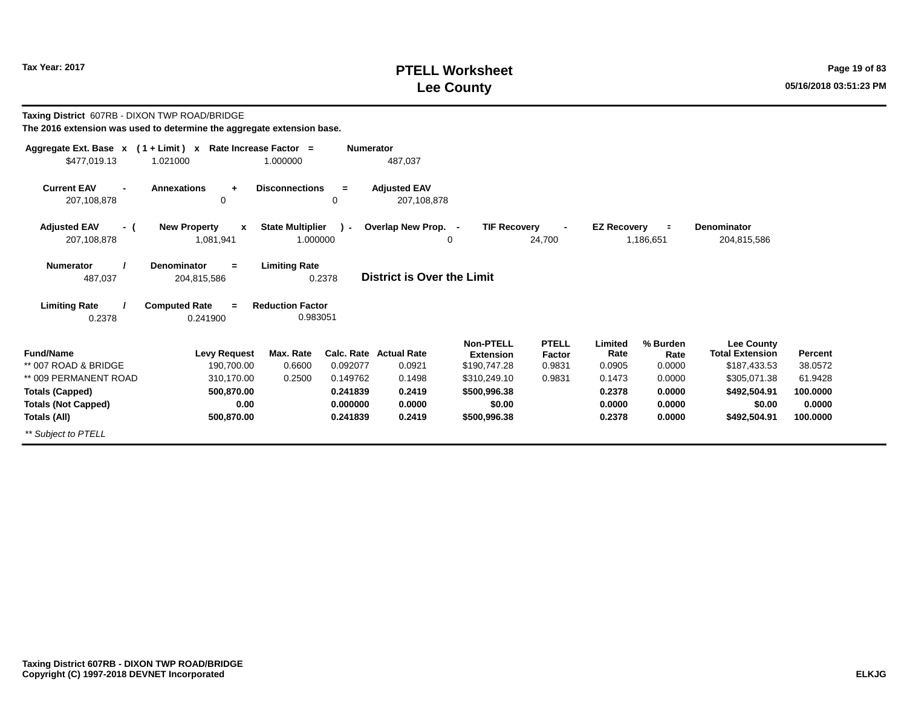# **PTELL Worksheet Tax Year: 2017 Page 19 of 83 Lee County 05/16/2018 03:51:23 PM**

| Taxing District 607RB - DIXON TWP ROAD/BRIDGE<br>The 2016 extension was used to determine the aggregate extension base. |                                                  |                                     |                        |                                    |                                               |                                  |                           |                            |                                                             |                     |
|-------------------------------------------------------------------------------------------------------------------------|--------------------------------------------------|-------------------------------------|------------------------|------------------------------------|-----------------------------------------------|----------------------------------|---------------------------|----------------------------|-------------------------------------------------------------|---------------------|
| Aggregate Ext. Base x (1+Limit) x Rate Increase Factor =<br>\$477,019.13                                                | 1.021000                                         | 1.000000                            | <b>Numerator</b>       | 487,037                            |                                               |                                  |                           |                            |                                                             |                     |
| <b>Current EAV</b><br>$\blacksquare$<br>207,108,878                                                                     | <b>Annexations</b><br>$\ddot{}$<br>0             | <b>Disconnections</b>               | $=$<br>$\Omega$        | <b>Adiusted EAV</b><br>207,108,878 |                                               |                                  |                           |                            |                                                             |                     |
| <b>Adjusted EAV</b><br>- (<br>207,108,878                                                                               | <b>New Property</b><br>$\mathbf{x}$<br>1,081,941 | <b>State Multiplier</b><br>1.000000 | $\mathbf{r}$           | Overlap New Prop. -                | <b>TIF Recovery</b><br>0                      | 24,700                           | <b>EZ Recovery</b>        | $\equiv$<br>1,186,651      | <b>Denominator</b><br>204,815,586                           |                     |
| <b>Numerator</b><br>487,037                                                                                             | <b>Denominator</b><br>$=$<br>204,815,586         | <b>Limiting Rate</b><br>0.2378      |                        | <b>District is Over the Limit</b>  |                                               |                                  |                           |                            |                                                             |                     |
| <b>Limiting Rate</b><br>0.2378                                                                                          | <b>Computed Rate</b><br>$\equiv$<br>0.241900     | <b>Reduction Factor</b><br>0.983051 |                        |                                    |                                               |                                  |                           |                            |                                                             |                     |
| <b>Fund/Name</b><br>** 007 ROAD & BRIDGE                                                                                | <b>Levy Request</b><br>190,700.00                | Max. Rate<br>0.6600                 | Calc. Rate<br>0.092077 | <b>Actual Rate</b><br>0.0921       | Non-PTELL<br><b>Extension</b><br>\$190,747.28 | <b>PTELL</b><br>Factor<br>0.9831 | Limited<br>Rate<br>0.0905 | % Burden<br>Rate<br>0.0000 | <b>Lee County</b><br><b>Total Extension</b><br>\$187,433.53 | Percent<br>38.0572  |
| ** 009 PERMANENT ROAD<br><b>Totals (Capped)</b>                                                                         | 310,170.00<br>500,870.00                         | 0.2500                              | 0.149762<br>0.241839   | 0.1498<br>0.2419                   | \$310,249.10<br>\$500,996.38                  | 0.9831                           | 0.1473<br>0.2378          | 0.0000<br>0.0000           | \$305,071.38<br>\$492,504.91                                | 61.9428<br>100.0000 |
| <b>Totals (Not Capped)</b><br>Totals (All)                                                                              | 0.00<br>500,870.00                               |                                     | 0.000000<br>0.241839   | 0.0000<br>0.2419                   | \$0.00<br>\$500,996.38                        |                                  | 0.0000<br>0.2378          | 0.0000<br>0.0000           | \$0.00<br>\$492,504.91                                      | 0.0000<br>100.0000  |
| ** Subject to PTELL                                                                                                     |                                                  |                                     |                        |                                    |                                               |                                  |                           |                            |                                                             |                     |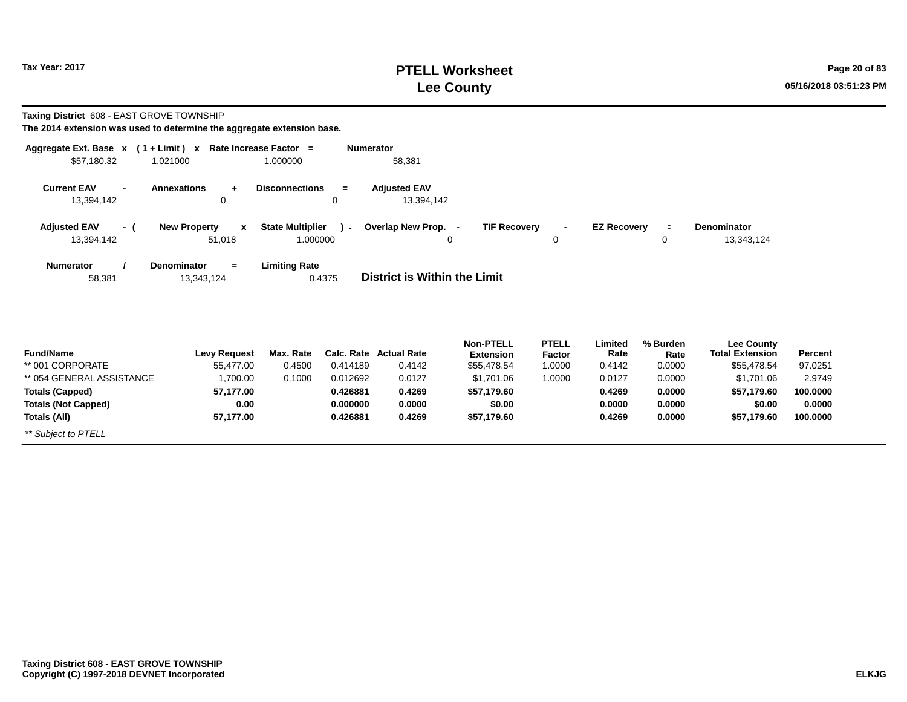# **PTELL Worksheet Tax Year: 2017 Page 20 of 83 Lee County 05/16/2018 03:51:23 PM**

**Taxing District** 608 - EAST GROVE TOWNSHIP

| Aggregate Ext. Base $x$ (1+Limit) $x$ |                                     | Rate Increase Factor =            | <b>Numerator</b>                    |                                                                |                    |                  |                                             |         |
|---------------------------------------|-------------------------------------|-----------------------------------|-------------------------------------|----------------------------------------------------------------|--------------------|------------------|---------------------------------------------|---------|
| \$57,180.32                           | 1.021000                            | 1.000000                          | 58,381                              |                                                                |                    |                  |                                             |         |
| <b>Current EAV</b>                    | <b>Annexations</b>                  | <b>Disconnections</b><br>$=$      | <b>Adjusted EAV</b>                 |                                                                |                    |                  |                                             |         |
| 13,394,142                            | 0                                   | 0                                 | 13,394,142                          |                                                                |                    |                  |                                             |         |
| <b>Adjusted EAV</b><br>- (            | <b>New Property</b><br>$\mathbf{x}$ | <b>State Multiplier</b><br>$\sim$ | Overlap New Prop. -                 | <b>TIF Recovery</b><br>$\blacksquare$                          | <b>EZ Recovery</b> |                  | Denominator                                 |         |
| 13,394,142                            | 51,018                              | 1.000000                          | 0                                   | 0                                                              |                    | 0                | 13,343,124                                  |         |
| <b>Numerator</b>                      | <b>Denominator</b><br>$\equiv$      | <b>Limiting Rate</b>              |                                     |                                                                |                    |                  |                                             |         |
| 58,381                                | 13,343,124                          | 0.4375                            | <b>District is Within the Limit</b> |                                                                |                    |                  |                                             |         |
|                                       |                                     |                                   |                                     |                                                                |                    |                  |                                             |         |
| <b>Fund/Name</b>                      | <b>Levy Request</b>                 | Max. Rate                         | <b>Calc. Rate Actual Rate</b>       | <b>PTELL</b><br><b>Non-PTELL</b><br><b>Extension</b><br>Factor | Limited<br>Rate    | % Burden<br>Rate | <b>Lee County</b><br><b>Total Extension</b> | Percent |
| ** 001 CORPORATE                      | 55,477.00                           | 0.4500<br>0.414189                | 0.4142                              | \$55,478.54<br>1.0000                                          | 0.4142             | 0.0000           | \$55,478.54                                 | 97.0251 |
| ** 054 CENEDAL ACCICTANCE             | 1.700.00                            | 0.1000<br>0.012802                | 0.0127                              | 017010c<br>1.0000                                              | 0.0127             | n nnnn           | 0.17010c                                    | 2.0740  |

| ** 001 CORPORATE           | 55.477.00 | 0.4500 | 0.414189 | 0.4142 | \$55,478.54 | .0000 | 0.4142 | 0.0000 | \$55,478.54 | 97.0251  |  |
|----------------------------|-----------|--------|----------|--------|-------------|-------|--------|--------|-------------|----------|--|
| ** 054 GENERAL ASSISTANCE  | ,700.00   | 0.1000 | 0.012692 | 0.0127 | \$1,701.06  | .0000 | 0.0127 | 0.0000 | \$1,701.06  | 2.9749   |  |
| Totals (Capped)            | 57.177.00 |        | 0.426881 | 0.4269 | \$57.179.60 |       | 0.4269 | 0.0000 | \$57.179.60 | 100.0000 |  |
| <b>Totals (Not Capped)</b> | 0.00      |        | 0.000000 | 0.0000 | \$0.00      |       | 0.0000 | 0.0000 | \$0.00      | 0.0000   |  |
| Totals (All)               | 57,177.00 |        | 0.426881 | 0.4269 | \$57.179.60 |       | 0.4269 | 0.0000 | \$57.179.60 | 100,0000 |  |
| ** Subject to PTELL        |           |        |          |        |             |       |        |        |             |          |  |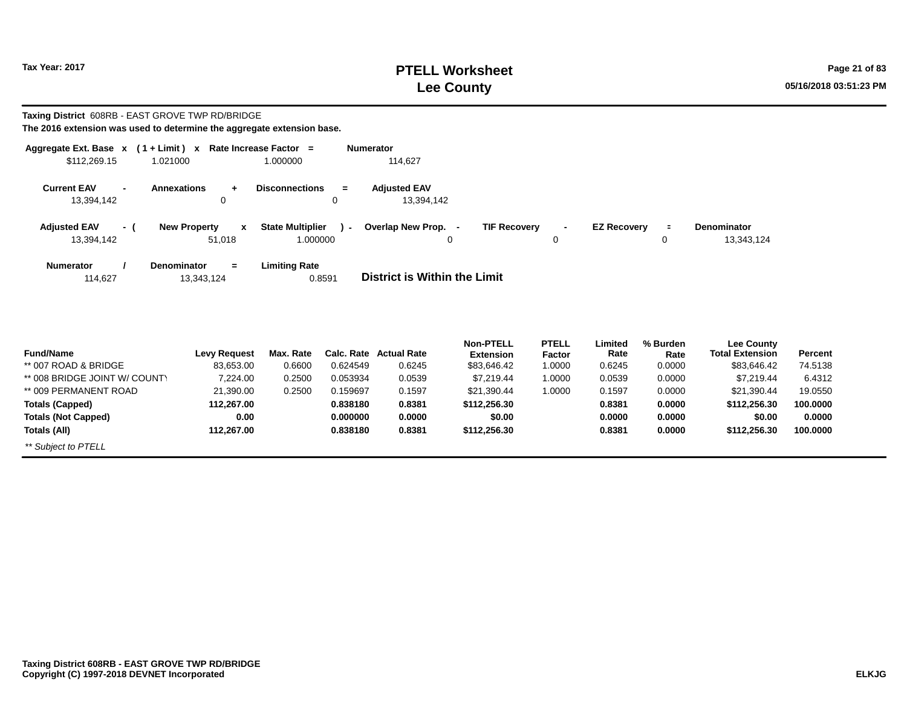# **PTELL Worksheet Tax Year: 2017 Page 21 of 83 Lee County 05/16/2018 03:51:23 PM**

#### **Taxing District** 608RB - EAST GROVE TWP RD/BRIDGE **The 2016 extension was used to determine the aggregate extension base.**

| Aggregate Ext. Base $x$ (1 + Limit) $x$ |        |                                               | Rate Increase Factor =                        | Numerator                                       |                     |                    |               |                                  |
|-----------------------------------------|--------|-----------------------------------------------|-----------------------------------------------|-------------------------------------------------|---------------------|--------------------|---------------|----------------------------------|
| \$112,269.15                            |        | 1.021000                                      | 1.000000                                      | 114.627                                         |                     |                    |               |                                  |
| <b>Current EAV</b><br>13.394.142        | $\sim$ | <b>Annexations</b><br>$+$<br>0                | <b>Disconnections</b><br>$=$<br>$\Omega$      | <b>Adjusted EAV</b><br>13,394,142               |                     |                    |               |                                  |
| <b>Adjusted EAV</b><br>13,394,142       | - (    | <b>New Property</b><br>$\mathbf{x}$<br>51,018 | <b>State Multiplier</b><br>$\sim$<br>1.000000 | Overlap New Prop. -<br><b>TIF Recovery</b><br>0 | $\blacksquare$<br>0 | <b>EZ Recovery</b> | $\equiv$<br>0 | <b>Denominator</b><br>13,343,124 |
| <b>Numerator</b><br>114,627             |        | <b>Denominator</b><br>$=$<br>13,343,124       | <b>Limiting Rate</b><br>0.8591                | District is Within the Limit                    |                     |                    |               |                                  |

|                               |                     |           |          |                        | <b>Non-PTELL</b> | <b>PTELL</b> | Limited | % Burden | <b>Lee County</b>      |                |
|-------------------------------|---------------------|-----------|----------|------------------------|------------------|--------------|---------|----------|------------------------|----------------|
| <b>Fund/Name</b>              | <b>Levy Request</b> | Max. Rate |          | Calc. Rate Actual Rate | <b>Extension</b> | Factor       | Rate    | Rate     | <b>Total Extension</b> | <b>Percent</b> |
| ** 007 ROAD & BRIDGE          | 83.653.00           | 0.6600    | 0.624549 | 0.6245                 | \$83,646.42      | 1.0000       | 0.6245  | 0.0000   | \$83.646.42            | 74.5138        |
| ** 008 BRIDGE JOINT W/ COUNTY | 7.224.00            | 0.2500    | 0.053934 | 0.0539                 | \$7.219.44       | 1.0000       | 0.0539  | 0.0000   | \$7.219.44             | 6.4312         |
| ** 009 PERMANENT ROAD         | 21.390.00           | 0.2500    | 0.159697 | 0.1597                 | \$21.390.44      | 1.0000       | 0.1597  | 0.0000   | \$21.390.44            | 19.0550        |
| <b>Totals (Capped)</b>        | 112.267.00          |           | 0.838180 | 0.8381                 | \$112,256.30     |              | 0.8381  | 0.0000   | \$112,256,30           | 100.0000       |
| <b>Totals (Not Capped)</b>    | 0.00                |           | 0.000000 | 0.0000                 | \$0.00           |              | 0.0000  | 0.0000   | \$0.00                 | 0.0000         |
| Totals (All)                  | 112.267.00          |           | 0.838180 | 0.8381                 | \$112,256.30     |              | 0.8381  | 0.0000   | \$112,256,30           | 100.0000       |
| ** Subject to PTELL           |                     |           |          |                        |                  |              |         |          |                        |                |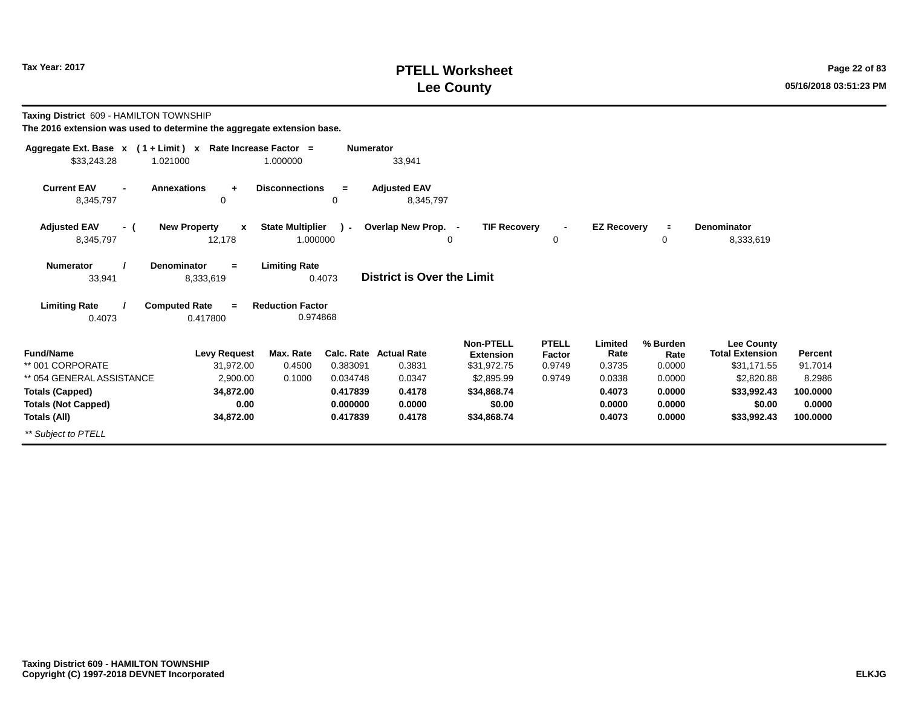# **PTELL Worksheet Tax Year: 2017 Page 22 of 83 Lee County 05/16/2018 03:51:23 PM**

**Taxing District** 609 - HAMILTON TOWNSHIP

| Aggregate Ext. Base $x$ (1 + Limit) $x$ |                                     | Rate Increase Factor =  | <b>Numerator</b> |                                   |                     |              |                    |          |                        |          |
|-----------------------------------------|-------------------------------------|-------------------------|------------------|-----------------------------------|---------------------|--------------|--------------------|----------|------------------------|----------|
| \$33,243.28                             | 1.021000                            | 1.000000                |                  | 33,941                            |                     |              |                    |          |                        |          |
| <b>Current EAV</b>                      | <b>Annexations</b><br>$\ddot{}$     | <b>Disconnections</b>   | $=$              | <b>Adjusted EAV</b>               |                     |              |                    |          |                        |          |
| 8,345,797                               | 0                                   |                         | 0                | 8,345,797                         |                     |              |                    |          |                        |          |
| <b>Adjusted EAV</b><br>- (              | <b>New Property</b><br>$\mathbf{x}$ | <b>State Multiplier</b> | $\mathcal{L}$    | Overlap New Prop. -               | <b>TIF Recovery</b> |              | <b>EZ Recovery</b> | $\equiv$ | <b>Denominator</b>     |          |
| 8,345,797                               | 12,178                              | 1.000000                |                  | 0                                 |                     | 0            |                    | 0        | 8,333,619              |          |
| <b>Numerator</b>                        | <b>Denominator</b><br>$=$           | <b>Limiting Rate</b>    |                  |                                   |                     |              |                    |          |                        |          |
| 33,941                                  | 8,333,619                           | 0.4073                  |                  | <b>District is Over the Limit</b> |                     |              |                    |          |                        |          |
| <b>Limiting Rate</b>                    | <b>Computed Rate</b><br>$=$         | <b>Reduction Factor</b> |                  |                                   |                     |              |                    |          |                        |          |
| 0.4073                                  | 0.417800                            | 0.974868                |                  |                                   |                     |              |                    |          |                        |          |
|                                         |                                     |                         |                  |                                   | <b>Non-PTELL</b>    | <b>PTELL</b> | Limited            | % Burden | <b>Lee County</b>      |          |
| <b>Fund/Name</b>                        | <b>Levy Request</b>                 | Max. Rate               |                  | Calc. Rate Actual Rate            | <b>Extension</b>    | Factor       | Rate               | Rate     | <b>Total Extension</b> | Percent  |
| ** 001 CORPORATE                        | 31,972.00                           | 0.4500                  | 0.383091         | 0.3831                            | \$31,972.75         | 0.9749       | 0.3735             | 0.0000   | \$31,171.55            | 91.7014  |
| ** 054 GENERAL ASSISTANCE               | 2,900.00                            | 0.1000                  | 0.034748         | 0.0347                            | \$2,895.99          | 0.9749       | 0.0338             | 0.0000   | \$2,820.88             | 8.2986   |
| <b>Totals (Capped)</b>                  | 34,872.00                           |                         | 0.417839         | 0.4178                            | \$34,868.74         |              | 0.4073             | 0.0000   | \$33,992.43            | 100.0000 |
| <b>Totals (Not Capped)</b>              | 0.00                                |                         | 0.000000         | 0.0000                            | \$0.00              |              | 0.0000             | 0.0000   | \$0.00                 | 0.0000   |
| Totals (All)                            | 34,872.00                           |                         | 0.417839         | 0.4178                            | \$34,868.74         |              | 0.4073             | 0.0000   | \$33,992.43            | 100.0000 |
| ** Subject to PTELL                     |                                     |                         |                  |                                   |                     |              |                    |          |                        |          |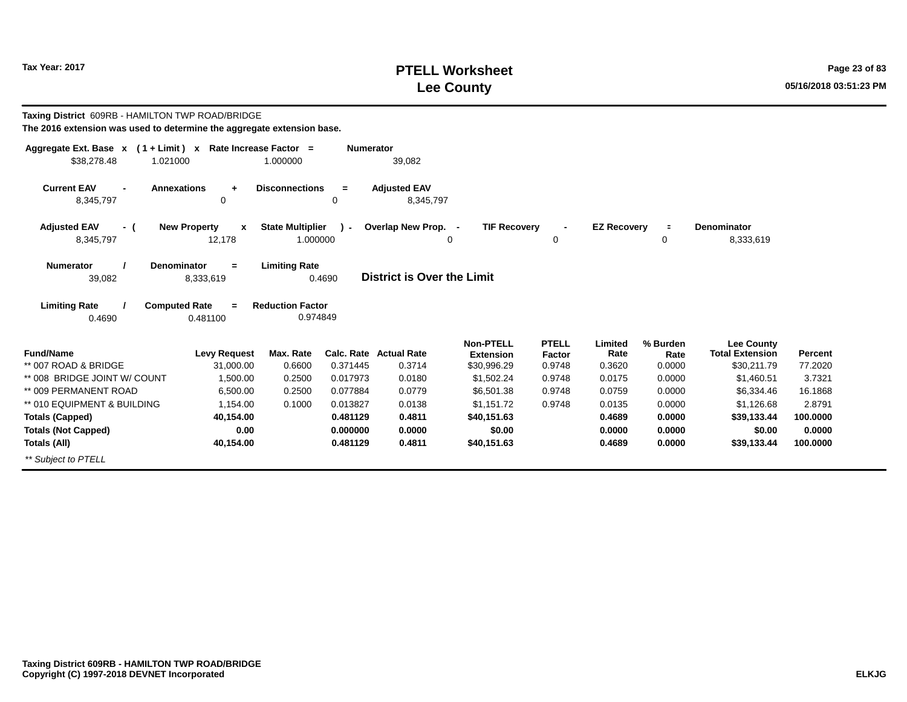# **PTELL Worksheet Tax Year: 2017 Page 23 of 83 Lee County 05/16/2018 03:51:23 PM**

| Taxing District 609RB - HAMILTON TWP ROAD/BRIDGE<br>The 2016 extension was used to determine the aggregate extension base. |                                         |                                     |                  |                                   |                                                     |                                  |                           |                            |                                                            |                    |
|----------------------------------------------------------------------------------------------------------------------------|-----------------------------------------|-------------------------------------|------------------|-----------------------------------|-----------------------------------------------------|----------------------------------|---------------------------|----------------------------|------------------------------------------------------------|--------------------|
| Aggregate Ext. Base $x$ (1 + Limit) x Rate Increase Factor =                                                               |                                         |                                     | <b>Numerator</b> |                                   |                                                     |                                  |                           |                            |                                                            |                    |
| \$38,278.48<br>1.021000                                                                                                    |                                         | 1.000000                            |                  | 39,082                            |                                                     |                                  |                           |                            |                                                            |                    |
| <b>Current EAV</b><br><b>Annexations</b><br>8,345,797                                                                      | $\ddot{}$<br>0                          | <b>Disconnections</b>               | $=$<br>0         | <b>Adjusted EAV</b><br>8,345,797  |                                                     |                                  |                           |                            |                                                            |                    |
| <b>Adjusted EAV</b><br>- (                                                                                                 | <b>New Property</b><br>$\boldsymbol{x}$ | <b>State Multiplier</b>             | $\lambda$ -      | Overlap New Prop. -               | <b>TIF Recovery</b>                                 |                                  | <b>EZ Recovery</b>        | $\equiv$                   | <b>Denominator</b>                                         |                    |
| 8,345,797                                                                                                                  | 12,178                                  | 1.000000                            |                  |                                   | 0                                                   | 0                                |                           | 0                          | 8,333,619                                                  |                    |
| <b>Numerator</b><br><b>Denominator</b><br>39,082                                                                           | $=$<br>8,333,619                        | <b>Limiting Rate</b>                | 0.4690           | <b>District is Over the Limit</b> |                                                     |                                  |                           |                            |                                                            |                    |
| <b>Limiting Rate</b><br><b>Computed Rate</b><br>0.4690                                                                     | $=$<br>0.481100                         | <b>Reduction Factor</b><br>0.974849 |                  |                                   |                                                     |                                  |                           |                            |                                                            |                    |
| <b>Fund/Name</b><br>** 007 ROAD & BRIDGE                                                                                   | <b>Levy Request</b><br>31,000.00        | Max. Rate<br>0.6600                 | 0.371445         | Calc. Rate Actual Rate<br>0.3714  | <b>Non-PTELL</b><br><b>Extension</b><br>\$30,996.29 | <b>PTELL</b><br>Factor<br>0.9748 | Limited<br>Rate<br>0.3620 | % Burden<br>Rate<br>0.0000 | <b>Lee County</b><br><b>Total Extension</b><br>\$30,211.79 | Percent<br>77.2020 |
| ** 008 BRIDGE JOINT W/ COUNT                                                                                               | 1.500.00                                | 0.2500                              | 0.017973         | 0.0180                            | \$1,502.24                                          | 0.9748                           | 0.0175                    | 0.0000                     | \$1,460.51                                                 | 3.7321             |
| ** 009 PERMANENT ROAD                                                                                                      | 6.500.00                                | 0.2500                              | 0.077884         | 0.0779                            | \$6,501.38                                          | 0.9748                           | 0.0759                    | 0.0000                     | \$6,334.46                                                 | 16.1868            |
| ** 010 EQUIPMENT & BUILDING                                                                                                | 1.154.00                                | 0.1000                              | 0.013827         | 0.0138                            | \$1.151.72                                          | 0.9748                           | 0.0135                    | 0.0000                     | \$1,126.68                                                 | 2.8791             |
| <b>Totals (Capped)</b>                                                                                                     | 40,154.00                               |                                     | 0.481129         | 0.4811                            | \$40,151.63                                         |                                  | 0.4689                    | 0.0000                     | \$39,133.44                                                | 100,0000           |
| <b>Totals (Not Capped)</b>                                                                                                 | 0.00                                    |                                     | 0.000000         | 0.0000                            | \$0.00                                              |                                  | 0.0000                    | 0.0000                     | \$0.00                                                     | 0.0000             |
| Totals (All)                                                                                                               | 40,154.00                               |                                     | 0.481129         | 0.4811                            | \$40,151.63                                         |                                  | 0.4689                    | 0.0000                     | \$39,133.44                                                | 100.0000           |
| ** Subject to PTELL                                                                                                        |                                         |                                     |                  |                                   |                                                     |                                  |                           |                            |                                                            |                    |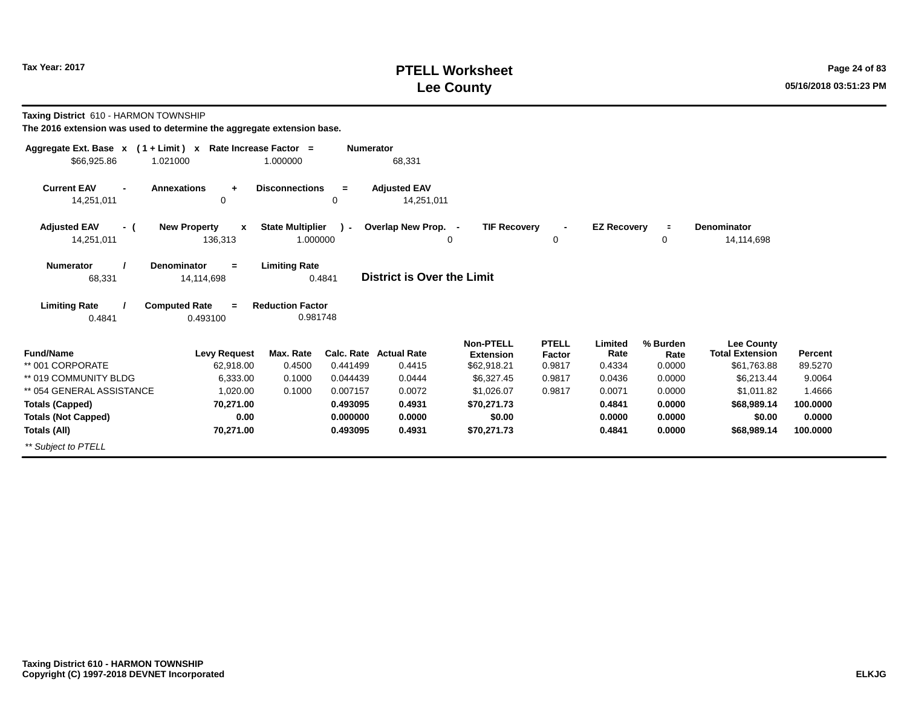# **PTELL Worksheet Tax Year: 2017 Page 24 of 83 Lee County 05/16/2018 03:51:23 PM**

**Taxing District** 610 - HARMON TOWNSHIP

| Aggregate Ext. Base $x$ (1 + Limit) x Rate Increase Factor = |                                     |                         | <b>Numerator</b> |                                         |                                 |                  |                    |                |                                       |                    |
|--------------------------------------------------------------|-------------------------------------|-------------------------|------------------|-----------------------------------------|---------------------------------|------------------|--------------------|----------------|---------------------------------------|--------------------|
| \$66,925.86                                                  | 1.021000                            | 1.000000                |                  | 68,331                                  |                                 |                  |                    |                |                                       |                    |
| <b>Current EAV</b><br>$\blacksquare$                         | <b>Annexations</b><br>$\ddot{}$     | <b>Disconnections</b>   | $=$              | <b>Adjusted EAV</b>                     |                                 |                  |                    |                |                                       |                    |
| 14,251,011                                                   | 0                                   |                         | 0                | 14,251,011                              |                                 |                  |                    |                |                                       |                    |
| <b>Adjusted EAV</b><br>- (                                   | <b>New Property</b><br>$\mathbf{x}$ | <b>State Multiplier</b> | $\lambda$ -      | Overlap New Prop. -                     | <b>TIF Recovery</b>             | $\blacksquare$   | <b>EZ Recovery</b> | $\equiv$       | Denominator                           |                    |
| 14,251,011                                                   | 136,313                             | 1.000000                |                  |                                         | 0                               | 0                |                    | 0              | 14,114,698                            |                    |
| <b>Numerator</b>                                             | <b>Denominator</b><br>$=$           | <b>Limiting Rate</b>    |                  |                                         |                                 |                  |                    |                |                                       |                    |
| 68,331                                                       | 14,114,698                          |                         | 0.4841           | District is Over the Limit              |                                 |                  |                    |                |                                       |                    |
| <b>Limiting Rate</b>                                         | <b>Computed Rate</b><br>$=$         | <b>Reduction Factor</b> |                  |                                         |                                 |                  |                    |                |                                       |                    |
| 0.4841                                                       | 0.493100                            | 0.981748                |                  |                                         |                                 |                  |                    |                |                                       |                    |
|                                                              |                                     |                         |                  |                                         | <b>Non-PTELL</b>                | <b>PTELL</b>     | Limited            | % Burden       | <b>Lee County</b>                     |                    |
| <b>Fund/Name</b><br>** 001 CORPORATE                         | <b>Levy Request</b><br>62,918.00    | Max. Rate<br>0.4500     | 0.441499         | <b>Calc. Rate Actual Rate</b><br>0.4415 | <b>Extension</b><br>\$62,918.21 | Factor<br>0.9817 | Rate<br>0.4334     | Rate<br>0.0000 | <b>Total Extension</b><br>\$61,763.88 | Percent<br>89.5270 |
| ** 019 COMMUNITY BLDG                                        | 6,333.00                            | 0.1000                  | 0.044439         | 0.0444                                  | \$6,327.45                      | 0.9817           | 0.0436             | 0.0000         | \$6.213.44                            | 9.0064             |
| ** 054 GENERAL ASSISTANCE                                    | 1,020.00                            | 0.1000                  | 0.007157         | 0.0072                                  | \$1,026.07                      | 0.9817           | 0.0071             | 0.0000         | \$1,011.82                            | 1.4666             |
| <b>Totals (Capped)</b>                                       | 70,271.00                           |                         | 0.493095         | 0.4931                                  | \$70,271.73                     |                  | 0.4841             | 0.0000         | \$68,989.14                           | 100.0000           |
| <b>Totals (Not Capped)</b>                                   | 0.00                                |                         | 0.000000         | 0.0000                                  | \$0.00                          |                  | 0.0000             | 0.0000         | \$0.00                                | 0.0000             |
| Totals (All)                                                 | 70,271.00                           |                         | 0.493095         | 0.4931                                  | \$70,271.73                     |                  | 0.4841             | 0.0000         | \$68,989.14                           | 100.0000           |
| ** Subject to PTELL                                          |                                     |                         |                  |                                         |                                 |                  |                    |                |                                       |                    |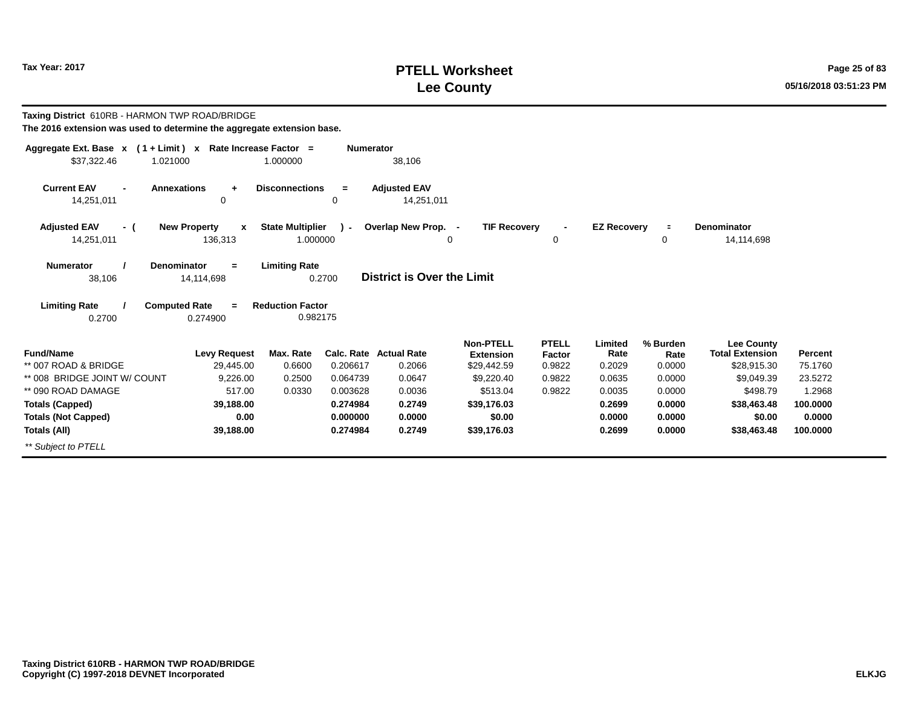# **PTELL Worksheet Tax Year: 2017 Page 25 of 83 Lee County 05/16/2018 03:51:23 PM**

| Taxing District 610RB - HARMON TWP ROAD/BRIDGE<br>The 2016 extension was used to determine the aggregate extension base. |                                                    |                                     |                      |                                   |                                      |                        |                    |                  |                                             |                    |
|--------------------------------------------------------------------------------------------------------------------------|----------------------------------------------------|-------------------------------------|----------------------|-----------------------------------|--------------------------------------|------------------------|--------------------|------------------|---------------------------------------------|--------------------|
| Aggregate Ext. Base $x$ (1 + Limit) x Rate Increase Factor =<br>\$37,322.46<br>1.021000                                  |                                                    | 1.000000                            | <b>Numerator</b>     | 38,106                            |                                      |                        |                    |                  |                                             |                    |
| <b>Current EAV</b><br>14,251,011                                                                                         | <b>Annexations</b><br>$\ddot{}$<br>$\mathbf 0$     | <b>Disconnections</b>               | $=$<br>0             | <b>Adjusted EAV</b><br>14,251,011 |                                      |                        |                    |                  |                                             |                    |
| <b>Adjusted EAV</b><br>- (<br>14,251,011                                                                                 | <b>New Property</b><br>$\boldsymbol{x}$<br>136,313 | <b>State Multiplier</b><br>1.000000 | $\mathcal{L}$        | Overlap New Prop. -               | <b>TIF Recovery</b><br>0             | $\blacksquare$<br>0    | <b>EZ Recovery</b> | $\equiv$<br>0    | <b>Denominator</b><br>14,114,698            |                    |
| <b>Numerator</b><br>38,106                                                                                               | Denominator<br>$=$<br>14,114,698                   | <b>Limiting Rate</b>                | 0.2700               | <b>District is Over the Limit</b> |                                      |                        |                    |                  |                                             |                    |
| <b>Limiting Rate</b>                                                                                                     | <b>Computed Rate</b><br>$=$                        | <b>Reduction Factor</b>             |                      |                                   |                                      |                        |                    |                  |                                             |                    |
| 0.2700                                                                                                                   | 0.274900                                           | 0.982175                            |                      |                                   |                                      |                        |                    |                  |                                             |                    |
| <b>Fund/Name</b>                                                                                                         | <b>Levy Request</b>                                | Max. Rate                           |                      | <b>Calc. Rate Actual Rate</b>     | <b>Non-PTELL</b><br><b>Extension</b> | <b>PTELL</b><br>Factor | Limited<br>Rate    | % Burden<br>Rate | <b>Lee County</b><br><b>Total Extension</b> | Percent            |
| ** 007 ROAD & BRIDGE<br>** 008 BRIDGE JOINT W/ COUNT                                                                     | 29,445.00<br>9,226.00                              | 0.6600<br>0.2500                    | 0.206617<br>0.064739 | 0.2066<br>0.0647                  | \$29,442.59<br>\$9,220.40            | 0.9822<br>0.9822       | 0.2029<br>0.0635   | 0.0000<br>0.0000 | \$28,915.30<br>\$9,049.39                   | 75.1760<br>23.5272 |
| ** 090 ROAD DAMAGE                                                                                                       | 517.00                                             | 0.0330                              | 0.003628             | 0.0036                            | \$513.04                             | 0.9822                 | 0.0035             | 0.0000           | \$498.79                                    | 1.2968             |
| <b>Totals (Capped)</b>                                                                                                   | 39,188.00                                          |                                     | 0.274984             | 0.2749                            | \$39,176.03                          |                        | 0.2699             | 0.0000           | \$38,463.48                                 | 100.0000           |
| <b>Totals (Not Capped)</b>                                                                                               | 0.00                                               |                                     | 0.000000             | 0.0000                            | \$0.00                               |                        | 0.0000             | 0.0000           | \$0.00                                      | 0.0000             |
| Totals (All)                                                                                                             | 39,188.00                                          |                                     | 0.274984             | 0.2749                            | \$39,176.03                          |                        | 0.2699             | 0.0000           | \$38,463.48                                 | 100.0000           |
| ** Subject to PTELL                                                                                                      |                                                    |                                     |                      |                                   |                                      |                        |                    |                  |                                             |                    |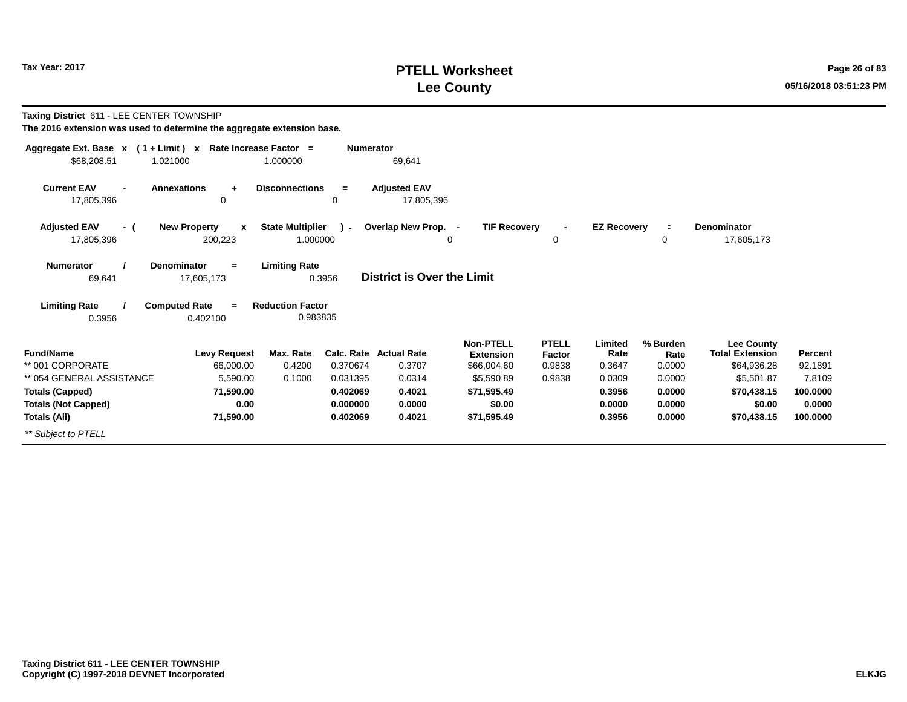*\*\* Subject to PTELL*

# **PTELL Worksheet Tax Year: 2017 Page 26 of 83 Lee County 05/16/2018 03:51:23 PM**

**100.0000 0.0000100.0000**

| Taxing District 611 - LEE CENTER TOWNSHIP<br>The 2016 extension was used to determine the aggregate extension base. |             |  |          |  |                                                              |                  |  |  |  |  |
|---------------------------------------------------------------------------------------------------------------------|-------------|--|----------|--|--------------------------------------------------------------|------------------|--|--|--|--|
|                                                                                                                     |             |  |          |  | Aggregate Ext. Base $x$ (1 + Limit) x Rate Increase Factor = | <b>Numerator</b> |  |  |  |  |
|                                                                                                                     | \$68,208.51 |  | 1.021000 |  | 1.000000                                                     |                  |  |  |  |  |

| Ψ∪∪,∠∪∪.∪ ι                                        | u_.vvv                                         | <u></u>                             |               | $\cup$ . $\cup$                   |                                      |                        |                    |                  |                                      |                |
|----------------------------------------------------|------------------------------------------------|-------------------------------------|---------------|-----------------------------------|--------------------------------------|------------------------|--------------------|------------------|--------------------------------------|----------------|
| <b>Current EAV</b><br>$\blacksquare$<br>17,805,396 | <b>Annexations</b><br>٠<br>0                   | <b>Disconnections</b>               | $\equiv$<br>0 | <b>Adjusted EAV</b><br>17,805,396 |                                      |                        |                    |                  |                                      |                |
| <b>Adjusted EAV</b><br>- (<br>17,805,396           | <b>New Property</b><br>$\mathbf{x}$<br>200,223 | <b>State Multiplier</b><br>1.000000 | $\sim$        | Overlap New Prop. -               | <b>TIF Recovery</b><br>0             | $\blacksquare$<br>0    | <b>EZ Recovery</b> | $\equiv$<br>0    | <b>Denominator</b><br>17,605,173     |                |
| <b>Numerator</b><br>69,641                         | <b>Denominator</b><br>$=$<br>17,605,173        | <b>Limiting Rate</b>                | 0.3956        | <b>District is Over the Limit</b> |                                      |                        |                    |                  |                                      |                |
| <b>Limiting Rate</b><br>0.3956                     | <b>Computed Rate</b><br>$\equiv$<br>0.402100   | <b>Reduction Factor</b><br>0.983835 |               |                                   |                                      |                        |                    |                  |                                      |                |
| <b>Fund/Name</b>                                   | <b>Levy Request</b>                            | Max. Rate                           | Calc. Rate    | <b>Actual Rate</b>                | <b>Non-PTELL</b><br><b>Extension</b> | <b>PTELL</b><br>Factor | Limited<br>Rate    | % Burden<br>Rate | Lee County<br><b>Total Extension</b> | <b>Percent</b> |
| ** 001 CORPORATE                                   | 66,000.00                                      | 0.4200                              | 0.370674      | 0.3707                            | \$66,004.60                          | 0.9838                 | 0.3647             | 0.0000           | \$64,936.28                          | 92.1891        |
| ** 054 GENERAL ASSISTANCE                          | 5,590.00                                       | 0.1000                              | 0.031395      | 0.0314                            | \$5,590.89                           | 0.9838                 | 0.0309             | 0.0000           | \$5,501.87                           | 7.8109         |
| <b>Totals (Capped)</b>                             | 71,590.00                                      |                                     | 0.402069      | 0.4021                            | \$71,595.49                          |                        | 0.3956             | 0.0000           | \$70,438.15                          | 100.0000       |
| <b>Totals (Not Capped)</b>                         | 0.00                                           |                                     | 0.000000      | 0.0000                            | \$0.00                               |                        | 0.0000             | 0.0000           | \$0.00                               | 0.0000         |
| Totals (All)                                       | 71,590.00                                      |                                     | 0.402069      | 0.4021                            | \$71,595.49                          |                        | 0.3956             | 0.0000           | \$70,438.15                          | 100.0000       |

69,641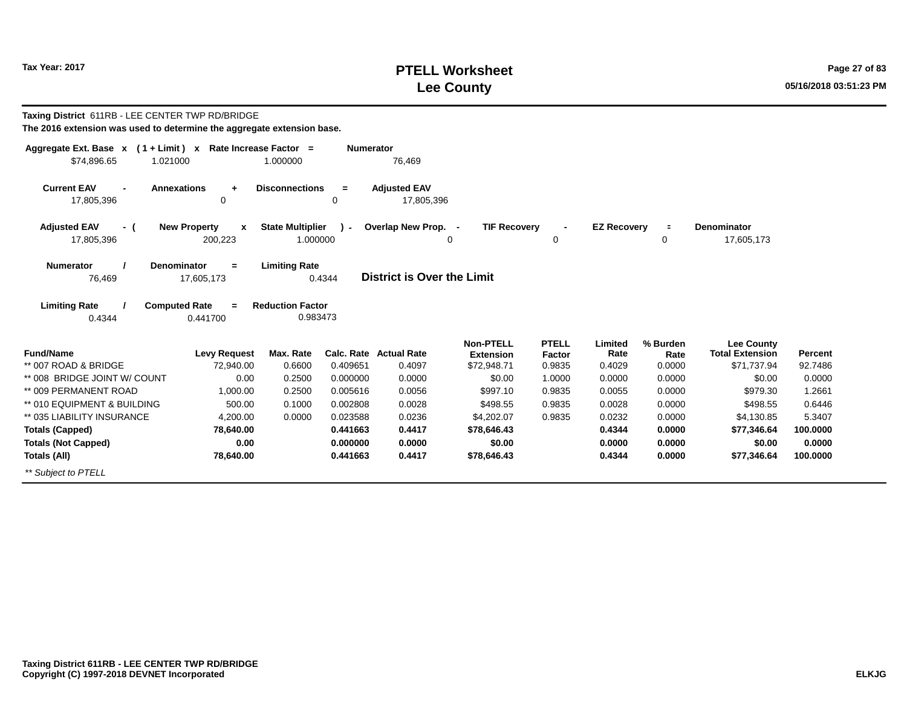# **PTELL Worksheet Tax Year: 2017 Page 27 of 83 Lee County 05/16/2018 03:51:23 PM**

| Taxing District 611RB - LEE CENTER TWP RD/BRIDGE<br>The 2016 extension was used to determine the aggregate extension base. |                               |                                                             |                  |                                   |                                      |                        |                    |                  |                                             |          |
|----------------------------------------------------------------------------------------------------------------------------|-------------------------------|-------------------------------------------------------------|------------------|-----------------------------------|--------------------------------------|------------------------|--------------------|------------------|---------------------------------------------|----------|
| Aggregate Ext. Base x (1+Limit) x Rate Increase Factor =                                                                   |                               |                                                             | <b>Numerator</b> |                                   |                                      |                        |                    |                  |                                             |          |
| \$74,896.65<br>1.021000                                                                                                    |                               | 1.000000                                                    |                  | 76,469                            |                                      |                        |                    |                  |                                             |          |
| <b>Current EAV</b><br><b>Annexations</b><br>17,805,396                                                                     | $\ddot{}$<br>0                | <b>Disconnections</b>                                       | $=$<br>0         | <b>Adjusted EAV</b><br>17,805,396 |                                      |                        |                    |                  |                                             |          |
| <b>Adjusted EAV</b><br>- (                                                                                                 | <b>New Property</b><br>X      | <b>State Multiplier</b>                                     | ۰.               | Overlap New Prop. -               | <b>TIF Recovery</b>                  |                        | <b>EZ Recovery</b> | $\blacksquare$   | <b>Denominator</b>                          |          |
| 17,805,396                                                                                                                 | 200,223                       | 1.000000                                                    |                  |                                   | $\Omega$                             | 0                      |                    | 0                | 17,605,173                                  |          |
| <b>Numerator</b><br><b>Denominator</b><br>76,469<br><b>Limiting Rate</b><br><b>Computed Rate</b><br>0.4344                 | $=$<br>17,605,173<br>0.441700 | <b>Limiting Rate</b><br><b>Reduction Factor</b><br>0.983473 | 0.4344           | District is Over the Limit        |                                      |                        |                    |                  |                                             |          |
| <b>Fund/Name</b>                                                                                                           | <b>Levy Request</b>           | Max. Rate                                                   |                  | <b>Calc. Rate Actual Rate</b>     | <b>Non-PTELL</b><br><b>Extension</b> | <b>PTELL</b><br>Factor | Limited<br>Rate    | % Burden<br>Rate | <b>Lee County</b><br><b>Total Extension</b> | Percent  |
| ** 007 ROAD & BRIDGE                                                                                                       | 72.940.00                     | 0.6600                                                      | 0.409651         | 0.4097                            | \$72,948.71                          | 0.9835                 | 0.4029             | 0.0000           | \$71,737.94                                 | 92.7486  |
| ** 008 BRIDGE JOINT W/ COUNT                                                                                               | 0.00                          | 0.2500                                                      | 0.000000         | 0.0000                            | \$0.00                               | 1.0000                 | 0.0000             | 0.0000           | \$0.00                                      | 0.0000   |
| ** 009 PERMANENT ROAD                                                                                                      | 1.000.00                      | 0.2500                                                      | 0.005616         | 0.0056                            | \$997.10                             | 0.9835                 | 0.0055             | 0.0000           | \$979.30                                    | 1.2661   |
| ** 010 EQUIPMENT & BUILDING                                                                                                | 500.00                        | 0.1000                                                      | 0.002808         | 0.0028                            | \$498.55                             | 0.9835                 | 0.0028             | 0.0000           | \$498.55                                    | 0.6446   |
| ** 035 LIABILITY INSURANCE                                                                                                 | 4,200.00                      | 0.0000                                                      | 0.023588         | 0.0236                            | \$4,202.07                           | 0.9835                 | 0.0232             | 0.0000           | \$4,130.85                                  | 5.3407   |
| <b>Totals (Capped)</b>                                                                                                     | 78,640.00                     |                                                             | 0.441663         | 0.4417                            | \$78,646.43                          |                        | 0.4344             | 0.0000           | \$77,346.64                                 | 100.0000 |
| <b>Totals (Not Capped)</b>                                                                                                 | 0.00                          |                                                             | 0.000000         | 0.0000                            | \$0.00                               |                        | 0.0000             | 0.0000           | \$0.00                                      | 0.0000   |
| Totals (All)                                                                                                               | 78,640.00                     |                                                             | 0.441663         | 0.4417                            | \$78,646.43                          |                        | 0.4344             | 0.0000           | \$77,346.64                                 | 100.0000 |
| ** Subiect to PTELL                                                                                                        |                               |                                                             |                  |                                   |                                      |                        |                    |                  |                                             |          |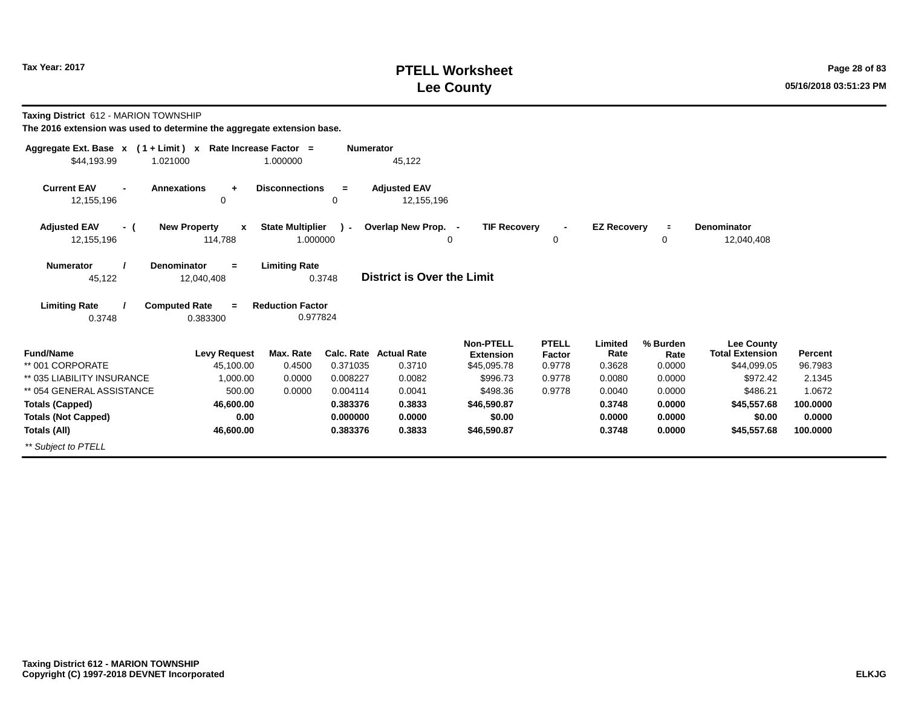# **PTELL Worksheet Tax Year: 2017 Page 28 of 83 Lee County 05/16/2018 03:51:23 PM**

**Taxing District** 612 - MARION TOWNSHIP

| Aggregate Ext. Base $x$ (1 + Limit) x Rate Increase Factor = |                                                |                                     | <b>Numerator</b> |                                   |                                      |                        |                    |                  |                                             |                |
|--------------------------------------------------------------|------------------------------------------------|-------------------------------------|------------------|-----------------------------------|--------------------------------------|------------------------|--------------------|------------------|---------------------------------------------|----------------|
| \$44,193.99<br>1.021000                                      |                                                | 1.000000                            |                  | 45,122                            |                                      |                        |                    |                  |                                             |                |
| <b>Current EAV</b><br>12,155,196                             | <b>Annexations</b><br>$\ddot{}$<br>0           | <b>Disconnections</b>               | $\equiv$<br>0    | <b>Adjusted EAV</b><br>12,155,196 |                                      |                        |                    |                  |                                             |                |
| <b>Adjusted EAV</b><br>- (<br>12,155,196                     | <b>New Property</b><br>$\mathbf{x}$<br>114,788 | <b>State Multiplier</b><br>1.000000 | $\lambda$ -      | Overlap New Prop. -               | <b>TIF Recovery</b><br>0             | $\blacksquare$<br>0    | <b>EZ Recovery</b> | $\equiv$<br>0    | <b>Denominator</b><br>12,040,408            |                |
| <b>Numerator</b><br>45,122                                   | <b>Denominator</b><br>$=$<br>12,040,408        | <b>Limiting Rate</b><br>0.3748      |                  | <b>District is Over the Limit</b> |                                      |                        |                    |                  |                                             |                |
| <b>Limiting Rate</b><br>0.3748                               | <b>Computed Rate</b><br>$=$<br>0.383300        | <b>Reduction Factor</b><br>0.977824 |                  |                                   |                                      |                        |                    |                  |                                             |                |
| <b>Fund/Name</b>                                             | <b>Levy Request</b>                            | Max. Rate                           |                  | Calc. Rate Actual Rate            | <b>Non-PTELL</b><br><b>Extension</b> | <b>PTELL</b><br>Factor | Limited<br>Rate    | % Burden<br>Rate | <b>Lee County</b><br><b>Total Extension</b> | <b>Percent</b> |
| ** 001 CORPORATE                                             | 45,100.00                                      | 0.4500                              | 0.371035         | 0.3710                            | \$45,095.78                          | 0.9778                 | 0.3628             | 0.0000           | \$44,099.05                                 | 96.7983        |
| ** 035 LIABILITY INSURANCE                                   | 1,000.00                                       | 0.0000                              | 0.008227         | 0.0082                            | \$996.73                             | 0.9778                 | 0.0080             | 0.0000           | \$972.42                                    | 2.1345         |
| ** 054 GENERAL ASSISTANCE                                    | 500.00                                         | 0.0000                              | 0.004114         | 0.0041                            | \$498.36                             | 0.9778                 | 0.0040             | 0.0000           | \$486.21                                    | 1.0672         |
| <b>Totals (Capped)</b>                                       | 46,600.00                                      |                                     | 0.383376         | 0.3833                            | \$46,590.87                          |                        | 0.3748             | 0.0000           | \$45,557.68                                 | 100.0000       |
| <b>Totals (Not Capped)</b>                                   | 0.00                                           |                                     | 0.000000         | 0.0000                            | \$0.00                               |                        | 0.0000             | 0.0000           | \$0.00                                      | 0.0000         |
| Totals (All)                                                 | 46,600.00                                      |                                     | 0.383376         | 0.3833                            | \$46,590.87                          |                        | 0.3748             | 0.0000           | \$45,557.68                                 | 100.0000       |
| ** Subject to PTELL                                          |                                                |                                     |                  |                                   |                                      |                        |                    |                  |                                             |                |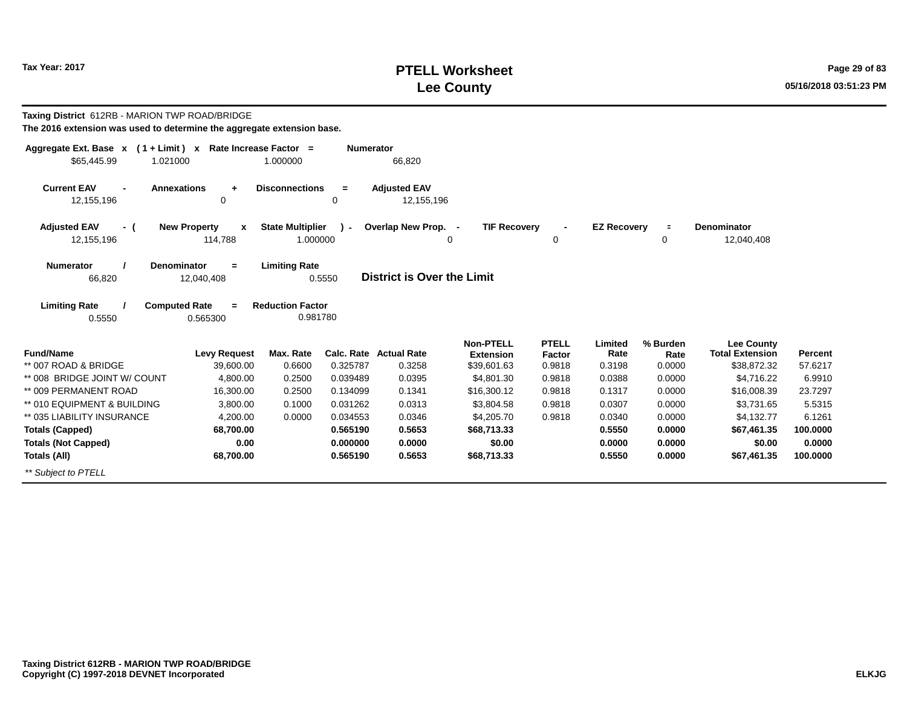# **PTELL Worksheet Tax Year: 2017 Page 29 of 83 Lee County 05/16/2018 03:51:23 PM**

| <b>Taxing District</b> 612RB - MARION TWP ROAD/BRIDGE<br>The 2016 extension was used to determine the aggregate extension base. |                                                    |                                     |                  |                                         |                                              |                                  |                           |                            |                                                            |                           |
|---------------------------------------------------------------------------------------------------------------------------------|----------------------------------------------------|-------------------------------------|------------------|-----------------------------------------|----------------------------------------------|----------------------------------|---------------------------|----------------------------|------------------------------------------------------------|---------------------------|
| Aggregate Ext. Base $x$ (1 + Limit) x Rate Increase Factor =<br>\$65,445.99<br>1.021000                                         |                                                    | 1.000000                            | <b>Numerator</b> | 66,820                                  |                                              |                                  |                           |                            |                                                            |                           |
| <b>Current EAV</b><br><b>Annexations</b><br>12,155,196                                                                          | $\ddot{\phantom{1}}$<br>0                          | <b>Disconnections</b>               | $=$<br>0         | <b>Adjusted EAV</b><br>12,155,196       |                                              |                                  |                           |                            |                                                            |                           |
| <b>Adjusted EAV</b><br>- (<br>12,155,196                                                                                        | <b>New Property</b><br>$\boldsymbol{x}$<br>114,788 | <b>State Multiplier</b><br>1.000000 | $\sim$           | Overlap New Prop. -                     | <b>TIF Recovery</b><br>0                     | $\blacksquare$<br>0              | <b>EZ Recovery</b>        | $\equiv$<br>0              | <b>Denominator</b><br>12,040,408                           |                           |
| Numerator<br><b>Denominator</b><br>66,820                                                                                       | $=$<br>12,040,408                                  | <b>Limiting Rate</b>                | 0.5550           | District is Over the Limit              |                                              |                                  |                           |                            |                                                            |                           |
| <b>Computed Rate</b><br><b>Limiting Rate</b><br>0.5550                                                                          | $\equiv$<br>0.565300                               | <b>Reduction Factor</b><br>0.981780 |                  |                                         |                                              |                                  |                           |                            |                                                            |                           |
| <b>Fund/Name</b><br>** 007 ROAD & BRIDGE                                                                                        | <b>Levy Request</b><br>39,600.00                   | Max. Rate<br>0.6600                 | 0.325787         | <b>Calc. Rate Actual Rate</b><br>0.3258 | <b>Non-PTELL</b><br>Extension<br>\$39,601.63 | <b>PTELL</b><br>Factor<br>0.9818 | Limited<br>Rate<br>0.3198 | % Burden<br>Rate<br>0.0000 | <b>Lee County</b><br><b>Total Extension</b><br>\$38,872.32 | <b>Percent</b><br>57.6217 |
| ** 008 BRIDGE JOINT W/ COUNT                                                                                                    | 4,800.00                                           | 0.2500                              | 0.039489         | 0.0395                                  | \$4,801.30                                   | 0.9818                           | 0.0388                    | 0.0000                     | \$4,716.22                                                 | 6.9910                    |
| ** 009 PERMANENT ROAD                                                                                                           | 16,300.00                                          | 0.2500                              | 0.134099         | 0.1341                                  | \$16,300.12                                  | 0.9818                           | 0.1317                    | 0.0000                     | \$16,008.39                                                | 23.7297                   |
| ** 010 EQUIPMENT & BUILDING                                                                                                     | 3,800.00                                           | 0.1000                              | 0.031262         | 0.0313                                  | \$3,804.58                                   | 0.9818                           | 0.0307                    | 0.0000                     | \$3.731.65                                                 | 5.5315                    |
| ** 035 LIABILITY INSURANCE                                                                                                      | 4,200.00                                           | 0.0000                              | 0.034553         | 0.0346                                  | \$4,205.70                                   | 0.9818                           | 0.0340                    | 0.0000                     | \$4,132.77                                                 | 6.1261                    |
| <b>Totals (Capped)</b>                                                                                                          | 68,700.00                                          |                                     | 0.565190         | 0.5653                                  | \$68,713.33                                  |                                  | 0.5550                    | 0.0000                     | \$67,461.35                                                | 100.0000                  |
| <b>Totals (Not Capped)</b>                                                                                                      | 0.00                                               |                                     | 0.000000         | 0.0000                                  | \$0.00                                       |                                  | 0.0000                    | 0.0000                     | \$0.00                                                     | 0.0000                    |
| Totals (All)                                                                                                                    | 68,700.00                                          |                                     | 0.565190         | 0.5653                                  | \$68,713.33                                  |                                  | 0.5550                    | 0.0000                     | \$67,461.35                                                | 100.0000                  |
| ** Subject to PTELL                                                                                                             |                                                    |                                     |                  |                                         |                                              |                                  |                           |                            |                                                            |                           |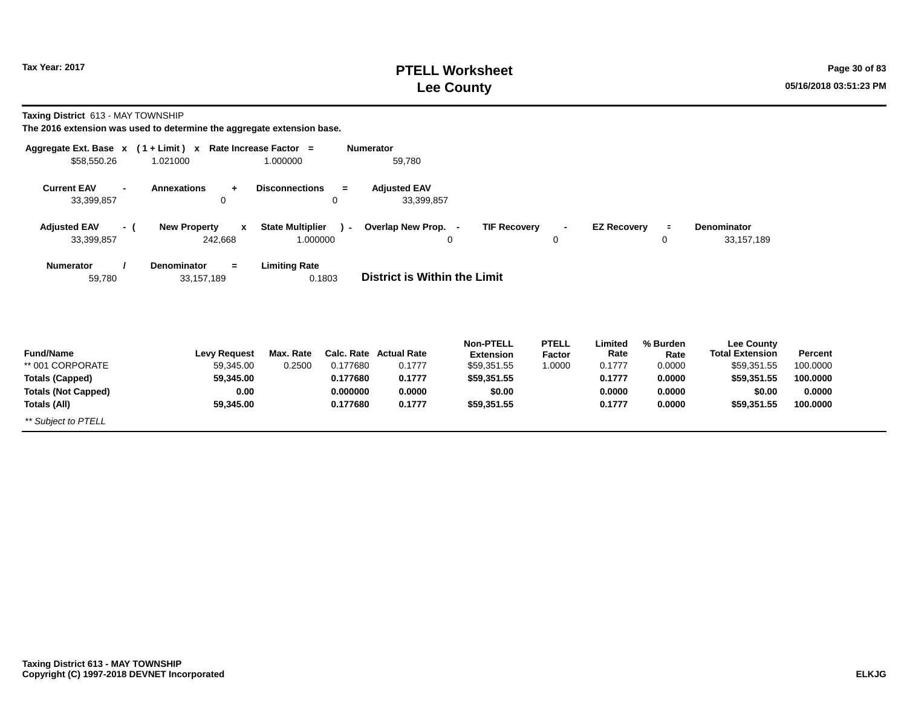# **PTELL Worksheet Tax Year: 2017 Page 30 of 83 Lee County 05/16/2018 03:51:23 PM**

**Taxing District** 613 - MAY TOWNSHIP

| Aggregate Ext. Base $x$ (1 + Limit) x Rate Increase Factor =<br>\$58,550.26 | 1.021000                                       | 1.000000                            | <b>Numerator</b> | 59,780                              |                                      |                        |                    |                  |                                             |          |
|-----------------------------------------------------------------------------|------------------------------------------------|-------------------------------------|------------------|-------------------------------------|--------------------------------------|------------------------|--------------------|------------------|---------------------------------------------|----------|
| <b>Current EAV</b><br>$\blacksquare$<br>33,399,857                          | <b>Annexations</b><br>$+$<br>0                 | <b>Disconnections</b>               | $=$<br>0         | <b>Adjusted EAV</b><br>33,399,857   |                                      |                        |                    |                  |                                             |          |
| <b>Adjusted EAV</b><br>- (<br>33,399,857                                    | <b>New Property</b><br>$\mathbf{x}$<br>242,668 | <b>State Multiplier</b><br>1.000000 | $\mathcal{L}$    | Overlap New Prop. -<br>0            | <b>TIF Recovery</b>                  | $\blacksquare$<br>0    | <b>EZ Recovery</b> | $\equiv$<br>0    | <b>Denominator</b><br>33,157,189            |          |
| <b>Numerator</b><br>59,780                                                  | Denominator<br>$=$<br>33,157,189               | <b>Limiting Rate</b>                | 0.1803           | <b>District is Within the Limit</b> |                                      |                        |                    |                  |                                             |          |
| <b>Fund/Name</b>                                                            | <b>Levy Request</b>                            | Max. Rate                           |                  | Calc. Rate Actual Rate              | <b>Non-PTELL</b><br><b>Extension</b> | <b>PTELL</b><br>Factor | Limited<br>Rate    | % Burden<br>Rate | <b>Lee County</b><br><b>Total Extension</b> | Percent  |
| ** 001 CORPORATE                                                            | 59,345.00                                      | 0.2500                              | 0.177680         | 0.1777                              | \$59,351.55                          | 1.0000                 | 0.1777             | 0.0000           | \$59,351.55                                 | 100.0000 |
| <b>Totals (Capped)</b>                                                      | 59,345.00                                      |                                     | 0.177680         | 0.1777                              | \$59,351.55                          |                        | 0.1777             | 0.0000           | \$59,351.55                                 | 100.0000 |
| <b>Totals (Not Capped)</b>                                                  | 0.00                                           |                                     | 0.000000         | 0.0000                              | \$0.00                               |                        | 0.0000             | 0.0000           | \$0.00                                      | 0.0000   |
| Totals (All)                                                                | 59,345.00                                      |                                     | 0.177680         | 0.1777                              | \$59,351.55                          |                        | 0.1777             | 0.0000           | \$59,351.55                                 | 100.0000 |
| ** Subject to PTELL                                                         |                                                |                                     |                  |                                     |                                      |                        |                    |                  |                                             |          |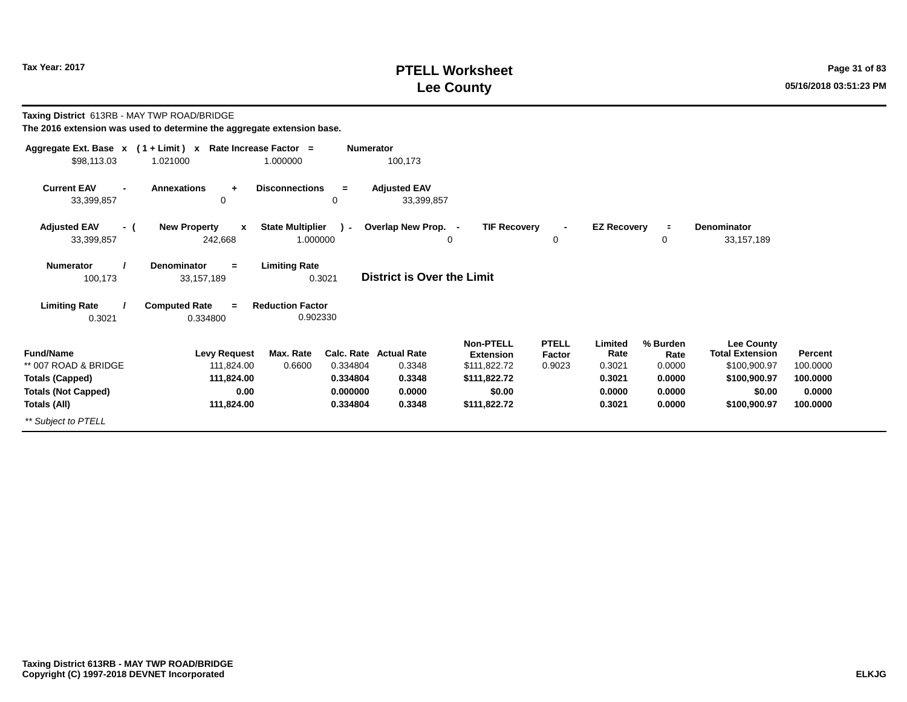# **PTELL Worksheet Tax Year: 2017 Page 31 of 83 Lee County 05/16/2018 03:51:23 PM**

| Taxing District 613RB - MAY TWP ROAD/BRIDGE<br>The 2016 extension was used to determine the aggregate extension base. |                                                                          |                                     |                                              |                                                                       |                                                                                         |                                  |                                                         |                                                          |                                                                                                       |                                                       |
|-----------------------------------------------------------------------------------------------------------------------|--------------------------------------------------------------------------|-------------------------------------|----------------------------------------------|-----------------------------------------------------------------------|-----------------------------------------------------------------------------------------|----------------------------------|---------------------------------------------------------|----------------------------------------------------------|-------------------------------------------------------------------------------------------------------|-------------------------------------------------------|
| \$98,113.03                                                                                                           | Aggregate Ext. Base $x$ (1 + Limit) x Rate Increase Factor =<br>1.021000 | 1.000000                            | <b>Numerator</b>                             | 100,173                                                               |                                                                                         |                                  |                                                         |                                                          |                                                                                                       |                                                       |
| <b>Current EAV</b><br>$\blacksquare$<br>33,399,857                                                                    | <b>Annexations</b><br>$\ddot{}$<br>0                                     | <b>Disconnections</b>               | $=$<br>0                                     | <b>Adjusted EAV</b><br>33,399,857                                     |                                                                                         |                                  |                                                         |                                                          |                                                                                                       |                                                       |
| <b>Adjusted EAV</b><br>- (<br>33,399,857                                                                              | <b>New Property</b><br>$\mathbf{x}$<br>242,668                           | <b>State Multiplier</b><br>1.000000 | $\sim$                                       | Overlap New Prop. -                                                   | <b>TIF Recovery</b><br>0                                                                | 0                                | <b>EZ Recovery</b>                                      | $\equiv$<br>0                                            | <b>Denominator</b><br>33,157,189                                                                      |                                                       |
| <b>Numerator</b><br>100,173                                                                                           | Denominator<br>$=$<br>33,157,189                                         | <b>Limiting Rate</b><br>0.3021      |                                              | <b>District is Over the Limit</b>                                     |                                                                                         |                                  |                                                         |                                                          |                                                                                                       |                                                       |
| <b>Limiting Rate</b><br>0.3021                                                                                        | <b>Computed Rate</b><br>$\equiv$<br>0.334800                             | <b>Reduction Factor</b><br>0.902330 |                                              |                                                                       |                                                                                         |                                  |                                                         |                                                          |                                                                                                       |                                                       |
| <b>Fund/Name</b><br>** 007 ROAD & BRIDGE<br><b>Totals (Capped)</b><br><b>Totals (Not Capped)</b><br>Totals (All)      | <b>Levy Request</b><br>111.824.00<br>111.824.00<br>0.00<br>111,824.00    | Max. Rate<br>0.6600                 | 0.334804<br>0.334804<br>0.000000<br>0.334804 | <b>Calc. Rate Actual Rate</b><br>0.3348<br>0.3348<br>0.0000<br>0.3348 | Non-PTELL<br><b>Extension</b><br>\$111,822.72<br>\$111.822.72<br>\$0.00<br>\$111,822.72 | <b>PTELL</b><br>Factor<br>0.9023 | Limited<br>Rate<br>0.3021<br>0.3021<br>0.0000<br>0.3021 | % Burden<br>Rate<br>0.0000<br>0.0000<br>0.0000<br>0.0000 | <b>Lee County</b><br><b>Total Extension</b><br>\$100,900.97<br>\$100,900.97<br>\$0.00<br>\$100,900.97 | Percent<br>100.0000<br>100.0000<br>0.0000<br>100.0000 |
| ** Subject to PTELL                                                                                                   |                                                                          |                                     |                                              |                                                                       |                                                                                         |                                  |                                                         |                                                          |                                                                                                       |                                                       |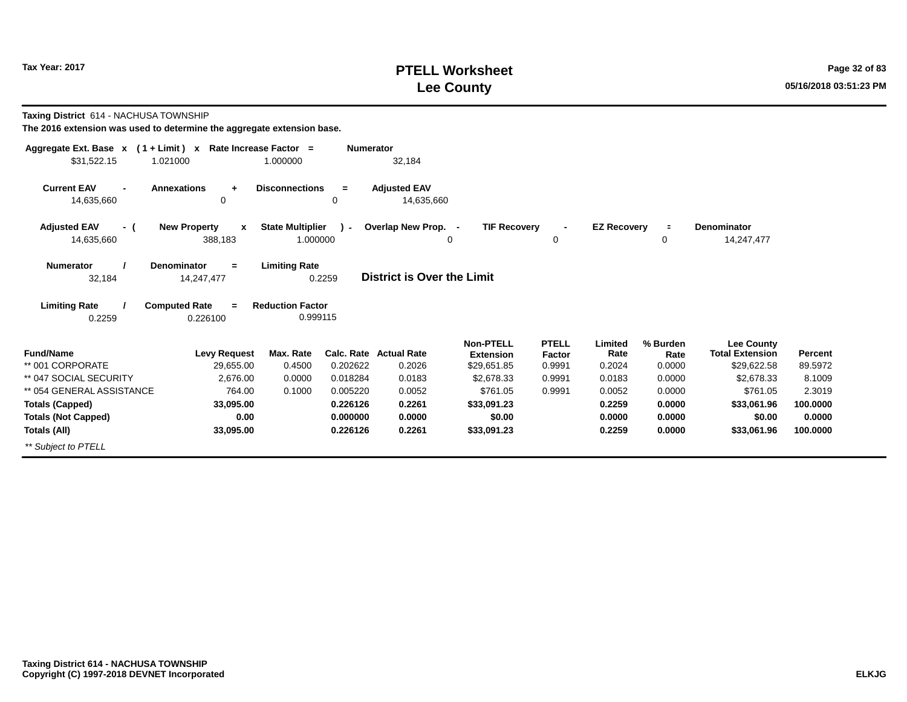# **PTELL Worksheet Tax Year: 2017 Page 32 of 83 Lee County 05/16/2018 03:51:23 PM**

**Taxing District** 614 - NACHUSA TOWNSHIP

| Aggregate Ext. Base $x$ (1 + Limit) $x$ | Rate Increase Factor =               |                         | <b>Numerator</b> |                                         |                           |                  |                    |                |                           |                    |
|-----------------------------------------|--------------------------------------|-------------------------|------------------|-----------------------------------------|---------------------------|------------------|--------------------|----------------|---------------------------|--------------------|
| \$31,522.15<br>1.021000                 |                                      | 1.000000                |                  | 32,184                                  |                           |                  |                    |                |                           |                    |
| <b>Current EAV</b><br>14,635,660        | <b>Annexations</b><br>$\ddot{}$<br>0 | <b>Disconnections</b>   | =<br>0           | <b>Adjusted EAV</b><br>14,635,660       |                           |                  |                    |                |                           |                    |
|                                         |                                      |                         |                  |                                         |                           |                  |                    |                |                           |                    |
| <b>Adjusted EAV</b><br>- (              | <b>New Property</b><br>$\mathbf{x}$  | <b>State Multiplier</b> | $\mathbf{r}$     | Overlap New Prop. -                     | <b>TIF Recovery</b>       | $\blacksquare$   | <b>EZ Recovery</b> | $\equiv$       | Denominator               |                    |
| 14,635,660                              | 388,183                              | 1.000000                |                  |                                         | 0                         | 0                |                    | 0              | 14,247,477                |                    |
| <b>Numerator</b>                        | <b>Denominator</b><br>$=$            | <b>Limiting Rate</b>    |                  |                                         |                           |                  |                    |                |                           |                    |
| 32,184                                  | 14,247,477                           |                         | 0.2259           | District is Over the Limit              |                           |                  |                    |                |                           |                    |
| <b>Limiting Rate</b>                    | <b>Computed Rate</b><br>$\equiv$     | <b>Reduction Factor</b> |                  |                                         |                           |                  |                    |                |                           |                    |
| 0.2259                                  | 0.226100                             | 0.999115                |                  |                                         |                           |                  |                    |                |                           |                    |
|                                         |                                      |                         |                  |                                         | <b>Non-PTELL</b>          | <b>PTELL</b>     | Limited            | % Burden       | Lee County                |                    |
| <b>Fund/Name</b><br>** 001 CORPORATE    | <b>Levy Request</b>                  | Max. Rate               | 0.202622         | <b>Calc. Rate Actual Rate</b><br>0.2026 | <b>Extension</b>          | Factor           | Rate               | Rate<br>0.0000 | <b>Total Extension</b>    | Percent<br>89.5972 |
| ** 047 SOCIAL SECURITY                  | 29,655.00<br>2,676.00                | 0.4500<br>0.0000        | 0.018284         | 0.0183                                  | \$29,651.85<br>\$2,678.33 | 0.9991<br>0.9991 | 0.2024<br>0.0183   | 0.0000         | \$29,622.58<br>\$2.678.33 | 8.1009             |
| ** 054 GENERAL ASSISTANCE               | 764.00                               | 0.1000                  | 0.005220         | 0.0052                                  | \$761.05                  | 0.9991           | 0.0052             | 0.0000         | \$761.05                  | 2.3019             |
| <b>Totals (Capped)</b>                  | 33,095.00                            |                         | 0.226126         | 0.2261                                  | \$33,091.23               |                  | 0.2259             | 0.0000         | \$33,061.96               | 100.0000           |
| <b>Totals (Not Capped)</b>              | 0.00                                 |                         | 0.000000         | 0.0000                                  | \$0.00                    |                  | 0.0000             | 0.0000         | \$0.00                    | 0.0000             |
| Totals (All)                            | 33,095.00                            |                         | 0.226126         | 0.2261                                  | \$33,091.23               |                  | 0.2259             | 0.0000         | \$33,061.96               | 100.0000           |
| ** Subject to PTELL                     |                                      |                         |                  |                                         |                           |                  |                    |                |                           |                    |
|                                         |                                      |                         |                  |                                         |                           |                  |                    |                |                           |                    |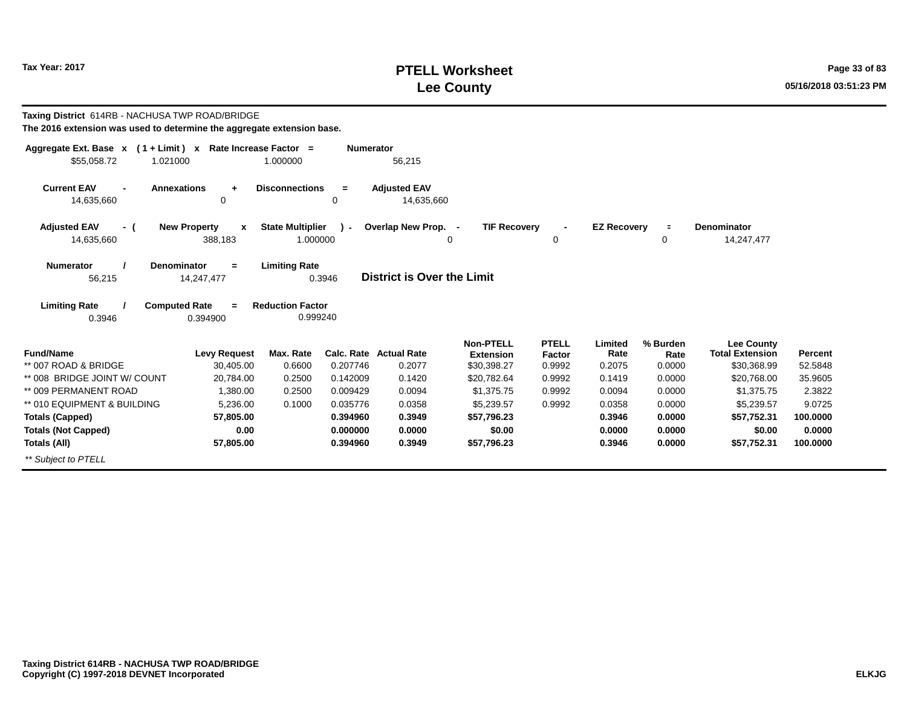# **PTELL Worksheet Tax Year: 2017 Page 33 of 83 Lee County 05/16/2018 03:51:23 PM**

| Taxing District 614RB - NACHUSA TWP ROAD/BRIDGE<br>The 2016 extension was used to determine the aggregate extension base. |                                     |                                     |                  |                                         |                                                     |                                  |                           |                            |                                                            |                    |
|---------------------------------------------------------------------------------------------------------------------------|-------------------------------------|-------------------------------------|------------------|-----------------------------------------|-----------------------------------------------------|----------------------------------|---------------------------|----------------------------|------------------------------------------------------------|--------------------|
| Aggregate Ext. Base $x$ (1 + Limit) x Rate Increase Factor =<br>\$55,058.72<br>1.021000                                   |                                     | 1.000000                            | <b>Numerator</b> | 56,215                                  |                                                     |                                  |                           |                            |                                                            |                    |
| <b>Current EAV</b><br><b>Annexations</b><br>14,635,660                                                                    | $\ddot{}$<br>0                      | <b>Disconnections</b>               | $=$<br>0         | <b>Adjusted EAV</b><br>14.635.660       |                                                     |                                  |                           |                            |                                                            |                    |
| <b>Adjusted EAV</b><br>- (<br>14,635,660                                                                                  | <b>New Property</b><br>x<br>388,183 | <b>State Multiplier</b><br>1.000000 | Ι.               | Overlap New Prop. -<br>0                | <b>TIF Recovery</b>                                 | $\blacksquare$<br>0              | <b>EZ Recovery</b>        | $\blacksquare$<br>0        | <b>Denominator</b><br>14,247,477                           |                    |
| Denominator<br><b>Numerator</b><br>56,215                                                                                 | $=$<br>14,247,477                   | <b>Limiting Rate</b>                | 0.3946           | District is Over the Limit              |                                                     |                                  |                           |                            |                                                            |                    |
| <b>Limiting Rate</b><br><b>Computed Rate</b><br>0.3946                                                                    | $\equiv$<br>0.394900                | <b>Reduction Factor</b><br>0.999240 |                  |                                         |                                                     |                                  |                           |                            |                                                            |                    |
| <b>Fund/Name</b><br>** 007 ROAD & BRIDGE                                                                                  | <b>Levy Request</b><br>30,405.00    | Max. Rate<br>0.6600                 | 0.207746         | <b>Calc. Rate Actual Rate</b><br>0.2077 | <b>Non-PTELL</b><br><b>Extension</b><br>\$30,398.27 | <b>PTELL</b><br>Factor<br>0.9992 | Limited<br>Rate<br>0.2075 | % Burden<br>Rate<br>0.0000 | <b>Lee County</b><br><b>Total Extension</b><br>\$30,368.99 | Percent<br>52.5848 |
| ** 008 BRIDGE JOINT W/ COUNT                                                                                              | 20.784.00                           | 0.2500                              | 0.142009         | 0.1420                                  | \$20,782.64                                         | 0.9992                           | 0.1419                    | 0.0000                     | \$20,768.00                                                | 35.9605            |
| ** 009 PERMANENT ROAD                                                                                                     | 1,380.00                            | 0.2500                              | 0.009429         | 0.0094                                  | \$1,375.75                                          | 0.9992                           | 0.0094                    | 0.0000                     | \$1,375.75                                                 | 2.3822             |
| ** 010 EQUIPMENT & BUILDING                                                                                               | 5,236.00                            | 0.1000                              | 0.035776         | 0.0358                                  | \$5,239.57                                          | 0.9992                           | 0.0358                    | 0.0000                     | \$5,239.57                                                 | 9.0725             |
| <b>Totals (Capped)</b>                                                                                                    | 57,805.00                           |                                     | 0.394960         | 0.3949                                  | \$57,796.23                                         |                                  | 0.3946                    | 0.0000                     | \$57,752.31                                                | 100.0000           |
| <b>Totals (Not Capped)</b>                                                                                                | 0.00                                |                                     | 0.000000         | 0.0000                                  | \$0.00                                              |                                  | 0.0000                    | 0.0000                     | \$0.00                                                     | 0.0000             |
| Totals (All)                                                                                                              | 57,805.00                           |                                     | 0.394960         | 0.3949                                  | \$57,796.23                                         |                                  | 0.3946                    | 0.0000                     | \$57,752.31                                                | 100.0000           |
| ** Subiect to PTELL                                                                                                       |                                     |                                     |                  |                                         |                                                     |                                  |                           |                            |                                                            |                    |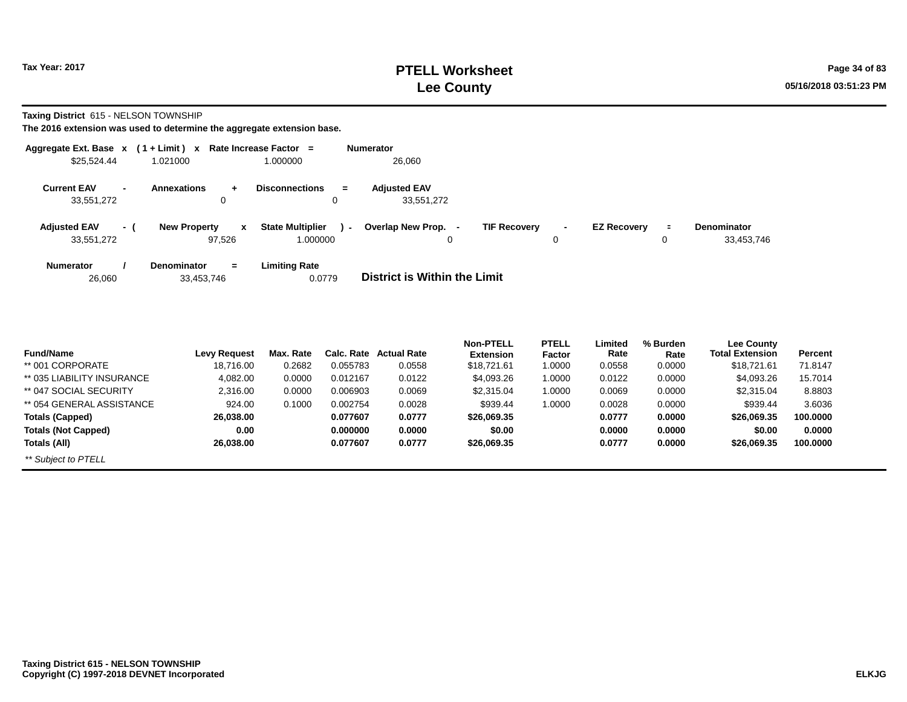**Taxing District** 615 - NELSON TOWNSHIP

| Aggregate Ext. Base $x$ (1 + Limit) $x$ |                |                                         | <b>Rate Increase Factor</b><br>$\equiv$       | <b>Numerator</b>                         |                         |                                  |
|-----------------------------------------|----------------|-----------------------------------------|-----------------------------------------------|------------------------------------------|-------------------------|----------------------------------|
| \$25,524.44                             |                | 1.021000                                | 1.000000                                      | 26,060                                   |                         |                                  |
| <b>Current EAV</b><br>33.551.272        | $\blacksquare$ | <b>Annexations</b><br>÷<br>0            | <b>Disconnections</b><br>$=$<br>0             | <b>Adiusted EAV</b><br>33.551.272        |                         |                                  |
| <b>Adjusted EAV</b><br>33,551,272       | - 1            | <b>New Property</b><br>X<br>97.526      | <b>State Multiplier</b><br>$\sim$<br>1.000000 | Overlap New Prop.<br><b>TIF Recovery</b> | <b>EZ Recovery</b><br>0 | <b>Denominator</b><br>33,453,746 |
| <b>Numerator</b><br>26,060              |                | <b>Denominator</b><br>$=$<br>33,453,746 | <b>Limiting Rate</b><br>0.0779                | District is Within the Limit             |                         |                                  |

| <b>Fund/Name</b>           | <b>Levy Request</b> | Max. Rate | Calc. Rate | <b>Actual Rate</b> | <b>Non-PTELL</b><br><b>Extension</b> | <b>PTELL</b><br>Factor | Limited<br>Rate | % Burden<br>Rate | <b>Lee County</b><br><b>Total Extension</b> | Percent  |
|----------------------------|---------------------|-----------|------------|--------------------|--------------------------------------|------------------------|-----------------|------------------|---------------------------------------------|----------|
| ** 001 CORPORATE           | 18,716.00           | 0.2682    | 0.055783   | 0.0558             | \$18.721.61                          | 1.0000                 | 0.0558          | 0.0000           | \$18,721.61                                 | 71.8147  |
| ** 035 LIABILITY INSURANCE | 4,082.00            | 0.0000    | 0.012167   | 0.0122             | \$4,093.26                           | 1.0000                 | 0.0122          | 0.0000           | \$4,093.26                                  | 15.7014  |
| ** 047 SOCIAL SECURITY     | 2,316.00            | 0.0000    | 0.006903   | 0.0069             | \$2,315.04                           | 1.0000                 | 0.0069          | 0.0000           | \$2,315.04                                  | 8.8803   |
| ** 054 GENERAL ASSISTANCE  | 924.00              | 0.1000    | 0.002754   | 0.0028             | \$939.44                             | 1.0000                 | 0.0028          | 0.0000           | \$939.44                                    | 3.6036   |
| <b>Totals (Capped)</b>     | 26,038.00           |           | 0.077607   | 0.0777             | \$26,069,35                          |                        | 0.0777          | 0.0000           | \$26,069.35                                 | 100.0000 |
| <b>Totals (Not Capped)</b> | 0.00                |           | 0.000000   | 0.0000             | \$0.00                               |                        | 0.0000          | 0.0000           | \$0.00                                      | 0.0000   |
| Totals (All)               | 26,038.00           |           | 0.077607   | 0.0777             | \$26,069.35                          |                        | 0.0777          | 0.0000           | \$26,069.35                                 | 100,0000 |
| ** Subject to PTELL        |                     |           |            |                    |                                      |                        |                 |                  |                                             |          |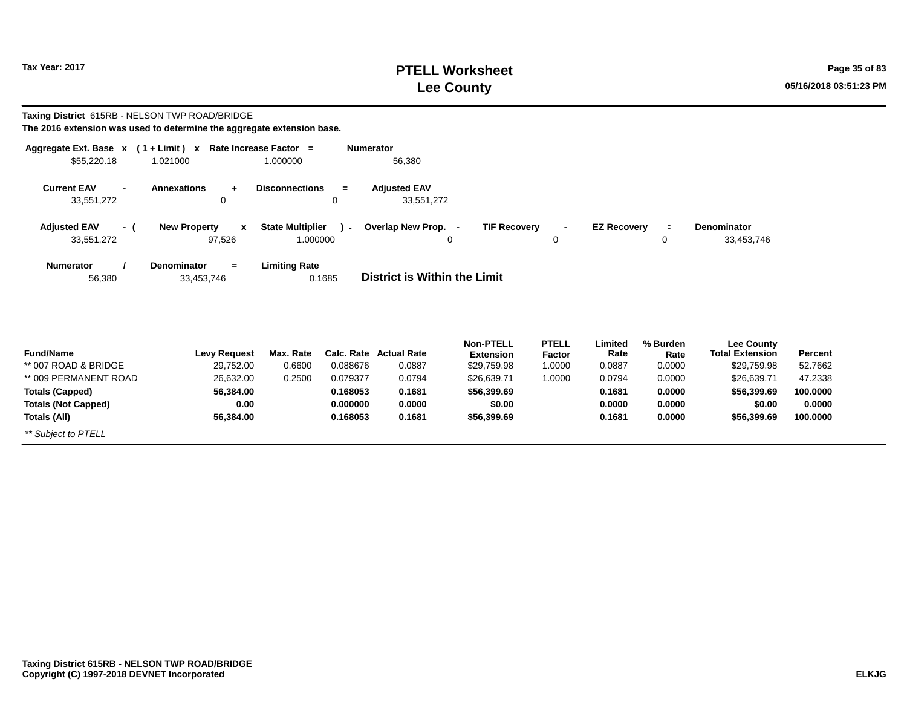*\*\* Subject to PTELL*

# **PTELL Worksheet Tax Year: 2017 Page 35 of 83 Lee County 05/16/2018 03:51:23 PM**

#### **Taxing District** 615RB - NELSON TWP ROAD/BRIDGE **The 2016 extension was used to determine the aggregate extension base.**

| Aggregate Ext. Base x<br>\$55,220.18                         | $(1 + Limit) x$<br>1.021000                   | Rate Increase Factor =<br>1.000000  | <b>Numerator</b>     | 56,380                            |                                      |                        |                    |                  |                                      |          |
|--------------------------------------------------------------|-----------------------------------------------|-------------------------------------|----------------------|-----------------------------------|--------------------------------------|------------------------|--------------------|------------------|--------------------------------------|----------|
| <b>Current EAV</b><br>$\overline{\phantom{a}}$<br>33,551,272 | <b>Annexations</b><br>$\ddot{}$<br>0          | <b>Disconnections</b>               | $\equiv$<br>$\Omega$ | <b>Adjusted EAV</b><br>33,551,272 |                                      |                        |                    |                  |                                      |          |
| <b>Adjusted EAV</b><br>- (<br>33,551,272                     | <b>New Property</b><br>$\mathbf{x}$<br>97,526 | <b>State Multiplier</b><br>1.000000 | $-1$                 | Overlap New Prop. -               | <b>TIF Recovery</b><br>0             | 0                      | <b>EZ Recovery</b> | $\equiv$<br>0    | <b>Denominator</b><br>33,453,746     |          |
| <b>Numerator</b><br>56,380                                   | <b>Denominator</b><br>$=$<br>33,453,746       | <b>Limiting Rate</b>                | 0.1685               | District is Within the Limit      |                                      |                        |                    |                  |                                      |          |
| <b>Fund/Name</b>                                             | <b>Levy Request</b>                           | Max. Rate                           | Calc. Rate           | <b>Actual Rate</b>                | <b>Non-PTELL</b><br><b>Extension</b> | <b>PTELL</b><br>Factor | Limited<br>Rate    | % Burden<br>Rate | Lee County<br><b>Total Extension</b> | Percent  |
| ** 007 ROAD & BRIDGE                                         | 29,752.00                                     | 0.6600                              | 0.088676             | 0.0887                            | \$29,759.98                          | 1.0000                 | 0.0887             | 0.0000           | \$29,759.98                          | 52.7662  |
| ** 009 PERMANENT ROAD                                        | 26,632.00                                     | 0.2500                              | 0.079377             | 0.0794                            | \$26,639.71                          | 1.0000                 | 0.0794             | 0.0000           | \$26,639.71                          | 47.2338  |
| <b>Totals (Capped)</b>                                       | 56,384.00                                     |                                     | 0.168053             | 0.1681                            | \$56,399.69                          |                        | 0.1681             | 0.0000           | \$56,399.69                          | 100.0000 |
| <b>Totals (Not Capped)</b>                                   | 0.00                                          |                                     | 0.000000             | 0.0000                            | \$0.00                               |                        | 0.0000             | 0.0000           | \$0.00                               | 0.0000   |
| Totals (All)                                                 | 56,384.00                                     |                                     | 0.168053             | 0.1681                            | \$56,399.69                          |                        | 0.1681             | 0.0000           | \$56,399.69                          | 100.0000 |

**Taxing District 615RB - NELSON TWP ROAD/BRIDGE Copyright (C) 1997-2018 DEVNET Incorporated**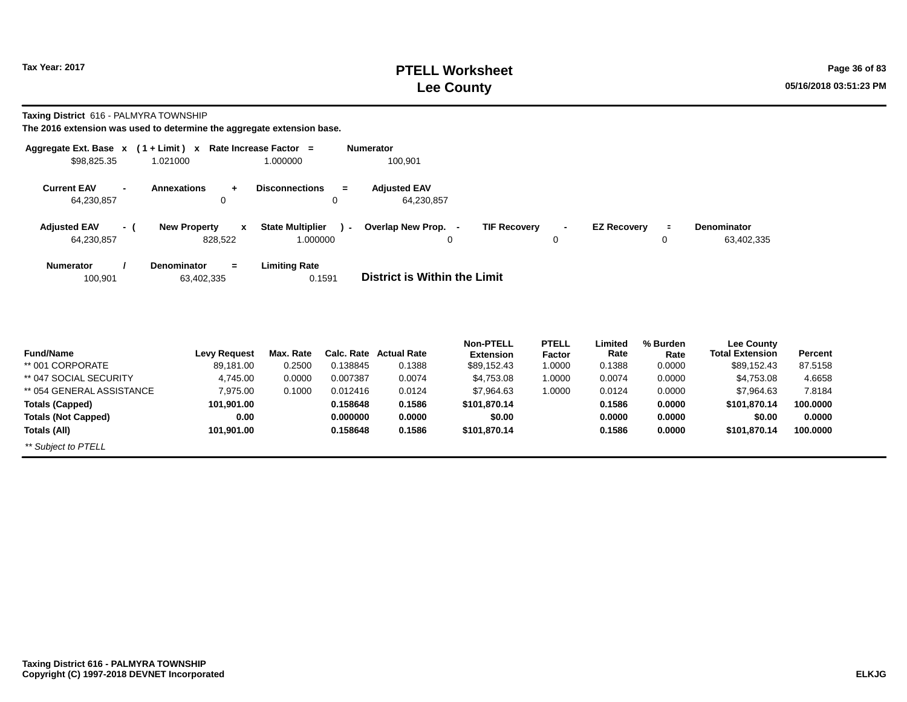# **PTELL Worksheet Tax Year: 2017 Page 36 of 83 Lee County 05/16/2018 03:51:23 PM**

**Taxing District** 616 - PALMYRA TOWNSHIP

| Aggregate Ext. Base $x$ (1 + Limit) $x$ |     |                                     | Rate Increase Factor =            | <b>Numerator</b>                                                                                                     |            |
|-----------------------------------------|-----|-------------------------------------|-----------------------------------|----------------------------------------------------------------------------------------------------------------------|------------|
| \$98,825.35                             |     | 1.021000                            | 1.000000                          | 100,901                                                                                                              |            |
| <b>Current EAV</b>                      |     | <b>Annexations</b><br>÷             | <b>Disconnections</b><br>$=$      | <b>Adjusted EAV</b>                                                                                                  |            |
| 64,230,857                              |     | $\mathbf 0$                         |                                   | 64,230,857                                                                                                           |            |
| <b>Adjusted EAV</b>                     | - ( | <b>New Property</b><br>$\mathbf{x}$ | <b>State Multiplier</b><br>$\sim$ | Overlap New Prop. -<br><b>TIF Recovery</b><br><b>EZ Recovery</b><br><b>Denominator</b><br>$\blacksquare$<br>$\equiv$ |            |
| 64,230,857                              |     | 828,522                             | 1.000000                          | 0<br>0<br>0                                                                                                          | 63,402,335 |
| <b>Numerator</b>                        |     | <b>Denominator</b><br>$=$           | <b>Limiting Rate</b>              |                                                                                                                      |            |
| 100,901                                 |     | 63,402,335                          | 0.1591                            | District is Within the Limit                                                                                         |            |

| <b>Fund/Name</b>           | Levy Request | Max. Rate |          | Calc. Rate Actual Rate | <b>Non-PTELL</b><br><b>Extension</b> | <b>PTELL</b><br>Factor | Limited<br>Rate | % Burden<br>Rate | <b>Lee County</b><br><b>Total Extension</b> | <b>Percent</b> |
|----------------------------|--------------|-----------|----------|------------------------|--------------------------------------|------------------------|-----------------|------------------|---------------------------------------------|----------------|
| ** 001 CORPORATE           | 89,181.00    | 0.2500    | 0.138845 | 0.1388                 | \$89,152.43                          | 1.0000                 | 0.1388          | 0.0000           | \$89,152.43                                 | 87.5158        |
| ** 047 SOCIAL SECURITY     | 4,745.00     | 0.0000    | 0.007387 | 0.0074                 | \$4,753.08                           | 1.0000                 | 0.0074          | 0.0000           | \$4,753.08                                  | 4.6658         |
| ** 054 GENERAL ASSISTANCE  | 7,975.00     | 0.1000    | 0.012416 | 0.0124                 | \$7,964.63                           | 1.0000                 | 0.0124          | 0.0000           | \$7,964.63                                  | 7.8184         |
| <b>Totals (Capped)</b>     | 101.901.00   |           | 0.158648 | 0.1586                 | \$101.870.14                         |                        | 0.1586          | 0.0000           | \$101.870.14                                | 100.0000       |
| <b>Totals (Not Capped)</b> | 0.00         |           | 0.000000 | 0.0000                 | \$0.00                               |                        | 0.0000          | 0.0000           | \$0.00                                      | 0.0000         |
| Totals (All)               | 101.901.00   |           | 0.158648 | 0.1586                 | \$101,870.14                         |                        | 0.1586          | 0.0000           | \$101,870.14                                | 100,0000       |
| ** Subject to PTELL        |              |           |          |                        |                                      |                        |                 |                  |                                             |                |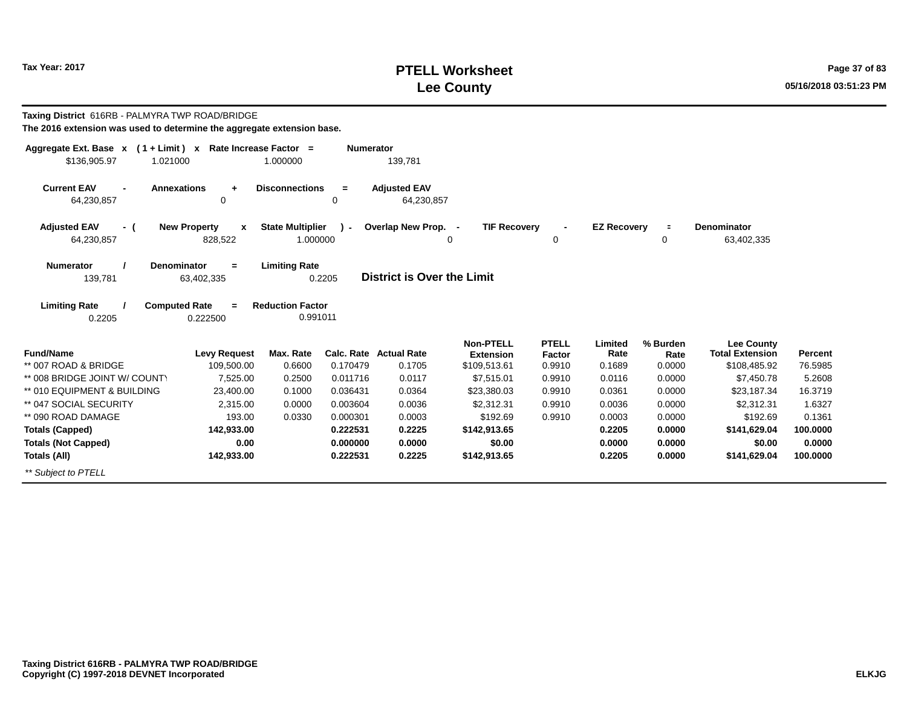# **PTELL Worksheet Tax Year: 2017 Page 37 of 83 Lee County 05/16/2018 03:51:23 PM**

| Taxing District 616RB - PALMYRA TWP ROAD/BRIDGE<br>The 2016 extension was used to determine the aggregate extension base. |                               |                                                             |                  |                                   |                                      |                          |                    |                  |                                             |          |
|---------------------------------------------------------------------------------------------------------------------------|-------------------------------|-------------------------------------------------------------|------------------|-----------------------------------|--------------------------------------|--------------------------|--------------------|------------------|---------------------------------------------|----------|
| Aggregate Ext. Base x (1+Limit) x Rate Increase Factor =                                                                  |                               |                                                             | <b>Numerator</b> |                                   |                                      |                          |                    |                  |                                             |          |
| \$136,905.97<br>1.021000                                                                                                  |                               | 1.000000                                                    |                  | 139,781                           |                                      |                          |                    |                  |                                             |          |
| <b>Current EAV</b><br><b>Annexations</b><br>64,230,857                                                                    | $\ddot{}$<br>0                | <b>Disconnections</b>                                       | $=$<br>0         | <b>Adjusted EAV</b><br>64,230,857 |                                      |                          |                    |                  |                                             |          |
| <b>Adjusted EAV</b><br>- (                                                                                                | <b>New Property</b><br>X      | <b>State Multiplier</b>                                     | ۰.               | Overlap New Prop. -               | <b>TIF Recovery</b>                  | $\overline{\phantom{a}}$ | <b>EZ Recovery</b> | $\blacksquare$   | <b>Denominator</b>                          |          |
| 64,230,857                                                                                                                | 828,522                       | 1.000000                                                    |                  |                                   | $\Omega$                             | 0                        |                    | 0                | 63,402,335                                  |          |
| <b>Numerator</b><br><b>Denominator</b><br>139,781<br><b>Limiting Rate</b><br><b>Computed Rate</b><br>0.2205               | $=$<br>63,402,335<br>0.222500 | <b>Limiting Rate</b><br><b>Reduction Factor</b><br>0.991011 | 0.2205           | District is Over the Limit        |                                      |                          |                    |                  |                                             |          |
| <b>Fund/Name</b>                                                                                                          | <b>Levy Request</b>           | Max. Rate                                                   |                  | <b>Calc. Rate Actual Rate</b>     | <b>Non-PTELL</b><br><b>Extension</b> | <b>PTELL</b><br>Factor   | Limited<br>Rate    | % Burden<br>Rate | <b>Lee County</b><br><b>Total Extension</b> | Percent  |
| ** 007 ROAD & BRIDGE                                                                                                      | 109,500.00                    | 0.6600                                                      | 0.170479         | 0.1705                            | \$109,513.61                         | 0.9910                   | 0.1689             | 0.0000           | \$108,485.92                                | 76.5985  |
| ** 008 BRIDGE JOINT W/ COUNTY                                                                                             | 7,525.00                      | 0.2500                                                      | 0.011716         | 0.0117                            | \$7,515.01                           | 0.9910                   | 0.0116             | 0.0000           | \$7,450.78                                  | 5.2608   |
| ** 010 EQUIPMENT & BUILDING                                                                                               | 23.400.00                     | 0.1000                                                      | 0.036431         | 0.0364                            | \$23,380.03                          | 0.9910                   | 0.0361             | 0.0000           | \$23,187.34                                 | 16.3719  |
| ** 047 SOCIAL SECURITY                                                                                                    | 2,315.00                      | 0.0000                                                      | 0.003604         | 0.0036                            | \$2,312.31                           | 0.9910                   | 0.0036             | 0.0000           | \$2,312.31                                  | 1.6327   |
| ** 090 ROAD DAMAGE                                                                                                        | 193.00                        | 0.0330                                                      | 0.000301         | 0.0003                            | \$192.69                             | 0.9910                   | 0.0003             | 0.0000           | \$192.69                                    | 0.1361   |
| <b>Totals (Capped)</b>                                                                                                    | 142,933.00                    |                                                             | 0.222531         | 0.2225                            | \$142,913.65                         |                          | 0.2205             | 0.0000           | \$141,629.04                                | 100.0000 |
| <b>Totals (Not Capped)</b>                                                                                                | 0.00                          |                                                             | 0.000000         | 0.0000                            | \$0.00                               |                          | 0.0000             | 0.0000           | \$0.00                                      | 0.0000   |
| Totals (All)                                                                                                              | 142,933.00                    |                                                             | 0.222531         | 0.2225                            | \$142,913.65                         |                          | 0.2205             | 0.0000           | \$141,629.04                                | 100.0000 |
| ** Subject to PTELL                                                                                                       |                               |                                                             |                  |                                   |                                      |                          |                    |                  |                                             |          |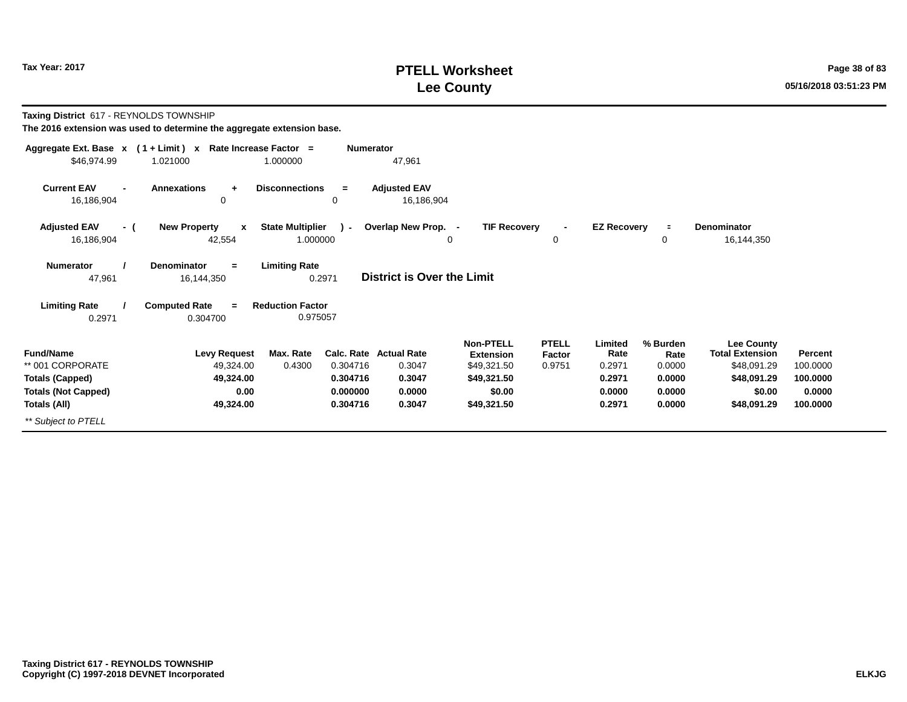# **PTELL Worksheet Tax Year: 2017 Page 38 of 83 Lee County 05/16/2018 03:51:23 PM**

**Taxing District** 617 - REYNOLDS TOWNSHIP

|                                                                                              | Aggregate Ext. Base $x$ (1 + Limit) x Rate Increase Factor = | <b>Numerator</b>                                        |                                                      |                                                                              |                                  |                                               |                                                |                                                                                     |                                           |
|----------------------------------------------------------------------------------------------|--------------------------------------------------------------|---------------------------------------------------------|------------------------------------------------------|------------------------------------------------------------------------------|----------------------------------|-----------------------------------------------|------------------------------------------------|-------------------------------------------------------------------------------------|-------------------------------------------|
| \$46,974.99                                                                                  | 1.021000                                                     | 1.000000                                                | 47,961                                               |                                                                              |                                  |                                               |                                                |                                                                                     |                                           |
| <b>Current EAV</b><br>$\blacksquare$<br>16,186,904                                           | <b>Annexations</b><br>$\ddot{\phantom{1}}$<br>0              | <b>Disconnections</b><br>$=$<br>0                       | <b>Adjusted EAV</b><br>16,186,904                    |                                                                              |                                  |                                               |                                                |                                                                                     |                                           |
| <b>Adjusted EAV</b><br>- (<br>16,186,904                                                     | <b>New Property</b><br>$\mathbf{x}$<br>42,554                | <b>State Multiplier</b><br>$\lambda$ -<br>1.000000      | Overlap New Prop. -<br>0                             | <b>TIF Recovery</b>                                                          | $\blacksquare$<br>0              | <b>EZ Recovery</b>                            | $\equiv$<br>0                                  | <b>Denominator</b><br>16,144,350                                                    |                                           |
| <b>Numerator</b><br>47,961                                                                   | Denominator<br>$\equiv$<br>16,144,350                        | <b>Limiting Rate</b><br>0.2971                          | District is Over the Limit                           |                                                                              |                                  |                                               |                                                |                                                                                     |                                           |
| <b>Limiting Rate</b><br>0.2971                                                               | <b>Computed Rate</b><br>$=$<br>0.304700                      | <b>Reduction Factor</b><br>0.975057                     |                                                      |                                                                              |                                  |                                               |                                                |                                                                                     |                                           |
| <b>Fund/Name</b><br>** 001 CORPORATE<br><b>Totals (Capped)</b><br><b>Totals (Not Capped)</b> | <b>Levy Request</b><br>49,324.00<br>49,324.00<br>0.00        | Max. Rate<br>0.4300<br>0.304716<br>0.304716<br>0.000000 | Calc. Rate Actual Rate<br>0.3047<br>0.3047<br>0.0000 | <b>Non-PTELL</b><br><b>Extension</b><br>\$49,321.50<br>\$49,321.50<br>\$0.00 | <b>PTELL</b><br>Factor<br>0.9751 | Limited<br>Rate<br>0.2971<br>0.2971<br>0.0000 | % Burden<br>Rate<br>0.0000<br>0.0000<br>0.0000 | <b>Lee County</b><br><b>Total Extension</b><br>\$48,091.29<br>\$48,091.29<br>\$0.00 | Percent<br>100.0000<br>100.0000<br>0.0000 |
| Totals (All)                                                                                 | 49,324.00                                                    | 0.304716                                                | 0.3047                                               | \$49,321.50                                                                  |                                  | 0.2971                                        | 0.0000                                         | \$48,091.29                                                                         | 100.0000                                  |
| ** Subject to PTELL                                                                          |                                                              |                                                         |                                                      |                                                                              |                                  |                                               |                                                |                                                                                     |                                           |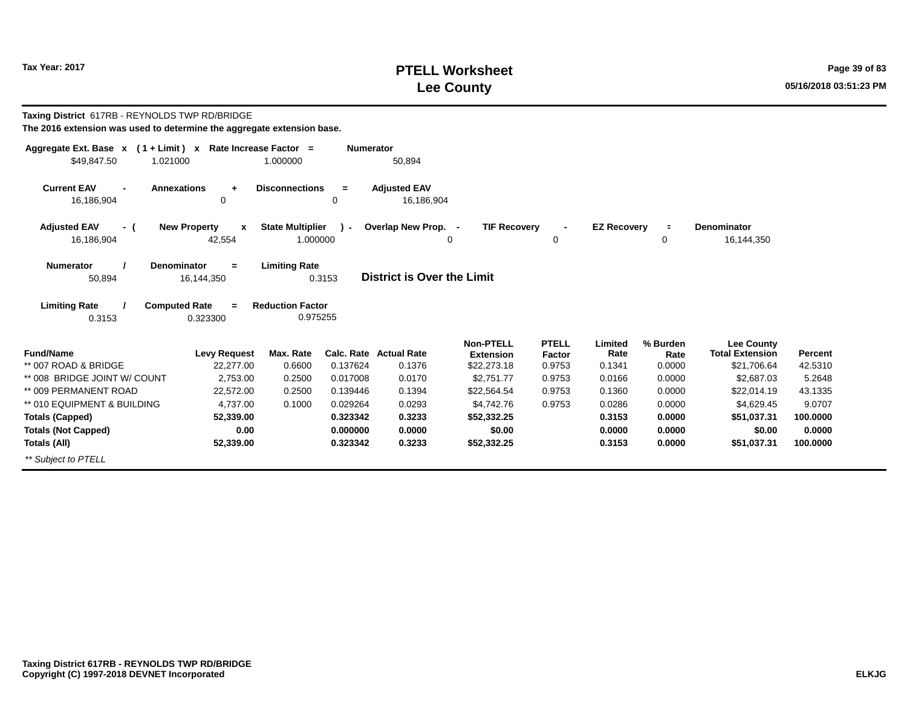# **PTELL Worksheet Tax Year: 2017 Page 39 of 83 Lee County 05/16/2018 03:51:23 PM**

| Taxing District 617RB - REYNOLDS TWP RD/BRIDGE<br>The 2016 extension was used to determine the aggregate extension base. |                                    |                                     |                      |                                   |                                      |                        |                    |                  |                                             |                   |
|--------------------------------------------------------------------------------------------------------------------------|------------------------------------|-------------------------------------|----------------------|-----------------------------------|--------------------------------------|------------------------|--------------------|------------------|---------------------------------------------|-------------------|
| Aggregate Ext. Base $x$ (1 + Limit) x Rate Increase Factor =<br>\$49,847.50<br>1.021000                                  |                                    | 1.000000                            | <b>Numerator</b>     | 50,894                            |                                      |                        |                    |                  |                                             |                   |
| <b>Current EAV</b><br><b>Annexations</b><br>16,186,904                                                                   | $\ddot{}$<br>0                     | <b>Disconnections</b>               | $=$<br>0             | <b>Adjusted EAV</b><br>16,186,904 |                                      |                        |                    |                  |                                             |                   |
| <b>Adjusted EAV</b><br>- (<br>16,186,904                                                                                 | <b>New Property</b><br>X<br>42,554 | <b>State Multiplier</b><br>1.000000 | $\mathbf{r}$         | Overlap New Prop. -               | <b>TIF Recovery</b><br>0             | $\blacksquare$<br>0    | <b>EZ Recovery</b> | $\equiv$<br>0    | Denominator<br>16,144,350                   |                   |
| <b>Denominator</b><br><b>Numerator</b><br>50,894                                                                         | $=$<br>16,144,350                  | <b>Limiting Rate</b>                | 0.3153               | District is Over the Limit        |                                      |                        |                    |                  |                                             |                   |
| <b>Limiting Rate</b><br><b>Computed Rate</b><br>0.3153                                                                   | $=$<br>0.323300                    | <b>Reduction Factor</b><br>0.975255 |                      |                                   |                                      |                        |                    |                  |                                             |                   |
| <b>Fund/Name</b>                                                                                                         | <b>Levy Request</b>                | Max. Rate                           |                      | <b>Calc. Rate Actual Rate</b>     | <b>Non-PTELL</b><br><b>Extension</b> | <b>PTELL</b><br>Factor | Limited<br>Rate    | % Burden<br>Rate | <b>Lee County</b><br><b>Total Extension</b> | Percent           |
| ** 007 ROAD & BRIDGE<br>** 008 BRIDGE JOINT W/ COUNT                                                                     | 22,277.00<br>2,753.00              | 0.6600<br>0.2500                    | 0.137624<br>0.017008 | 0.1376<br>0.0170                  | \$22,273.18<br>\$2,751.77            | 0.9753<br>0.9753       | 0.1341<br>0.0166   | 0.0000<br>0.0000 | \$21,706.64<br>\$2,687.03                   | 42.5310<br>5.2648 |
| ** 009 PERMANENT ROAD                                                                                                    | 22,572.00                          | 0.2500                              | 0.139446             | 0.1394                            | \$22,564.54                          | 0.9753                 | 0.1360             | 0.0000           | \$22,014.19                                 | 43.1335           |
| ** 010 EQUIPMENT & BUILDING                                                                                              | 4,737.00                           | 0.1000                              | 0.029264             | 0.0293                            | \$4,742.76                           | 0.9753                 | 0.0286             | 0.0000           | \$4,629.45                                  | 9.0707            |
| <b>Totals (Capped)</b>                                                                                                   | 52,339.00                          |                                     | 0.323342             | 0.3233                            | \$52,332.25                          |                        | 0.3153             | 0.0000           | \$51,037.31                                 | 100.0000          |
| <b>Totals (Not Capped)</b>                                                                                               | 0.00                               |                                     | 0.000000             | 0.0000                            | \$0.00                               |                        | 0.0000             | 0.0000           | \$0.00                                      | 0.0000            |
| Totals (All)                                                                                                             | 52,339.00                          |                                     | 0.323342             | 0.3233                            | \$52,332.25                          |                        | 0.3153             | 0.0000           | \$51,037.31                                 | 100.0000          |
| ** Subject to PTELL                                                                                                      |                                    |                                     |                      |                                   |                                      |                        |                    |                  |                                             |                   |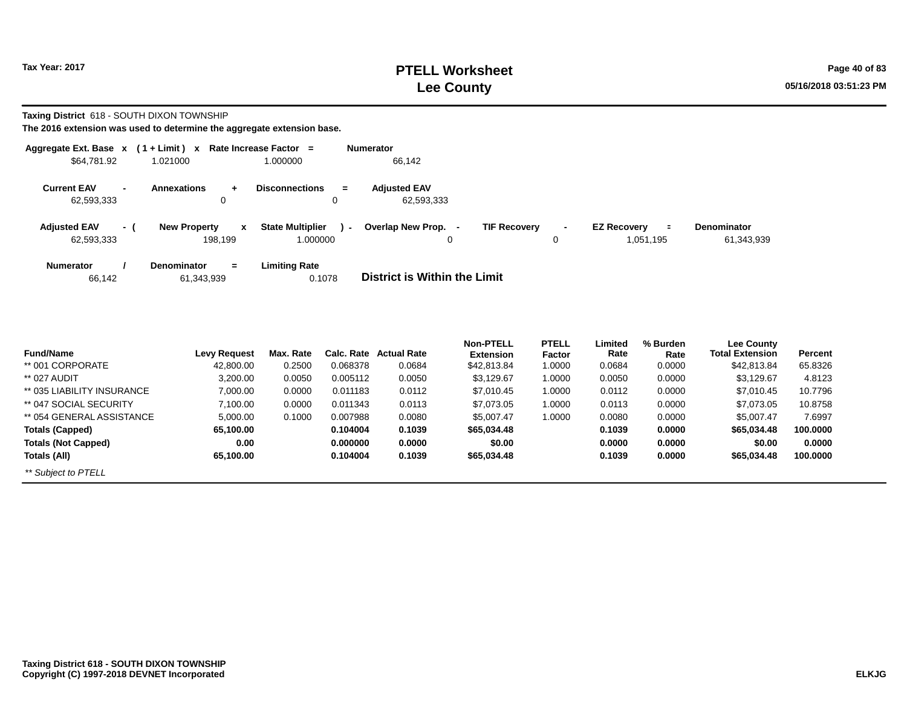**Taxing District** 618 - SOUTH DIXON TOWNSHIP

| Aggregate Ext. Base $x$ (1 + Limit) $x$ |     |                                                             | <b>Rate Increase Factor</b><br>$\equiv$       | <b>Numerator</b>                                                                                                                                              |
|-----------------------------------------|-----|-------------------------------------------------------------|-----------------------------------------------|---------------------------------------------------------------------------------------------------------------------------------------------------------------|
| \$64,781.92                             |     | 1.021000                                                    | 1.000000                                      | 66,142                                                                                                                                                        |
| <b>Current EAV</b><br>62,593,333        |     | Annexations<br>÷<br>$\Omega$                                | <b>Disconnections</b><br>$=$<br>0             | <b>Adjusted EAV</b><br>62,593,333                                                                                                                             |
| <b>Adjusted EAV</b><br>62,593,333       | - ( | <b>New Property</b><br>$\boldsymbol{\mathsf{x}}$<br>198.199 | <b>State Multiplier</b><br>$\sim$<br>1.000000 | <b>TIF Recovery</b><br>Overlap New Prop. -<br><b>EZ Recovery</b><br><b>Denominator</b><br>Ξ.<br>$\overline{\phantom{a}}$<br>61,343,939<br>1,051,195<br>0<br>0 |
| <b>Numerator</b><br>66,142              |     | <b>Denominator</b><br>$=$<br>61,343,939                     | <b>Limiting Rate</b><br>0.1078                | <b>District is Within the Limit</b>                                                                                                                           |

| <b>Fund/Name</b>           | <b>Levy Request</b> | Max. Rate | Calc. Rate | <b>Actual Rate</b> | <b>Non-PTELL</b><br><b>Extension</b> | <b>PTELL</b><br>Factor | Limited<br>Rate | % Burden<br>Rate | Lee County<br><b>Total Extension</b> | Percent  |
|----------------------------|---------------------|-----------|------------|--------------------|--------------------------------------|------------------------|-----------------|------------------|--------------------------------------|----------|
| ** 001 CORPORATE           | 42,800.00           | 0.2500    | 0.068378   | 0.0684             | \$42,813.84                          | 1.0000                 | 0.0684          | 0.0000           | \$42.813.84                          | 65.8326  |
| ** 027 AUDIT               | 3,200.00            | 0.0050    | 0.005112   | 0.0050             | \$3,129.67                           | 1.0000                 | 0.0050          | 0.0000           | \$3,129.67                           | 4.8123   |
| ** 035 LIABILITY INSURANCE | 7,000.00            | 0.0000    | 0.011183   | 0.0112             | \$7,010.45                           | 1.0000                 | 0.0112          | 0.0000           | \$7,010.45                           | 10.7796  |
| ** 047 SOCIAL SECURITY     | 7,100.00            | 0.0000    | 0.011343   | 0.0113             | \$7,073.05                           | 1.0000                 | 0.0113          | 0.0000           | \$7,073.05                           | 10.8758  |
| ** 054 GENERAL ASSISTANCE  | 5,000.00            | 0.1000    | 0.007988   | 0.0080             | \$5,007.47                           | 1.0000                 | 0.0080          | 0.0000           | \$5,007.47                           | 7.6997   |
| <b>Totals (Capped)</b>     | 65,100.00           |           | 0.104004   | 0.1039             | \$65,034,48                          |                        | 0.1039          | 0.0000           | \$65.034.48                          | 100.0000 |
| <b>Totals (Not Capped)</b> | 0.00                |           | 0.000000   | 0.0000             | \$0.00                               |                        | 0.0000          | 0.0000           | \$0.00                               | 0.0000   |
| Totals (All)               | 65,100.00           |           | 0.104004   | 0.1039             | \$65,034,48                          |                        | 0.1039          | 0.0000           | \$65,034.48                          | 100.0000 |
| ** Subject to PTELL        |                     |           |            |                    |                                      |                        |                 |                  |                                      |          |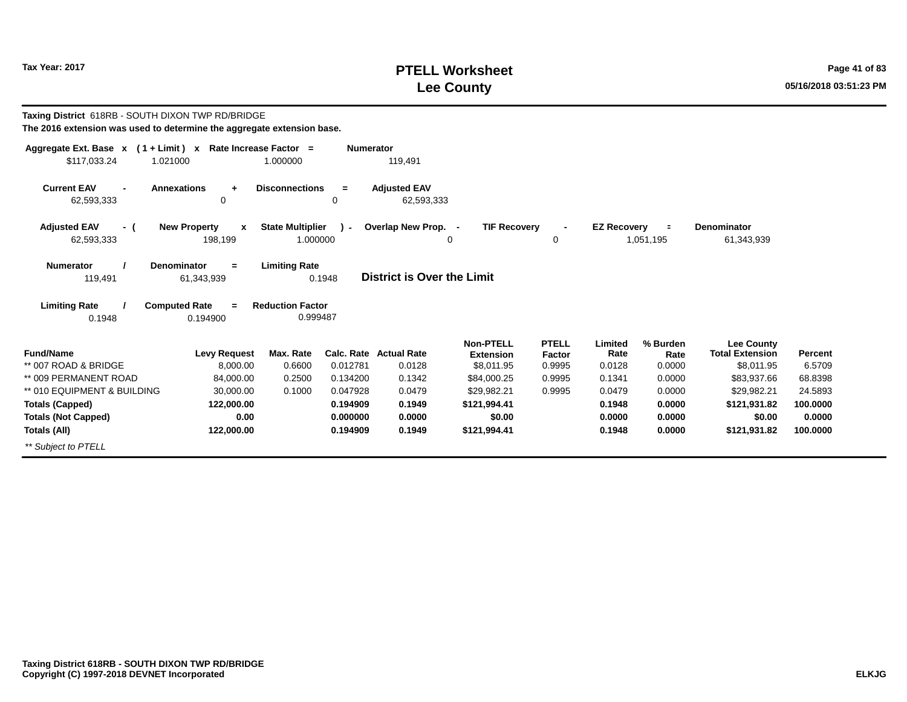# **PTELL Worksheet Tax Year: 2017 Page 41 of 83 Lee County 05/16/2018 03:51:23 PM**

| Taxing District 618RB - SOUTH DIXON TWP RD/BRIDGE<br>The 2016 extension was used to determine the aggregate extension base. |                                                    |                                     |                  |                                         |                                                    |                                  |                           |                            |                                                           |                   |
|-----------------------------------------------------------------------------------------------------------------------------|----------------------------------------------------|-------------------------------------|------------------|-----------------------------------------|----------------------------------------------------|----------------------------------|---------------------------|----------------------------|-----------------------------------------------------------|-------------------|
| Aggregate Ext. Base $x$ (1 + Limit) x Rate Increase Factor =<br>\$117,033.24                                                | 1.021000                                           | 1.000000                            | <b>Numerator</b> | 119,491                                 |                                                    |                                  |                           |                            |                                                           |                   |
| <b>Current EAV</b><br>62,593,333                                                                                            | <b>Annexations</b><br>$\ddot{+}$<br>0              | <b>Disconnections</b>               | $=$<br>0         | <b>Adjusted EAV</b><br>62,593,333       |                                                    |                                  |                           |                            |                                                           |                   |
| <b>Adjusted EAV</b><br>- (<br>62,593,333                                                                                    | <b>New Property</b><br>$\boldsymbol{x}$<br>198,199 | <b>State Multiplier</b><br>1.000000 | $\mathbf{r}$     | Overlap New Prop. -                     | <b>TIF Recovery</b><br>$\Omega$                    | $\Omega$                         | <b>EZ Recovery</b>        | $\equiv$<br>1,051,195      | <b>Denominator</b><br>61,343,939                          |                   |
| <b>Numerator</b><br>119,491                                                                                                 | Denominator<br>$=$<br>61,343,939                   | <b>Limiting Rate</b>                | 0.1948           | <b>District is Over the Limit</b>       |                                                    |                                  |                           |                            |                                                           |                   |
| <b>Limiting Rate</b>                                                                                                        | <b>Computed Rate</b><br>$=$                        | <b>Reduction Factor</b>             |                  |                                         |                                                    |                                  |                           |                            |                                                           |                   |
| 0.1948                                                                                                                      | 0.194900                                           | 0.999487                            |                  |                                         |                                                    |                                  |                           |                            |                                                           |                   |
| <b>Fund/Name</b><br>** 007 ROAD & BRIDGE                                                                                    | <b>Levy Request</b><br>8,000.00                    | Max. Rate<br>0.6600                 | 0.012781         | <b>Calc. Rate Actual Rate</b><br>0.0128 | <b>Non-PTELL</b><br><b>Extension</b><br>\$8,011.95 | <b>PTELL</b><br>Factor<br>0.9995 | Limited<br>Rate<br>0.0128 | % Burden<br>Rate<br>0.0000 | <b>Lee County</b><br><b>Total Extension</b><br>\$8,011.95 | Percent<br>6.5709 |
| ** 009 PERMANENT ROAD                                                                                                       | 84,000.00                                          | 0.2500                              | 0.134200         | 0.1342                                  | \$84,000.25                                        | 0.9995                           | 0.1341                    | 0.0000                     | \$83,937.66                                               | 68.8398           |
| ** 010 EQUIPMENT & BUILDING                                                                                                 | 30,000.00                                          | 0.1000                              | 0.047928         | 0.0479                                  | \$29,982.21                                        | 0.9995                           | 0.0479                    | 0.0000                     | \$29,982.21                                               | 24.5893           |
| <b>Totals (Capped)</b>                                                                                                      | 122,000.00                                         |                                     | 0.194909         | 0.1949                                  | \$121,994.41                                       |                                  | 0.1948                    | 0.0000                     | \$121,931.82                                              | 100.0000          |
| <b>Totals (Not Capped)</b>                                                                                                  | 0.00                                               |                                     | 0.000000         | 0.0000                                  | \$0.00                                             |                                  | 0.0000                    | 0.0000                     | \$0.00                                                    | 0.0000            |
| Totals (All)                                                                                                                | 122,000.00                                         |                                     | 0.194909         | 0.1949                                  | \$121,994.41                                       |                                  | 0.1948                    | 0.0000                     | \$121,931.82                                              | 100,0000          |
| ** Subject to PTELL                                                                                                         |                                                    |                                     |                  |                                         |                                                    |                                  |                           |                            |                                                           |                   |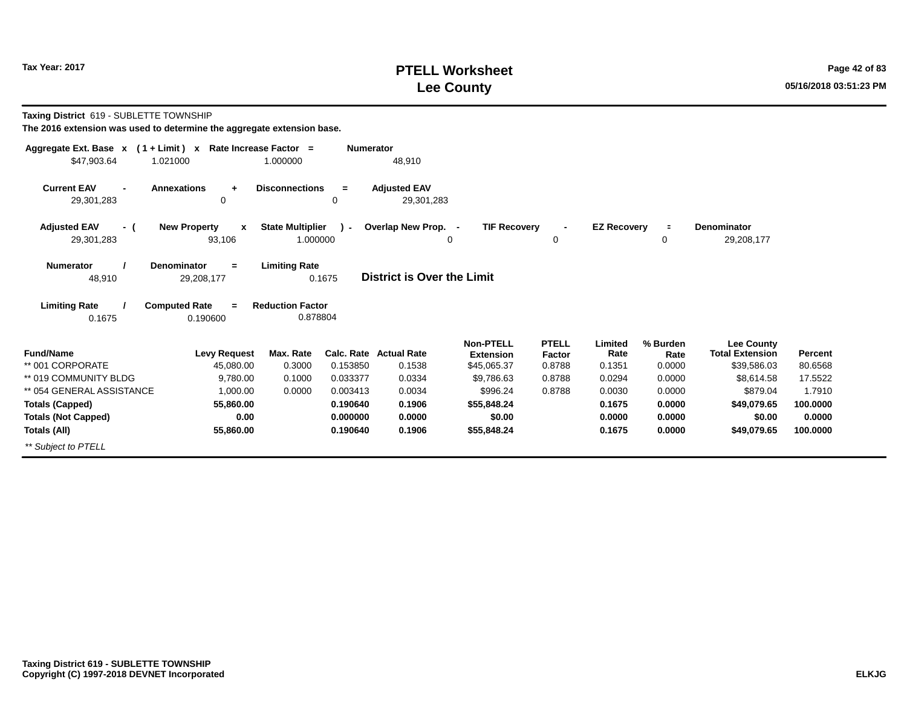# **PTELL Worksheet Tax Year: 2017 Page 42 of 83 Lee County 05/16/2018 03:51:23 PM**

**Taxing District** 619 - SUBLETTE TOWNSHIP

| Aggregate Ext. Base $x$ (1 + Limit) $x$              | Rate Increase Factor =              |                                          | <b>Numerator</b>                  |                           |                  |                    |                  |                           |                    |
|------------------------------------------------------|-------------------------------------|------------------------------------------|-----------------------------------|---------------------------|------------------|--------------------|------------------|---------------------------|--------------------|
| \$47,903.64<br>1.021000                              |                                     | 1.000000                                 | 48,910                            |                           |                  |                    |                  |                           |                    |
| <b>Current EAV</b>                                   | <b>Annexations</b><br>$\ddot{}$     | <b>Disconnections</b><br>$=$             | <b>Adjusted EAV</b>               |                           |                  |                    |                  |                           |                    |
| 29,301,283                                           | 0                                   | 0                                        | 29,301,283                        |                           |                  |                    |                  |                           |                    |
| <b>Adjusted EAV</b><br>- (                           | <b>New Property</b><br>$\mathbf{x}$ | <b>State Multiplier</b><br>$\mathbf{r}$  | Overlap New Prop. -               | <b>TIF Recovery</b>       | $\blacksquare$   | <b>EZ Recovery</b> | $\equiv$         | <b>Denominator</b>        |                    |
| 29,301,283                                           | 93,106                              | 1.000000                                 |                                   | 0                         | 0                |                    | 0                | 29,208,177                |                    |
| <b>Numerator</b>                                     | <b>Denominator</b><br>$=$           | <b>Limiting Rate</b>                     |                                   |                           |                  |                    |                  |                           |                    |
| 48,910                                               | 29,208,177                          | 0.1675                                   | <b>District is Over the Limit</b> |                           |                  |                    |                  |                           |                    |
| <b>Limiting Rate</b>                                 | <b>Computed Rate</b><br>$=$         | <b>Reduction Factor</b>                  |                                   |                           |                  |                    |                  |                           |                    |
| 0.1675                                               | 0.190600                            | 0.878804                                 |                                   |                           |                  |                    |                  |                           |                    |
|                                                      |                                     |                                          |                                   | <b>Non-PTELL</b>          | <b>PTELL</b>     | Limited            | % Burden         | <b>Lee County</b>         |                    |
| <b>Fund/Name</b><br>** 001 CORPORATE                 | <b>Levy Request</b>                 | Max. Rate                                | Calc. Rate Actual Rate            | <b>Extension</b>          | Factor           | Rate               | Rate             | <b>Total Extension</b>    | Percent            |
| ** 019 COMMUNITY BLDG                                | 45,080.00<br>9,780.00               | 0.3000<br>0.153850<br>0.033377<br>0.1000 | 0.1538<br>0.0334                  | \$45,065.37<br>\$9,786.63 | 0.8788<br>0.8788 | 0.1351<br>0.0294   | 0.0000<br>0.0000 | \$39,586.03<br>\$8,614.58 | 80.6568<br>17.5522 |
| ** 054 GENERAL ASSISTANCE                            | 1,000.00                            | 0.0000<br>0.003413                       | 0.0034                            | \$996.24                  | 0.8788           | 0.0030             | 0.0000           | \$879.04                  | 1.7910             |
|                                                      | 55,860.00                           | 0.190640                                 | 0.1906                            | \$55,848.24               |                  | 0.1675             | 0.0000           | \$49,079.65               | 100.0000           |
| <b>Totals (Capped)</b><br><b>Totals (Not Capped)</b> | 0.00                                | 0.000000                                 | 0.0000                            | \$0.00                    |                  | 0.0000             | 0.0000           | \$0.00                    | 0.0000             |
| Totals (All)                                         | 55,860.00                           | 0.190640                                 | 0.1906                            | \$55,848.24               |                  | 0.1675             | 0.0000           | \$49,079.65               | 100.0000           |
|                                                      |                                     |                                          |                                   |                           |                  |                    |                  |                           |                    |
| ** Subject to PTELL                                  |                                     |                                          |                                   |                           |                  |                    |                  |                           |                    |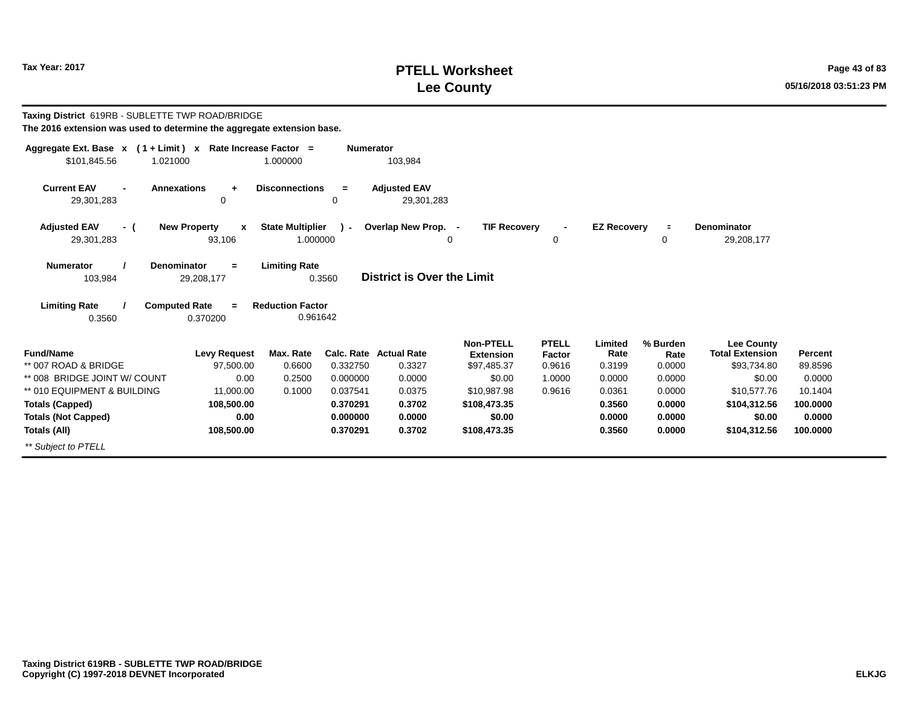# **PTELL Worksheet Tax Year: 2017 Page 43 of 83 Lee County 05/16/2018 03:51:23 PM**

| Taxing District 619RB - SUBLETTE TWP ROAD/BRIDGE<br>The 2016 extension was used to determine the aggregate extension base. |                                               |                                     |                  |                                         |                                                     |                                  |                           |                            |                                                            |                           |
|----------------------------------------------------------------------------------------------------------------------------|-----------------------------------------------|-------------------------------------|------------------|-----------------------------------------|-----------------------------------------------------|----------------------------------|---------------------------|----------------------------|------------------------------------------------------------|---------------------------|
| Aggregate Ext. Base $x$ (1 + Limit) x Rate Increase Factor =<br>\$101,845.56<br>1.021000                                   |                                               | 1.000000                            | <b>Numerator</b> | 103,984                                 |                                                     |                                  |                           |                            |                                                            |                           |
| <b>Current EAV</b><br>29,301,283                                                                                           | <b>Annexations</b><br>÷<br>0                  | <b>Disconnections</b>               | $=$<br>0         | <b>Adjusted EAV</b><br>29,301,283       |                                                     |                                  |                           |                            |                                                            |                           |
| <b>Adjusted EAV</b><br>- (<br>29,301,283                                                                                   | <b>New Property</b><br>$\mathbf{x}$<br>93,106 | <b>State Multiplier</b><br>1.000000 | $\mathbf{r}$     | Overlap New Prop. -                     | <b>TIF Recovery</b><br>$\mathbf 0$                  | $\blacksquare$<br>0              | <b>EZ Recoverv</b>        | $\equiv$<br>0              | <b>Denominator</b><br>29,208,177                           |                           |
| <b>Numerator</b><br>103,984                                                                                                | <b>Denominator</b><br>$=$<br>29,208,177       | <b>Limiting Rate</b>                | 0.3560           | <b>District is Over the Limit</b>       |                                                     |                                  |                           |                            |                                                            |                           |
| <b>Limiting Rate</b>                                                                                                       | <b>Computed Rate</b><br>$=$                   | <b>Reduction Factor</b>             |                  |                                         |                                                     |                                  |                           |                            |                                                            |                           |
| 0.3560                                                                                                                     | 0.370200                                      | 0.961642                            |                  |                                         |                                                     |                                  |                           |                            |                                                            |                           |
| <b>Fund/Name</b><br>** 007 ROAD & BRIDGE                                                                                   | <b>Levy Request</b><br>97,500.00              | Max. Rate<br>0.6600                 | 0.332750         | <b>Calc. Rate Actual Rate</b><br>0.3327 | <b>Non-PTELL</b><br><b>Extension</b><br>\$97,485.37 | <b>PTELL</b><br>Factor<br>0.9616 | Limited<br>Rate<br>0.3199 | % Burden<br>Rate<br>0.0000 | <b>Lee County</b><br><b>Total Extension</b><br>\$93,734.80 | <b>Percent</b><br>89.8596 |
| ** 008 BRIDGE JOINT W/ COUNT                                                                                               | 0.00                                          | 0.2500                              | 0.000000         | 0.0000                                  | \$0.00                                              | 1.0000                           | 0.0000                    | 0.0000                     | \$0.00                                                     | 0.0000                    |
| ** 010 EQUIPMENT & BUILDING                                                                                                | 11,000.00                                     | 0.1000                              | 0.037541         | 0.0375                                  | \$10,987.98                                         | 0.9616                           | 0.0361                    | 0.0000                     | \$10,577.76                                                | 10.1404                   |
| <b>Totals (Capped)</b>                                                                                                     | 108,500.00                                    |                                     | 0.370291         | 0.3702                                  | \$108,473.35                                        |                                  | 0.3560                    | 0.0000                     | \$104,312.56                                               | 100.0000                  |
| <b>Totals (Not Capped)</b>                                                                                                 | 0.00                                          |                                     | 0.000000         | 0.0000                                  | \$0.00                                              |                                  | 0.0000                    | 0.0000                     | \$0.00                                                     | 0.0000                    |
| Totals (All)                                                                                                               | 108,500.00                                    |                                     | 0.370291         | 0.3702                                  | \$108,473.35                                        |                                  | 0.3560                    | 0.0000                     | \$104,312.56                                               | 100,0000                  |
| ** Subject to PTELL                                                                                                        |                                               |                                     |                  |                                         |                                                     |                                  |                           |                            |                                                            |                           |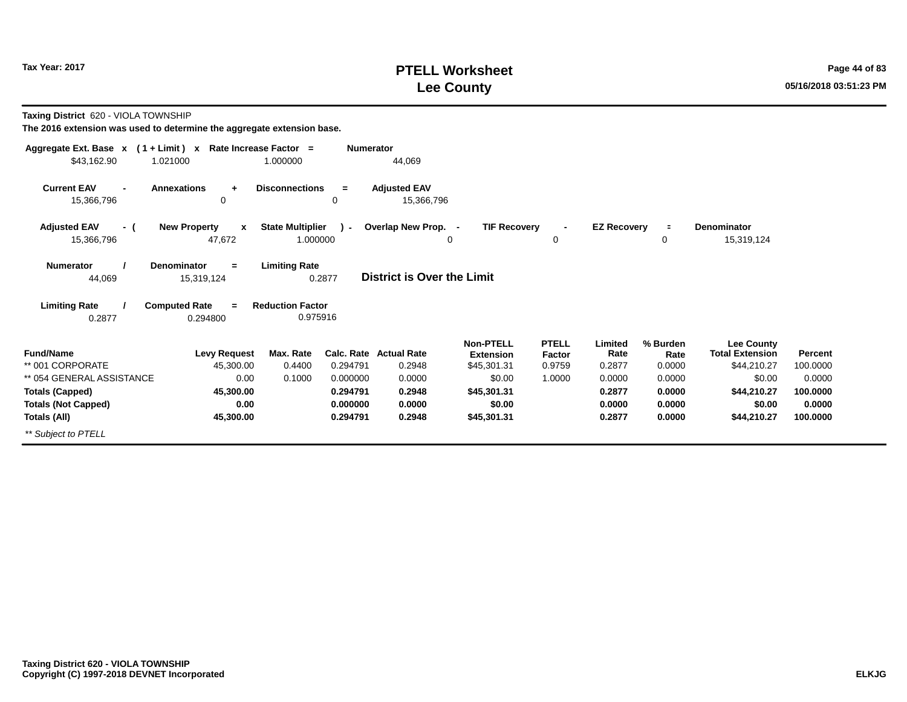# **PTELL Worksheet Tax Year: 2017 Page 44 of 83 Lee County 05/16/2018 03:51:23 PM**

**Taxing District** 620 - VIOLA TOWNSHIP

| Aggregate Ext. Base $x$ (1 + Limit) x Rate Increase Factor = |                                               |                                     | <b>Numerator</b> |                                   |                                      |                        |                    |                  |                                             |          |
|--------------------------------------------------------------|-----------------------------------------------|-------------------------------------|------------------|-----------------------------------|--------------------------------------|------------------------|--------------------|------------------|---------------------------------------------|----------|
| \$43,162.90                                                  | 1.021000                                      | 1.000000                            |                  | 44,069                            |                                      |                        |                    |                  |                                             |          |
| <b>Current EAV</b><br>15,366,796                             | <b>Annexations</b><br>$\ddot{}$<br>0          | <b>Disconnections</b>               | $\equiv$<br>0    | <b>Adjusted EAV</b><br>15,366,796 |                                      |                        |                    |                  |                                             |          |
| <b>Adjusted EAV</b><br>- (<br>15,366,796                     | <b>New Property</b><br>$\mathbf{x}$<br>47,672 | <b>State Multiplier</b><br>1.000000 | $\lambda$ -      | Overlap New Prop. -<br>0          | <b>TIF Recovery</b>                  | 0                      | <b>EZ Recovery</b> | $\equiv$<br>0    | <b>Denominator</b><br>15,319,124            |          |
| <b>Numerator</b><br>44,069                                   | Denominator<br>$=$<br>15,319,124              | <b>Limiting Rate</b>                | 0.2877           | <b>District is Over the Limit</b> |                                      |                        |                    |                  |                                             |          |
| <b>Limiting Rate</b><br>0.2877                               | <b>Computed Rate</b><br>$=$<br>0.294800       | <b>Reduction Factor</b><br>0.975916 |                  |                                   |                                      |                        |                    |                  |                                             |          |
| <b>Fund/Name</b>                                             | <b>Levy Request</b>                           | Max. Rate                           |                  | Calc. Rate Actual Rate            | <b>Non-PTELL</b><br><b>Extension</b> | <b>PTELL</b><br>Factor | Limited<br>Rate    | % Burden<br>Rate | <b>Lee County</b><br><b>Total Extension</b> | Percent  |
| ** 001 CORPORATE                                             | 45,300.00                                     | 0.4400                              | 0.294791         | 0.2948                            | \$45,301.31                          | 0.9759                 | 0.2877             | 0.0000           | \$44,210.27                                 | 100.0000 |
| ** 054 GENERAL ASSISTANCE                                    | 0.00                                          | 0.1000                              | 0.000000         | 0.0000                            | \$0.00                               | 1.0000                 | 0.0000             | 0.0000           | \$0.00                                      | 0.0000   |
| <b>Totals (Capped)</b>                                       | 45,300.00                                     |                                     | 0.294791         | 0.2948                            | \$45,301.31                          |                        | 0.2877             | 0.0000           | \$44,210.27                                 | 100.0000 |
| <b>Totals (Not Capped)</b>                                   | 0.00                                          |                                     | 0.000000         | 0.0000                            | \$0.00                               |                        | 0.0000             | 0.0000           | \$0.00                                      | 0.0000   |
| Totals (All)                                                 | 45,300.00                                     |                                     | 0.294791         | 0.2948                            | \$45,301.31                          |                        | 0.2877             | 0.0000           | \$44,210.27                                 | 100.0000 |
| ** Subject to PTELL                                          |                                               |                                     |                  |                                   |                                      |                        |                    |                  |                                             |          |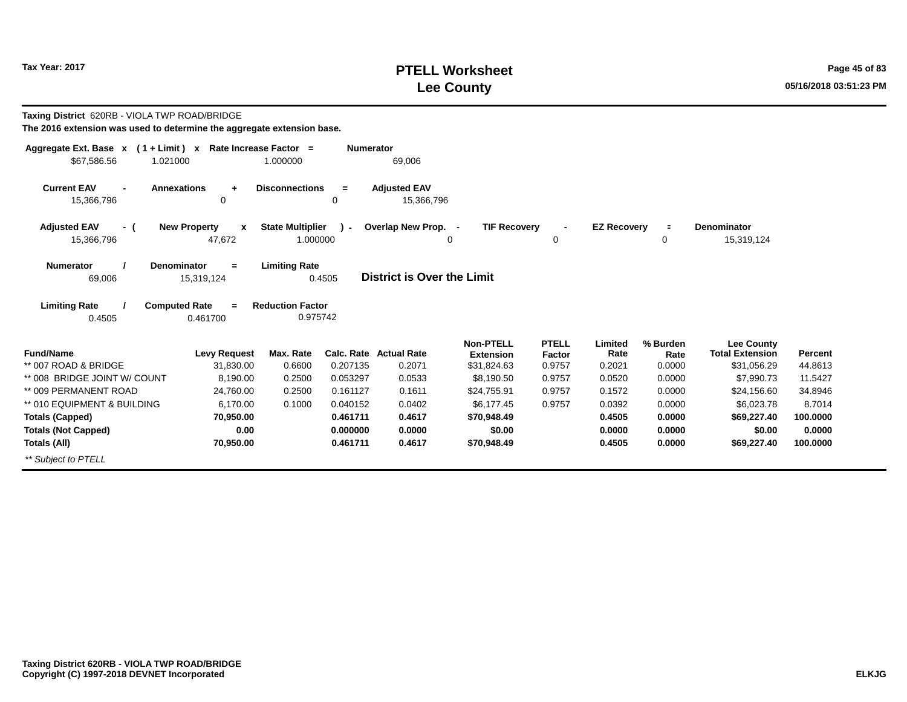# **PTELL Worksheet Tax Year: 2017 Page 45 of 83 Lee County 05/16/2018 03:51:23 PM**

| Taxing District 620RB - VIOLA TWP ROAD/BRIDGE<br>The 2016 extension was used to determine the aggregate extension base. |                                                                   |                                                             |                  |                                   |                                 |                  |                    |                |                                             |                           |
|-------------------------------------------------------------------------------------------------------------------------|-------------------------------------------------------------------|-------------------------------------------------------------|------------------|-----------------------------------|---------------------------------|------------------|--------------------|----------------|---------------------------------------------|---------------------------|
| Aggregate Ext. Base $x$ (1 + Limit) x Rate Increase Factor =<br>\$67,586.56<br>1.021000                                 |                                                                   | 1.000000                                                    | <b>Numerator</b> | 69,006                            |                                 |                  |                    |                |                                             |                           |
| <b>Current EAV</b><br><b>Annexations</b><br>15,366,796                                                                  | $\ddot{}$<br>0                                                    | <b>Disconnections</b>                                       | $=$<br>0         | <b>Adjusted EAV</b><br>15,366,796 |                                 |                  |                    |                |                                             |                           |
| <b>Adjusted EAV</b><br>- (                                                                                              | <b>New Property</b><br>$\boldsymbol{x}$                           | <b>State Multiplier</b>                                     | $\mathbf{r}$     | Overlap New Prop. -               | <b>TIF Recovery</b>             |                  | <b>EZ Recovery</b> | $\equiv$       | <b>Denominator</b>                          |                           |
| 15,366,796                                                                                                              | 47,672                                                            | 1.000000                                                    |                  |                                   | 0                               | 0                |                    | 0              | 15,319,124                                  |                           |
| <b>Denominator</b><br><b>Numerator</b><br>69,006<br><b>Limiting Rate</b><br>0.4505                                      | $=$<br>15,319,124<br><b>Computed Rate</b><br>$\equiv$<br>0.461700 | <b>Limiting Rate</b><br><b>Reduction Factor</b><br>0.975742 | 0.4505           | District is Over the Limit        |                                 |                  |                    |                |                                             |                           |
| <b>Fund/Name</b>                                                                                                        |                                                                   | Max. Rate                                                   |                  | <b>Calc. Rate Actual Rate</b>     | <b>Non-PTELL</b>                | <b>PTELL</b>     | Limited<br>Rate    | % Burden       | <b>Lee County</b><br><b>Total Extension</b> |                           |
| ** 007 ROAD & BRIDGE                                                                                                    | <b>Levy Request</b><br>31.830.00                                  | 0.6600                                                      | 0.207135         | 0.2071                            | <b>Extension</b><br>\$31,824.63 | Factor<br>0.9757 | 0.2021             | Rate<br>0.0000 | \$31,056.29                                 | <b>Percent</b><br>44.8613 |
| ** 008 BRIDGE JOINT W/ COUNT                                                                                            | 8.190.00                                                          | 0.2500                                                      | 0.053297         | 0.0533                            | \$8,190.50                      | 0.9757           | 0.0520             | 0.0000         | \$7,990.73                                  | 11.5427                   |
| ** 009 PERMANENT ROAD                                                                                                   | 24,760.00                                                         | 0.2500                                                      | 0.161127         | 0.1611                            | \$24,755.91                     | 0.9757           | 0.1572             | 0.0000         | \$24,156.60                                 | 34.8946                   |
| ** 010 EQUIPMENT & BUILDING                                                                                             | 6.170.00                                                          | 0.1000                                                      | 0.040152         | 0.0402                            | \$6,177.45                      | 0.9757           | 0.0392             | 0.0000         | \$6,023.78                                  | 8.7014                    |
| <b>Totals (Capped)</b>                                                                                                  | 70,950.00                                                         |                                                             | 0.461711         | 0.4617                            | \$70,948.49                     |                  | 0.4505             | 0.0000         | \$69,227.40                                 | 100.0000                  |
| <b>Totals (Not Capped)</b>                                                                                              | 0.00                                                              |                                                             | 0.000000         | 0.0000                            | \$0.00                          |                  | 0.0000             | 0.0000         | \$0.00                                      | 0.0000                    |
| Totals (All)                                                                                                            | 70,950.00                                                         |                                                             | 0.461711         | 0.4617                            | \$70,948.49                     |                  | 0.4505             | 0.0000         | \$69,227.40                                 | 100,0000                  |
| ** Subject to PTELL                                                                                                     |                                                                   |                                                             |                  |                                   |                                 |                  |                    |                |                                             |                           |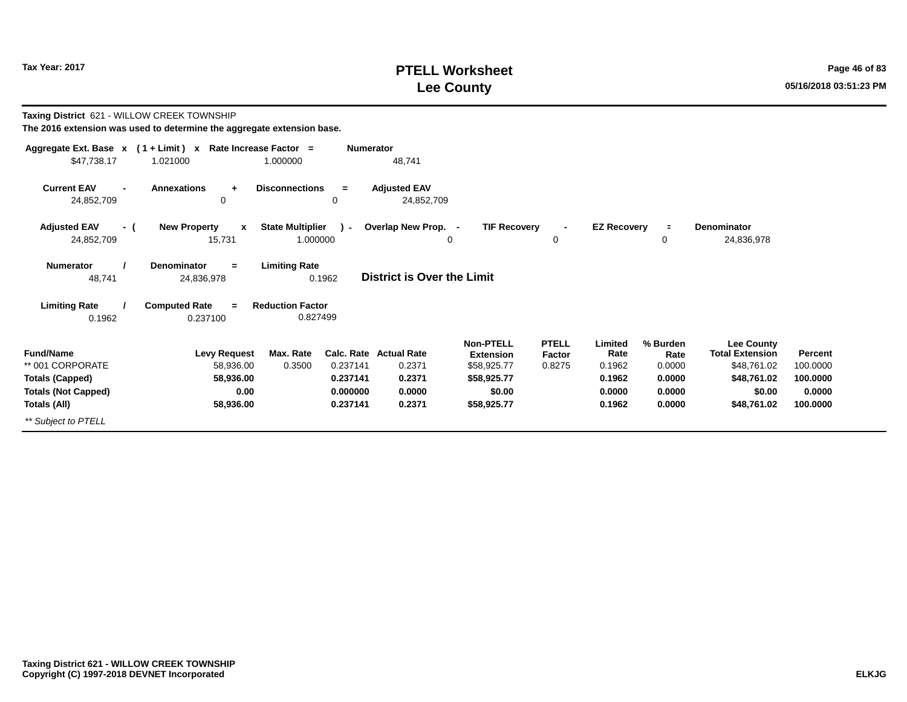# **PTELL Worksheet Tax Year: 2017 Page 46 of 83 Lee County 05/16/2018 03:51:23 PM**

| Taxing District 621 - WILLOW CREEK TOWNSHIP        |                                                                        |                                     |                  |                                   |                                      |                        |                    |                  |                                             |          |
|----------------------------------------------------|------------------------------------------------------------------------|-------------------------------------|------------------|-----------------------------------|--------------------------------------|------------------------|--------------------|------------------|---------------------------------------------|----------|
|                                                    | The 2016 extension was used to determine the aggregate extension base. |                                     |                  |                                   |                                      |                        |                    |                  |                                             |          |
|                                                    | Aggregate Ext. Base x (1+Limit) x Rate Increase Factor =               |                                     | <b>Numerator</b> |                                   |                                      |                        |                    |                  |                                             |          |
| \$47,738.17                                        | 1.021000                                                               | 1.000000                            |                  | 48,741                            |                                      |                        |                    |                  |                                             |          |
| <b>Current EAV</b><br>$\blacksquare$<br>24,852,709 | <b>Annexations</b><br>÷<br>0                                           | <b>Disconnections</b>               | $=$<br>0         | <b>Adjusted EAV</b><br>24,852,709 |                                      |                        |                    |                  |                                             |          |
| <b>Adjusted EAV</b><br>- (                         | <b>New Property</b><br>$\mathbf{x}$                                    | <b>State Multiplier</b>             | $\sim$           | Overlap New Prop. -               | <b>TIF Recovery</b>                  |                        | <b>EZ Recovery</b> | $\equiv$         | <b>Denominator</b>                          |          |
| 24,852,709                                         | 15,731                                                                 | 1.000000                            |                  |                                   | 0                                    | 0                      |                    | 0                | 24,836,978                                  |          |
| <b>Numerator</b><br>48,741                         | <b>Denominator</b><br>$=$<br>24,836,978                                | <b>Limiting Rate</b>                | 0.1962           | <b>District is Over the Limit</b> |                                      |                        |                    |                  |                                             |          |
| <b>Limiting Rate</b><br>0.1962                     | <b>Computed Rate</b><br>$\equiv$<br>0.237100                           | <b>Reduction Factor</b><br>0.827499 |                  |                                   |                                      |                        |                    |                  |                                             |          |
| <b>Fund/Name</b>                                   | <b>Levy Request</b>                                                    | Max. Rate                           | Calc. Rate       | <b>Actual Rate</b>                | <b>Non-PTELL</b><br><b>Extension</b> | <b>PTELL</b><br>Factor | Limited<br>Rate    | % Burden<br>Rate | <b>Lee County</b><br><b>Total Extension</b> | Percent  |
| ** 001 CORPORATE                                   | 58,936.00                                                              | 0.3500                              | 0.237141         | 0.2371                            | \$58,925.77                          | 0.8275                 | 0.1962             | 0.0000           | \$48,761.02                                 | 100.0000 |
| <b>Totals (Capped)</b>                             | 58,936.00                                                              |                                     | 0.237141         | 0.2371                            | \$58,925.77                          |                        | 0.1962             | 0.0000           | \$48,761.02                                 | 100.0000 |
| <b>Totals (Not Capped)</b>                         | 0.00                                                                   |                                     | 0.000000         | 0.0000                            | \$0.00                               |                        | 0.0000             | 0.0000           | \$0.00                                      | 0.0000   |
| Totals (All)                                       | 58,936.00                                                              |                                     | 0.237141         | 0.2371                            | \$58,925.77                          |                        | 0.1962             | 0.0000           | \$48,761.02                                 | 100.0000 |
| ** Subject to PTELL                                |                                                                        |                                     |                  |                                   |                                      |                        |                    |                  |                                             |          |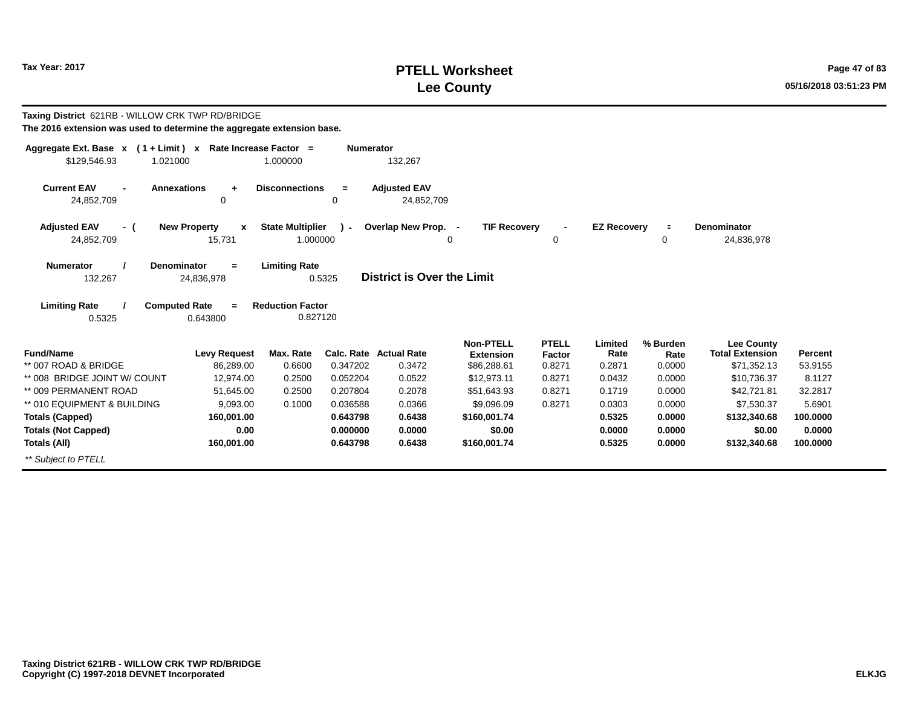# **PTELL Worksheet Tax Year: 2017 Page 47 of 83 Lee County 05/16/2018 03:51:23 PM**

| Taxing District 621RB - WILLOW CRK TWP RD/BRIDGE<br>The 2016 extension was used to determine the aggregate extension base. |                          |                                     |                  |                                   |                                      |                        |                    |                  |                                             |          |
|----------------------------------------------------------------------------------------------------------------------------|--------------------------|-------------------------------------|------------------|-----------------------------------|--------------------------------------|------------------------|--------------------|------------------|---------------------------------------------|----------|
| Aggregate Ext. Base x (1+Limit) x Rate Increase Factor =                                                                   |                          |                                     | <b>Numerator</b> |                                   |                                      |                        |                    |                  |                                             |          |
| \$129,546.93<br>1.021000                                                                                                   |                          | 1.000000                            |                  | 132,267                           |                                      |                        |                    |                  |                                             |          |
| <b>Current EAV</b><br><b>Annexations</b><br>24,852,709                                                                     | $\ddot{}$<br>0           | <b>Disconnections</b>               | $=$<br>0         | <b>Adjusted EAV</b><br>24,852,709 |                                      |                        |                    |                  |                                             |          |
| <b>Adjusted EAV</b><br>- (                                                                                                 | <b>New Property</b><br>X | <b>State Multiplier</b>             | ι.               | Overlap New Prop. -               | <b>TIF Recovery</b>                  |                        | <b>EZ Recovery</b> | $\blacksquare$   | <b>Denominator</b>                          |          |
| 24,852,709                                                                                                                 | 15,731                   | 1.000000                            |                  |                                   | 0                                    | 0                      |                    | 0                | 24,836,978                                  |          |
| Denominator<br><b>Numerator</b><br>132,267                                                                                 | $=$<br>24,836,978        | <b>Limiting Rate</b>                | 0.5325           | District is Over the Limit        |                                      |                        |                    |                  |                                             |          |
| <b>Limiting Rate</b><br><b>Computed Rate</b><br>0.5325                                                                     | 0.643800                 | <b>Reduction Factor</b><br>0.827120 |                  |                                   |                                      |                        |                    |                  |                                             |          |
| <b>Fund/Name</b>                                                                                                           | <b>Levy Request</b>      | Max. Rate                           |                  | <b>Calc. Rate Actual Rate</b>     | <b>Non-PTELL</b><br><b>Extension</b> | <b>PTELL</b><br>Factor | Limited<br>Rate    | % Burden<br>Rate | <b>Lee County</b><br><b>Total Extension</b> | Percent  |
| ** 007 ROAD & BRIDGE                                                                                                       | 86,289.00                | 0.6600                              | 0.347202         | 0.3472                            | \$86,288.61                          | 0.8271                 | 0.2871             | 0.0000           | \$71,352.13                                 | 53.9155  |
| ** 008 BRIDGE JOINT W/ COUNT                                                                                               | 12,974.00                | 0.2500                              | 0.052204         | 0.0522                            | \$12,973.11                          | 0.8271                 | 0.0432             | 0.0000           | \$10,736.37                                 | 8.1127   |
| ** 009 PERMANENT ROAD                                                                                                      | 51,645.00                | 0.2500                              | 0.207804         | 0.2078                            | \$51,643.93                          | 0.8271                 | 0.1719             | 0.0000           | \$42,721.81                                 | 32.2817  |
| ** 010 EQUIPMENT & BUILDING                                                                                                | 9,093.00                 | 0.1000                              | 0.036588         | 0.0366                            | \$9,096.09                           | 0.8271                 | 0.0303             | 0.0000           | \$7,530.37                                  | 5.6901   |
| <b>Totals (Capped)</b>                                                                                                     | 160,001.00               |                                     | 0.643798         | 0.6438                            | \$160,001.74                         |                        | 0.5325             | 0.0000           | \$132,340.68                                | 100.0000 |
| <b>Totals (Not Capped)</b>                                                                                                 | 0.00                     |                                     | 0.000000         | 0.0000                            | \$0.00                               |                        | 0.0000             | 0.0000           | \$0.00                                      | 0.0000   |
| Totals (All)                                                                                                               | 160,001.00               |                                     | 0.643798         | 0.6438                            | \$160,001.74                         |                        | 0.5325             | 0.0000           | \$132,340.68                                | 100.0000 |
| ** Subiect to PTELL                                                                                                        |                          |                                     |                  |                                   |                                      |                        |                    |                  |                                             |          |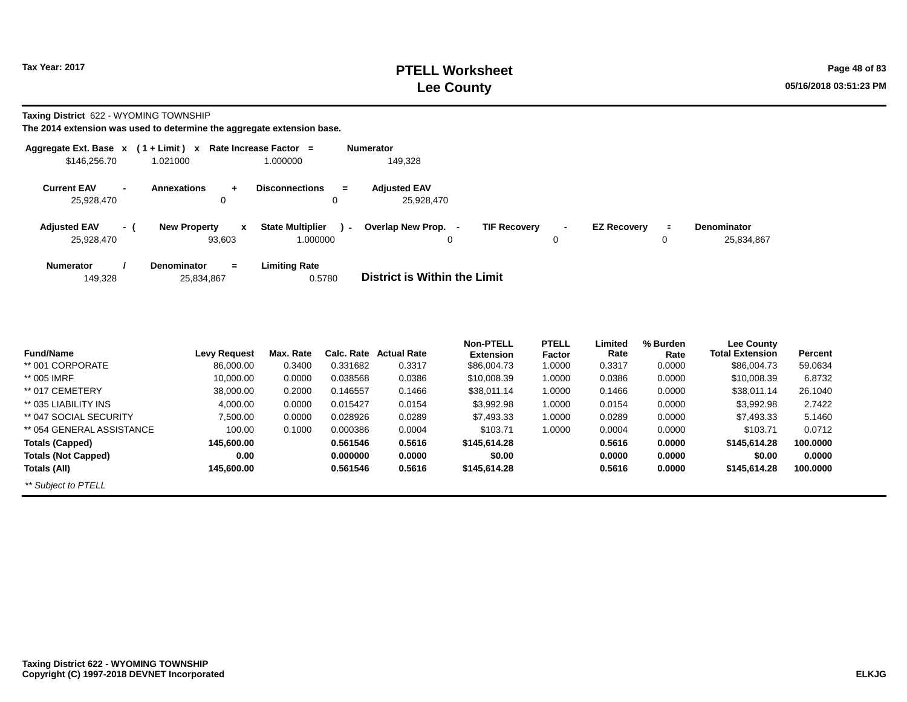**Taxing District** 622 - WYOMING TOWNSHIP

| Aggregate Ext. Base $x$ (1 + Limit) $x$ |                          |                                               | Rate Increase Factor =                        | <b>Numerator</b>                                                                                                                              |
|-----------------------------------------|--------------------------|-----------------------------------------------|-----------------------------------------------|-----------------------------------------------------------------------------------------------------------------------------------------------|
| \$146,256.70                            |                          | 1.021000                                      | 1.000000                                      | 149.328                                                                                                                                       |
| <b>Current EAV</b><br>25.928.470        | $\overline{\phantom{0}}$ | <b>Annexations</b><br>$+$<br>0                | <b>Disconnections</b><br>$\equiv$<br>0        | <b>Adiusted EAV</b><br>25,928,470                                                                                                             |
| <b>Adjusted EAV</b><br>25,928,470       | - (                      | <b>New Property</b><br>$\mathbf{x}$<br>93.603 | <b>State Multiplier</b><br>$\sim$<br>1.000000 | Overlap New Prop. -<br><b>TIF Recovery</b><br><b>EZ Recovery</b><br><b>Denominator</b><br>$\blacksquare$<br>$\blacksquare$<br>25,834,867<br>0 |
| <b>Numerator</b><br>149,328             |                          | <b>Denominator</b><br>$=$<br>25,834,867       | <b>Limiting Rate</b><br>0.5780                | District is Within the Limit                                                                                                                  |

| <b>Fund/Name</b>           | <b>Levy Request</b> | Max. Rate | Calc. Rate | <b>Actual Rate</b> | <b>Non-PTELL</b><br><b>Extension</b> | <b>PTELL</b><br>Factor | Limited<br>Rate | % Burden<br>Rate | <b>Lee County</b><br><b>Total Extension</b> | Percent  |
|----------------------------|---------------------|-----------|------------|--------------------|--------------------------------------|------------------------|-----------------|------------------|---------------------------------------------|----------|
| ** 001 CORPORATE           | 86.000.00           | 0.3400    | 0.331682   | 0.3317             | \$86,004.73                          | 1.0000                 | 0.3317          | 0.0000           | \$86,004.73                                 | 59.0634  |
|                            |                     |           |            |                    |                                      |                        |                 |                  |                                             |          |
| ** 005 IMRF                | 10.000.00           | 0.0000    | 0.038568   | 0.0386             | \$10,008.39                          | 1.0000                 | 0.0386          | 0.0000           | \$10,008.39                                 | 6.8732   |
| ** 017 CEMETERY            | 38,000,00           | 0.2000    | 0.146557   | 0.1466             | \$38,011.14                          | 1.0000                 | 0.1466          | 0.0000           | \$38,011.14                                 | 26.1040  |
| ** 035 LIABILITY INS       | 4.000.00            | 0.0000    | 0.015427   | 0.0154             | \$3,992.98                           | 1.0000                 | 0.0154          | 0.0000           | \$3,992.98                                  | 2.7422   |
| ** 047 SOCIAL SECURITY     | 7.500.00            | 0.0000    | 0.028926   | 0.0289             | \$7,493.33                           | 1.0000                 | 0.0289          | 0.0000           | \$7.493.33                                  | 5.1460   |
| ** 054 GENERAL ASSISTANCE  | 100.00              | 0.1000    | 0.000386   | 0.0004             | \$103.71                             | 1.0000                 | 0.0004          | 0.0000           | \$103.71                                    | 0.0712   |
| <b>Totals (Capped)</b>     | 145.600.00          |           | 0.561546   | 0.5616             | \$145,614,28                         |                        | 0.5616          | 0.0000           | \$145,614.28                                | 100,0000 |
| <b>Totals (Not Capped)</b> | 0.00                |           | 0.000000   | 0.0000             | \$0.00                               |                        | 0.0000          | 0.0000           | \$0.00                                      | 0.0000   |
| Totals (All)               | 145.600.00          |           | 0.561546   | 0.5616             | \$145,614.28                         |                        | 0.5616          | 0.0000           | \$145,614.28                                | 100,0000 |
| ** Subject to PTELL        |                     |           |            |                    |                                      |                        |                 |                  |                                             |          |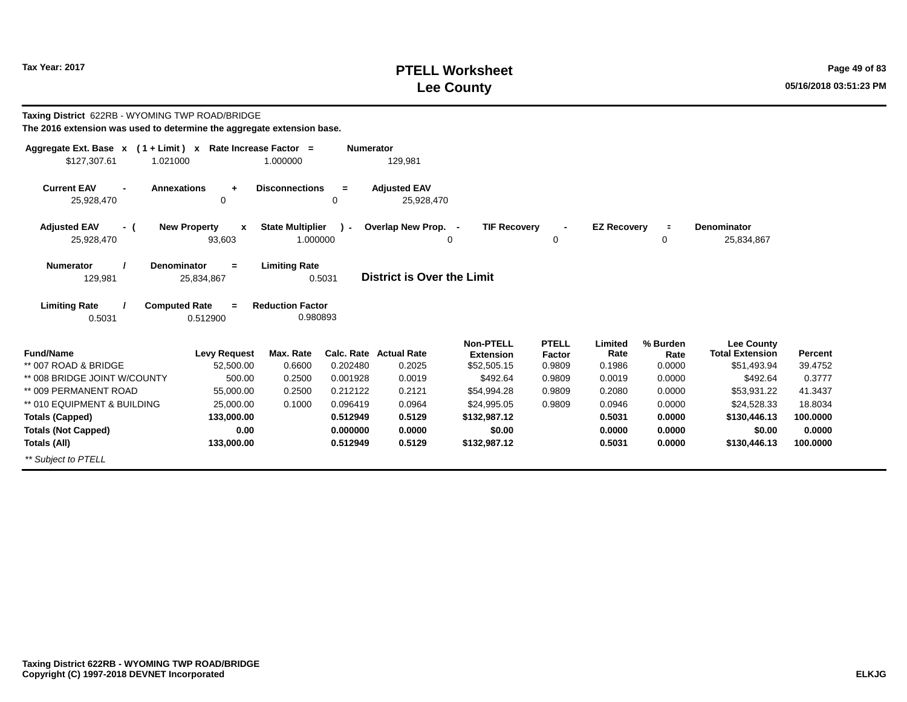# **PTELL Worksheet Tax Year: 2017 Page 49 of 83 Lee County 05/16/2018 03:51:23 PM**

| Taxing District 622RB - WYOMING TWP ROAD/BRIDGE<br>The 2016 extension was used to determine the aggregate extension base. |                                                                   |                                                             |                  |                                   |                                      |                        |                    |                  |                                             |          |
|---------------------------------------------------------------------------------------------------------------------------|-------------------------------------------------------------------|-------------------------------------------------------------|------------------|-----------------------------------|--------------------------------------|------------------------|--------------------|------------------|---------------------------------------------|----------|
| Aggregate Ext. Base $x$ (1 + Limit) x Rate Increase Factor =<br>\$127,307.61<br>1.021000                                  |                                                                   | 1.000000                                                    | <b>Numerator</b> | 129,981                           |                                      |                        |                    |                  |                                             |          |
| <b>Current EAV</b><br><b>Annexations</b><br>25,928,470                                                                    | $\ddot{}$<br>0                                                    | <b>Disconnections</b>                                       | $=$<br>0         | <b>Adjusted EAV</b><br>25,928,470 |                                      |                        |                    |                  |                                             |          |
| <b>Adjusted EAV</b><br>- (                                                                                                | <b>New Property</b><br>$\boldsymbol{x}$                           | <b>State Multiplier</b>                                     | $\mathbf{r}$     | Overlap New Prop. -               | <b>TIF Recovery</b>                  |                        | <b>EZ Recovery</b> | $\equiv$         | <b>Denominator</b>                          |          |
| 25,928,470                                                                                                                | 93,603                                                            | 1.000000                                                    |                  | 0                                 |                                      | 0                      |                    | 0                | 25,834,867                                  |          |
| Numerator<br><b>Denominator</b><br>129,981<br><b>Limiting Rate</b><br>0.5031                                              | $=$<br>25,834,867<br><b>Computed Rate</b><br>$\equiv$<br>0.512900 | <b>Limiting Rate</b><br><b>Reduction Factor</b><br>0.980893 | 0.5031           | District is Over the Limit        |                                      |                        |                    |                  |                                             |          |
| <b>Fund/Name</b>                                                                                                          | <b>Levy Request</b>                                               | Max. Rate                                                   |                  | <b>Calc. Rate Actual Rate</b>     | <b>Non-PTELL</b><br><b>Extension</b> | <b>PTELL</b><br>Factor | Limited<br>Rate    | % Burden<br>Rate | <b>Lee County</b><br><b>Total Extension</b> | Percent  |
| ** 007 ROAD & BRIDGE                                                                                                      | 52,500.00                                                         | 0.6600                                                      | 0.202480         | 0.2025                            | \$52,505.15                          | 0.9809                 | 0.1986             | 0.0000           | \$51,493.94                                 | 39.4752  |
| ** 008 BRIDGE JOINT W/COUNTY                                                                                              | 500.00                                                            | 0.2500                                                      | 0.001928         | 0.0019                            | \$492.64                             | 0.9809                 | 0.0019             | 0.0000           | \$492.64                                    | 0.3777   |
| ** 009 PERMANENT ROAD                                                                                                     | 55,000.00                                                         | 0.2500                                                      | 0.212122         | 0.2121                            | \$54,994.28                          | 0.9809                 | 0.2080             | 0.0000           | \$53,931.22                                 | 41.3437  |
| ** 010 EQUIPMENT & BUILDING                                                                                               | 25,000.00                                                         | 0.1000                                                      | 0.096419         | 0.0964                            | \$24,995.05                          | 0.9809                 | 0.0946             | 0.0000           | \$24,528.33                                 | 18.8034  |
| <b>Totals (Capped)</b>                                                                                                    | 133,000.00                                                        |                                                             | 0.512949         | 0.5129                            | \$132.987.12                         |                        | 0.5031             | 0.0000           | \$130,446.13                                | 100,0000 |
| <b>Totals (Not Capped)</b>                                                                                                | 0.00                                                              |                                                             | 0.000000         | 0.0000                            | \$0.00                               |                        | 0.0000             | 0.0000           | \$0.00                                      | 0.0000   |
| Totals (All)                                                                                                              | 133,000.00                                                        |                                                             | 0.512949         | 0.5129                            | \$132,987.12                         |                        | 0.5031             | 0.0000           | \$130,446.13                                | 100.0000 |
| ** Subject to PTELL                                                                                                       |                                                                   |                                                             |                  |                                   |                                      |                        |                    |                  |                                             |          |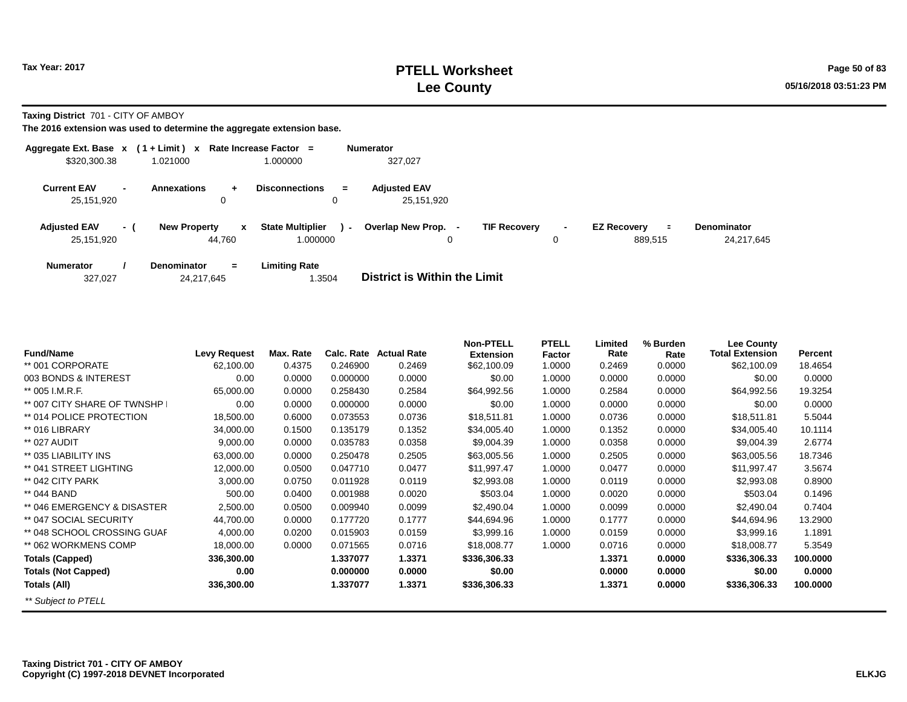**Taxing District** 701 - CITY OF AMBOY

**The 2016 extension was used to determine the aggregate extension base.**

| Aggregate Ext. Base $x$ (1 + Limit) $x$ |                          |                                         | Rate Increase Factor =                        | <b>Numerator</b>                              |                     |                                           |                                  |
|-----------------------------------------|--------------------------|-----------------------------------------|-----------------------------------------------|-----------------------------------------------|---------------------|-------------------------------------------|----------------------------------|
| \$320,300.38                            |                          | 1.021000                                | 1.000000                                      | 327,027                                       |                     |                                           |                                  |
| <b>Current EAV</b><br>25,151,920        | $\overline{\phantom{a}}$ | Annexations<br>÷<br>0                   | <b>Disconnections</b><br>$=$<br>0             | <b>Adiusted EAV</b><br>25,151,920             |                     |                                           |                                  |
| <b>Adjusted EAV</b><br>25,151,920       | - 1                      | <b>New Property</b><br>x<br>44.760      | <b>State Multiplier</b><br>$\sim$<br>1.000000 | Overlap New Prop.<br><b>TIF Recovery</b><br>0 | $\blacksquare$<br>0 | <b>EZ Recovery</b><br>$\equiv$<br>889,515 | <b>Denominator</b><br>24,217,645 |
| <b>Numerator</b><br>327,027             |                          | <b>Denominator</b><br>$=$<br>24.217.645 | <b>Limiting Rate</b><br>.3504                 | District is Within the Limit                  |                     |                                           |                                  |

| <b>Fund/Name</b>            | <b>Levy Request</b> | Max. Rate | Calc, Rate | <b>Actual Rate</b> | <b>Non-PTELL</b> | <b>PTELL</b> | Limited<br>Rate | % Burden | Lee County<br><b>Total Extension</b> | Percent  |
|-----------------------------|---------------------|-----------|------------|--------------------|------------------|--------------|-----------------|----------|--------------------------------------|----------|
|                             |                     |           |            |                    | <b>Extension</b> | Factor       |                 | Rate     |                                      |          |
| ** 001 CORPORATE            | 62,100.00           | 0.4375    | 0.246900   | 0.2469             | \$62,100.09      | 1.0000       | 0.2469          | 0.0000   | \$62,100.09                          | 18.4654  |
| 003 BONDS & INTEREST        | 0.00                | 0.0000    | 0.000000   | 0.0000             | \$0.00           | 1.0000       | 0.0000          | 0.0000   | \$0.00                               | 0.0000   |
| ** 005 I.M.R.F.             | 65,000.00           | 0.0000    | 0.258430   | 0.2584             | \$64,992.56      | 1.0000       | 0.2584          | 0.0000   | \$64,992.56                          | 19.3254  |
| ** 007 CITY SHARE OF TWNSHP | 0.00                | 0.0000    | 0.000000   | 0.0000             | \$0.00           | 1.0000       | 0.0000          | 0.0000   | \$0.00                               | 0.0000   |
| ** 014 POLICE PROTECTION    | 18,500.00           | 0.6000    | 0.073553   | 0.0736             | \$18,511.81      | 1.0000       | 0.0736          | 0.0000   | \$18,511.81                          | 5.5044   |
| ** 016 LIBRARY              | 34,000.00           | 0.1500    | 0.135179   | 0.1352             | \$34,005.40      | 1.0000       | 0.1352          | 0.0000   | \$34,005.40                          | 10.1114  |
| ** 027 AUDIT                | 9,000.00            | 0.0000    | 0.035783   | 0.0358             | \$9,004.39       | 1.0000       | 0.0358          | 0.0000   | \$9,004.39                           | 2.6774   |
| ** 035 LIABILITY INS        | 63,000.00           | 0.0000    | 0.250478   | 0.2505             | \$63,005.56      | 1.0000       | 0.2505          | 0.0000   | \$63,005.56                          | 18.7346  |
| ** 041 STREET LIGHTING      | 12,000.00           | 0.0500    | 0.047710   | 0.0477             | \$11,997.47      | 1.0000       | 0.0477          | 0.0000   | \$11,997.47                          | 3.5674   |
| ** 042 CITY PARK            | 3,000.00            | 0.0750    | 0.011928   | 0.0119             | \$2,993.08       | 1.0000       | 0.0119          | 0.0000   | \$2,993.08                           | 0.8900   |
| ** 044 BAND                 | 500.00              | 0.0400    | 0.001988   | 0.0020             | \$503.04         | 1.0000       | 0.0020          | 0.0000   | \$503.04                             | 0.1496   |
| ** 046 EMERGENCY & DISASTER | 2,500.00            | 0.0500    | 0.009940   | 0.0099             | \$2,490.04       | 1.0000       | 0.0099          | 0.0000   | \$2,490.04                           | 0.7404   |
| ** 047 SOCIAL SECURITY      | 44,700.00           | 0.0000    | 0.177720   | 0.1777             | \$44,694.96      | 1.0000       | 0.1777          | 0.0000   | \$44,694.96                          | 13.2900  |
| ** 048 SCHOOL CROSSING GUAF | 4,000.00            | 0.0200    | 0.015903   | 0.0159             | \$3,999.16       | 1.0000       | 0.0159          | 0.0000   | \$3,999.16                           | 1.1891   |
| ** 062 WORKMENS COMP        | 18,000.00           | 0.0000    | 0.071565   | 0.0716             | \$18,008.77      | 1.0000       | 0.0716          | 0.0000   | \$18,008.77                          | 5.3549   |
| <b>Totals (Capped)</b>      | 336,300.00          |           | 1.337077   | 1.3371             | \$336,306.33     |              | 1.3371          | 0.0000   | \$336,306.33                         | 100.0000 |
| <b>Totals (Not Capped)</b>  | 0.00                |           | 0.000000   | 0.0000             | \$0.00           |              | 0.0000          | 0.0000   | \$0.00                               | 0.0000   |
| Totals (All)                | 336,300.00          |           | 1.337077   | 1.3371             | \$336,306.33     |              | 1.3371          | 0.0000   | \$336,306.33                         | 100.0000 |
| ** Subject to PTELL         |                     |           |            |                    |                  |              |                 |          |                                      |          |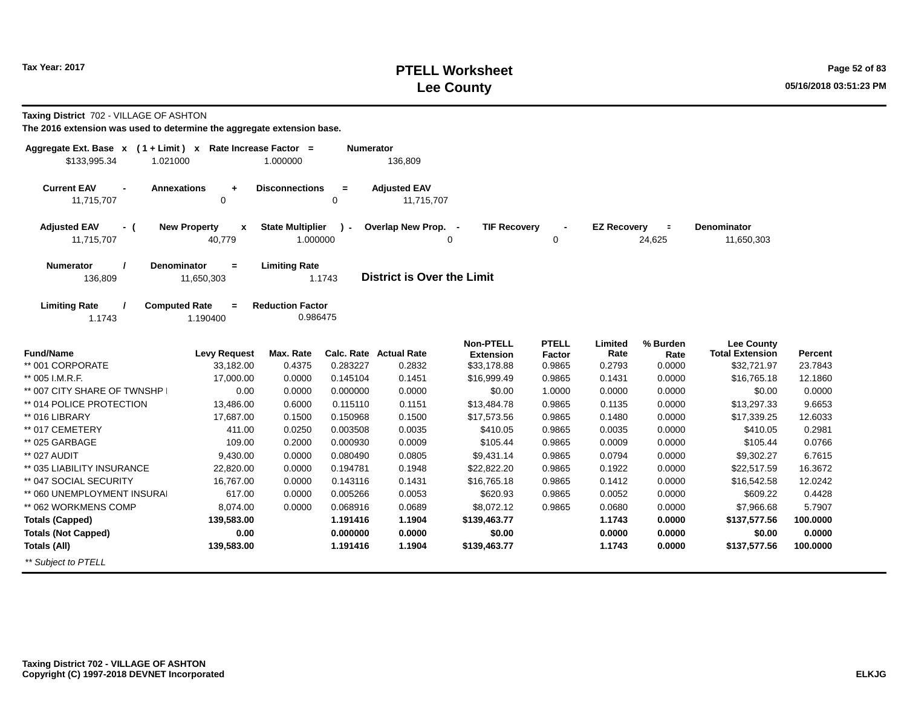# **PTELL Worksheet Tax Year: 2017 Page 52 of 83 Lee County 05/16/2018 03:51:23 PM**

| <b>Taxing District</b> 702 - VILLAGE OF ASHTON |  |
|------------------------------------------------|--|
|------------------------------------------------|--|

| Aggregate Ext. Base x<br>\$133,995.34<br>1.021000  | $(1 + Limit)$ x Rate Increase Factor =          | 1.000000                            | <b>Numerator</b> | 136,809                           |                                      |                        |                    |                    |                                             |          |
|----------------------------------------------------|-------------------------------------------------|-------------------------------------|------------------|-----------------------------------|--------------------------------------|------------------------|--------------------|--------------------|---------------------------------------------|----------|
| <b>Current EAV</b><br>$\blacksquare$<br>11,715,707 | <b>Annexations</b><br>$\ddot{\phantom{1}}$<br>0 | <b>Disconnections</b>               | $=$<br>0         | <b>Adjusted EAV</b><br>11,715,707 |                                      |                        |                    |                    |                                             |          |
| <b>Adjusted EAV</b><br>- (<br>11,715,707           | <b>New Property</b><br>$\mathbf{x}$<br>40,779   | <b>State Multiplier</b><br>1.000000 | $\lambda$ -      | Overlap New Prop. -               | <b>TIF Recovery</b><br>∩             | $\mathbf 0$            | <b>EZ Recovery</b> | $\equiv$<br>24,625 | <b>Denominator</b><br>11,650,303            |          |
| <b>Numerator</b><br>136,809                        | <b>Denominator</b><br>$=$<br>11,650,303         | <b>Limiting Rate</b>                | 1.1743           | <b>District is Over the Limit</b> |                                      |                        |                    |                    |                                             |          |
| <b>Limiting Rate</b><br>1.1743                     | <b>Computed Rate</b><br>$=$<br>1.190400         | <b>Reduction Factor</b><br>0.986475 |                  |                                   |                                      |                        |                    |                    |                                             |          |
| <b>Fund/Name</b>                                   | <b>Levy Request</b>                             | Max. Rate                           |                  | Calc. Rate Actual Rate            | <b>Non-PTELL</b><br><b>Extension</b> | <b>PTELL</b><br>Factor | Limited<br>Rate    | % Burden<br>Rate   | <b>Lee County</b><br><b>Total Extension</b> | Percent  |
| ** 001 CORPORATE                                   | 33,182.00                                       | 0.4375                              | 0.283227         | 0.2832                            | \$33,178.88                          | 0.9865                 | 0.2793             | 0.0000             | \$32,721.97                                 | 23.7843  |
| ** 005 I.M.R.F.                                    | 17,000.00                                       | 0.0000                              | 0.145104         | 0.1451                            | \$16,999.49                          | 0.9865                 | 0.1431             | 0.0000             | \$16,765.18                                 | 12.1860  |
| ** 007 CITY SHARE OF TWNSHP                        | 0.00                                            | 0.0000                              | 0.000000         | 0.0000                            | \$0.00                               | 1.0000                 | 0.0000             | 0.0000             | \$0.00                                      | 0.0000   |
| ** 014 POLICE PROTECTION                           | 13,486.00                                       | 0.6000                              | 0.115110         | 0.1151                            | \$13,484.78                          | 0.9865                 | 0.1135             | 0.0000             | \$13,297.33                                 | 9.6653   |
| ** 016 LIBRARY                                     | 17,687.00                                       | 0.1500                              | 0.150968         | 0.1500                            | \$17,573.56                          | 0.9865                 | 0.1480             | 0.0000             | \$17,339.25                                 | 12.6033  |
| ** 017 CEMETERY                                    | 411.00                                          | 0.0250                              | 0.003508         | 0.0035                            | \$410.05                             | 0.9865                 | 0.0035             | 0.0000             | \$410.05                                    | 0.2981   |
| ** 025 GARBAGE                                     | 109.00                                          | 0.2000                              | 0.000930         | 0.0009                            | \$105.44                             | 0.9865                 | 0.0009             | 0.0000             | \$105.44                                    | 0.0766   |
| ** 027 AUDIT                                       | 9,430.00                                        | 0.0000                              | 0.080490         | 0.0805                            | \$9,431.14                           | 0.9865                 | 0.0794             | 0.0000             | \$9,302.27                                  | 6.7615   |
| ** 035 LIABILITY INSURANCE                         | 22,820.00                                       | 0.0000                              | 0.194781         | 0.1948                            | \$22,822.20                          | 0.9865                 | 0.1922             | 0.0000             | \$22,517.59                                 | 16.3672  |
| ** 047 SOCIAL SECURITY                             | 16,767.00                                       | 0.0000                              | 0.143116         | 0.1431                            | \$16,765.18                          | 0.9865                 | 0.1412             | 0.0000             | \$16,542.58                                 | 12.0242  |
| ** 060 UNEMPLOYMENT INSURAL                        | 617.00                                          | 0.0000                              | 0.005266         | 0.0053                            | \$620.93                             | 0.9865                 | 0.0052             | 0.0000             | \$609.22                                    | 0.4428   |
| ** 062 WORKMENS COMP                               | 8,074.00                                        | 0.0000                              | 0.068916         | 0.0689                            | \$8,072.12                           | 0.9865                 | 0.0680             | 0.0000             | \$7,966.68                                  | 5.7907   |
| <b>Totals (Capped)</b>                             | 139,583.00                                      |                                     | 1.191416         | 1.1904                            | \$139,463.77                         |                        | 1.1743             | 0.0000             | \$137,577.56                                | 100.0000 |
| <b>Totals (Not Capped)</b>                         | 0.00                                            |                                     | 0.000000         | 0.0000                            | \$0.00                               |                        | 0.0000             | 0.0000             | \$0.00                                      | 0.0000   |
| Totals (All)                                       | 139,583.00                                      |                                     | 1.191416         | 1.1904                            | \$139,463.77                         |                        | 1.1743             | 0.0000             | \$137,577.56                                | 100.0000 |
| ** Subject to PTELL                                |                                                 |                                     |                  |                                   |                                      |                        |                    |                    |                                             |          |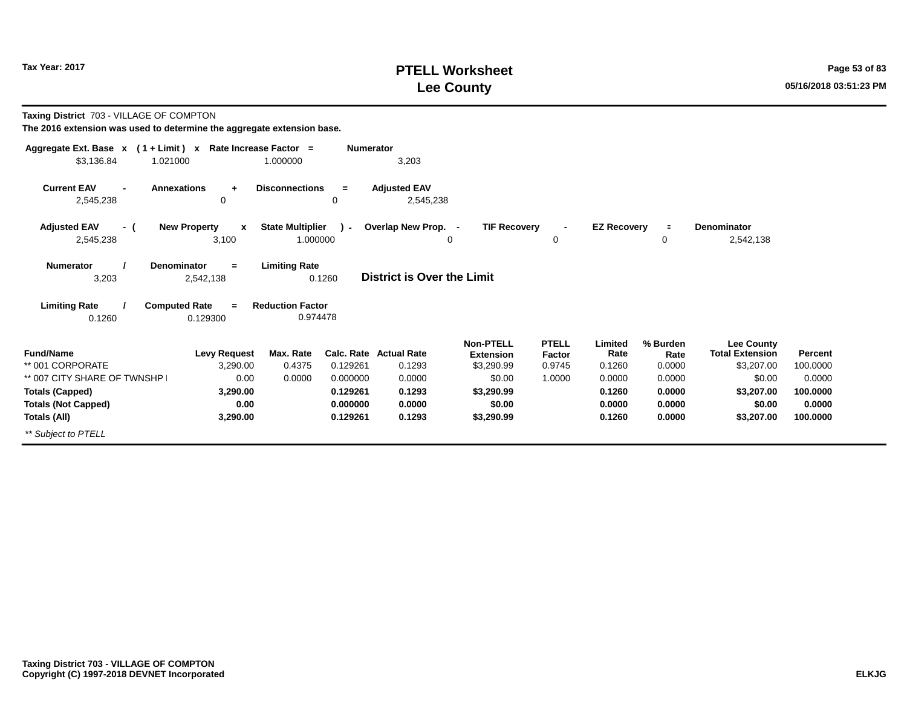# **PTELL Worksheet Tax Year: 2017 Page 53 of 83 Lee County 05/16/2018 03:51:23 PM**

| Taxing District 703 - VILLAGE OF COMPTON<br>The 2016 extension was used to determine the aggregate extension base. |                                                  |                                     |                  |                                         |                                                    |                                  |                           |                            |                                                           |                     |
|--------------------------------------------------------------------------------------------------------------------|--------------------------------------------------|-------------------------------------|------------------|-----------------------------------------|----------------------------------------------------|----------------------------------|---------------------------|----------------------------|-----------------------------------------------------------|---------------------|
| Aggregate Ext. Base x (1+Limit) x Rate Increase Factor =<br>\$3,136.84<br>1.021000                                 |                                                  | 1.000000                            | <b>Numerator</b> | 3,203                                   |                                                    |                                  |                           |                            |                                                           |                     |
| <b>Current EAV</b><br>2,545,238                                                                                    | <b>Annexations</b><br>$\ddot{}$<br>0             | <b>Disconnections</b>               | $=$<br>0         | <b>Adjusted EAV</b><br>2,545,238        |                                                    |                                  |                           |                            |                                                           |                     |
| <b>Adjusted EAV</b><br>- (<br>2,545,238                                                                            | <b>New Property</b><br>$\boldsymbol{x}$<br>3,100 | <b>State Multiplier</b><br>1.000000 | $\mathbf{r}$     | Overlap New Prop. -                     | <b>TIF Recovery</b><br>0                           | 0                                | <b>EZ Recovery</b>        | $\equiv$<br>0              | <b>Denominator</b><br>2,542,138                           |                     |
| <b>Numerator</b><br>3,203                                                                                          | Denominator<br>$=$<br>2,542,138                  | <b>Limiting Rate</b>                | 0.1260           | <b>District is Over the Limit</b>       |                                                    |                                  |                           |                            |                                                           |                     |
| <b>Limiting Rate</b>                                                                                               | <b>Computed Rate</b><br>$\equiv$                 | <b>Reduction Factor</b>             |                  |                                         |                                                    |                                  |                           |                            |                                                           |                     |
| 0.1260                                                                                                             | 0.129300                                         | 0.974478                            |                  |                                         |                                                    |                                  |                           |                            |                                                           |                     |
| <b>Fund/Name</b><br>** 001 CORPORATE                                                                               | <b>Levy Request</b><br>3,290.00                  | Max. Rate<br>0.4375                 | 0.129261         | <b>Calc. Rate Actual Rate</b><br>0.1293 | <b>Non-PTELL</b><br><b>Extension</b><br>\$3,290.99 | <b>PTELL</b><br>Factor<br>0.9745 | Limited<br>Rate<br>0.1260 | % Burden<br>Rate<br>0.0000 | <b>Lee County</b><br><b>Total Extension</b><br>\$3,207.00 | Percent<br>100.0000 |
| ** 007 CITY SHARE OF TWNSHP                                                                                        | 0.00                                             | 0.0000                              | 0.000000         | 0.0000                                  | \$0.00                                             | 1.0000                           | 0.0000                    | 0.0000                     | \$0.00                                                    | 0.0000              |
| <b>Totals (Capped)</b>                                                                                             | 3,290.00                                         |                                     | 0.129261         | 0.1293                                  | \$3,290.99                                         |                                  | 0.1260                    | 0.0000                     | \$3,207.00                                                | 100.0000            |
| <b>Totals (Not Capped)</b>                                                                                         | 0.00                                             |                                     | 0.000000         | 0.0000                                  | \$0.00                                             |                                  | 0.0000                    | 0.0000                     | \$0.00                                                    | 0.0000              |
| <b>Totals (All)</b>                                                                                                | 3,290.00                                         |                                     | 0.129261         | 0.1293                                  | \$3,290.99                                         |                                  | 0.1260                    | 0.0000                     | \$3,207.00                                                | 100.0000            |
| ** Subject to PTELL                                                                                                |                                                  |                                     |                  |                                         |                                                    |                                  |                           |                            |                                                           |                     |
|                                                                                                                    |                                                  |                                     |                  |                                         |                                                    |                                  |                           |                            |                                                           |                     |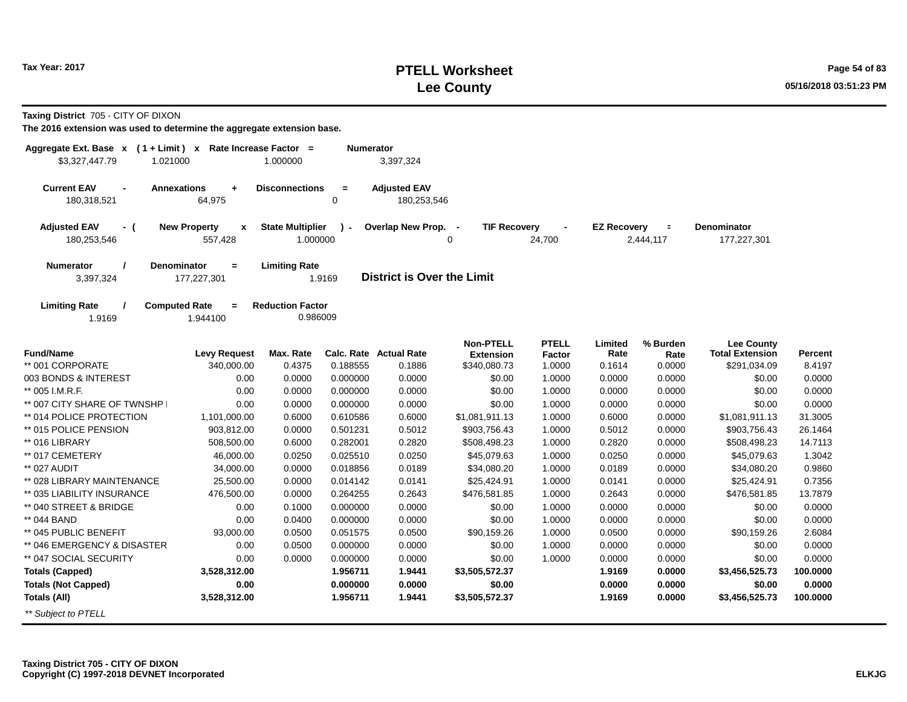# **PTELL Worksheet Tax Year: 2017 Page 54 of 83 Lee County 05/16/2018 03:51:23 PM**

**Taxing District** 705 - CITY OF DIXON

| Aggregate Ext. Base x (1+Limit) x Rate Increase Factor =<br>\$3,327,447.79<br>1.021000 |                                                      | 1.000000                            | Numerator   | 3,397,324                         |                                 |                          |                    |                             |                                             |          |
|----------------------------------------------------------------------------------------|------------------------------------------------------|-------------------------------------|-------------|-----------------------------------|---------------------------------|--------------------------|--------------------|-----------------------------|---------------------------------------------|----------|
| <b>Current EAV</b><br><b>Annexations</b>                                               | $\ddot{}$                                            | <b>Disconnections</b>               | $=$         | <b>Adjusted EAV</b>               |                                 |                          |                    |                             |                                             |          |
| 180,318,521                                                                            | 64,975                                               |                                     | 0           | 180,253,546                       |                                 |                          |                    |                             |                                             |          |
| <b>Adjusted EAV</b><br>- (<br>180,253,546                                              | <b>New Property</b><br>$\pmb{\mathsf{x}}$<br>557,428 | <b>State Multiplier</b><br>1.000000 | $\lambda$ - | Overlap New Prop. -               | <b>TIF Recovery</b><br>$\Omega$ | $\blacksquare$<br>24,700 | <b>EZ Recovery</b> | $\blacksquare$<br>2,444,117 | <b>Denominator</b><br>177,227,301           |          |
| <b>Denominator</b><br>Numerator<br>3,397,324                                           | $=$<br>177,227,301                                   | <b>Limiting Rate</b>                | 1.9169      | <b>District is Over the Limit</b> |                                 |                          |                    |                             |                                             |          |
| <b>Limiting Rate</b><br><b>Computed Rate</b><br>1.9169                                 | $=$<br>1.944100                                      | <b>Reduction Factor</b><br>0.986009 |             |                                   |                                 |                          |                    |                             |                                             |          |
|                                                                                        |                                                      |                                     |             |                                   | <b>Non-PTELL</b>                | <b>PTELL</b>             |                    |                             |                                             |          |
| <b>Fund/Name</b>                                                                       | <b>Levy Request</b>                                  | Max. Rate                           |             | <b>Calc. Rate Actual Rate</b>     | <b>Extension</b>                | Factor                   | Limited<br>Rate    | % Burden<br>Rate            | <b>Lee County</b><br><b>Total Extension</b> | Percent  |
| ** 001 CORPORATE                                                                       | 340,000.00                                           | 0.4375                              | 0.188555    | 0.1886                            | \$340,080.73                    | 1.0000                   | 0.1614             | 0.0000                      | \$291,034.09                                | 8.4197   |
| 003 BONDS & INTEREST                                                                   | 0.00                                                 | 0.0000                              | 0.000000    | 0.0000                            | \$0.00                          | 1.0000                   | 0.0000             | 0.0000                      | \$0.00                                      | 0.0000   |
| ** 005 I.M.R.F.                                                                        | 0.00                                                 | 0.0000                              | 0.000000    | 0.0000                            | \$0.00                          | 1.0000                   | 0.0000             | 0.0000                      | \$0.00                                      | 0.0000   |
| ** 007 CITY SHARE OF TWNSHP                                                            | 0.00                                                 | 0.0000                              | 0.000000    | 0.0000                            | \$0.00                          | 1.0000                   | 0.0000             | 0.0000                      | \$0.00                                      | 0.0000   |
| ** 014 POLICE PROTECTION                                                               | 1,101,000.00                                         | 0.6000                              | 0.610586    | 0.6000                            | \$1,081,911.13                  | 1.0000                   | 0.6000             | 0.0000                      | \$1,081,911.13                              | 31.3005  |
| ** 015 POLICE PENSION                                                                  | 903,812.00                                           | 0.0000                              | 0.501231    | 0.5012                            | \$903,756.43                    | 1.0000                   | 0.5012             | 0.0000                      | \$903,756.43                                | 26.1464  |
| ** 016 LIBRARY                                                                         | 508,500.00                                           | 0.6000                              | 0.282001    | 0.2820                            | \$508,498.23                    | 1.0000                   | 0.2820             | 0.0000                      | \$508,498.23                                | 14.7113  |
| ** 017 CEMETERY                                                                        | 46,000.00                                            | 0.0250                              | 0.025510    | 0.0250                            | \$45,079.63                     | 1.0000                   | 0.0250             | 0.0000                      | \$45,079.63                                 | 1.3042   |
| ** 027 AUDIT                                                                           | 34,000.00                                            | 0.0000                              | 0.018856    | 0.0189                            | \$34,080.20                     | 1.0000                   | 0.0189             | 0.0000                      | \$34,080.20                                 | 0.9860   |
| ** 028 LIBRARY MAINTENANCE                                                             | 25,500.00                                            | 0.0000                              | 0.014142    | 0.0141                            | \$25,424.91                     | 1.0000                   | 0.0141             | 0.0000                      | \$25,424.91                                 | 0.7356   |
| ** 035 LIABILITY INSURANCE                                                             | 476,500.00                                           | 0.0000                              | 0.264255    | 0.2643                            | \$476,581.85                    | 1.0000                   | 0.2643             | 0.0000                      | \$476,581.85                                | 13.7879  |
| ** 040 STREET & BRIDGE                                                                 | 0.00                                                 | 0.1000                              | 0.000000    | 0.0000                            | \$0.00                          | 1.0000                   | 0.0000             | 0.0000                      | \$0.00                                      | 0.0000   |
| ** 044 BAND                                                                            | 0.00                                                 | 0.0400                              | 0.000000    | 0.0000                            | \$0.00                          | 1.0000                   | 0.0000             | 0.0000                      | \$0.00                                      | 0.0000   |
| ** 045 PUBLIC BENEFIT                                                                  | 93,000.00                                            | 0.0500                              | 0.051575    | 0.0500                            | \$90,159.26                     | 1.0000                   | 0.0500             | 0.0000                      | \$90,159.26                                 | 2.6084   |
| ** 046 EMERGENCY & DISASTER                                                            | 0.00                                                 | 0.0500                              | 0.000000    | 0.0000                            | \$0.00                          | 1.0000                   | 0.0000             | 0.0000                      | \$0.00                                      | 0.0000   |
| ** 047 SOCIAL SECURITY                                                                 | 0.00                                                 | 0.0000                              | 0.000000    | 0.0000                            | \$0.00                          | 1.0000                   | 0.0000             | 0.0000                      | \$0.00                                      | 0.0000   |
| <b>Totals (Capped)</b>                                                                 | 3,528,312.00                                         |                                     | 1.956711    | 1.9441                            | \$3,505,572.37                  |                          | 1.9169             | 0.0000                      | \$3,456,525.73                              | 100.0000 |
| <b>Totals (Not Capped)</b>                                                             | 0.00                                                 |                                     | 0.000000    | 0.0000                            | \$0.00                          |                          | 0.0000             | 0.0000                      | \$0.00                                      | 0.0000   |
| <b>Totals (All)</b>                                                                    | 3,528,312.00                                         |                                     | 1.956711    | 1.9441                            | \$3,505,572.37                  |                          | 1.9169             | 0.0000                      | \$3,456,525.73                              | 100.0000 |
| ** Subject to PTELL                                                                    |                                                      |                                     |             |                                   |                                 |                          |                    |                             |                                             |          |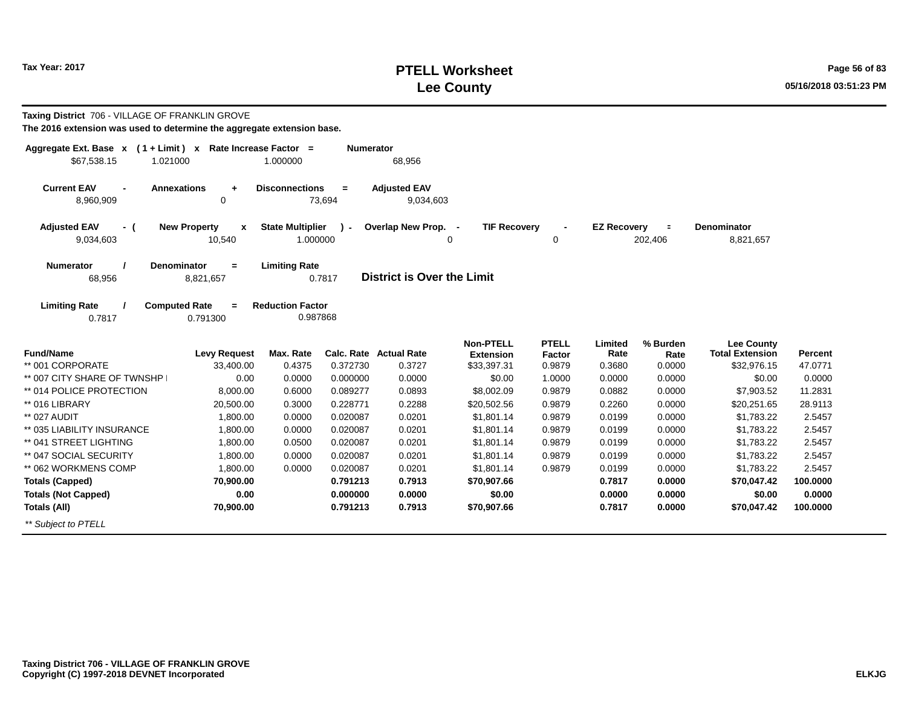# **PTELL Worksheet Tax Year: 2017 Page 56 of 83 Lee County 05/16/2018 03:51:23 PM**

| Taxing District 706 - VILLAGE OF FRANKLIN GROVE                                         |                                                   |                                     |               |                                  |                                      |                        |                    |                     |                                             |          |
|-----------------------------------------------------------------------------------------|---------------------------------------------------|-------------------------------------|---------------|----------------------------------|--------------------------------------|------------------------|--------------------|---------------------|---------------------------------------------|----------|
| The 2016 extension was used to determine the aggregate extension base.                  |                                                   |                                     |               |                                  |                                      |                        |                    |                     |                                             |          |
| Aggregate Ext. Base $x$ (1 + Limit) x Rate Increase Factor =<br>\$67,538.15<br>1.021000 |                                                   | 1.000000                            | Numerator     | 68,956                           |                                      |                        |                    |                     |                                             |          |
| <b>Current EAV</b><br>Annexations<br>8,960,909                                          | $\ddot{}$<br>0                                    | <b>Disconnections</b>               | $=$<br>73,694 | <b>Adjusted EAV</b><br>9,034,603 |                                      |                        |                    |                     |                                             |          |
| <b>Adjusted EAV</b><br>- (<br>9,034,603                                                 | <b>New Property</b><br>$\boldsymbol{x}$<br>10,540 | <b>State Multiplier</b><br>1.000000 | $\mathbf{r}$  | Overlap New Prop. -              | <b>TIF Recovery</b><br>0             | 0                      | <b>EZ Recovery</b> | $\equiv$<br>202,406 | <b>Denominator</b><br>8,821,657             |          |
| Numerator<br>Denominator<br>68,956                                                      | $=$<br>8,821,657                                  | <b>Limiting Rate</b>                | 0.7817        | District is Over the Limit       |                                      |                        |                    |                     |                                             |          |
| <b>Limiting Rate</b><br><b>Computed Rate</b><br>0.7817                                  | $\equiv$<br>0.791300                              | <b>Reduction Factor</b><br>0.987868 |               |                                  |                                      |                        |                    |                     |                                             |          |
| <b>Fund/Name</b>                                                                        | <b>Levy Request</b>                               | Max. Rate                           |               | <b>Calc. Rate Actual Rate</b>    | <b>Non-PTELL</b><br><b>Extension</b> | <b>PTELL</b><br>Factor | Limited<br>Rate    | % Burden<br>Rate    | <b>Lee County</b><br><b>Total Extension</b> | Percent  |
| ** 001 CORPORATE                                                                        | 33,400.00                                         | 0.4375                              | 0.372730      | 0.3727                           | \$33,397.31                          | 0.9879                 | 0.3680             | 0.0000              | \$32,976.15                                 | 47.0771  |
| ** 007 CITY SHARE OF TWNSHP                                                             | 0.00                                              | 0.0000                              | 0.000000      | 0.0000                           | \$0.00                               | 1.0000                 | 0.0000             | 0.0000              | \$0.00                                      | 0.0000   |
| ** 014 POLICE PROTECTION                                                                | 8,000.00                                          | 0.6000                              | 0.089277      | 0.0893                           | \$8,002.09                           | 0.9879                 | 0.0882             | 0.0000              | \$7,903.52                                  | 11.2831  |
| ** 016 LIBRARY                                                                          | 20,500.00                                         | 0.3000                              | 0.228771      | 0.2288                           | \$20,502.56                          | 0.9879                 | 0.2260             | 0.0000              | \$20,251.65                                 | 28.9113  |
| ** 027 AUDIT                                                                            | 1,800.00                                          | 0.0000                              | 0.020087      | 0.0201                           | \$1,801.14                           | 0.9879                 | 0.0199             | 0.0000              | \$1,783.22                                  | 2.5457   |
| ** 035 LIABILITY INSURANCE                                                              | 1,800.00                                          | 0.0000                              | 0.020087      | 0.0201                           | \$1,801.14                           | 0.9879                 | 0.0199             | 0.0000              | \$1,783.22                                  | 2.5457   |
| ** 041 STREET LIGHTING                                                                  | 1,800.00                                          | 0.0500                              | 0.020087      | 0.0201                           | \$1,801.14                           | 0.9879                 | 0.0199             | 0.0000              | \$1,783.22                                  | 2.5457   |
| ** 047 SOCIAL SECURITY                                                                  | 1,800.00                                          | 0.0000                              | 0.020087      | 0.0201                           | \$1,801.14                           | 0.9879                 | 0.0199             | 0.0000              | \$1,783.22                                  | 2.5457   |
| ** 062 WORKMENS COMP                                                                    | 1,800.00                                          | 0.0000                              | 0.020087      | 0.0201                           | \$1,801.14                           | 0.9879                 | 0.0199             | 0.0000              | \$1,783.22                                  | 2.5457   |
| <b>Totals (Capped)</b>                                                                  | 70,900.00                                         |                                     | 0.791213      | 0.7913                           | \$70,907.66                          |                        | 0.7817             | 0.0000              | \$70,047.42                                 | 100.0000 |
| <b>Totals (Not Capped)</b>                                                              | 0.00                                              |                                     | 0.000000      | 0.0000                           | \$0.00                               |                        | 0.0000             | 0.0000              | \$0.00                                      | 0.0000   |
| Totals (All)                                                                            | 70,900.00                                         |                                     | 0.791213      | 0.7913                           | \$70,907.66                          |                        | 0.7817             | 0.0000              | \$70,047.42                                 | 100.0000 |
| ** Subject to PTELL                                                                     |                                                   |                                     |               |                                  |                                      |                        |                    |                     |                                             |          |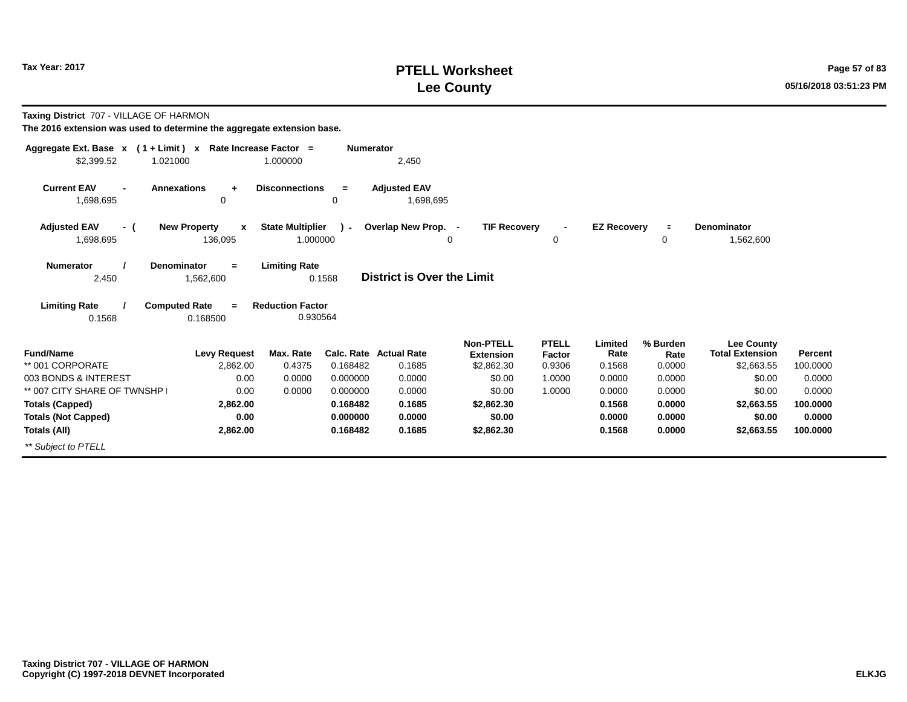# **PTELL Worksheet Tax Year: 2017 Page 57 of 83 Lee County 05/16/2018 03:51:23 PM**

| Taxing District 707 - VILLAGE OF HARMON<br>The 2016 extension was used to determine the aggregate extension base. |                                                    |                                     |                  |                                   |                                      |                        |                    |                  |                                             |          |
|-------------------------------------------------------------------------------------------------------------------|----------------------------------------------------|-------------------------------------|------------------|-----------------------------------|--------------------------------------|------------------------|--------------------|------------------|---------------------------------------------|----------|
| Aggregate Ext. Base $x$ (1 + Limit) x Rate Increase Factor =                                                      |                                                    |                                     | <b>Numerator</b> |                                   |                                      |                        |                    |                  |                                             |          |
| \$2,399.52<br>1.021000                                                                                            |                                                    | 1.000000                            |                  | 2,450                             |                                      |                        |                    |                  |                                             |          |
| <b>Current EAV</b><br>1,698,695                                                                                   | <b>Annexations</b><br>÷<br>0                       | <b>Disconnections</b>               | $\equiv$<br>0    | <b>Adiusted EAV</b><br>1,698,695  |                                      |                        |                    |                  |                                             |          |
| <b>Adjusted EAV</b><br>- (<br>1,698,695                                                                           | <b>New Property</b><br>$\boldsymbol{x}$<br>136,095 | <b>State Multiplier</b><br>1.000000 | $\lambda$        | Overlap New Prop. -               | <b>TIF Recovery</b><br>$\Omega$      | $\blacksquare$<br>0    | <b>EZ Recoverv</b> | $\equiv$<br>0    | <b>Denominator</b><br>1,562,600             |          |
|                                                                                                                   |                                                    |                                     |                  |                                   |                                      |                        |                    |                  |                                             |          |
| <b>Numerator</b><br>2,450                                                                                         | Denominator<br>$=$<br>1,562,600                    | <b>Limiting Rate</b>                | 0.1568           | <b>District is Over the Limit</b> |                                      |                        |                    |                  |                                             |          |
| <b>Limiting Rate</b>                                                                                              | <b>Computed Rate</b><br>$=$                        | <b>Reduction Factor</b>             |                  |                                   |                                      |                        |                    |                  |                                             |          |
| 0.1568                                                                                                            | 0.168500                                           | 0.930564                            |                  |                                   |                                      |                        |                    |                  |                                             |          |
| <b>Fund/Name</b>                                                                                                  | <b>Levy Request</b>                                | Max. Rate                           |                  | <b>Calc. Rate Actual Rate</b>     | <b>Non-PTELL</b><br><b>Extension</b> | <b>PTELL</b><br>Factor | Limited<br>Rate    | % Burden<br>Rate | <b>Lee County</b><br><b>Total Extension</b> | Percent  |
| ** 001 CORPORATE                                                                                                  | 2,862.00                                           | 0.4375                              | 0.168482         | 0.1685                            | \$2,862.30                           | 0.9306                 | 0.1568             | 0.0000           | \$2,663.55                                  | 100.0000 |
| 003 BONDS & INTEREST                                                                                              | 0.00                                               | 0.0000                              | 0.000000         | 0.0000                            | \$0.00                               | 1.0000                 | 0.0000             | 0.0000           | \$0.00                                      | 0.0000   |
| ** 007 CITY SHARE OF TWNSHP                                                                                       | 0.00                                               | 0.0000                              | 0.000000         | 0.0000                            | \$0.00                               | 1.0000                 | 0.0000             | 0.0000           | \$0.00                                      | 0.0000   |
| <b>Totals (Capped)</b>                                                                                            | 2,862.00                                           |                                     | 0.168482         | 0.1685                            | \$2,862.30                           |                        | 0.1568             | 0.0000           | \$2,663.55                                  | 100.0000 |
| <b>Totals (Not Capped)</b>                                                                                        | 0.00                                               |                                     | 0.000000         | 0.0000                            | \$0.00                               |                        | 0.0000             | 0.0000           | \$0.00                                      | 0.0000   |
| Totals (All)                                                                                                      | 2,862.00                                           |                                     | 0.168482         | 0.1685                            | \$2,862.30                           |                        | 0.1568             | 0.0000           | \$2,663.55                                  | 100,0000 |
| ** Subject to PTELL                                                                                               |                                                    |                                     |                  |                                   |                                      |                        |                    |                  |                                             |          |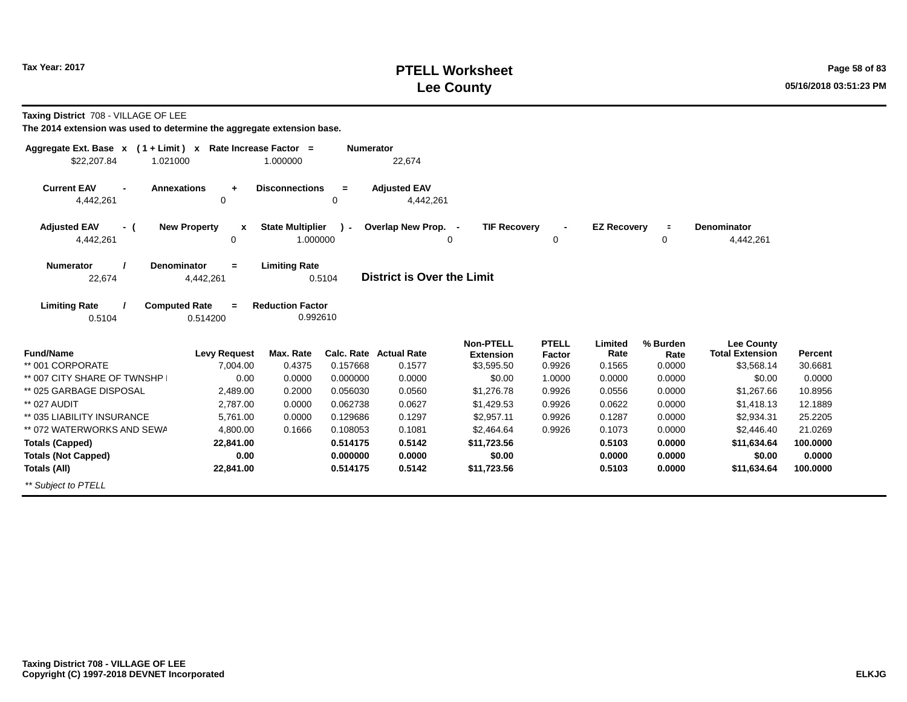# **PTELL Worksheet Tax Year: 2017 Page 58 of 83 Lee County 05/16/2018 03:51:23 PM**

**Taxing District** 708 - VILLAGE OF LEE

| Aggregate Ext. Base $x$ (1 + Limit) $x$           | Rate Increase Factor =               |                         | <b>Numerator</b> |                                  |                     |                |                    |                |                        |          |
|---------------------------------------------------|--------------------------------------|-------------------------|------------------|----------------------------------|---------------------|----------------|--------------------|----------------|------------------------|----------|
| \$22,207.84<br>1.021000                           |                                      | 1.000000                |                  | 22,674                           |                     |                |                    |                |                        |          |
| <b>Current EAV</b><br>$\blacksquare$<br>4,442,261 | <b>Annexations</b><br>$\ddot{}$<br>0 | <b>Disconnections</b>   | $=$<br>$\Omega$  | <b>Adjusted EAV</b><br>4,442,261 |                     |                |                    |                |                        |          |
| <b>Adjusted EAV</b><br>- (                        | <b>New Property</b><br>X             | <b>State Multiplier</b> | $\lambda$        | Overlap New Prop. -              | <b>TIF Recovery</b> | $\blacksquare$ | <b>EZ Recovery</b> | $\blacksquare$ | <b>Denominator</b>     |          |
| 4,442,261                                         | 0                                    | 1.000000                |                  |                                  | 0                   | 0              |                    | 0              | 4,442,261              |          |
| <b>Numerator</b>                                  | Denominator<br>$=$                   | <b>Limiting Rate</b>    |                  |                                  |                     |                |                    |                |                        |          |
| 22,674                                            | 4,442,261                            |                         | 0.5104           | District is Over the Limit       |                     |                |                    |                |                        |          |
| <b>Limiting Rate</b>                              | <b>Computed Rate</b><br>$=$          | <b>Reduction Factor</b> |                  |                                  |                     |                |                    |                |                        |          |
| 0.5104                                            | 0.514200                             | 0.992610                |                  |                                  |                     |                |                    |                |                        |          |
|                                                   |                                      |                         |                  |                                  | <b>Non-PTELL</b>    | <b>PTELL</b>   | Limited            | % Burden       | Lee County             |          |
| <b>Fund/Name</b>                                  | <b>Levy Request</b>                  | Max. Rate               |                  | <b>Calc. Rate Actual Rate</b>    | <b>Extension</b>    | Factor         | Rate               | Rate           | <b>Total Extension</b> | Percent  |
| ** 001 CORPORATE                                  | 7,004.00                             | 0.4375                  | 0.157668         | 0.1577                           | \$3,595.50          | 0.9926         | 0.1565             | 0.0000         | \$3,568.14             | 30.6681  |
| ** 007 CITY SHARE OF TWNSHP                       | 0.00                                 | 0.0000                  | 0.000000         | 0.0000                           | \$0.00              | 1.0000         | 0.0000             | 0.0000         | \$0.00                 | 0.0000   |
| ** 025 GARBAGE DISPOSAL                           | 2,489.00                             | 0.2000                  | 0.056030         | 0.0560                           | \$1,276.78          | 0.9926         | 0.0556             | 0.0000         | \$1,267.66             | 10.8956  |
| ** 027 AUDIT                                      | 2,787.00                             | 0.0000                  | 0.062738         | 0.0627                           | \$1,429.53          | 0.9926         | 0.0622             | 0.0000         | \$1,418.13             | 12.1889  |
| ** 035 LIABILITY INSURANCE                        | 5,761.00                             | 0.0000                  | 0.129686         | 0.1297                           | \$2,957.11          | 0.9926         | 0.1287             | 0.0000         | \$2,934.31             | 25.2205  |
| ** 072 WATERWORKS AND SEWA                        | 4.800.00                             | 0.1666                  | 0.108053         | 0.1081                           | \$2,464.64          | 0.9926         | 0.1073             | 0.0000         | \$2,446.40             | 21.0269  |
| <b>Totals (Capped)</b>                            | 22,841.00                            |                         | 0.514175         | 0.5142                           | \$11,723.56         |                | 0.5103             | 0.0000         | \$11,634.64            | 100.0000 |
| <b>Totals (Not Capped)</b>                        | 0.00                                 |                         | 0.000000         | 0.0000                           | \$0.00              |                | 0.0000             | 0.0000         | \$0.00                 | 0.0000   |
| <b>Totals (All)</b>                               | 22,841.00                            |                         | 0.514175         | 0.5142                           | \$11,723.56         |                | 0.5103             | 0.0000         | \$11,634.64            | 100.0000 |
| ** Subject to PTELL                               |                                      |                         |                  |                                  |                     |                |                    |                |                        |          |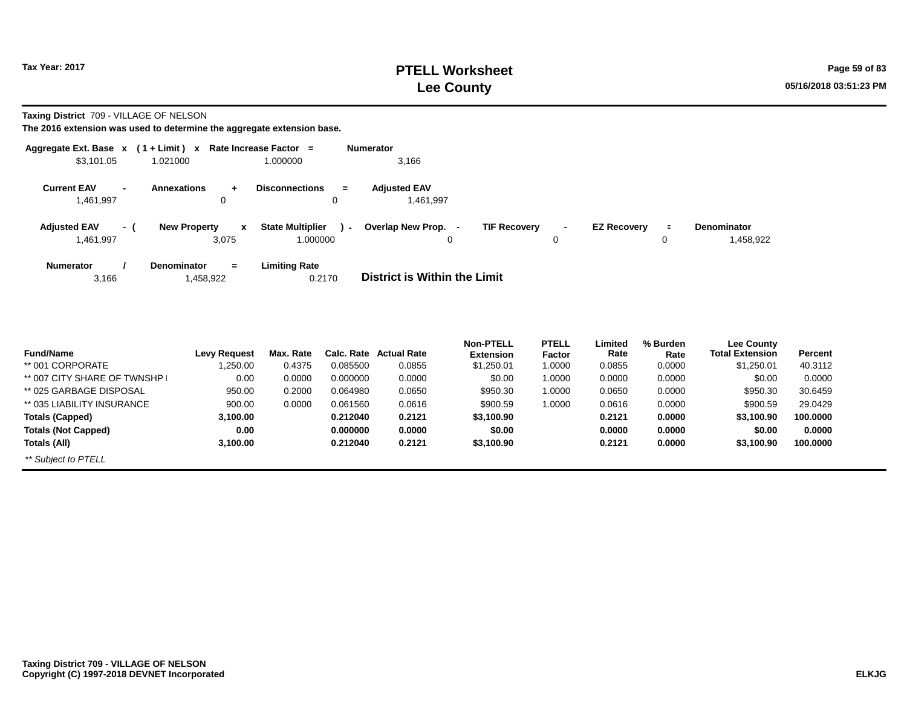**Taxing District** 709 - VILLAGE OF NELSON

|                                  |     | Aggregate Ext. Base $x$ (1 + Limit) $x$ Rate Increase Factor = |                                               | <b>Numerator</b>                                                                                                                                       |
|----------------------------------|-----|----------------------------------------------------------------|-----------------------------------------------|--------------------------------------------------------------------------------------------------------------------------------------------------------|
| \$3,101.05                       |     | 1.021000                                                       | 1.000000                                      | 3,166                                                                                                                                                  |
| <b>Current EAV</b><br>1,461,997  |     | Annexations<br>÷<br>0                                          | <b>Disconnections</b><br>$=$<br>0             | <b>Adjusted EAV</b><br>1.461.997                                                                                                                       |
| <b>Adjusted EAV</b><br>1,461,997 | - 1 | <b>New Property</b><br>$\mathbf{x}$<br>3.075                   | <b>State Multiplier</b><br>$\sim$<br>1.000000 | <b>TIF Recovery</b><br>Overlap New Prop. -<br><b>EZ Recovery</b><br><b>Denominator</b><br>$\blacksquare$<br>$\blacksquare$<br>1,458,922<br>0<br>0<br>0 |
| <b>Numerator</b><br>3,166        |     | <b>Denominator</b><br>$=$<br>1,458,922                         | <b>Limiting Rate</b><br>0.2170                | <b>District is Within the Limit</b>                                                                                                                    |

|                             |                     |           |            |                    | <b>Non-PTELL</b> | <b>PTELL</b> | Limited | % Burden | <b>Lee County</b> |          |
|-----------------------------|---------------------|-----------|------------|--------------------|------------------|--------------|---------|----------|-------------------|----------|
| <b>Fund/Name</b>            | <b>Levy Request</b> | Max. Rate | Calc. Rate | <b>Actual Rate</b> | <b>Extension</b> | Factor       | Rate    | Rate     | Total Extension   | Percent  |
| ** 001 CORPORATE            | ,250.00             | 0.4375    | 0.085500   | 0.0855             | \$1,250.01       | 1.0000       | 0.0855  | 0.0000   | \$1,250.01        | 40.3112  |
| ** 007 CITY SHARE OF TWNSHP | 0.00                | 0.0000    | 0.000000   | 0.0000             | \$0.00           | 1.0000       | 0.0000  | 0.0000   | \$0.00            | 0.0000   |
| ** 025 GARBAGE DISPOSAL     | 950.00              | 0.2000    | 0.064980   | 0.0650             | \$950.30         | 1.0000       | 0.0650  | 0.0000   | \$950.30          | 30.6459  |
| ** 035 LIABILITY INSURANCE  | 900.00              | 0.0000    | 0.061560   | 0.0616             | \$900.59         | 1.0000       | 0.0616  | 0.0000   | \$900.59          | 29.0429  |
| <b>Totals (Capped)</b>      | 3,100.00            |           | 0.212040   | 0.2121             | \$3,100.90       |              | 0.2121  | 0.0000   | \$3,100.90        | 100.0000 |
| <b>Totals (Not Capped)</b>  | 0.00                |           | 0.000000   | 0.0000             | \$0.00           |              | 0.0000  | 0.0000   | \$0.00            | 0.0000   |
| Totals (All)                | 3,100.00            |           | 0.212040   | 0.2121             | \$3,100.90       |              | 0.2121  | 0.0000   | \$3,100.90        | 100.0000 |
| ** Subject to PTELL         |                     |           |            |                    |                  |              |         |          |                   |          |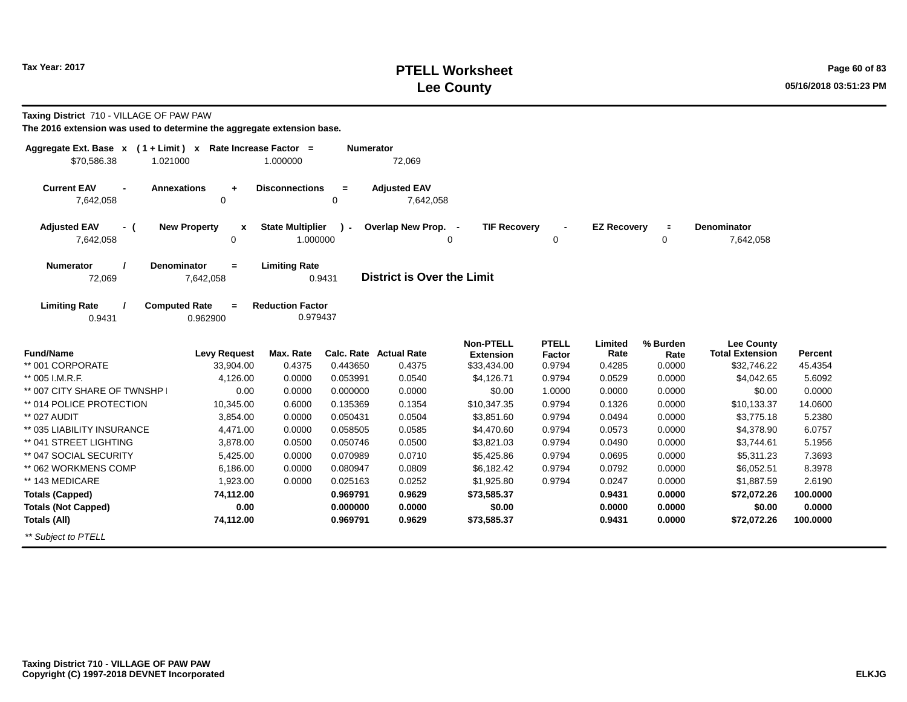## **PTELL Worksheet Tax Year: 2017 Page 60 of 83 Lee County 05/16/2018 03:51:23 PM**

**Taxing District** 710 - VILLAGE OF PAW PAW

| Aggregate Ext. Base $x$ (1+Limit) $x$<br>\$70,586.38<br>1.021000 |                                      | Rate Increase Factor =<br>1.000000 | <b>Numerator</b>     | 72,069                            |                                      |                        |                    |                  |                                             |                |
|------------------------------------------------------------------|--------------------------------------|------------------------------------|----------------------|-----------------------------------|--------------------------------------|------------------------|--------------------|------------------|---------------------------------------------|----------------|
|                                                                  |                                      |                                    |                      |                                   |                                      |                        |                    |                  |                                             |                |
| <b>Current EAV</b><br>7,642,058                                  | <b>Annexations</b><br>$\ddot{}$<br>0 | <b>Disconnections</b>              | $\equiv$<br>$\Omega$ | <b>Adjusted EAV</b><br>7,642,058  |                                      |                        |                    |                  |                                             |                |
|                                                                  |                                      |                                    |                      |                                   |                                      |                        |                    |                  |                                             |                |
| <b>Adjusted EAV</b><br>- (                                       | <b>New Property</b><br>$\mathbf{x}$  | <b>State Multiplier</b>            | $\mathbf{r}$         | Overlap New Prop. -               | <b>TIF Recovery</b>                  |                        | <b>EZ Recovery</b> | $\equiv$         | <b>Denominator</b>                          |                |
| 7,642,058                                                        | $\mathbf 0$                          | 1.000000                           |                      |                                   | 0                                    | 0                      |                    | 0                | 7,642,058                                   |                |
| <b>Numerator</b>                                                 | <b>Denominator</b><br>$\equiv$       | <b>Limiting Rate</b>               |                      |                                   |                                      |                        |                    |                  |                                             |                |
| 72,069                                                           | 7,642,058                            |                                    | 0.9431               | <b>District is Over the Limit</b> |                                      |                        |                    |                  |                                             |                |
| <b>Limiting Rate</b>                                             | <b>Computed Rate</b><br>$=$          | <b>Reduction Factor</b>            |                      |                                   |                                      |                        |                    |                  |                                             |                |
| 0.9431                                                           | 0.962900                             | 0.979437                           |                      |                                   |                                      |                        |                    |                  |                                             |                |
|                                                                  |                                      |                                    |                      |                                   |                                      |                        |                    |                  |                                             |                |
| <b>Fund/Name</b>                                                 | <b>Levy Request</b>                  | Max. Rate                          |                      | <b>Calc. Rate Actual Rate</b>     | <b>Non-PTELL</b><br><b>Extension</b> | <b>PTELL</b><br>Factor | Limited<br>Rate    | % Burden<br>Rate | <b>Lee County</b><br><b>Total Extension</b> | <b>Percent</b> |
| ** 001 CORPORATE                                                 | 33,904.00                            | 0.4375                             | 0.443650             | 0.4375                            | \$33,434.00                          | 0.9794                 | 0.4285             | 0.0000           | \$32,746.22                                 | 45.4354        |
| ** 005 I.M.R.F.                                                  | 4,126.00                             | 0.0000                             | 0.053991             | 0.0540                            | \$4,126.71                           | 0.9794                 | 0.0529             | 0.0000           | \$4,042.65                                  | 5.6092         |
| ** 007 CITY SHARE OF TWNSHP                                      | 0.00                                 | 0.0000                             | 0.000000             | 0.0000                            | \$0.00                               | 1.0000                 | 0.0000             | 0.0000           | \$0.00                                      | 0.0000         |
| ** 014 POLICE PROTECTION                                         | 10,345.00                            | 0.6000                             | 0.135369             | 0.1354                            | \$10,347.35                          | 0.9794                 | 0.1326             | 0.0000           | \$10,133.37                                 | 14.0600        |
| ** 027 AUDIT                                                     | 3,854.00                             | 0.0000                             | 0.050431             | 0.0504                            | \$3,851.60                           | 0.9794                 | 0.0494             | 0.0000           | \$3,775.18                                  | 5.2380         |
| ** 035 LIABILITY INSURANCE                                       | 4,471.00                             | 0.0000                             | 0.058505             | 0.0585                            | \$4,470.60                           | 0.9794                 | 0.0573             | 0.0000           | \$4,378.90                                  | 6.0757         |
| ** 041 STREET LIGHTING                                           | 3,878.00                             | 0.0500                             | 0.050746             | 0.0500                            | \$3,821.03                           | 0.9794                 | 0.0490             | 0.0000           | \$3,744.61                                  | 5.1956         |
| ** 047 SOCIAL SECURITY                                           | 5,425.00                             | 0.0000                             | 0.070989             | 0.0710                            | \$5,425.86                           | 0.9794                 | 0.0695             | 0.0000           | \$5,311.23                                  | 7.3693         |
| ** 062 WORKMENS COMP                                             | 6,186.00                             | 0.0000                             | 0.080947             | 0.0809                            | \$6,182.42                           | 0.9794                 | 0.0792             | 0.0000           | \$6,052.51                                  | 8.3978         |
| ** 143 MEDICARE                                                  | 1,923.00                             | 0.0000                             | 0.025163             | 0.0252                            | \$1,925.80                           | 0.9794                 | 0.0247             | 0.0000           | \$1,887.59                                  | 2.6190         |
| <b>Totals (Capped)</b>                                           | 74,112.00                            |                                    | 0.969791             | 0.9629                            | \$73,585.37                          |                        | 0.9431             | 0.0000           | \$72,072.26                                 | 100.0000       |
| <b>Totals (Not Capped)</b>                                       | 0.00                                 |                                    | 0.000000             | 0.0000                            | \$0.00                               |                        | 0.0000             | 0.0000           | \$0.00                                      | 0.0000         |
| <b>Totals (All)</b>                                              | 74,112.00                            |                                    | 0.969791             | 0.9629                            | \$73,585.37                          |                        | 0.9431             | 0.0000           | \$72,072.26                                 | 100.0000       |
| ** Subject to PTELL                                              |                                      |                                    |                      |                                   |                                      |                        |                    |                  |                                             |                |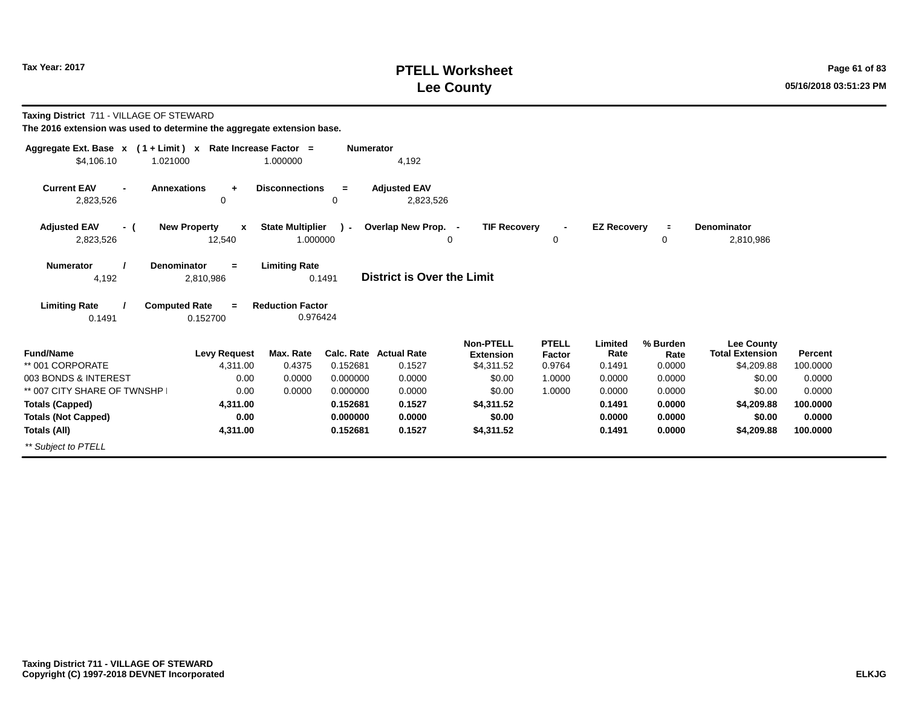# **PTELL Worksheet Tax Year: 2017 Page 61 of 83 Lee County 05/16/2018 03:51:23 PM**

| Taxing District 711 - VILLAGE OF STEWARD<br>The 2016 extension was used to determine the aggregate extension base. |                                                                |                                                 |                  |                                  |                                      |                        |                    |                  |                                             |          |
|--------------------------------------------------------------------------------------------------------------------|----------------------------------------------------------------|-------------------------------------------------|------------------|----------------------------------|--------------------------------------|------------------------|--------------------|------------------|---------------------------------------------|----------|
| Aggregate Ext. Base x (1+Limit) x Rate Increase Factor =                                                           |                                                                |                                                 | <b>Numerator</b> |                                  |                                      |                        |                    |                  |                                             |          |
| \$4,106.10<br>1.021000                                                                                             |                                                                | 1.000000                                        |                  | 4,192                            |                                      |                        |                    |                  |                                             |          |
| <b>Current EAV</b><br>2,823,526                                                                                    | <b>Annexations</b><br>÷<br>0                                   | <b>Disconnections</b>                           | $\equiv$<br>0    | <b>Adjusted EAV</b><br>2,823,526 |                                      |                        |                    |                  |                                             |          |
| <b>Adjusted EAV</b><br>- (                                                                                         | <b>New Property</b><br>X                                       | <b>State Multiplier</b>                         | $\mathcal{L}$    | Overlap New Prop. -              | <b>TIF Recovery</b>                  | $\blacksquare$         | <b>EZ Recoverv</b> | $\equiv$         | Denominator                                 |          |
| 2,823,526                                                                                                          | 12,540                                                         | 1.000000                                        |                  |                                  | $\Omega$                             | 0                      |                    | 0                | 2,810,986                                   |          |
| <b>Numerator</b><br>4,192<br><b>Limiting Rate</b>                                                                  | <b>Denominator</b><br>$=$<br>2,810,986<br><b>Computed Rate</b> | <b>Limiting Rate</b><br><b>Reduction Factor</b> | 0.1491           | District is Over the Limit       |                                      |                        |                    |                  |                                             |          |
| 0.1491                                                                                                             | 0.152700                                                       | 0.976424                                        |                  |                                  |                                      |                        |                    |                  |                                             |          |
| <b>Fund/Name</b>                                                                                                   | <b>Levy Request</b>                                            | Max. Rate                                       |                  | <b>Calc. Rate Actual Rate</b>    | <b>Non-PTELL</b><br><b>Extension</b> | <b>PTELL</b><br>Factor | Limited<br>Rate    | % Burden<br>Rate | <b>Lee County</b><br><b>Total Extension</b> | Percent  |
| ** 001 CORPORATE                                                                                                   | 4.311.00                                                       | 0.4375                                          | 0.152681         | 0.1527                           | \$4,311.52                           | 0.9764                 | 0.1491             | 0.0000           | \$4,209.88                                  | 100.0000 |
| 003 BONDS & INTEREST                                                                                               | 0.00                                                           | 0.0000                                          | 0.000000         | 0.0000                           | \$0.00                               | 1.0000                 | 0.0000             | 0.0000           | \$0.00                                      | 0.0000   |
| ** 007 CITY SHARE OF TWNSHP                                                                                        | 0.00                                                           | 0.0000                                          | 0.000000         | 0.0000                           | \$0.00                               | 1.0000                 | 0.0000             | 0.0000           | \$0.00                                      | 0.0000   |
| <b>Totals (Capped)</b>                                                                                             | 4.311.00                                                       |                                                 | 0.152681         | 0.1527                           | \$4,311,52                           |                        | 0.1491             | 0.0000           | \$4,209.88                                  | 100,0000 |
| <b>Totals (Not Capped)</b>                                                                                         | 0.00                                                           |                                                 | 0.000000         | 0.0000                           | \$0.00                               |                        | 0.0000             | 0.0000           | \$0.00                                      | 0.0000   |
| Totals (All)                                                                                                       | 4,311.00                                                       |                                                 | 0.152681         | 0.1527                           | \$4,311.52                           |                        | 0.1491             | 0.0000           | \$4,209.88                                  | 100,0000 |
| ** Subject to PTELL                                                                                                |                                                                |                                                 |                  |                                  |                                      |                        |                    |                  |                                             |          |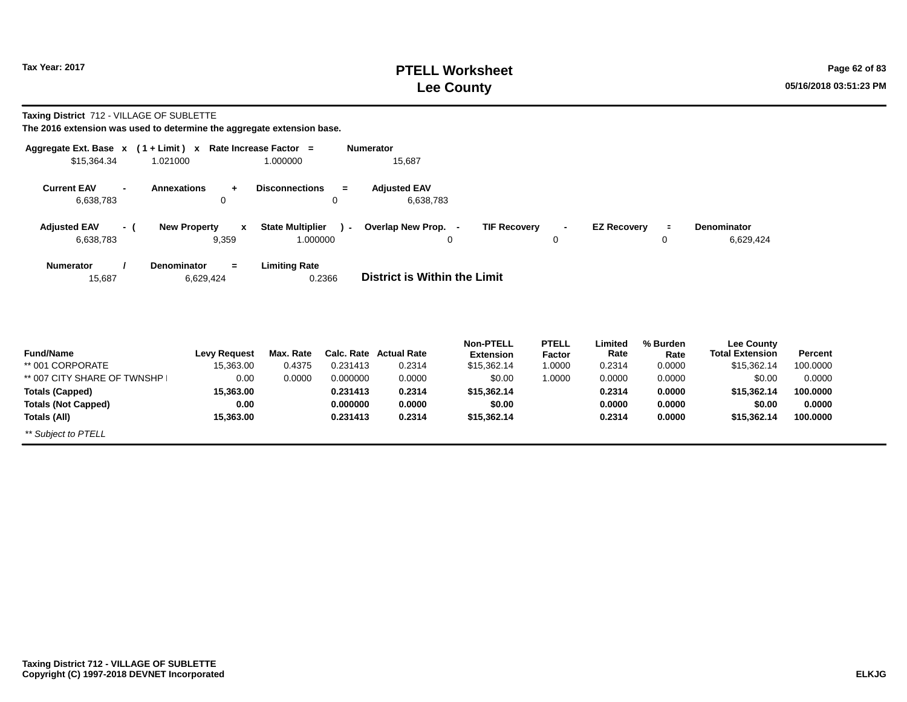# **PTELL Worksheet Tax Year: 2017 Page 62 of 83 Lee County 05/16/2018 03:51:23 PM**

#### **Taxing District** 712 - VILLAGE OF SUBLETTE

| Aggregate Ext. Base $x$ (1 + Limit) $x$<br>\$15,364.34 | 1.021000                                     | Rate Increase Factor =<br>1.000000                              | <b>Numerator</b><br>15,687       |                                                     |                                  |                           |                            |                                                            |                     |
|--------------------------------------------------------|----------------------------------------------|-----------------------------------------------------------------|----------------------------------|-----------------------------------------------------|----------------------------------|---------------------------|----------------------------|------------------------------------------------------------|---------------------|
| <b>Current EAV</b><br>6,638,783                        | <b>Annexations</b><br>0                      | <b>Disconnections</b><br>$=$<br>0                               | <b>Adjusted EAV</b><br>6,638,783 |                                                     |                                  |                           |                            |                                                            |                     |
| <b>Adjusted EAV</b><br>- (<br>6,638,783                | <b>New Property</b><br>$\mathbf{x}$<br>9,359 | <b>State Multiplier</b><br>$\overline{\phantom{0}}$<br>1.000000 | Overlap New Prop. -<br>$\Omega$  | <b>TIF Recovery</b>                                 | $\blacksquare$<br>0              | <b>EZ Recovery</b>        | $\equiv$<br>0              | <b>Denominator</b><br>6,629,424                            |                     |
| <b>Numerator</b><br>15,687                             | <b>Denominator</b><br>$=$<br>6,629,424       | <b>Limiting Rate</b><br>0.2366                                  | District is Within the Limit     |                                                     |                                  |                           |                            |                                                            |                     |
| <b>Fund/Name</b><br>** 001 CORPORATE                   | <b>Levy Request</b><br>15,363.00             | Max. Rate<br>0.4375<br>0.231413                                 | Calc. Rate Actual Rate<br>0.2314 | <b>Non-PTELL</b><br><b>Extension</b><br>\$15,362.14 | <b>PTELL</b><br>Factor<br>1.0000 | Limited<br>Rate<br>0.2314 | % Burden<br>Rate<br>0.0000 | <b>Lee County</b><br><b>Total Extension</b><br>\$15,362.14 | Percent<br>100.0000 |

| ** 001 CORPORATE            | 15,363.00 | 0.4375 | 0.231413 | 0.2314 | \$15.362.14 | 1.0000 | 0.2314 | 0.0000 | \$15.362.14 | 100.0000 |  |
|-----------------------------|-----------|--------|----------|--------|-------------|--------|--------|--------|-------------|----------|--|
| ** 007 CITY SHARE OF TWNSHP | 0.00      | 0.0000 | 0.000000 | 0.0000 | \$0.00      | 1.0000 | 0.0000 | 0.0000 | \$0.00      | 0.0000   |  |
| <b>Totals (Capped)</b>      | 15,363.00 |        | 0.231413 | 0.2314 | \$15,362.14 |        | 0.2314 | 0.0000 | \$15,362.14 | 100.0000 |  |
| <b>Totals (Not Capped)</b>  | 0.00      |        | 0.000000 | 0.0000 | \$0.00      |        | 0.0000 | 0.0000 | \$0.00      | 0.0000   |  |
| Totals (All)                | 15,363.00 |        | 0.231413 | 0.2314 | \$15.362.14 |        | 0.2314 | 0.0000 | \$15,362.14 | 100.0000 |  |
| ** Subject to PTELL         |           |        |          |        |             |        |        |        |             |          |  |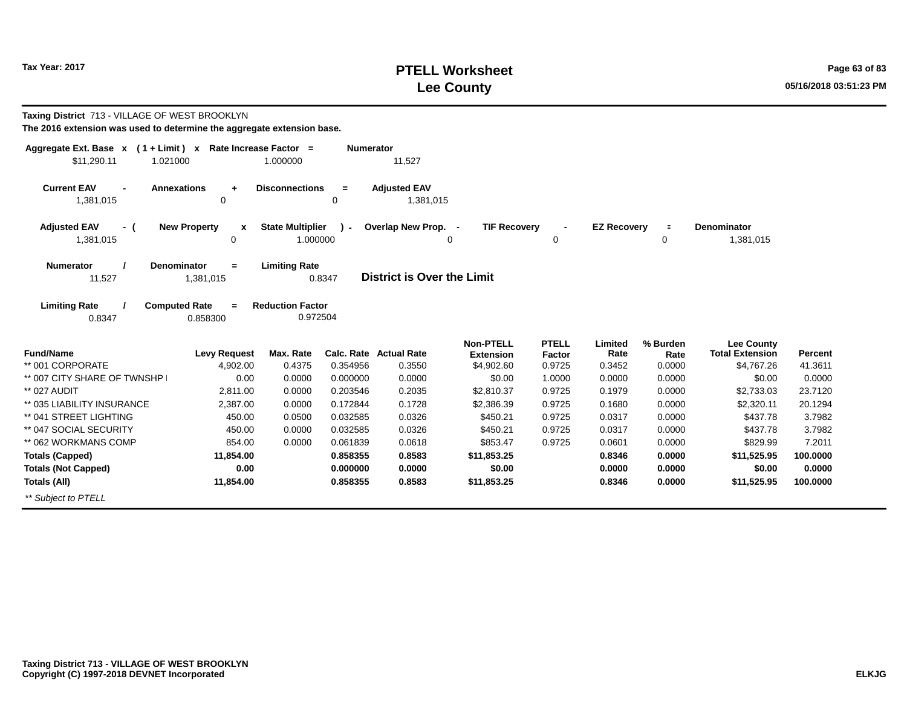# **PTELL Worksheet Tax Year: 2017 Page 63 of 83 Lee County 05/16/2018 03:51:23 PM**

| Taxing District 713 - VILLAGE OF WEST BROOKLYN<br>The 2016 extension was used to determine the aggregate extension base. |                                              |                                     |                      |                                  |                                      |                        |                    |                  |                                             |                    |
|--------------------------------------------------------------------------------------------------------------------------|----------------------------------------------|-------------------------------------|----------------------|----------------------------------|--------------------------------------|------------------------|--------------------|------------------|---------------------------------------------|--------------------|
| Aggregate Ext. Base $x$ (1 + Limit) x Rate Increase Factor =<br>\$11,290.11                                              | 1.021000                                     | 1.000000                            | <b>Numerator</b>     | 11,527                           |                                      |                        |                    |                  |                                             |                    |
| <b>Current EAV</b><br>1,381,015                                                                                          | <b>Annexations</b><br>$\ddot{}$<br>0         | <b>Disconnections</b>               | $=$<br>0             | <b>Adjusted EAV</b><br>1,381,015 |                                      |                        |                    |                  |                                             |                    |
| <b>Adjusted EAV</b><br>- (<br>1,381,015                                                                                  | <b>New Property</b><br>X<br>0                | <b>State Multiplier</b><br>1.000000 | $\mathbf{r}$         | Overlap New Prop. -<br>0         | <b>TIF Recovery</b>                  | 0                      | <b>EZ Recovery</b> | $\equiv$<br>0    | Denominator<br>1,381,015                    |                    |
| <b>Numerator</b><br>11,527                                                                                               | <b>Denominator</b><br>$=$<br>1,381,015       | <b>Limiting Rate</b>                | 0.8347               | District is Over the Limit       |                                      |                        |                    |                  |                                             |                    |
| <b>Limiting Rate</b><br>0.8347                                                                                           | <b>Computed Rate</b><br>$\equiv$<br>0.858300 | <b>Reduction Factor</b><br>0.972504 |                      |                                  |                                      |                        |                    |                  |                                             |                    |
| <b>Fund/Name</b>                                                                                                         | <b>Levy Request</b>                          | Max. Rate                           | Calc. Rate           | <b>Actual Rate</b>               | <b>Non-PTELL</b><br><b>Extension</b> | <b>PTELL</b><br>Factor | Limited<br>Rate    | % Burden<br>Rate | <b>Lee County</b><br><b>Total Extension</b> | Percent            |
| ** 001 CORPORATE                                                                                                         | 4,902.00                                     | 0.4375                              | 0.354956             | 0.3550                           | \$4,902.60                           | 0.9725                 | 0.3452             | 0.0000           | \$4,767.26                                  | 41.3611            |
| ** 007 CITY SHARE OF TWNSHP                                                                                              | 0.00                                         | 0.0000                              | 0.000000             | 0.0000                           | \$0.00                               | 1.0000                 | 0.0000             | 0.0000           | \$0.00                                      | 0.0000             |
| ** 027 AUDIT<br>** 035 LIABILITY INSURANCE                                                                               | 2.811.00<br>2,387.00                         | 0.0000<br>0.0000                    | 0.203546<br>0.172844 | 0.2035<br>0.1728                 | \$2,810.37<br>\$2,386.39             | 0.9725<br>0.9725       | 0.1979<br>0.1680   | 0.0000<br>0.0000 | \$2,733.03<br>\$2,320.11                    | 23.7120<br>20.1294 |
| ** 041 STREET LIGHTING                                                                                                   | 450.00                                       | 0.0500                              | 0.032585             | 0.0326                           | \$450.21                             | 0.9725                 | 0.0317             | 0.0000           | \$437.78                                    | 3.7982             |
| ** 047 SOCIAL SECURITY                                                                                                   | 450.00                                       | 0.0000                              | 0.032585             | 0.0326                           | \$450.21                             | 0.9725                 | 0.0317             | 0.0000           | \$437.78                                    | 3.7982             |
| ** 062 WORKMANS COMP                                                                                                     | 854.00                                       | 0.0000                              | 0.061839             | 0.0618                           | \$853.47                             | 0.9725                 | 0.0601             | 0.0000           | \$829.99                                    | 7.2011             |
| <b>Totals (Capped)</b>                                                                                                   | 11,854.00                                    |                                     | 0.858355             | 0.8583                           | \$11,853.25                          |                        | 0.8346             | 0.0000           | \$11,525.95                                 | 100.0000           |
| <b>Totals (Not Capped)</b>                                                                                               | 0.00                                         |                                     | 0.000000             | 0.0000                           | \$0.00                               |                        | 0.0000             | 0.0000           | \$0.00                                      | 0.0000             |
| <b>Totals (All)</b>                                                                                                      | 11,854.00                                    |                                     | 0.858355             | 0.8583                           | \$11,853.25                          |                        | 0.8346             | 0.0000           | \$11,525.95                                 | 100.0000           |
| ** Subiect to PTELL                                                                                                      |                                              |                                     |                      |                                  |                                      |                        |                    |                  |                                             |                    |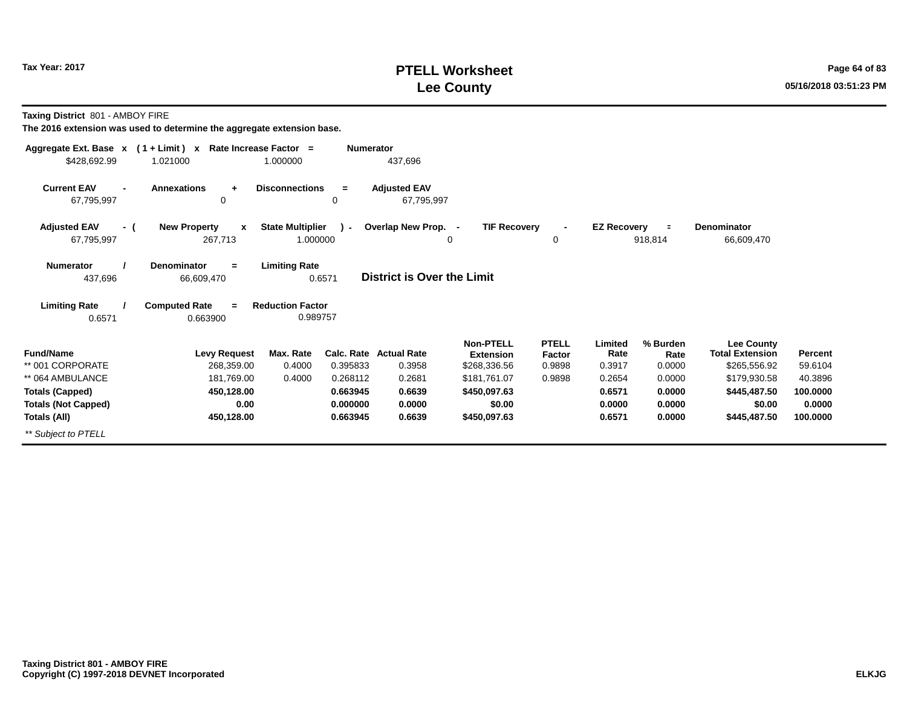# **PTELL Worksheet Tax Year: 2017 Page 64 of 83 Lee County 05/16/2018 03:51:23 PM**

**Taxing District** 801 - AMBOY FIRE

| Aggregate Ext. Base $x$ (1 + Limit) $x$            |                                                | Rate Increase Factor =              | <b>Numerator</b> |                                   |                                      |                        |                    |                     |                                             |          |
|----------------------------------------------------|------------------------------------------------|-------------------------------------|------------------|-----------------------------------|--------------------------------------|------------------------|--------------------|---------------------|---------------------------------------------|----------|
| \$428,692.99                                       | 1.021000                                       | 1.000000                            |                  | 437,696                           |                                      |                        |                    |                     |                                             |          |
| <b>Current EAV</b><br>$\blacksquare$<br>67,795,997 | <b>Annexations</b><br>÷<br>0                   | <b>Disconnections</b>               | $=$<br>0         | <b>Adjusted EAV</b><br>67,795,997 |                                      |                        |                    |                     |                                             |          |
| <b>Adjusted EAV</b><br>- (<br>67,795,997           | <b>New Property</b><br>$\mathbf{x}$<br>267,713 | <b>State Multiplier</b><br>1.000000 | $\mathbf{r}$     | Overlap New Prop.<br>0            | <b>TIF Recovery</b><br>$\sim$        | 0                      | <b>EZ Recovery</b> | $\equiv$<br>918,814 | <b>Denominator</b><br>66,609,470            |          |
| <b>Numerator</b><br>437,696                        | <b>Denominator</b><br>$=$<br>66,609,470        | <b>Limiting Rate</b><br>0.6571      |                  | District is Over the Limit        |                                      |                        |                    |                     |                                             |          |
| <b>Limiting Rate</b><br>0.6571                     | <b>Computed Rate</b><br>$=$<br>0.663900        | <b>Reduction Factor</b><br>0.989757 |                  |                                   |                                      |                        |                    |                     |                                             |          |
| <b>Fund/Name</b>                                   | <b>Levy Request</b>                            | Max. Rate                           |                  | Calc. Rate Actual Rate            | <b>Non-PTELL</b><br><b>Extension</b> | <b>PTELL</b><br>Factor | Limited<br>Rate    | % Burden<br>Rate    | <b>Lee County</b><br><b>Total Extension</b> | Percent  |
| ** 001 CORPORATE                                   | 268,359.00                                     | 0.4000                              | 0.395833         | 0.3958                            | \$268,336.56                         | 0.9898                 | 0.3917             | 0.0000              | \$265,556.92                                | 59.6104  |
| ** 064 AMBULANCE                                   | 181,769.00                                     | 0.4000                              | 0.268112         | 0.2681                            | \$181,761.07                         | 0.9898                 | 0.2654             | 0.0000              | \$179,930.58                                | 40.3896  |
| <b>Totals (Capped)</b>                             | 450,128.00                                     |                                     | 0.663945         | 0.6639                            | \$450,097.63                         |                        | 0.6571             | 0.0000              | \$445,487.50                                | 100.0000 |
| <b>Totals (Not Capped)</b>                         | 0.00                                           |                                     | 0.000000         | 0.0000                            | \$0.00                               |                        | 0.0000             | 0.0000              | \$0.00                                      | 0.0000   |
| Totals (All)                                       | 450,128.00                                     |                                     | 0.663945         | 0.6639                            | \$450,097.63                         |                        | 0.6571             | 0.0000              | \$445,487.50                                | 100.0000 |
| ** Subject to PTELL                                |                                                |                                     |                  |                                   |                                      |                        |                    |                     |                                             |          |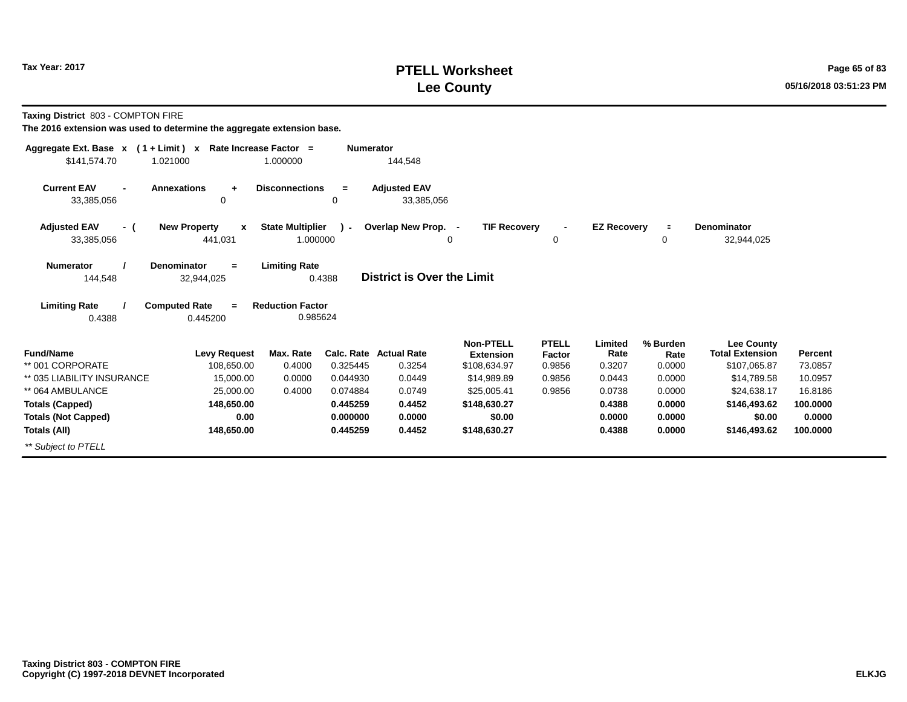# **PTELL Worksheet Tax Year: 2017 Page 65 of 83 Lee County 05/16/2018 03:51:23 PM**

**Taxing District** 803 - COMPTON FIRE

| Aggregate Ext. Base $x$ (1 + Limit) $x$            |                                                | Rate Increase Factor =              | <b>Numerator</b> |                                   |                                  |                         |                    |                |                                      |                    |
|----------------------------------------------------|------------------------------------------------|-------------------------------------|------------------|-----------------------------------|----------------------------------|-------------------------|--------------------|----------------|--------------------------------------|--------------------|
| \$141,574.70                                       | 1.021000                                       | 1.000000                            |                  | 144,548                           |                                  |                         |                    |                |                                      |                    |
| <b>Current EAV</b><br>$\overline{a}$<br>33,385,056 | <b>Annexations</b><br>$\ddot{}$<br>0           | <b>Disconnections</b>               | $=$<br>0         | <b>Adjusted EAV</b><br>33,385,056 |                                  |                         |                    |                |                                      |                    |
| <b>Adjusted EAV</b><br>- (<br>33,385,056           | <b>New Property</b><br>$\mathbf{x}$<br>441,031 | <b>State Multiplier</b><br>1.000000 | $\mathbf{r}$     | Overlap New Prop. -               | <b>TIF Recovery</b><br>0         | 0                       | <b>EZ Recovery</b> | $\equiv$<br>0  | <b>Denominator</b><br>32,944,025     |                    |
| <b>Numerator</b><br>144,548                        | <b>Denominator</b><br>$\equiv$<br>32,944,025   | <b>Limiting Rate</b>                | 0.4388           | <b>District is Over the Limit</b> |                                  |                         |                    |                |                                      |                    |
| <b>Limiting Rate</b><br>0.4388                     | <b>Computed Rate</b><br>$=$<br>0.445200        | <b>Reduction Factor</b><br>0.985624 |                  |                                   |                                  |                         |                    |                |                                      |                    |
| <b>Fund/Name</b>                                   |                                                |                                     |                  | <b>Calc. Rate Actual Rate</b>     | <b>Non-PTELL</b>                 | <b>PTELL</b>            | Limited<br>Rate    | % Burden       | Lee County<br><b>Total Extension</b> |                    |
| ** 001 CORPORATE                                   | <b>Levy Request</b><br>108,650.00              | Max. Rate<br>0.4000                 | 0.325445         | 0.3254                            | <b>Extension</b><br>\$108,634.97 | <b>Factor</b><br>0.9856 | 0.3207             | Rate<br>0.0000 | \$107,065.87                         | Percent<br>73.0857 |
| ** 035 LIABILITY INSURANCE                         | 15,000.00                                      | 0.0000                              | 0.044930         | 0.0449                            | \$14.989.89                      | 0.9856                  | 0.0443             | 0.0000         | \$14.789.58                          | 10.0957            |
| ** 064 AMBULANCE                                   | 25,000.00                                      | 0.4000                              | 0.074884         | 0.0749                            | \$25,005.41                      | 0.9856                  | 0.0738             | 0.0000         | \$24,638.17                          | 16.8186            |
| <b>Totals (Capped)</b>                             | 148,650.00                                     |                                     | 0.445259         | 0.4452                            | \$148,630.27                     |                         | 0.4388             | 0.0000         | \$146,493.62                         | 100.0000           |
| <b>Totals (Not Capped)</b>                         | 0.00                                           |                                     | 0.000000         | 0.0000                            | \$0.00                           |                         | 0.0000             | 0.0000         | \$0.00                               | 0.0000             |
| Totals (All)                                       | 148,650.00                                     |                                     | 0.445259         | 0.4452                            | \$148,630.27                     |                         | 0.4388             | 0.0000         | \$146,493.62                         | 100.0000           |
| ** Subject to PTELL                                |                                                |                                     |                  |                                   |                                  |                         |                    |                |                                      |                    |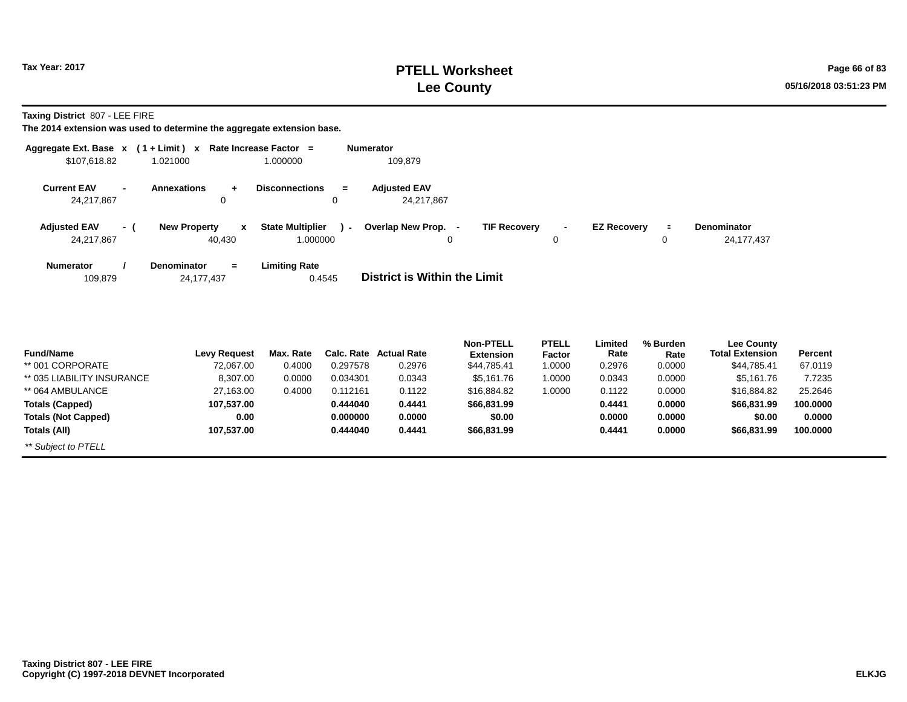# **PTELL Worksheet Tax Year: 2017 Page 66 of 83 Lee County 05/16/2018 03:51:23 PM**

**Taxing District** 807 - LEE FIRE

| Aggregate Ext. Base $x$ (1+Limit) $x$<br>\$107,618.82 | 1.021000                                      | Rate Increase Factor =<br>1.000000          | <b>Numerator</b><br>109,879       |                                       |                               |                    |                  |                                             |       |
|-------------------------------------------------------|-----------------------------------------------|---------------------------------------------|-----------------------------------|---------------------------------------|-------------------------------|--------------------|------------------|---------------------------------------------|-------|
| <b>Current EAV</b><br>24,217,867                      | <b>Annexations</b><br>0                       | <b>Disconnections</b><br>$\equiv$<br>0      | <b>Adjusted EAV</b><br>24,217,867 |                                       |                               |                    |                  |                                             |       |
| <b>Adjusted EAV</b><br>- (<br>24,217,867              | <b>New Property</b><br>$\mathbf{x}$<br>40,430 | <b>State Multiplier</b><br>$-1$<br>1.000000 | Overlap New Prop. -<br>0          | <b>TIF Recovery</b>                   | $\blacksquare$<br>0           | <b>EZ Recovery</b> | $\equiv$<br>0    | <b>Denominator</b><br>24,177,437            |       |
| <b>Numerator</b><br>109,879                           | <b>Denominator</b><br>$=$<br>24,177,437       | <b>Limiting Rate</b><br>0.4545              | District is Within the Limit      |                                       |                               |                    |                  |                                             |       |
| Fund/Name                                             | Levy Request                                  | Max. Rate                                   | Calc, Rate Actual Rate            | <b>Non-PTELL</b><br><b>F</b> xtension | <b>PTELL</b><br><b>Factor</b> | Limited<br>Rate    | % Burden<br>Rate | <b>Lee County</b><br><b>Total Extension</b> | Perce |

| <b>Fund/Name</b>           | <b>Levy Request</b> | Max. Rate |          | Calc. Rate Actual Rate | <b>Extension</b> | Factor | Rate   | Rate   | <b>Total Extension</b> | <b>Percent</b> |  |
|----------------------------|---------------------|-----------|----------|------------------------|------------------|--------|--------|--------|------------------------|----------------|--|
| ** 001 CORPORATE           | 72,067.00           | 0.4000    | 0.297578 | 0.2976                 | \$44,785.41      | 1.0000 | 0.2976 | 0.0000 | \$44,785.41            | 67.0119        |  |
| ** 035 LIABILITY INSURANCE | 8,307.00            | 0.0000    | 0.034301 | 0.0343                 | \$5.161.76       | 1.0000 | 0.0343 | 0.0000 | \$5,161.76             | 7.7235         |  |
| ** 064 AMBULANCE           | 27,163.00           | 0.4000    | 0.112161 | 0.1122                 | \$16,884.82      | 1.0000 | 0.1122 | 0.0000 | \$16,884.82            | 25.2646        |  |
| <b>Totals (Capped)</b>     | 107.537.00          |           | 0.444040 | 0.4441                 | \$66,831.99      |        | 0.4441 | 0.0000 | \$66,831.99            | 100.0000       |  |
| <b>Totals (Not Capped)</b> | 0.00                |           | 0.000000 | 0.0000                 | \$0.00           |        | 0.0000 | 0.0000 | \$0.00                 | 0.0000         |  |
| Totals (All)               | 107.537.00          |           | 0.444040 | 0.4441                 | \$66,831.99      |        | 0.4441 | 0.0000 | \$66,831.99            | 100.0000       |  |
| ** Subject to PTELL        |                     |           |          |                        |                  |        |        |        |                        |                |  |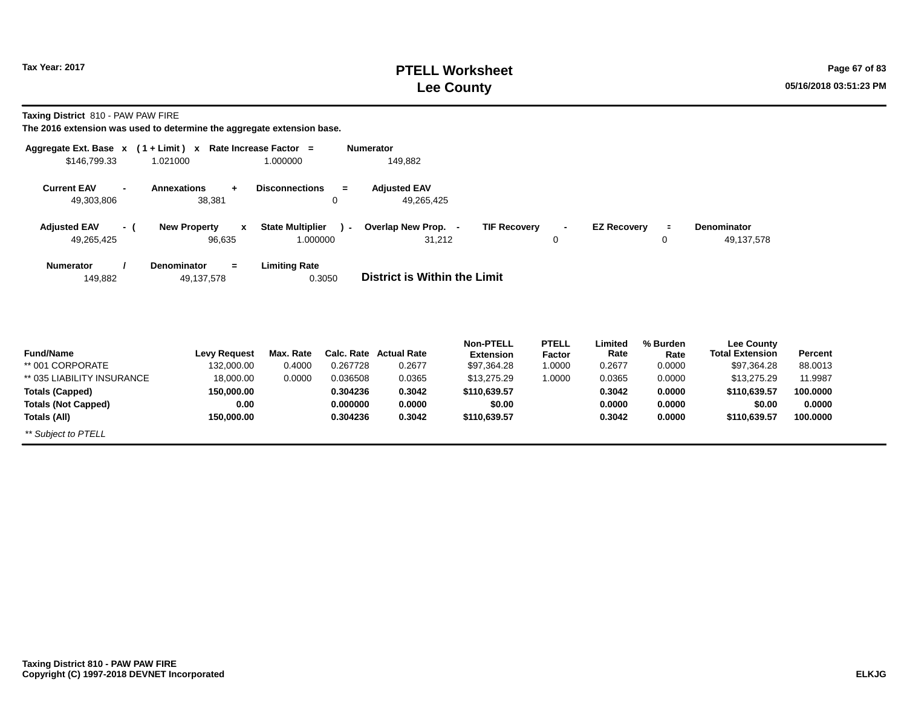**Taxing District** 810 - PAW PAW FIRE

| Aggregate Ext. Base $x$ (1 + Limit) x Rate Increase Factor = |                                               |                                     | <b>Numerator</b> |                                         |                                                     |                                  |                           |                            |                                                     |                    |
|--------------------------------------------------------------|-----------------------------------------------|-------------------------------------|------------------|-----------------------------------------|-----------------------------------------------------|----------------------------------|---------------------------|----------------------------|-----------------------------------------------------|--------------------|
| \$146,799.33                                                 | 1.021000                                      | 1.000000                            |                  | 149,882                                 |                                                     |                                  |                           |                            |                                                     |                    |
| <b>Current EAV</b><br>49,303,806                             | <b>Annexations</b><br>$\ddot{}$<br>38,381     | <b>Disconnections</b>               | $=$<br>$\Omega$  | <b>Adjusted EAV</b><br>49,265,425       |                                                     |                                  |                           |                            |                                                     |                    |
| <b>Adjusted EAV</b><br>- (<br>49,265,425                     | <b>New Property</b><br>$\mathbf{x}$<br>96,635 | <b>State Multiplier</b><br>1.000000 | $\mathbf{r}$     | Overlap New Prop. -<br>31,212           | <b>TIF Recovery</b>                                 | $\overline{\phantom{a}}$<br>0    | <b>EZ Recovery</b>        | $\equiv$<br>0              | Denominator<br>49,137,578                           |                    |
| <b>Numerator</b><br>149,882                                  | <b>Denominator</b><br>$=$<br>49,137,578       | <b>Limiting Rate</b>                | 0.3050           | District is Within the Limit            |                                                     |                                  |                           |                            |                                                     |                    |
| <b>Fund/Name</b><br>** 001 CORPORATE                         | <b>Levy Request</b><br>132,000.00             | Max. Rate<br>0.4000                 | 0.267728         | <b>Calc. Rate Actual Rate</b><br>0.2677 | <b>Non-PTELL</b><br><b>Extension</b><br>\$97,364.28 | <b>PTELL</b><br>Factor<br>1.0000 | Limited<br>Rate<br>0.2677 | % Burden<br>Rate<br>0.0000 | Lee County<br><b>Total Extension</b><br>\$97,364.28 | Percent<br>88.0013 |
| ** 035 LIABILITY INSURANCE                                   | 18,000.00                                     | 0.0000                              | 0.036508         | 0.0365                                  | \$13,275.29                                         | 1.0000                           | 0.0365                    | 0.0000                     | \$13,275.29                                         | 11.9987            |
| <b>Totals (Capped)</b>                                       | 150,000.00                                    |                                     | 0.304236         | 0.3042                                  | \$110,639.57                                        |                                  | 0.3042                    | 0.0000                     | \$110,639.57                                        | 100.0000           |
| <b>Totals (Not Capped)</b>                                   | 0.00                                          |                                     | 0.000000         | 0.0000                                  | \$0.00                                              |                                  | 0.0000                    | 0.0000                     | \$0.00                                              | 0.0000             |
| Totals (All)                                                 | 150,000.00                                    |                                     | 0.304236         | 0.3042                                  | \$110,639.57                                        |                                  | 0.3042                    | 0.0000                     | \$110,639.57                                        | 100.0000           |
| ** Subject to PTELL                                          |                                               |                                     |                  |                                         |                                                     |                                  |                           |                            |                                                     |                    |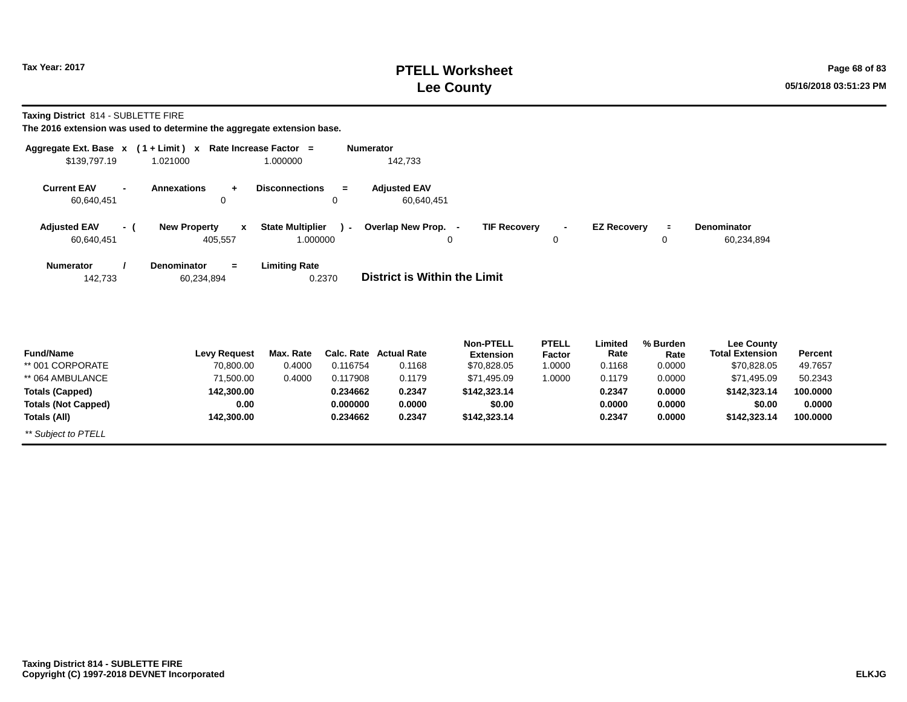*\*\* Subject to PTELL*

# **PTELL Worksheet Tax Year: 2017 Page 68 of 83 Lee County 05/16/2018 03:51:23 PM**

**Taxing District** 814 - SUBLETTE FIRE

| Aggregate Ext. Base $x$ (1+Limit) $x$    |                                                             | Rate Increase Factor =              | <b>Numerator</b> |                                   |                                      |                        |                    |                  |                                             |          |
|------------------------------------------|-------------------------------------------------------------|-------------------------------------|------------------|-----------------------------------|--------------------------------------|------------------------|--------------------|------------------|---------------------------------------------|----------|
| \$139,797.19                             | 1.021000                                                    | 1.000000                            |                  | 142,733                           |                                      |                        |                    |                  |                                             |          |
| <b>Current EAV</b><br>60,640,451         | <b>Annexations</b><br>÷<br>0                                | <b>Disconnections</b>               | $=$<br>0         | <b>Adjusted EAV</b><br>60,640,451 |                                      |                        |                    |                  |                                             |          |
| <b>Adjusted EAV</b><br>- (<br>60,640,451 | <b>New Property</b><br>$\boldsymbol{\mathsf{x}}$<br>405,557 | <b>State Multiplier</b><br>1.000000 | $\sim$           | Overlap New Prop. -               | <b>TIF Recovery</b><br>0             | 0                      | <b>EZ Recovery</b> | $\equiv$<br>0    | Denominator<br>60,234,894                   |          |
| <b>Numerator</b><br>142,733              | <b>Denominator</b><br>$\equiv$<br>60,234,894                | <b>Limiting Rate</b><br>0.2370      |                  | District is Within the Limit      |                                      |                        |                    |                  |                                             |          |
| <b>Fund/Name</b>                         | <b>Levy Request</b>                                         | Max. Rate                           | Calc. Rate       | <b>Actual Rate</b>                | <b>Non-PTELL</b><br><b>Extension</b> | <b>PTELL</b><br>Factor | Limited<br>Rate    | % Burden<br>Rate | <b>Lee County</b><br><b>Total Extension</b> | Percent  |
| ** 001 CORPORATE                         | 70,800.00                                                   | 0.4000                              | 0.116754         | 0.1168                            | \$70,828.05                          | 1.0000                 | 0.1168             | 0.0000           | \$70,828.05                                 | 49.7657  |
| ** 064 AMBULANCE                         | 71,500.00                                                   | 0.4000                              | 0.117908         | 0.1179                            | \$71,495.09                          | 1.0000                 | 0.1179             | 0.0000           | \$71,495.09                                 | 50.2343  |
| <b>Totals (Capped)</b>                   | 142,300.00                                                  |                                     | 0.234662         | 0.2347                            | \$142,323.14                         |                        | 0.2347             | 0.0000           | \$142,323.14                                | 100.0000 |
| <b>Totals (Not Capped)</b>               | 0.00                                                        |                                     | 0.000000         | 0.0000                            | \$0.00                               |                        | 0.0000             | 0.0000           | \$0.00                                      | 0.0000   |
| Totals (All)                             | 142,300.00                                                  |                                     | 0.234662         | 0.2347                            | \$142,323.14                         |                        | 0.2347             | 0.0000           | \$142,323.14                                | 100.0000 |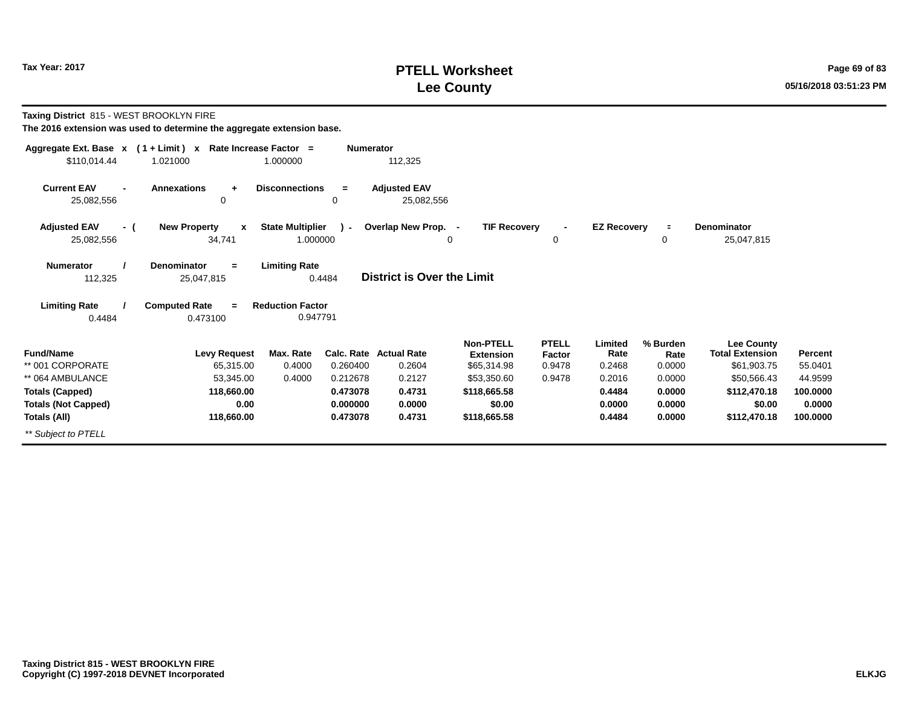# **PTELL Worksheet Tax Year: 2017 Page 69 of 83 Lee County 05/16/2018 03:51:23 PM**

**Taxing District** 815 - WEST BROOKLYN FIRE

|                                          | Aggregate Ext. Base $x$ (1 + Limit) x Rate Increase Factor = |                                     | <b>Numerator</b> |                                   |                                      |                        |                    |                  |                                      |          |
|------------------------------------------|--------------------------------------------------------------|-------------------------------------|------------------|-----------------------------------|--------------------------------------|------------------------|--------------------|------------------|--------------------------------------|----------|
| \$110,014.44                             | 1.021000                                                     | 1.000000                            |                  | 112,325                           |                                      |                        |                    |                  |                                      |          |
| <b>Current EAV</b><br>25,082,556         | <b>Annexations</b><br>$\ddot{}$<br>0                         | <b>Disconnections</b>               | $=$<br>0         | <b>Adjusted EAV</b><br>25,082,556 |                                      |                        |                    |                  |                                      |          |
| <b>Adjusted EAV</b><br>- (<br>25,082,556 | <b>New Property</b><br>$\mathbf{x}$<br>34,741                | <b>State Multiplier</b><br>1.000000 | $\mathcal{L}$    | Overlap New Prop. -               | <b>TIF Recovery</b><br>0             | 0                      | <b>EZ Recovery</b> | $\equiv$<br>0    | <b>Denominator</b><br>25,047,815     |          |
| <b>Numerator</b><br>112,325              | <b>Denominator</b><br>$=$<br>25,047,815                      | <b>Limiting Rate</b><br>0.4484      |                  | <b>District is Over the Limit</b> |                                      |                        |                    |                  |                                      |          |
| <b>Limiting Rate</b><br>0.4484           | <b>Computed Rate</b><br>$=$<br>0.473100                      | <b>Reduction Factor</b><br>0.947791 |                  |                                   |                                      |                        |                    |                  |                                      |          |
| <b>Fund/Name</b>                         | <b>Levy Request</b>                                          | Max. Rate                           |                  | <b>Calc. Rate Actual Rate</b>     | <b>Non-PTELL</b><br><b>Extension</b> | <b>PTELL</b><br>Factor | Limited<br>Rate    | % Burden<br>Rate | Lee County<br><b>Total Extension</b> | Percent  |
| ** 001 CORPORATE                         | 65,315.00                                                    | 0.4000                              | 0.260400         | 0.2604                            | \$65,314.98                          | 0.9478                 | 0.2468             | 0.0000           | \$61,903.75                          | 55.0401  |
| ** 064 AMBULANCE                         | 53,345.00                                                    | 0.4000                              | 0.212678         | 0.2127                            | \$53,350.60                          | 0.9478                 | 0.2016             | 0.0000           | \$50,566.43                          | 44.9599  |
| <b>Totals (Capped)</b>                   | 118,660.00                                                   |                                     | 0.473078         | 0.4731                            | \$118,665.58                         |                        | 0.4484             | 0.0000           | \$112,470.18                         | 100.0000 |
| <b>Totals (Not Capped)</b>               | 0.00                                                         |                                     | 0.000000         | 0.0000                            | \$0.00                               |                        | 0.0000             | 0.0000           | \$0.00                               | 0.0000   |
| Totals (All)                             | 118,660.00                                                   |                                     | 0.473078         | 0.4731                            | \$118,665.58                         |                        | 0.4484             | 0.0000           | \$112,470.18                         | 100.0000 |
| ** Subject to PTELL                      |                                                              |                                     |                  |                                   |                                      |                        |                    |                  |                                      |          |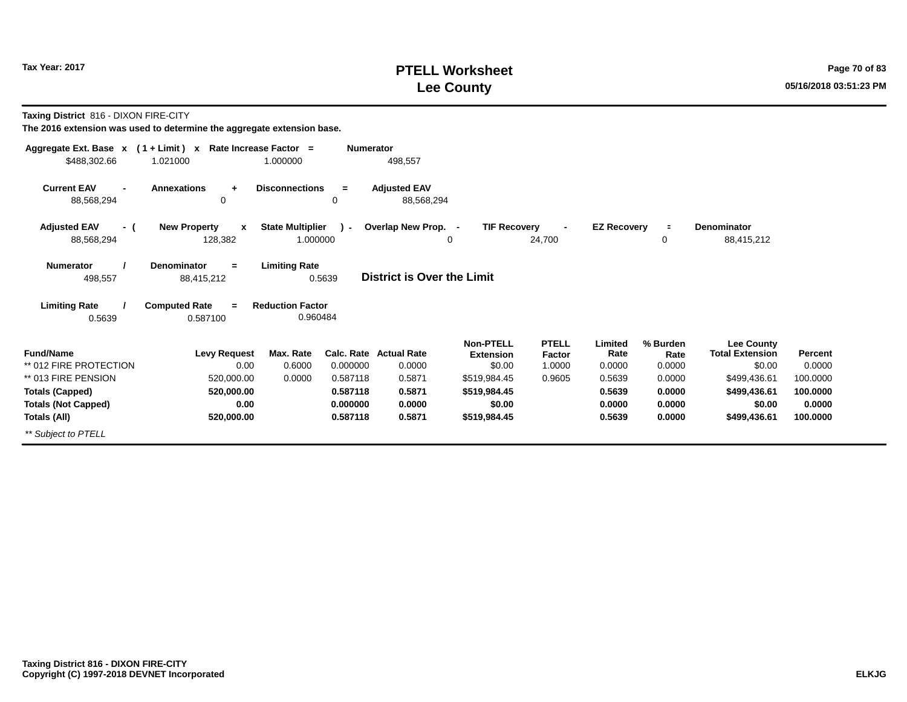# **PTELL Worksheet Tax Year: 2017 Page 70 of 83 Lee County 05/16/2018 03:51:23 PM**

**Taxing District** 816 - DIXON FIRE-CITY

| Aggregate Ext. Base $x$ (1 + Limit) $x$  | Rate Increase Factor =                         |                                     | <b>Numerator</b> |                                   |                                      |                        |                    |                  |                                             |          |
|------------------------------------------|------------------------------------------------|-------------------------------------|------------------|-----------------------------------|--------------------------------------|------------------------|--------------------|------------------|---------------------------------------------|----------|
| \$488,302.66                             | 1.021000                                       | 1.000000                            |                  | 498,557                           |                                      |                        |                    |                  |                                             |          |
| <b>Current EAV</b><br>88,568,294         | <b>Annexations</b><br>$\ddot{}$<br>$\mathbf 0$ | <b>Disconnections</b>               | $\equiv$<br>0    | <b>Adjusted EAV</b><br>88,568,294 |                                      |                        |                    |                  |                                             |          |
| <b>Adjusted EAV</b><br>- (<br>88,568,294 | <b>New Property</b><br>$\mathbf{x}$<br>128,382 | <b>State Multiplier</b><br>1.000000 | $\mathcal{L}$    | Overlap New Prop. -               | <b>TIF Recovery</b><br>0             | 24,700                 | <b>EZ Recovery</b> | $\equiv$<br>0    | Denominator<br>88,415,212                   |          |
| <b>Numerator</b><br>498,557              | <b>Denominator</b><br>$=$<br>88,415,212        | <b>Limiting Rate</b>                | 0.5639           | <b>District is Over the Limit</b> |                                      |                        |                    |                  |                                             |          |
| <b>Limiting Rate</b><br>0.5639           | <b>Computed Rate</b><br>$=$<br>0.587100        | <b>Reduction Factor</b><br>0.960484 |                  |                                   |                                      |                        |                    |                  |                                             |          |
| <b>Fund/Name</b>                         | <b>Levy Request</b>                            | Max. Rate                           |                  | Calc. Rate Actual Rate            | <b>Non-PTELL</b><br><b>Extension</b> | <b>PTELL</b><br>Factor | Limited<br>Rate    | % Burden<br>Rate | <b>Lee County</b><br><b>Total Extension</b> | Percent  |
| ** 012 FIRE PROTECTION                   | 0.00                                           | 0.6000                              | 0.000000         | 0.0000                            | \$0.00                               | 1.0000                 | 0.0000             | 0.0000           | \$0.00                                      | 0.0000   |
| ** 013 FIRE PENSION                      | 520,000.00                                     | 0.0000                              | 0.587118         | 0.5871                            | \$519,984.45                         | 0.9605                 | 0.5639             | 0.0000           | \$499,436.61                                | 100.0000 |
| <b>Totals (Capped)</b>                   | 520,000.00                                     |                                     | 0.587118         | 0.5871                            | \$519,984.45                         |                        | 0.5639             | 0.0000           | \$499,436.61                                | 100.0000 |
| <b>Totals (Not Capped)</b>               | 0.00                                           |                                     | 0.000000         | 0.0000                            | \$0.00                               |                        | 0.0000             | 0.0000           | \$0.00                                      | 0.0000   |
| Totals (All)                             | 520,000.00                                     |                                     | 0.587118         | 0.5871                            | \$519,984.45                         |                        | 0.5639             | 0.0000           | \$499,436.61                                | 100.0000 |
| ** Subject to PTELL                      |                                                |                                     |                  |                                   |                                      |                        |                    |                  |                                             |          |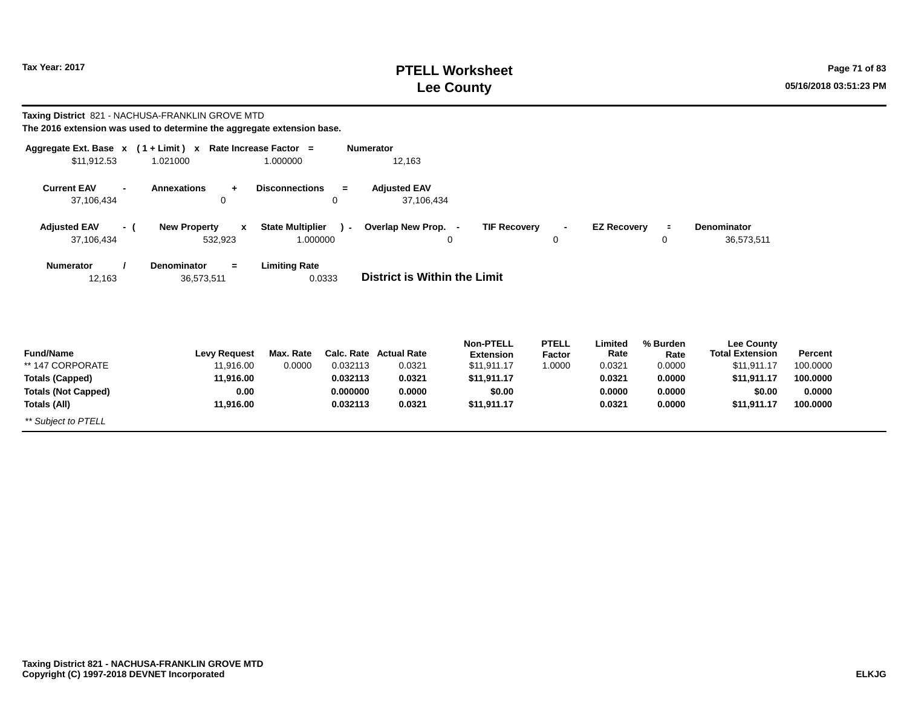# **PTELL Worksheet Tax Year: 2017 Page 71 of 83 Lee County 05/16/2018 03:51:23 PM**

|                                                    | Taxing District 821 - NACHUSA-FRANKLIN GROVE MTD                       |                         |                  |                                     |                                      |                               |                    |                  |                                             |          |
|----------------------------------------------------|------------------------------------------------------------------------|-------------------------|------------------|-------------------------------------|--------------------------------------|-------------------------------|--------------------|------------------|---------------------------------------------|----------|
|                                                    | The 2016 extension was used to determine the aggregate extension base. |                         |                  |                                     |                                      |                               |                    |                  |                                             |          |
|                                                    | Aggregate Ext. Base $x$ (1 + Limit) x Rate Increase Factor =           |                         | <b>Numerator</b> |                                     |                                      |                               |                    |                  |                                             |          |
| \$11,912.53                                        | 1.021000                                                               | 1.000000                |                  | 12,163                              |                                      |                               |                    |                  |                                             |          |
| <b>Current EAV</b><br>$\blacksquare$<br>37,106,434 | <b>Annexations</b><br>$\ddot{}$<br>0                                   | <b>Disconnections</b>   | $=$<br>0         | <b>Adjusted EAV</b><br>37,106,434   |                                      |                               |                    |                  |                                             |          |
| <b>Adjusted EAV</b><br>- (                         | <b>New Property</b><br>$\mathbf{x}$                                    | <b>State Multiplier</b> | $\lambda$        | Overlap New Prop. -                 | <b>TIF Recovery</b>                  |                               | <b>EZ Recovery</b> | $\equiv$         | <b>Denominator</b>                          |          |
| 37,106,434                                         | 532,923                                                                | 1.000000                |                  |                                     | 0                                    | 0                             |                    | 0                | 36,573,511                                  |          |
| <b>Numerator</b><br>12,163                         | <b>Denominator</b><br>$=$<br>36,573,511                                | <b>Limiting Rate</b>    | 0.0333           | <b>District is Within the Limit</b> |                                      |                               |                    |                  |                                             |          |
|                                                    |                                                                        |                         |                  |                                     |                                      |                               |                    |                  |                                             |          |
| <b>Fund/Name</b>                                   | <b>Levy Request</b>                                                    | Max. Rate               | Calc. Rate       | <b>Actual Rate</b>                  | <b>Non-PTELL</b><br><b>Extension</b> | <b>PTELL</b><br><b>Factor</b> | Limited<br>Rate    | % Burden<br>Rate | <b>Lee County</b><br><b>Total Extension</b> | Percent  |
| ** 147 CORPORATE                                   | 11.916.00                                                              | 0.0000                  | 0.032113         | 0.0321                              | \$11,911.17                          | 1.0000                        | 0.0321             | 0.0000           | \$11,911.17                                 | 100.0000 |
| <b>Totals (Capped)</b>                             | 11.916.00                                                              |                         | 0.032113         | 0.0321                              | \$11,911.17                          |                               | 0.0321             | 0.0000           | \$11,911.17                                 | 100.0000 |
| <b>Totals (Not Capped)</b>                         | 0.00                                                                   |                         | 0.000000         | 0.0000                              | \$0.00                               |                               | 0.0000             | 0.0000           | \$0.00                                      | 0.0000   |
| Totals (All)                                       | 11,916.00                                                              |                         | 0.032113         | 0.0321                              | \$11,911.17                          |                               | 0.0321             | 0.0000           | \$11,911.17                                 | 100.0000 |
| ** Subject to PTELL                                |                                                                        |                         |                  |                                     |                                      |                               |                    |                  |                                             |          |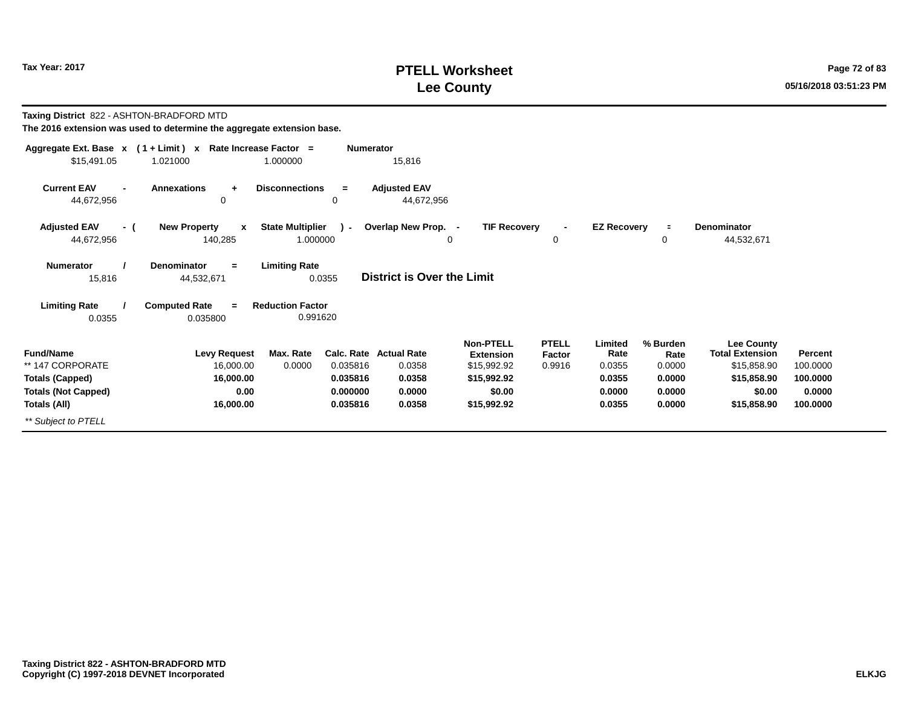# **PTELL Worksheet Tax Year: 2017 Page 72 of 83 Lee County 05/16/2018 03:51:23 PM**

#### **Taxing District** 822 - ASHTON-BRADFORD MTD **The 2016 extension was used to determine the aggregate extension base.**

| Aggregate Ext. Base $x$ (1 + Limit) $x$                        |                                                | Rate Increase Factor =              | <b>Numerator</b>     |                                                   |                                                             |                                  |                                     |                                      |                                                                           |                                 |
|----------------------------------------------------------------|------------------------------------------------|-------------------------------------|----------------------|---------------------------------------------------|-------------------------------------------------------------|----------------------------------|-------------------------------------|--------------------------------------|---------------------------------------------------------------------------|---------------------------------|
| \$15,491.05                                                    | 1.021000                                       | 1.000000                            |                      | 15,816                                            |                                                             |                                  |                                     |                                      |                                                                           |                                 |
| <b>Current EAV</b><br>$\blacksquare$<br>44,672,956             | <b>Annexations</b><br>$\ddot{}$<br>0           | <b>Disconnections</b>               | $=$<br>0             | <b>Adjusted EAV</b><br>44,672,956                 |                                                             |                                  |                                     |                                      |                                                                           |                                 |
| <b>Adjusted EAV</b><br>- (<br>44,672,956                       | <b>New Property</b><br>$\mathbf{x}$<br>140,285 | <b>State Multiplier</b><br>1.000000 | $\mathbf{r}$         | Overlap New Prop. -<br>0                          | <b>TIF Recovery</b>                                         | $\blacksquare$<br>0              | <b>EZ Recovery</b>                  | $\equiv$<br>0                        | <b>Denominator</b><br>44,532,671                                          |                                 |
| <b>Numerator</b><br>15,816                                     | <b>Denominator</b><br>$=$<br>44,532,671        | <b>Limiting Rate</b><br>0.0355      |                      | <b>District is Over the Limit</b>                 |                                                             |                                  |                                     |                                      |                                                                           |                                 |
| <b>Limiting Rate</b>                                           | <b>Computed Rate</b><br>$=$                    | <b>Reduction Factor</b>             |                      |                                                   |                                                             |                                  |                                     |                                      |                                                                           |                                 |
| 0.0355                                                         | 0.035800                                       | 0.991620                            |                      |                                                   |                                                             |                                  |                                     |                                      |                                                                           |                                 |
| <b>Fund/Name</b><br>** 147 CORPORATE<br><b>Totals (Capped)</b> | <b>Levy Request</b><br>16,000.00<br>16,000.00  | Max. Rate<br>0.0000                 | 0.035816<br>0.035816 | <b>Calc. Rate Actual Rate</b><br>0.0358<br>0.0358 | Non-PTELL<br><b>Extension</b><br>\$15,992.92<br>\$15,992.92 | <b>PTELL</b><br>Factor<br>0.9916 | Limited<br>Rate<br>0.0355<br>0.0355 | % Burden<br>Rate<br>0.0000<br>0.0000 | <b>Lee County</b><br><b>Total Extension</b><br>\$15,858.90<br>\$15,858.90 | Percent<br>100.0000<br>100.0000 |
| <b>Totals (Not Capped)</b>                                     | 0.00                                           |                                     | 0.000000             | 0.0000                                            | \$0.00                                                      |                                  | 0.0000                              | 0.0000                               | \$0.00                                                                    | 0.0000                          |
| Totals (All)                                                   | 16,000.00                                      |                                     | 0.035816             | 0.0358                                            | \$15,992.92                                                 |                                  | 0.0355                              | 0.0000                               | \$15,858.90                                                               | 100.0000                        |
| ** Subject to PTELL                                            |                                                |                                     |                      |                                                   |                                                             |                                  |                                     |                                      |                                                                           |                                 |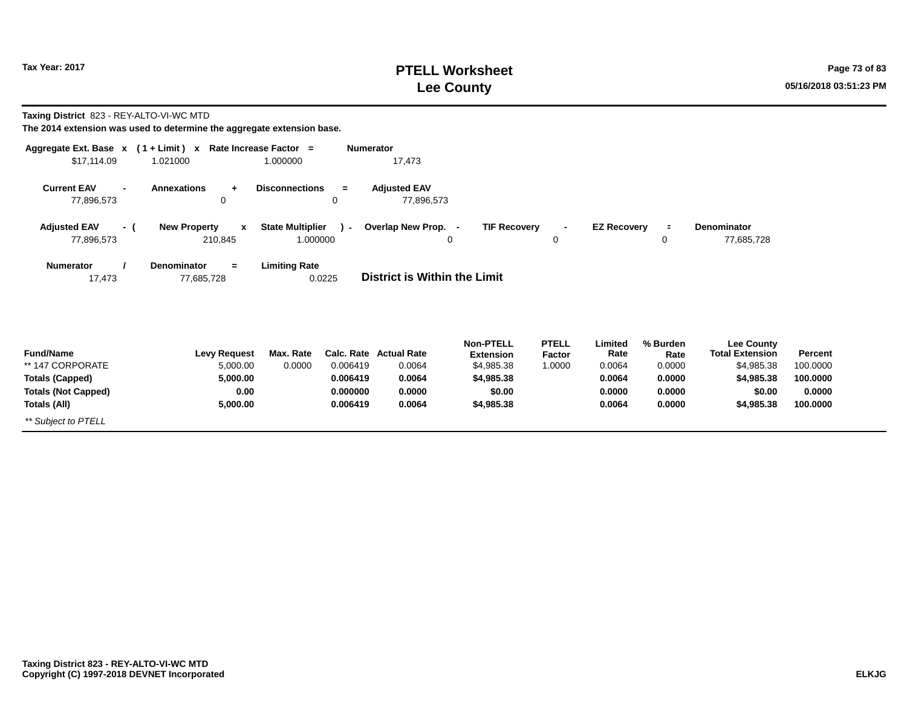# **PTELL Worksheet Tax Year: 2017 Page 73 of 83 Lee County 05/16/2018 03:51:23 PM**

**Taxing District** 823 - REY-ALTO-VI-WC MTD

| Aggregate Ext. Base $x$ (1+Limit) $x$<br>\$17,114.09 | 1.021000                                | Rate Increase Factor =<br>1.000000  | <b>Numerator</b> | 17,473                              |                     |                     |                    |               |                           |          |
|------------------------------------------------------|-----------------------------------------|-------------------------------------|------------------|-------------------------------------|---------------------|---------------------|--------------------|---------------|---------------------------|----------|
|                                                      |                                         |                                     |                  |                                     |                     |                     |                    |               |                           |          |
| <b>Current EAV</b><br>$\blacksquare$<br>77,896,573   | <b>Annexations</b><br>$\ddot{}$<br>0    | <b>Disconnections</b>               | $=$<br>0         | <b>Adjusted EAV</b><br>77,896,573   |                     |                     |                    |               |                           |          |
|                                                      |                                         |                                     |                  |                                     |                     |                     |                    |               |                           |          |
| <b>Adjusted EAV</b><br>- (<br>77,896,573             | <b>New Property</b><br>x<br>210,845     | <b>State Multiplier</b><br>1.000000 | $\mathbf{r}$     | Overlap New Prop. -<br>0            | <b>TIF Recovery</b> | $\blacksquare$<br>0 | <b>EZ Recovery</b> | $\equiv$<br>0 | Denominator<br>77,685,728 |          |
|                                                      |                                         |                                     |                  |                                     |                     |                     |                    |               |                           |          |
| <b>Numerator</b><br>17,473                           | <b>Denominator</b><br>$=$<br>77,685,728 | <b>Limiting Rate</b>                | 0.0225           | <b>District is Within the Limit</b> |                     |                     |                    |               |                           |          |
|                                                      |                                         |                                     |                  |                                     |                     |                     |                    |               |                           |          |
|                                                      |                                         |                                     |                  |                                     |                     |                     |                    |               |                           |          |
|                                                      |                                         |                                     |                  |                                     | <b>Non-PTELL</b>    | <b>PTELL</b>        | Limited            | % Burden      | <b>Lee County</b>         |          |
| <b>Fund/Name</b>                                     | <b>Levy Request</b>                     | Max. Rate                           |                  | Calc. Rate Actual Rate              | <b>Extension</b>    | Factor              | Rate               | Rate          | <b>Total Extension</b>    | Percent  |
| ** 147 CORPORATE                                     | 5,000.00                                | 0.0000                              | 0.006419         | 0.0064                              | \$4,985.38          | 1.0000              | 0.0064             | 0.0000        | \$4,985.38                | 100.0000 |
| <b>Totals (Capped)</b>                               | 5,000.00                                |                                     | 0.006419         | 0.0064                              | \$4,985.38          |                     | 0.0064             | 0.0000        | \$4,985.38                | 100.0000 |
| <b>Totals (Not Capped)</b>                           | 0.00                                    |                                     | 0.000000         | 0.0000                              | \$0.00              |                     | 0.0000             | 0.0000        | \$0.00                    | 0.0000   |
| Totals (All)                                         | 5,000.00                                |                                     | 0.006419         | 0.0064                              | \$4,985.38          |                     | 0.0064             | 0.0000        | \$4,985.38                | 100.0000 |
| ** Subject to PTELL                                  |                                         |                                     |                  |                                     |                     |                     |                    |               |                           |          |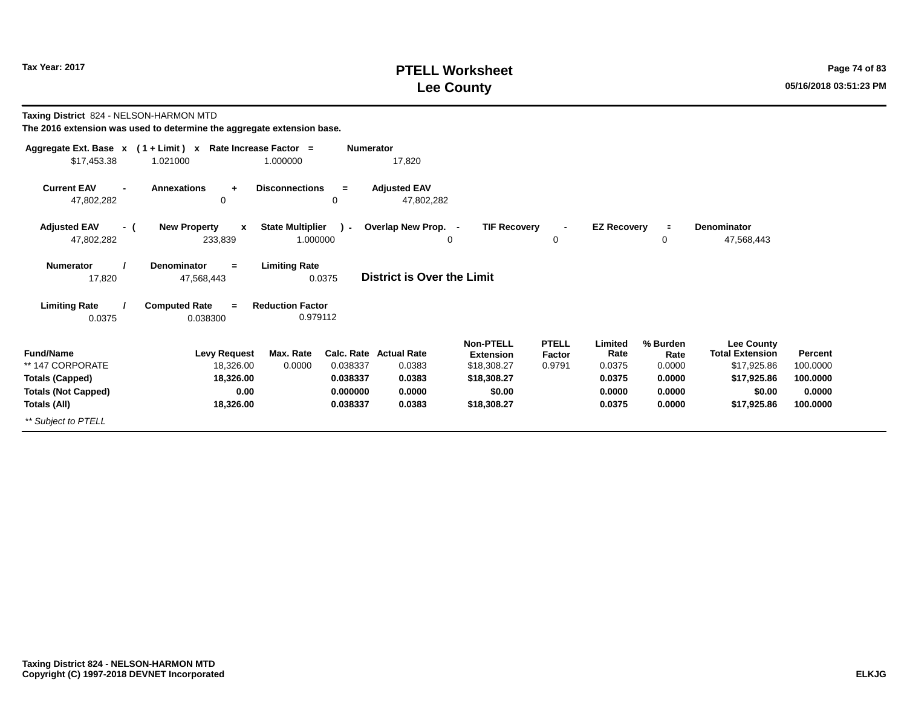# **PTELL Worksheet Tax Year: 2017 Page 74 of 83 Lee County 05/16/2018 03:51:23 PM**

#### **Taxing District** 824 - NELSON-HARMON MTD **The 2016 extension was used to determine the aggregate extension base.**

| \$17,453.38                                        | Aggregate Ext. Base $x$ (1 + Limit) x Rate Increase Factor =<br>1.021000 | 1.000000                            | <b>Numerator</b> | 17,820                            |                                                     |                                  |                           |                            |                                                            |                            |
|----------------------------------------------------|--------------------------------------------------------------------------|-------------------------------------|------------------|-----------------------------------|-----------------------------------------------------|----------------------------------|---------------------------|----------------------------|------------------------------------------------------------|----------------------------|
| <b>Current EAV</b><br>$\blacksquare$<br>47,802,282 | <b>Annexations</b><br>$\ddot{}$<br>0                                     | <b>Disconnections</b>               | $=$<br>0         | <b>Adjusted EAV</b><br>47,802,282 |                                                     |                                  |                           |                            |                                                            |                            |
| <b>Adjusted EAV</b><br>- (<br>47,802,282           | <b>New Property</b><br>$\mathbf{x}$<br>233,839                           | <b>State Multiplier</b><br>1.000000 | $\lambda$ -      | Overlap New Prop. -<br>0          | <b>TIF Recovery</b>                                 | $\blacksquare$<br>0              | <b>EZ Recovery</b>        | $\equiv$<br>0              | Denominator<br>47,568,443                                  |                            |
| <b>Numerator</b><br>17,820                         | <b>Denominator</b><br>$=$<br>47,568,443                                  | <b>Limiting Rate</b>                | 0.0375           | <b>District is Over the Limit</b> |                                                     |                                  |                           |                            |                                                            |                            |
| <b>Limiting Rate</b><br>0.0375                     | <b>Computed Rate</b><br>$\equiv$<br>0.038300                             | <b>Reduction Factor</b><br>0.979112 |                  |                                   |                                                     |                                  |                           |                            |                                                            |                            |
| <b>Fund/Name</b><br>** 147 CORPORATE               | <b>Levy Request</b><br>18,326.00                                         | Max. Rate<br>0.0000                 | 0.038337         | Calc. Rate Actual Rate<br>0.0383  | <b>Non-PTELL</b><br><b>Extension</b><br>\$18,308.27 | <b>PTELL</b><br>Factor<br>0.9791 | Limited<br>Rate<br>0.0375 | % Burden<br>Rate<br>0.0000 | <b>Lee County</b><br><b>Total Extension</b><br>\$17,925.86 | <b>Percent</b><br>100.0000 |
| <b>Totals (Capped)</b>                             | 18,326.00                                                                |                                     | 0.038337         | 0.0383                            | \$18,308.27                                         |                                  | 0.0375                    | 0.0000                     | \$17,925.86                                                | 100.0000                   |
| <b>Totals (Not Capped)</b>                         | 0.00                                                                     |                                     | 0.000000         | 0.0000                            | \$0.00                                              |                                  | 0.0000                    | 0.0000                     | \$0.00                                                     | 0.0000                     |
| Totals (All)                                       | 18,326.00                                                                |                                     | 0.038337         | 0.0383                            | \$18,308.27                                         |                                  | 0.0375                    | 0.0000                     | \$17,925.86                                                | 100.0000                   |
| ** Subject to PTELL                                |                                                                          |                                     |                  |                                   |                                                     |                                  |                           |                            |                                                            |                            |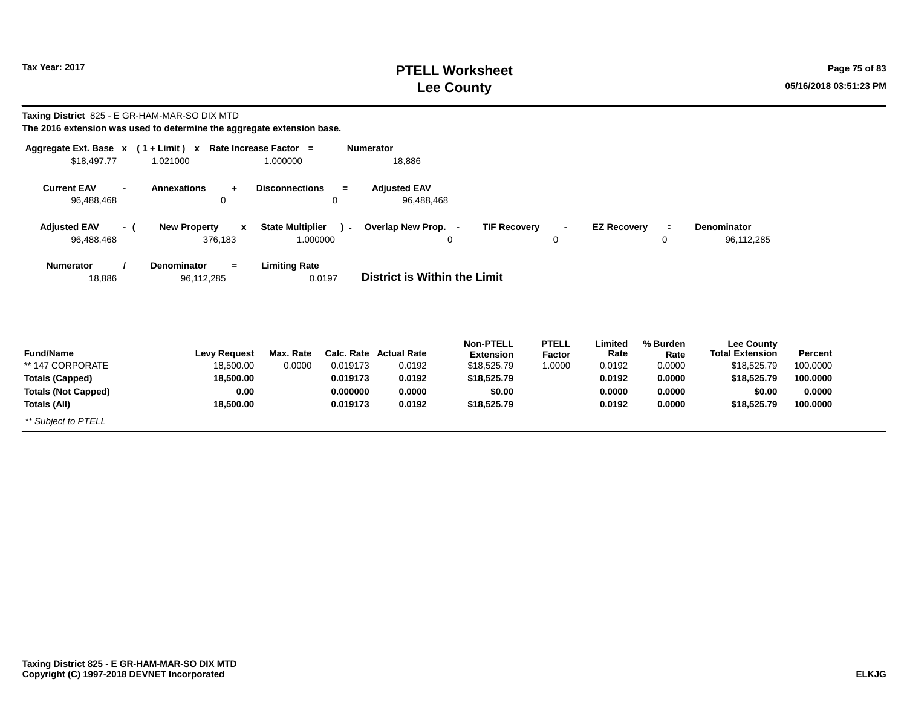# **PTELL Worksheet Tax Year: 2017 Page 75 of 83 Lee County 05/16/2018 03:51:23 PM**

| Taxing District 825 - E GR-HAM-MAR-SO DIX MTD                                                                | The 2016 extension was used to determine the aggregate extension base.   |                                     |                                                            |                                                            |                                                                                             |                                  |                                                         |                                                          |                                                                                                    |                                                       |
|--------------------------------------------------------------------------------------------------------------|--------------------------------------------------------------------------|-------------------------------------|------------------------------------------------------------|------------------------------------------------------------|---------------------------------------------------------------------------------------------|----------------------------------|---------------------------------------------------------|----------------------------------------------------------|----------------------------------------------------------------------------------------------------|-------------------------------------------------------|
| \$18,497.77                                                                                                  | Aggregate Ext. Base $x$ (1 + Limit) x Rate Increase Factor =<br>1.021000 | 1.000000                            | <b>Numerator</b>                                           | 18,886                                                     |                                                                                             |                                  |                                                         |                                                          |                                                                                                    |                                                       |
| <b>Current EAV</b><br>$\blacksquare$<br>96,488,468                                                           | <b>Annexations</b><br>$\ddot{}$<br>0                                     | <b>Disconnections</b>               | $=$<br>0                                                   | <b>Adjusted EAV</b><br>96,488,468                          |                                                                                             |                                  |                                                         |                                                          |                                                                                                    |                                                       |
| <b>Adjusted EAV</b><br>- (<br>96,488,468                                                                     | <b>New Property</b><br>$\mathbf{x}$<br>376,183                           | <b>State Multiplier</b><br>1.000000 | $\lambda$                                                  | Overlap New Prop. -                                        | <b>TIF Recovery</b><br>0                                                                    | $\overline{\phantom{a}}$<br>0    | <b>EZ Recovery</b>                                      | $\equiv$<br>0                                            | Denominator<br>96,112,285                                                                          |                                                       |
| Numerator<br>18,886                                                                                          | <b>Denominator</b><br>$=$<br>96,112,285                                  | <b>Limiting Rate</b><br>0.0197      |                                                            | District is Within the Limit                               |                                                                                             |                                  |                                                         |                                                          |                                                                                                    |                                                       |
| <b>Fund/Name</b><br>** 147 CORPORATE<br><b>Totals (Capped)</b><br><b>Totals (Not Capped)</b><br>Totals (All) | <b>Levy Request</b><br>18.500.00<br>18,500.00<br>0.00<br>18,500.00       | Max. Rate<br>0.0000                 | Calc. Rate<br>0.019173<br>0.019173<br>0.000000<br>0.019173 | <b>Actual Rate</b><br>0.0192<br>0.0192<br>0.0000<br>0.0192 | <b>Non-PTELL</b><br><b>Extension</b><br>\$18,525.79<br>\$18,525.79<br>\$0.00<br>\$18,525.79 | <b>PTELL</b><br>Factor<br>1.0000 | Limited<br>Rate<br>0.0192<br>0.0192<br>0.0000<br>0.0192 | % Burden<br>Rate<br>0.0000<br>0.0000<br>0.0000<br>0.0000 | <b>Lee County</b><br><b>Total Extension</b><br>\$18,525.79<br>\$18,525.79<br>\$0.00<br>\$18,525.79 | Percent<br>100.0000<br>100.0000<br>0.0000<br>100.0000 |
| ** Subject to PTELL                                                                                          |                                                                          |                                     |                                                            |                                                            |                                                                                             |                                  |                                                         |                                                          |                                                                                                    |                                                       |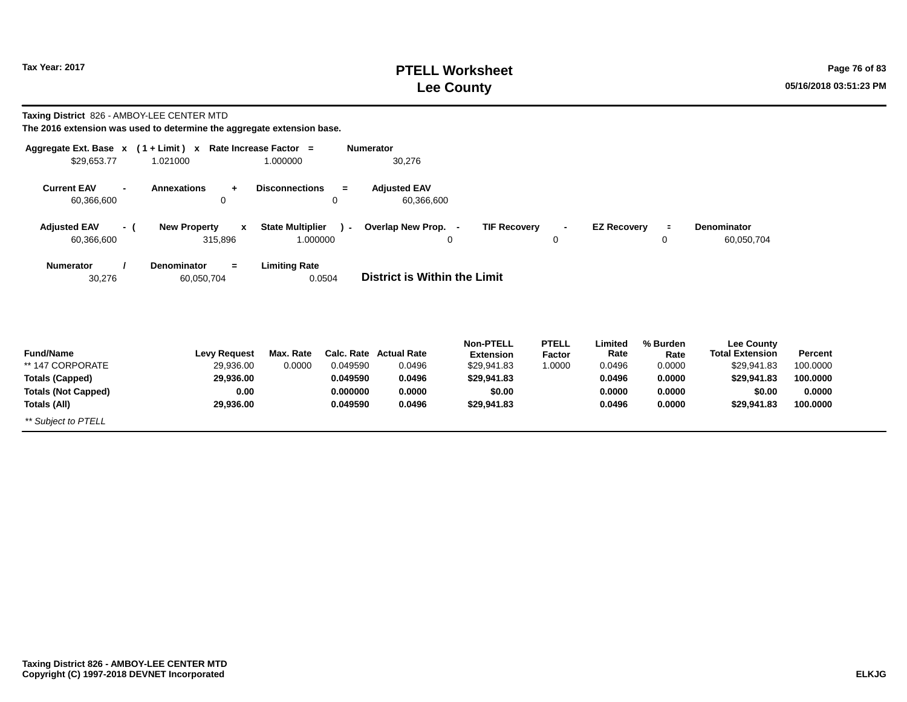# **PTELL Worksheet Tax Year: 2017 Page 76 of 83 Lee County 05/16/2018 03:51:23 PM**

| Taxing District 826 - AMBOY-LEE CENTER MTD                                                   | The 2016 extension was used to determine the aggregate extension base.   |                                                      |                                                                                          |                                                                              |                                  |                                               |                                                |                                                                              |                                           |
|----------------------------------------------------------------------------------------------|--------------------------------------------------------------------------|------------------------------------------------------|------------------------------------------------------------------------------------------|------------------------------------------------------------------------------|----------------------------------|-----------------------------------------------|------------------------------------------------|------------------------------------------------------------------------------|-------------------------------------------|
| \$29,653.77                                                                                  | Aggregate Ext. Base $x$ (1 + Limit) x Rate Increase Factor =<br>1.021000 | 1.000000                                             | <b>Numerator</b><br>30,276                                                               |                                                                              |                                  |                                               |                                                |                                                                              |                                           |
| <b>Current EAV</b><br>$\overline{\phantom{a}}$<br>60,366,600                                 | <b>Annexations</b><br>$+$<br>0                                           | <b>Disconnections</b><br>$=$<br>$\mathbf 0$          | <b>Adjusted EAV</b><br>60,366,600                                                        |                                                                              |                                  |                                               |                                                |                                                                              |                                           |
| <b>Adjusted EAV</b><br>- (<br>60,366,600                                                     | <b>New Property</b><br>$\mathbf{x}$<br>315,896                           | <b>State Multiplier</b><br>$\mathcal{L}$<br>1.000000 | Overlap New Prop. -                                                                      | <b>TIF Recovery</b><br>0                                                     | 0                                | <b>EZ Recovery</b>                            | $\equiv$<br>0                                  | <b>Denominator</b><br>60,050,704                                             |                                           |
| <b>Numerator</b><br>30,276                                                                   | <b>Denominator</b><br>$=$<br>60,050,704                                  | <b>Limiting Rate</b><br>0.0504                       | <b>District is Within the Limit</b>                                                      |                                                                              |                                  |                                               |                                                |                                                                              |                                           |
| <b>Fund/Name</b><br>** 147 CORPORATE<br><b>Totals (Capped)</b><br><b>Totals (Not Capped)</b> | <b>Levy Request</b><br>29,936.00<br>29,936.00<br>0.00                    | Max. Rate<br>0.0000                                  | Calc. Rate Actual Rate<br>0.049590<br>0.0496<br>0.049590<br>0.0496<br>0.000000<br>0.0000 | <b>Non-PTELL</b><br><b>Extension</b><br>\$29,941.83<br>\$29,941.83<br>\$0.00 | <b>PTELL</b><br>Factor<br>1.0000 | Limited<br>Rate<br>0.0496<br>0.0496<br>0.0000 | % Burden<br>Rate<br>0.0000<br>0.0000<br>0.0000 | Lee County<br><b>Total Extension</b><br>\$29,941.83<br>\$29,941.83<br>\$0.00 | Percent<br>100.0000<br>100.0000<br>0.0000 |
| Totals (All)<br>** Subject to PTELL                                                          | 29,936.00                                                                |                                                      | 0.0496<br>0.049590                                                                       | \$29,941.83                                                                  |                                  | 0.0496                                        | 0.0000                                         | \$29,941.83                                                                  | 100.0000                                  |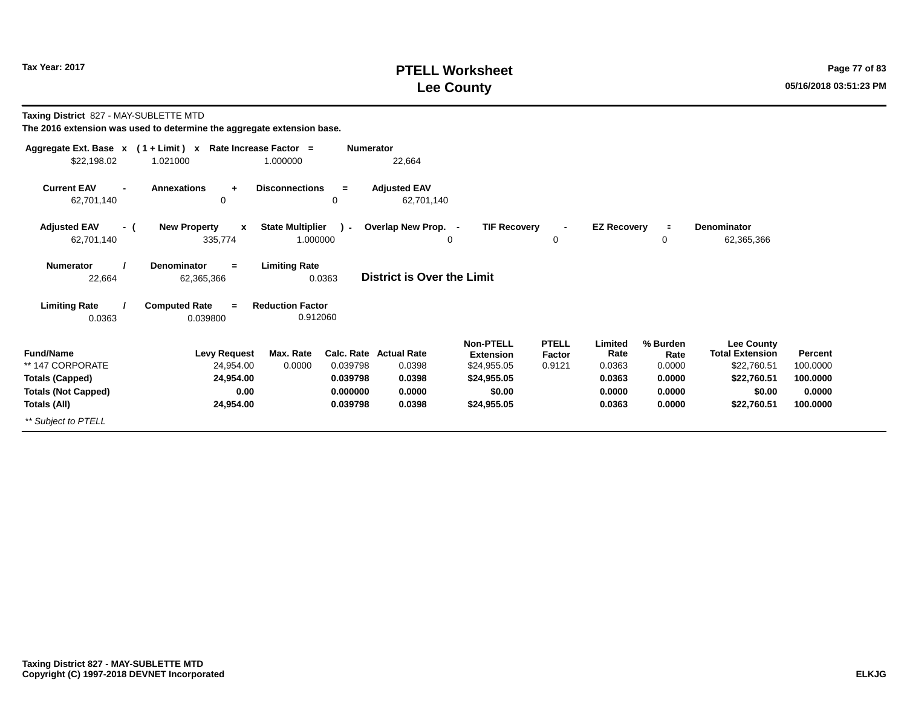# **PTELL Worksheet Tax Year: 2017 Page 77 of 83 Lee County 05/16/2018 03:51:23 PM**

**Taxing District** 827 - MAY-SUBLETTE MTD

| Aggregate Ext. Base x                                                                                                          | $(1 + Limit) x$                                                    | Rate Increase Factor =                                              | <b>Numerator</b>                                                      |                                                                                             |                                  |                                                         |                                                          |                                                                                             |                                                       |
|--------------------------------------------------------------------------------------------------------------------------------|--------------------------------------------------------------------|---------------------------------------------------------------------|-----------------------------------------------------------------------|---------------------------------------------------------------------------------------------|----------------------------------|---------------------------------------------------------|----------------------------------------------------------|---------------------------------------------------------------------------------------------|-------------------------------------------------------|
| \$22,198.02                                                                                                                    | 1.021000                                                           | 1.000000                                                            | 22,664                                                                |                                                                                             |                                  |                                                         |                                                          |                                                                                             |                                                       |
| <b>Current EAV</b><br>$\blacksquare$<br>62,701,140                                                                             | <b>Annexations</b><br>$\ddot{}$<br>0                               | <b>Disconnections</b><br>$=$<br>0                                   | <b>Adjusted EAV</b><br>62,701,140                                     |                                                                                             |                                  |                                                         |                                                          |                                                                                             |                                                       |
| <b>Adjusted EAV</b><br>- (<br>62,701,140                                                                                       | <b>New Property</b><br>$\mathbf{x}$<br>335,774                     | <b>State Multiplier</b><br>$\mathcal{L}$<br>1.000000                | Overlap New Prop. -<br>$\Omega$                                       | <b>TIF Recovery</b>                                                                         | 0                                | <b>EZ Recovery</b>                                      | $\equiv$<br>0                                            | <b>Denominator</b><br>62,365,366                                                            |                                                       |
| <b>Limiting Rate</b><br>Denominator<br><b>Numerator</b><br>$=$<br>District is Over the Limit<br>22,664<br>0.0363<br>62,365,366 |                                                                    |                                                                     |                                                                       |                                                                                             |                                  |                                                         |                                                          |                                                                                             |                                                       |
| <b>Limiting Rate</b><br>0.0363                                                                                                 | <b>Computed Rate</b><br>$=$<br>0.039800                            | <b>Reduction Factor</b><br>0.912060                                 |                                                                       |                                                                                             |                                  |                                                         |                                                          |                                                                                             |                                                       |
| <b>Fund/Name</b><br>** 147 CORPORATE<br><b>Totals (Capped)</b><br><b>Totals (Not Capped)</b><br>Totals (All)                   | <b>Levy Request</b><br>24,954.00<br>24,954.00<br>0.00<br>24,954.00 | Max. Rate<br>0.0000<br>0.039798<br>0.039798<br>0.000000<br>0.039798 | <b>Calc. Rate Actual Rate</b><br>0.0398<br>0.0398<br>0.0000<br>0.0398 | <b>Non-PTELL</b><br><b>Extension</b><br>\$24,955.05<br>\$24,955.05<br>\$0.00<br>\$24,955.05 | <b>PTELL</b><br>Factor<br>0.9121 | Limited<br>Rate<br>0.0363<br>0.0363<br>0.0000<br>0.0363 | % Burden<br>Rate<br>0.0000<br>0.0000<br>0.0000<br>0.0000 | Lee County<br><b>Total Extension</b><br>\$22,760.51<br>\$22,760.51<br>\$0.00<br>\$22,760.51 | Percent<br>100.0000<br>100.0000<br>0.0000<br>100.0000 |
| ** Subject to PTELL                                                                                                            |                                                                    |                                                                     |                                                                       |                                                                                             |                                  |                                                         |                                                          |                                                                                             |                                                       |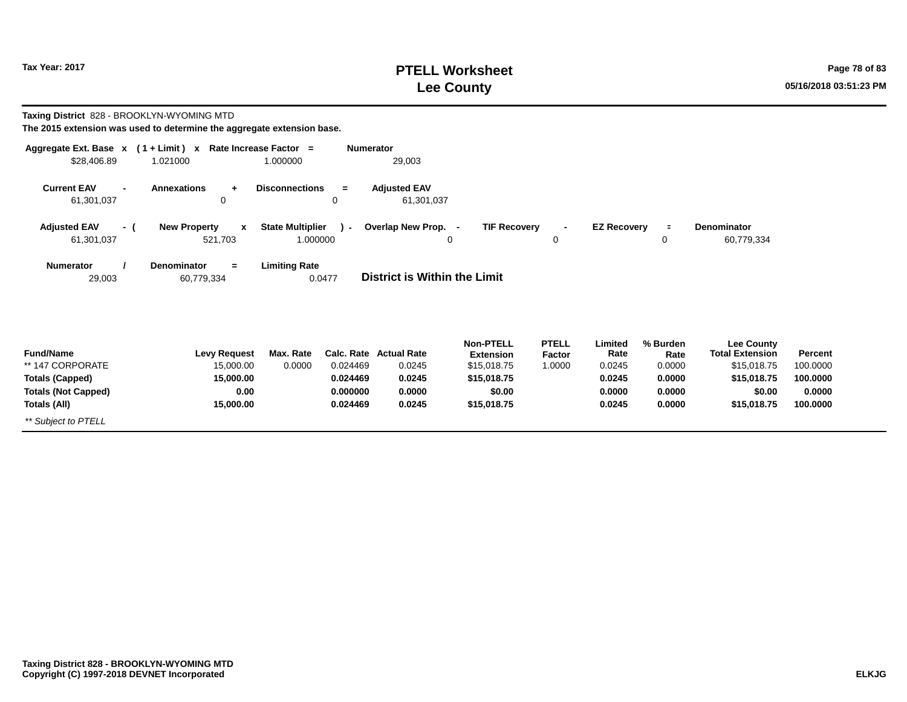# **PTELL Worksheet Tax Year: 2017 Page 78 of 83 Lee County 05/16/2018 03:51:23 PM**

| Taxing District 828 - BROOKLYN-WYOMING MTD |     | The 2015 extension was used to determine the aggregate extension base.     |                                     |                      |                                   |                                      |                        |                    |                  |                                             |                    |
|--------------------------------------------|-----|----------------------------------------------------------------------------|-------------------------------------|----------------------|-----------------------------------|--------------------------------------|------------------------|--------------------|------------------|---------------------------------------------|--------------------|
| \$28,406.89                                |     | Aggregate Ext. Base $x$ (1 + Limit) $x$ Rate Increase Factor =<br>1.021000 | 1.000000                            | <b>Numerator</b>     | 29,003                            |                                      |                        |                    |                  |                                             |                    |
| <b>Current EAV</b><br>61,301,037           |     | <b>Annexations</b><br>$\ddot{}$<br>$\mathbf 0$                             | <b>Disconnections</b>               | $=$<br>$\mathbf 0$   | <b>Adjusted EAV</b><br>61,301,037 |                                      |                        |                    |                  |                                             |                    |
| <b>Adjusted EAV</b><br>61,301,037          | - ( | <b>New Property</b><br>$\mathbf{x}$<br>521,703                             | <b>State Multiplier</b><br>1.000000 | $\lambda$ -          | Overlap New Prop. -               | <b>TIF Recovery</b><br>0             | 0                      | <b>EZ Recovery</b> | $\equiv$<br>0    | <b>Denominator</b><br>60,779,334            |                    |
| <b>Numerator</b><br>29,003                 |     | <b>Denominator</b><br>$=$<br>60,779,334                                    | <b>Limiting Rate</b>                | 0.0477               | District is Within the Limit      |                                      |                        |                    |                  |                                             |                    |
| <b>Fund/Name</b>                           |     | <b>Levy Request</b>                                                        | Max. Rate                           | Calc. Rate           | <b>Actual Rate</b>                | <b>Non-PTELL</b><br><b>Extension</b> | <b>PTELL</b><br>Factor | Limited<br>Rate    | % Burden<br>Rate | <b>Lee County</b><br><b>Total Extension</b> | Percent            |
| ** 147 CORPORATE                           |     | 15,000.00                                                                  | 0.0000                              | 0.024469             | 0.0245                            | \$15,018.75                          | 1.0000                 | 0.0245             | 0.0000           | \$15,018.75                                 | 100.0000           |
| <b>Totals (Capped)</b>                     |     | 15,000.00                                                                  |                                     | 0.024469             | 0.0245                            | \$15,018.75                          |                        | 0.0245             | 0.0000           | \$15,018.75                                 | 100.0000           |
| <b>Totals (Not Capped)</b>                 |     | 0.00                                                                       |                                     | 0.000000<br>0.024469 | 0.0000<br>0.0245                  | \$0.00                               |                        | 0.0000<br>0.0245   | 0.0000<br>0.0000 | \$0.00                                      | 0.0000<br>100.0000 |
| <b>Totals (All)</b><br>** Subject to PTELL |     | 15,000.00                                                                  |                                     |                      |                                   | \$15,018.75                          |                        |                    |                  | \$15,018.75                                 |                    |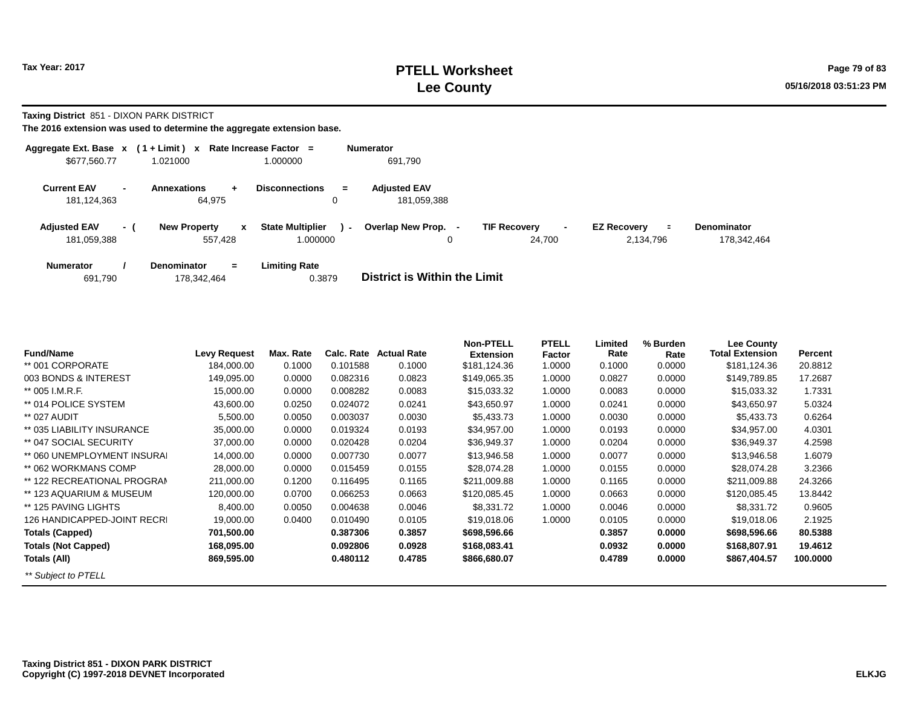**Taxing District** 851 - DIXON PARK DISTRICT

| Aggregate Ext. Base x               |                          | $(1 + Limit) x$                                      | Rate Increase Factor =                    | <b>Numerator</b>                   |                               |                                       |                                   |
|-------------------------------------|--------------------------|------------------------------------------------------|-------------------------------------------|------------------------------------|-------------------------------|---------------------------------------|-----------------------------------|
| \$677,560.77                        |                          | 1.021000                                             | 1.000000                                  | 691,790                            |                               |                                       |                                   |
| <b>Current EAV</b><br>181, 124, 363 | $\overline{\phantom{0}}$ | <b>Annexations</b><br>$\ddot{\phantom{1}}$<br>64,975 | <b>Disconnections</b><br>$=$<br>0         | <b>Adiusted EAV</b><br>181.059.388 |                               |                                       |                                   |
| <b>Adjusted EAV</b><br>181,059,388  | - 1                      | <b>New Property</b><br>$\mathbf{x}$<br>557.428       | <b>State Multiplier</b><br>۰.<br>1.000000 | Overlap New Prop. -                | <b>TIF Recovery</b><br>24.700 | <b>EZ Recovery</b><br>÷.<br>2,134,796 | <b>Denominator</b><br>178,342,464 |
| <b>Numerator</b><br>691,790         |                          | <b>Denominator</b><br>$=$<br>178,342,464             | <b>Limiting Rate</b><br>0.3879            | District is Within the Limit       |                               |                                       |                                   |

| <b>Fund/Name</b>            | <b>Levy Request</b> | Max. Rate | Calc. Rate | <b>Actual Rate</b> | <b>Non-PTELL</b><br><b>Extension</b> | <b>PTELL</b><br>Factor | Limited<br>Rate | % Burden<br>Rate | <b>Lee County</b><br><b>Total Extension</b> | Percent  |
|-----------------------------|---------------------|-----------|------------|--------------------|--------------------------------------|------------------------|-----------------|------------------|---------------------------------------------|----------|
| ** 001 CORPORATE            | 184,000.00          | 0.1000    | 0.101588   | 0.1000             | \$181,124.36                         | 1.0000                 | 0.1000          | 0.0000           | \$181,124.36                                | 20.8812  |
| 003 BONDS & INTEREST        | 149,095.00          | 0.0000    | 0.082316   | 0.0823             | \$149,065.35                         | 1.0000                 | 0.0827          | 0.0000           | \$149,789.85                                | 17.2687  |
| ** 005 I.M.R.F.             | 15,000.00           | 0.0000    | 0.008282   | 0.0083             | \$15,033.32                          | 1.0000                 | 0.0083          | 0.0000           | \$15,033.32                                 | 1.7331   |
| ** 014 POLICE SYSTEM        | 43,600.00           | 0.0250    | 0.024072   | 0.0241             | \$43,650.97                          | 1.0000                 | 0.0241          | 0.0000           | \$43,650.97                                 | 5.0324   |
| ** 027 AUDIT                | 5,500.00            | 0.0050    | 0.003037   | 0.0030             | \$5,433.73                           | 1.0000                 | 0.0030          | 0.0000           | \$5,433.73                                  | 0.6264   |
| ** 035 LIABILITY INSURANCE  | 35,000.00           | 0.0000    | 0.019324   | 0.0193             | \$34,957.00                          | 1.0000                 | 0.0193          | 0.0000           | \$34,957.00                                 | 4.0301   |
| ** 047 SOCIAL SECURITY      | 37,000.00           | 0.0000    | 0.020428   | 0.0204             | \$36,949.37                          | 1.0000                 | 0.0204          | 0.0000           | \$36,949.37                                 | 4.2598   |
| ** 060 UNEMPLOYMENT INSURAL | 14,000.00           | 0.0000    | 0.007730   | 0.0077             | \$13,946.58                          | 1.0000                 | 0.0077          | 0.0000           | \$13,946.58                                 | 1.6079   |
| ** 062 WORKMANS COMP        | 28,000.00           | 0.0000    | 0.015459   | 0.0155             | \$28,074.28                          | 1.0000                 | 0.0155          | 0.0000           | \$28,074.28                                 | 3.2366   |
| ** 122 RECREATIONAL PROGRAM | 211,000.00          | 0.1200    | 0.116495   | 0.1165             | \$211,009.88                         | 1.0000                 | 0.1165          | 0.0000           | \$211,009.88                                | 24.3266  |
| ** 123 AQUARIUM & MUSEUM    | 120,000.00          | 0.0700    | 0.066253   | 0.0663             | \$120,085.45                         | 1.0000                 | 0.0663          | 0.0000           | \$120,085.45                                | 13.8442  |
| ** 125 PAVING LIGHTS        | 8,400.00            | 0.0050    | 0.004638   | 0.0046             | \$8,331.72                           | 1.0000                 | 0.0046          | 0.0000           | \$8,331.72                                  | 0.9605   |
| 126 HANDICAPPED-JOINT RECRI | 19,000.00           | 0.0400    | 0.010490   | 0.0105             | \$19,018.06                          | 1.0000                 | 0.0105          | 0.0000           | \$19,018.06                                 | 2.1925   |
| <b>Totals (Capped)</b>      | 701,500.00          |           | 0.387306   | 0.3857             | \$698,596.66                         |                        | 0.3857          | 0.0000           | \$698,596.66                                | 80.5388  |
| <b>Totals (Not Capped)</b>  | 168,095.00          |           | 0.092806   | 0.0928             | \$168,083.41                         |                        | 0.0932          | 0.0000           | \$168,807.91                                | 19.4612  |
| Totals (All)                | 869,595.00          |           | 0.480112   | 0.4785             | \$866,680.07                         |                        | 0.4789          | 0.0000           | \$867,404.57                                | 100.0000 |
| ** Subject to PTELL         |                     |           |            |                    |                                      |                        |                 |                  |                                             |          |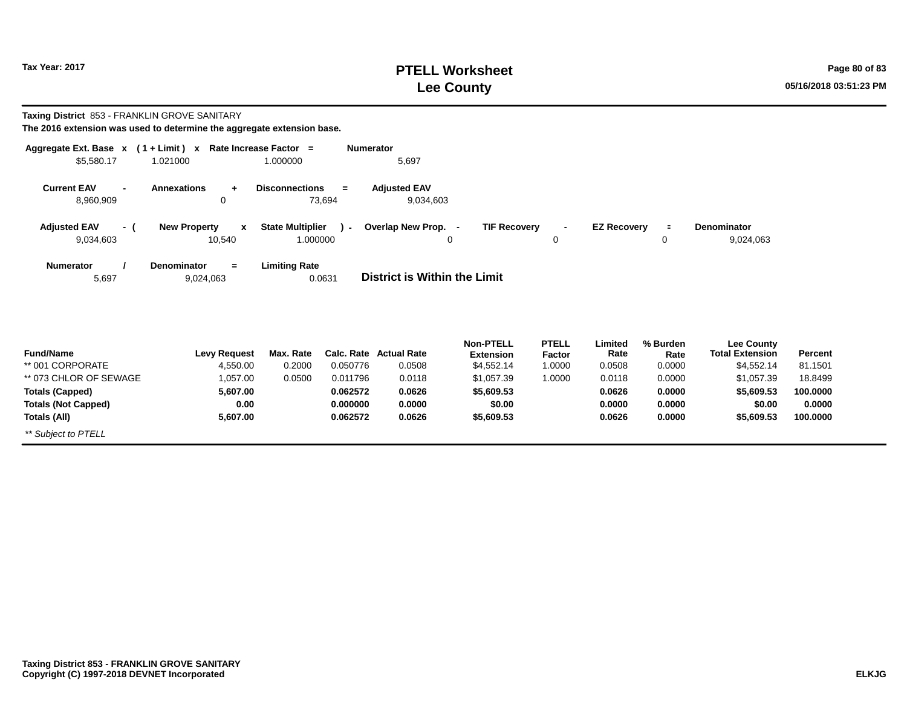# **PTELL Worksheet Tax Year: 2017 Page 80 of 83 Lee County 05/16/2018 03:51:23 PM**

#### **Taxing District** 853 - FRANKLIN GROVE SANITARY

| The 2016 extension was used to determine the aggregate extension base. |  |  |  |  |  |
|------------------------------------------------------------------------|--|--|--|--|--|
|------------------------------------------------------------------------|--|--|--|--|--|

| Aggregate Ext. Base x                | $(1 + Limit) x$                            | Rate Increase Factor =            | <b>Numerator</b>                    |                                      |                        |                    |                  |                                             |         |
|--------------------------------------|--------------------------------------------|-----------------------------------|-------------------------------------|--------------------------------------|------------------------|--------------------|------------------|---------------------------------------------|---------|
| \$5,580.17                           | 1.021000                                   | 1.000000                          | 5,697                               |                                      |                        |                    |                  |                                             |         |
| <b>Current EAV</b><br>$\blacksquare$ | <b>Annexations</b><br>$\ddot{\phantom{1}}$ | <b>Disconnections</b><br>$=$      | <b>Adjusted EAV</b>                 |                                      |                        |                    |                  |                                             |         |
| 8,960,909                            | 0                                          | 73,694                            | 9,034,603                           |                                      |                        |                    |                  |                                             |         |
| <b>Adjusted EAV</b><br>- (           | <b>New Property</b><br>$\mathbf{x}$        | <b>State Multiplier</b><br>$\sim$ | Overlap New Prop. -                 | <b>TIF Recovery</b>                  | $\blacksquare$         | <b>EZ Recovery</b> | $\equiv$         | Denominator                                 |         |
| 9,034,603                            | 10,540                                     | 1.000000                          | 0                                   |                                      | $\Omega$               |                    | 0                | 9,024,063                                   |         |
| <b>Numerator</b>                     | <b>Denominator</b><br>$=$                  | <b>Limiting Rate</b>              |                                     |                                      |                        |                    |                  |                                             |         |
| 5,697                                | 9,024,063                                  | 0.0631                            | <b>District is Within the Limit</b> |                                      |                        |                    |                  |                                             |         |
|                                      |                                            |                                   |                                     |                                      |                        |                    |                  |                                             |         |
| <b>Fund/Name</b>                     | <b>Levy Request</b>                        | Max. Rate                         | Calc. Rate Actual Rate              | <b>Non-PTELL</b><br><b>Extension</b> | <b>PTELL</b><br>Factor | Limited<br>Rate    | % Burden<br>Rate | <b>Lee County</b><br><b>Total Extension</b> | Percent |
| ** 001 CORPORATE                     | 4,550.00                                   | 0.2000<br>0.050776                | 0.0508                              | \$4,552.14                           | 1.0000                 | 0.0508             | 0.0000           | \$4,552.14                                  | 81.1501 |
| ** 073 CHLOR OF SEWAGE               | 1,057.00                                   | 0.0500<br>0.011796                | 0.0118                              | \$1,057.39                           | 1.0000                 | 0.0118             | 0.0000           | \$1,057.39                                  | 18.8499 |

| - -------------            | __________ |        |          |        | ---------  | .      | ------ | .      |            | .        |  |
|----------------------------|------------|--------|----------|--------|------------|--------|--------|--------|------------|----------|--|
| ** 001 CORPORATE           | 4,550.00   | 0.2000 | 0.050776 | 0.0508 | \$4,552.14 | 1.0000 | 0.0508 | 0.0000 | \$4.552.14 | 81.1501  |  |
| ** 073 CHLOR OF SEWAGE     | 057.00     | 0.0500 | 0.011796 | 0.0118 | \$1,057.39 | 0000.1 | 0.0118 | 0.0000 | \$1.057.39 | 18.8499  |  |
| <b>Totals (Capped)</b>     | 5,607.00   |        | 0.062572 | 0.0626 | \$5,609.53 |        | 0.0626 | 0.0000 | \$5.609.53 | 100.0000 |  |
| <b>Totals (Not Capped)</b> | 0.00       |        | 0.000000 | 0.0000 | \$0.00     |        | 0.0000 | 0.0000 | \$0.00     | 0.0000   |  |
| Totals (All)               | 5,607.00   |        | 0.062572 | 0.0626 | \$5,609.53 |        | 0.0626 | 0.0000 | \$5.609.53 | 100.0000 |  |
| ** Subject to PTELL        |            |        |          |        |            |        |        |        |            |          |  |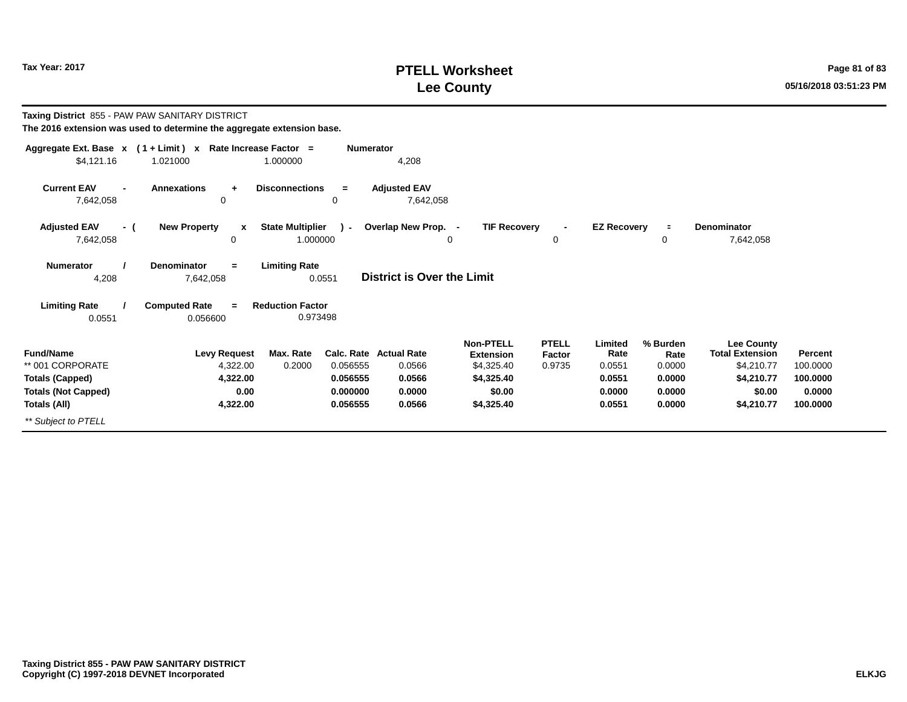# **PTELL Worksheet Tax Year: 2017 Page 81 of 83 Lee County 05/16/2018 03:51:23 PM**

| Taxing District 855 - PAW PAW SANITARY DISTRICT<br>The 2016 extension was used to determine the aggregate extension base. |                                                                          |                                                                                   |                                                            |                                                                                          |                                  |                                                         |                                                          |                                                                                                 |                                                       |
|---------------------------------------------------------------------------------------------------------------------------|--------------------------------------------------------------------------|-----------------------------------------------------------------------------------|------------------------------------------------------------|------------------------------------------------------------------------------------------|----------------------------------|---------------------------------------------------------|----------------------------------------------------------|-------------------------------------------------------------------------------------------------|-------------------------------------------------------|
| \$4,121.16                                                                                                                | Aggregate Ext. Base $x$ (1 + Limit) x Rate Increase Factor =<br>1.021000 | <b>Numerator</b><br>1.000000                                                      | 4,208                                                      |                                                                                          |                                  |                                                         |                                                          |                                                                                                 |                                                       |
| <b>Current EAV</b><br>7,642,058                                                                                           | <b>Annexations</b><br>$\ddot{}$<br>0                                     | <b>Disconnections</b><br>$=$<br>0                                                 | <b>Adjusted EAV</b><br>7,642,058                           |                                                                                          |                                  |                                                         |                                                          |                                                                                                 |                                                       |
| <b>Adjusted EAV</b><br>- (<br>7,642,058                                                                                   | <b>New Property</b><br>$\boldsymbol{x}$<br>$\Omega$                      | <b>State Multiplier</b><br>. (<br>1.000000                                        | Overlap New Prop. -<br>0                                   | <b>TIF Recovery</b>                                                                      | 0                                | <b>EZ Recovery</b>                                      | $\equiv$<br>0                                            | Denominator<br>7,642,058                                                                        |                                                       |
| <b>Numerator</b><br>4,208                                                                                                 | <b>Denominator</b><br>$=$<br>7,642,058                                   | <b>Limiting Rate</b><br>0.0551                                                    | <b>District is Over the Limit</b>                          |                                                                                          |                                  |                                                         |                                                          |                                                                                                 |                                                       |
| <b>Limiting Rate</b><br>0.0551                                                                                            | <b>Computed Rate</b><br>$\equiv$<br>0.056600                             | <b>Reduction Factor</b><br>0.973498                                               |                                                            |                                                                                          |                                  |                                                         |                                                          |                                                                                                 |                                                       |
| <b>Fund/Name</b><br>** 001 CORPORATE<br><b>Totals (Capped)</b><br><b>Totals (Not Capped)</b><br>Totals (All)              | <b>Levy Request</b><br>4,322.00<br>4,322.00<br>0.00<br>4,322.00          | Max. Rate<br>Calc. Rate<br>0.2000<br>0.056555<br>0.056555<br>0.000000<br>0.056555 | <b>Actual Rate</b><br>0.0566<br>0.0566<br>0.0000<br>0.0566 | <b>Non-PTELL</b><br><b>Extension</b><br>\$4,325.40<br>\$4,325.40<br>\$0.00<br>\$4,325.40 | <b>PTELL</b><br>Factor<br>0.9735 | Limited<br>Rate<br>0.0551<br>0.0551<br>0.0000<br>0.0551 | % Burden<br>Rate<br>0.0000<br>0.0000<br>0.0000<br>0.0000 | <b>Lee County</b><br><b>Total Extension</b><br>\$4,210.77<br>\$4,210.77<br>\$0.00<br>\$4,210.77 | Percent<br>100.0000<br>100.0000<br>0.0000<br>100.0000 |
| ** Subject to PTELL                                                                                                       |                                                                          |                                                                                   |                                                            |                                                                                          |                                  |                                                         |                                                          |                                                                                                 |                                                       |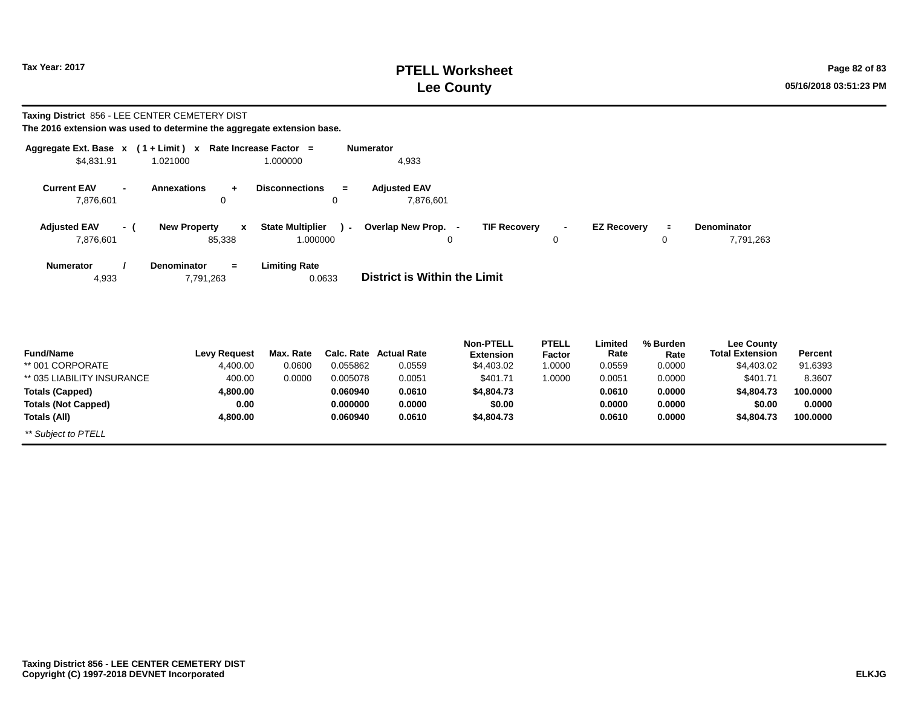# **PTELL Worksheet Tax Year: 2017 Page 82 of 83 Lee County 05/16/2018 03:51:23 PM**

#### **Taxing District** 856 - LEE CENTER CEMETERY DIST

| The 2016 extension was used to determine the aggregate extension base. |  |
|------------------------------------------------------------------------|--|
|------------------------------------------------------------------------|--|

| Aggregate Ext. Base $x$ (1 + Limit) $x$ |                                                  | Rate Increase Factor =                 | <b>Numerator</b>                    |                                      |                        |                    |                  |                                             |                |
|-----------------------------------------|--------------------------------------------------|----------------------------------------|-------------------------------------|--------------------------------------|------------------------|--------------------|------------------|---------------------------------------------|----------------|
| \$4,831.91                              | 1.021000                                         | 1.000000                               | 4,933                               |                                      |                        |                    |                  |                                             |                |
| <b>Current EAV</b><br>7,876,601         | <b>Annexations</b><br>0                          | <b>Disconnections</b><br>$\equiv$<br>0 | <b>Adjusted EAV</b><br>7,876,601    |                                      |                        |                    |                  |                                             |                |
| <b>Adjusted EAV</b><br>- (              | <b>New Property</b><br>$\boldsymbol{\mathsf{x}}$ | <b>State Multiplier</b><br>$\sim$      | Overlap New Prop. -                 | <b>TIF Recovery</b>                  | $\blacksquare$         | <b>EZ Recovery</b> | $\equiv$         | <b>Denominator</b>                          |                |
| 7,876,601                               | 85,338                                           | 1.000000                               | $\Omega$                            |                                      | $\Omega$               |                    | 0                | 7,791,263                                   |                |
| <b>Numerator</b><br>4,933               | <b>Denominator</b><br>$=$<br>7,791,263           | <b>Limiting Rate</b><br>0.0633         | <b>District is Within the Limit</b> |                                      |                        |                    |                  |                                             |                |
| <b>Fund/Name</b>                        | <b>Levy Request</b>                              | Max. Rate                              | Calc. Rate Actual Rate              | <b>Non-PTELL</b><br><b>Extension</b> | <b>PTELL</b><br>Factor | Limited<br>Rate    | % Burden<br>Rate | <b>Lee County</b><br><b>Total Extension</b> | <b>Percent</b> |
| ** 001 CORPORATE                        | 4,400.00                                         | 0.0600<br>0.055862                     | 0.0559                              | \$4,403.02                           | 1.0000                 | 0.0559             | 0.0000           | \$4,403.02                                  | 91.6393        |
| ** 035 LIABILITY INSURANCE              | 400.00                                           | 0.0000<br>0.005078                     | 0.0051                              | \$401.71                             | 1.0000                 | 0.0051             | 0.0000           | \$401.71                                    | 8.3607         |

| $001$ $0011$ $011$         | 7,700.00 | v.vovo | <u>u.uuuuz</u> | <u> v.vvvv</u> |            |        | <u> v.vuu</u> | v.vvv  | Ψ⊤,⊤∪ພ∠    | <u>JI.UJJJ</u> |  |
|----------------------------|----------|--------|----------------|----------------|------------|--------|---------------|--------|------------|----------------|--|
| ** 035 LIABILITY INSURANCE | 400.00   | 0.0000 | 0.005078       | 0.0051         | \$401.71   | 1.0000 | 0.0051        | 0.0000 | \$401.71   | 8.3607         |  |
| Totals (Capped)            | 4,800.00 |        | 0.060940       | 0.0610         | \$4,804.73 |        | 0.0610        | 0.0000 | \$4,804.73 | 100.0000       |  |
| <b>Totals (Not Capped)</b> | 0.00     |        | 0.000000       | 0.0000         | \$0.00     |        | 0.0000        | 0.0000 | \$0.00     | 0.0000         |  |
| Totals (All)               | 4,800.00 |        | 0.060940       | 0.0610         | \$4,804.73 |        | 0.0610        | 0.0000 | \$4,804.73 | 100.0000       |  |
| ** Subject to PTELL        |          |        |                |                |            |        |               |        |            |                |  |